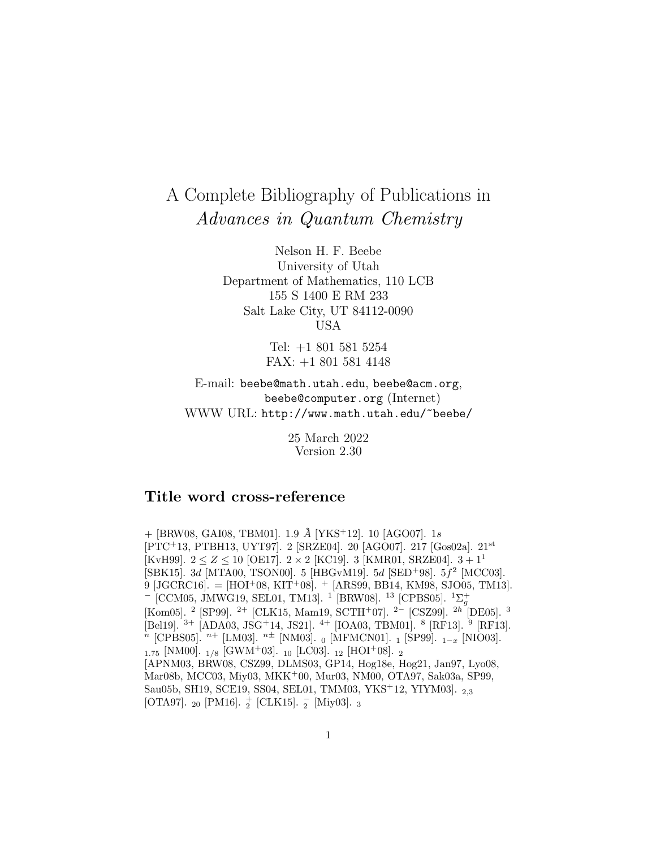## A Complete Bibliography of Publications in Advances in Quantum Chemistry

Nelson H. F. Beebe University of Utah Department of Mathematics, 110 LCB 155 S 1400 E RM 233 Salt Lake City, UT 84112-0090 USA

> Tel: +1 801 581 5254 FAX: +1 801 581 4148

E-mail: beebe@math.utah.edu, beebe@acm.org, beebe@computer.org (Internet) WWW URL: http://www.math.utah.edu/~beebe/

> 25 March 2022 Version 2.30

## **Title word cross-reference**

+ [BRW08, GAI08, TBM01]. 1.9 **˚**A [YKS<sup>+</sup>12]. 10 [AGO07]. 1s [PTC<sup>+</sup>13, PTBH13, UYT97]. 2 [SRZE04]. 20 [AGO07]. 217 [Gos02a]. 21<sup>st</sup> [KvH99].  $2 \le Z \le 10$  [OE17].  $2 \times 2$  [KC19]. 3 [KMR01, SRZE04].  $3 + 1^1$ [SBK15]. 3d [MTA00, TSON00]. 5 [HBGvM19]. 5d [SED<sup>+</sup>98]. 5 $f^2$  [MCC03]. 9 [JGCRC16]. =  $[HOI^+08, KIT^+08]$ .  $^+$  [ARS99, BB14, KM98, SJO05, TM13]. <sup>-</sup> [CCM05, JMWG19, SEL01, TM13]. <sup>1</sup> [BRW08]. <sup>13</sup> [CPBS05]. <sup>1</sup>Σ<sup>+</sup><sub>g</sub> [Kom05]. <sup>2</sup> [SP99]. <sup>2+</sup> [CLK15, Mam19, SCTH<sup>+</sup>07]. <sup>2-</sup> [CSZ99]. <sup>2h</sup> [DE05]. <sup>3</sup> [Bel19]. <sup>3+</sup> [ADA03, JSG<sup>+</sup>14, JS21]. <sup>4+</sup> [IOA03, TBM01]. <sup>8</sup> [RF13]. <sup>9</sup> [RF13].  $n$  [CPBS05].  $n+$  [LM03].  $n\pm$  [NM03]. 0 [MFMCN01]. 1 [SP99].  $_{1-x}$  [NIO03].  $_{1.75}$  [NM00].  $_{1/8}$  [GWM<sup>+</sup>03]. <sub>10</sub> [LC03]. <sub>12</sub> [HOI<sup>+</sup>08]. <sub>2</sub> [APNM03, BRW08, CSZ99, DLMS03, GP14, Hog18e, Hog21, Jan97, Lyo08, Mar08b, MCC03, Miy03, MKK<sup>+</sup>00, Mur03, NM00, OTA97, Sak03a, SP99, Sau05b, SH19, SCE19, SS04, SEL01, TMM03, YKS<sup>+</sup>12, YIYM03]. <sup>2</sup>,<sup>3</sup> [OTA97]. $_{20}$  [PM16].  $_{2}^{+}$  [CLK15].  $_{2}^{-}$  [Miy03].  $_{3}$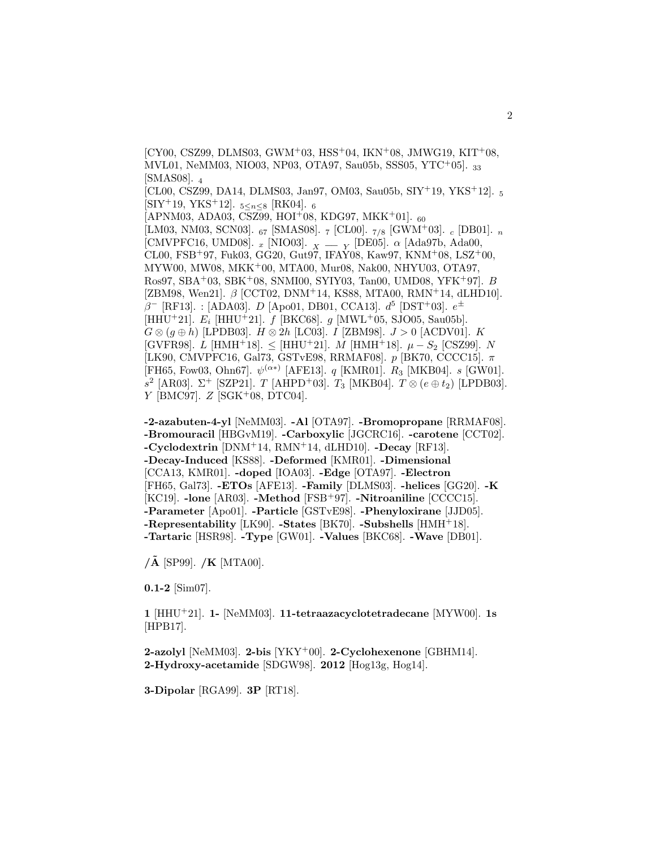$[CY00, CSZ99, DLMS03, GWM<sup>+</sup>03, HSS<sup>+</sup>04, IKN<sup>+</sup>08, JMWG19, KIT<sup>+</sup>08,$ MVL01, NeMM03, NIO03, NP03, OTA97, Sau05b, SSS05, YTC<sup>+</sup>05]. <sup>33</sup> [SMAS08]. <sup>4</sup> [CL00, CSZ99, DA14, DLMS03, Jan97, OM03, Sau05b,  $S IY^{+1}$ 9, YKS<sup>+</sup>12].  $_5$  $[SIY^+19, YKS^+12]$ . 5<n<8 [RK04]. 6  $[APNM03, ADA03, CSZ99, HOI<sup>+</sup>08, KDG97, MKK<sup>+</sup>01].$  60 [LM03, NM03, SCN03]. <sup>67</sup> [SMAS08]. <sup>7</sup> [CL00]. <sup>7</sup>/<sup>8</sup> [GWM<sup>+</sup>03]. <sup>c</sup> [DB01]. <sup>n</sup> [CMVPFC16, UMD08].  $_x$  [NIO03].  $_X$  =  $_Y$  [DE05].  $\alpha$  [Ada97b, Ada00,<br>CL00, FSB<sup>+</sup>97, Fuk03, GG20, Gut97, IFAY08, Kaw97, KNM<sup>+</sup>08, LSZ<sup>+</sup>00, MYW00, MW08, MKK<sup>+</sup>00, MTA00, Mur08, Nak00, NHYU03, OTA97, Ros97, SBA<sup>+</sup>03, SBK<sup>+</sup>08, SNMI00, SYIY03, Tan00, UMD08, YFK<sup>+</sup>97]. B [ZBM98, Wen21].  $\beta$  [CCT02, DNM+14, KS88, MTA00, RMN+14, dLHD10].  $\beta^-$  [RF13]. : [ADA03]. *D* [Apo01, DB01, CCA13].  $d^5$  [DST<sup>+</sup>03].  $e^{\pm}$ [HHU<sup>+</sup>21].  $E_i$  [HHU<sup>+</sup>21]. f [BKC68]. g [MWL<sup>+</sup>05, SJO05, Sau05b].  $G \otimes (g \oplus h)$  [LPDB03].  $H \otimes 2h$  [LC03]. *I* [ZBM98].  $J > 0$  [ACDV01]. *K* [GVFR98]. L [HMH<sup>+</sup>18].  $\le$  [HHU<sup>+</sup>21]. M [HMH<sup>+</sup>18].  $\mu - S_2$  [CSZ99]. N [LK90, CMVPFC16, Gal73, GSTvE98, RRMAF08].  $p$  [BK70, CCCC15].  $\pi$ [FH65, Fow03, Ohn67].  $\psi^{(\alpha*)}$  [AFE13]. *q* [KMR01]. *R*<sub>3</sub> [MKB04]. *s* [GW01].  $s^2$  [AR03]. Σ<sup>+</sup> [SZP21]. *T* [AHPD<sup>+</sup>03]. *T*<sub>3</sub> [MKB04]. *T* ⊗ (*e* ⊕ *t*<sub>2</sub>) [LPDB03].  $Y$  [BMC97].  $Z$  [SGK+08, DTC04].

**-2-azabuten-4-yl** [NeMM03]. **-Al** [OTA97]. **-Bromopropane** [RRMAF08]. **-Bromouracil** [HBGvM19]. **-Carboxylic** [JGCRC16]. **-carotene** [CCT02]. **-Cyclodextrin** [DNM<sup>+</sup>14, RMN<sup>+</sup>14, dLHD10]. **-Decay** [RF13]. **-Decay-Induced** [KS88]. **-Deformed** [KMR01]. **-Dimensional** [CCA13, KMR01]. **-doped** [IOA03]. **-Edge** [OTA97]. **-Electron** [FH65, Gal73]. **-ETOs** [AFE13]. **-Family** [DLMS03]. **-helices** [GG20]. **-K** [KC19]. **-lone** [AR03]. **-Method** [FSB<sup>+</sup>97]. **-Nitroaniline** [CCCC15]. **-Parameter** [Apo01]. **-Particle** [GSTvE98]. **-Phenyloxirane** [JJD05]. **-Representability** [LK90]. **-States** [BK70]. **-Subshells** [HMH<sup>+</sup>18]. **-Tartaric** [HSR98]. **-Type** [GW01]. **-Values** [BKC68]. **-Wave** [DB01].

**/A˜** [SP99]. **/K** [MTA00].

**0.1-2** [Sim07].

**1** [HHU<sup>+</sup>21]. **1-** [NeMM03]. **11-tetraazacyclotetradecane** [MYW00]. **1s** [HPB17].

**2-azolyl** [NeMM03]. **2-bis** [YKY<sup>+</sup>00]. **2-Cyclohexenone** [GBHM14]. **2-Hydroxy-acetamide** [SDGW98]. **2012** [Hog13g, Hog14].

**3-Dipolar** [RGA99]. **3P** [RT18].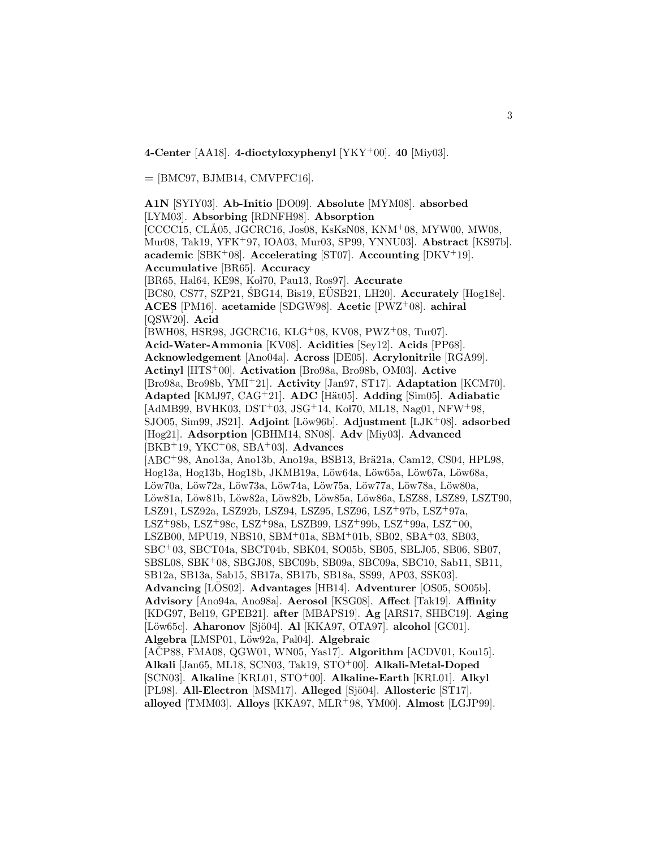**4-Center** [AA18]. **4-dioctyloxyphenyl** [YKY<sup>+</sup>00]. **40** [Miy03].

**=** [BMC97, BJMB14, CMVPFC16].

**A1N** [SYIY03]. **Ab-Initio** [DO09]. **Absolute** [MYM08]. **absorbed** [LYM03]. **Absorbing** [RDNFH98]. **Absorption** [CCCC15, CLÅ05, JGCRC16, Jos08, KsKsN08, KNM+08, MYW00, MW08, Mur08, Tak19, YFK<sup>+</sup>97, IOA03, Mur03, SP99, YNNU03]. **Abstract** [KS97b]. **academic** [SBK<sup>+</sup>08]. **Accelerating** [ST07]. **Accounting** [DKV<sup>+</sup>19]. **Accumulative** [BR65]. **Accuracy** [BR65, Hal64, KE98, Kol70, Pau13, Ros97]. **Accurate** [BC80, CS77, SZP21, SBG14, Bis19, EUSB21, LH20]. **Accurately** [Hog18e]. **ACES** [PM16]. **acetamide** [SDGW98]. **Acetic** [PWZ<sup>+</sup>08]. **achiral** [QSW20]. **Acid** [BWH08, HSR98, JGCRC16, KLG<sup>+</sup>08, KV08, PWZ<sup>+</sup>08, Tur07]. **Acid-Water-Ammonia** [KV08]. **Acidities** [Sey12]. **Acids** [PP68]. **Acknowledgement** [Ano04a]. **Across** [DE05]. **Acrylonitrile** [RGA99]. **Actinyl** [HTS<sup>+</sup>00]. **Activation** [Bro98a, Bro98b, OM03]. **Active** [Bro98a, Bro98b, YMI<sup>+</sup>21]. **Activity** [Jan97, ST17]. **Adaptation** [KCM70]. **Adapted** [KMJ97, CAG<sup>+</sup>21]. **ADC** [H¨at05]. **Adding** [Sim05]. **Adiabatic**  $[AdMB99, BVHK03, DST<sup>+</sup>03, JSG<sup>+</sup>14, K<sub>0</sub>170, ML18, Nag01, NFW<sup>+</sup>98,$ SJO05, Sim99, JS21]. Adjoint [Löw96b]. Adjustment [LJK<sup>+</sup>08]. adsorbed [Hog21]. **Adsorption** [GBHM14, SN08]. **Adv** [Miy03]. **Advanced** [BKB<sup>+</sup>19, YKC<sup>+</sup>08, SBA<sup>+</sup>03]. **Advances** [ABC<sup>+</sup>98, Ano13a, Ano13b, Ano19a, BSB13, Brä21a, Cam12, CS04, HPL98, Hog13a, Hog13b, Hog18b, JKMB19a, Löw64a, Löw65a, Löw67a, Löw68a, Löw70a, Löw72a, Löw73a, Löw74a, Löw75a, Löw77a, Löw78a, Löw80a, Löw81a, Löw81b, Löw82a, Löw82b, Löw85a, Löw86a, LSZ88, LSZ89, LSZT90, LSZ91, LSZ92a, LSZ92b, LSZ94, LSZ95, LSZ96, LSZ<sup>+</sup>97b, LSZ<sup>+</sup>97a, LSZ<sup>+</sup>98b, LSZ<sup>+</sup>98c, LSZ<sup>+</sup>98a, LSZB99, LSZ<sup>+</sup>99b, LSZ<sup>+</sup>99a, LSZ<sup>+</sup>00, LSZB00, MPU19, NBS10, SBM<sup>+</sup>01a, SBM<sup>+</sup>01b, SB02, SBA<sup>+</sup>03, SB03, SBC<sup>+</sup>03, SBCT04a, SBCT04b, SBK04, SO05b, SB05, SBLJ05, SB06, SB07, SBSL08, SBK<sup>+</sup>08, SBGJ08, SBC09b, SB09a, SBC09a, SBC10, Sab11, SB11, SB12a, SB13a, Sab15, SB17a, SB17b, SB18a, SS99, AP03, SSK03]. Advancing [LOS02]. Advantages [HB14]. Adventurer [OS05, SO05b]. **Advisory** [Ano94a, Ano98a]. **Aerosol** [KSG08]. **Affect** [Tak19]. **Affinity** [KDG97, Bel19, GPEB21]. **after** [MBAPS19]. **Ag** [ARS17, SHBC19]. **Aging** [Löw65c]. **Aharonov** [Sjö04]. **Al** [KKA97, OTA97]. **alcohol** [GC01]. **Algebra** [LMSP01, L¨ow92a, Pal04]. **Algebraic** [ACP88, FMA08, QGW01, WN05, Yas17]. **Algorithm** [ACDV01, Kou15]. **Alkali** [Jan65, ML18, SCN03, Tak19, STO<sup>+</sup>00]. **Alkali-Metal-Doped** [SCN03]. **Alkaline** [KRL01, STO<sup>+</sup>00]. **Alkaline-Earth** [KRL01]. **Alkyl** [PL98]. **All-Electron** [MSM17]. **Alleged** [Sjö04]. **Allosteric** [ST17]. **alloyed** [TMM03]. **Alloys** [KKA97, MLR<sup>+</sup>98, YM00]. **Almost** [LGJP99].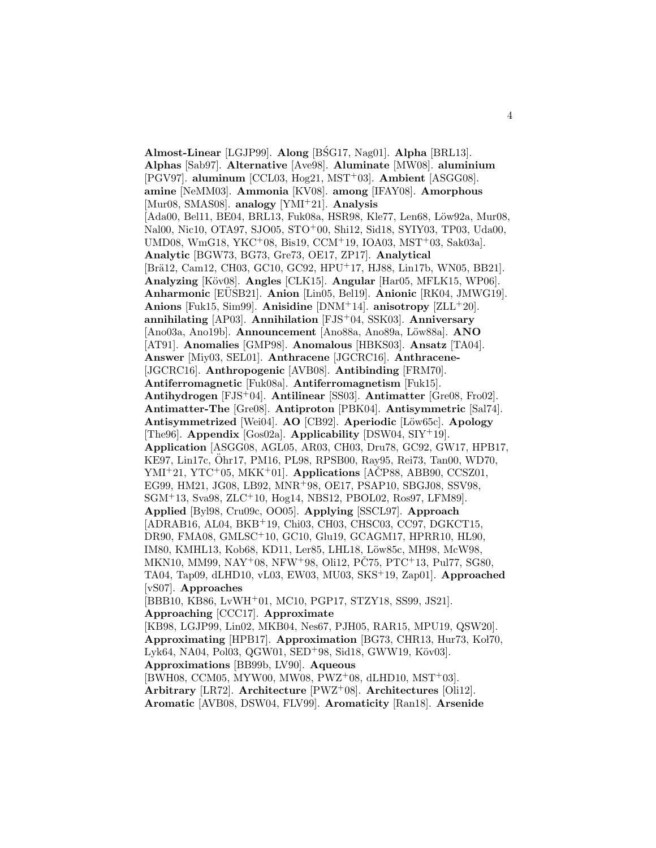**Almost-Linear** [LGJP99]. **Along** [BSG17, Nag01]. **Alpha** [BRL13]. **Alphas** [Sab97]. **Alternative** [Ave98]. **Aluminate** [MW08]. **aluminium** [PGV97]. **aluminum** [CCL03, Hog21, MST<sup>+</sup>03]. **Ambient** [ASGG08]. **amine** [NeMM03]. **Ammonia** [KV08]. **among** [IFAY08]. **Amorphous** [Mur08, SMAS08]. **analogy** [YMI<sup>+</sup>21]. **Analysis** [Ada00, Bel11, BE04, BRL13, Fuk08a, HSR98, Kle77, Len68, Löw92a, Mur08, Nal00, Nic10, OTA97, SJO05, STO<sup>+</sup>00, Shi12, Sid18, SYIY03, TP03, Uda00, UMD08, WmG18, YKC<sup>+</sup>08, Bis19, CCM<sup>+</sup>19, IOA03, MST<sup>+</sup>03, Sak03a]. **Analytic** [BGW73, BG73, Gre73, OE17, ZP17]. **Analytical** [Brä12, Cam12, CH03, GC10, GC92, HPU+17, HJ88, Lin17b, WN05, BB21]. **Analyzing** [K¨ov08]. **Angles** [CLK15]. **Angular** [Har05, MFLK15, WP06]. **Anharmonic** [EUSB21]. **Anion** [Lin05, Bel19]. **Anionic** [RK04, JMWG19]. **Anions** [Fuk15, Sim99]. **Anisidine** [DNM<sup>+</sup>14]. **anisotropy** [ZLL<sup>+</sup>20]. **annihilating** [AP03]. **Annihilation** [FJS<sup>+</sup>04, SSK03]. **Anniversary** [Ano03a, Ano19b]. **Announcement** [Ano88a, Ano89a, Löw88a]. **ANO** [AT91]. **Anomalies** [GMP98]. **Anomalous** [HBKS03]. **Ansatz** [TA04]. **Answer** [Miy03, SEL01]. **Anthracene** [JGCRC16]. **Anthracene-** [JGCRC16]. **Anthropogenic** [AVB08]. **Antibinding** [FRM70]. **Antiferromagnetic** [Fuk08a]. **Antiferromagnetism** [Fuk15]. **Antihydrogen** [FJS<sup>+</sup>04]. **Antilinear** [SS03]. **Antimatter** [Gre08, Fro02]. **Antimatter-The** [Gre08]. **Antiproton** [PBK04]. **Antisymmetric** [Sal74]. **Antisymmetrized** [Wei04]. **AO** [CB92]. **Aperiodic** [L¨ow65c]. **Apology** [The96]. **Appendix** [Gos02a]. **Applicability** [DSW04, SIY<sup>+</sup>19]. **Application** [ASGG08, AGL05, AR03, CH03, Dru78, GC92, GW17, HPB17, KE97, Lin17c, Öhr17, PM16, PL98, RPSB00, Ray95, Rei73, Tan00, WD70,  $YMI+21$ ,  $YTC+05$ ,  $MKK+01$ . **Applications** [ACP88, ABB90, CCSZ01, EG99, HM21, JG08, LB92, MNR<sup>+</sup>98, OE17, PSAP10, SBGJ08, SSV98, SGM<sup>+</sup>13, Sva98, ZLC<sup>+</sup>10, Hog14, NBS12, PBOL02, Ros97, LFM89]. **Applied** [Byl98, Cru09c, OO05]. **Applying** [SSCL97]. **Approach** [ADRAB16, AL04, BKB<sup>+</sup>19, Chi03, CH03, CHSC03, CC97, DGKCT15, DR90, FMA08, GMLSC<sup>+</sup>10, GC10, Glu19, GCAGM17, HPRR10, HL90, IM80, KMHL13, Kob68, KD11, Ler85, LHL18, Löw85c, MH98, McW98, MKN10, MM99, NAY<sup>+</sup>08, NFW<sup>+</sup>98, Oli12, PC75, PTC<sup>+</sup>13, Pul77, SG80, TA04, Tap09, dLHD10, vL03, EW03, MU03, SKS<sup>+</sup>19, Zap01]. **Approached** [vS07]. **Approaches** [BBB10, KB86, LvWH<sup>+</sup>01, MC10, PGP17, STZY18, SS99, JS21]. **Approaching** [CCC17]. **Approximate** [KB98, LGJP99, Lin02, MKB04, Nes67, PJH05, RAR15, MPU19, QSW20]. **Approximating** [HPB17]. **Approximation** [BG73, CHR13, Hur73, Koł70, Lyk64, NA04, Pol03, QGW01, SED<sup>+</sup>98, Sid18, GWW19, Köv03. **Approximations** [BB99b, LV90]. **Aqueous** [BWH08, CCM05, MYW00, MW08, PWZ<sup>+</sup>08, dLHD10, MST<sup>+</sup>03].

**Arbitrary** [LR72]. **Architecture** [PWZ<sup>+</sup>08]. **Architectures** [Oli12]. **Aromatic** [AVB08, DSW04, FLV99]. **Aromaticity** [Ran18]. **Arsenide**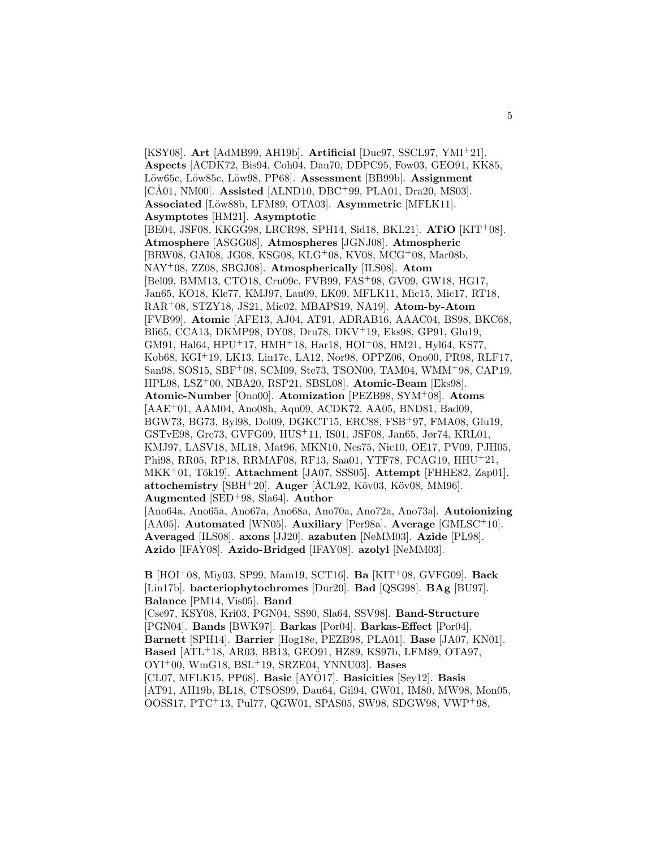[KSY08]. **Art** [AdMB99, AH19b]. **Artificial** [Duc97, SSCL97, YMI<sup>+</sup>21]. **Aspects** [ACDK72, Bis94, Coh04, Dau70, DDPC95, Fow03, GEO91, KK85, Löw65c, Löw85c, Löw98, PP68]. **Assessment** [BB99b]. **Assignment** [CÅ01, NM00]. **Assisted** [ALND10, DBC<sup>+</sup>99, PLA01, Dra20, MS03]. Associated [Löw88b, LFM89, OTA03]. Asymmetric [MFLK11]. **Asymptotes** [HM21]. **Asymptotic** [BE04, JSF08, KKGG98, LRCR98, SPH14, Sid18, BKL21]. **ATiO** [KIT<sup>+</sup>08]. **Atmosphere** [ASGG08]. **Atmospheres** [JGNJ08]. **Atmospheric** [BRW08, GAI08, JG08, KSG08, KLG<sup>+</sup>08, KV08, MCG<sup>+</sup>08, Mar08b, NAY<sup>+</sup>08, ZZ08, SBGJ08]. **Atmospherically** [ILS08]. **Atom** [Bel09, BMM13, CTO18, Cru09c, FVB99, FAS<sup>+</sup>98, GV09, GW18, HG17, Jan65, KO18, Kle77, KMJ97, Lau09, LK09, MFLK11, Mic15, Mic17, RT18, RAR<sup>+</sup>08, STZY18, JS21, Mic02, MBAPS19, NA19]. **Atom-by-Atom** [FVB99]. **Atomic** [AFE13, AJ04, AT91, ADRAB16, AAAC04, BS98, BKC68, Bli65, CCA13, DKMP98, DY08, Dru78, DKV<sup>+</sup>19, Eks98, GP91, Glu19, GM91, Hal64, HPU<sup>+</sup>17, HMH<sup>+</sup>18, Har18, HOI<sup>+</sup>08, HM21, Hyl64, KS77, Kob68, KGI<sup>+</sup>19, LK13, Lin17c, LA12, Nor98, OPPZ06, Ono00, PR98, RLF17, San98, SOS15, SBF<sup>+</sup>08, SCM09, Ste73, TSON00, TAM04, WMM<sup>+</sup>98, CAP19, HPL98, LSZ<sup>+</sup>00, NBA20, RSP21, SBSL08]. **Atomic-Beam** [Eks98]. **Atomic-Number** [Ono00]. **Atomization** [PEZB98, SYM<sup>+</sup>08]. **Atoms** [AAE<sup>+</sup>01, AAM04, Ano08h, Aqu09, ACDK72, AA05, BND81, Bad09, BGW73, BG73, Byl98, Dol09, DGKCT15, ERC88, FSB<sup>+</sup>97, FMA08, Glu19, GSTvE98, Gre73, GVFG09, HUS<sup>+</sup>11, IS01, JSF08, Jan65, Jør74, KRL01, KMJ97, LASV18, ML18, Mat96, MKN10, Nes75, Nic10, OE17, PV09, PJH05, Phi98, RR05, RP18, RRMAF08, RF13, Saa01, YTF78, FCAG19, HHU<sup>+</sup>21, MKK<sup>+</sup>01, T˝ok19]. **Attachment** [JA07, SSS05]. **Attempt** [FHHE82, Zap01]. **attochemistry**  $[SBH^+20]$ . **Auger**  $[ACL92, K\ddot{o}v03, K\ddot{o}v08, MM96]$ . **Augmented** [SED<sup>+</sup>98, Sla64]. **Author** [Ano64a, Ano65a, Ano67a, Ano68a, Ano70a, Ano72a, Ano73a]. **Autoionizing**

[AA05]. **Automated** [WN05]. **Auxiliary** [Per98a]. **Average** [GMLSC<sup>+</sup>10]. **Averaged** [ILS08]. **axons** [JJ20]. **azabuten** [NeMM03]. **Azide** [PL98]. **Azido** [IFAY08]. **Azido-Bridged** [IFAY08]. **azolyl** [NeMM03].

**B** [HOI<sup>+</sup>08, Miy03, SP99, Mam19, SCT16]. **Ba** [KIT<sup>+</sup>08, GVFG09]. **Back** [Lin17b]. **bacteriophytochromes** [Dur20]. **Bad** [QSG98]. **BAg** [BU97]. **Balance** [PM14, Vis05]. **Band** [Cse97, KSY08, Kri03, PGN04, SS90, Sla64, SSV98]. **Band-Structure** [PGN04]. **Bands** [BWK97]. **Barkas** [Por04]. **Barkas-Effect** [Por04]. **Barnett** [SPH14]. **Barrier** [Hog18e, PEZB98, PLA01]. **Base** [JA07, KN01]. **Based** [ATL<sup>+</sup>18, AR03, BB13, GEO91, HZ89, KS97b, LFM89, OTA97, OYI<sup>+</sup>00, WmG18, BSL<sup>+</sup>19, SRZE04, YNNU03]. **Bases** [CL07, MFLK15, PP68]. **Basic** [AYÖ17]. **Basicities** [Sey12]. **Basis** [AT91, AH19b, BL18, CTSOS99, Dau64, Gil94, GW01, IM80, MW98, Mon05, OOSS17, PTC<sup>+</sup>13, Pul77, QGW01, SPAS05, SW98, SDGW98, VWP<sup>+</sup>98,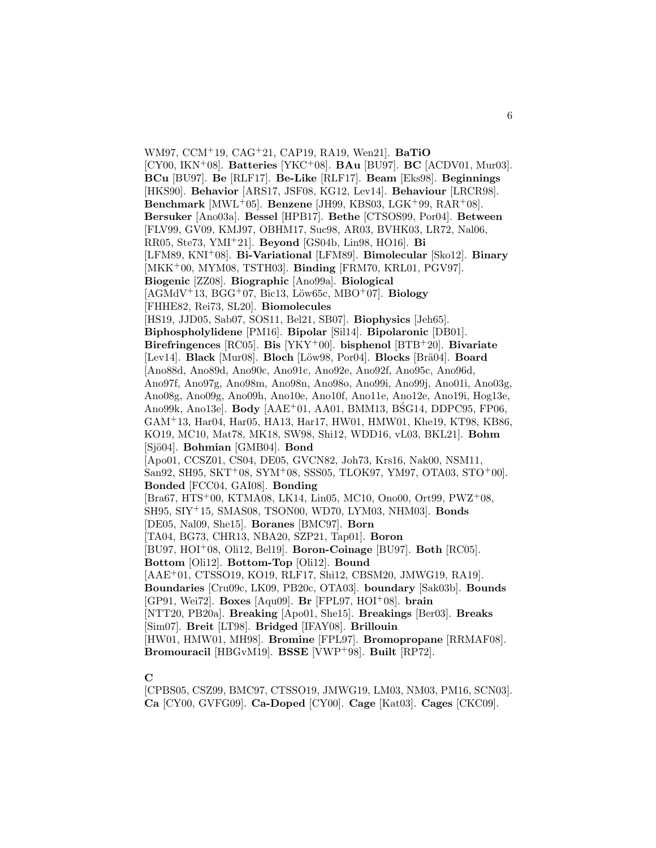WM97, CCM<sup>+</sup>19, CAG<sup>+</sup>21, CAP19, RA19, Wen21]. **BaTiO** [CY00, IKN<sup>+</sup>08]. **Batteries** [YKC<sup>+</sup>08]. **BAu** [BU97]. **BC** [ACDV01, Mur03]. **BCu** [BU97]. **Be** [RLF17]. **Be-Like** [RLF17]. **Beam** [Eks98]. **Beginnings** [HKS90]. **Behavior** [ARS17, JSF08, KG12, Lev14]. **Behaviour** [LRCR98]. **Benchmark** [MWL<sup>+</sup>05]. **Benzene** [JH99, KBS03, LGK<sup>+</sup>99, RAR<sup>+</sup>08]. **Bersuker** [Ano03a]. **Bessel** [HPB17]. **Bethe** [CTSOS99, Por04]. **Between** [FLV99, GV09, KMJ97, OBHM17, Suc98, AR03, BVHK03, LR72, Nal06, RR05, Ste73, YMI<sup>+</sup>21]. **Beyond** [GS04b, Lin98, HO16]. **Bi** [LFM89, KNI<sup>+</sup>08]. **Bi-Variational** [LFM89]. **Bimolecular** [Sko12]. **Binary** [MKK<sup>+</sup>00, MYM08, TSTH03]. **Binding** [FRM70, KRL01, PGV97]. **Biogenic** [ZZ08]. **Biographic** [Ano99a]. **Biological**  $[AGMdV+13, BGG+07, Bic13, Löw65c, MBO+07].$  **Biology** [FHHE82, Rei73, SL20]. **Biomolecules** [HS19, JJD05, Sab07, SOS11, Bel21, SB07]. **Biophysics** [Jeh65]. **Biphospholylidene** [PM16]. **Bipolar** [Sil14]. **Bipolaronic** [DB01]. **Birefringences** [RC05]. **Bis** [YKY<sup>+</sup>00]. **bisphenol** [BTB<sup>+</sup>20]. **Bivariate** [Lev14]. **Black** [Mur08]. **Bloch** [Löw98, Por04]. **Blocks** [Brä04]. **Board** [Ano88d, Ano89d, Ano90c, Ano91c, Ano92e, Ano92f, Ano95c, Ano96d, Ano97f, Ano97g, Ano98m, Ano98n, Ano98o, Ano99i, Ano99j, Ano01i, Ano03g, Ano08g, Ano09g, Ano09h, Ano10e, Ano10f, Ano11e, Ano12e, Ano19i, Hog13e, Ano99k, Ano13e]. **Body** [AAE<sup>+</sup>01, AA01, BMM13, BSG14, DDPC95, FP06, GAM<sup>+</sup>13, Har04, Har05, HA13, Har17, HW01, HMW01, Khe19, KT98, KB86, KO19, MC10, Mat78, MK18, SW98, Shi12, WDD16, vL03, BKL21]. **Bohm** [Sjö04]. **Bohmian** [GMB04]. **Bond** [Apo01, CCSZ01, CS04, DE05, GVCN82, Joh73, Krs16, Nak00, NSM11, San92, SH95, SKT<sup>+</sup>08, SYM<sup>+</sup>08, SSS05, TLOK97, YM97, OTA03, STO<sup>+</sup>00]. **Bonded** [FCC04, GAI08]. **Bonding** [Bra67, HTS<sup>+</sup>00, KTMA08, LK14, Lin05, MC10, Ono00, Ort99, PWZ<sup>+</sup>08, SH95, SIY<sup>+</sup>15, SMAS08, TSON00, WD70, LYM03, NHM03]. **Bonds** [DE05, Nal09, She15]. **Boranes** [BMC97]. **Born** [TA04, BG73, CHR13, NBA20, SZP21, Tap01]. **Boron** [BU97, HOI<sup>+</sup>08, Oli12, Bel19]. **Boron-Coinage** [BU97]. **Both** [RC05]. **Bottom** [Oli12]. **Bottom-Top** [Oli12]. **Bound** [AAE<sup>+</sup>01, CTSSO19, KO19, RLF17, Shi12, CBSM20, JMWG19, RA19]. **Boundaries** [Cru09c, LK09, PB20c, OTA03]. **boundary** [Sak03b]. **Bounds** [GP91, Wei72]. **Boxes** [Aqu09]. **Br** [FPL97, HOI<sup>+</sup>08]. **brain** [NTT20, PB20a]. **Breaking** [Apo01, She15]. **Breakings** [Ber03]. **Breaks** [Sim07]. **Breit** [LT98]. **Bridged** [IFAY08]. **Brillouin** [HW01, HMW01, MH98]. **Bromine** [FPL97]. **Bromopropane** [RRMAF08]. **Bromouracil** [HBGvM19]. **BSSE** [VWP<sup>+</sup>98]. **Built** [RP72].

## **C**

<sup>[</sup>CPBS05, CSZ99, BMC97, CTSSO19, JMWG19, LM03, NM03, PM16, SCN03]. **Ca** [CY00, GVFG09]. **Ca-Doped** [CY00]. **Cage** [Kat03]. **Cages** [CKC09].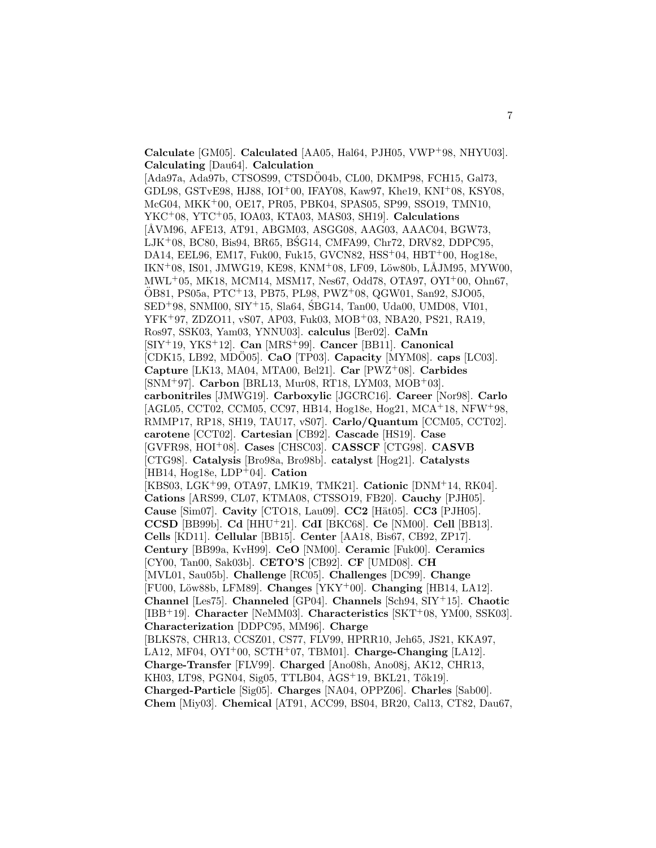**Calculate** [GM05]. **Calculated** [AA05, Hal64, PJH05, VWP<sup>+</sup>98, NHYU03]. **Calculating** [Dau64]. **Calculation**

[Ada97a, Ada97b, CTSOS99, CTSDO04b, CL00, DKMP98, FCH15, Gal73, GDL98, GSTvE98, HJ88, IOI<sup>+</sup>00, IFAY08, Kaw97, Khe19, KNI<sup>+</sup>08, KSY08, McG04, MKK<sup>+</sup>00, OE17, PR05, PBK04, SPAS05, SP99, SSO19, TMN10, YKC<sup>+</sup>08, YTC<sup>+</sup>05, IOA03, KTA03, MAS03, SH19]. **Calculations** [ÅVM96, AFE13, AT91, ABGM03, ASGG08, AAG03, AAAC04, BGW73,  $LJK^+08$ , BC80, Bis94, BR65, BSG14, CMFA99, Chr72, DRV82, DDPC95, DA14, EEL96, EM17, Fuk00, Fuk15, GVCN82, HSS<sup>+</sup>04, HBT<sup>+</sup>00, Hog18e,  $IKN+08$ , IS01, JMWG19, KE98, KNM+08, LF09, Löw80b, LÅJM95, MYW00, MWL<sup>+</sup>05, MK18, MCM14, MSM17, Nes67, Odd78, OTA97, OYI<sup>+</sup>00, Ohn67, OB81, PS05a, PTC ¨ <sup>+</sup>13, PB75, PL98, PWZ<sup>+</sup>08, QGW01, San92, SJO05, SED<sup>+</sup>98, SNMI00, SIY<sup>+</sup>15, Sla64, SBG14, Tan00, Uda00, UMD08, VI01, ´ YFK<sup>+</sup>97, ZDZO11, vS07, AP03, Fuk03, MOB<sup>+</sup>03, NBA20, PS21, RA19, Ros97, SSK03, Yam03, YNNU03]. **calculus** [Ber02]. **CaMn** [SIY<sup>+</sup>19, YKS<sup>+</sup>12]. **Can** [MRS<sup>+</sup>99]. **Cancer** [BB11]. **Canonical** [CDK15, LB92, MDO05]. **CaO** [TP03]. **Capacity** [MYM08]. **caps** [LC03]. **Capture** [LK13, MA04, MTA00, Bel21]. **Car** [PWZ<sup>+</sup>08]. **Carbides** [SNM<sup>+</sup>97]. **Carbon** [BRL13, Mur08, RT18, LYM03, MOB<sup>+</sup>03]. **carbonitriles** [JMWG19]. **Carboxylic** [JGCRC16]. **Career** [Nor98]. **Carlo** [AGL05, CCT02, CCM05, CC97, HB14, Hog18e, Hog21, MCA<sup>+</sup>18, NFW<sup>+</sup>98, RMMP17, RP18, SH19, TAU17, vS07]. **Carlo/Quantum** [CCM05, CCT02]. **carotene** [CCT02]. **Cartesian** [CB92]. **Cascade** [HS19]. **Case** [GVFR98, HOI<sup>+</sup>08]. **Cases** [CHSC03]. **CASSCF** [CTG98]. **CASVB** [CTG98]. **Catalysis** [Bro98a, Bro98b]. **catalyst** [Hog21]. **Catalysts** [HB14, Hog18e, LDP<sup>+</sup>04]. **Cation** [KBS03, LGK<sup>+</sup>99, OTA97, LMK19, TMK21]. **Cationic** [DNM<sup>+</sup>14, RK04]. **Cations** [ARS99, CL07, KTMA08, CTSSO19, FB20]. **Cauchy** [PJH05]. **Cause** [Sim07]. **Cavity** [CTO18, Lau09]. **CC2** [Hät05]. **CC3** [PJH05]. **CCSD** [BB99b]. **Cd** [HHU<sup>+</sup>21]. **CdI** [BKC68]. **Ce** [NM00]. **Cell** [BB13]. **Cells** [KD11]. **Cellular** [BB15]. **Center** [AA18, Bis67, CB92, ZP17]. **Century** [BB99a, KvH99]. **CeO** [NM00]. **Ceramic** [Fuk00]. **Ceramics** [CY00, Tan00, Sak03b]. **CETO'S** [CB92]. **CF** [UMD08]. **CH** [MVL01, Sau05b]. **Challenge** [RC05]. **Challenges** [DC99]. **Change** [FU00, L¨ow88b, LFM89]. **Changes** [YKY<sup>+</sup>00]. **Changing** [HB14, LA12]. **Channel** [Les75]. **Channeled** [GP04]. **Channels** [Sch94, SIY<sup>+</sup>15]. **Chaotic** [IBB<sup>+</sup>19]. **Character** [NeMM03]. **Characteristics** [SKT<sup>+</sup>08, YM00, SSK03]. **Characterization** [DDPC95, MM96]. **Charge** [BLKS78, CHR13, CCSZ01, CS77, FLV99, HPRR10, Jeh65, JS21, KKA97, LA12, MF04, OYI<sup>+</sup>00, SCTH<sup>+</sup>07, TBM01]. **Charge-Changing** [LA12]. **Charge-Transfer** [FLV99]. **Charged** [Ano08h, Ano08j, AK12, CHR13, KH03, LT98, PGN04, Sig05, TTLB04, AGS+19, BKL21, Tők19]. **Charged-Particle** [Sig05]. **Charges** [NA04, OPPZ06]. **Charles** [Sab00]. **Chem** [Miy03]. **Chemical** [AT91, ACC99, BS04, BR20, Cal13, CT82, Dau67,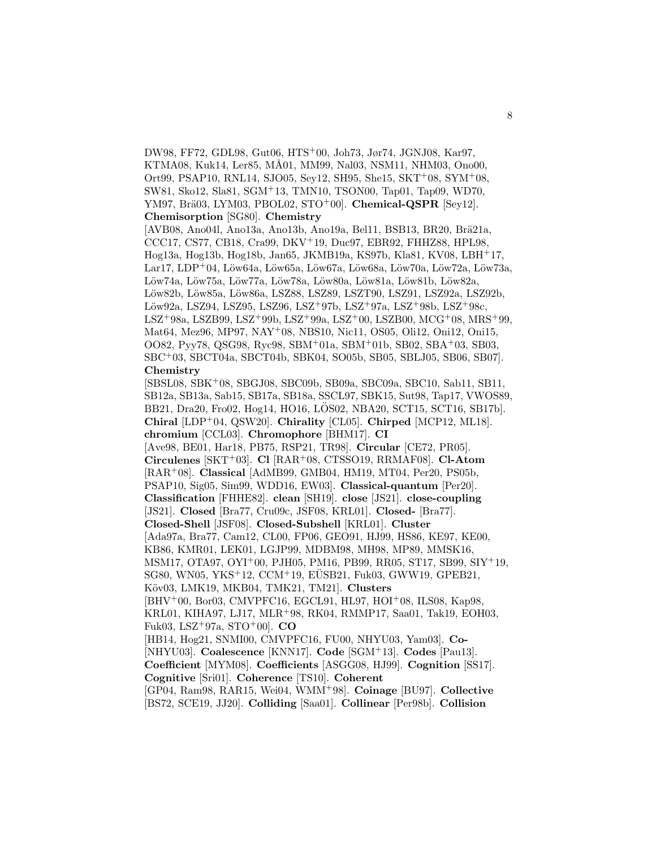DW98, FF72, GDL98, Gut06, HTS<sup>+</sup>00, Joh73, Jør74, JGNJ08, Kar97, KTMA08, Kuk14, Ler85, MÅ01, MM99, Nal03, NSM11, NHM03, Ono00, Ort99, PSAP10, RNL14, SJO05, Sey12, SH95, She15, SKT<sup>+</sup>08, SYM<sup>+</sup>08, SW81, Sko12, Sla81, SGM<sup>+</sup>13, TMN10, TSON00, Tap01, Tap09, WD70, YM97, Brä03, LYM03, PBOL02, STO<sup>+</sup>00]. **Chemical-QSPR** [Sey12]. **Chemisorption** [SG80]. **Chemistry**

[AVB08, Ano04l, Ano13a, Ano13b, Ano19a, Bel11, BSB13, BR20, Brä21a, CCC17, CS77, CB18, Cra99, DKV<sup>+</sup>19, Duc97, EBR92, FHHZ88, HPL98, Hog13a, Hog13b, Hog18b, Jan65, JKMB19a, KS97b, Kla81, KV08, LBH<sup>+</sup>17, Lar17, LDP+04, Löw $64a$ , Löw $65a$ , Löw $67a$ , Löw $68a$ , Löw $70a$ , Löw $72a$ , Löw $73a$ , Löw74a, Löw75a, Löw77a, Löw78a, Löw80a, Löw81a, Löw81b, Löw82a, Löw82b, Löw85a, Löw86a, LSZ88, LSZ89, LSZT90, LSZ91, LSZ92a, LSZ92b, Löw92a, LSZ94, LSZ95, LSZ96, LSZ<sup>+</sup>97b, LSZ<sup>+</sup>97a, LSZ<sup>+</sup>98b, LSZ<sup>+</sup>98c, LSZ<sup>+</sup>98a, LSZB99, LSZ<sup>+</sup>99b, LSZ<sup>+</sup>99a, LSZ<sup>+</sup>00, LSZB00, MCG<sup>+</sup>08, MRS<sup>+</sup>99, Mat64, Mez96, MP97, NAY<sup>+</sup>08, NBS10, Nic11, OS05, Oli12, Oni12, Oni15, OO82, Pyy78, QSG98, Ryc98, SBM<sup>+</sup>01a, SBM<sup>+</sup>01b, SB02, SBA<sup>+</sup>03, SB03, SBC<sup>+</sup>03, SBCT04a, SBCT04b, SBK04, SO05b, SB05, SBLJ05, SB06, SB07]. **Chemistry**

[SBSL08, SBK<sup>+</sup>08, SBGJ08, SBC09b, SB09a, SBC09a, SBC10, Sab11, SB11, SB12a, SB13a, Sab15, SB17a, SB18a, SSCL97, SBK15, Sut98, Tap17, VWOS89, BB21, Dra20, Fro02, Hog14, HO16, LOS02, NBA20, SCT15, SCT16, SB17b]. ¨ **Chiral** [LDP<sup>+</sup>04, QSW20]. **Chirality** [CL05]. **Chirped** [MCP12, ML18]. **chromium** [CCL03]. **Chromophore** [BHM17]. **CI** [Ave98, BE01, Har18, PB75, RSP21, TR98]. **Circular** [CE72, PR05]. **Circulenes** [SKT<sup>+</sup>03]. **Cl** [RAR<sup>+</sup>08, CTSSO19, RRMAF08]. **Cl-Atom** [RAR<sup>+</sup>08]. **Classical** [AdMB99, GMB04, HM19, MT04, Per20, PS05b, PSAP10, Sig05, Sim99, WDD16, EW03]. **Classical-quantum** [Per20]. **Classification** [FHHE82]. **clean** [SH19]. **close** [JS21]. **close-coupling** [JS21]. **Closed** [Bra77, Cru09c, JSF08, KRL01]. **Closed-** [Bra77]. **Closed-Shell** [JSF08]. **Closed-Subshell** [KRL01]. **Cluster** [Ada97a, Bra77, Cam12, CL00, FP06, GEO91, HJ99, HS86, KE97, KE00, KB86, KMR01, LEK01, LGJP99, MDBM98, MH98, MP89, MMSK16, MSM17, OTA97, OYI<sup>+</sup>00, PJH05, PM16, PB99, RR05, ST17, SB99, SIY<sup>+</sup>19,  $SG80,$  WN05, YKS<sup>+</sup>12, CCM<sup>+</sup>19, EUSB21, Fuk03, GWW19, GPEB21, K¨ov03, LMK19, MKB04, TMK21, TM21]. **Clusters** [BHV<sup>+</sup>00, Bor03, CMVPFC16, EGCL91, HL97, HOI<sup>+</sup>08, ILS08, Kap98, KRL01, KIHA97, LJ17, MLR<sup>+</sup>98, RK04, RMMP17, Saa01, Tak19, EOH03, Fuk03, LSZ<sup>+</sup>97a, STO<sup>+</sup>00]. **CO** [HB14, Hog21, SNMI00, CMVPFC16, FU00, NHYU03, Yam03]. **Co-** [NHYU03]. **Coalescence** [KNN17]. **Code** [SGM<sup>+</sup>13]. **Codes** [Pau13]. **Coefficient** [MYM08]. **Coefficients** [ASGG08, HJ99]. **Cognition** [SS17]. **Cognitive** [Sri01]. **Coherence** [TS10]. **Coherent** [GP04, Ram98, RAR15, Wei04, WMM<sup>+</sup>98]. **Coinage** [BU97]. **Collective** [BS72, SCE19, JJ20]. **Colliding** [Saa01]. **Collinear** [Per98b]. **Collision**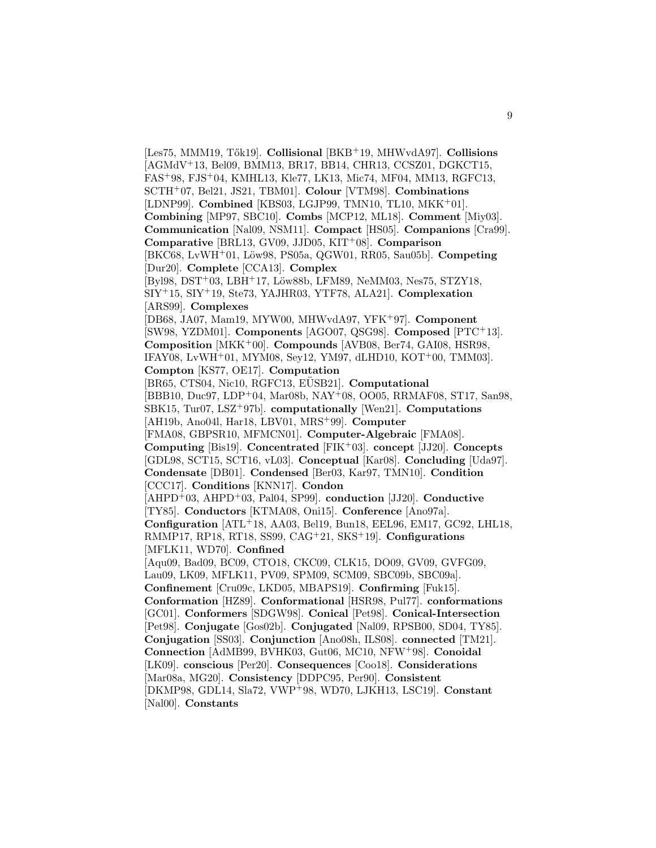[Les75, MMM19, T˝ok19]. **Collisional** [BKB<sup>+</sup>19, MHWvdA97]. **Collisions** [AGMdV<sup>+</sup>13, Bel09, BMM13, BR17, BB14, CHR13, CCSZ01, DGKCT15, FAS<sup>+</sup>98, FJS<sup>+</sup>04, KMHL13, Kle77, LK13, Mic74, MF04, MM13, RGFC13, SCTH<sup>+</sup>07, Bel21, JS21, TBM01]. **Colour** [VTM98]. **Combinations** [LDNP99]. **Combined** [KBS03, LGJP99, TMN10, TL10, MKK<sup>+</sup>01]. **Combining** [MP97, SBC10]. **Combs** [MCP12, ML18]. **Comment** [Miy03]. **Communication** [Nal09, NSM11]. **Compact** [HS05]. **Companions** [Cra99]. **Comparative** [BRL13, GV09, JJD05, KIT<sup>+</sup>08]. **Comparison** [BKC68, LvWH<sup>+</sup>01, L¨ow98, PS05a, QGW01, RR05, Sau05b]. **Competing** [Dur20]. **Complete** [CCA13]. **Complex** [Byl98, DST+03, LBH+17, Löw88b, LFM89, NeMM03, Nes75, STZY18, SIY<sup>+</sup>15, SIY<sup>+</sup>19, Ste73, YAJHR03, YTF78, ALA21]. **Complexation** [ARS99]. **Complexes** [DB68, JA07, Mam19, MYW00, MHWvdA97, YFK<sup>+</sup>97]. **Component** [SW98, YZDM01]. **Components** [AGO07, QSG98]. **Composed** [PTC<sup>+</sup>13]. **Composition** [MKK<sup>+</sup>00]. **Compounds** [AVB08, Ber74, GAI08, HSR98, IFAY08, LvWH<sup>+</sup>01, MYM08, Sey12, YM97, dLHD10, KOT<sup>+</sup>00, TMM03]. **Compton** [KS77, OE17]. **Computation** [BR65, CTS04, Nic10, RGFC13, EUSB21]. **Computational** [BBB10, Duc97, LDP<sup>+</sup>04, Mar08b, NAY<sup>+</sup>08, OO05, RRMAF08, ST17, San98, SBK15, Tur07, LSZ<sup>+</sup>97b]. **computationally** [Wen21]. **Computations** [AH19b, Ano04l, Har18, LBV01, MRS<sup>+</sup>99]. **Computer** [FMA08, GBPSR10, MFMCN01]. **Computer-Algebraic** [FMA08]. **Computing** [Bis19]. **Concentrated** [FIK<sup>+</sup>03]. **concept** [JJ20]. **Concepts** [GDL98, SCT15, SCT16, vL03]. **Conceptual** [Kar08]. **Concluding** [Uda97]. **Condensate** [DB01]. **Condensed** [Ber03, Kar97, TMN10]. **Condition** [CCC17]. **Conditions** [KNN17]. **Condon** [AHPD<sup>+</sup>03, AHPD<sup>+</sup>03, Pal04, SP99]. **conduction** [JJ20]. **Conductive** [TY85]. **Conductors** [KTMA08, Oni15]. **Conference** [Ano97a]. **Configuration** [ATL<sup>+</sup>18, AA03, Bel19, Bun18, EEL96, EM17, GC92, LHL18, RMMP17, RP18, RT18, SS99, CAG<sup>+</sup>21, SKS<sup>+</sup>19]. **Configurations** [MFLK11, WD70]. **Confined** [Aqu09, Bad09, BC09, CTO18, CKC09, CLK15, DO09, GV09, GVFG09, Lau09, LK09, MFLK11, PV09, SPM09, SCM09, SBC09b, SBC09a]. **Confinement** [Cru09c, LKD05, MBAPS19]. **Confirming** [Fuk15]. **Conformation** [HZ89]. **Conformational** [HSR98, Pul77]. **conformations** [GC01]. **Conformers** [SDGW98]. **Conical** [Pet98]. **Conical-Intersection** [Pet98]. **Conjugate** [Gos02b]. **Conjugated** [Nal09, RPSB00, SD04, TY85]. **Conjugation** [SS03]. **Conjunction** [Ano08h, ILS08]. **connected** [TM21]. **Connection** [AdMB99, BVHK03, Gut06, MC10, NFW<sup>+</sup>98]. **Conoidal** [LK09]. **conscious** [Per20]. **Consequences** [Coo18]. **Considerations** [Mar08a, MG20]. **Consistency** [DDPC95, Per90]. **Consistent** [DKMP98, GDL14, Sla72, VWP<sup>+</sup>98, WD70, LJKH13, LSC19]. **Constant** [Nal00]. **Constants**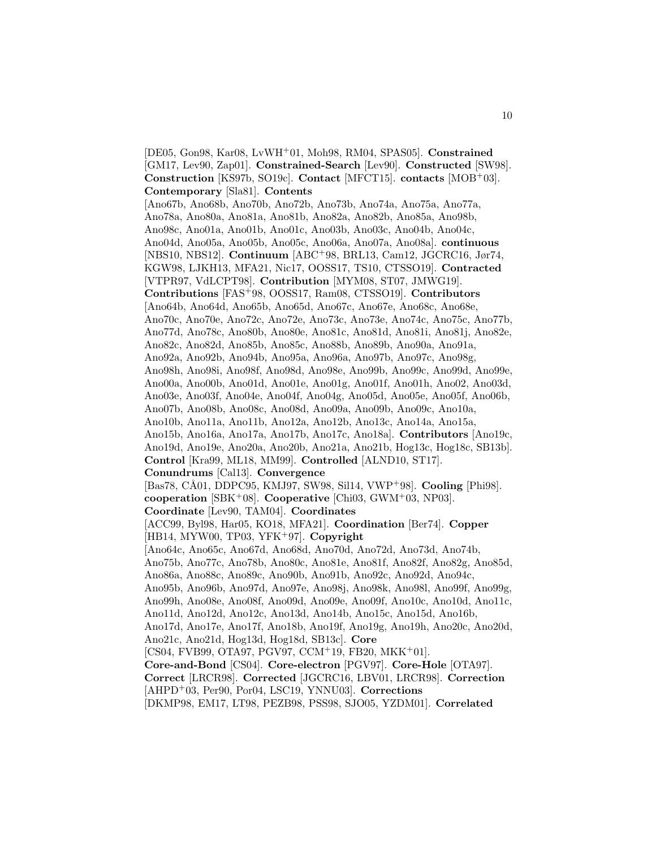[DE05, Gon98, Kar08, LvWH<sup>+</sup>01, Moh98, RM04, SPAS05]. **Constrained** [GM17, Lev90, Zap01]. **Constrained-Search** [Lev90]. **Constructed** [SW98]. **Construction** [KS97b, SO19c]. **Contact** [MFCT15]. **contacts** [MOB<sup>+</sup>03]. **Contemporary** [Sla81]. **Contents** [Ano67b, Ano68b, Ano70b, Ano72b, Ano73b, Ano74a, Ano75a, Ano77a, Ano78a, Ano80a, Ano81a, Ano81b, Ano82a, Ano82b, Ano85a, Ano98b, Ano98c, Ano01a, Ano01b, Ano01c, Ano03b, Ano03c, Ano04b, Ano04c, Ano04d, Ano05a, Ano05b, Ano05c, Ano06a, Ano07a, Ano08a]. **continuous** [NBS10, NBS12]. **Continuum** [ABC<sup>+</sup>98, BRL13, Cam12, JGCRC16, Jør74, KGW98, LJKH13, MFA21, Nic17, OOSS17, TS10, CTSSO19]. **Contracted** [VTPR97, VdLCPT98]. **Contribution** [MYM08, ST07, JMWG19]. **Contributions** [FAS<sup>+</sup>98, OOSS17, Ram08, CTSSO19]. **Contributors** [Ano64b, Ano64d, Ano65b, Ano65d, Ano67c, Ano67e, Ano68c, Ano68e, Ano70c, Ano70e, Ano72c, Ano72e, Ano73c, Ano73e, Ano74c, Ano75c, Ano77b, Ano77d, Ano78c, Ano80b, Ano80e, Ano81c, Ano81d, Ano81i, Ano81j, Ano82e, Ano82c, Ano82d, Ano85b, Ano85c, Ano88b, Ano89b, Ano90a, Ano91a, Ano92a, Ano92b, Ano94b, Ano95a, Ano96a, Ano97b, Ano97c, Ano98g, Ano98h, Ano98i, Ano98f, Ano98d, Ano98e, Ano99b, Ano99c, Ano99d, Ano99e, Ano00a, Ano00b, Ano01d, Ano01e, Ano01g, Ano01f, Ano01h, Ano02, Ano03d, Ano03e, Ano03f, Ano04e, Ano04f, Ano04g, Ano05d, Ano05e, Ano05f, Ano06b, Ano07b, Ano08b, Ano08c, Ano08d, Ano09a, Ano09b, Ano09c, Ano10a, Ano10b, Ano11a, Ano11b, Ano12a, Ano12b, Ano13c, Ano14a, Ano15a, Ano15b, Ano16a, Ano17a, Ano17b, Ano17c, Ano18a]. **Contributors** [Ano19c, Ano19d, Ano19e, Ano20a, Ano20b, Ano21a, Ano21b, Hog13c, Hog18c, SB13b]. **Control** [Kra99, ML18, MM99]. **Controlled** [ALND10, ST17]. **Conundrums** [Cal13]. **Convergence** [Bas78, CÅ01, DDPC95, KMJ97, SW98, Sil14, VWP<sup>+</sup>98]. **Cooling** [Phi98]. **cooperation** [SBK<sup>+</sup>08]. **Cooperative** [Chi03, GWM<sup>+</sup>03, NP03]. **Coordinate** [Lev90, TAM04]. **Coordinates** [ACC99, Byl98, Har05, KO18, MFA21]. **Coordination** [Ber74]. **Copper** [HB14, MYW00, TP03, YFK<sup>+</sup>97]. **Copyright** [Ano64c, Ano65c, Ano67d, Ano68d, Ano70d, Ano72d, Ano73d, Ano74b, Ano75b, Ano77c, Ano78b, Ano80c, Ano81e, Ano81f, Ano82f, Ano82g, Ano85d, Ano86a, Ano88c, Ano89c, Ano90b, Ano91b, Ano92c, Ano92d, Ano94c, Ano95b, Ano96b, Ano97d, Ano97e, Ano98j, Ano98k, Ano98l, Ano99f, Ano99g, Ano99h, Ano08e, Ano08f, Ano09d, Ano09e, Ano09f, Ano10c, Ano10d, Ano11c, Ano11d, Ano12d, Ano12c, Ano13d, Ano14b, Ano15c, Ano15d, Ano16b, Ano17d, Ano17e, Ano17f, Ano18b, Ano19f, Ano19g, Ano19h, Ano20c, Ano20d, Ano21c, Ano21d, Hog13d, Hog18d, SB13c]. **Core**  $[CS04, FVB99, OTA97, PGV97, CCM<sup>+</sup>19, FB20, MKK<sup>+</sup>01].$ **Core-and-Bond** [CS04]. **Core-electron** [PGV97]. **Core-Hole** [OTA97]. **Correct** [LRCR98]. **Corrected** [JGCRC16, LBV01, LRCR98]. **Correction** [AHPD<sup>+</sup>03, Per90, Por04, LSC19, YNNU03]. **Corrections** [DKMP98, EM17, LT98, PEZB98, PSS98, SJO05, YZDM01]. **Correlated**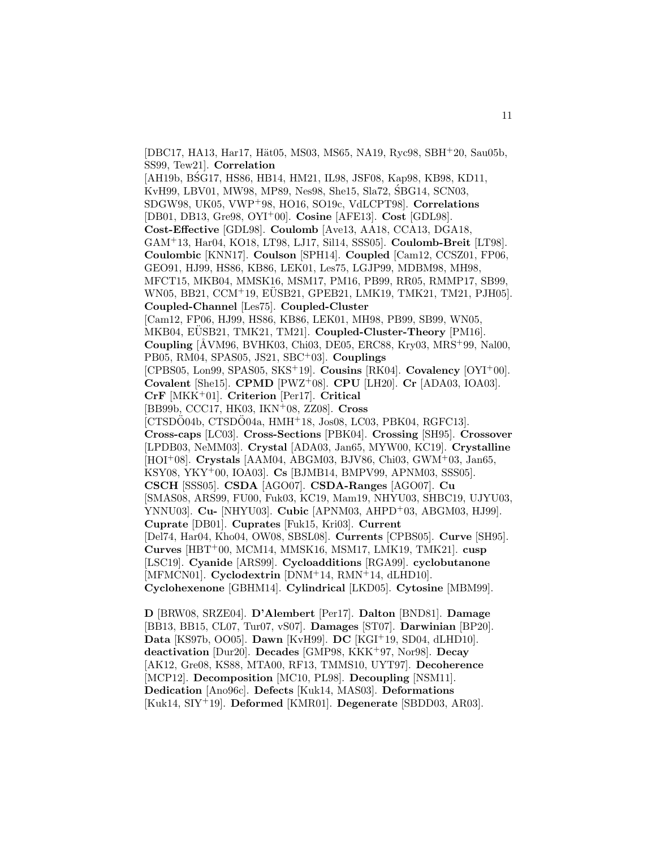[DBC17, HA13, Har17, Hät05, MS03, MS65, NA19, Ryc98, SBH<sup>+</sup>20, Sau05b, SS99, Tew21]. **Correlation** [AH19b, BSG17, HS86, HB14, HM21, IL98, JSF08, Kap98, KB98, KD11,

KvH99, LBV01, MW98, MP89, Nes98, She15, Sla72, SBG14, SCN03, SDGW98, UK05, VWP<sup>+</sup>98, HO16, SO19c, VdLCPT98]. **Correlations** [DB01, DB13, Gre98, OYI<sup>+</sup>00]. **Cosine** [AFE13]. **Cost** [GDL98]. **Cost-Effective** [GDL98]. **Coulomb** [Ave13, AA18, CCA13, DGA18, GAM<sup>+</sup>13, Har04, KO18, LT98, LJ17, Sil14, SSS05]. **Coulomb-Breit** [LT98]. **Coulombic** [KNN17]. **Coulson** [SPH14]. **Coupled** [Cam12, CCSZ01, FP06, GEO91, HJ99, HS86, KB86, LEK01, Les75, LGJP99, MDBM98, MH98, MFCT15, MKB04, MMSK16, MSM17, PM16, PB99, RR05, RMMP17, SB99, WN05, BB21, CCM+19, EÜSB21, GPEB21, LMK19, TMK21, TM21, PJH05]. **Coupled-Channel** [Les75]. **Coupled-Cluster** [Cam12, FP06, HJ99, HS86, KB86, LEK01, MH98, PB99, SB99, WN05, MKB04, EÜSB21, TMK21, TM21. Coupled-Cluster-Theory [PM16]. **Coupling** [ÅVM96, BVHK03, Chi03, DE05, ERC88, Kry03, MRS<sup>+</sup>99, Nal00, PB05, RM04, SPAS05, JS21, SBC<sup>+</sup>03]. **Couplings**

[CPBS05, Lon99, SPAS05, SKS<sup>+</sup>19]. **Cousins** [RK04]. **Covalency** [OYI<sup>+</sup>00]. **Covalent** [She15]. **CPMD** [PWZ<sup>+</sup>08]. **CPU** [LH20]. **Cr** [ADA03, IOA03].

**CrF** [MKK<sup>+</sup>01]. **Criterion** [Per17]. **Critical**

[BB99b, CCC17, HK03, IKN<sup>+</sup>08, ZZ08]. **Cross**

 $[CTSDO04b, CTSDO04a, HMH<sup>+</sup>18, Jos08, LC03, PBK04, RGFC13].$ 

**Cross-caps** [LC03]. **Cross-Sections** [PBK04]. **Crossing** [SH95]. **Crossover** [LPDB03, NeMM03]. **Crystal** [ADA03, Jan65, MYW00, KC19]. **Crystalline** [HOI<sup>+</sup>08]. **Crystals** [AAM04, ABGM03, BJV86, Chi03, GWM<sup>+</sup>03, Jan65,

KSY08, YKY<sup>+</sup>00, IOA03]. **Cs** [BJMB14, BMPV99, APNM03, SSS05].

**CSCH** [SSS05]. **CSDA** [AGO07]. **CSDA-Ranges** [AGO07]. **Cu**

[SMAS08, ARS99, FU00, Fuk03, KC19, Mam19, NHYU03, SHBC19, UJYU03,

YNNU03]. **Cu-** [NHYU03]. **Cubic** [APNM03, AHPD<sup>+</sup>03, ABGM03, HJ99].

**Cuprate** [DB01]. **Cuprates** [Fuk15, Kri03]. **Current**

[Del74, Har04, Kho04, OW08, SBSL08]. **Currents** [CPBS05]. **Curve** [SH95]. **Curves** [HBT<sup>+</sup>00, MCM14, MMSK16, MSM17, LMK19, TMK21]. **cusp** [LSC19]. **Cyanide** [ARS99]. **Cycloadditions** [RGA99]. **cyclobutanone** [MFMCN01]. **Cyclodextrin** [DNM<sup>+</sup>14, RMN<sup>+</sup>14, dLHD10].

**Cyclohexenone** [GBHM14]. **Cylindrical** [LKD05]. **Cytosine** [MBM99].

**D** [BRW08, SRZE04]. **D'Alembert** [Per17]. **Dalton** [BND81]. **Damage** [BB13, BB15, CL07, Tur07, vS07]. **Damages** [ST07]. **Darwinian** [BP20]. **Data** [KS97b, OO05]. **Dawn** [KvH99]. **DC** [KGI<sup>+</sup>19, SD04, dLHD10]. **deactivation** [Dur20]. **Decades** [GMP98, KKK<sup>+</sup>97, Nor98]. **Decay** [AK12, Gre08, KS88, MTA00, RF13, TMMS10, UYT97]. **Decoherence** [MCP12]. **Decomposition** [MC10, PL98]. **Decoupling** [NSM11]. **Dedication** [Ano96c]. **Defects** [Kuk14, MAS03]. **Deformations** [Kuk14, SIY<sup>+</sup>19]. **Deformed** [KMR01]. **Degenerate** [SBDD03, AR03].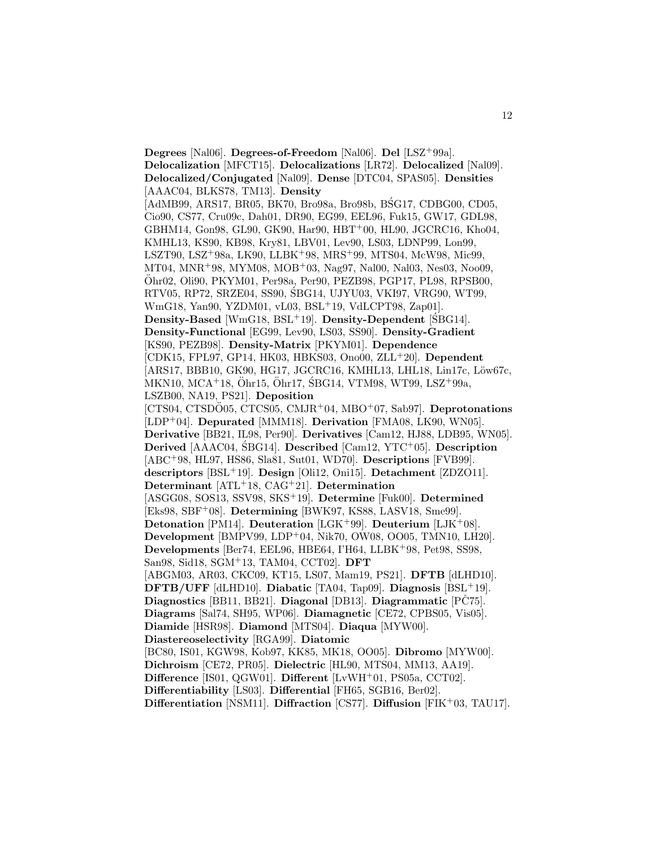**Degrees** [Nal06]. **Degrees-of-Freedom** [Nal06]. **Del** [LSZ<sup>+</sup>99a]. **Delocalization** [MFCT15]. **Delocalizations** [LR72]. **Delocalized** [Nal09]. **Delocalized/Conjugated** [Nal09]. **Dense** [DTC04, SPAS05]. **Densities** [AAAC04, BLKS78, TM13]. **Density** [AdMB99, ARS17, BR05, BK70, Bro98a, Bro98b, BSG17, CDBG00, CD05, Cio90, CS77, Cru09c, Dah01, DR90, EG99, EEL96, Fuk15, GW17, GDL98, GBHM14, Gon98, GL90, GK90, Har90, HBT<sup>+</sup>00, HL90, JGCRC16, Kho04, KMHL13, KS90, KB98, Kry81, LBV01, Lev90, LS03, LDNP99, Lon99, LSZT90, LSZ<sup>+</sup>98a, LK90, LLBK<sup>+</sup>98, MRS<sup>+</sup>99, MTS04, McW98, Mic99, MT04, MNR<sup>+</sup>98, MYM08, MOB<sup>+</sup>03, Nag97, Nal00, Nal03, Nes03, Noo09, Ohr02, Oli90, PKYM01, Per98a, Per90, PEZB98, PGP17, PL98, RPSB00, ¨ RTV05, RP72, SRZE04, SS90, SBG14, UJYU03, VKI97, VRG90, WT99, ´ WmG18, Yan90, YZDM01, vL03, BSL<sup>+</sup>19, VdLCPT98, Zap01]. **Density-Based** [WmG18, BSL<sup>+</sup>19]. **Density-Dependent** [SBG14]. **Density-Functional** [EG99, Lev90, LS03, SS90]. **Density-Gradient** [KS90, PEZB98]. **Density-Matrix** [PKYM01]. **Dependence** [CDK15, FPL97, GP14, HK03, HBKS03, Ono00, ZLL<sup>+</sup>20]. **Dependent** [ARS17, BBB10, GK90, HG17, JGCRC16, KMHL13, LHL18, Lin17c, Löw67c, MKN10, MCA<sup>+</sup>18, Öhr15, Öhr17, SBG14, VTM98, WT99, LSZ<sup>+</sup>99a, LSZB00, NA19, PS21]. **Deposition** [CTS04, CTSDO05, CTCS05, CMJR<sup>+</sup>04, MBO<sup>+</sup>07, Sab97]. **Deprotonations** [LDP<sup>+</sup>04]. **Depurated** [MMM18]. **Derivation** [FMA08, LK90, WN05]. **Derivative** [BB21, IL98, Per90]. **Derivatives** [Cam12, HJ88, LDB95, WN05]. **Derived** [AAAC04, SBG14]. **Described** [Cam12, YTC<sup>+</sup>05]. **Description** [ABC<sup>+</sup>98, HL97, HS86, Sla81, Sut01, WD70]. **Descriptions** [FVB99]. **descriptors** [BSL<sup>+</sup>19]. **Design** [Oli12, Oni15]. **Detachment** [ZDZO11]. **Determinant** [ATL<sup>+</sup>18, CAG<sup>+</sup>21]. **Determination** [ASGG08, SOS13, SSV98, SKS<sup>+</sup>19]. **Determine** [Fuk00]. **Determined** [Eks98, SBF<sup>+</sup>08]. **Determining** [BWK97, KS88, LASV18, Sme99]. **Detonation** [PM14]. **Deuteration** [LGK<sup>+</sup>99]. **Deuterium** [LJK<sup>+</sup>08]. **Development** [BMPV99, LDP<sup>+</sup>04, Nik70, OW08, OO05, TMN10, LH20]. **Developments** [Ber74, EEL96, HBE64, I'H64, LLBK<sup>+</sup>98, Pet98, SS98, San98, Sid18, SGM<sup>+</sup>13, TAM04, CCT02]. **DFT** [ABGM03, AR03, CKC09, KT15, LS07, Mam19, PS21]. **DFTB** [dLHD10]. **DFTB/UFF** [dLHD10]. **Diabatic** [TA04, Tap09]. **Diagnosis** [BSL<sup>+</sup>19]. **Diagnostics** [BB11, BB21]. **Diagonal** [DB13]. **Diagrammatic** [PČ75]. **Diagrams** [Sal74, SH95, WP06]. **Diamagnetic** [CE72, CPBS05, Vis05]. **Diamide** [HSR98]. **Diamond** [MTS04]. **Diaqua** [MYW00]. **Diastereoselectivity** [RGA99]. **Diatomic** [BC80, IS01, KGW98, Kob97, KK85, MK18, OO05]. **Dibromo** [MYW00]. **Dichroism** [CE72, PR05]. **Dielectric** [HL90, MTS04, MM13, AA19]. **Difference** [IS01, QGW01]. **Different** [LvWH<sup>+</sup>01, PS05a, CCT02]. **Differentiability** [LS03]. **Differential** [FH65, SGB16, Ber02]. **Differentiation** [NSM11]. **Diffraction** [CS77]. **Diffusion** [FIK<sup>+</sup>03, TAU17].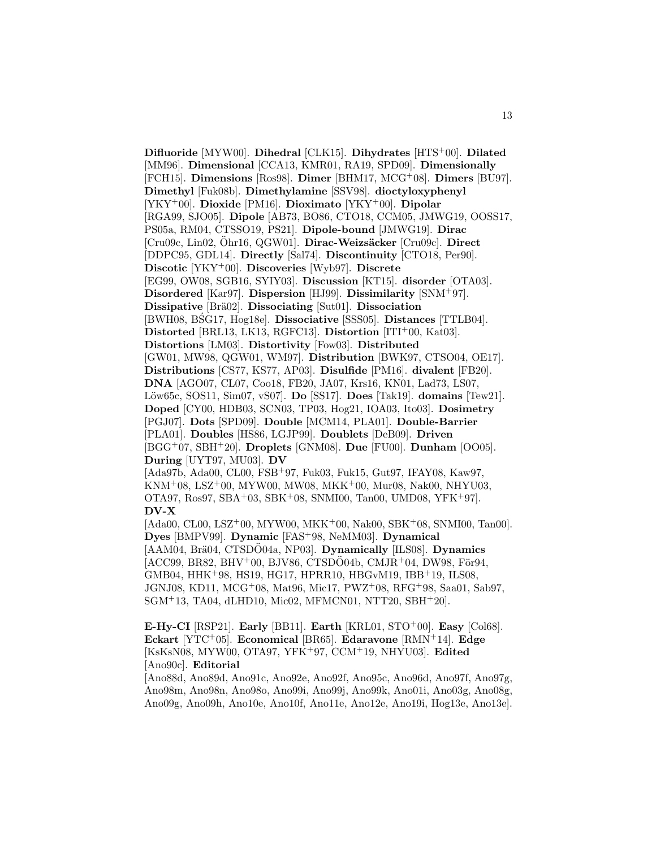**Difluoride** [MYW00]. **Dihedral** [CLK15]. **Dihydrates** [HTS<sup>+</sup>00]. **Dilated** [MM96]. **Dimensional** [CCA13, KMR01, RA19, SPD09]. **Dimensionally** [FCH15]. **Dimensions** [Ros98]. **Dimer** [BHM17, MCG<sup>+</sup>08]. **Dimers** [BU97]. **Dimethyl** [Fuk08b]. **Dimethylamine** [SSV98]. **dioctyloxyphenyl** [YKY<sup>+</sup>00]. **Dioxide** [PM16]. **Dioximato** [YKY<sup>+</sup>00]. **Dipolar** [RGA99, SJO05]. **Dipole** [AB73, BO86, CTO18, CCM05, JMWG19, OOSS17, PS05a, RM04, CTSSO19, PS21]. **Dipole-bound** [JMWG19]. **Dirac** [Cru09c, Lin02, Ohr16, QGW01]. ¨ **Dirac-Weizs¨acker** [Cru09c]. **Direct** [DDPC95, GDL14]. **Directly** [Sal74]. **Discontinuity** [CTO18, Per90]. **Discotic** [YKY<sup>+</sup>00]. **Discoveries** [Wyb97]. **Discrete** [EG99, OW08, SGB16, SYIY03]. **Discussion** [KT15]. **disorder** [OTA03]. **Disordered** [Kar97]. **Dispersion** [HJ99]. **Dissimilarity** [SNM<sup>+</sup>97]. **Dissipative** [Br¨a02]. **Dissociating** [Sut01]. **Dissociation** [BWH08, BSG17, Hog18e]. ´ **Dissociative** [SSS05]. **Distances** [TTLB04]. **Distorted** [BRL13, LK13, RGFC13]. **Distortion** [ITI<sup>+</sup>00, Kat03]. **Distortions** [LM03]. **Distortivity** [Fow03]. **Distributed** [GW01, MW98, QGW01, WM97]. **Distribution** [BWK97, CTSO04, OE17]. **Distributions** [CS77, KS77, AP03]. **Disulfide** [PM16]. **divalent** [FB20]. **DNA** [AGO07, CL07, Coo18, FB20, JA07, Krs16, KN01, Lad73, LS07, L¨ow65c, SOS11, Sim07, vS07]. **Do** [SS17]. **Does** [Tak19]. **domains** [Tew21]. **Doped** [CY00, HDB03, SCN03, TP03, Hog21, IOA03, Ito03]. **Dosimetry** [PGJ07]. **Dots** [SPD09]. **Double** [MCM14, PLA01]. **Double-Barrier** [PLA01]. **Doubles** [HS86, LGJP99]. **Doublets** [DeB09]. **Driven** [BGG<sup>+</sup>07, SBH<sup>+</sup>20]. **Droplets** [GNM08]. **Due** [FU00]. **Dunham** [OO05]. **During** [UYT97, MU03]. **DV** [Ada97b, Ada00, CL00, FSB<sup>+</sup>97, Fuk03, Fuk15, Gut97, IFAY08, Kaw97, KNM<sup>+</sup>08, LSZ<sup>+</sup>00, MYW00, MW08, MKK<sup>+</sup>00, Mur08, Nak00, NHYU03, OTA97, Ros97, SBA<sup>+</sup>03, SBK<sup>+</sup>08, SNMI00, Tan00, UMD08, YFK<sup>+</sup>97]. **DV-X** [Ada00, CL00, LSZ<sup>+</sup>00, MYW00, MKK<sup>+</sup>00, Nak00, SBK<sup>+</sup>08, SNMI00, Tan00]. **Dyes** [BMPV99]. **Dynamic** [FAS<sup>+</sup>98, NeMM03]. **Dynamical** [AAM04, Brä04, CTSDO04a, NP03]. **Dynamically** [ILS08]. **Dynamics**  $[ACC99, BR82, BHV<sup>+</sup>00, BJV86, CTSDO04b, CMJR<sup>+</sup>04, DW98, För94,$ GMB04, HHK<sup>+</sup>98, HS19, HG17, HPRR10, HBGvM19, IBB<sup>+</sup>19, ILS08,

JGNJ08, KD11, MCG<sup>+</sup>08, Mat96, Mic17, PWZ<sup>+</sup>08, RFG<sup>+</sup>98, Saa01, Sab97, SGM<sup>+</sup>13, TA04, dLHD10, Mic02, MFMCN01, NTT20, SBH<sup>+</sup>20].

**E-Hy-CI** [RSP21]. **Early** [BB11]. **Earth** [KRL01, STO<sup>+</sup>00]. **Easy** [Col68]. **Eckart** [YTC<sup>+</sup>05]. **Economical** [BR65]. **Edaravone** [RMN<sup>+</sup>14]. **Edge** [KsKsN08, MYW00, OTA97, YFK<sup>+</sup>97, CCM<sup>+</sup>19, NHYU03]. **Edited** [Ano90c]. **Editorial**

[Ano88d, Ano89d, Ano91c, Ano92e, Ano92f, Ano95c, Ano96d, Ano97f, Ano97g, Ano98m, Ano98n, Ano98o, Ano99i, Ano99j, Ano99k, Ano01i, Ano03g, Ano08g, Ano09g, Ano09h, Ano10e, Ano10f, Ano11e, Ano12e, Ano19i, Hog13e, Ano13e].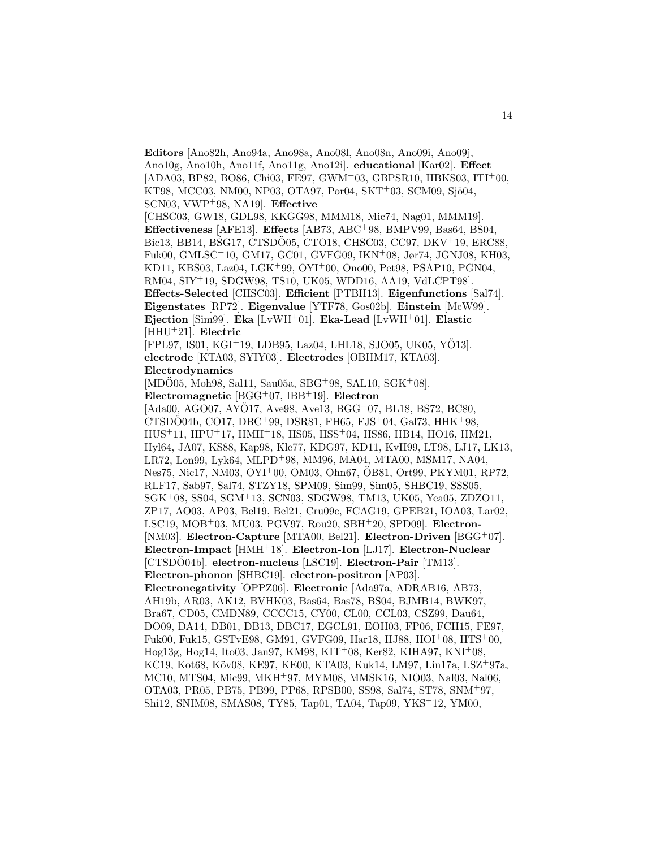**Editors** [Ano82h, Ano94a, Ano98a, Ano08l, Ano08n, Ano09i, Ano09j, Ano10g, Ano10h, Ano11f, Ano11g, Ano12i]. **educational** [Kar02]. **Effect**  $[ADA03, BP82, BO86, Chi03, FE97, GWM<sup>+</sup>03, GBPSR10, HBKS03, ITI<sup>+</sup>00,$ KT98, MCC03, NM00, NP03, OTA97, Por04, SKT+03, SCM09, Sjö04, SCN03, VWP<sup>+</sup>98, NA19]. **Effective** [CHSC03, GW18, GDL98, KKGG98, MMM18, Mic74, Nag01, MMM19]. **Effectiveness** [AFE13]. **Effects** [AB73, ABC<sup>+</sup>98, BMPV99, Bas64, BS04, Bic13, BB14, BSG17, CTSDO05, CTO18, CHSC03, CC97, DKV<sup>+</sup>19, ERC88, Fuk00, GMLSC<sup>+</sup>10, GM17, GC01, GVFG09, IKN<sup>+</sup>08, Jør74, JGNJ08, KH03, KD11, KBS03, Laz04, LGK<sup>+</sup>99, OYI<sup>+</sup>00, Ono00, Pet98, PSAP10, PGN04, RM04, SIY<sup>+</sup>19, SDGW98, TS10, UK05, WDD16, AA19, VdLCPT98]. **Effects-Selected** [CHSC03]. **Efficient** [PTBH13]. **Eigenfunctions** [Sal74]. **Eigenstates** [RP72]. **Eigenvalue** [YTF78, Gos02b]. **Einstein** [McW99]. **Ejection** [Sim99]. **Eka** [LvWH<sup>+</sup>01]. **Eka-Lead** [LvWH<sup>+</sup>01]. **Elastic** [HHU<sup>+</sup>21]. **Electric** [FPL97, IS01, KGI<sup>+</sup>19, LDB95, Laz04, LHL18, SJO05, UK05, YO13]. ¨ **electrode** [KTA03, SYIY03]. **Electrodes** [OBHM17, KTA03]. **Electrodynamics**  $[MD\ddot{O}05, Moh98, Sal11, Sau05a, SBG+98, SAL10, SGK+08].$ **Electromagnetic** [BGG<sup>+</sup>07, IBB<sup>+</sup>19]. **Electron**  $[Ada00, AGO07, AYO17, Ave98, Ave13, BGG<sup>+</sup>07, BLi8, BS72, BC80,$  $CTSDO04b, CO17, DBC+99, DSR81, FH65, FJS+04, Gal73, HHK+98,$ HUS<sup>+</sup>11, HPU<sup>+</sup>17, HMH<sup>+</sup>18, HS05, HSS<sup>+</sup>04, HS86, HB14, HO16, HM21, Hyl64, JA07, KS88, Kap98, Kle77, KDG97, KD11, KvH99, LT98, LJ17, LK13, LR72, Lon99, Lyk64, MLPD<sup>+</sup>98, MM96, MA04, MTA00, MSM17, NA04, Nes75, Nic17, NM03, OYI<sup>+</sup>00, OM03, Ohn67, ÖB81, Ort99, PKYM01, RP72, RLF17, Sab97, Sal74, STZY18, SPM09, Sim99, Sim05, SHBC19, SSS05, SGK<sup>+</sup>08, SS04, SGM<sup>+</sup>13, SCN03, SDGW98, TM13, UK05, Yea05, ZDZO11, ZP17, AO03, AP03, Bel19, Bel21, Cru09c, FCAG19, GPEB21, IOA03, Lar02, LSC19, MOB<sup>+</sup>03, MU03, PGV97, Rou20, SBH<sup>+</sup>20, SPD09]. **Electron-** [NM03]. **Electron-Capture** [MTA00, Bel21]. **Electron-Driven** [BGG<sup>+</sup>07]. **Electron-Impact** [HMH<sup>+</sup>18]. **Electron-Ion** [LJ17]. **Electron-Nuclear** [CTSDO04b]. **electron-nucleus** [LSC19]. **Electron-Pair** [TM13]. **Electron-phonon** [SHBC19]. **electron-positron** [AP03]. **Electronegativity** [OPPZ06]. **Electronic** [Ada97a, ADRAB16, AB73, AH19b, AR03, AK12, BVHK03, Bas64, Bas78, BS04, BJMB14, BWK97, Bra67, CD05, CMDN89, CCCC15, CY00, CL00, CCL03, CSZ99, Dau64, DO09, DA14, DB01, DB13, DBC17, EGCL91, EOH03, FP06, FCH15, FE97, Fuk00, Fuk15, GSTvE98, GM91, GVFG09, Har18, HJ88, HOI<sup>+</sup>08, HTS<sup>+</sup>00, Hog13g, Hog14, Ito03, Jan97, KM98, KIT<sup>+</sup>08, Ker82, KIHA97, KNI<sup>+</sup>08, KC19, Kot68, Köv08, KE97, KE00, KTA03, Kuk14, LM97, Lin17a, LSZ<sup>+</sup>97a, MC10, MTS04, Mic99, MKH<sup>+</sup>97, MYM08, MMSK16, NIO03, Nal03, Nal06, OTA03, PR05, PB75, PB99, PP68, RPSB00, SS98, Sal74, ST78, SNM<sup>+</sup>97, Shi12, SNIM08, SMAS08, TY85, Tap01, TA04, Tap09, YKS<sup>+</sup>12, YM00,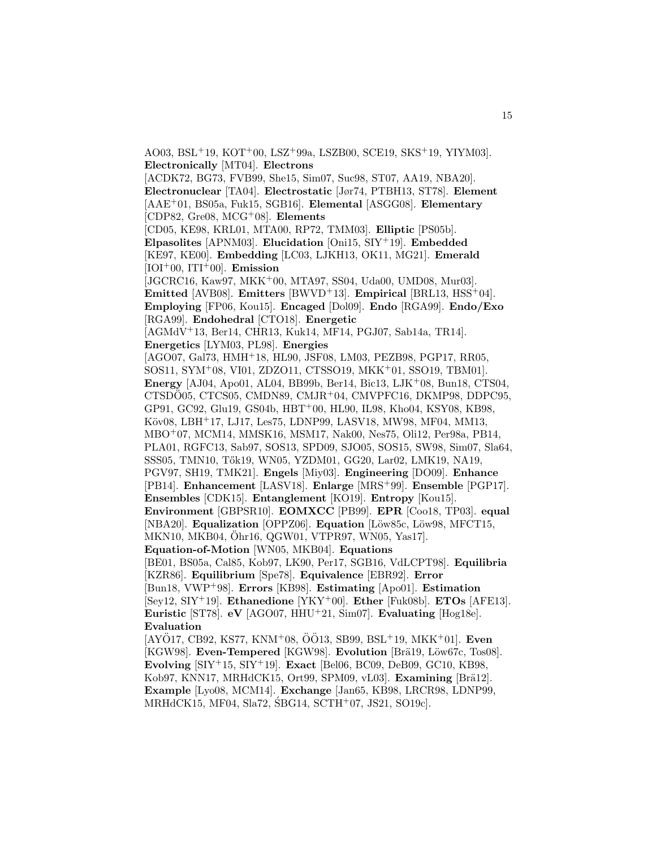AO03, BSL<sup>+</sup>19, KOT<sup>+</sup>00, LSZ<sup>+</sup>99a, LSZB00, SCE19, SKS<sup>+</sup>19, YIYM03]. **Electronically** [MT04]. **Electrons** [ACDK72, BG73, FVB99, She15, Sim07, Suc98, ST07, AA19, NBA20]. **Electronuclear** [TA04]. **Electrostatic** [Jør74, PTBH13, ST78]. **Element** [AAE<sup>+</sup>01, BS05a, Fuk15, SGB16]. **Elemental** [ASGG08]. **Elementary** [CDP82, Gre08, MCG<sup>+</sup>08]. **Elements** [CD05, KE98, KRL01, MTA00, RP72, TMM03]. **Elliptic** [PS05b]. **Elpasolites** [APNM03]. **Elucidation** [Oni15, SIY<sup>+</sup>19]. **Embedded** [KE97, KE00]. **Embedding** [LC03, LJKH13, OK11, MG21]. **Emerald**  $[IOI<sup>+</sup>00, ITI<sup>+</sup>00]$ . **Emission** [JGCRC16, Kaw97, MKK<sup>+</sup>00, MTA97, SS04, Uda00, UMD08, Mur03]. **Emitted** [AVB08]. **Emitters** [BWVD<sup>+</sup>13]. **Empirical** [BRL13, HSS<sup>+</sup>04]. **Employing** [FP06, Kou15]. **Encaged** [Dol09]. **Endo** [RGA99]. **Endo/Exo** [RGA99]. **Endohedral** [CTO18]. **Energetic** [AGMdV<sup>+</sup>13, Ber14, CHR13, Kuk14, MF14, PGJ07, Sab14a, TR14]. **Energetics** [LYM03, PL98]. **Energies** [AGO07, Gal73, HMH<sup>+</sup>18, HL90, JSF08, LM03, PEZB98, PGP17, RR05, SOS11, SYM<sup>+</sup>08, VI01, ZDZO11, CTSSO19, MKK<sup>+</sup>01, SSO19, TBM01]. **Energy** [AJ04, Apo01, AL04, BB99b, Ber14, Bic13, LJK<sup>+</sup>08, Bun18, CTS04, CTSDO05, CTCS05, CMDN89, CMJR<sup>+</sup>04, CMVPFC16, DKMP98, DDPC95, GP91, GC92, Glu19, GS04b, HBT<sup>+</sup>00, HL90, IL98, Kho04, KSY08, KB98, Köv08, LBH+17, LJ17, Les75, LDNP99, LASV18, MW98, MF04, MM13, MBO<sup>+</sup>07, MCM14, MMSK16, MSM17, Nak00, Nes75, Oli12, Per98a, PB14, PLA01, RGFC13, Sab97, SOS13, SPD09, SJO05, SOS15, SW98, Sim07, Sla64, SSS05, TMN10, Tők19, WN05, YZDM01, GG20, Lar02, LMK19, NA19, PGV97, SH19, TMK21]. **Engels** [Miy03]. **Engineering** [DO09]. **Enhance** [PB14]. **Enhancement** [LASV18]. **Enlarge** [MRS<sup>+</sup>99]. **Ensemble** [PGP17]. **Ensembles** [CDK15]. **Entanglement** [KO19]. **Entropy** [Kou15]. **Environment** [GBPSR10]. **EOMXCC** [PB99]. **EPR** [Coo18, TP03]. **equal** [NBA20]. **Equalization** [OPPZ06]. **Equation** [Löw85c, Löw98, MFCT15, MKN10, MKB04, Ohr16, QGW01, VTPR97, WN05, Yas17]. ¨ **Equation-of-Motion** [WN05, MKB04]. **Equations** [BE01, BS05a, Cal85, Kob97, LK90, Per17, SGB16, VdLCPT98]. **Equilibria** [KZR86]. **Equilibrium** [Spe78]. **Equivalence** [EBR92]. **Error** [Bun18, VWP<sup>+</sup>98]. **Errors** [KB98]. **Estimating** [Apo01]. **Estimation** [Sey12, SIY<sup>+</sup>19]. **Ethanedione** [YKY<sup>+</sup>00]. **Ether** [Fuk08b]. **ETOs** [AFE13]. **Euristic** [ST78]. **eV** [AGO07, HHU<sup>+</sup>21, Sim07]. **Evaluating** [Hog18e]. **Evaluation**  $[AY\ddot{O}17, CB92, KS77, KNM^+08, \ddot{O}\ddot{O}13, SB99, BSL^+19, MKK^+01]$ . Even [KGW98]. Even-Tempered [KGW98]. Evolution [Brä19, Löw67c, Tos08]. **Evolving** [SIY<sup>+</sup>15, SIY<sup>+</sup>19]. **Exact** [Bel06, BC09, DeB09, GC10, KB98, Kob97, KNN17, MRHdCK15, Ort99, SPM09, vL03<sup>]</sup>. **Examining** [Brä12]. **Example** [Lyo08, MCM14]. **Exchange** [Jan65, KB98, LRCR98, LDNP99,

 $MRH dCK15, MF04, Sla72, \nSBG14, SCTH^+07, JS21, SO19c$ .

15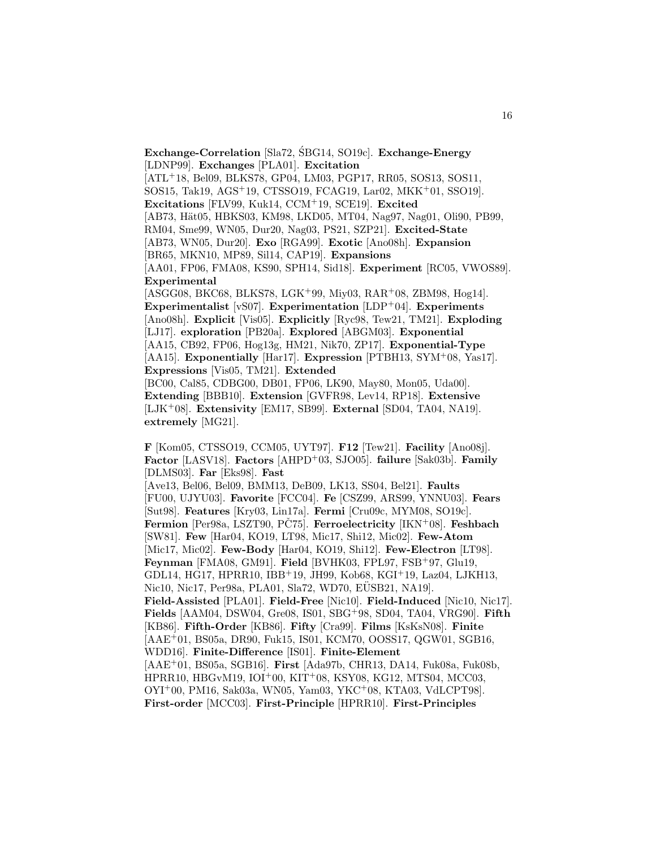[LDNP99]. **Exchanges** [PLA01]. **Excitation** [ATL<sup>+</sup>18, Bel09, BLKS78, GP04, LM03, PGP17, RR05, SOS13, SOS11, SOS15, Tak19, AGS<sup>+</sup>19, CTSSO19, FCAG19, Lar02, MKK<sup>+</sup>01, SSO19]. **Excitations** [FLV99, Kuk14, CCM<sup>+</sup>19, SCE19]. **Excited** [AB73, Hät05, HBKS03, KM98, LKD05, MT04, Nag97, Nag01, Oli90, PB99, RM04, Sme99, WN05, Dur20, Nag03, PS21, SZP21]. **Excited-State** [AB73, WN05, Dur20]. **Exo** [RGA99]. **Exotic** [Ano08h]. **Expansion** [BR65, MKN10, MP89, Sil14, CAP19]. **Expansions** [AA01, FP06, FMA08, KS90, SPH14, Sid18]. **Experiment** [RC05, VWOS89]. **Experimental** [ASGG08, BKC68, BLKS78, LGK<sup>+</sup>99, Miy03, RAR<sup>+</sup>08, ZBM98, Hog14]. **Experimentalist** [vS07]. **Experimentation** [LDP<sup>+</sup>04]. **Experiments** [Ano08h]. **Explicit** [Vis05]. **Explicitly** [Ryc98, Tew21, TM21]. **Exploding** [LJ17]. **exploration** [PB20a]. **Explored** [ABGM03]. **Exponential** [AA15, CB92, FP06, Hog13g, HM21, Nik70, ZP17]. **Exponential-Type** [AA15]. **Exponentially** [Har17]. **Expression** [PTBH13, SYM<sup>+</sup>08, Yas17]. **Expressions** [Vis05, TM21]. **Extended** [BC00, Cal85, CDBG00, DB01, FP06, LK90, May80, Mon05, Uda00]. **Extending** [BBB10]. **Extension** [GVFR98, Lev14, RP18]. **Extensive** [LJK<sup>+</sup>08]. **Extensivity** [EM17, SB99]. **External** [SD04, TA04, NA19]. **extremely** [MG21]. **F** [Kom05, CTSSO19, CCM05, UYT97]. **F12** [Tew21]. **Facility** [Ano08j].

**Exchange-Correlation** [Sla72, SBG14, SO19c]. **Exchange-Energy** 

**Factor** [LASV18]. **Factors** [AHPD<sup>+</sup>03, SJO05]. **failure** [Sak03b]. **Family** [DLMS03]. **Far** [Eks98]. **Fast** [Ave13, Bel06, Bel09, BMM13, DeB09, LK13, SS04, Bel21]. **Faults** [FU00, UJYU03]. **Favorite** [FCC04]. **Fe** [CSZ99, ARS99, YNNU03]. **Fears** [Sut98]. **Features** [Kry03, Lin17a]. **Fermi** [Cru09c, MYM08, SO19c]. Fermion [Per98a, LSZT90, PČ75]. Ferroelectricity [IKN<sup>+</sup>08]. Feshbach [SW81]. **Few** [Har04, KO19, LT98, Mic17, Shi12, Mic02]. **Few-Atom** [Mic17, Mic02]. **Few-Body** [Har04, KO19, Shi12]. **Few-Electron** [LT98]. **Feynman** [FMA08, GM91]. **Field** [BVHK03, FPL97, FSB<sup>+</sup>97, Glu19, GDL14, HG17, HPRR10, IBB<sup>+</sup>19, JH99, Kob68, KGI<sup>+</sup>19, Laz04, LJKH13, Nic10, Nic17, Per98a, PLA01, Sla72, WD70, EUSB21, NA19. **Field-Assisted** [PLA01]. **Field-Free** [Nic10]. **Field-Induced** [Nic10, Nic17]. **Fields** [AAM04, DSW04, Gre08, IS01, SBG<sup>+</sup>98, SD04, TA04, VRG90]. **Fifth** [KB86]. **Fifth-Order** [KB86]. **Fifty** [Cra99]. **Films** [KsKsN08]. **Finite** [AAE<sup>+</sup>01, BS05a, DR90, Fuk15, IS01, KCM70, OOSS17, QGW01, SGB16, WDD16]. **Finite-Difference** [IS01]. **Finite-Element** [AAE<sup>+</sup>01, BS05a, SGB16]. **First** [Ada97b, CHR13, DA14, Fuk08a, Fuk08b, HPRR10, HBGvM19, IOI<sup>+</sup>00, KIT<sup>+</sup>08, KSY08, KG12, MTS04, MCC03, OYI<sup>+</sup>00, PM16, Sak03a, WN05, Yam03, YKC<sup>+</sup>08, KTA03, VdLCPT98]. **First-order** [MCC03]. **First-Principle** [HPRR10]. **First-Principles**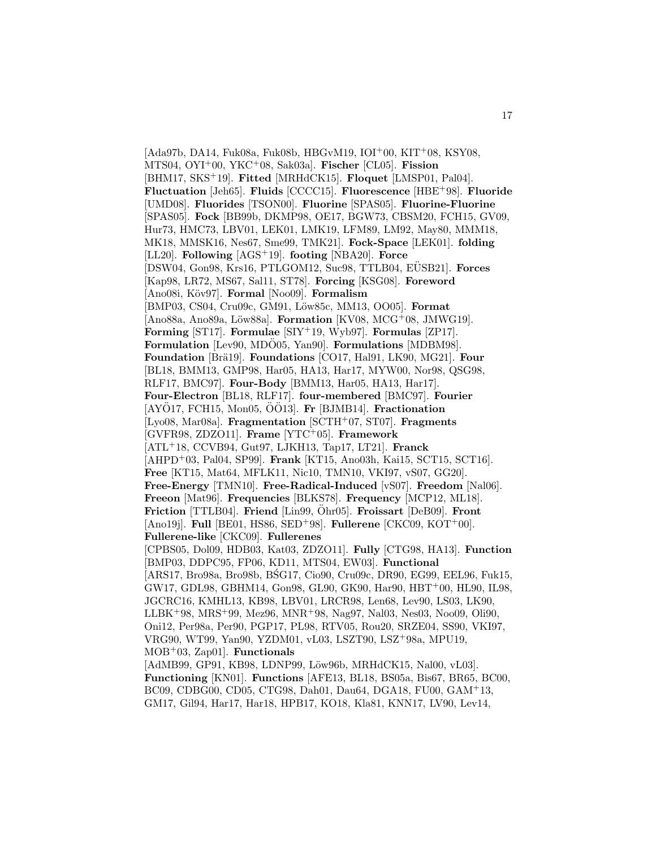$[Ada97b, DA14, Fuk08a, Fuk08b, HBGvM19, IOI<sup>+</sup>00, KIT<sup>+</sup>08, KSY08,$ MTS04, OYI<sup>+</sup>00, YKC<sup>+</sup>08, Sak03a]. **Fischer** [CL05]. **Fission** [BHM17, SKS<sup>+</sup>19]. **Fitted** [MRHdCK15]. **Floquet** [LMSP01, Pal04]. **Fluctuation** [Jeh65]. **Fluids** [CCCC15]. **Fluorescence** [HBE<sup>+</sup>98]. **Fluoride** [UMD08]. **Fluorides** [TSON00]. **Fluorine** [SPAS05]. **Fluorine-Fluorine** [SPAS05]. **Fock** [BB99b, DKMP98, OE17, BGW73, CBSM20, FCH15, GV09, Hur73, HMC73, LBV01, LEK01, LMK19, LFM89, LM92, May80, MMM18, MK18, MMSK16, Nes67, Sme99, TMK21]. **Fock-Space** [LEK01]. **folding** [LL20]. **Following** [AGS<sup>+</sup>19]. **footing** [NBA20]. **Force** [DSW04, Gon98, Krs16, PTLGOM12, Suc98, TTLB04, EUSB21]. ¨ **Forces** [Kap98, LR72, MS67, Sal11, ST78]. **Forcing** [KSG08]. **Foreword** [Ano08i, K¨ov97]. **Formal** [Noo09]. **Formalism** [BMP03, CS04, Cru09c, GM91, Löw85c, MM13, OO05]. **Format** [Ano88a, Ano89a, Löw88a]. **Formation** [KV08, MCG+08, JMWG19]. **Forming** [ST17]. **Formulae** [SIY<sup>+</sup>19, Wyb97]. **Formulas** [ZP17]. **Formulation** [Lev90, MDO05, Yan90]. **Formulations** [MDBM98]. **Foundation** [Brä19]. **Foundations** [CO17, Hal91, LK90, MG21]. **Four** [BL18, BMM13, GMP98, Har05, HA13, Har17, MYW00, Nor98, QSG98, RLF17, BMC97]. **Four-Body** [BMM13, Har05, HA13, Har17]. **Four-Electron** [BL18, RLF17]. **four-membered** [BMC97]. **Fourier** [AYO17, FCH15, Mon05, OO13]. **Fr** [BJMB14]. **Fractionation** [Lyo08, Mar08a]. **Fragmentation** [SCTH<sup>+</sup>07, ST07]. **Fragments** [GVFR98, ZDZO11]. **Frame** [YTC<sup>+</sup>05]. **Framework** [ATL<sup>+</sup>18, CCVB94, Gut97, LJKH13, Tap17, LT21]. **Franck** [AHPD<sup>+</sup>03, Pal04, SP99]. **Frank** [KT15, Ano03h, Kai15, SCT15, SCT16]. **Free** [KT15, Mat64, MFLK11, Nic10, TMN10, VKI97, vS07, GG20]. **Free-Energy** [TMN10]. **Free-Radical-Induced** [vS07]. **Freedom** [Nal06]. **Freeon** [Mat96]. **Frequencies** [BLKS78]. **Frequency** [MCP12, ML18]. **Friction** [TTLB04]. **Friend** [Lin99,  $\ddot{O}$ hr05]. **Froissart** [DeB09]. **Front** [Ano19j]. **Full** [BE01, HS86, SED<sup>+</sup>98]. **Fullerene** [CKC09, KOT<sup>+</sup>00]. **Fullerene-like** [CKC09]. **Fullerenes** [CPBS05, Dol09, HDB03, Kat03, ZDZO11]. **Fully** [CTG98, HA13]. **Function** [BMP03, DDPC95, FP06, KD11, MTS04, EW03]. **Functional** [ARS17, Bro98a, Bro98b, BSG17, Cio90, Cru09c, DR90, EG99, EEL96, Fuk15, GW17, GDL98, GBHM14, Gon98, GL90, GK90, Har90, HBT<sup>+</sup>00, HL90, IL98, JGCRC16, KMHL13, KB98, LBV01, LRCR98, Len68, Lev90, LS03, LK90, LLBK<sup>+</sup>98, MRS<sup>+</sup>99, Mez96, MNR<sup>+</sup>98, Nag97, Nal03, Nes03, Noo09, Oli90, Oni12, Per98a, Per90, PGP17, PL98, RTV05, Rou20, SRZE04, SS90, VKI97, VRG90, WT99, Yan90, YZDM01, vL03, LSZT90, LSZ<sup>+</sup>98a, MPU19, MOB<sup>+</sup>03, Zap01]. **Functionals** [AdMB99, GP91, KB98, LDNP99, Löw96b, MRHdCK15, Nal00, vL03]. **Functioning** [KN01]. **Functions** [AFE13, BL18, BS05a, Bis67, BR65, BC00, BC09, CDBG00, CD05, CTG98, Dah01, Dau64, DGA18, FU00, GAM<sup>+</sup>13, GM17, Gil94, Har17, Har18, HPB17, KO18, Kla81, KNN17, LV90, Lev14,

17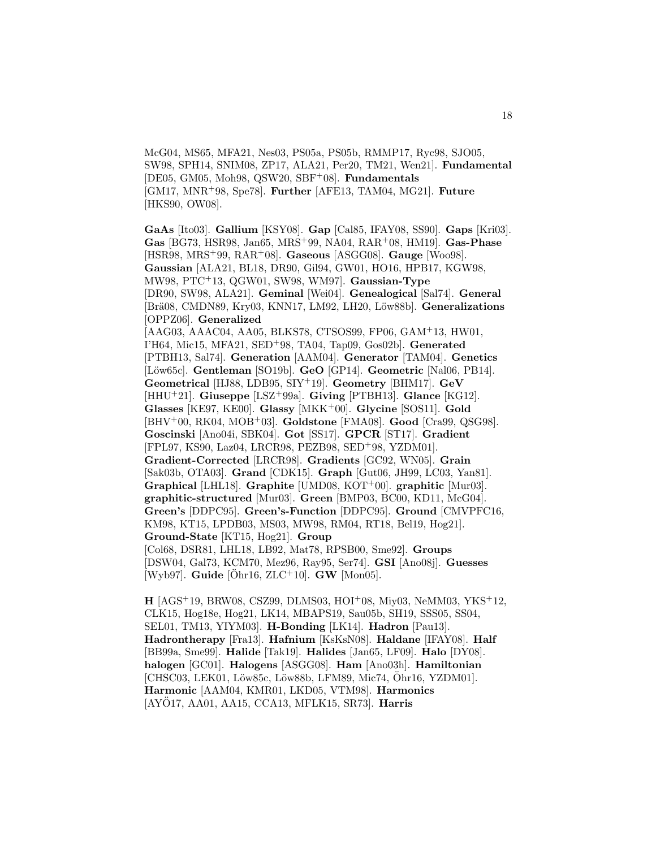McG04, MS65, MFA21, Nes03, PS05a, PS05b, RMMP17, Ryc98, SJO05, SW98, SPH14, SNIM08, ZP17, ALA21, Per20, TM21, Wen21]. **Fundamental** [DE05, GM05, Moh98, QSW20, SBF<sup>+</sup>08]. **Fundamentals** [GM17, MNR<sup>+</sup>98, Spe78]. **Further** [AFE13, TAM04, MG21]. **Future** [HKS90, OW08].

**GaAs** [Ito03]. **Gallium** [KSY08]. **Gap** [Cal85, IFAY08, SS90]. **Gaps** [Kri03]. **Gas** [BG73, HSR98, Jan65, MRS<sup>+</sup>99, NA04, RAR<sup>+</sup>08, HM19]. **Gas-Phase** [HSR98, MRS<sup>+</sup>99, RAR<sup>+</sup>08]. **Gaseous** [ASGG08]. **Gauge** [Woo98]. **Gaussian** [ALA21, BL18, DR90, Gil94, GW01, HO16, HPB17, KGW98, MW98, PTC<sup>+</sup>13, QGW01, SW98, WM97]. **Gaussian-Type** [DR90, SW98, ALA21]. **Geminal** [Wei04]. **Genealogical** [Sal74]. **General** [Brä08, CMDN89, Kry03, KNN17, LM92, LH20, Löw88b]. **Generalizations** [OPPZ06]. **Generalized** [AAG03, AAAC04, AA05, BLKS78, CTSOS99, FP06, GAM<sup>+</sup>13, HW01, I'H64, Mic15, MFA21, SED<sup>+</sup>98, TA04, Tap09, Gos02b]. **Generated** [PTBH13, Sal74]. **Generation** [AAM04]. **Generator** [TAM04]. **Genetics** [L¨ow65c]. **Gentleman** [SO19b]. **GeO** [GP14]. **Geometric** [Nal06, PB14]. **Geometrical** [HJ88, LDB95, SIY<sup>+</sup>19]. **Geometry** [BHM17]. **GeV** [HHU<sup>+</sup>21]. **Giuseppe** [LSZ<sup>+</sup>99a]. **Giving** [PTBH13]. **Glance** [KG12]. **Glasses** [KE97, KE00]. **Glassy** [MKK<sup>+</sup>00]. **Glycine** [SOS11]. **Gold** [BHV<sup>+</sup>00, RK04, MOB<sup>+</sup>03]. **Goldstone** [FMA08]. **Good** [Cra99, QSG98]. **Goscinski** [Ano04i, SBK04]. **Got** [SS17]. **GPCR** [ST17]. **Gradient** [FPL97, KS90, Laz04, LRCR98, PEZB98, SED<sup>+</sup>98, YZDM01]. **Gradient-Corrected** [LRCR98]. **Gradients** [GC92, WN05]. **Grain** [Sak03b, OTA03]. **Grand** [CDK15]. **Graph** [Gut06, JH99, LC03, Yan81]. **Graphical** [LHL18]. **Graphite** [UMD08, KOT<sup>+</sup>00]. **graphitic** [Mur03]. **graphitic-structured** [Mur03]. **Green** [BMP03, BC00, KD11, McG04]. **Green's** [DDPC95]. **Green's-Function** [DDPC95]. **Ground** [CMVPFC16, KM98, KT15, LPDB03, MS03, MW98, RM04, RT18, Bel19, Hog21]. **Ground-State** [KT15, Hog21]. **Group** [Col68, DSR81, LHL18, LB92, Mat78, RPSB00, Sme92]. **Groups** [DSW04, Gal73, KCM70, Mez96, Ray95, Ser74]. **GSI** [Ano08j]. **Guesses** [Wyb97]. **Guide** [Ohr16,  $ZLC^+10$ ]. **GW** [Mon05].

**H** [AGS<sup>+</sup>19, BRW08, CSZ99, DLMS03, HOI<sup>+</sup>08, Miy03, NeMM03, YKS<sup>+</sup>12, CLK15, Hog18e, Hog21, LK14, MBAPS19, Sau05b, SH19, SSS05, SS04, SEL01, TM13, YIYM03]. **H-Bonding** [LK14]. **Hadron** [Pau13]. **Hadrontherapy** [Fra13]. **Hafnium** [KsKsN08]. **Haldane** [IFAY08]. **Half** [BB99a, Sme99]. **Halide** [Tak19]. **Halides** [Jan65, LF09]. **Halo** [DY08]. **halogen** [GC01]. **Halogens** [ASGG08]. **Ham** [Ano03h]. **Hamiltonian** [CHSC03, LEK01, Löw85c, Löw88b, LFM89, Mic74, Öhr16, YZDM01]. **Harmonic** [AAM04, KMR01, LKD05, VTM98]. **Harmonics** [AYÖ17, AA01, AA15, CCA13, MFLK15, SR73]. **Harris**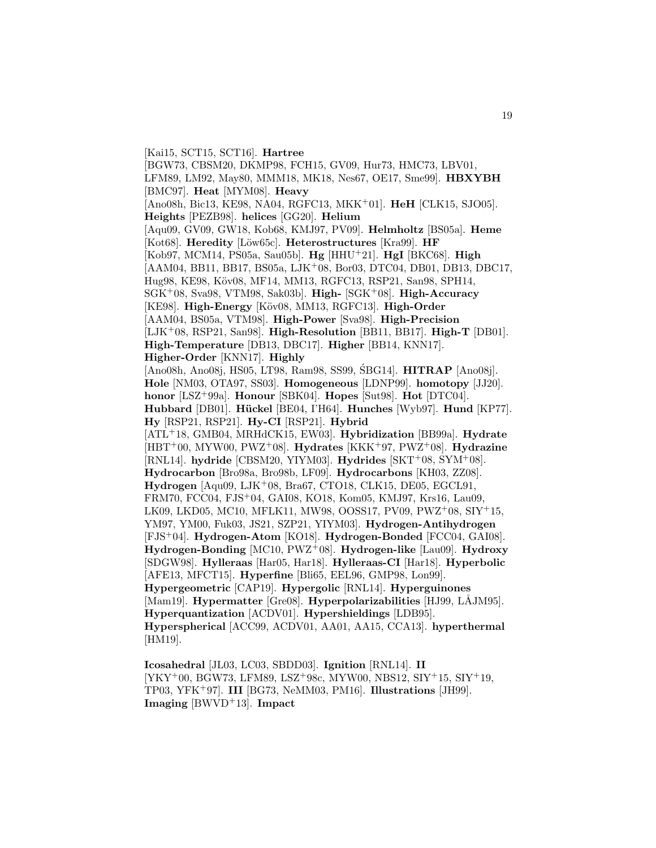[Kai15, SCT15, SCT16]. **Hartree** [BGW73, CBSM20, DKMP98, FCH15, GV09, Hur73, HMC73, LBV01, LFM89, LM92, May80, MMM18, MK18, Nes67, OE17, Sme99]. **HBXYBH** [BMC97]. **Heat** [MYM08]. **Heavy** [Ano08h, Bic13, KE98, NA04, RGFC13, MKK<sup>+</sup>01]. **HeH** [CLK15, SJO05]. **Heights** [PEZB98]. **helices** [GG20]. **Helium** [Aqu09, GV09, GW18, Kob68, KMJ97, PV09]. **Helmholtz** [BS05a]. **Heme** [Kot68]. **Heredity** [L¨ow65c]. **Heterostructures** [Kra99]. **HF** [Kob97, MCM14, PS05a, Sau05b]. **Hg** [HHU<sup>+</sup>21]. **HgI** [BKC68]. **High** [AAM04, BB11, BB17, BS05a, LJK<sup>+</sup>08, Bor03, DTC04, DB01, DB13, DBC17, Hug98, KE98, Köv08, MF14, MM13, RGFC13, RSP21, San98, SPH14, SGK<sup>+</sup>08, Sva98, VTM98, Sak03b]. **High-** [SGK<sup>+</sup>08]. **High-Accuracy** [KE98]. **High-Energy** [Köv08, MM13, RGFC13]. **High-Order** [AAM04, BS05a, VTM98]. **High-Power** [Sva98]. **High-Precision** [LJK<sup>+</sup>08, RSP21, San98]. **High-Resolution** [BB11, BB17]. **High-T** [DB01]. **High-Temperature** [DB13, DBC17]. **Higher** [BB14, KNN17]. **Higher-Order** [KNN17]. **Highly** [Ano08h, Ano08j, HS05, LT98, Ram98, SS99, SBG14]. **HITRAP** [Ano08j]. **Hole** [NM03, OTA97, SS03]. **Homogeneous** [LDNP99]. **homotopy** [JJ20]. **honor** [LSZ<sup>+</sup>99a]. **Honour** [SBK04]. **Hopes** [Sut98]. **Hot** [DTC04]. **Hubbard** [DB01]. **H¨uckel** [BE04, I'H64]. **Hunches** [Wyb97]. **Hund** [KP77]. **Hy** [RSP21, RSP21]. **Hy-CI** [RSP21]. **Hybrid** [ATL<sup>+</sup>18, GMB04, MRHdCK15, EW03]. **Hybridization** [BB99a]. **Hydrate** [HBT<sup>+</sup>00, MYW00, PWZ<sup>+</sup>08]. **Hydrates** [KKK<sup>+</sup>97, PWZ<sup>+</sup>08]. **Hydrazine** [RNL14]. **hydride** [CBSM20, YIYM03]. **Hydrides** [SKT<sup>+</sup>08, SYM<sup>+</sup>08]. **Hydrocarbon** [Bro98a, Bro98b, LF09]. **Hydrocarbons** [KH03, ZZ08]. **Hydrogen** [Aqu09, LJK<sup>+</sup>08, Bra67, CTO18, CLK15, DE05, EGCL91, FRM70, FCC04, FJS<sup>+</sup>04, GAI08, KO18, Kom05, KMJ97, Krs16, Lau09, LK09, LKD05, MC10, MFLK11, MW98, OOSS17, PV09, PWZ<sup>+</sup>08, SIY<sup>+</sup>15, YM97, YM00, Fuk03, JS21, SZP21, YIYM03]. **Hydrogen-Antihydrogen** [FJS<sup>+</sup>04]. **Hydrogen-Atom** [KO18]. **Hydrogen-Bonded** [FCC04, GAI08]. **Hydrogen-Bonding** [MC10, PWZ<sup>+</sup>08]. **Hydrogen-like** [Lau09]. **Hydroxy** [SDGW98]. **Hylleraas** [Har05, Har18]. **Hylleraas-CI** [Har18]. **Hyperbolic** [AFE13, MFCT15]. **Hyperfine** [Bli65, EEL96, GMP98, Lon99]. **Hypergeometric** [CAP19]. **Hypergolic** [RNL14]. **Hyperguinones** [Mam19]. **Hypermatter** [Gre08]. **Hyperpolarizabilities** [HJ99, LÅJM95]. **Hyperquantization** [ACDV01]. **Hypershieldings** [LDB95]. **Hyperspherical** [ACC99, ACDV01, AA01, AA15, CCA13]. **hyperthermal** [HM19].

**Icosahedral** [JL03, LC03, SBDD03]. **Ignition** [RNL14]. **II** [YKY<sup>+</sup>00, BGW73, LFM89, LSZ<sup>+</sup>98c, MYW00, NBS12, SIY<sup>+</sup>15, SIY<sup>+</sup>19, TP03, YFK<sup>+</sup>97]. **III** [BG73, NeMM03, PM16]. **Illustrations** [JH99]. **Imaging** [BWVD<sup>+</sup>13]. **Impact**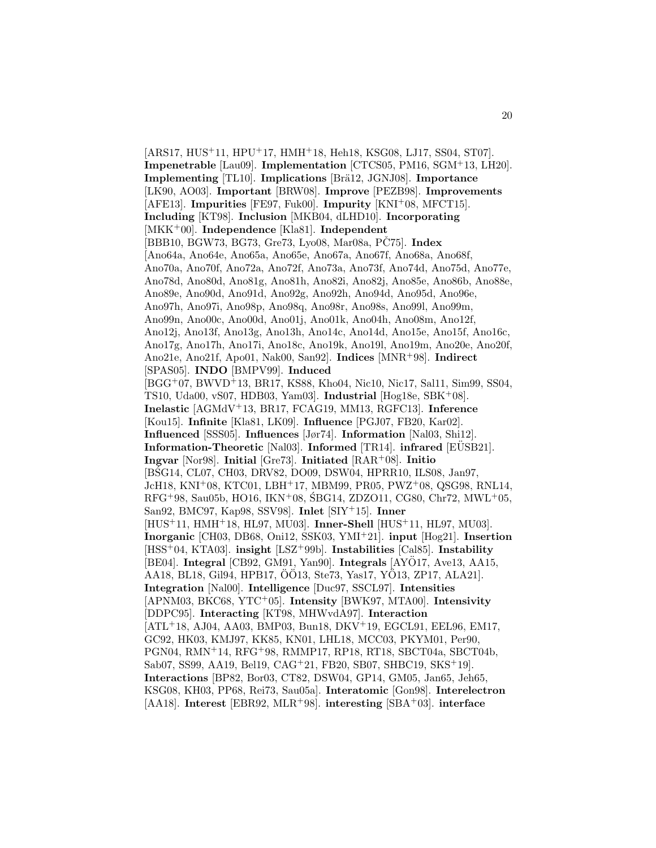[ARS17, HUS<sup>+</sup>11, HPU<sup>+</sup>17, HMH<sup>+</sup>18, Heh18, KSG08, LJ17, SS04, ST07]. **Impenetrable** [Lau09]. **Implementation** [CTCS05, PM16, SGM<sup>+</sup>13, LH20]. **Implementing** [TL10]. **Implications** [Brä12, JGNJ08]. **Importance** [LK90, AO03]. **Important** [BRW08]. **Improve** [PEZB98]. **Improvements** [AFE13]. **Impurities** [FE97, Fuk00]. **Impurity** [KNI<sup>+</sup>08, MFCT15]. **Including** [KT98]. **Inclusion** [MKB04, dLHD10]. **Incorporating** [MKK<sup>+</sup>00]. **Independence** [Kla81]. **Independent** [BBB10, BGW73, BG73, Gre73, Lyo08, Mar08a, PC75]. **Index** [Ano64a, Ano64e, Ano65a, Ano65e, Ano67a, Ano67f, Ano68a, Ano68f, Ano70a, Ano70f, Ano72a, Ano72f, Ano73a, Ano73f, Ano74d, Ano75d, Ano77e, Ano78d, Ano80d, Ano81g, Ano81h, Ano82i, Ano82j, Ano85e, Ano86b, Ano88e, Ano89e, Ano90d, Ano91d, Ano92g, Ano92h, Ano94d, Ano95d, Ano96e, Ano97h, Ano97i, Ano98p, Ano98q, Ano98r, Ano98s, Ano99l, Ano99m, Ano99n, Ano00c, Ano00d, Ano01j, Ano01k, Ano04h, Ano08m, Ano12f, Ano12j, Ano13f, Ano13g, Ano13h, Ano14c, Ano14d, Ano15e, Ano15f, Ano16c, Ano17g, Ano17h, Ano17i, Ano18c, Ano19k, Ano19l, Ano19m, Ano20e, Ano20f, Ano21e, Ano21f, Apo01, Nak00, San92]. **Indices** [MNR<sup>+</sup>98]. **Indirect** [SPAS05]. **INDO** [BMPV99]. **Induced** [BGG<sup>+</sup>07, BWVD<sup>+</sup>13, BR17, KS88, Kho04, Nic10, Nic17, Sal11, Sim99, SS04, TS10, Uda00, vS07, HDB03, Yam03]. **Industrial** [Hog18e, SBK<sup>+</sup>08]. **Inelastic** [AGMdV<sup>+</sup>13, BR17, FCAG19, MM13, RGFC13]. **Inference** [Kou15]. **Infinite** [Kla81, LK09]. **Influence** [PGJ07, FB20, Kar02]. **Influenced** [SSS05]. **Influences** [Jør74]. **Information** [Nal03, Shi12]. **Information-Theoretic** [Nal03]. **Informed** [TR14]. **infrared** [EUSB21]. **Ingvar** [Nor98]. **Initial** [Gre73]. **Initiated** [RAR<sup>+</sup>08]. **Initio** [BSG14, CL07, CH03, DRV82, DO09, DSW04, HPRR10, ILS08, Jan97, JcH18, KNI<sup>+</sup>08, KTC01, LBH<sup>+</sup>17, MBM99, PR05, PWZ<sup>+</sup>08, QSG98, RNL14,  $RFG+98$ , Sau05b, HO16, IKN+08, SBG14, ZDZO11, CG80, Chr72, MWL+05, San92, BMC97, Kap98, SSV98]. **Inlet** [SIY<sup>+</sup>15]. **Inner** [HUS<sup>+</sup>11, HMH<sup>+</sup>18, HL97, MU03]. **Inner-Shell** [HUS<sup>+</sup>11, HL97, MU03]. **Inorganic** [CH03, DB68, Oni12, SSK03, YMI<sup>+</sup>21]. **input** [Hog21]. **Insertion** [HSS<sup>+</sup>04, KTA03]. **insight** [LSZ<sup>+</sup>99b]. **Instabilities** [Cal85]. **Instability** [BE04]. **Integral** [CB92, GM91, Yan90]. **Integrals** [AYO17, Ave13, AA15, ¨ AA18, BL18, Gil94, HPB17, OO13, Ste73, Yas17, YO13, ZP17, ALA21]. **Integration** [Nal00]. **Intelligence** [Duc97, SSCL97]. **Intensities** [APNM03, BKC68, YTC<sup>+</sup>05]. **Intensity** [BWK97, MTA00]. **Intensivity** [DDPC95]. **Interacting** [KT98, MHWvdA97]. **Interaction** [ATL<sup>+</sup>18, AJ04, AA03, BMP03, Bun18, DKV<sup>+</sup>19, EGCL91, EEL96, EM17, GC92, HK03, KMJ97, KK85, KN01, LHL18, MCC03, PKYM01, Per90, PGN04, RMN<sup>+</sup>14, RFG<sup>+</sup>98, RMMP17, RP18, RT18, SBCT04a, SBCT04b, Sab07, SS99, AA19, Bel19, CAG<sup>+</sup>21, FB20, SB07, SHBC19, SKS<sup>+</sup>19]. **Interactions** [BP82, Bor03, CT82, DSW04, GP14, GM05, Jan65, Jeh65, KSG08, KH03, PP68, Rei73, Sau05a]. **Interatomic** [Gon98]. **Interelectron** [AA18]. **Interest** [EBR92, MLR<sup>+</sup>98]. **interesting** [SBA<sup>+</sup>03]. **interface**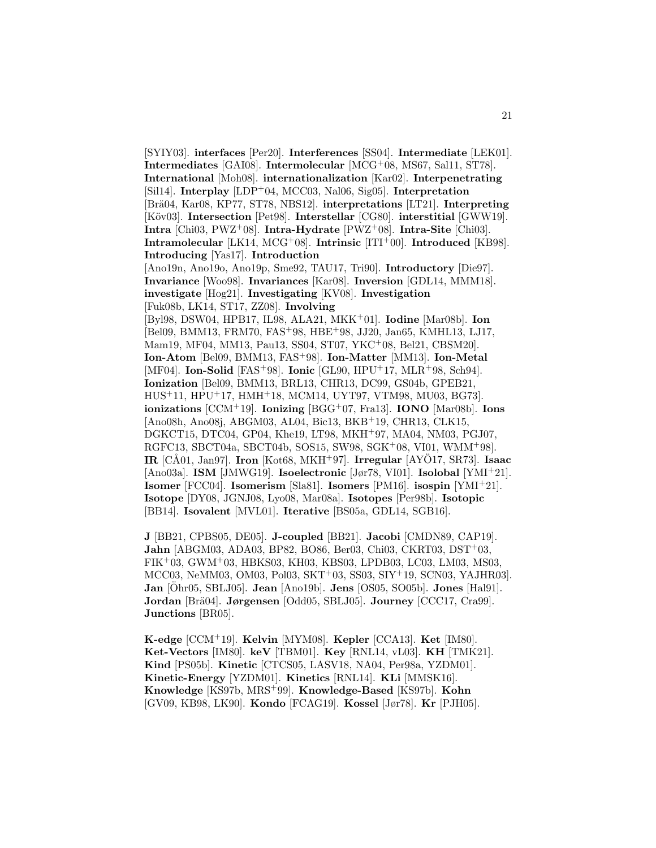[SYIY03]. **interfaces** [Per20]. **Interferences** [SS04]. **Intermediate** [LEK01]. **Intermediates** [GAI08]. **Intermolecular** [MCG<sup>+</sup>08, MS67, Sal11, ST78]. **International** [Moh08]. **internationalization** [Kar02]. **Interpenetrating** [Sil14]. **Interplay** [LDP<sup>+</sup>04, MCC03, Nal06, Sig05]. **Interpretation** [Br¨a04, Kar08, KP77, ST78, NBS12]. **interpretations** [LT21]. **Interpreting** [Köv03]. **Intersection** [Pet98]. **Interstellar** [CG80]. **interstitial** [GWW19]. **Intra** [Chi03, PWZ<sup>+</sup>08]. **Intra-Hydrate** [PWZ<sup>+</sup>08]. **Intra-Site** [Chi03]. **Intramolecular** [LK14, MCG<sup>+</sup>08]. **Intrinsic** [ITI<sup>+</sup>00]. **Introduced** [KB98]. **Introducing** [Yas17]. **Introduction** [Ano19n, Ano19o, Ano19p, Sme92, TAU17, Tri90]. **Introductory** [Die97]. **Invariance** [Woo98]. **Invariances** [Kar08]. **Inversion** [GDL14, MMM18]. **investigate** [Hog21]. **Investigating** [KV08]. **Investigation** [Fuk08b, LK14, ST17, ZZ08]. **Involving** [Byl98, DSW04, HPB17, IL98, ALA21, MKK<sup>+</sup>01]. **Iodine** [Mar08b]. **Ion** [Bel09, BMM13, FRM70, FAS<sup>+</sup>98, HBE<sup>+</sup>98, JJ20, Jan65, KMHL13, LJ17, Mam19, MF04, MM13, Pau13, SS04, ST07, YKC<sup>+</sup>08, Bel21, CBSM20]. **Ion-Atom** [Bel09, BMM13, FAS<sup>+</sup>98]. **Ion-Matter** [MM13]. **Ion-Metal** [MF04]. **Ion-Solid** [FAS<sup>+</sup>98]. **Ionic** [GL90, HPU<sup>+</sup>17, MLR<sup>+</sup>98, Sch94]. **Ionization** [Bel09, BMM13, BRL13, CHR13, DC99, GS04b, GPEB21, HUS<sup>+</sup>11, HPU<sup>+</sup>17, HMH<sup>+</sup>18, MCM14, UYT97, VTM98, MU03, BG73]. **ionizations** [CCM<sup>+</sup>19]. **Ionizing** [BGG<sup>+</sup>07, Fra13]. **IONO** [Mar08b]. **Ions** [Ano08h, Ano08j, ABGM03, AL04, Bic13, BKB<sup>+</sup>19, CHR13, CLK15, DGKCT15, DTC04, GP04, Khe19, LT98, MKH<sup>+</sup>97, MA04, NM03, PGJ07, RGFC13, SBCT04a, SBCT04b, SOS15, SW98, SGK<sup>+</sup>08, VI01, WMM<sup>+</sup>98]. **IR**  $[CA01, Jan97]$ . **Iron**  $[Kot68, MKH<sup>+</sup>97]$ . **Irregular**  $[AYO17, SR73]$ . **Isaac** [Ano03a]. **ISM** [JMWG19]. **Isoelectronic** [Jør78, VI01]. **Isolobal** [YMI<sup>+</sup>21]. **Isomer** [FCC04]. **Isomerism** [Sla81]. **Isomers** [PM16]. **isospin** [YMI<sup>+</sup>21]. **Isotope** [DY08, JGNJ08, Lyo08, Mar08a]. **Isotopes** [Per98b]. **Isotopic** [BB14]. **Isovalent** [MVL01]. **Iterative** [BS05a, GDL14, SGB16].

**J** [BB21, CPBS05, DE05]. **J-coupled** [BB21]. **Jacobi** [CMDN89, CAP19]. **Jahn** [ABGM03, ADA03, BP82, BO86, Ber03, Chi03, CKRT03, DST<sup>+</sup>03, FIK<sup>+</sup>03, GWM<sup>+</sup>03, HBKS03, KH03, KBS03, LPDB03, LC03, LM03, MS03, MCC03, NeMM03, OM03, Pol03, SKT<sup>+</sup>03, SS03, SIY<sup>+</sup>19, SCN03, YAJHR03]. **Jan** [Ohr05, SBLJ05]. ¨ **Jean** [Ano19b]. **Jens** [OS05, SO05b]. **Jones** [Hal91]. **Jordan** [Br¨a04]. **Jørgensen** [Odd05, SBLJ05]. **Journey** [CCC17, Cra99]. **Junctions** [BR05].

**K-edge** [CCM<sup>+</sup>19]. **Kelvin** [MYM08]. **Kepler** [CCA13]. **Ket** [IM80]. **Ket-Vectors** [IM80]. **keV** [TBM01]. **Key** [RNL14, vL03]. **KH** [TMK21]. **Kind** [PS05b]. **Kinetic** [CTCS05, LASV18, NA04, Per98a, YZDM01]. **Kinetic-Energy** [YZDM01]. **Kinetics** [RNL14]. **KLi** [MMSK16]. **Knowledge** [KS97b, MRS<sup>+</sup>99]. **Knowledge-Based** [KS97b]. **Kohn** [GV09, KB98, LK90]. **Kondo** [FCAG19]. **Kossel** [Jør78]. **Kr** [PJH05].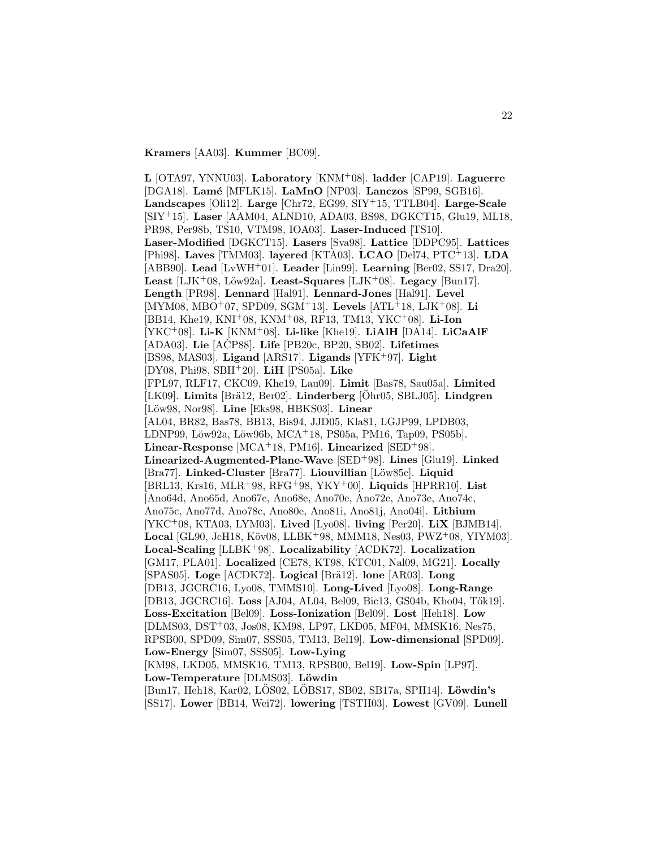**Kramers** [AA03]. **Kummer** [BC09].

**L** [OTA97, YNNU03]. **Laboratory** [KNM<sup>+</sup>08]. **ladder** [CAP19]. **Laguerre** [DGA18]. **Lam´e** [MFLK15]. **LaMnO** [NP03]. **Lanczos** [SP99, SGB16]. **Landscapes** [Oli12]. **Large** [Chr72, EG99, SIY<sup>+</sup>15, TTLB04]. **Large-Scale** [SIY<sup>+</sup>15]. **Laser** [AAM04, ALND10, ADA03, BS98, DGKCT15, Glu19, ML18, PR98, Per98b, TS10, VTM98, IOA03]. **Laser-Induced** [TS10]. **Laser-Modified** [DGKCT15]. **Lasers** [Sva98]. **Lattice** [DDPC95]. **Lattices** [Phi98]. **Laves** [TMM03]. **layered** [KTA03]. **LCAO** [Del74, PTC<sup>+</sup>13]. **LDA** [ABB90]. **Lead** [LvWH<sup>+</sup>01]. **Leader** [Lin99]. **Learning** [Ber02, SS17, Dra20]. Least [LJK+08, Löw92a]. Least-Squares [LJK+08]. Legacy [Bun17]. **Length** [PR98]. **Lennard** [Hal91]. **Lennard-Jones** [Hal91]. **Level** [MYM08, MBO<sup>+</sup>07, SPD09, SGM<sup>+</sup>13]. **Levels** [ATL<sup>+</sup>18, LJK<sup>+</sup>08]. **Li** [BB14, Khe19, KNI<sup>+</sup>08, KNM<sup>+</sup>08, RF13, TM13, YKC<sup>+</sup>08]. **Li-Ion** [YKC<sup>+</sup>08]. **Li-K** [KNM<sup>+</sup>08]. **Li-like** [Khe19]. **LiAlH** [DA14]. **LiCaAlF** [ADA03]. **Lie** [ACP88]. ˇ **Life** [PB20c, BP20, SB02]. **Lifetimes** [BS98, MAS03]. **Ligand** [ARS17]. **Ligands** [YFK<sup>+</sup>97]. **Light** [DY08, Phi98, SBH<sup>+</sup>20]. **LiH** [PS05a]. **Like** [FPL97, RLF17, CKC09, Khe19, Lau09]. **Limit** [Bas78, Sau05a]. **Limited** [LK09]. **Limits** [Brä12, Ber02]. **Linderberg** [Ohr05, SBLJ05]. **Lindgren** [L¨ow98, Nor98]. **Line** [Eks98, HBKS03]. **Linear** [AL04, BR82, Bas78, BB13, Bis94, JJD05, Kla81, LGJP99, LPDB03, LDNP99, Löw92a, Löw96b, MCA+18, PS05a, PM16, Tap09, PS05b]. **Linear-Response** [MCA<sup>+</sup>18, PM16]. **Linearized** [SED<sup>+</sup>98]. **Linearized-Augmented-Plane-Wave** [SED<sup>+</sup>98]. **Lines** [Glu19]. **Linked** [Bra77]. **Linked-Cluster** [Bra77]. **Liouvillian** [Löw85c]. **Liquid** [BRL13, Krs16, MLR<sup>+</sup>98, RFG<sup>+</sup>98, YKY<sup>+</sup>00]. **Liquids** [HPRR10]. **List** [Ano64d, Ano65d, Ano67e, Ano68e, Ano70e, Ano72e, Ano73e, Ano74c, Ano75c, Ano77d, Ano78c, Ano80e, Ano81i, Ano81j, Ano04i]. **Lithium** [YKC<sup>+</sup>08, KTA03, LYM03]. **Lived** [Lyo08]. **living** [Per20]. **LiX** [BJMB14]. **Local** [GL90, JcH18, Köv08, LLBK+98, MMM18, Nes03, PWZ+08, YIYM03]. **Local-Scaling** [LLBK<sup>+</sup>98]. **Localizability** [ACDK72]. **Localization** [GM17, PLA01]. **Localized** [CE78, KT98, KTC01, Nal09, MG21]. **Locally** [SPAS05]. **Loge** [ACDK72]. **Logical** [Brä12]. **lone** [AR03]. **Long** [DB13, JGCRC16, Lyo08, TMMS10]. **Long-Lived** [Lyo08]. **Long-Range** [DB13, JGCRC16]. Loss [AJ04, AL04, Bel09, Bic13, GS04b, Kho04, Tők19]. **Loss-Excitation** [Bel09]. **Loss-Ionization** [Bel09]. **Lost** [Heh18]. **Low** [DLMS03, DST<sup>+</sup>03, Jos08, KM98, LP97, LKD05, MF04, MMSK16, Nes75, RPSB00, SPD09, Sim07, SSS05, TM13, Bel19]. **Low-dimensional** [SPD09]. **Low-Energy** [Sim07, SSS05]. **Low-Lying** [KM98, LKD05, MMSK16, TM13, RPSB00, Bel19]. **Low-Spin** [LP97]. Low-Temperature<sup>[DLMS03]</sup>. Löwdin [Bun17, Heh18, Kar02, LÖS02, LÖBS17, SB02, SB17a, SPH14]. **Löwdin's**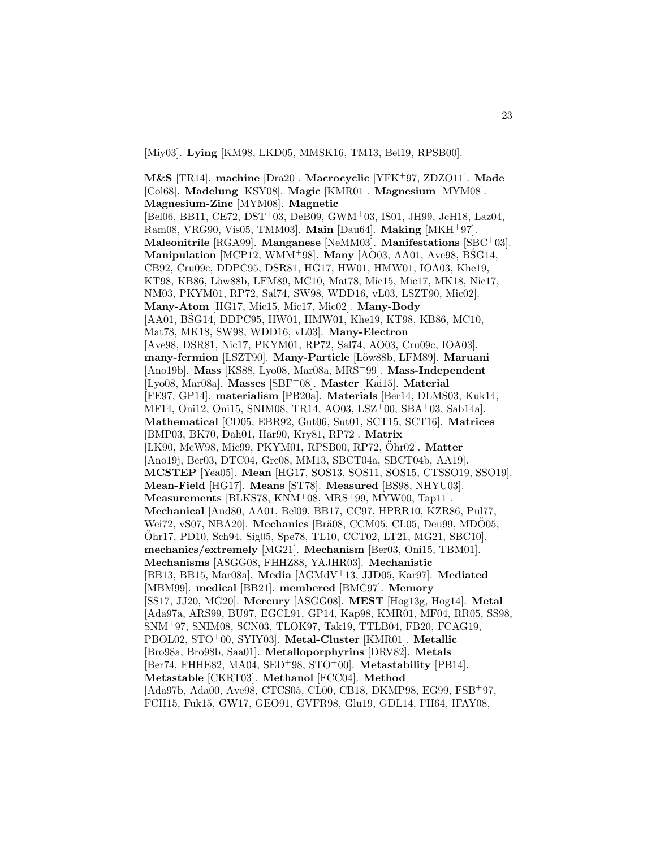[Miy03]. **Lying** [KM98, LKD05, MMSK16, TM13, Bel19, RPSB00].

**M&S** [TR14]. **machine** [Dra20]. **Macrocyclic** [YFK<sup>+</sup>97, ZDZO11]. **Made** [Col68]. **Madelung** [KSY08]. **Magic** [KMR01]. **Magnesium** [MYM08]. **Magnesium-Zinc** [MYM08]. **Magnetic** [Bel06, BB11, CE72, DST<sup>+</sup>03, DeB09, GWM<sup>+</sup>03, IS01, JH99, JcH18, Laz04, Ram08, VRG90, Vis05, TMM03]. **Main** [Dau64]. **Making** [MKH<sup>+</sup>97]. **Maleonitrile** [RGA99]. **Manganese** [NeMM03]. **Manifestations** [SBC<sup>+</sup>03]. **Manipulation** [MCP12, WMM<sup>+98]</sup>. **Many** [AO03, AA01, Ave98, BSG14, CB92, Cru09c, DDPC95, DSR81, HG17, HW01, HMW01, IOA03, Khe19, KT98, KB86, Löw88b, LFM89, MC10, Mat78, Mic15, Mic17, MK18, Nic17, NM03, PKYM01, RP72, Sal74, SW98, WDD16, vL03, LSZT90, Mic02]. **Many-Atom** [HG17, Mic15, Mic17, Mic02]. **Many-Body** [AA01, BSG14, DDPC95, HW01, HMW01, Khe19, KT98, KB86, MC10, Mat78, MK18, SW98, WDD16, vL03]. **Many-Electron** [Ave98, DSR81, Nic17, PKYM01, RP72, Sal74, AO03, Cru09c, IOA03]. **many-fermion** [LSZT90]. **Many-Particle** [L¨ow88b, LFM89]. **Maruani** [Ano19b]. **Mass** [KS88, Lyo08, Mar08a, MRS<sup>+</sup>99]. **Mass-Independent** [Lyo08, Mar08a]. **Masses** [SBF<sup>+</sup>08]. **Master** [Kai15]. **Material** [FE97, GP14]. **materialism** [PB20a]. **Materials** [Ber14, DLMS03, Kuk14, MF14, Oni12, Oni15, SNIM08, TR14, AO03, LSZ<sup>+</sup>00, SBA<sup>+</sup>03, Sab14a]. **Mathematical** [CD05, EBR92, Gut06, Sut01, SCT15, SCT16]. **Matrices** [BMP03, BK70, Dah01, Har90, Kry81, RP72]. **Matrix** [LK90, McW98, Mic99, PKYM01, RPSB00, RP72, Ohr02]. ¨ **Matter** [Ano19j, Ber03, DTC04, Gre08, MM13, SBCT04a, SBCT04b, AA19]. **MCSTEP** [Yea05]. **Mean** [HG17, SOS13, SOS11, SOS15, CTSSO19, SSO19]. **Mean-Field** [HG17]. **Means** [ST78]. **Measured** [BS98, NHYU03]. **Measurements** [BLKS78, KNM<sup>+</sup>08, MRS<sup>+</sup>99, MYW00, Tap11]. **Mechanical** [And80, AA01, Bel09, BB17, CC97, HPRR10, KZR86, Pul77, Wei72, vS07, NBA20]. Mechanics [Brä08, CCM05, CL05, Deu99, MDÖ05, Ohr17, PD10, Sch94, Sig05, Spe78, TL10, CCT02, LT21, MG21, SBC10]. ¨ **mechanics/extremely** [MG21]. **Mechanism** [Ber03, Oni15, TBM01]. **Mechanisms** [ASGG08, FHHZ88, YAJHR03]. **Mechanistic** [BB13, BB15, Mar08a]. **Media** [AGMdV<sup>+</sup>13, JJD05, Kar97]. **Mediated** [MBM99]. **medical** [BB21]. **membered** [BMC97]. **Memory** [SS17, JJ20, MG20]. **Mercury** [ASGG08]. **MEST** [Hog13g, Hog14]. **Metal** [Ada97a, ARS99, BU97, EGCL91, GP14, Kap98, KMR01, MF04, RR05, SS98, SNM<sup>+</sup>97, SNIM08, SCN03, TLOK97, Tak19, TTLB04, FB20, FCAG19, PBOL02, STO<sup>+</sup>00, SYIY03]. **Metal-Cluster** [KMR01]. **Metallic** [Bro98a, Bro98b, Saa01]. **Metalloporphyrins** [DRV82]. **Metals** [Ber74, FHHE82, MA04, SED<sup>+</sup>98, STO<sup>+</sup>00]. **Metastability** [PB14]. **Metastable** [CKRT03]. **Methanol** [FCC04]. **Method** [Ada97b, Ada00, Ave98, CTCS05, CL00, CB18, DKMP98, EG99, FSB<sup>+</sup>97, FCH15, Fuk15, GW17, GEO91, GVFR98, Glu19, GDL14, I'H64, IFAY08,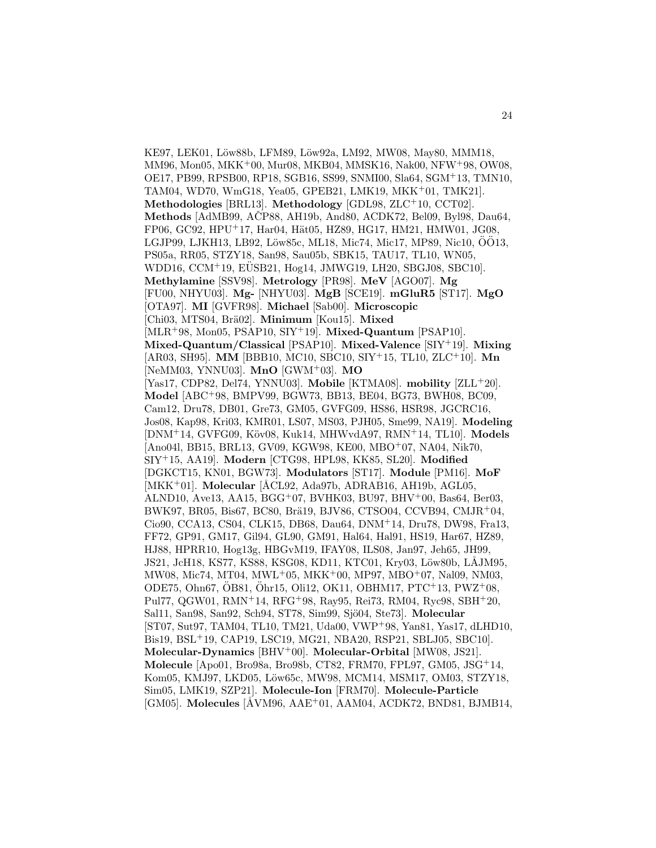KE97, LEK01, Löw88b, LFM89, Löw92a, LM92, MW08, May80, MMM18, MM96, Mon05, MKK<sup>+</sup>00, Mur08, MKB04, MMSK16, Nak00, NFW<sup>+</sup>98, OW08, OE17, PB99, RPSB00, RP18, SGB16, SS99, SNMI00, Sla64, SGM<sup>+</sup>13, TMN10, TAM04, WD70, WmG18, Yea05, GPEB21, LMK19, MKK<sup>+</sup>01, TMK21]. **Methodologies** [BRL13]. **Methodology** [GDL98, ZLC<sup>+</sup>10, CCT02]. **Methods** [AdMB99, ACP88, AH19b, And80, ACDK72, Bel09, Byl98, Dau64, FP06, GC92, HPU+17, Har04, Hät05, HZ89, HG17, HM21, HMW01, JG08, LGJP99, LJKH13, LB92, Löw85c, ML18, Mic74, Mic17, MP89, Nic10, ÖÖ13, PS05a, RR05, STZY18, San98, Sau05b, SBK15, TAU17, TL10, WN05, WDD16, CCM<sup>+</sup>19, EÜSB21, Hog14, JMWG19, LH20, SBGJ08, SBC10. **Methylamine** [SSV98]. **Metrology** [PR98]. **MeV** [AGO07]. **Mg** [FU00, NHYU03]. **Mg-** [NHYU03]. **MgB** [SCE19]. **mGluR5** [ST17]. **MgO** [OTA97]. **MI** [GVFR98]. **Michael** [Sab00]. **Microscopic** [Chi03, MTS04, Brä02]. **Minimum** [Kou15]. **Mixed** [MLR<sup>+</sup>98, Mon05, PSAP10, SIY<sup>+</sup>19]. **Mixed-Quantum** [PSAP10]. **Mixed-Quantum/Classical** [PSAP10]. **Mixed-Valence** [SIY<sup>+</sup>19]. **Mixing** [AR03, SH95]. **MM** [BBB10, MC10, SBC10, SIY<sup>+</sup>15, TL10, ZLC<sup>+</sup>10]. **Mn** [NeMM03, YNNU03]. **MnO** [GWM<sup>+</sup>03]. **MO** [Yas17, CDP82, Del74, YNNU03]. **Mobile** [KTMA08]. **mobility** [ZLL<sup>+</sup>20]. **Model** [ABC<sup>+</sup>98, BMPV99, BGW73, BB13, BE04, BG73, BWH08, BC09, Cam12, Dru78, DB01, Gre73, GM05, GVFG09, HS86, HSR98, JGCRC16, Jos08, Kap98, Kri03, KMR01, LS07, MS03, PJH05, Sme99, NA19]. **Modeling** [DNM<sup>+</sup>14, GVFG09, K¨ov08, Kuk14, MHWvdA97, RMN<sup>+</sup>14, TL10]. **Models** [Ano04l, BB15, BRL13, GV09, KGW98, KE00, MBO<sup>+</sup>07, NA04, Nik70, SIY<sup>+</sup>15, AA19]. **Modern** [CTG98, HPL98, KK85, SL20]. **Modified** [DGKCT15, KN01, BGW73]. **Modulators** [ST17]. **Module** [PM16]. **MoF** [MKK<sup>+</sup>01]. **Molecular** [ÅCL92, Ada97b, ADRAB16, AH19b, AGL05, ALND10, Ave13, AA15, BGG<sup>+</sup>07, BVHK03, BU97, BHV<sup>+</sup>00, Bas64, Ber03, BWK97, BR05, Bis67, BC80, Brä19, BJV86, CTSO04, CCVB94, CMJR+04, Cio90, CCA13, CS04, CLK15, DB68, Dau64, DNM<sup>+</sup>14, Dru78, DW98, Fra13, FF72, GP91, GM17, Gil94, GL90, GM91, Hal64, Hal91, HS19, Har67, HZ89, HJ88, HPRR10, Hog13g, HBGvM19, IFAY08, ILS08, Jan97, Jeh65, JH99, JS21, JcH18, KS77, KS88, KSG08, KD11, KTC01, Kry03, Löw80b, LÅJM95, MW08, Mic74, MT04, MWL<sup>+</sup>05, MKK<sup>+</sup>00, MP97, MBO<sup>+</sup>07, Nal09, NM03, ODE75, Ohn67, ÖB81, Öhr15, Oli12, OK11, OBHM17, PTC+13, PWZ+08, Pul77, QGW01, RMN<sup>+</sup>14, RFG<sup>+</sup>98, Ray95, Rei73, RM04, Ryc98, SBH<sup>+</sup>20, Sal11, San98, San92, Sch94, ST78, Sim99, Sjö04, Ste73]. Molecular [ST07, Sut97, TAM04, TL10, TM21, Uda00, VWP<sup>+</sup>98, Yan81, Yas17, dLHD10, Bis19, BSL<sup>+</sup>19, CAP19, LSC19, MG21, NBA20, RSP21, SBLJ05, SBC10]. **Molecular-Dynamics** [BHV<sup>+</sup>00]. **Molecular-Orbital** [MW08, JS21]. **Molecule** [Apo01, Bro98a, Bro98b, CT82, FRM70, FPL97, GM05, JSG<sup>+</sup>14, Kom05, KMJ97, LKD05, Löw65c, MW98, MCM14, MSM17, OM03, STZY18, Sim05, LMK19, SZP21]. **Molecule-Ion** [FRM70]. **Molecule-Particle** [GM05]. **Molecules** [ÅVM96, AAE<sup>+</sup>01, AAM04, ACDK72, BND81, BJMB14,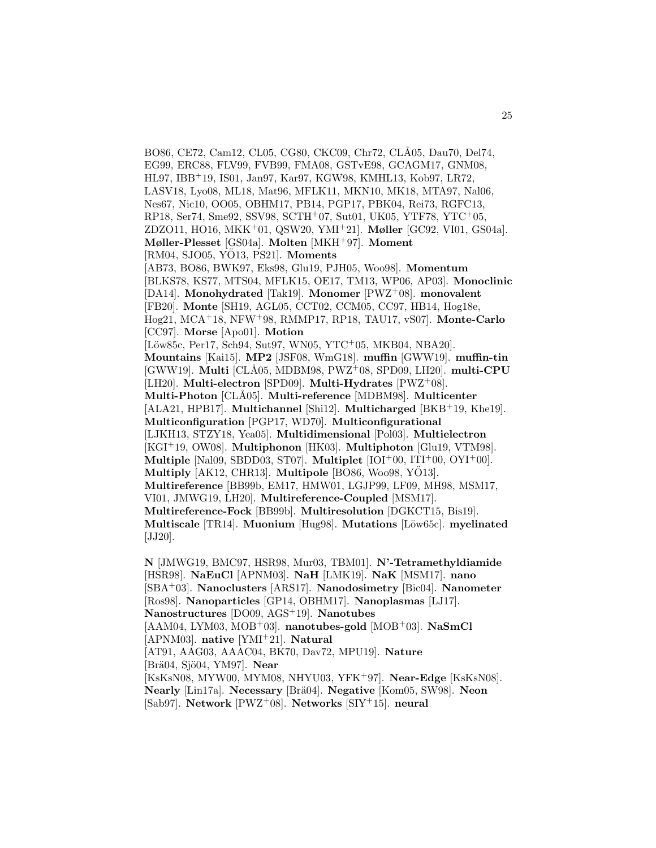BO86, CE72, Cam12, CL05, CG80, CKC09, Chr72, CLÅ05, Dau70, Del74, EG99, ERC88, FLV99, FVB99, FMA08, GSTvE98, GCAGM17, GNM08, HL97, IBB<sup>+</sup>19, IS01, Jan97, Kar97, KGW98, KMHL13, Kob97, LR72, LASV18, Lyo08, ML18, Mat96, MFLK11, MKN10, MK18, MTA97, Nal06, Nes67, Nic10, OO05, OBHM17, PB14, PGP17, PBK04, Rei73, RGFC13, RP18, Ser74, Sme92, SSV98, SCTH<sup>+</sup>07, Sut01, UK05, YTF78, YTC<sup>+</sup>05, ZDZO11, HO16, MKK<sup>+</sup>01, QSW20, YMI<sup>+</sup>21]. **Møller** [GC92, VI01, GS04a]. **Møller-Plesset** [GS04a]. **Molten** [MKH<sup>+</sup>97]. **Moment** [RM04, SJO05, YÖ13, PS21]. **Moments** [AB73, BO86, BWK97, Eks98, Glu19, PJH05, Woo98]. **Momentum** [BLKS78, KS77, MTS04, MFLK15, OE17, TM13, WP06, AP03]. **Monoclinic** [DA14]. **Monohydrated** [Tak19]. **Monomer** [PWZ<sup>+</sup>08]. **monovalent** [FB20]. **Monte** [SH19, AGL05, CCT02, CCM05, CC97, HB14, Hog18e, Hog21, MCA<sup>+</sup>18, NFW<sup>+</sup>98, RMMP17, RP18, TAU17, vS07]. **Monte-Carlo** [CC97]. **Morse** [Apo01]. **Motion**  $[L\ddot{\text{ow}}85c, \text{Per17}, \text{Sch}94, \text{Sut}97, \text{WN}05, \text{YTC}^+05, \text{MK}B04, \text{NBA20}].$ **Mountains** [Kai15]. **MP2** [JSF08, WmG18]. **muffin** [GWW19]. **muffin-tin** [GWW19]. **Multi** [CL˚A05, MDBM98, PWZ<sup>+</sup>08, SPD09, LH20]. **multi-CPU** [LH20]. **Multi-electron** [SPD09]. **Multi-Hydrates** [PWZ<sup>+</sup>08]. **Multi-Photon** [CL˚A05]. **Multi-reference** [MDBM98]. **Multicenter** [ALA21, HPB17]. **Multichannel** [Shi12]. **Multicharged** [BKB<sup>+</sup>19, Khe19]. **Multiconfiguration** [PGP17, WD70]. **Multiconfigurational** [LJKH13, STZY18, Yea05]. **Multidimensional** [Pol03]. **Multielectron** [KGI<sup>+</sup>19, OW08]. **Multiphonon** [HK03]. **Multiphoton** [Glu19, VTM98]. **Multiple** [Nal09, SBDD03, ST07]. **Multiplet** [IOI<sup>+</sup>00, ITI<sup>+</sup>00, OYI<sup>+</sup>00]. **Multiply** [AK12, CHR13]. **Multipole** [BO86, Woo98, YO13]. **Multireference** [BB99b, EM17, HMW01, LGJP99, LF09, MH98, MSM17, VI01, JMWG19, LH20]. **Multireference-Coupled** [MSM17]. **Multireference-Fock** [BB99b]. **Multiresolution** [DGKCT15, Bis19]. **Multiscale** [TR14]. **Muonium** [Hug98]. **Mutations** [Löw65c]. **myelinated** [ $JJ20$ ].

**N** [JMWG19, BMC97, HSR98, Mur03, TBM01]. **N'-Tetramethyldiamide** [HSR98]. **NaEuCl** [APNM03]. **NaH** [LMK19]. **NaK** [MSM17]. **nano** [SBA<sup>+</sup>03]. **Nanoclusters** [ARS17]. **Nanodosimetry** [Bic04]. **Nanometer** [Ros98]. **Nanoparticles** [GP14, OBHM17]. **Nanoplasmas** [LJ17]. **Nanostructures** [DO09, AGS<sup>+</sup>19]. **Nanotubes** [AAM04, LYM03, MOB<sup>+</sup>03]. **nanotubes-gold** [MOB<sup>+</sup>03]. **NaSmCl** [APNM03]. **native** [YMI<sup>+</sup>21]. **Natural** [AT91, AAG03, AAAC04, BK70, Dav72, MPU19]. **Nature** [Brä04, Sjö04, YM97]. **Near** [KsKsN08, MYW00, MYM08, NHYU03, YFK<sup>+</sup>97]. **Near-Edge** [KsKsN08]. **Nearly** [Lin17a]. **Necessary** [Brä04]. **Negative** [Kom05, SW98]. **Neon** [Sab97]. **Network** [PWZ<sup>+</sup>08]. **Networks** [SIY<sup>+</sup>15]. **neural**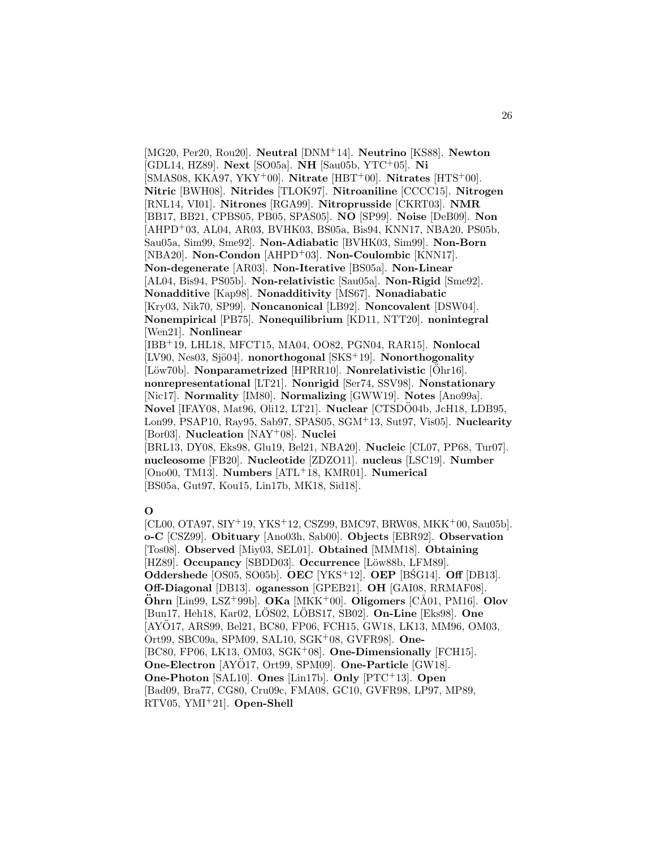[MG20, Per20, Rou20]. **Neutral** [DNM<sup>+</sup>14]. **Neutrino** [KS88]. **Newton** [GDL14, HZ89]. **Next** [SO05a]. **NH** [Sau05b, YTC<sup>+</sup>05]. **Ni** [SMAS08, KKA97, YKY<sup>+</sup>00]. **Nitrate** [HBT<sup>+</sup>00]. **Nitrates** [HTS<sup>+</sup>00]. **Nitric** [BWH08]. **Nitrides** [TLOK97]. **Nitroaniline** [CCCC15]. **Nitrogen** [RNL14, VI01]. **Nitrones** [RGA99]. **Nitroprusside** [CKRT03]. **NMR** [BB17, BB21, CPBS05, PB05, SPAS05]. **NO** [SP99]. **Noise** [DeB09]. **Non** [AHPD<sup>+</sup>03, AL04, AR03, BVHK03, BS05a, Bis94, KNN17, NBA20, PS05b, Sau05a, Sim99, Sme92]. **Non-Adiabatic** [BVHK03, Sim99]. **Non-Born** [NBA20]. **Non-Condon** [AHPD<sup>+</sup>03]. **Non-Coulombic** [KNN17]. **Non-degenerate** [AR03]. **Non-Iterative** [BS05a]. **Non-Linear** [AL04, Bis94, PS05b]. **Non-relativistic** [Sau05a]. **Non-Rigid** [Sme92]. **Nonadditive** [Kap98]. **Nonadditivity** [MS67]. **Nonadiabatic** [Kry03, Nik70, SP99]. **Noncanonical** [LB92]. **Noncovalent** [DSW04]. **Nonempirical** [PB75]. **Nonequilibrium** [KD11, NTT20]. **nonintegral** [Wen21]. **Nonlinear** [IBB<sup>+</sup>19, LHL18, MFCT15, MA04, OO82, PGN04, RAR15]. **Nonlocal** [LV90, Nes03, Sjö04]. **nonorthogonal** [SKS<sup>+</sup>19]. **Nonorthogonality** [Löw70b]. **Nonparametrized** [HPRR10]. **Nonrelativistic** [Ohr16]. **nonrepresentational** [LT21]. **Nonrigid** [Ser74, SSV98]. **Nonstationary** [Nic17]. **Normality** [IM80]. **Normalizing** [GWW19]. **Notes** [Ano99a]. **Novel** [IFAY08, Mat96, Oli12, LT21]. **Nuclear** [CTSDO04b, JcH18, LDB95, Lon99, PSAP10, Ray95, Sab97, SPAS05, SGM<sup>+</sup>13, Sut97, Vis05]. **Nuclearity** [Bor03]. **Nucleation** [NAY<sup>+</sup>08]. **Nuclei** [BRL13, DY08, Eks98, Glu19, Bel21, NBA20]. **Nucleic** [CL07, PP68, Tur07]. **nucleosome** [FB20]. **Nucleotide** [ZDZO11]. **nucleus** [LSC19]. **Number** [Ono00, TM13]. **Numbers** [ATL<sup>+</sup>18, KMR01]. **Numerical** [BS05a, Gut97, Kou15, Lin17b, MK18, Sid18].

## **O**

[CL00, OTA97, SIY<sup>+</sup>19, YKS<sup>+</sup>12, CSZ99, BMC97, BRW08, MKK<sup>+</sup>00, Sau05b]. **o-C** [CSZ99]. **Obituary** [Ano03h, Sab00]. **Objects** [EBR92]. **Observation** [Tos08]. **Observed** [Miy03, SEL01]. **Obtained** [MMM18]. **Obtaining** [HZ89]. **Occupancy** [SBDD03]. **Occurrence** [Löw88b, LFM89]. **Oddershede** [OS05, SO05b]. **OEC** [YKS<sup>+</sup>12]. **OEP** [BSG14]. **Off** [DB13]. **Off-Diagonal** [DB13]. **oganesson** [GPEB21]. **OH** [GAI08, RRMAF08]. **Öhrn** [Lin99, LSZ<sup>+</sup>99b]. **OKa** [MKK<sup>+</sup>00]. **Oligomers** [CÅ01, PM16]. **Olov** [Bun17, Heh18, Kar02, LÖS02, LÖBS17, SB02]. **On-Line** [Eks98]. **One** [AYO17, ARS99, Bel21, BC80, FP06, FCH15, GW18, LK13, MM96, OM03, ¨ Ort99, SBC09a, SPM09, SAL10, SGK<sup>+</sup>08, GVFR98]. **One-** [BC80, FP06, LK13, OM03, SGK<sup>+</sup>08]. **One-Dimensionally** [FCH15]. **One-Electron** [AYÖ17, Ort99, SPM09]. **One-Particle** [GW18]. **One-Photon** [SAL10]. **Ones** [Lin17b]. **Only** [PTC<sup>+</sup>13]. **Open** [Bad09, Bra77, CG80, Cru09c, FMA08, GC10, GVFR98, LP97, MP89, RTV05, YMI<sup>+</sup>21]. **Open-Shell**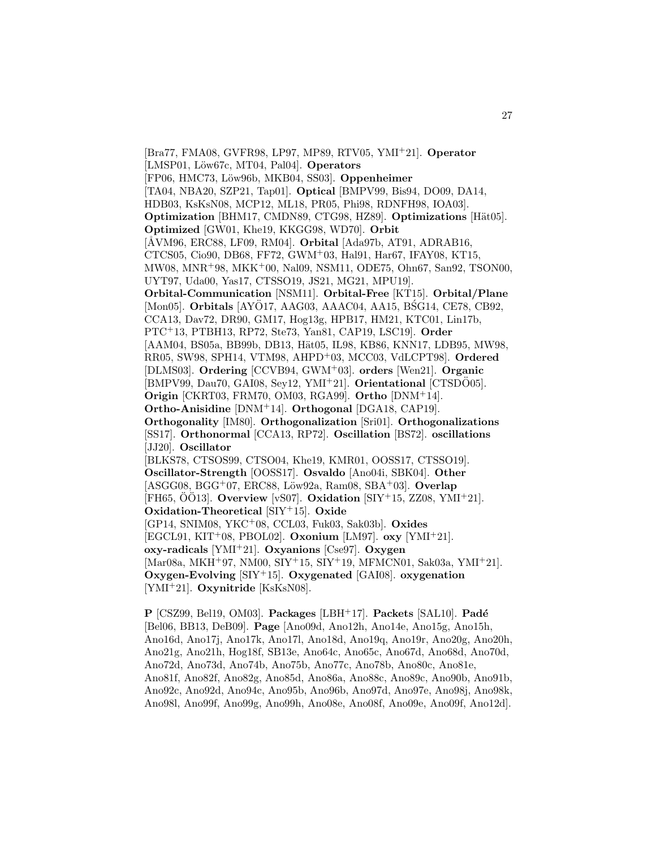[Bra77, FMA08, GVFR98, LP97, MP89, RTV05, YMI<sup>+</sup>21]. **Operator** [LMSP01, Löw67c, MT04, Pal04]. **Operators** [FP06, HMC73, L¨ow96b, MKB04, SS03]. **Oppenheimer** [TA04, NBA20, SZP21, Tap01]. **Optical** [BMPV99, Bis94, DO09, DA14, HDB03, KsKsN08, MCP12, ML18, PR05, Phi98, RDNFH98, IOA03]. **Optimization** [BHM17, CMDN89, CTG98, HZ89]. **Optimizations** [Hät05]. **Optimized** [GW01, Khe19, KKGG98, WD70]. **Orbit** [ÅVM96, ERC88, LF09, RM04]. **Orbital** [Ada97b, AT91, ADRAB16, CTCS05, Cio90, DB68, FF72, GWM<sup>+</sup>03, Hal91, Har67, IFAY08, KT15, MW08, MNR<sup>+</sup>98, MKK<sup>+</sup>00, Nal09, NSM11, ODE75, Ohn67, San92, TSON00, UYT97, Uda00, Yas17, CTSSO19, JS21, MG21, MPU19]. **Orbital-Communication** [NSM11]. **Orbital-Free** [KT15]. **Orbital/Plane** [Mon05]. **Orbitals** [AYO17, AAG03, AAAC04, AA15, BSG14, CE78, CB92, CCA13, Dav72, DR90, GM17, Hog13g, HPB17, HM21, KTC01, Lin17b, PTC<sup>+</sup>13, PTBH13, RP72, Ste73, Yan81, CAP19, LSC19]. **Order** [AAM04, BS05a, BB99b, DB13, Hät05, IL98, KB86, KNN17, LDB95, MW98, RR05, SW98, SPH14, VTM98, AHPD<sup>+</sup>03, MCC03, VdLCPT98]. **Ordered** [DLMS03]. **Ordering** [CCVB94, GWM<sup>+</sup>03]. **orders** [Wen21]. **Organic** [BMPV99, Dau70, GAI08, Sey12, YMI<sup>+</sup>21]. **Orientational** [CTSDO05]. **Origin** [CKRT03, FRM70, OM03, RGA99]. **Ortho** [DNM<sup>+</sup>14]. **Ortho-Anisidine** [DNM<sup>+</sup>14]. **Orthogonal** [DGA18, CAP19]. **Orthogonality** [IM80]. **Orthogonalization** [Sri01]. **Orthogonalizations** [SS17]. **Orthonormal** [CCA13, RP72]. **Oscillation** [BS72]. **oscillations** [JJ20]. **Oscillator** [BLKS78, CTSOS99, CTSO04, Khe19, KMR01, OOSS17, CTSSO19]. **Oscillator-Strength** [OOSS17]. **Osvaldo** [Ano04i, SBK04]. **Other** [ASGG08, BGG<sup>+</sup>07, ERC88, Löw92a, Ram08, SBA<sup>+</sup>03]. **Overlap** [FH65, ÖÖ13]. **Overview** [vS07]. **Oxidation** [SIY+15, ZZ08, YMI+21]. **Oxidation-Theoretical** [SIY<sup>+</sup>15]. **Oxide** [GP14, SNIM08, YKC<sup>+</sup>08, CCL03, Fuk03, Sak03b]. **Oxides** [EGCL91, KIT<sup>+</sup>08, PBOL02]. **Oxonium** [LM97]. **oxy** [YMI<sup>+</sup>21]. **oxy-radicals** [YMI<sup>+</sup>21]. **Oxyanions** [Cse97]. **Oxygen** [Mar08a, MKH<sup>+</sup>97, NM00, SIY<sup>+</sup>15, SIY<sup>+</sup>19, MFMCN01, Sak03a, YMI<sup>+</sup>21]. **Oxygen-Evolving** [SIY<sup>+</sup>15]. **Oxygenated** [GAI08]. **oxygenation** [YMI<sup>+</sup>21]. **Oxynitride** [KsKsN08].

**P** [CSZ99, Bel19, OM03]. **Packages** [LBH<sup>+</sup>17]. **Packets** [SAL10]. **Pad´e** [Bel06, BB13, DeB09]. **Page** [Ano09d, Ano12h, Ano14e, Ano15g, Ano15h, Ano16d, Ano17j, Ano17k, Ano17l, Ano18d, Ano19q, Ano19r, Ano20g, Ano20h, Ano21g, Ano21h, Hog18f, SB13e, Ano64c, Ano65c, Ano67d, Ano68d, Ano70d, Ano72d, Ano73d, Ano74b, Ano75b, Ano77c, Ano78b, Ano80c, Ano81e, Ano81f, Ano82f, Ano82g, Ano85d, Ano86a, Ano88c, Ano89c, Ano90b, Ano91b, Ano92c, Ano92d, Ano94c, Ano95b, Ano96b, Ano97d, Ano97e, Ano98j, Ano98k, Ano98l, Ano99f, Ano99g, Ano99h, Ano08e, Ano08f, Ano09e, Ano09f, Ano12d].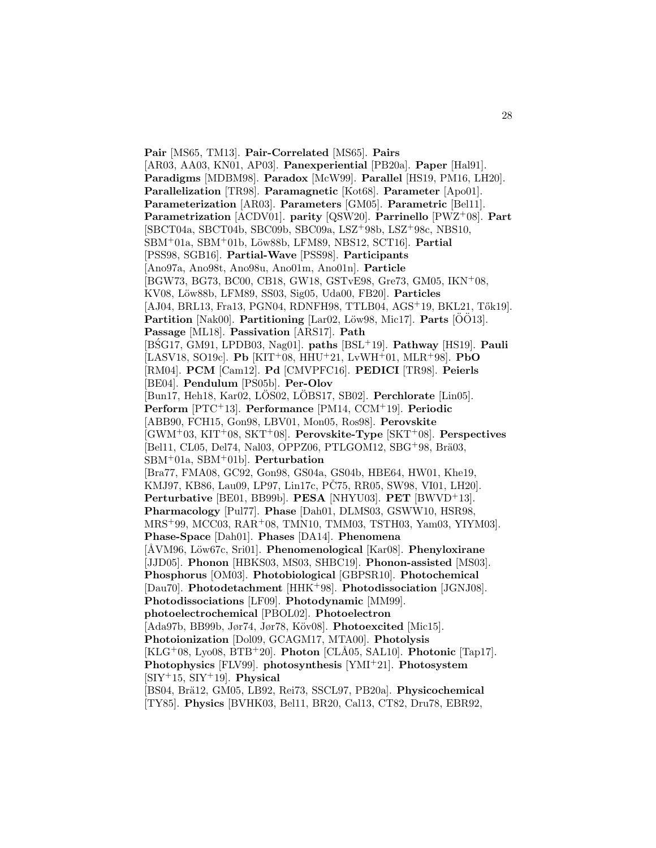**Pair** [MS65, TM13]. **Pair-Correlated** [MS65]. **Pairs** [AR03, AA03, KN01, AP03]. **Panexperiential** [PB20a]. **Paper** [Hal91]. **Paradigms** [MDBM98]. **Paradox** [McW99]. **Parallel** [HS19, PM16, LH20]. **Parallelization** [TR98]. **Paramagnetic** [Kot68]. **Parameter** [Apo01]. **Parameterization** [AR03]. **Parameters** [GM05]. **Parametric** [Bel11]. **Parametrization** [ACDV01]. **parity** [QSW20]. **Parrinello** [PWZ<sup>+</sup>08]. **Part** [SBCT04a, SBCT04b, SBC09b, SBC09a, LSZ<sup>+</sup>98b, LSZ<sup>+</sup>98c, NBS10, SBM<sup>+</sup>01a, SBM<sup>+</sup>01b, L¨ow88b, LFM89, NBS12, SCT16]. **Partial** [PSS98, SGB16]. **Partial-Wave** [PSS98]. **Participants** [Ano97a, Ano98t, Ano98u, Ano01m, Ano01n]. **Particle** [BGW73, BG73, BC00, CB18, GW18, GSTvE98, Gre73, GM05, IKN<sup>+</sup>08, KV08, Löw88b, LFM89, SS03, Sig05, Uda00, FB20]. Particles [AJ04, BRL13, Fra13, PGN04, RDNFH98, TTLB04, AGS+19, BKL21, Tők19]. **Partition** [Nak00]. **Partitioning** [Lar02, Löw98, Mic17]. **Parts** [OO13]. **Passage** [ML18]. **Passivation** [ARS17]. **Path** [BSG17, GM91, LPDB03, Nag01]. ´ **paths** [BSL<sup>+</sup>19]. **Pathway** [HS19]. **Pauli** [LASV18, SO19c]. **Pb** [KIT<sup>+</sup>08, HHU<sup>+</sup>21, LvWH<sup>+</sup>01, MLR<sup>+</sup>98]. **PbO** [RM04]. **PCM** [Cam12]. **Pd** [CMVPFC16]. **PEDICI** [TR98]. **Peierls** [BE04]. **Pendulum** [PS05b]. **Per-Olov** [Bun17, Heh18, Kar02, LOS02, LOBS17, SB02]. **Perchlorate** [Lin05]. **Perform** [PTC<sup>+</sup>13]. **Performance** [PM14, CCM<sup>+</sup>19]. **Periodic** [ABB90, FCH15, Gon98, LBV01, Mon05, Ros98]. **Perovskite** [GWM<sup>+</sup>03, KIT<sup>+</sup>08, SKT<sup>+</sup>08]. **Perovskite-Type** [SKT<sup>+</sup>08]. **Perspectives** [Bel11, CL05, Del74, Nal03, OPPZ06, PTLGOM12, SBG+98, Brä03, SBM<sup>+</sup>01a, SBM<sup>+</sup>01b]. **Perturbation** [Bra77, FMA08, GC92, Gon98, GS04a, GS04b, HBE64, HW01, Khe19, KMJ97, KB86, Lau09, LP97, Lin17c, PČ75, RR05, SW98, VI01, LH20]. **Perturbative** [BE01, BB99b]. **PESA** [NHYU03]. **PET** [BWVD<sup>+</sup>13]. **Pharmacology** [Pul77]. **Phase** [Dah01, DLMS03, GSWW10, HSR98, MRS<sup>+</sup>99, MCC03, RAR<sup>+</sup>08, TMN10, TMM03, TSTH03, Yam03, YIYM03]. **Phase-Space** [Dah01]. **Phases** [DA14]. **Phenomena** [ÅVM96, Löw67c, Sri01]. **Phenomenological** [Kar08]. **Phenyloxirane** [JJD05]. **Phonon** [HBKS03, MS03, SHBC19]. **Phonon-assisted** [MS03]. **Phosphorus** [OM03]. **Photobiological** [GBPSR10]. **Photochemical** [Dau70]. **Photodetachment** [HHK<sup>+</sup>98]. **Photodissociation** [JGNJ08]. **Photodissociations** [LF09]. **Photodynamic** [MM99]. **photoelectrochemical** [PBOL02]. **Photoelectron** [Ada97b, BB99b, Jør74, Jør78, Köv08]. **Photoexcited** [Mic15]. **Photoionization** [Dol09, GCAGM17, MTA00]. **Photolysis**  $[KLG<sup>+</sup>08, Ly<sub>0</sub>08, BTB<sup>+</sup>20].$  **Photon** [CLÅ05, SAL10]. **Photonic** [Tap17]. **Photophysics** [FLV99]. **photosynthesis** [YMI<sup>+</sup>21]. **Photosystem** [SIY<sup>+</sup>15, SIY<sup>+</sup>19]. **Physical** [BS04, Brä12, GM05, LB92, Rei73, SSCL97, PB20a]. Physicochemical [TY85]. **Physics** [BVHK03, Bel11, BR20, Cal13, CT82, Dru78, EBR92,

28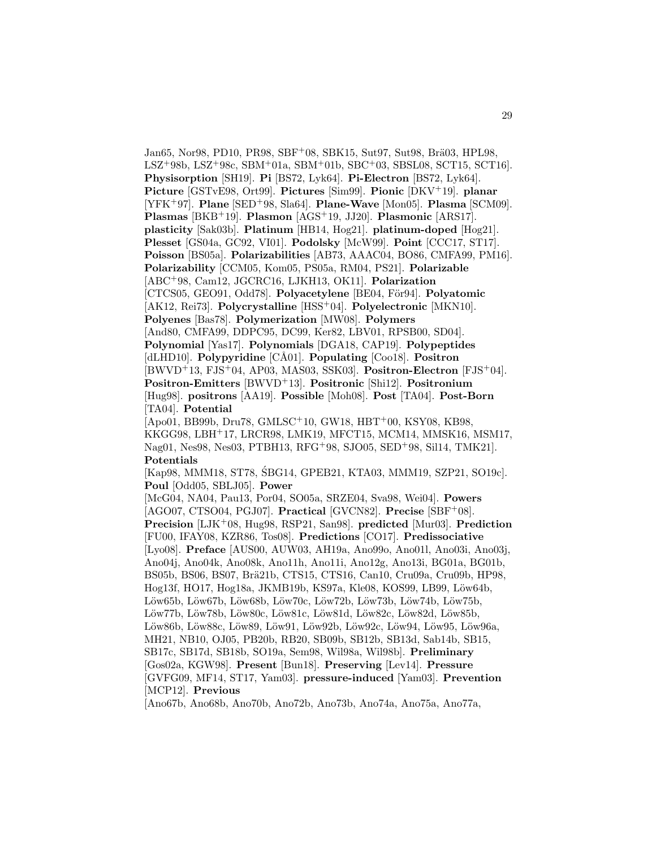Jan65, Nor98, PD10, PR98, SBF<sup>+</sup>08, SBK15, Sut97, Sut98, Brä03, HPL98, LSZ<sup>+</sup>98b, LSZ<sup>+</sup>98c, SBM<sup>+</sup>01a, SBM<sup>+</sup>01b, SBC<sup>+</sup>03, SBSL08, SCT15, SCT16]. **Physisorption** [SH19]. **Pi** [BS72, Lyk64]. **Pi-Electron** [BS72, Lyk64]. **Picture** [GSTvE98, Ort99]. **Pictures** [Sim99]. **Pionic** [DKV<sup>+</sup>19]. **planar** [YFK<sup>+</sup>97]. **Plane** [SED<sup>+</sup>98, Sla64]. **Plane-Wave** [Mon05]. **Plasma** [SCM09]. **Plasmas** [BKB<sup>+</sup>19]. **Plasmon** [AGS<sup>+</sup>19, JJ20]. **Plasmonic** [ARS17]. **plasticity** [Sak03b]. **Platinum** [HB14, Hog21]. **platinum-doped** [Hog21]. **Plesset** [GS04a, GC92, VI01]. **Podolsky** [McW99]. **Point** [CCC17, ST17]. **Poisson** [BS05a]. **Polarizabilities** [AB73, AAAC04, BO86, CMFA99, PM16]. **Polarizability** [CCM05, Kom05, PS05a, RM04, PS21]. **Polarizable** [ABC<sup>+</sup>98, Cam12, JGCRC16, LJKH13, OK11]. **Polarization** [CTCS05, GEO91, Odd78]. **Polyacetylene** [BE04, För94]. **Polyatomic** [AK12, Rei73]. **Polycrystalline** [HSS<sup>+</sup>04]. **Polyelectronic** [MKN10]. **Polyenes** [Bas78]. **Polymerization** [MW08]. **Polymers** [And80, CMFA99, DDPC95, DC99, Ker82, LBV01, RPSB00, SD04]. **Polynomial** [Yas17]. **Polynomials** [DGA18, CAP19]. **Polypeptides** [dLHD10]. **Polypyridine** [CÅ01]. **Populating** [Coo18]. **Positron** [BWVD<sup>+</sup>13, FJS<sup>+</sup>04, AP03, MAS03, SSK03]. **Positron-Electron** [FJS<sup>+</sup>04]. **Positron-Emitters** [BWVD<sup>+</sup>13]. **Positronic** [Shi12]. **Positronium** [Hug98]. **positrons** [AA19]. **Possible** [Moh08]. **Post** [TA04]. **Post-Born** [TA04]. **Potential** [Apo01, BB99b, Dru78, GMLSC<sup>+</sup>10, GW18, HBT<sup>+</sup>00, KSY08, KB98,

KKGG98, LBH<sup>+</sup>17, LRCR98, LMK19, MFCT15, MCM14, MMSK16, MSM17, Nag01, Nes98, Nes03, PTBH13, RFG<sup>+</sup>98, SJO05, SED<sup>+</sup>98, Sil14, TMK21]. **Potentials**

[Kap98, MMM18, ST78, SBG14, GPEB21, KTA03, MMM19, SZP21, SO19c]. ´ **Poul** [Odd05, SBLJ05]. **Power**

[McG04, NA04, Pau13, Por04, SO05a, SRZE04, Sva98, Wei04]. **Powers** [AGO07, CTSO04, PGJ07]. **Practical** [GVCN82]. **Precise** [SBF<sup>+</sup>08]. **Precision** [LJK<sup>+</sup>08, Hug98, RSP21, San98]. **predicted** [Mur03]. **Prediction** [FU00, IFAY08, KZR86, Tos08]. **Predictions** [CO17]. **Predissociative** [Lyo08]. **Preface** [AUS00, AUW03, AH19a, Ano99o, Ano01l, Ano03i, Ano03j, Ano04j, Ano04k, Ano08k, Ano11h, Ano11i, Ano12g, Ano13i, BG01a, BG01b, BS05b, BS06, BS07, Brä21b, CTS15, CTS16, Can10, Cru09a, Cru09b, HP98, Hog13f, HO17, Hog18a, JKMB19b, KS97a, Kle08, KOS99, LB99, Löw64b, Löw65b, Löw67b, Löw68b, Löw70c, Löw72b, Löw73b, Löw74b, Löw75b, Löw77b, Löw78b, Löw80c, Löw81c, Löw81d, Löw82c, Löw82d, Löw85b, Löw86b, Löw88c, Löw89, Löw91, Löw92b, Löw92c, Löw94, Löw95, Löw96a, MH21, NB10, OJ05, PB20b, RB20, SB09b, SB12b, SB13d, Sab14b, SB15, SB17c, SB17d, SB18b, SO19a, Sem98, Wil98a, Wil98b]. **Preliminary** [Gos02a, KGW98]. **Present** [Bun18]. **Preserving** [Lev14]. **Pressure** [GVFG09, MF14, ST17, Yam03]. **pressure-induced** [Yam03]. **Prevention** [MCP12]. **Previous**

[Ano67b, Ano68b, Ano70b, Ano72b, Ano73b, Ano74a, Ano75a, Ano77a,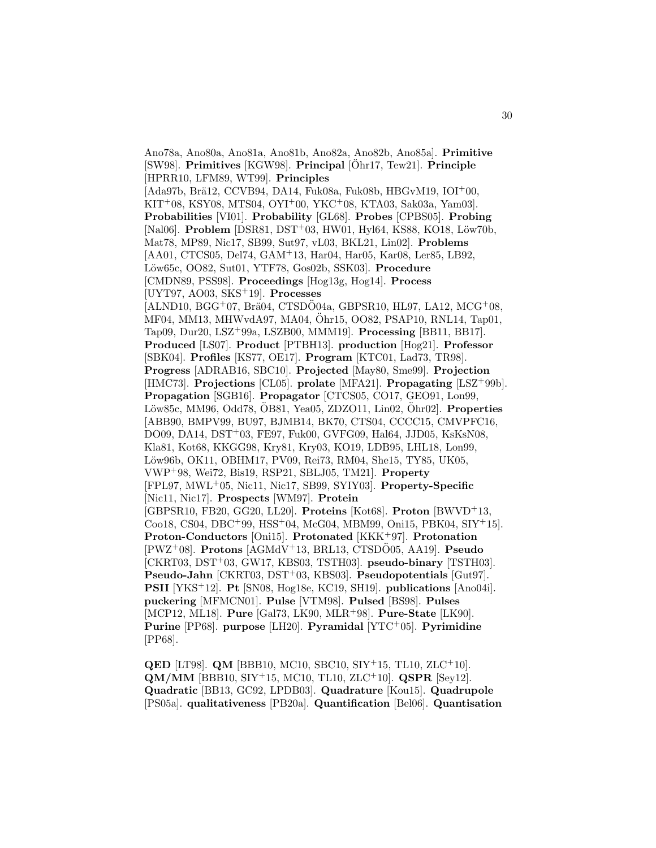Ano78a, Ano80a, Ano81a, Ano81b, Ano82a, Ano82b, Ano85a]. **Primitive** [SW98]. **Primitives** [KGW98]. **Principal** [ $\ddot{\text{O}}$ hr17, Tew21]. **Principle** [HPRR10, LFM89, WT99]. **Principles**  $[Ada97b, Br\ddot{a}12, CCVB94, DA14, Fuk08a, Fuk08b, HBGvM19, IOI<sup>+</sup>00,$ KIT<sup>+</sup>08, KSY08, MTS04, OYI<sup>+</sup>00, YKC<sup>+</sup>08, KTA03, Sak03a, Yam03]. **Probabilities** [VI01]. **Probability** [GL68]. **Probes** [CPBS05]. **Probing** [Nal06]. **Problem** [DSR81, DST<sup>+</sup>03, HW01, Hyl64, KS88, KO18, Löw70b, Mat78, MP89, Nic17, SB99, Sut97, vL03, BKL21, Lin02]. **Problems** [AA01, CTCS05, Del74, GAM<sup>+</sup>13, Har04, Har05, Kar08, Ler85, LB92, L¨ow65c, OO82, Sut01, YTF78, Gos02b, SSK03]. **Procedure** [CMDN89, PSS98]. **Proceedings** [Hog13g, Hog14]. **Process** [UYT97, AO03, SKS<sup>+</sup>19]. **Processes**  $[ALND10, BGG<sup>+</sup>07, Brä04, CTSDÖ04a, GBPSR10, HL97, LA12, MCG<sup>+</sup>08,$ MF04, MM13, MHWvdA97, MA04, Ohr15, OO82, PSAP10, RNL14, Tap01, ¨ Tap09, Dur20, LSZ<sup>+</sup>99a, LSZB00, MMM19]. **Processing** [BB11, BB17]. **Produced** [LS07]. **Product** [PTBH13]. **production** [Hog21]. **Professor** [SBK04]. **Profiles** [KS77, OE17]. **Program** [KTC01, Lad73, TR98]. **Progress** [ADRAB16, SBC10]. **Projected** [May80, Sme99]. **Projection** [HMC73]. **Projections** [CL05]. **prolate** [MFA21]. **Propagating** [LSZ<sup>+</sup>99b]. **Propagation** [SGB16]. **Propagator** [CTCS05, CO17, GEO91, Lon99, Löw85c, MM96, Odd78, OB81, Yea05, ZDZO11, Lin02, Ohr02]. **Properties** [ABB90, BMPV99, BU97, BJMB14, BK70, CTS04, CCCC15, CMVPFC16, DO09, DA14, DST+03, FE97, Fuk00, GVFG09, Hal64, JJD05, KsKsN08, Kla81, Kot68, KKGG98, Kry81, Kry03, KO19, LDB95, LHL18, Lon99, Löw96b, OK11, OBHM17, PV09, Rei73, RM04, She15, TY85, UK05, VWP<sup>+</sup>98, Wei72, Bis19, RSP21, SBLJ05, TM21]. **Property** [FPL97, MWL<sup>+</sup>05, Nic11, Nic17, SB99, SYIY03]. **Property-Specific** [Nic11, Nic17]. **Prospects** [WM97]. **Protein** [GBPSR10, FB20, GG20, LL20]. **Proteins** [Kot68]. **Proton** [BWVD<sup>+</sup>13, Coo18, CS04, DBC<sup>+</sup>99, HSS<sup>+</sup>04, McG04, MBM99, Oni15, PBK04, SIY<sup>+</sup>15]. **Proton-Conductors** [Oni15]. **Protonated** [KKK<sup>+</sup>97]. **Protonation**  $[PWZ^+08]$ . **Protons**  $[AGMdV^+13, BRL13, CTSDO05, AA19]$ . **Pseudo** [CKRT03, DST<sup>+</sup>03, GW17, KBS03, TSTH03]. **pseudo-binary** [TSTH03]. **Pseudo-Jahn** [CKRT03, DST<sup>+</sup>03, KBS03]. **Pseudopotentials** [Gut97]. **PSII** [YKS<sup>+</sup>12]. **Pt** [SN08, Hog18e, KC19, SH19]. **publications** [Ano04i]. **puckering** [MFMCN01]. **Pulse** [VTM98]. **Pulsed** [BS98]. **Pulses** [MCP12, ML18]. **Pure** [Gal73, LK90, MLR<sup>+</sup>98]. **Pure-State** [LK90]. **Purine** [PP68]. **purpose** [LH20]. **Pyramidal** [YTC<sup>+</sup>05]. **Pyrimidine** [PP68].

**QED** [LT98]. **QM** [BBB10, MC10, SBC10, SIY<sup>+</sup>15, TL10, ZLC<sup>+</sup>10]. **QM/MM** [BBB10, SIY<sup>+</sup>15, MC10, TL10, ZLC<sup>+</sup>10]. **QSPR** [Sey12]. **Quadratic** [BB13, GC92, LPDB03]. **Quadrature** [Kou15]. **Quadrupole** [PS05a]. **qualitativeness** [PB20a]. **Quantification** [Bel06]. **Quantisation**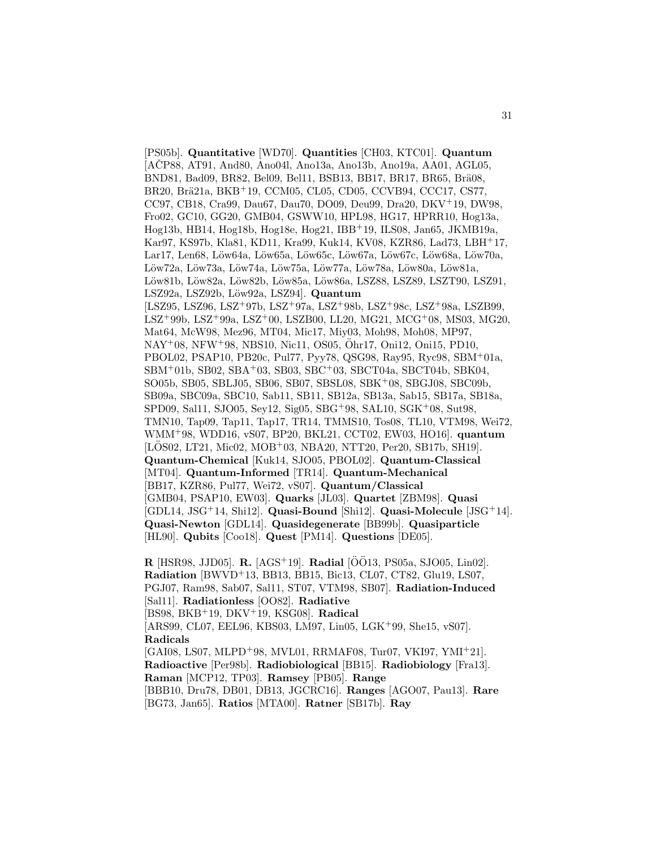[PS05b]. **Quantitative** [WD70]. **Quantities** [CH03, KTC01]. **Quantum** [AČP88, AT91, And80, Ano04l, Ano13a, Ano13b, Ano19a, AA01, AGL05, BND81, Bad09, BR82, Bel09, Bel11, BSB13, BB17, BR17, BR65, Brä08, BR20, Brä21a, BKB<sup>+</sup>19, CCM05, CL05, CD05, CCVB94, CCC17, CS77, CC97, CB18, Cra99, Dau67, Dau70, DO09, Deu99, Dra20, DKV<sup>+</sup>19, DW98, Fro02, GC10, GG20, GMB04, GSWW10, HPL98, HG17, HPRR10, Hog13a, Hog13b, HB14, Hog18b, Hog18e, Hog21, IBB<sup>+</sup>19, ILS08, Jan65, JKMB19a, Kar97, KS97b, Kla81, KD11, Kra99, Kuk14, KV08, KZR86, Lad73, LBH<sup>+</sup>17, Lar17, Len68, Löw64a, Löw65a, Löw65c, Löw67a, Löw67c, Löw68a, Löw70a, Löw72a, Löw73a, Löw74a, Löw75a, Löw77a, Löw78a, Löw80a, Löw81a, Löw81b, Löw82a, Löw82b, Löw85a, Löw86a, LSZ88, LSZ89, LSZT90, LSZ91, LSZ92a, LSZ92b, L¨ow92a, LSZ94]. **Quantum** [LSZ95, LSZ96, LSZ<sup>+</sup>97b, LSZ<sup>+</sup>97a, LSZ<sup>+</sup>98b, LSZ<sup>+</sup>98c, LSZ<sup>+</sup>98a, LSZB99, LSZ<sup>+</sup>99b, LSZ<sup>+</sup>99a, LSZ<sup>+</sup>00, LSZB00, LL20, MG21, MCG<sup>+</sup>08, MS03, MG20, Mat64, McW98, Mez96, MT04, Mic17, Miy03, Moh98, Moh08, MP97, NAY<sup>+</sup>08, NFW<sup>+</sup>98, NBS10, Nic11, OS05, Ohr17, Oni12, Oni15, PD10, ¨ PBOL02, PSAP10, PB20c, Pul77, Pyy78, QSG98, Ray95, Ryc98, SBM<sup>+</sup>01a, SBM<sup>+</sup>01b, SB02, SBA<sup>+</sup>03, SB03, SBC<sup>+</sup>03, SBCT04a, SBCT04b, SBK04, SO05b, SB05, SBLJ05, SB06, SB07, SBSL08, SBK<sup>+</sup>08, SBGJ08, SBC09b, SB09a, SBC09a, SBC10, Sab11, SB11, SB12a, SB13a, Sab15, SB17a, SB18a, SPD09, Sal11, SJO05, Sey12, Sig05, SBG<sup>+</sup>98, SAL10, SGK<sup>+</sup>08, Sut98, TMN10, Tap09, Tap11, Tap17, TR14, TMMS10, Tos08, TL10, VTM98, Wei72, WMM<sup>+</sup>98, WDD16, vS07, BP20, BKL21, CCT02, EW03, HO16]. **quantum**  $[L\ddot{O}S02, LT21, Mic02, MOD<sup>+</sup>03, NBA20, NTT20, Per20, SB17b, SH19].$ **Quantum-Chemical** [Kuk14, SJO05, PBOL02]. **Quantum-Classical** [MT04]. **Quantum-Informed** [TR14]. **Quantum-Mechanical** [BB17, KZR86, Pul77, Wei72, vS07]. **Quantum/Classical** [GMB04, PSAP10, EW03]. **Quarks** [JL03]. **Quartet** [ZBM98]. **Quasi** [GDL14, JSG<sup>+</sup>14, Shi12]. **Quasi-Bound** [Shi12]. **Quasi-Molecule** [JSG<sup>+</sup>14]. **Quasi-Newton** [GDL14]. **Quasidegenerate** [BB99b]. **Quasiparticle** [HL90]. **Qubits** [Coo18]. **Quest** [PM14]. **Questions** [DE05].

**R** [HSR98, JJD05]. **R.**  $[AGS^+19]$ . **Radial**  $[ÖÖ13$ , PS05a, SJO05, Lin02]. **Radiation** [BWVD<sup>+</sup>13, BB13, BB15, Bic13, CL07, CT82, Glu19, LS07, PGJ07, Ram98, Sab07, Sal11, ST07, VTM98, SB07]. **Radiation-Induced** [Sal11]. **Radiationless** [OO82]. **Radiative** [BS98, BKB<sup>+</sup>19, DKV<sup>+</sup>19, KSG08]. **Radical** [ARS99, CL07, EEL96, KBS03, LM97, Lin05, LGK<sup>+</sup>99, She15, vS07]. **Radicals** [GAI08, LS07, MLPD<sup>+</sup>98, MVL01, RRMAF08, Tur07, VKI97, YMI<sup>+</sup>21]. **Radioactive** [Per98b]. **Radiobiological** [BB15]. **Radiobiology** [Fra13]. **Raman** [MCP12, TP03]. **Ramsey** [PB05]. **Range** [BBB10, Dru78, DB01, DB13, JGCRC16]. **Ranges** [AGO07, Pau13]. **Rare** [BG73, Jan65]. **Ratios** [MTA00]. **Ratner** [SB17b]. **Ray**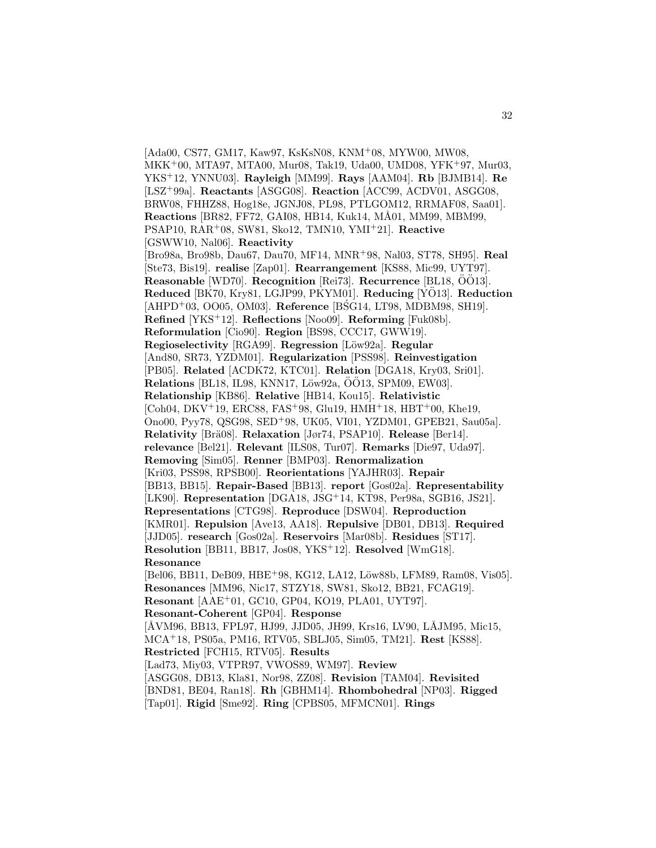[Ada00, CS77, GM17, Kaw97, KsKsN08, KNM<sup>+</sup>08, MYW00, MW08, MKK<sup>+</sup>00, MTA97, MTA00, Mur08, Tak19, Uda00, UMD08, YFK<sup>+</sup>97, Mur03, YKS<sup>+</sup>12, YNNU03]. **Rayleigh** [MM99]. **Rays** [AAM04]. **Rb** [BJMB14]. **Re** [LSZ<sup>+</sup>99a]. **Reactants** [ASGG08]. **Reaction** [ACC99, ACDV01, ASGG08, BRW08, FHHZ88, Hog18e, JGNJ08, PL98, PTLGOM12, RRMAF08, Saa01]. **Reactions** [BR82, FF72, GAI08, HB14, Kuk14, MÅ01, MM99, MBM99, PSAP10, RAR<sup>+</sup>08, SW81, Sko12, TMN10, YMI<sup>+</sup>21]. **Reactive** [GSWW10, Nal06]. **Reactivity** [Bro98a, Bro98b, Dau67, Dau70, MF14, MNR<sup>+</sup>98, Nal03, ST78, SH95]. **Real** [Ste73, Bis19]. **realise** [Zap01]. **Rearrangement** [KS88, Mic99, UYT97]. **Reasonable** [WD70]. **Recognition** [Rei73]. **Recurrence** [BL18,  $\ddot{O}\ddot{O}13$ ]. **Reduced** [BK70, Kry81, LGJP99, PKYM01]. **Reducing** [YO13]. **Reduction** [AHPD<sup>+</sup>03, OO05, OM03]. **Reference** [BSG14, LT98, MDBM98, SH19]. **Refined** [YKS<sup>+</sup>12]. **Reflections** [Noo09]. **Reforming** [Fuk08b]. **Reformulation** [Cio90]. **Region** [BS98, CCC17, GWW19]. **Regioselectivity** [RGA99]. **Regression** [Löw92a]. **Regular** [And80, SR73, YZDM01]. **Regularization** [PSS98]. **Reinvestigation** [PB05]. **Related** [ACDK72, KTC01]. **Relation** [DGA18, Kry03, Sri01]. **Relations** [BL18, IL98, KNN17, Löw92a, ÖÖ13, SPM09, EW03]. **Relationship** [KB86]. **Relative** [HB14, Kou15]. **Relativistic** [Coh04, DKV<sup>+</sup>19, ERC88, FAS<sup>+</sup>98, Glu19, HMH<sup>+</sup>18, HBT<sup>+</sup>00, Khe19, Ono00, Pyy78, QSG98, SED<sup>+</sup>98, UK05, VI01, YZDM01, GPEB21, Sau05a]. **Relativity** [Brä08]. **Relaxation** [Jør74, PSAP10]. **Release** [Ber14]. **relevance** [Bel21]. **Relevant** [ILS08, Tur07]. **Remarks** [Die97, Uda97]. **Removing** [Sim05]. **Renner** [BMP03]. **Renormalization** [Kri03, PSS98, RPSB00]. **Reorientations** [YAJHR03]. **Repair** [BB13, BB15]. **Repair-Based** [BB13]. **report** [Gos02a]. **Representability** [LK90]. **Representation** [DGA18, JSG<sup>+</sup>14, KT98, Per98a, SGB16, JS21]. **Representations** [CTG98]. **Reproduce** [DSW04]. **Reproduction** [KMR01]. **Repulsion** [Ave13, AA18]. **Repulsive** [DB01, DB13]. **Required** [JJD05]. **research** [Gos02a]. **Reservoirs** [Mar08b]. **Residues** [ST17]. **Resolution** [BB11, BB17, Jos08, YKS<sup>+</sup>12]. **Resolved** [WmG18]. **Resonance** [Bel06, BB11, DeB09, HBE+98, KG12, LA12, Löw88b, LFM89, Ram08, Vis05]. **Resonances** [MM96, Nic17, STZY18, SW81, Sko12, BB21, FCAG19]. **Resonant** [AAE<sup>+</sup>01, GC10, GP04, KO19, PLA01, UYT97]. **Resonant-Coherent** [GP04]. **Response** [ÅVM96, BB13, FPL97, HJ99, JJD05, JH99, Krs16, LV90, LÅJM95, Mic15, MCA<sup>+</sup>18, PS05a, PM16, RTV05, SBLJ05, Sim05, TM21]. **Rest** [KS88]. **Restricted** [FCH15, RTV05]. **Results** [Lad73, Miy03, VTPR97, VWOS89, WM97]. **Review** [ASGG08, DB13, Kla81, Nor98, ZZ08]. **Revision** [TAM04]. **Revisited** [BND81, BE04, Ran18]. **Rh** [GBHM14]. **Rhombohedral** [NP03]. **Rigged** [Tap01]. **Rigid** [Sme92]. **Ring** [CPBS05, MFMCN01]. **Rings**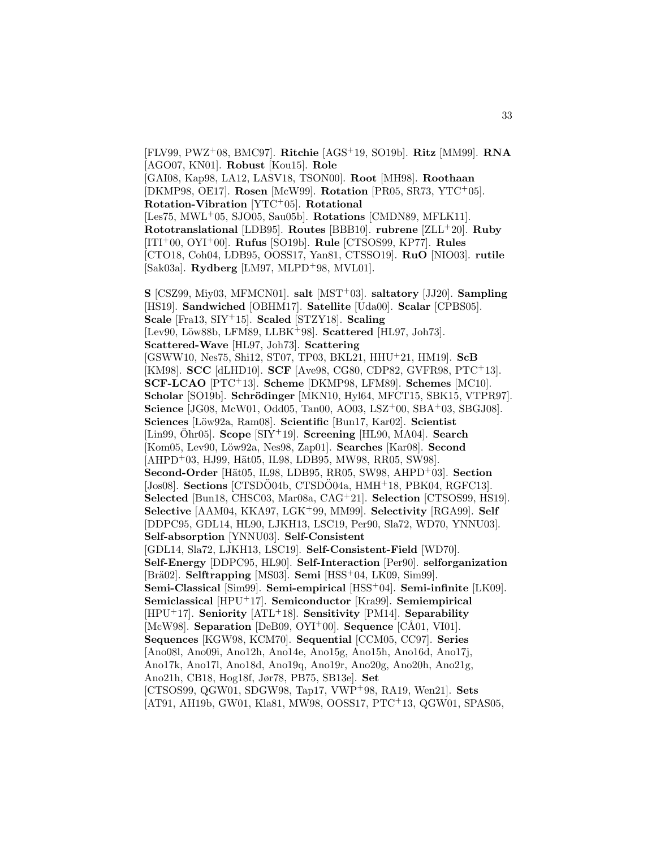[FLV99, PWZ<sup>+</sup>08, BMC97]. **Ritchie** [AGS<sup>+</sup>19, SO19b]. **Ritz** [MM99]. **RNA** [AGO07, KN01]. **Robust** [Kou15]. **Role** [GAI08, Kap98, LA12, LASV18, TSON00]. **Root** [MH98]. **Roothaan** [DKMP98, OE17]. **Rosen** [McW99]. **Rotation** [PR05, SR73, YTC<sup>+</sup>05]. **Rotation-Vibration** [YTC<sup>+</sup>05]. **Rotational** [Les75, MWL<sup>+</sup>05, SJO05, Sau05b]. **Rotations** [CMDN89, MFLK11]. **Rototranslational** [LDB95]. **Routes** [BBB10]. **rubrene** [ZLL<sup>+</sup>20]. **Ruby** [ITI<sup>+</sup>00, OYI<sup>+</sup>00]. **Rufus** [SO19b]. **Rule** [CTSOS99, KP77]. **Rules** [CTO18, Coh04, LDB95, OOSS17, Yan81, CTSSO19]. **RuO** [NIO03]. **rutile** [Sak03a]. **Rydberg** [LM97, MLPD<sup>+</sup>98, MVL01].

**S** [CSZ99, Miy03, MFMCN01]. **salt** [MST<sup>+</sup>03]. **saltatory** [JJ20]. **Sampling** [HS19]. **Sandwiched** [OBHM17]. **Satellite** [Uda00]. **Scalar** [CPBS05]. **Scale** [Fra13, SIY<sup>+</sup>15]. **Scaled** [STZY18]. **Scaling** [Lev90, Löw88b, LFM89, LLBK<sup>+</sup>98]. **Scattered** [HL97, Joh73]. **Scattered-Wave** [HL97, Joh73]. **Scattering** [GSWW10, Nes75, Shi12, ST07, TP03, BKL21, HHU<sup>+</sup>21, HM19]. **ScB** [KM98]. **SCC** [dLHD10]. **SCF** [Ave98, CG80, CDP82, GVFR98, PTC<sup>+</sup>13]. **SCF-LCAO** [PTC<sup>+</sup>13]. **Scheme** [DKMP98, LFM89]. **Schemes** [MC10]. Scholar [SO19b]. Schrödinger [MKN10, Hyl64, MFCT15, SBK15, VTPR97]. **Science** [JG08, McW01, Odd05, Tan00, AO03, LSZ<sup>+</sup>00, SBA<sup>+</sup>03, SBGJ08]. **Sciences** [L¨ow92a, Ram08]. **Scientific** [Bun17, Kar02]. **Scientist** [Lin99, Ohr05]. **Scope** [SIY<sup>+</sup>19]. **Screening** [HL90, MA04]. **Search** [Kom05, Lev90, L¨ow92a, Nes98, Zap01]. **Searches** [Kar08]. **Second** [AHPD+03, HJ99, Hät05, IL98, LDB95, MW98, RR05, SW98]. **Second-Order** [Hät05, IL98, LDB95, RR05, SW98, AHPD<sup>+</sup>03]. **Section**  $[Jos08]$ . **Sections**  $[CTSDO04b, CTSDO04a, HMH<sup>+</sup>18, PBK04, RGFC13]$ . **Selected** [Bun18, CHSC03, Mar08a, CAG<sup>+</sup>21]. **Selection** [CTSOS99, HS19]. **Selective** [AAM04, KKA97, LGK<sup>+</sup>99, MM99]. **Selectivity** [RGA99]. **Self** [DDPC95, GDL14, HL90, LJKH13, LSC19, Per90, Sla72, WD70, YNNU03]. **Self-absorption** [YNNU03]. **Self-Consistent** [GDL14, Sla72, LJKH13, LSC19]. **Self-Consistent-Field** [WD70]. **Self-Energy** [DDPC95, HL90]. **Self-Interaction** [Per90]. **selforganization** [Br¨a02]. **Selftrapping** [MS03]. **Semi** [HSS<sup>+</sup>04, LK09, Sim99]. **Semi-Classical** [Sim99]. **Semi-empirical** [HSS<sup>+</sup>04]. **Semi-infinite** [LK09]. **Semiclassical** [HPU<sup>+</sup>17]. **Semiconductor** [Kra99]. **Semiempirical** [HPU<sup>+</sup>17]. **Seniority** [ATL<sup>+</sup>18]. **Sensitivity** [PM14]. **Separability** [McW98]. **Separation** [DeB09, OYI<sup>+</sup>00]. **Sequence** [CÅ01, VI01]. **Sequences** [KGW98, KCM70]. **Sequential** [CCM05, CC97]. **Series** [Ano08l, Ano09i, Ano12h, Ano14e, Ano15g, Ano15h, Ano16d, Ano17j, Ano17k, Ano17l, Ano18d, Ano19q, Ano19r, Ano20g, Ano20h, Ano21g, Ano21h, CB18, Hog18f, Jør78, PB75, SB13e]. **Set** [CTSOS99, QGW01, SDGW98, Tap17, VWP<sup>+</sup>98, RA19, Wen21]. **Sets** [AT91, AH19b, GW01, Kla81, MW98, OOSS17, PTC<sup>+</sup>13, QGW01, SPAS05,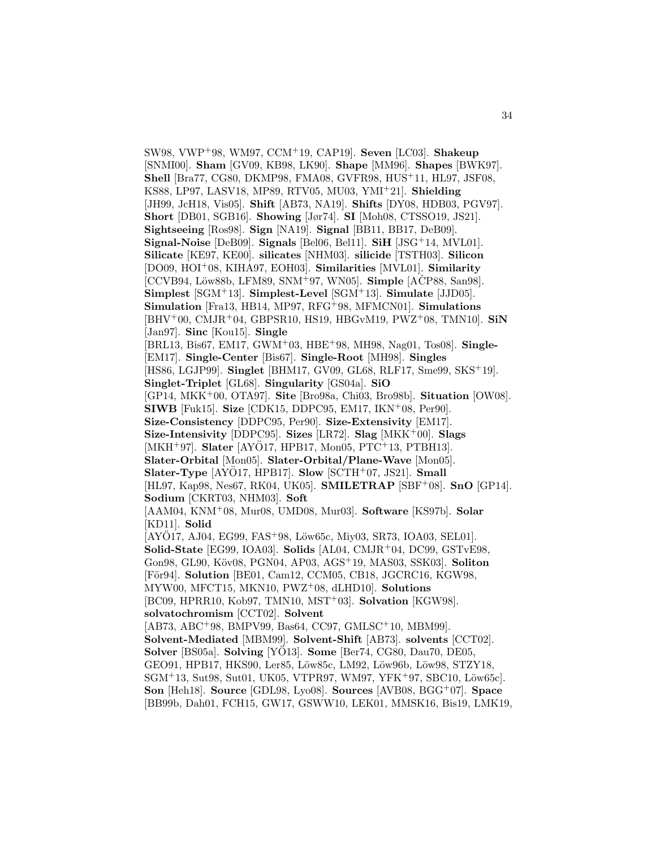SW98, VWP<sup>+</sup>98, WM97, CCM<sup>+</sup>19, CAP19]. **Seven** [LC03]. **Shakeup** [SNMI00]. **Sham** [GV09, KB98, LK90]. **Shape** [MM96]. **Shapes** [BWK97]. **Shell** [Bra77, CG80, DKMP98, FMA08, GVFR98, HUS<sup>+</sup>11, HL97, JSF08, KS88, LP97, LASV18, MP89, RTV05, MU03, YMI<sup>+</sup>21]. **Shielding** [JH99, JcH18, Vis05]. **Shift** [AB73, NA19]. **Shifts** [DY08, HDB03, PGV97]. **Short** [DB01, SGB16]. **Showing** [Jør74]. **SI** [Moh08, CTSSO19, JS21]. **Sightseeing** [Ros98]. **Sign** [NA19]. **Signal** [BB11, BB17, DeB09]. **Signal-Noise** [DeB09]. **Signals** [Bel06, Bel11]. **SiH** [JSG<sup>+</sup>14, MVL01]. **Silicate** [KE97, KE00]. **silicates** [NHM03]. **silicide** [TSTH03]. **Silicon** [DO09, HOI<sup>+</sup>08, KIHA97, EOH03]. **Similarities** [MVL01]. **Similarity** [CCVB94, Löw88b, LFM89, SNM<sup>+</sup>97, WN05]. **Simple** [ACP88, San98]. **Simplest** [SGM<sup>+</sup>13]. **Simplest-Level** [SGM<sup>+</sup>13]. **Simulate** [JJD05]. **Simulation** [Fra13, HB14, MP97, RFG<sup>+</sup>98, MFMCN01]. **Simulations** [BHV<sup>+</sup>00, CMJR<sup>+</sup>04, GBPSR10, HS19, HBGvM19, PWZ<sup>+</sup>08, TMN10]. **SiN** [Jan97]. **Sinc** [Kou15]. **Single** [BRL13, Bis67, EM17, GWM<sup>+</sup>03, HBE<sup>+</sup>98, MH98, Nag01, Tos08]. **Single-** [EM17]. **Single-Center** [Bis67]. **Single-Root** [MH98]. **Singles** [HS86, LGJP99]. **Singlet** [BHM17, GV09, GL68, RLF17, Sme99, SKS<sup>+</sup>19]. **Singlet-Triplet** [GL68]. **Singularity** [GS04a]. **SiO** [GP14, MKK<sup>+</sup>00, OTA97]. **Site** [Bro98a, Chi03, Bro98b]. **Situation** [OW08]. **SIWB** [Fuk15]. **Size** [CDK15, DDPC95, EM17, IKN<sup>+</sup>08, Per90]. **Size-Consistency** [DDPC95, Per90]. **Size-Extensivity** [EM17]. **Size-Intensivity** [DDPC95]. **Sizes** [LR72]. **Slag** [MKK<sup>+</sup>00]. **Slags** [MKH<sup>+</sup>97]. **Slater** [AYÖ17, HPB17, Mon05, PTC<sup>+</sup>13, PTBH13]. **Slater-Orbital** [Mon05]. **Slater-Orbital/Plane-Wave** [Mon05]. **Slater-Type** [AYO17, HPB17]. **Slow** [SCTH+07, JS21]. **Small** [HL97, Kap98, Nes67, RK04, UK05]. **SMILETRAP** [SBF<sup>+</sup>08]. **SnO** [GP14]. **Sodium** [CKRT03, NHM03]. **Soft** [AAM04, KNM<sup>+</sup>08, Mur08, UMD08, Mur03]. **Software** [KS97b]. **Solar** [KD11]. **Solid**  $[AYO17, AJ04, EG99, FAS<sup>+</sup>98, Löw65c, Miv03, S R73, IOA03, SEL01].$ **Solid-State** [EG99, IOA03]. **Solids** [AL04, CMJR<sup>+</sup>04, DC99, GSTvE98, Gon98, GL90, K¨ov08, PGN04, AP03, AGS<sup>+</sup>19, MAS03, SSK03]. **Soliton** [För94]. **Solution** [BE01, Cam12, CCM05, CB18, JGCRC16, KGW98, MYW00, MFCT15, MKN10, PWZ<sup>+</sup>08, dLHD10]. **Solutions** [BC09, HPRR10, Kob97, TMN10, MST<sup>+</sup>03]. **Solvation** [KGW98]. **solvatochromism** [CCT02]. **Solvent** [AB73, ABC<sup>+</sup>98, BMPV99, Bas64, CC97, GMLSC<sup>+</sup>10, MBM99]. **Solvent-Mediated** [MBM99]. **Solvent-Shift** [AB73]. **solvents** [CCT02]. **Solver** [BS05a]. **Solving** [YO13]. **Some** [Ber74, CG80, Dau70, DE05, GEO91, HPB17, HKS90, Ler85, Löw85c, LM92, Löw96b, Löw98, STZY18,  $SGM+13$ , Sut98, Sut01, UK05, VTPR97, WM97, YFK+97, SBC10, Löw65c]. **Son** [Heh18]. **Source** [GDL98, Lyo08]. **Sources** [AVB08, BGG<sup>+</sup>07]. **Space** [BB99b, Dah01, FCH15, GW17, GSWW10, LEK01, MMSK16, Bis19, LMK19,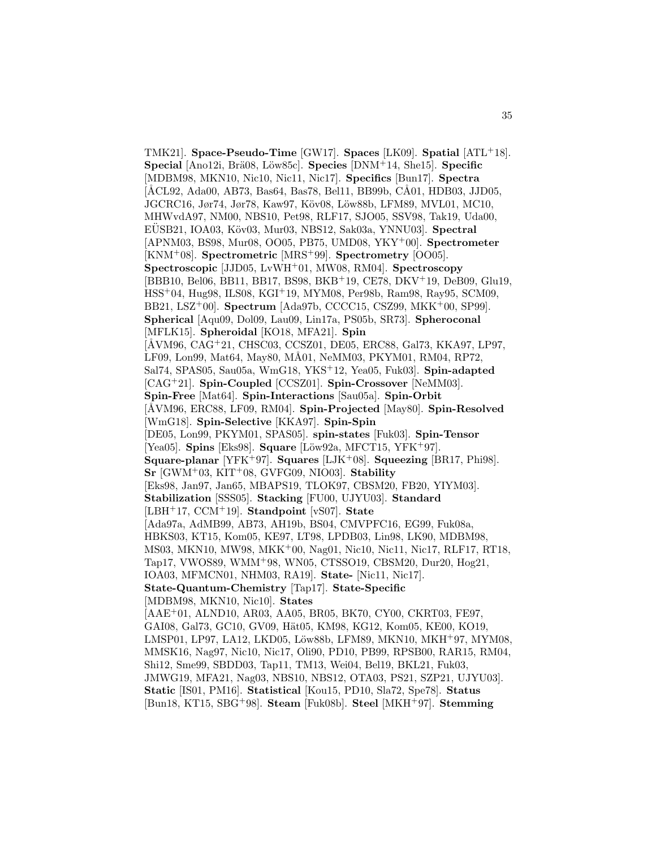TMK21]. **Space-Pseudo-Time** [GW17]. **Spaces** [LK09]. **Spatial** [ATL<sup>+</sup>18]. **Special** [Ano12i, Brä08, Löw85c]. **Species** [DNM<sup>+</sup>14, She15]. **Specific** [MDBM98, MKN10, Nic10, Nic11, Nic17]. **Specifics** [Bun17]. **Spectra** [ÅCL92, Ada00, AB73, Bas64, Bas78, Bel11, BB99b, CÅ01, HDB03, JJD05, JGCRC16, Jør74, Jør78, Kaw97, Köv08, Löw88b, LFM89, MVL01, MC10, MHWvdA97, NM00, NBS10, Pet98, RLF17, SJO05, SSV98, Tak19, Uda00, EÜSB21, IOA03, Köv03, Mur03, NBS12, Sak03a, YNNU03. **Spectral** [APNM03, BS98, Mur08, OO05, PB75, UMD08, YKY<sup>+</sup>00]. **Spectrometer** [KNM<sup>+</sup>08]. **Spectrometric** [MRS<sup>+</sup>99]. **Spectrometry** [OO05]. **Spectroscopic** [JJD05, LvWH<sup>+</sup>01, MW08, RM04]. **Spectroscopy** [BBB10, Bel06, BB11, BB17, BS98, BKB<sup>+</sup>19, CE78, DKV<sup>+</sup>19, DeB09, Glu19, HSS<sup>+</sup>04, Hug98, ILS08, KGI<sup>+</sup>19, MYM08, Per98b, Ram98, Ray95, SCM09, BB21, LSZ<sup>+</sup>00]. **Spectrum** [Ada97b, CCCC15, CSZ99, MKK<sup>+</sup>00, SP99]. **Spherical** [Aqu09, Dol09, Lau09, Lin17a, PS05b, SR73]. **Spheroconal** [MFLK15]. **Spheroidal** [KO18, MFA21]. **Spin** [ÅVM96, CAG+21, CHSC03, CCSZ01, DE05, ERC88, Gal73, KKA97, LP97, LF09, Lon99, Mat64, May80, MÅ01, NeMM03, PKYM01, RM04, RP72, Sal74, SPAS05, Sau05a, WmG18, YKS<sup>+</sup>12, Yea05, Fuk03]. **Spin-adapted** [CAG<sup>+</sup>21]. **Spin-Coupled** [CCSZ01]. **Spin-Crossover** [NeMM03]. **Spin-Free** [Mat64]. **Spin-Interactions** [Sau05a]. **Spin-Orbit** [ÅVM96, ERC88, LF09, RM04]. **Spin-Projected** [May80]. **Spin-Resolved** [WmG18]. **Spin-Selective** [KKA97]. **Spin-Spin** [DE05, Lon99, PKYM01, SPAS05]. **spin-states** [Fuk03]. **Spin-Tensor** [Yea05]. **Spins** [Eks98]. **Square** [Löw92a, MFCT15, YFK+97]. **Square-planar** [YFK<sup>+</sup>97]. **Squares** [LJK<sup>+</sup>08]. **Squeezing** [BR17, Phi98]. **Sr** [GWM<sup>+</sup>03, KIT<sup>+</sup>08, GVFG09, NIO03]. **Stability** [Eks98, Jan97, Jan65, MBAPS19, TLOK97, CBSM20, FB20, YIYM03]. **Stabilization** [SSS05]. **Stacking** [FU00, UJYU03]. **Standard** [LBH<sup>+</sup>17, CCM<sup>+</sup>19]. **Standpoint** [vS07]. **State** [Ada97a, AdMB99, AB73, AH19b, BS04, CMVPFC16, EG99, Fuk08a, HBKS03, KT15, Kom05, KE97, LT98, LPDB03, Lin98, LK90, MDBM98, MS03, MKN10, MW98, MKK<sup>+</sup>00, Nag01, Nic10, Nic11, Nic17, RLF17, RT18, Tap17, VWOS89, WMM<sup>+</sup>98, WN05, CTSSO19, CBSM20, Dur20, Hog21, IOA03, MFMCN01, NHM03, RA19]. **State-** [Nic11, Nic17]. **State-Quantum-Chemistry** [Tap17]. **State-Specific** [MDBM98, MKN10, Nic10]. **States** [AAE<sup>+</sup>01, ALND10, AR03, AA05, BR05, BK70, CY00, CKRT03, FE97, GAI08, Gal73, GC10, GV09, Hät05, KM98, KG12, Kom05, KE00, KO19, LMSP01, LP97, LA12, LKD05, Löw88b, LFM89, MKN10, MKH+97, MYM08, MMSK16, Nag97, Nic10, Nic17, Oli90, PD10, PB99, RPSB00, RAR15, RM04, Shi12, Sme99, SBDD03, Tap11, TM13, Wei04, Bel19, BKL21, Fuk03, JMWG19, MFA21, Nag03, NBS10, NBS12, OTA03, PS21, SZP21, UJYU03]. **Static** [IS01, PM16]. **Statistical** [Kou15, PD10, Sla72, Spe78]. **Status**

[Bun18, KT15, SBG<sup>+</sup>98]. **Steam** [Fuk08b]. **Steel** [MKH<sup>+</sup>97]. **Stemming**

35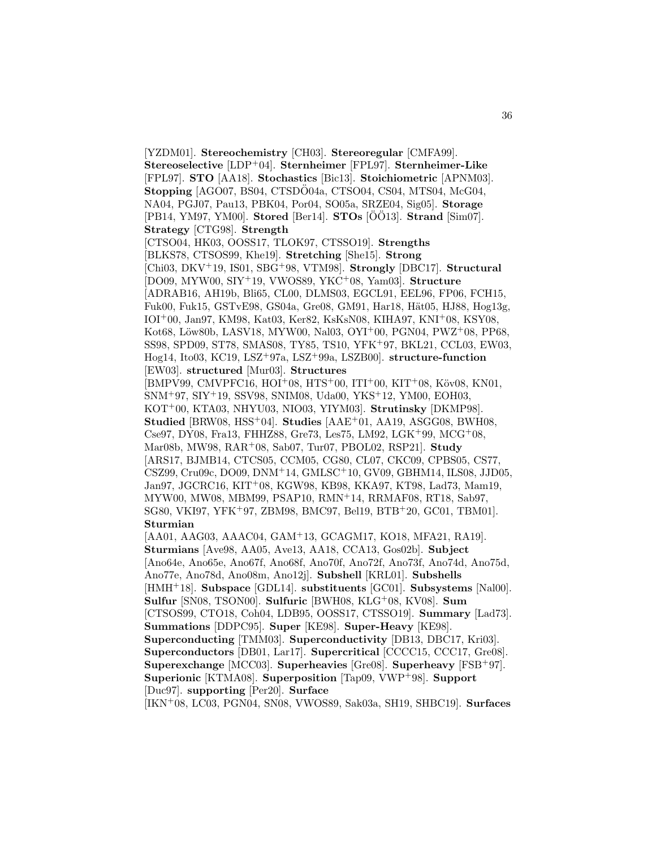[YZDM01]. **Stereochemistry** [CH03]. **Stereoregular** [CMFA99]. **Stereoselective** [LDP<sup>+</sup>04]. **Sternheimer** [FPL97]. **Sternheimer-Like** [FPL97]. **STO** [AA18]. **Stochastics** [Bic13]. **Stoichiometric** [APNM03]. **Stopping** [AGO07, BS04, CTSDO04a, CTSO04, CS04, MTS04, McG04, NA04, PGJ07, Pau13, PBK04, Por04, SO05a, SRZE04, Sig05]. **Storage** [PB14, YM97, YM00]. **Stored** [Ber14]. **STOs** [ $\ddot{\text{O}}\ddot{\text{O}}$ 13]. **Strand** [Sim07]. **Strategy** [CTG98]. **Strength** [CTSO04, HK03, OOSS17, TLOK97, CTSSO19]. **Strengths** [BLKS78, CTSOS99, Khe19]. **Stretching** [She15]. **Strong** [Chi03, DKV<sup>+</sup>19, IS01, SBG<sup>+</sup>98, VTM98]. **Strongly** [DBC17]. **Structural** [DO09, MYW00, SIY<sup>+</sup>19, VWOS89, YKC<sup>+</sup>08, Yam03]. **Structure** [ADRAB16, AH19b, Bli65, CL00, DLMS03, EGCL91, EEL96, FP06, FCH15, Fuk00, Fuk15, GSTvE98, GS04a, Gre08, GM91, Har18, Hät05, HJ88, Hog13g, IOI<sup>+</sup>00, Jan97, KM98, Kat03, Ker82, KsKsN08, KIHA97, KNI<sup>+</sup>08, KSY08, Kot68, Löw80b, LASV18, MYW00, Nal03, OYI<sup>+</sup>00, PGN04, PWZ<sup>+</sup>08, PP68, SS98, SPD09, ST78, SMAS08, TY85, TS10, YFK<sup>+</sup>97, BKL21, CCL03, EW03, Hog14, Ito03, KC19, LSZ<sup>+</sup>97a, LSZ<sup>+</sup>99a, LSZB00]. **structure-function** [EW03]. **structured** [Mur03]. **Structures**  $[BMPV99, CMVPFC16, HOI<sup>+</sup>08, HTS<sup>+</sup>00, ITI<sup>+</sup>00, KIT<sup>+</sup>08, Köv08, KN01,$ SNM<sup>+</sup>97, SIY<sup>+</sup>19, SSV98, SNIM08, Uda00, YKS<sup>+</sup>12, YM00, EOH03, KOT<sup>+</sup>00, KTA03, NHYU03, NIO03, YIYM03]. **Strutinsky** [DKMP98]. **Studied** [BRW08, HSS<sup>+</sup>04]. **Studies** [AAE<sup>+</sup>01, AA19, ASGG08, BWH08, Cse97, DY08, Fra13, FHHZ88, Gre73, Les75, LM92, LGK<sup>+</sup>99, MCG<sup>+</sup>08, Mar08b, MW98, RAR<sup>+</sup>08, Sab07, Tur07, PBOL02, RSP21]. **Study** [ARS17, BJMB14, CTCS05, CCM05, CG80, CL07, CKC09, CPBS05, CS77, CSZ99, Cru09c, DO09, DNM<sup>+</sup>14, GMLSC<sup>+</sup>10, GV09, GBHM14, ILS08, JJD05, Jan97, JGCRC16, KIT<sup>+</sup>08, KGW98, KB98, KKA97, KT98, Lad73, Mam19, MYW00, MW08, MBM99, PSAP10, RMN<sup>+</sup>14, RRMAF08, RT18, Sab97, SG80, VKI97, YFK<sup>+</sup>97, ZBM98, BMC97, Bel19, BTB<sup>+</sup>20, GC01, TBM01]. **Sturmian** [AA01, AAG03, AAAC04, GAM<sup>+</sup>13, GCAGM17, KO18, MFA21, RA19]. **Sturmians** [Ave98, AA05, Ave13, AA18, CCA13, Gos02b]. **Subject** [Ano64e, Ano65e, Ano67f, Ano68f, Ano70f, Ano72f, Ano73f, Ano74d, Ano75d, Ano77e, Ano78d, Ano08m, Ano12j]. **Subshell** [KRL01]. **Subshells** [HMH<sup>+</sup>18]. **Subspace** [GDL14]. **substituents** [GC01]. **Subsystems** [Nal00].

**Sulfur** [SN08, TSON00]. **Sulfuric** [BWH08, KLG<sup>+</sup>08, KV08]. **Sum** [CTSOS99, CTO18, Coh04, LDB95, OOSS17, CTSSO19]. **Summary** [Lad73]. **Summations** [DDPC95]. **Super** [KE98]. **Super-Heavy** [KE98]. **Superconducting** [TMM03]. **Superconductivity** [DB13, DBC17, Kri03]. **Superconductors** [DB01, Lar17]. **Supercritical** [CCCC15, CCC17, Gre08]. **Superexchange** [MCC03]. **Superheavies** [Gre08]. **Superheavy** [FSB<sup>+</sup>97]. **Superionic** [KTMA08]. **Superposition** [Tap09, VWP<sup>+</sup>98]. **Support**

[Duc97]. **supporting** [Per20]. **Surface**

[IKN<sup>+</sup>08, LC03, PGN04, SN08, VWOS89, Sak03a, SH19, SHBC19]. **Surfaces**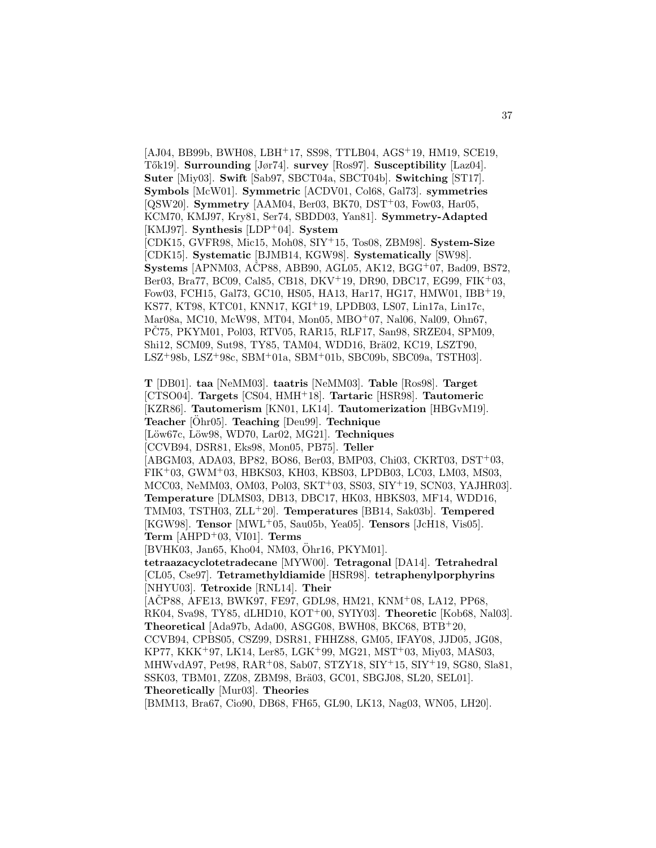[AJ04, BB99b, BWH08, LBH<sup>+</sup>17, SS98, TTLB04, AGS<sup>+</sup>19, HM19, SCE19, T˝ok19]. **Surrounding** [Jør74]. **survey** [Ros97]. **Susceptibility** [Laz04]. **Suter** [Miy03]. **Swift** [Sab97, SBCT04a, SBCT04b]. **Switching** [ST17]. **Symbols** [McW01]. **Symmetric** [ACDV01, Col68, Gal73]. **symmetries** [QSW20]. **Symmetry** [AAM04, Ber03, BK70, DST<sup>+</sup>03, Fow03, Har05, KCM70, KMJ97, Kry81, Ser74, SBDD03, Yan81]. **Symmetry-Adapted** [KMJ97]. **Synthesis** [LDP<sup>+</sup>04]. **System** [CDK15, GVFR98, Mic15, Moh08, SIY<sup>+</sup>15, Tos08, ZBM98]. **System-Size** [CDK15]. **Systematic** [BJMB14, KGW98]. **Systematically** [SW98]. **Systems** [APNM03, AČP88, ABB90, AGL05, AK12, BGG<sup>+</sup>07, Bad09, BS72, Ber03, Bra77, BC09, Cal85, CB18, DKV<sup>+</sup>19, DR90, DBC17, EG99, FIK<sup>+</sup>03, Fow03, FCH15, Gal73, GC10, HS05, HA13, Har17, HG17, HMW01, IBB<sup>+</sup>19, KS77, KT98, KTC01, KNN17, KGI<sup>+</sup>19, LPDB03, LS07, Lin17a, Lin17c, Mar08a, MC10, McW98, MT04, Mon05, MBO<sup>+</sup>07, Nal06, Nal09, Ohn67, PČ75, PKYM01, Pol03, RTV05, RAR15, RLF17, San98, SRZE04, SPM09, Shi12, SCM09, Sut98, TY85, TAM04, WDD16, Brä02, KC19, LSZT90, LSZ<sup>+</sup>98b, LSZ<sup>+</sup>98c, SBM<sup>+</sup>01a, SBM<sup>+</sup>01b, SBC09b, SBC09a, TSTH03].

37

**T** [DB01]. **taa** [NeMM03]. **taatris** [NeMM03]. **Table** [Ros98]. **Target** [CTSO04]. **Targets** [CS04, HMH<sup>+</sup>18]. **Tartaric** [HSR98]. **Tautomeric** [KZR86]. **Tautomerism** [KN01, LK14]. **Tautomerization** [HBGvM19]. **Teacher** [Ohr05]. **Teaching** [Deu99]. **Technique** [L¨ow67c, L¨ow98, WD70, Lar02, MG21]. **Techniques** [CCVB94, DSR81, Eks98, Mon05, PB75]. **Teller** [ABGM03, ADA03, BP82, BO86, Ber03, BMP03, Chi03, CKRT03, DST<sup>+</sup>03, FIK<sup>+</sup>03, GWM<sup>+</sup>03, HBKS03, KH03, KBS03, LPDB03, LC03, LM03, MS03, MCC03, NeMM03, OM03, Pol03, SKT<sup>+</sup>03, SS03, SIY<sup>+</sup>19, SCN03, YAJHR03]. **Temperature** [DLMS03, DB13, DBC17, HK03, HBKS03, MF14, WDD16, TMM03, TSTH03, ZLL<sup>+</sup>20]. **Temperatures** [BB14, Sak03b]. **Tempered** [KGW98]. **Tensor** [MWL<sup>+</sup>05, Sau05b, Yea05]. **Tensors** [JcH18, Vis05]. **Term** [AHPD<sup>+</sup>03, VI01]. **Terms** [BVHK03, Jan65, Kho04, NM03, Öhr16, PKYM01]. **tetraazacyclotetradecane** [MYW00]. **Tetragonal** [DA14]. **Tetrahedral** [CL05, Cse97]. **Tetramethyldiamide** [HSR98]. **tetraphenylporphyrins** [NHYU03]. **Tetroxide** [RNL14]. **Their** [AČP88, AFE13, BWK97, FE97, GDL98, HM21, KNM+08, LA12, PP68, RK04, Sva98, TY85, dLHD10, KOT<sup>+</sup>00, SYIY03]. **Theoretic** [Kob68, Nal03]. **Theoretical** [Ada97b, Ada00, ASGG08, BWH08, BKC68, BTB<sup>+</sup>20, CCVB94, CPBS05, CSZ99, DSR81, FHHZ88, GM05, IFAY08, JJD05, JG08, KP77, KKK<sup>+</sup>97, LK14, Ler85, LGK<sup>+</sup>99, MG21, MST<sup>+</sup>03, Miy03, MAS03, MHWvdA97, Pet98, RAR<sup>+</sup>08, Sab07, STZY18, SIY<sup>+</sup>15, SIY<sup>+</sup>19, SG80, Sla81, SSK03, TBM01, ZZ08, ZBM98, Brä03, GC01, SBGJ08, SL20, SEL01]. **Theoretically** [Mur03]. **Theories** [BMM13, Bra67, Cio90, DB68, FH65, GL90, LK13, Nag03, WN05, LH20].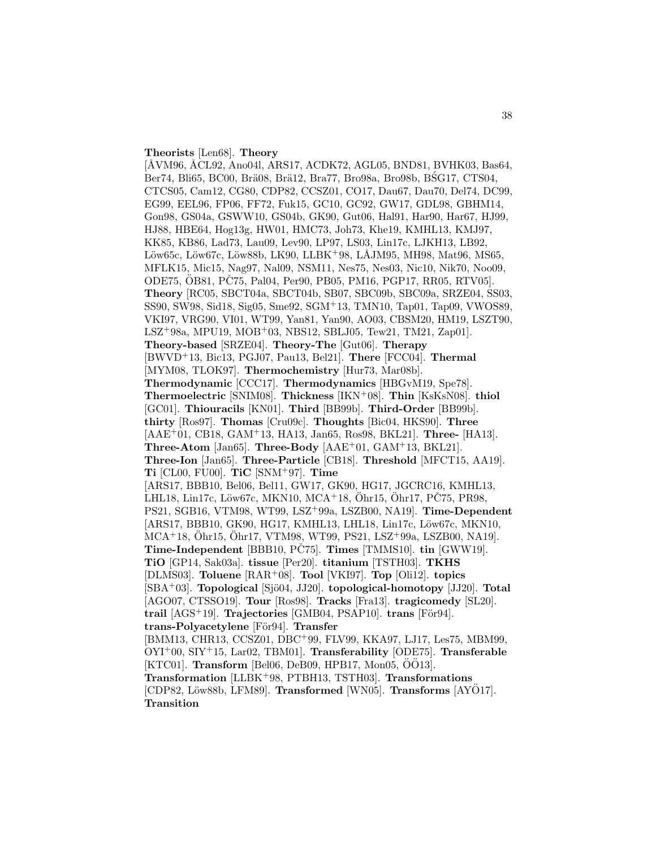#### **Theorists** [Len68]. **Theory**

[ÅVM96, ÅCL92, Ano04l, ARS17, ACDK72, AGL05, BND81, BVHK03, Bas64, Ber74, Bli65, BC00, Brä08, Brä12, Bra77, Bro98a, Bro98b, BSG17, CTS04, CTCS05, Cam12, CG80, CDP82, CCSZ01, CO17, Dau67, Dau70, Del74, DC99, EG99, EEL96, FP06, FF72, Fuk15, GC10, GC92, GW17, GDL98, GBHM14, Gon98, GS04a, GSWW10, GS04b, GK90, Gut06, Hal91, Har90, Har67, HJ99, HJ88, HBE64, Hog13g, HW01, HMC73, Joh73, Khe19, KMHL13, KMJ97, KK85, KB86, Lad73, Lau09, Lev90, LP97, LS03, Lin17c, LJKH13, LB92, Löw65c, Löw67c, Löw88b, LK90, LLBK+98, LÅJM95, MH98, Mat96, MS65, MFLK15, Mic15, Nag97, Nal09, NSM11, Nes75, Nes03, Nic10, Nik70, Noo09, ODE75, ÖB81, PČ75, Pal04, Per90, PB05, PM16, PGP17, RR05, RTV05]. **Theory** [RC05, SBCT04a, SBCT04b, SB07, SBC09b, SBC09a, SRZE04, SS03, SS90, SW98, Sid18, Sig05, Sme92, SGM<sup>+</sup>13, TMN10, Tap01, Tap09, VWOS89, VKI97, VRG90, VI01, WT99, Yan81, Yan90, AO03, CBSM20, HM19, LSZT90, LSZ<sup>+</sup>98a, MPU19, MOB<sup>+</sup>03, NBS12, SBLJ05, Tew21, TM21, Zap01]. **Theory-based** [SRZE04]. **Theory-The** [Gut06]. **Therapy** [BWVD<sup>+</sup>13, Bic13, PGJ07, Pau13, Bel21]. **There** [FCC04]. **Thermal** [MYM08, TLOK97]. **Thermochemistry** [Hur73, Mar08b]. **Thermodynamic** [CCC17]. **Thermodynamics** [HBGvM19, Spe78]. **Thermoelectric** [SNIM08]. **Thickness** [IKN<sup>+</sup>08]. **Thin** [KsKsN08]. **thiol** [GC01]. **Thiouracils** [KN01]. **Third** [BB99b]. **Third-Order** [BB99b]. **thirty** [Ros97]. **Thomas** [Cru09c]. **Thoughts** [Bic04, HKS90]. **Three** [AAE<sup>+</sup>01, CB18, GAM<sup>+</sup>13, HA13, Jan65, Ros98, BKL21]. **Three-** [HA13]. **Three-Atom** [Jan65]. **Three-Body** [AAE<sup>+</sup>01, GAM<sup>+</sup>13, BKL21]. **Three-Ion** [Jan65]. **Three-Particle** [CB18]. **Threshold** [MFCT15, AA19]. **Ti** [CL00, FU00]. **TiC** [SNM<sup>+</sup>97]. **Time** [ARS17, BBB10, Bel06, Bel11, GW17, GK90, HG17, JGCRC16, KMHL13, LHL18, Lin17c, Löw67c, MKN10, MCA+18, Öhr15, Öhr17, PČ75, PR98, PS21, SGB16, VTM98, WT99, LSZ<sup>+</sup>99a, LSZB00, NA19]. **Time-Dependent** [ARS17, BBB10, GK90, HG17, KMHL13, LHL18, Lin17c, Löw67c, MKN10, MCA+18, Öhr15, Öhr17, VTM98, WT99, PS21, LSZ+99a, LSZB00, NA19. **Time-Independent** [BBB10, PC75]. **Times** [TMMS10]. **tin** [GWW19]. **TiO** [GP14, Sak03a]. **tissue** [Per20]. **titanium** [TSTH03]. **TKHS** [DLMS03]. **Toluene** [RAR<sup>+</sup>08]. **Tool** [VKI97]. **Top** [Oli12]. **topics** [SBA<sup>+</sup>03]. **Topological** [Sjö04, JJ20]. **topological-homotopy** [JJ20]. **Total** [AGO07, CTSSO19]. **Tour** [Ros98]. **Tracks** [Fra13]. **tragicomedy** [SL20]. **trail** [AGS<sup>+</sup>19]. **Trajectories** [GMB04, PSAP10]. **trans** [För94]. **trans-Polyacetylene** [För94]. **Transfer** [BMM13, CHR13, CCSZ01, DBC<sup>+</sup>99, FLV99, KKA97, LJ17, Les75, MBM99, OYI<sup>+</sup>00, SIY<sup>+</sup>15, Lar02, TBM01]. **Transferability** [ODE75]. **Transferable**  $[KTC01]$ . **Transform** [Bel06, DeB09, HPB17, Mon05,  $\ddot{O}\ddot{O}13$ ]. **Transformation** [LLBK<sup>+</sup>98, PTBH13, TSTH03]. **Transformations** [CDP82, Löw88b, LFM89]. **Transformed** [WN05]. **Transforms** [AYÖ17]. **Transition**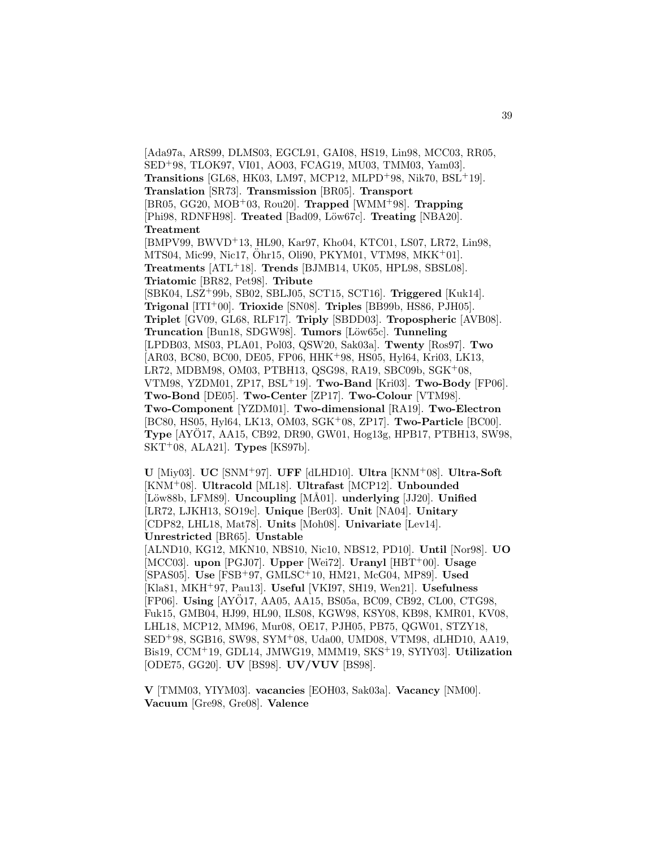[Ada97a, ARS99, DLMS03, EGCL91, GAI08, HS19, Lin98, MCC03, RR05, SED<sup>+</sup>98, TLOK97, VI01, AO03, FCAG19, MU03, TMM03, Yam03]. **Transitions** [GL68, HK03, LM97, MCP12, MLPD<sup>+</sup>98, Nik70, BSL<sup>+</sup>19]. **Translation** [SR73]. **Transmission** [BR05]. **Transport** [BR05, GG20, MOB<sup>+</sup>03, Rou20]. **Trapped** [WMM<sup>+</sup>98]. **Trapping** [Phi98, RDNFH98]. **Treated** [Bad09, Löw67c]. **Treating** [NBA20]. **Treatment** [BMPV99, BWVD<sup>+</sup>13, HL90, Kar97, Kho04, KTC01, LS07, LR72, Lin98,  $MTS04$ , Mic $99$ , Nic $17$ ,  $\ddot{O}$ hr $15$ , Oli $90$ , PKYM $01$ , VTM $98$ , MKK<sup>+</sup> $01$ ]. **Treatments** [ATL<sup>+</sup>18]. **Trends** [BJMB14, UK05, HPL98, SBSL08]. **Triatomic** [BR82, Pet98]. **Tribute** [SBK04, LSZ<sup>+</sup>99b, SB02, SBLJ05, SCT15, SCT16]. **Triggered** [Kuk14]. **Trigonal** [ITI<sup>+</sup>00]. **Trioxide** [SN08]. **Triples** [BB99b, HS86, PJH05]. **Triplet** [GV09, GL68, RLF17]. **Triply** [SBDD03]. **Tropospheric** [AVB08]. **Truncation** [Bun18, SDGW98]. **Tumors** [L¨ow65c]. **Tunneling** [LPDB03, MS03, PLA01, Pol03, QSW20, Sak03a]. **Twenty** [Ros97]. **Two** [AR03, BC80, BC00, DE05, FP06, HHK<sup>+</sup>98, HS05, Hyl64, Kri03, LK13, LR72, MDBM98, OM03, PTBH13, QSG98, RA19, SBC09b, SGK<sup>+</sup>08, VTM98, YZDM01, ZP17, BSL<sup>+</sup>19]. **Two-Band** [Kri03]. **Two-Body** [FP06]. **Two-Bond** [DE05]. **Two-Center** [ZP17]. **Two-Colour** [VTM98]. **Two-Component** [YZDM01]. **Two-dimensional** [RA19]. **Two-Electron** [BC80, HS05, Hyl64, LK13, OM03, SGK<sup>+</sup>08, ZP17]. **Two-Particle** [BC00]. **Type** [AYO17, AA15, CB92, DR90, GW01, Hog13g, HPB17, PTBH13, SW98, SKT<sup>+</sup>08, ALA21]. **Types** [KS97b].

**U** [Miy03]. **UC** [SNM<sup>+</sup>97]. **UFF** [dLHD10]. **Ultra** [KNM<sup>+</sup>08]. **Ultra-Soft** [KNM<sup>+</sup>08]. **Ultracold** [ML18]. **Ultrafast** [MCP12]. **Unbounded** [Löw88b, LFM89]. **Uncoupling** [MÅ01]. **underlying** [JJ20]. **Unified** [LR72, LJKH13, SO19c]. **Unique** [Ber03]. **Unit** [NA04]. **Unitary** [CDP82, LHL18, Mat78]. **Units** [Moh08]. **Univariate** [Lev14]. **Unrestricted** [BR65]. **Unstable** [ALND10, KG12, MKN10, NBS10, Nic10, NBS12, PD10]. **Until** [Nor98]. **UO** [MCC03]. **upon** [PGJ07]. **Upper** [Wei72]. **Uranyl** [HBT<sup>+</sup>00]. **Usage** [SPAS05]. **Use** [FSB<sup>+</sup>97, GMLSC<sup>+</sup>10, HM21, McG04, MP89]. **Used** [Kla81, MKH<sup>+</sup>97, Pau13]. **Useful** [VKI97, SH19, Wen21]. **Usefulness** [FP06]. **Using** [AYÖ17, AA05, AA15, BS05a, BC09, CB92, CL00, CTG98, Fuk15, GMB04, HJ99, HL90, ILS08, KGW98, KSY08, KB98, KMR01, KV08, LHL18, MCP12, MM96, Mur08, OE17, PJH05, PB75, QGW01, STZY18, SED<sup>+</sup>98, SGB16, SW98, SYM<sup>+</sup>08, Uda00, UMD08, VTM98, dLHD10, AA19, Bis19, CCM<sup>+</sup>19, GDL14, JMWG19, MMM19, SKS<sup>+</sup>19, SYIY03]. **Utilization** [ODE75, GG20]. **UV** [BS98]. **UV/VUV** [BS98].

**V** [TMM03, YIYM03]. **vacancies** [EOH03, Sak03a]. **Vacancy** [NM00]. **Vacuum** [Gre98, Gre08]. **Valence**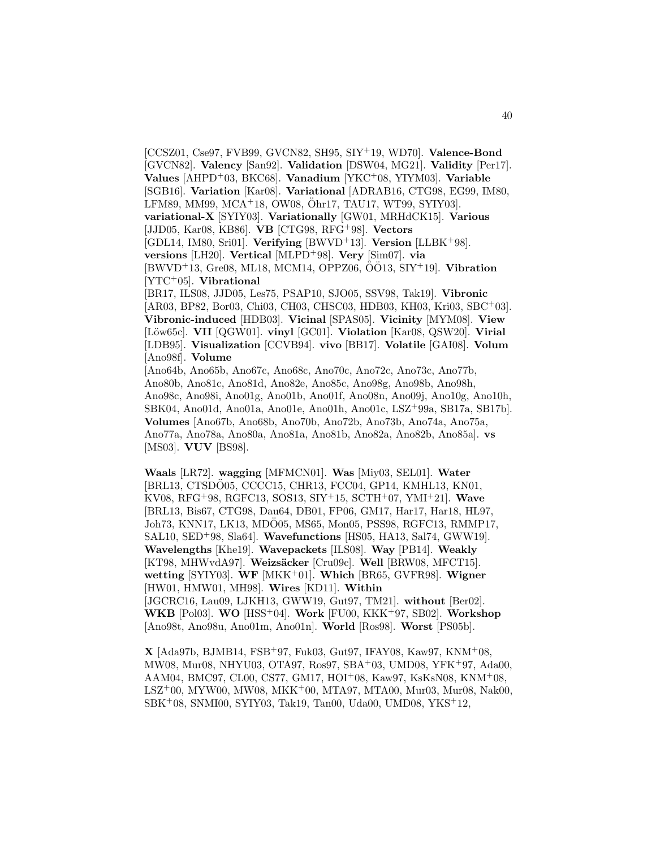[CCSZ01, Cse97, FVB99, GVCN82, SH95, SIY<sup>+</sup>19, WD70]. **Valence-Bond** [GVCN82]. **Valency** [San92]. **Validation** [DSW04, MG21]. **Validity** [Per17]. **Values** [AHPD<sup>+</sup>03, BKC68]. **Vanadium** [YKC<sup>+</sup>08, YIYM03]. **Variable** [SGB16]. **Variation** [Kar08]. **Variational** [ADRAB16, CTG98, EG99, IM80, LFM89, MM99, MCA<sup>+</sup>18, OW08, Ohr17, TAU17, WT99, SYIY03]. ¨ **variational-X** [SYIY03]. **Variationally** [GW01, MRHdCK15]. **Various** [JJD05, Kar08, KB86]. **VB** [CTG98, RFG<sup>+</sup>98]. **Vectors** [GDL14, IM80, Sri01]. **Verifying** [BWVD<sup>+</sup>13]. **Version** [LLBK<sup>+</sup>98]. **versions** [LH20]. **Vertical** [MLPD<sup>+</sup>98]. **Very** [Sim07]. **via**  $[BWVD+13, Gre08, ML18, MCM14, OPPZ06, OO13, SIY+19].$  Vibration [YTC<sup>+</sup>05]. **Vibrational** [BR17, ILS08, JJD05, Les75, PSAP10, SJO05, SSV98, Tak19]. **Vibronic** [AR03, BP82, Bor03, Chi03, CH03, CHSC03, HDB03, KH03, Kri03, SBC+03]. **Vibronic-induced** [HDB03]. **Vicinal** [SPAS05]. **Vicinity** [MYM08]. **View** [L¨ow65c]. **VII** [QGW01]. **vinyl** [GC01]. **Violation** [Kar08, QSW20]. **Virial** [LDB95]. **Visualization** [CCVB94]. **vivo** [BB17]. **Volatile** [GAI08]. **Volum** [Ano98f]. **Volume** [Ano64b, Ano65b, Ano67c, Ano68c, Ano70c, Ano72c, Ano73c, Ano77b, Ano80b, Ano81c, Ano81d, Ano82e, Ano85c, Ano98g, Ano98b, Ano98h, Ano98c, Ano98i, Ano01g, Ano01b, Ano01f, Ano08n, Ano09j, Ano10g, Ano10h, SBK04, Ano01d, Ano01a, Ano01e, Ano01h, Ano01c, LSZ<sup>+</sup>99a, SB17a, SB17b]. **Volumes** [Ano67b, Ano68b, Ano70b, Ano72b, Ano73b, Ano74a, Ano75a,

[MS03]. **VUV** [BS98]. **Waals** [LR72]. **wagging** [MFMCN01]. **Was** [Miy03, SEL01]. **Water** [BRL13, CTSDO05, CCCC15, CHR13, FCC04, GP14, KMHL13, KN01, KV08, RFG<sup>+</sup>98, RGFC13, SOS13, SIY<sup>+</sup>15, SCTH<sup>+</sup>07, YMI<sup>+</sup>21]. **Wave** [BRL13, Bis67, CTG98, Dau64, DB01, FP06, GM17, Har17, Har18, HL97, Joh73, KNN17, LK13, MDÖ05, MS65, Mon05, PSS98, RGFC13, RMMP17, SAL10, SED<sup>+</sup>98, Sla64]. **Wavefunctions** [HS05, HA13, Sal74, GWW19]. **Wavelengths** [Khe19]. **Wavepackets** [ILS08]. **Way** [PB14]. **Weakly** [KT98, MHWvdA97]. **Weizsäcker** [Cru09c]. **Well** [BRW08, MFCT15]. **wetting** [SYIY03]. **WF** [MKK<sup>+</sup>01]. **Which** [BR65, GVFR98]. **Wigner** [HW01, HMW01, MH98]. **Wires** [KD11]. **Within** [JGCRC16, Lau09, LJKH13, GWW19, Gut97, TM21]. **without** [Ber02]. **WKB** [Pol03]. **WO** [HSS<sup>+</sup>04]. **Work** [FU00, KKK<sup>+</sup>97, SB02]. **Workshop** [Ano98t, Ano98u, Ano01m, Ano01n]. **World** [Ros98]. **Worst** [PS05b].

Ano77a, Ano78a, Ano80a, Ano81a, Ano81b, Ano82a, Ano82b, Ano85a]. **vs**

**X** [Ada97b, BJMB14, FSB<sup>+</sup>97, Fuk03, Gut97, IFAY08, Kaw97, KNM<sup>+</sup>08, MW08, Mur08, NHYU03, OTA97, Ros97, SBA<sup>+</sup>03, UMD08, YFK<sup>+</sup>97, Ada00, AAM04, BMC97, CL00, CS77, GM17, HOI<sup>+</sup>08, Kaw97, KsKsN08, KNM<sup>+</sup>08, LSZ<sup>+</sup>00, MYW00, MW08, MKK<sup>+</sup>00, MTA97, MTA00, Mur03, Mur08, Nak00, SBK<sup>+</sup>08, SNMI00, SYIY03, Tak19, Tan00, Uda00, UMD08, YKS<sup>+</sup>12,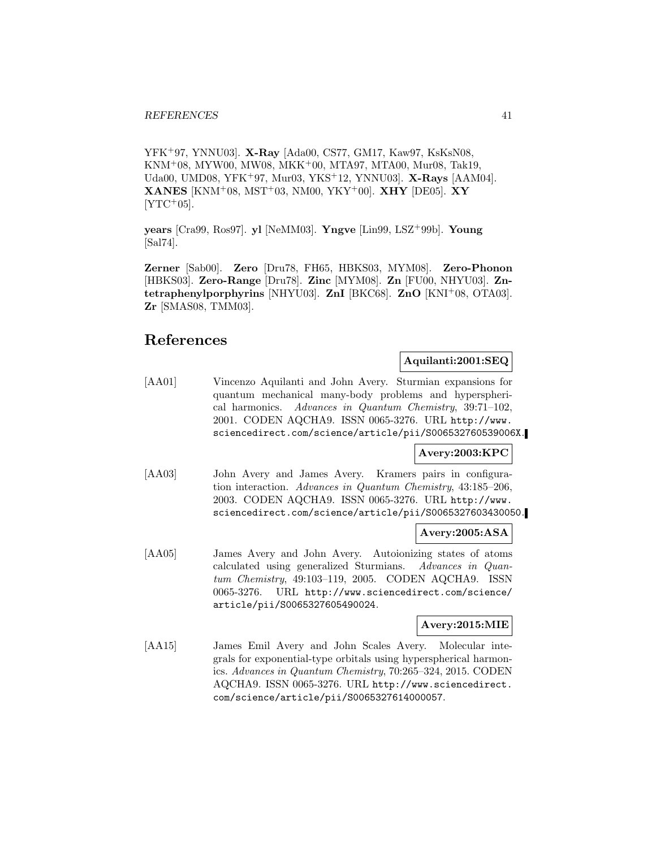YFK<sup>+</sup>97, YNNU03]. **X-Ray** [Ada00, CS77, GM17, Kaw97, KsKsN08, KNM<sup>+</sup>08, MYW00, MW08, MKK<sup>+</sup>00, MTA97, MTA00, Mur08, Tak19, Uda00, UMD08, YFK<sup>+</sup>97, Mur03, YKS<sup>+</sup>12, YNNU03]. **X-Rays** [AAM04]. **XANES** [KNM<sup>+</sup>08, MST<sup>+</sup>03, NM00, YKY<sup>+</sup>00]. **XHY** [DE05]. **XY**  $[YTC+05]$ .

**years** [Cra99, Ros97]. **yl** [NeMM03]. **Yngve** [Lin99, LSZ<sup>+</sup>99b]. **Young** [Sal74].

**Zerner** [Sab00]. **Zero** [Dru78, FH65, HBKS03, MYM08]. **Zero-Phonon** [HBKS03]. **Zero-Range** [Dru78]. **Zinc** [MYM08]. **Zn** [FU00, NHYU03]. **Zntetraphenylporphyrins** [NHYU03]. **ZnI** [BKC68]. **ZnO** [KNI<sup>+</sup>08, OTA03]. **Zr** [SMAS08, TMM03].

## **References**

#### **Aquilanti:2001:SEQ**

[AA01] Vincenzo Aquilanti and John Avery. Sturmian expansions for quantum mechanical many-body problems and hyperspherical harmonics. Advances in Quantum Chemistry, 39:71–102, 2001. CODEN AQCHA9. ISSN 0065-3276. URL http://www. sciencedirect.com/science/article/pii/S006532760539006X.

### **Avery:2003:KPC**

[AA03] John Avery and James Avery. Kramers pairs in configuration interaction. Advances in Quantum Chemistry, 43:185–206, 2003. CODEN AQCHA9. ISSN 0065-3276. URL http://www. sciencedirect.com/science/article/pii/S0065327603430050.

## **Avery:2005:ASA**

[AA05] James Avery and John Avery. Autoionizing states of atoms calculated using generalized Sturmians. Advances in Quantum Chemistry, 49:103–119, 2005. CODEN AQCHA9. ISSN 0065-3276. URL http://www.sciencedirect.com/science/ article/pii/S0065327605490024.

#### **Avery:2015:MIE**

[AA15] James Emil Avery and John Scales Avery. Molecular integrals for exponential-type orbitals using hyperspherical harmonics. Advances in Quantum Chemistry, 70:265–324, 2015. CODEN AQCHA9. ISSN 0065-3276. URL http://www.sciencedirect. com/science/article/pii/S0065327614000057.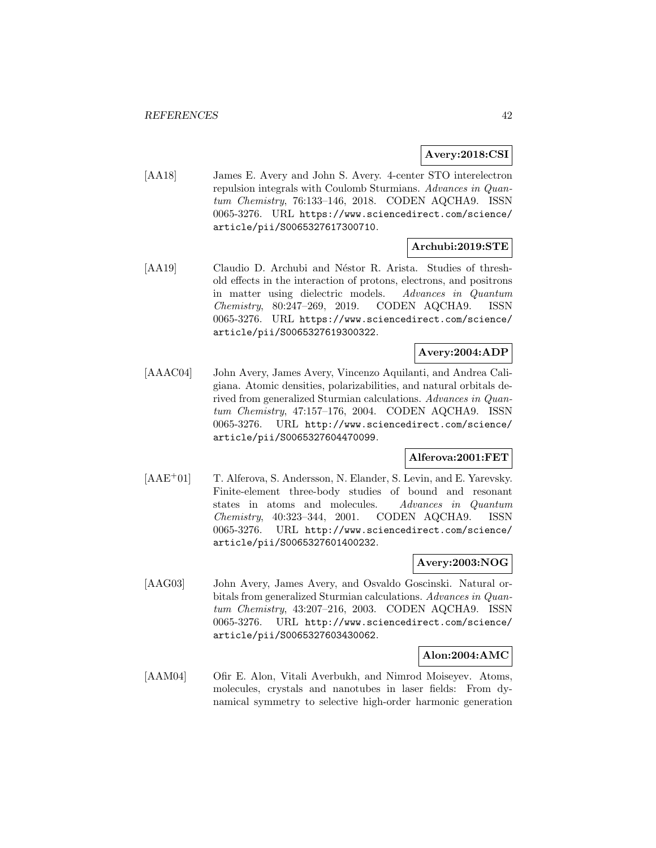## **Avery:2018:CSI**

[AA18] James E. Avery and John S. Avery. 4-center STO interelectron repulsion integrals with Coulomb Sturmians. Advances in Quantum Chemistry, 76:133–146, 2018. CODEN AQCHA9. ISSN 0065-3276. URL https://www.sciencedirect.com/science/ article/pii/S0065327617300710.

## **Archubi:2019:STE**

[AA19] Claudio D. Archubi and Néstor R. Arista. Studies of threshold effects in the interaction of protons, electrons, and positrons in matter using dielectric models. Advances in Quantum Chemistry, 80:247–269, 2019. CODEN AQCHA9. ISSN 0065-3276. URL https://www.sciencedirect.com/science/ article/pii/S0065327619300322.

## **Avery:2004:ADP**

[AAAC04] John Avery, James Avery, Vincenzo Aquilanti, and Andrea Caligiana. Atomic densities, polarizabilities, and natural orbitals derived from generalized Sturmian calculations. Advances in Quantum Chemistry, 47:157–176, 2004. CODEN AQCHA9. ISSN 0065-3276. URL http://www.sciencedirect.com/science/ article/pii/S0065327604470099.

#### **Alferova:2001:FET**

[AAE<sup>+</sup>01] T. Alferova, S. Andersson, N. Elander, S. Levin, and E. Yarevsky. Finite-element three-body studies of bound and resonant states in atoms and molecules. Advances in Quantum Chemistry, 40:323–344, 2001. CODEN AQCHA9. ISSN 0065-3276. URL http://www.sciencedirect.com/science/ article/pii/S0065327601400232.

## **Avery:2003:NOG**

[AAG03] John Avery, James Avery, and Osvaldo Goscinski. Natural orbitals from generalized Sturmian calculations. Advances in Quantum Chemistry, 43:207–216, 2003. CODEN AQCHA9. ISSN 0065-3276. URL http://www.sciencedirect.com/science/ article/pii/S0065327603430062.

#### **Alon:2004:AMC**

[AAM04] Ofir E. Alon, Vitali Averbukh, and Nimrod Moiseyev. Atoms, molecules, crystals and nanotubes in laser fields: From dynamical symmetry to selective high-order harmonic generation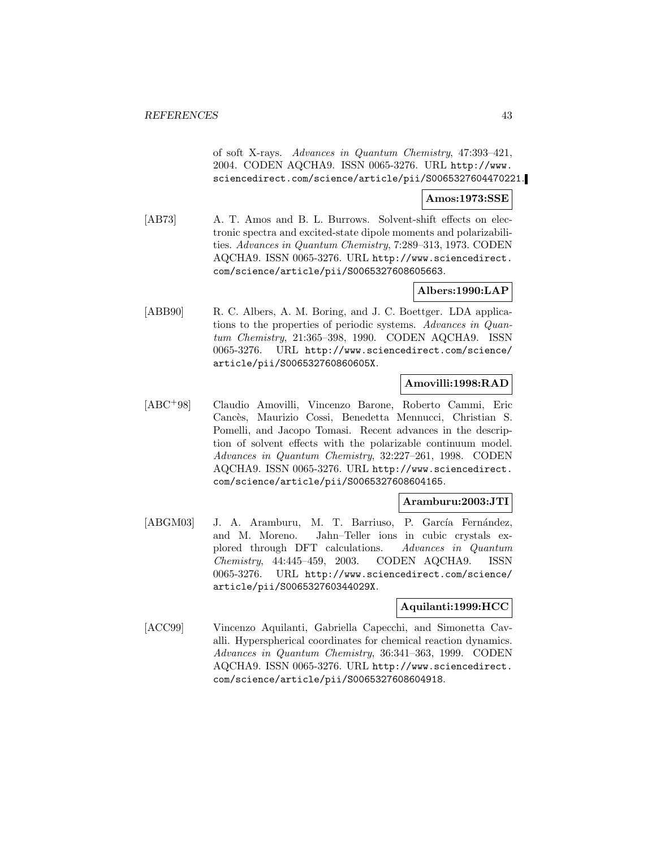of soft X-rays. Advances in Quantum Chemistry, 47:393–421, 2004. CODEN AQCHA9. ISSN 0065-3276. URL http://www. sciencedirect.com/science/article/pii/S0065327604470221.

#### **Amos:1973:SSE**

[AB73] A. T. Amos and B. L. Burrows. Solvent-shift effects on electronic spectra and excited-state dipole moments and polarizabilities. Advances in Quantum Chemistry, 7:289–313, 1973. CODEN AQCHA9. ISSN 0065-3276. URL http://www.sciencedirect. com/science/article/pii/S0065327608605663.

## **Albers:1990:LAP**

[ABB90] R. C. Albers, A. M. Boring, and J. C. Boettger. LDA applications to the properties of periodic systems. Advances in Quantum Chemistry, 21:365–398, 1990. CODEN AQCHA9. ISSN 0065-3276. URL http://www.sciencedirect.com/science/ article/pii/S006532760860605X.

#### **Amovilli:1998:RAD**

[ABC<sup>+</sup>98] Claudio Amovilli, Vincenzo Barone, Roberto Cammi, Eric Cancès, Maurizio Cossi, Benedetta Mennucci, Christian S. Pomelli, and Jacopo Tomasi. Recent advances in the description of solvent effects with the polarizable continuum model. Advances in Quantum Chemistry, 32:227–261, 1998. CODEN AQCHA9. ISSN 0065-3276. URL http://www.sciencedirect. com/science/article/pii/S0065327608604165.

## **Aramburu:2003:JTI**

[ABGM03] J. A. Aramburu, M. T. Barriuso, P. García Fernández, and M. Moreno. Jahn–Teller ions in cubic crystals explored through DFT calculations. Advances in Quantum Chemistry, 44:445–459, 2003. CODEN AQCHA9. ISSN 0065-3276. URL http://www.sciencedirect.com/science/ article/pii/S006532760344029X.

#### **Aquilanti:1999:HCC**

[ACC99] Vincenzo Aquilanti, Gabriella Capecchi, and Simonetta Cavalli. Hyperspherical coordinates for chemical reaction dynamics. Advances in Quantum Chemistry, 36:341–363, 1999. CODEN AQCHA9. ISSN 0065-3276. URL http://www.sciencedirect. com/science/article/pii/S0065327608604918.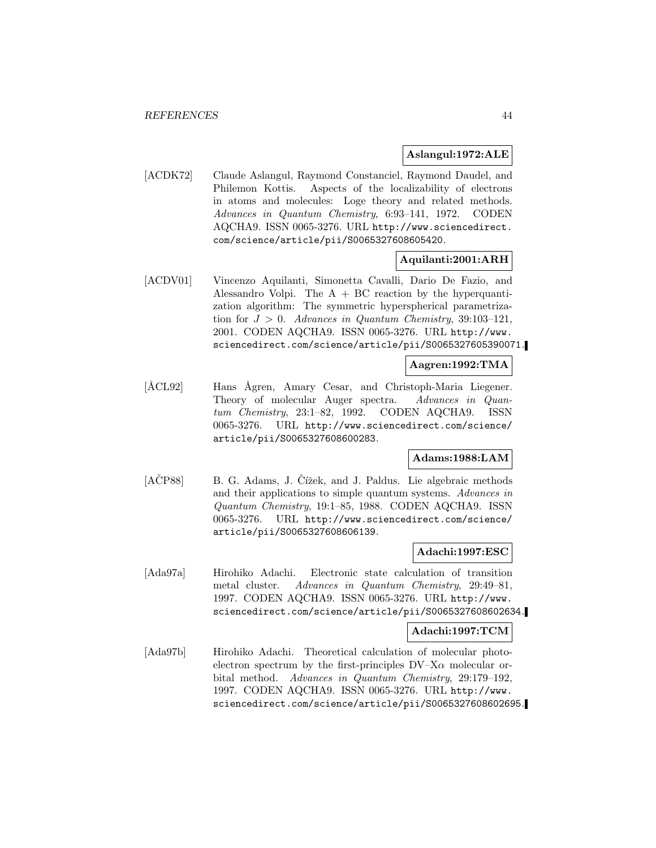#### **Aslangul:1972:ALE**

[ACDK72] Claude Aslangul, Raymond Constanciel, Raymond Daudel, and Philemon Kottis. Aspects of the localizability of electrons in atoms and molecules: Loge theory and related methods. Advances in Quantum Chemistry, 6:93–141, 1972. CODEN AQCHA9. ISSN 0065-3276. URL http://www.sciencedirect. com/science/article/pii/S0065327608605420.

#### **Aquilanti:2001:ARH**

[ACDV01] Vincenzo Aquilanti, Simonetta Cavalli, Dario De Fazio, and Alessandro Volpi. The  $A + BC$  reaction by the hyperquantization algorithm: The symmetric hyperspherical parametrization for  $J > 0$ . Advances in Quantum Chemistry, 39:103-121, 2001. CODEN AQCHA9. ISSN 0065-3276. URL http://www. sciencedirect.com/science/article/pii/S0065327605390071.

#### **Aagren:1992:TMA**

[ÅCL92] Hans Ågren, Amary Cesar, and Christoph-Maria Liegener. Theory of molecular Auger spectra. Advances in Quantum Chemistry, 23:1–82, 1992. CODEN AQCHA9. ISSN 0065-3276. URL http://www.sciencedirect.com/science/ article/pii/S0065327608600283.

#### **Adams:1988:LAM**

[ACP88] B. G. Adams, J. Cížek, and J. Paldus. Lie algebraic methods and their applications to simple quantum systems. Advances in Quantum Chemistry, 19:1–85, 1988. CODEN AQCHA9. ISSN 0065-3276. URL http://www.sciencedirect.com/science/ article/pii/S0065327608606139.

#### **Adachi:1997:ESC**

[Ada97a] Hirohiko Adachi. Electronic state calculation of transition metal cluster. Advances in Quantum Chemistry, 29:49–81, 1997. CODEN AQCHA9. ISSN 0065-3276. URL http://www. sciencedirect.com/science/article/pii/S0065327608602634.

#### **Adachi:1997:TCM**

[Ada97b] Hirohiko Adachi. Theoretical calculation of molecular photoelectron spectrum by the first-principles  $DV-X\alpha$  molecular orbital method. Advances in Quantum Chemistry, 29:179–192, 1997. CODEN AQCHA9. ISSN 0065-3276. URL http://www. sciencedirect.com/science/article/pii/S0065327608602695.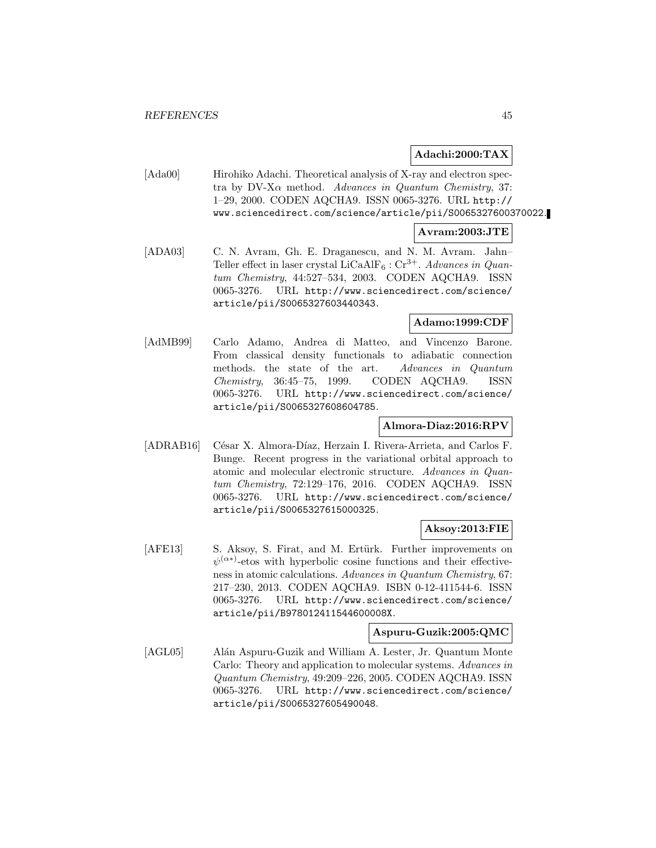### **Adachi:2000:TAX**

[Ada00] Hirohiko Adachi. Theoretical analysis of X-ray and electron spectra by DV-X $\alpha$  method. Advances in Quantum Chemistry, 37: 1–29, 2000. CODEN AQCHA9. ISSN 0065-3276. URL http:// www.sciencedirect.com/science/article/pii/S0065327600370022.

#### **Avram:2003:JTE**

[ADA03] C. N. Avram, Gh. E. Draganescu, and N. M. Avram. Jahn– Teller effect in laser crystal LiCaAlF<sub>6</sub> : Cr<sup>3+</sup>. Advances in Quantum Chemistry, 44:527–534, 2003. CODEN AQCHA9. ISSN 0065-3276. URL http://www.sciencedirect.com/science/ article/pii/S0065327603440343.

### **Adamo:1999:CDF**

[AdMB99] Carlo Adamo, Andrea di Matteo, and Vincenzo Barone. From classical density functionals to adiabatic connection methods. the state of the art. Advances in Quantum Chemistry, 36:45–75, 1999. CODEN AQCHA9. ISSN 0065-3276. URL http://www.sciencedirect.com/science/ article/pii/S0065327608604785.

## **Almora-Diaz:2016:RPV**

[ADRAB16] César X. Almora-Díaz, Herzain I. Rivera-Arrieta, and Carlos F. Bunge. Recent progress in the variational orbital approach to atomic and molecular electronic structure. Advances in Quantum Chemistry, 72:129–176, 2016. CODEN AQCHA9. ISSN 0065-3276. URL http://www.sciencedirect.com/science/ article/pii/S0065327615000325.

#### **Aksoy:2013:FIE**

[AFE13] S. Aksoy, S. Firat, and M. Ertürk. Further improvements on  $\psi^{(\alpha*)}$ -etos with hyperbolic cosine functions and their effectiveness in atomic calculations. Advances in Quantum Chemistry, 67: 217–230, 2013. CODEN AQCHA9. ISBN 0-12-411544-6. ISSN 0065-3276. URL http://www.sciencedirect.com/science/ article/pii/B978012411544600008X.

#### **Aspuru-Guzik:2005:QMC**

[AGL05] Alán Aspuru-Guzik and William A. Lester, Jr. Quantum Monte Carlo: Theory and application to molecular systems. Advances in Quantum Chemistry, 49:209–226, 2005. CODEN AQCHA9. ISSN 0065-3276. URL http://www.sciencedirect.com/science/ article/pii/S0065327605490048.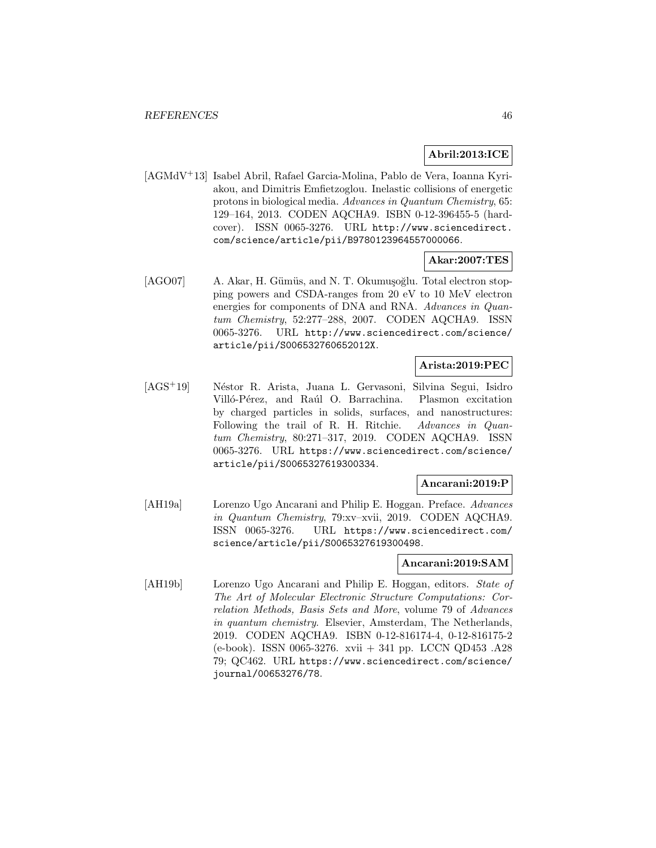## **Abril:2013:ICE**

[AGMdV<sup>+</sup>13] Isabel Abril, Rafael Garcia-Molina, Pablo de Vera, Ioanna Kyriakou, and Dimitris Emfietzoglou. Inelastic collisions of energetic protons in biological media. Advances in Quantum Chemistry, 65: 129–164, 2013. CODEN AQCHA9. ISBN 0-12-396455-5 (hardcover). ISSN 0065-3276. URL http://www.sciencedirect. com/science/article/pii/B9780123964557000066.

## **Akar:2007:TES**

[AGO07] A. Akar, H. Gümüs, and N. T. Okumuşoğlu. Total electron stopping powers and CSDA-ranges from 20 eV to 10 MeV electron energies for components of DNA and RNA. Advances in Quantum Chemistry, 52:277–288, 2007. CODEN AQCHA9. ISSN 0065-3276. URL http://www.sciencedirect.com/science/ article/pii/S006532760652012X.

## **Arista:2019:PEC**

[AGS<sup>+</sup>19] Néstor R. Arista, Juana L. Gervasoni, Silvina Segui, Isidro Villó-Pérez, and Raúl O. Barrachina. Plasmon excitation by charged particles in solids, surfaces, and nanostructures: Following the trail of R. H. Ritchie. Advances in Quantum Chemistry, 80:271–317, 2019. CODEN AQCHA9. ISSN 0065-3276. URL https://www.sciencedirect.com/science/ article/pii/S0065327619300334.

#### **Ancarani:2019:P**

[AH19a] Lorenzo Ugo Ancarani and Philip E. Hoggan. Preface. Advances in Quantum Chemistry, 79:xv–xvii, 2019. CODEN AQCHA9. ISSN 0065-3276. URL https://www.sciencedirect.com/ science/article/pii/S0065327619300498.

#### **Ancarani:2019:SAM**

[AH19b] Lorenzo Ugo Ancarani and Philip E. Hoggan, editors. State of The Art of Molecular Electronic Structure Computations: Correlation Methods, Basis Sets and More, volume 79 of Advances in quantum chemistry. Elsevier, Amsterdam, The Netherlands, 2019. CODEN AQCHA9. ISBN 0-12-816174-4, 0-12-816175-2 (e-book). ISSN 0065-3276. xvii + 341 pp. LCCN QD453 .A28 79; QC462. URL https://www.sciencedirect.com/science/ journal/00653276/78.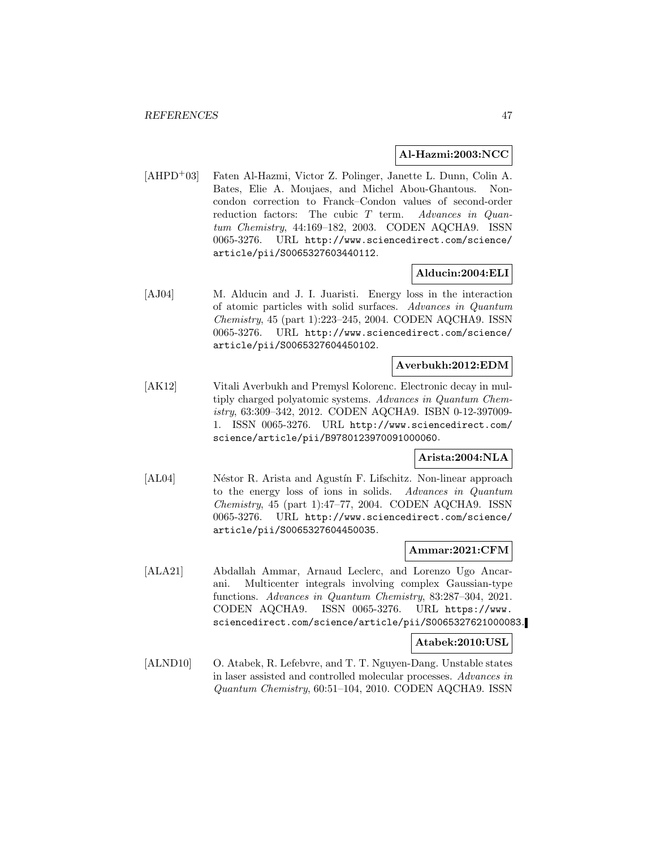#### **Al-Hazmi:2003:NCC**

[AHPD<sup>+</sup>03] Faten Al-Hazmi, Victor Z. Polinger, Janette L. Dunn, Colin A. Bates, Elie A. Moujaes, and Michel Abou-Ghantous. Noncondon correction to Franck–Condon values of second-order reduction factors: The cubic T term. Advances in Quantum Chemistry, 44:169–182, 2003. CODEN AQCHA9. ISSN 0065-3276. URL http://www.sciencedirect.com/science/ article/pii/S0065327603440112.

## **Alducin:2004:ELI**

[AJ04] M. Alducin and J. I. Juaristi. Energy loss in the interaction of atomic particles with solid surfaces. Advances in Quantum Chemistry, 45 (part 1):223–245, 2004. CODEN AQCHA9. ISSN 0065-3276. URL http://www.sciencedirect.com/science/ article/pii/S0065327604450102.

#### **Averbukh:2012:EDM**

[AK12] Vitali Averbukh and Premysl Kolorenc. Electronic decay in multiply charged polyatomic systems. Advances in Quantum Chemistry, 63:309–342, 2012. CODEN AQCHA9. ISBN 0-12-397009- 1. ISSN 0065-3276. URL http://www.sciencedirect.com/ science/article/pii/B9780123970091000060.

## **Arista:2004:NLA**

[AL04] Néstor R. Arista and Agustín F. Lifschitz. Non-linear approach to the energy loss of ions in solids. Advances in Quantum Chemistry, 45 (part 1):47–77, 2004. CODEN AQCHA9. ISSN 0065-3276. URL http://www.sciencedirect.com/science/ article/pii/S0065327604450035.

#### **Ammar:2021:CFM**

[ALA21] Abdallah Ammar, Arnaud Leclerc, and Lorenzo Ugo Ancarani. Multicenter integrals involving complex Gaussian-type functions. Advances in Quantum Chemistry, 83:287–304, 2021. CODEN AQCHA9. ISSN 0065-3276. URL https://www. sciencedirect.com/science/article/pii/S0065327621000083.

#### **Atabek:2010:USL**

[ALND10] O. Atabek, R. Lefebvre, and T. T. Nguyen-Dang. Unstable states in laser assisted and controlled molecular processes. Advances in Quantum Chemistry, 60:51–104, 2010. CODEN AQCHA9. ISSN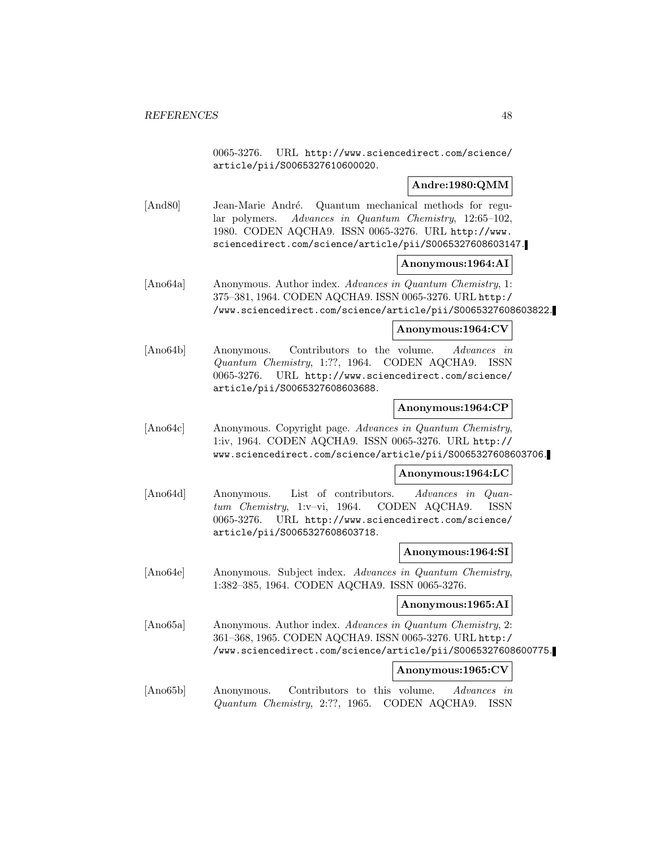0065-3276. URL http://www.sciencedirect.com/science/ article/pii/S0065327610600020.

## **Andre:1980:QMM**

[And80] Jean-Marie André. Quantum mechanical methods for regular polymers. Advances in Quantum Chemistry, 12:65–102, 1980. CODEN AQCHA9. ISSN 0065-3276. URL http://www. sciencedirect.com/science/article/pii/S0065327608603147.

#### **Anonymous:1964:AI**

[Ano64a] Anonymous. Author index. Advances in Quantum Chemistry, 1: 375–381, 1964. CODEN AQCHA9. ISSN 0065-3276. URL http:/ /www.sciencedirect.com/science/article/pii/S0065327608603822.

#### **Anonymous:1964:CV**

[Ano64b] Anonymous. Contributors to the volume. Advances in Quantum Chemistry, 1:??, 1964. CODEN AQCHA9. ISSN 0065-3276. URL http://www.sciencedirect.com/science/ article/pii/S0065327608603688.

## **Anonymous:1964:CP**

[Ano64c] Anonymous. Copyright page. Advances in Quantum Chemistry, 1:iv, 1964. CODEN AQCHA9. ISSN 0065-3276. URL http:// www.sciencedirect.com/science/article/pii/S0065327608603706.

#### **Anonymous:1964:LC**

[Ano64d] Anonymous. List of contributors. Advances in Quantum Chemistry, 1:v–vi, 1964. CODEN AQCHA9. ISSN 0065-3276. URL http://www.sciencedirect.com/science/ article/pii/S0065327608603718.

#### **Anonymous:1964:SI**

[Ano64e] Anonymous. Subject index. Advances in Quantum Chemistry, 1:382–385, 1964. CODEN AQCHA9. ISSN 0065-3276.

**Anonymous:1965:AI**

[Ano65a] Anonymous. Author index. Advances in Quantum Chemistry, 2: 361–368, 1965. CODEN AQCHA9. ISSN 0065-3276. URL http:/ /www.sciencedirect.com/science/article/pii/S0065327608600775.

## **Anonymous:1965:CV**

[Ano65b] Anonymous. Contributors to this volume. Advances in Quantum Chemistry, 2:??, 1965. CODEN AQCHA9. ISSN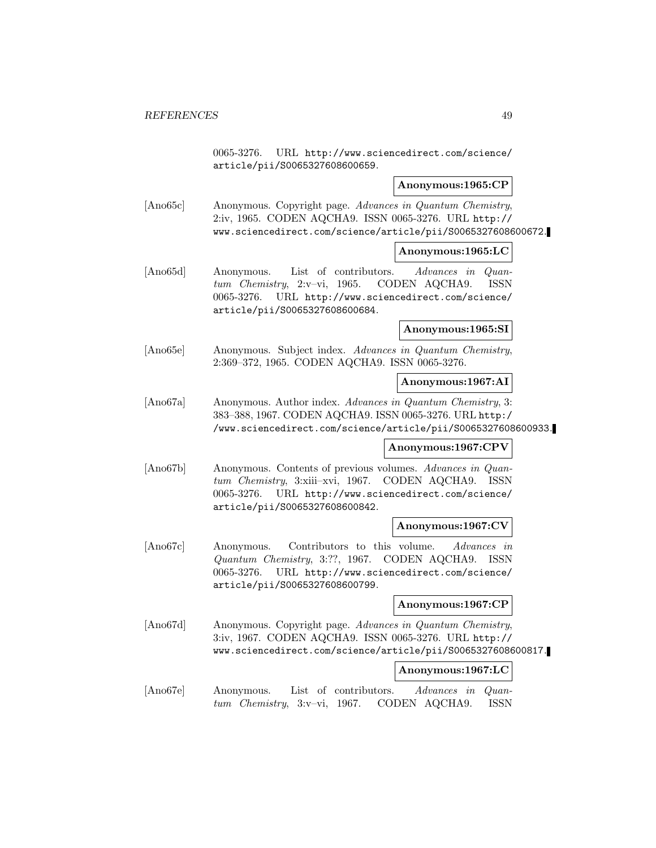0065-3276. URL http://www.sciencedirect.com/science/ article/pii/S0065327608600659.

#### **Anonymous:1965:CP**

[Ano65c] Anonymous. Copyright page. Advances in Quantum Chemistry, 2:iv, 1965. CODEN AQCHA9. ISSN 0065-3276. URL http:// www.sciencedirect.com/science/article/pii/S0065327608600672.

## **Anonymous:1965:LC**

[Ano65d] Anonymous. List of contributors. Advances in Quantum Chemistry, 2:v–vi, 1965. CODEN AQCHA9. ISSN 0065-3276. URL http://www.sciencedirect.com/science/ article/pii/S0065327608600684.

#### **Anonymous:1965:SI**

[Ano65e] Anonymous. Subject index. Advances in Quantum Chemistry, 2:369–372, 1965. CODEN AQCHA9. ISSN 0065-3276.

#### **Anonymous:1967:AI**

[Ano67a] Anonymous. Author index. Advances in Quantum Chemistry, 3: 383–388, 1967. CODEN AQCHA9. ISSN 0065-3276. URL http:/ /www.sciencedirect.com/science/article/pii/S0065327608600933.

#### **Anonymous:1967:CPV**

[Ano67b] Anonymous. Contents of previous volumes. Advances in Quantum Chemistry, 3:xiii–xvi, 1967. CODEN AQCHA9. ISSN 0065-3276. URL http://www.sciencedirect.com/science/ article/pii/S0065327608600842.

#### **Anonymous:1967:CV**

[Ano67c] Anonymous. Contributors to this volume. Advances in Quantum Chemistry, 3:??, 1967. CODEN AQCHA9. ISSN 0065-3276. URL http://www.sciencedirect.com/science/ article/pii/S0065327608600799.

## **Anonymous:1967:CP**

[Ano67d] Anonymous. Copyright page. Advances in Quantum Chemistry, 3:iv, 1967. CODEN AQCHA9. ISSN 0065-3276. URL http:// www.sciencedirect.com/science/article/pii/S0065327608600817.

#### **Anonymous:1967:LC**

[Ano67e] Anonymous. List of contributors. Advances in Quantum Chemistry, 3:v–vi, 1967. CODEN AQCHA9. ISSN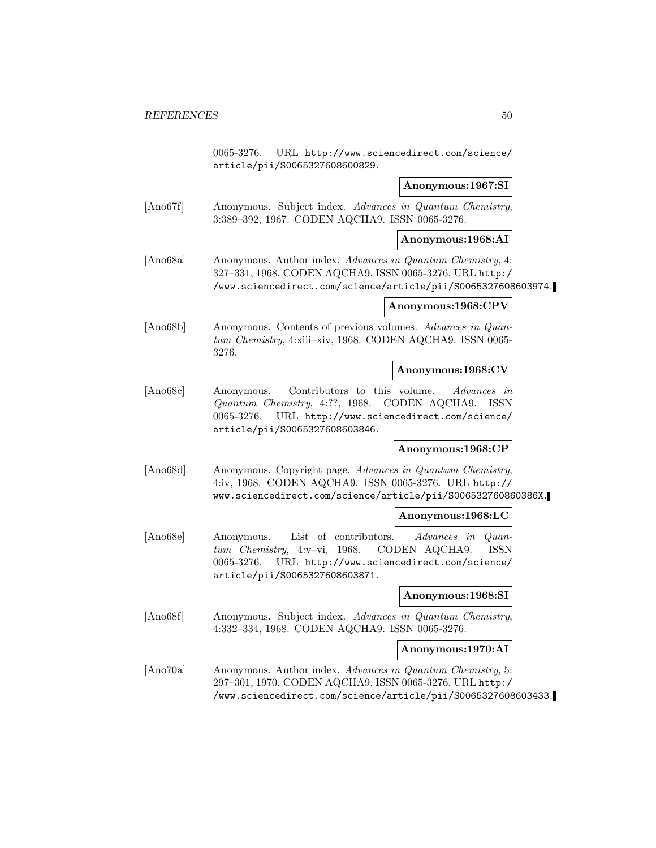0065-3276. URL http://www.sciencedirect.com/science/ article/pii/S0065327608600829.

## **Anonymous:1967:SI**

[Ano67f] Anonymous. Subject index. Advances in Quantum Chemistry, 3:389–392, 1967. CODEN AQCHA9. ISSN 0065-3276.

#### **Anonymous:1968:AI**

[Ano68a] Anonymous. Author index. Advances in Quantum Chemistry, 4: 327–331, 1968. CODEN AQCHA9. ISSN 0065-3276. URL http:/ /www.sciencedirect.com/science/article/pii/S0065327608603974.

#### **Anonymous:1968:CPV**

[Ano68b] Anonymous. Contents of previous volumes. Advances in Quantum Chemistry, 4:xiii–xiv, 1968. CODEN AQCHA9. ISSN 0065- 3276.

### **Anonymous:1968:CV**

[Ano68c] Anonymous. Contributors to this volume. Advances in Quantum Chemistry, 4:??, 1968. CODEN AQCHA9. ISSN 0065-3276. URL http://www.sciencedirect.com/science/ article/pii/S0065327608603846.

#### **Anonymous:1968:CP**

[Ano68d] Anonymous. Copyright page. Advances in Quantum Chemistry, 4:iv, 1968. CODEN AQCHA9. ISSN 0065-3276. URL http:// www.sciencedirect.com/science/article/pii/S006532760860386X.

#### **Anonymous:1968:LC**

[Ano68e] Anonymous. List of contributors. Advances in Quantum Chemistry, 4:v–vi, 1968. CODEN AQCHA9. ISSN 0065-3276. URL http://www.sciencedirect.com/science/ article/pii/S0065327608603871.

#### **Anonymous:1968:SI**

[Ano68f] Anonymous. Subject index. Advances in Quantum Chemistry, 4:332–334, 1968. CODEN AQCHA9. ISSN 0065-3276.

#### **Anonymous:1970:AI**

[Ano70a] Anonymous. Author index. Advances in Quantum Chemistry, 5: 297–301, 1970. CODEN AQCHA9. ISSN 0065-3276. URL http:/ /www.sciencedirect.com/science/article/pii/S0065327608603433.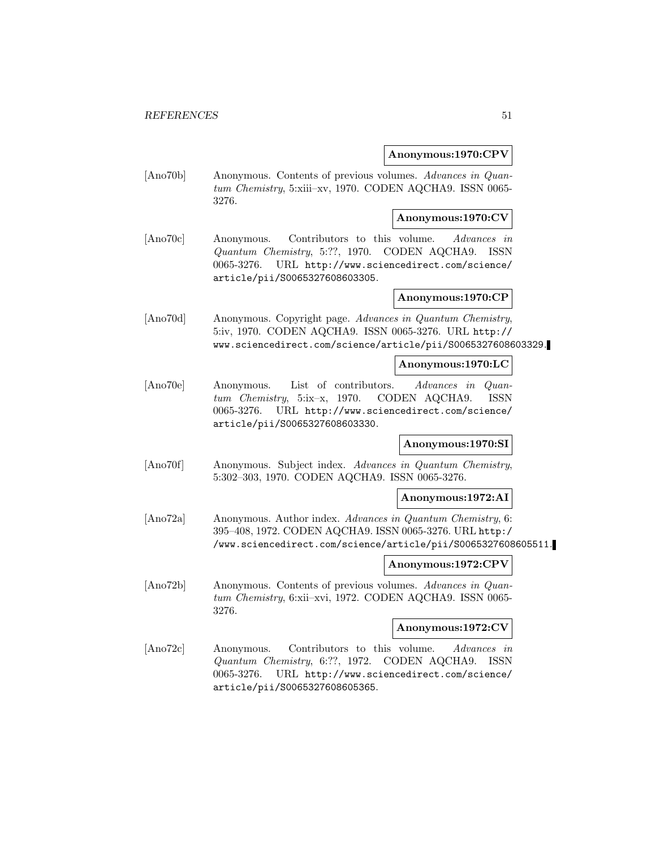#### **Anonymous:1970:CPV**

[Ano70b] Anonymous. Contents of previous volumes. Advances in Quantum Chemistry, 5:xiii–xv, 1970. CODEN AQCHA9. ISSN 0065- 3276.

## **Anonymous:1970:CV**

[Ano70c] Anonymous. Contributors to this volume. Advances in Quantum Chemistry, 5:??, 1970. CODEN AQCHA9. ISSN 0065-3276. URL http://www.sciencedirect.com/science/ article/pii/S0065327608603305.

#### **Anonymous:1970:CP**

[Ano70d] Anonymous. Copyright page. Advances in Quantum Chemistry, 5:iv, 1970. CODEN AQCHA9. ISSN 0065-3276. URL http:// www.sciencedirect.com/science/article/pii/S0065327608603329.

#### **Anonymous:1970:LC**

[Ano70e] Anonymous. List of contributors. Advances in Quantum Chemistry, 5:ix–x, 1970. CODEN AQCHA9. ISSN 0065-3276. URL http://www.sciencedirect.com/science/ article/pii/S0065327608603330.

## **Anonymous:1970:SI**

[Ano70f] Anonymous. Subject index. Advances in Quantum Chemistry, 5:302–303, 1970. CODEN AQCHA9. ISSN 0065-3276.

#### **Anonymous:1972:AI**

[Ano72a] Anonymous. Author index. Advances in Quantum Chemistry, 6: 395–408, 1972. CODEN AQCHA9. ISSN 0065-3276. URL http:/ /www.sciencedirect.com/science/article/pii/S0065327608605511.

#### **Anonymous:1972:CPV**

[Ano72b] Anonymous. Contents of previous volumes. Advances in Quantum Chemistry, 6:xii–xvi, 1972. CODEN AQCHA9. ISSN 0065- 3276.

#### **Anonymous:1972:CV**

[Ano72c] Anonymous. Contributors to this volume. Advances in Quantum Chemistry, 6:??, 1972. CODEN AQCHA9. ISSN 0065-3276. URL http://www.sciencedirect.com/science/ article/pii/S0065327608605365.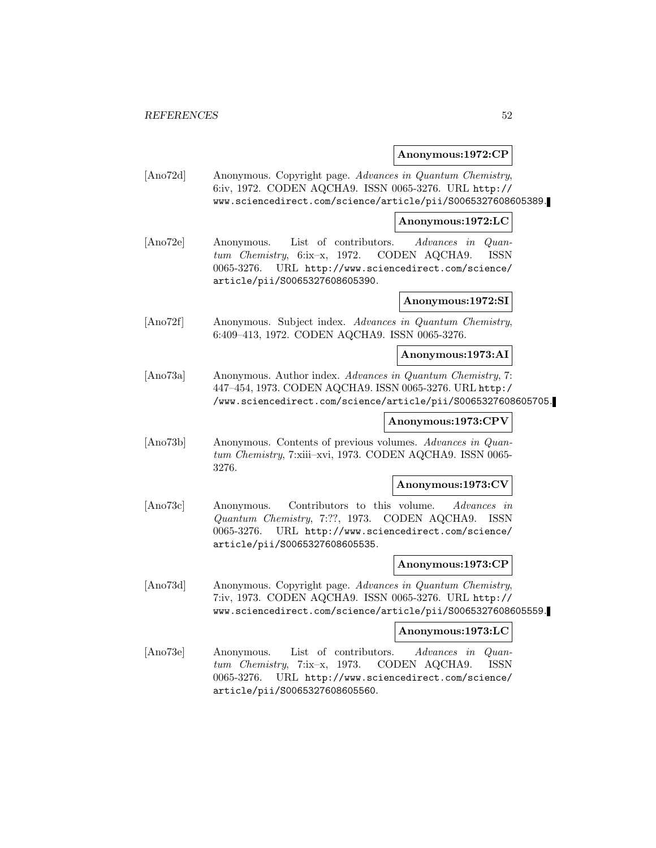#### **Anonymous:1972:CP**

[Ano72d] Anonymous. Copyright page. Advances in Quantum Chemistry, 6:iv, 1972. CODEN AQCHA9. ISSN 0065-3276. URL http:// www.sciencedirect.com/science/article/pii/S0065327608605389.

**Anonymous:1972:LC**

[Ano72e] Anonymous. List of contributors. Advances in Quantum Chemistry, 6:ix–x, 1972. CODEN AQCHA9. ISSN 0065-3276. URL http://www.sciencedirect.com/science/ article/pii/S0065327608605390.

**Anonymous:1972:SI**

[Ano72f] Anonymous. Subject index. Advances in Quantum Chemistry, 6:409–413, 1972. CODEN AQCHA9. ISSN 0065-3276.

**Anonymous:1973:AI**

[Ano73a] Anonymous. Author index. Advances in Quantum Chemistry, 7: 447–454, 1973. CODEN AQCHA9. ISSN 0065-3276. URL http:/ /www.sciencedirect.com/science/article/pii/S0065327608605705.

## **Anonymous:1973:CPV**

[Ano73b] Anonymous. Contents of previous volumes. Advances in Quantum Chemistry, 7:xiii–xvi, 1973. CODEN AQCHA9. ISSN 0065- 3276.

#### **Anonymous:1973:CV**

[Ano73c] Anonymous. Contributors to this volume. Advances in Quantum Chemistry, 7:??, 1973. CODEN AQCHA9. ISSN 0065-3276. URL http://www.sciencedirect.com/science/ article/pii/S0065327608605535.

#### **Anonymous:1973:CP**

[Ano73d] Anonymous. Copyright page. Advances in Quantum Chemistry, 7:iv, 1973. CODEN AQCHA9. ISSN 0065-3276. URL http:// www.sciencedirect.com/science/article/pii/S0065327608605559.

#### **Anonymous:1973:LC**

[Ano73e] Anonymous. List of contributors. Advances in Quantum Chemistry, 7:ix–x, 1973. CODEN AQCHA9. ISSN 0065-3276. URL http://www.sciencedirect.com/science/ article/pii/S0065327608605560.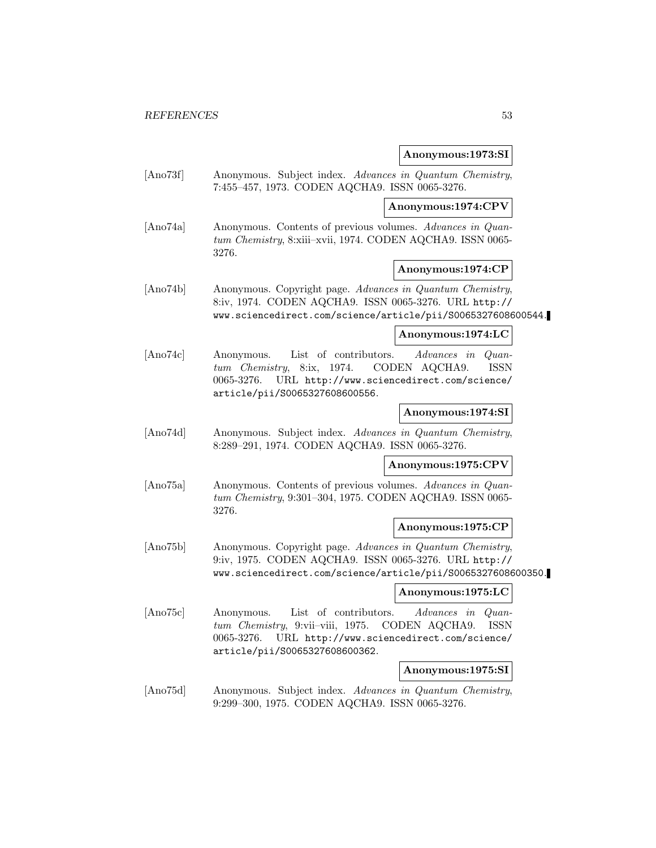# **Anonymous:1973:SI**

|                  | Anonymous:1973:51                                                                                                                                                                                                                               |
|------------------|-------------------------------------------------------------------------------------------------------------------------------------------------------------------------------------------------------------------------------------------------|
| [Ano73f]         | Anonymous. Subject index. Advances in Quantum Chemistry,<br>7:455-457, 1973. CODEN AQCHA9. ISSN 0065-3276.                                                                                                                                      |
|                  | Anonymous:1974:CPV                                                                                                                                                                                                                              |
| [Ano74a]         | Anonymous. Contents of previous volumes. Advances in Quan-<br>tum Chemistry, 8:xiii-xvii, 1974. CODEN AQCHA9. ISSN 0065-<br>3276.                                                                                                               |
|                  | Anonymous:1974:CP                                                                                                                                                                                                                               |
| [Ano74b]         | Anonymous. Copyright page. Advances in Quantum Chemistry,<br>8:iv, 1974. CODEN AQCHA9. ISSN 0065-3276. URL http://<br>www.sciencedirect.com/science/article/pii/S0065327608600544.                                                              |
|                  | Anonymous:1974:LC                                                                                                                                                                                                                               |
| $[{\rm Ano74c}]$ | List of contributors.<br><i>Advances</i> in<br>$Quan-$<br>Anonymous.<br>8:ix, 1974.<br>ISSN<br>tum Chemistry,<br>CODEN AQCHA9.<br>0065-3276.<br>URL http://www.sciencedirect.com/science/<br>article/pii/S0065327608600556.                     |
|                  | Anonymous:1974:SI                                                                                                                                                                                                                               |
| [Ano74d]         | Anonymous. Subject index. Advances in Quantum Chemistry,<br>8:289-291, 1974. CODEN AQCHA9. ISSN 0065-3276.                                                                                                                                      |
|                  | Anonymous:1975:CPV                                                                                                                                                                                                                              |
| [Ano75a]         | Anonymous. Contents of previous volumes. Advances in Quan-<br>tum Chemistry, 9:301-304, 1975. CODEN AQCHA9. ISSN 0065-<br>3276.                                                                                                                 |
|                  | Anonymous:1975:CP                                                                                                                                                                                                                               |
| [Ano75b]         | Anonymous. Copyright page. Advances in Quantum Chemistry,<br>9:iv, 1975. CODEN AQCHA9. ISSN 0065-3276. URL http://<br>www.sciencedirect.com/science/article/pii/S0065327608600350.                                                              |
|                  | Anonymous:1975:LC                                                                                                                                                                                                                               |
| [Ano75c]         | List of contributors.<br><i>Advances</i> in<br>Anonymous.<br>$Quan-$<br>CODEN AQCHA9.<br>$tum$ <i>Chemistry</i> , 9:vii-viii, 1975.<br><b>ISSN</b><br>URL http://www.sciencedirect.com/science/<br>0065-3276.<br>article/pii/S0065327608600362. |
|                  | Anonymous:1975:SI                                                                                                                                                                                                                               |
| [Ano75d]         | Anonymous. Subject index. Advances in Quantum Chemistry,<br>9:299-300, 1975. CODEN AQCHA9. ISSN 0065-3276.                                                                                                                                      |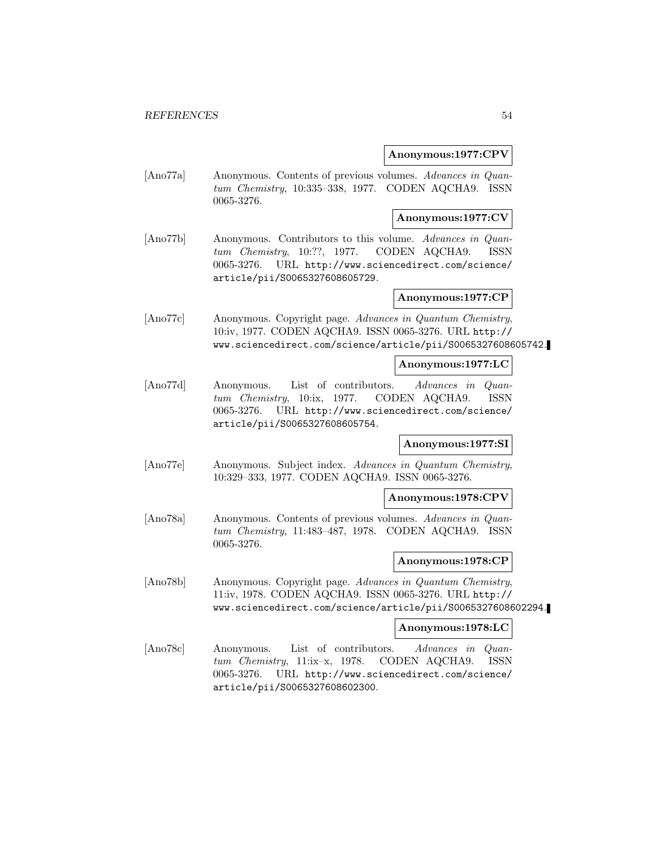#### **Anonymous:1977:CPV**

[Ano77a] Anonymous. Contents of previous volumes. Advances in Quantum Chemistry, 10:335–338, 1977. CODEN AQCHA9. ISSN 0065-3276.

#### **Anonymous:1977:CV**

[Ano77b] Anonymous. Contributors to this volume. Advances in Quantum Chemistry, 10:??, 1977. CODEN AQCHA9. ISSN 0065-3276. URL http://www.sciencedirect.com/science/ article/pii/S0065327608605729.

#### **Anonymous:1977:CP**

[Ano77c] Anonymous. Copyright page. Advances in Quantum Chemistry, 10:iv, 1977. CODEN AQCHA9. ISSN 0065-3276. URL http:// www.sciencedirect.com/science/article/pii/S0065327608605742.

#### **Anonymous:1977:LC**

[Ano77d] Anonymous. List of contributors. Advances in Quantum Chemistry, 10:ix, 1977. CODEN AQCHA9. ISSN 0065-3276. URL http://www.sciencedirect.com/science/ article/pii/S0065327608605754.

## **Anonymous:1977:SI**

[Ano77e] Anonymous. Subject index. Advances in Quantum Chemistry, 10:329–333, 1977. CODEN AQCHA9. ISSN 0065-3276.

#### **Anonymous:1978:CPV**

[Ano78a] Anonymous. Contents of previous volumes. Advances in Quantum Chemistry, 11:483–487, 1978. CODEN AQCHA9. ISSN 0065-3276.

#### **Anonymous:1978:CP**

[Ano78b] Anonymous. Copyright page. Advances in Quantum Chemistry, 11:iv, 1978. CODEN AQCHA9. ISSN 0065-3276. URL http:// www.sciencedirect.com/science/article/pii/S0065327608602294.

#### **Anonymous:1978:LC**

[Ano78c] Anonymous. List of contributors. Advances in Quantum Chemistry, 11:ix–x, 1978. CODEN AQCHA9. ISSN 0065-3276. URL http://www.sciencedirect.com/science/ article/pii/S0065327608602300.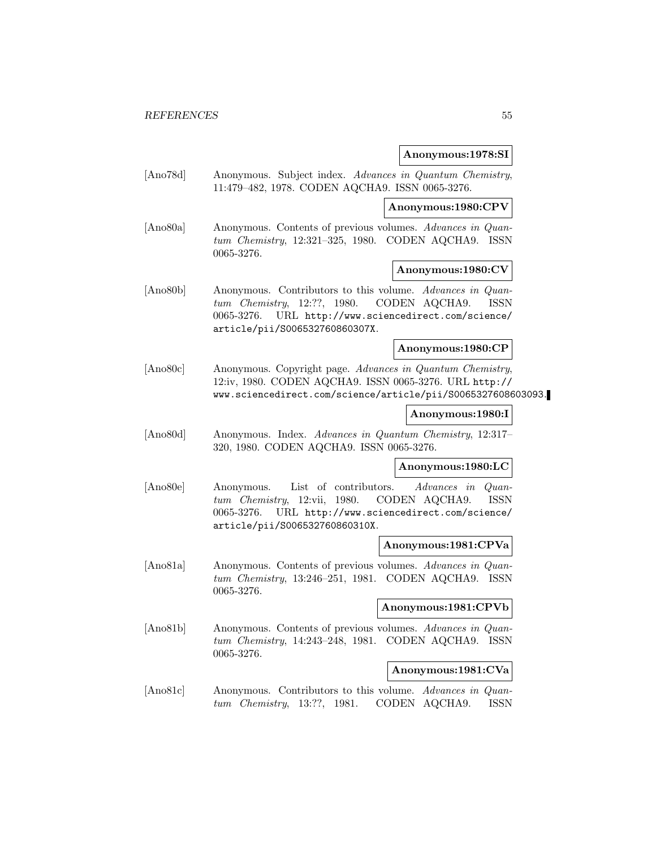#### **Anonymous:1978:SI**

[Ano78d] Anonymous. Subject index. Advances in Quantum Chemistry, 11:479–482, 1978. CODEN AQCHA9. ISSN 0065-3276.

## **Anonymous:1980:CPV**

[Ano80a] Anonymous. Contents of previous volumes. Advances in Quantum Chemistry, 12:321–325, 1980. CODEN AQCHA9. ISSN 0065-3276.

## **Anonymous:1980:CV**

[Ano80b] Anonymous. Contributors to this volume. Advances in Quantum Chemistry, 12:??, 1980. CODEN AQCHA9. ISSN 0065-3276. URL http://www.sciencedirect.com/science/ article/pii/S006532760860307X.

## **Anonymous:1980:CP**

[Ano80c] Anonymous. Copyright page. Advances in Quantum Chemistry, 12:iv, 1980. CODEN AQCHA9. ISSN 0065-3276. URL http:// www.sciencedirect.com/science/article/pii/S0065327608603093.

#### **Anonymous:1980:I**

[Ano80d] Anonymous. Index. Advances in Quantum Chemistry, 12:317– 320, 1980. CODEN AQCHA9. ISSN 0065-3276.

#### **Anonymous:1980:LC**

[Ano80e] Anonymous. List of contributors. Advances in Quantum Chemistry, 12:vii, 1980. CODEN AQCHA9. ISSN 0065-3276. URL http://www.sciencedirect.com/science/ article/pii/S006532760860310X.

#### **Anonymous:1981:CPVa**

[Ano81a] Anonymous. Contents of previous volumes. Advances in Quantum Chemistry, 13:246–251, 1981. CODEN AQCHA9. ISSN 0065-3276.

#### **Anonymous:1981:CPVb**

[Ano81b] Anonymous. Contents of previous volumes. Advances in Quantum Chemistry, 14:243–248, 1981. CODEN AQCHA9. ISSN 0065-3276.

#### **Anonymous:1981:CVa**

[Ano81c] Anonymous. Contributors to this volume. Advances in Quantum Chemistry, 13:??, 1981. CODEN AQCHA9. ISSN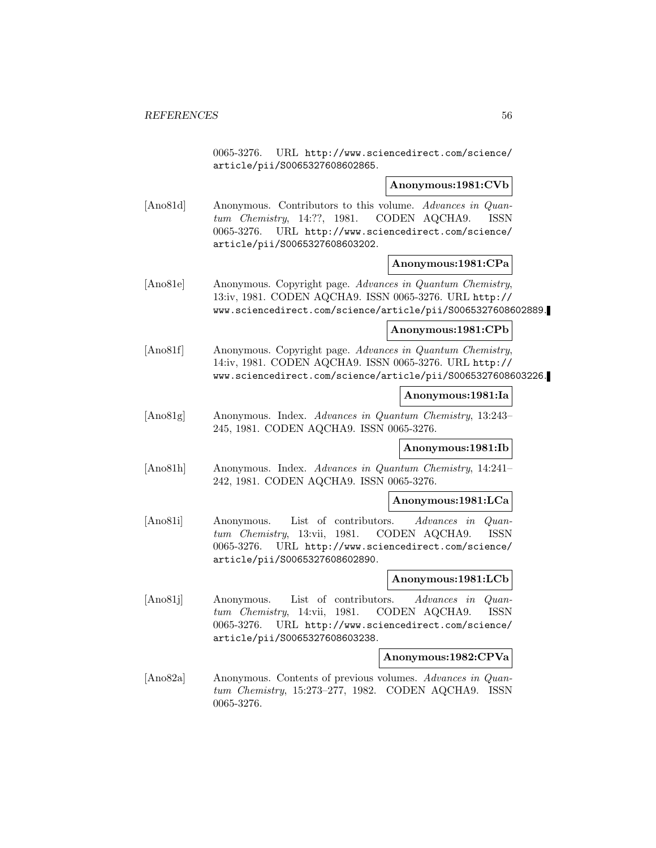0065-3276. URL http://www.sciencedirect.com/science/ article/pii/S0065327608602865.

#### **Anonymous:1981:CVb**

[Ano81d] Anonymous. Contributors to this volume. Advances in Quantum Chemistry, 14:??, 1981. CODEN AQCHA9. ISSN 0065-3276. URL http://www.sciencedirect.com/science/ article/pii/S0065327608603202.

#### **Anonymous:1981:CPa**

[Ano81e] Anonymous. Copyright page. Advances in Quantum Chemistry, 13:iv, 1981. CODEN AQCHA9. ISSN 0065-3276. URL http:// www.sciencedirect.com/science/article/pii/S0065327608602889.

#### **Anonymous:1981:CPb**

[Ano81f] Anonymous. Copyright page. Advances in Quantum Chemistry, 14:iv, 1981. CODEN AQCHA9. ISSN 0065-3276. URL http:// www.sciencedirect.com/science/article/pii/S0065327608603226.

#### **Anonymous:1981:Ia**

[Ano81g] Anonymous. Index. Advances in Quantum Chemistry, 13:243– 245, 1981. CODEN AQCHA9. ISSN 0065-3276.

#### **Anonymous:1981:Ib**

[Ano81h] Anonymous. Index. Advances in Quantum Chemistry, 14:241– 242, 1981. CODEN AQCHA9. ISSN 0065-3276.

#### **Anonymous:1981:LCa**

[Ano81i] Anonymous. List of contributors. Advances in Quantum Chemistry, 13:vii, 1981. CODEN AQCHA9. ISSN 0065-3276. URL http://www.sciencedirect.com/science/ article/pii/S0065327608602890.

#### **Anonymous:1981:LCb**

[Ano81j] Anonymous. List of contributors. Advances in Quantum Chemistry, 14:vii, 1981. CODEN AQCHA9. ISSN 0065-3276. URL http://www.sciencedirect.com/science/ article/pii/S0065327608603238.

#### **Anonymous:1982:CPVa**

[Ano82a] Anonymous. Contents of previous volumes. Advances in Quantum Chemistry, 15:273–277, 1982. CODEN AQCHA9. ISSN 0065-3276.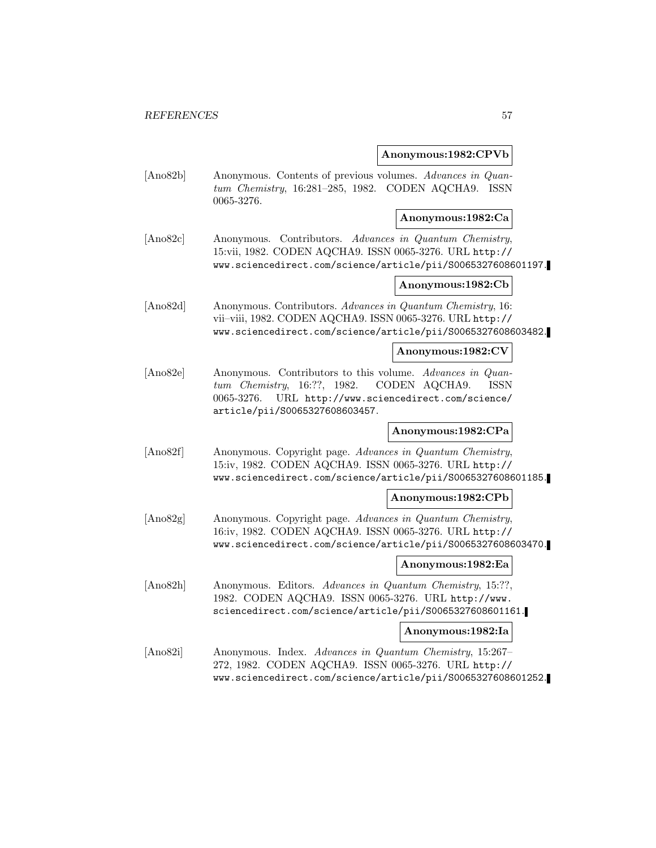#### **Anonymous:1982:CPVb**

[Ano82b] Anonymous. Contents of previous volumes. Advances in Quantum Chemistry, 16:281–285, 1982. CODEN AQCHA9. ISSN 0065-3276.

#### **Anonymous:1982:Ca**

[Ano82c] Anonymous. Contributors. Advances in Quantum Chemistry, 15:vii, 1982. CODEN AQCHA9. ISSN 0065-3276. URL http:// www.sciencedirect.com/science/article/pii/S0065327608601197.

## **Anonymous:1982:Cb**

[Ano82d] Anonymous. Contributors. Advances in Quantum Chemistry, 16: vii–viii, 1982. CODEN AQCHA9. ISSN 0065-3276. URL http:// www.sciencedirect.com/science/article/pii/S0065327608603482.

#### **Anonymous:1982:CV**

[Ano82e] Anonymous. Contributors to this volume. Advances in Quantum Chemistry, 16:??, 1982. CODEN AQCHA9. ISSN 0065-3276. URL http://www.sciencedirect.com/science/ article/pii/S0065327608603457.

#### **Anonymous:1982:CPa**

[Ano82f] Anonymous. Copyright page. Advances in Quantum Chemistry, 15:iv, 1982. CODEN AQCHA9. ISSN 0065-3276. URL http:// www.sciencedirect.com/science/article/pii/S0065327608601185.

#### **Anonymous:1982:CPb**

[Ano82g] Anonymous. Copyright page. Advances in Quantum Chemistry, 16:iv, 1982. CODEN AQCHA9. ISSN 0065-3276. URL http:// www.sciencedirect.com/science/article/pii/S0065327608603470.

## **Anonymous:1982:Ea**

[Ano82h] Anonymous. Editors. Advances in Quantum Chemistry, 15:??, 1982. CODEN AQCHA9. ISSN 0065-3276. URL http://www. sciencedirect.com/science/article/pii/S0065327608601161.

## **Anonymous:1982:Ia**

[Ano82i] Anonymous. Index. Advances in Quantum Chemistry, 15:267– 272, 1982. CODEN AQCHA9. ISSN 0065-3276. URL http:// www.sciencedirect.com/science/article/pii/S0065327608601252.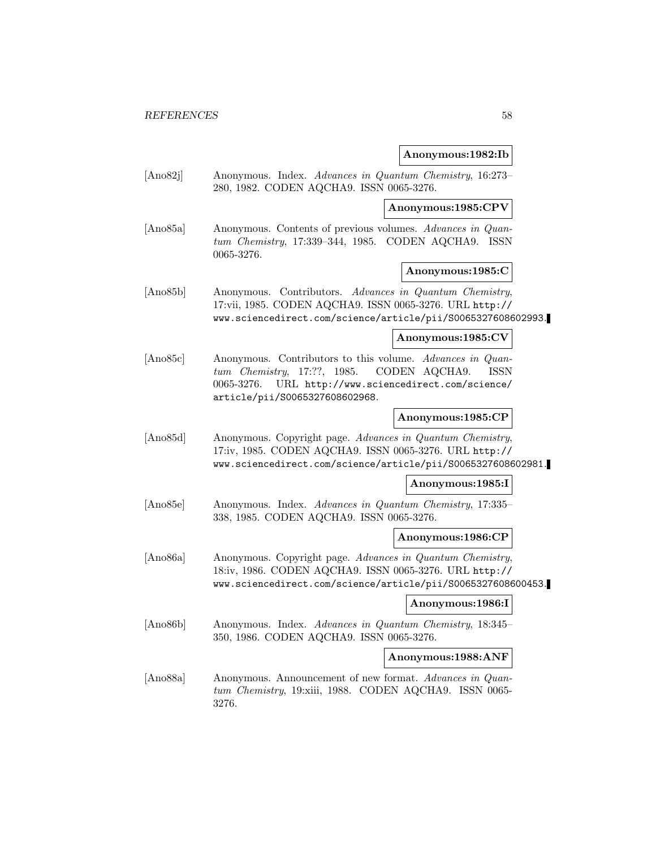#### **Anonymous:1982:Ib**

[Ano82j] Anonymous. Index. Advances in Quantum Chemistry, 16:273– 280, 1982. CODEN AQCHA9. ISSN 0065-3276.

**Anonymous:1985:CPV**

[Ano85a] Anonymous. Contents of previous volumes. Advances in Quantum Chemistry, 17:339–344, 1985. CODEN AQCHA9. ISSN 0065-3276.

## **Anonymous:1985:C**

[Ano85b] Anonymous. Contributors. Advances in Quantum Chemistry, 17:vii, 1985. CODEN AQCHA9. ISSN 0065-3276. URL http:// www.sciencedirect.com/science/article/pii/S0065327608602993.

**Anonymous:1985:CV**

[Ano85c] Anonymous. Contributors to this volume. Advances in Quantum Chemistry, 17:??, 1985. CODEN AQCHA9. ISSN 0065-3276. URL http://www.sciencedirect.com/science/ article/pii/S0065327608602968.

#### **Anonymous:1985:CP**

[Ano85d] Anonymous. Copyright page. Advances in Quantum Chemistry, 17:iv, 1985. CODEN AQCHA9. ISSN 0065-3276. URL http:// www.sciencedirect.com/science/article/pii/S0065327608602981.

#### **Anonymous:1985:I**

[Ano85e] Anonymous. Index. Advances in Quantum Chemistry, 17:335– 338, 1985. CODEN AQCHA9. ISSN 0065-3276.

#### **Anonymous:1986:CP**

[Ano86a] Anonymous. Copyright page. Advances in Quantum Chemistry, 18:iv, 1986. CODEN AQCHA9. ISSN 0065-3276. URL http:// www.sciencedirect.com/science/article/pii/S0065327608600453.

#### **Anonymous:1986:I**

[Ano86b] Anonymous. Index. Advances in Quantum Chemistry, 18:345– 350, 1986. CODEN AQCHA9. ISSN 0065-3276.

#### **Anonymous:1988:ANF**

[Ano88a] Anonymous. Announcement of new format. Advances in Quantum Chemistry, 19:xiii, 1988. CODEN AQCHA9. ISSN 0065-3276.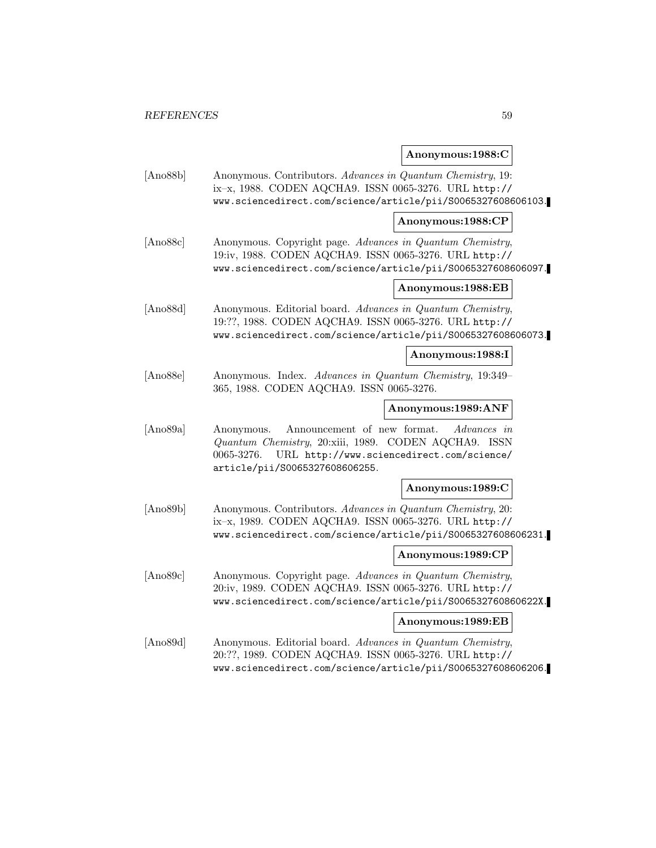# **Anonymous:1988:C**

| [Ano88b] | Anonymous. Contributors. Advances in Quantum Chemistry, 19:<br>ix-x, 1988. CODEN AQCHA9. ISSN 0065-3276. URL http://<br>www.sciencedirect.com/science/article/pii/S0065327608606103.           |                    |
|----------|------------------------------------------------------------------------------------------------------------------------------------------------------------------------------------------------|--------------------|
|          |                                                                                                                                                                                                | Anonymous:1988:CP  |
| [Ano88c] | Anonymous. Copyright page. Advances in Quantum Chemistry,<br>19:iv, 1988. CODEN AQCHA9. ISSN 0065-3276. URL http://<br>www.sciencedirect.com/science/article/pii/S0065327608606097.            |                    |
|          |                                                                                                                                                                                                | Anonymous:1988:EB  |
| [Ano88d] | Anonymous. Editorial board. Advances in Quantum Chemistry,<br>19:??, 1988. CODEN AQCHA9. ISSN 0065-3276. URL http://<br>www.sciencedirect.com/science/article/pii/S0065327608606073.           |                    |
|          |                                                                                                                                                                                                | Anonymous:1988:I   |
| [Ano88e] | Anonymous. Index. Advances in Quantum Chemistry, 19:349-<br>365, 1988. CODEN AQCHA9. ISSN 0065-3276.                                                                                           |                    |
|          |                                                                                                                                                                                                | Anonymous:1989:ANF |
| [Ano89a] | Announcement of new format.<br>Anonymous.<br>Quantum Chemistry, 20:xiii, 1989. CODEN AQCHA9. ISSN<br>URL http://www.sciencedirect.com/science/<br>0065-3276.<br>article/pii/S0065327608606255. | <i>Advances</i> in |
|          |                                                                                                                                                                                                | Anonymous:1989:C   |
| [Ano89b] | Anonymous. Contributors. Advances in Quantum Chemistry, 20:<br>ix-x, 1989. CODEN AQCHA9. ISSN 0065-3276. URL http://<br>www.sciencedirect.com/science/article/pii/S0065327608606231.           |                    |
|          |                                                                                                                                                                                                | Anonymous:1989:CP  |
| [Ano89c] | Anonymous. Copyright page. Advances in Quantum Chemistry,<br>20:iv, 1989. CODEN AQCHA9. ISSN 0065-3276. URL http://<br>www.sciencedirect.com/science/article/pii/S006532760860622X.            |                    |
|          |                                                                                                                                                                                                | Anonymous:1989:EB  |
| [Ano89d] | Anonymous. Editorial board. Advances in Quantum Chemistry,<br>20:??, 1989. CODEN AQCHA9. ISSN 0065-3276. URL http://<br>www.sciencedirect.com/science/article/pii/S0065327608606206.           |                    |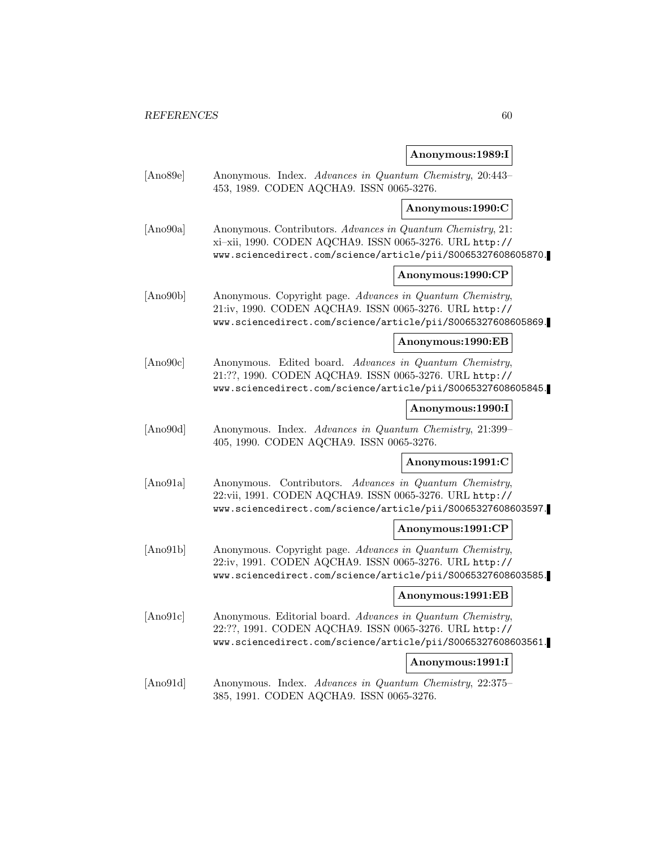## **Anonymous:1989:I**

| [Ano89e] | Anonymous. Index. Advances in Quantum Chemistry, 20:443-<br>453, 1989. CODEN AQCHA9. ISSN 0065-3276.                                                                                   |
|----------|----------------------------------------------------------------------------------------------------------------------------------------------------------------------------------------|
|          | Anonymous:1990:C                                                                                                                                                                       |
| [Ano90a] | Anonymous. Contributors. Advances in Quantum Chemistry, 21:<br>xi-xii, 1990. CODEN AQCHA9. ISSN 0065-3276. URL http://<br>www.sciencedirect.com/science/article/pii/S0065327608605870. |
|          | Anonymous:1990:CP                                                                                                                                                                      |
| [Ano90b] | Anonymous. Copyright page. Advances in Quantum Chemistry,<br>21:iv, 1990. CODEN AQCHA9. ISSN 0065-3276. URL http://<br>www.sciencedirect.com/science/article/pii/S0065327608605869.    |
|          | Anonymous:1990:EB                                                                                                                                                                      |
| [Ano90c] | Anonymous. Edited board. Advances in Quantum Chemistry,<br>21:??, 1990. CODEN AQCHA9. ISSN 0065-3276. URL http://<br>www.sciencedirect.com/science/article/pii/S0065327608605845.      |
|          | Anonymous:1990:I                                                                                                                                                                       |
| [Ano90d] | Anonymous. Index. Advances in Quantum Chemistry, 21:399-<br>405, 1990. CODEN AQCHA9. ISSN 0065-3276.                                                                                   |
|          | Anonymous:1991:C                                                                                                                                                                       |
| [Ano91a] | Anonymous. Contributors. Advances in Quantum Chemistry,<br>22:vii, 1991. CODEN AQCHA9. ISSN 0065-3276. URL http://<br>www.sciencedirect.com/science/article/pii/S0065327608603597.     |
|          | Anonymous:1991:CP                                                                                                                                                                      |
| [Ano91b] | Anonymous. Copyright page. Advances in Quantum Chemistry,<br>22:iv, 1991. CODEN AQCHA9. ISSN 0065-3276. URL http://<br>www.sciencedirect.com/science/article/pii/S0065327608603585.    |
|          | Anonymous:1991:EB                                                                                                                                                                      |
| [Ano91c] | Anonymous. Editorial board. Advances in Quantum Chemistry,<br>22:??, 1991. CODEN AQCHA9. ISSN 0065-3276. URL http://<br>www.sciencedirect.com/science/article/pii/S0065327608603561.   |
|          | Anonymous:1991:I                                                                                                                                                                       |
| [Ano91d] | Anonymous. Index. Advances in Quantum Chemistry, 22:375-<br>385, 1991. CODEN AQCHA9. ISSN 0065-3276.                                                                                   |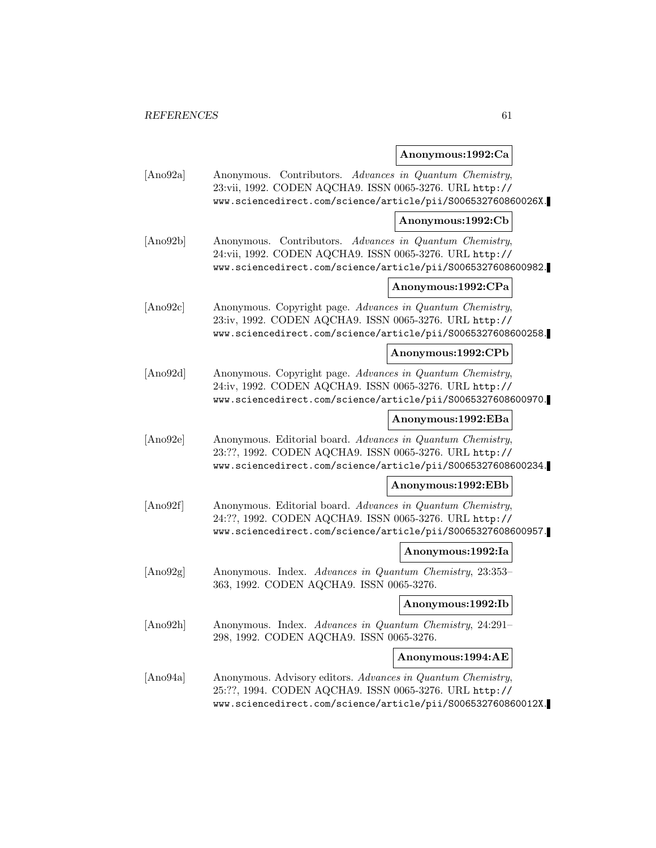# **Anonymous:1992:Ca**

| [Ano92a] | Anonymous. Contributors. Advances in Quantum Chemistry,<br>23:vii, 1992. CODEN AQCHA9. ISSN 0065-3276. URL http://<br>www.sciencedirect.com/science/article/pii/S006532760860026X.    |                    |
|----------|---------------------------------------------------------------------------------------------------------------------------------------------------------------------------------------|--------------------|
|          |                                                                                                                                                                                       | Anonymous:1992:Cb  |
| [Ano92b] | Anonymous. Contributors. Advances in Quantum Chemistry,<br>24:vii, 1992. CODEN AQCHA9. ISSN 0065-3276. URL http://<br>www.sciencedirect.com/science/article/pii/S0065327608600982.    |                    |
|          |                                                                                                                                                                                       | Anonymous:1992:CPa |
| [Ano92c] | Anonymous. Copyright page. Advances in Quantum Chemistry,<br>23:iv, 1992. CODEN AQCHA9. ISSN 0065-3276. URL http://<br>www.sciencedirect.com/science/article/pii/S0065327608600258.   |                    |
|          |                                                                                                                                                                                       | Anonymous:1992:CPb |
| [Ano92d] | Anonymous. Copyright page. Advances in Quantum Chemistry,<br>24:iv, 1992. CODEN AQCHA9. ISSN 0065-3276. URL http://<br>www.sciencedirect.com/science/article/pii/S0065327608600970.   |                    |
|          |                                                                                                                                                                                       | Anonymous:1992:EBa |
| [Ano92e] | Anonymous. Editorial board. Advances in Quantum Chemistry,<br>23:??, 1992. CODEN AQCHA9. ISSN 0065-3276. URL http://<br>www.sciencedirect.com/science/article/pii/S0065327608600234.  |                    |
|          |                                                                                                                                                                                       | Anonymous:1992:EBb |
| [Ano92f] | Anonymous. Editorial board. Advances in Quantum Chemistry,<br>24:??, 1992. CODEN AQCHA9. ISSN 0065-3276. URL http://<br>www.sciencedirect.com/science/article/pii/S0065327608600957.  |                    |
|          |                                                                                                                                                                                       | Anonymous:1992:Ia  |
| [Ano92g] | Anonymous. Index. Advances in Quantum Chemistry, 23:353-<br>363, 1992. CODEN AQCHA9. ISSN 0065-3276.                                                                                  |                    |
|          |                                                                                                                                                                                       | Anonymous:1992:Ib  |
| [Ano92h] | Anonymous. Index. Advances in Quantum Chemistry, 24:291-<br>298, 1992. CODEN AQCHA9. ISSN 0065-3276.                                                                                  |                    |
|          |                                                                                                                                                                                       | Anonymous:1994:AE  |
| [Ano94a] | Anonymous. Advisory editors. Advances in Quantum Chemistry,<br>25:??, 1994. CODEN AQCHA9. ISSN 0065-3276. URL http://<br>www.sciencedirect.com/science/article/pii/S006532760860012X. |                    |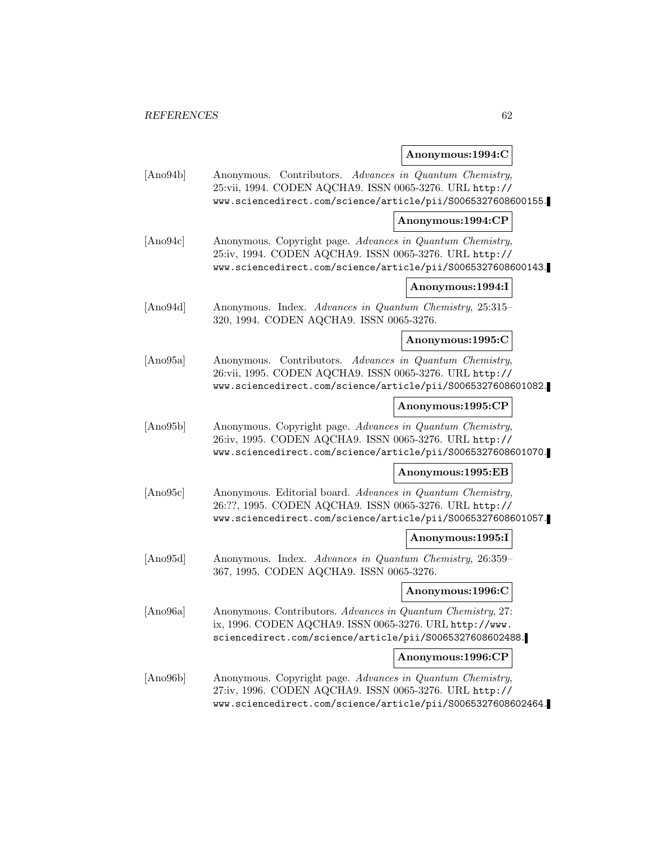# **Anonymous:1994:C**

| [Ano94b] | Anonymous. Contributors. Advances in Quantum Chemistry,<br>25:vii, 1994. CODEN AQCHA9. ISSN 0065-3276. URL http://<br>www.sciencedirect.com/science/article/pii/S0065327608600155.   |                   |
|----------|--------------------------------------------------------------------------------------------------------------------------------------------------------------------------------------|-------------------|
|          |                                                                                                                                                                                      | Anonymous:1994:CP |
| [Ano94c] | Anonymous. Copyright page. Advances in Quantum Chemistry,<br>25:iv, 1994. CODEN AQCHA9. ISSN 0065-3276. URL http://<br>www.sciencedirect.com/science/article/pii/S0065327608600143.  |                   |
|          |                                                                                                                                                                                      | Anonymous:1994:I  |
| [Ano94d] | Anonymous. Index. Advances in Quantum Chemistry, 25:315-<br>320, 1994. CODEN AQCHA9. ISSN 0065-3276.                                                                                 |                   |
|          |                                                                                                                                                                                      | Anonymous:1995:C  |
| [Ano95a] | Anonymous. Contributors. Advances in Quantum Chemistry,<br>26:vii, 1995. CODEN AQCHA9. ISSN 0065-3276. URL http://<br>www.sciencedirect.com/science/article/pii/S0065327608601082.   |                   |
|          |                                                                                                                                                                                      | Anonymous:1995:CP |
| [Ano95b] | Anonymous. Copyright page. Advances in Quantum Chemistry,<br>26:iv, 1995. CODEN AQCHA9. ISSN 0065-3276. URL http://<br>www.sciencedirect.com/science/article/pii/S0065327608601070.  |                   |
|          |                                                                                                                                                                                      | Anonymous:1995:EB |
| [Ano95c] | Anonymous. Editorial board. Advances in Quantum Chemistry,<br>26:??, 1995. CODEN AQCHA9. ISSN 0065-3276. URL http://<br>www.sciencedirect.com/science/article/pii/S0065327608601057. |                   |
|          |                                                                                                                                                                                      | Anonymous:1995:I  |
| [Ano95d] | Anonymous. Index. Advances in Quantum Chemistry, 26:359-<br>367, 1995. CODEN AQCHA9. ISSN 0065-3276.                                                                                 |                   |
|          |                                                                                                                                                                                      | Anonymous:1996:C  |
| [Ano96a] | Anonymous. Contributors. Advances in Quantum Chemistry, 27:<br>ix, 1996. CODEN AQCHA9. ISSN 0065-3276. URL http://www.<br>sciencedirect.com/science/article/pii/S0065327608602488.   |                   |
|          |                                                                                                                                                                                      | Anonymous:1996:CP |
| [Ano96b] | Anonymous. Copyright page. Advances in Quantum Chemistry,<br>27:iv, 1996. CODEN AQCHA9. ISSN 0065-3276. URL http://<br>www.sciencedirect.com/science/article/pii/S0065327608602464.  |                   |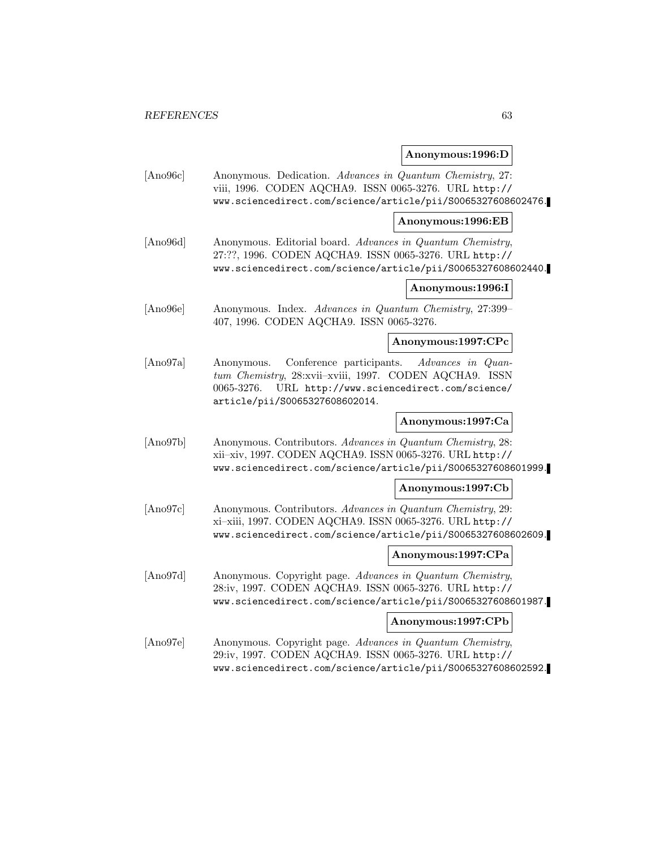# **Anonymous:1996:D**

| [Ano96c] | Anonymous. Dedication. Advances in Quantum Chemistry, 27:<br>viii, 1996. CODEN AQCHA9. ISSN 0065-3276. URL http://<br>www.sciencedirect.com/science/article/pii/S0065327608602476.                                 |                    |
|----------|--------------------------------------------------------------------------------------------------------------------------------------------------------------------------------------------------------------------|--------------------|
|          |                                                                                                                                                                                                                    | Anonymous:1996:EB  |
| [Ano96d] | Anonymous. Editorial board. Advances in Quantum Chemistry,<br>27:??, 1996. CODEN AQCHA9. ISSN 0065-3276. URL http://<br>www.sciencedirect.com/science/article/pii/S0065327608602440.                               |                    |
|          |                                                                                                                                                                                                                    | Anonymous:1996:I   |
| [Ano96e] | Anonymous. Index. Advances in Quantum Chemistry, 27:399-<br>407, 1996. CODEN AQCHA9. ISSN 0065-3276.                                                                                                               |                    |
|          |                                                                                                                                                                                                                    | Anonymous:1997:CPc |
| [Ano97a] | Conference participants.<br>Anonymous.<br>Advances in Quan-<br>tum Chemistry, 28:xvii-xviii, 1997. CODEN AQCHA9. ISSN<br>URL http://www.sciencedirect.com/science/<br>0065-3276.<br>article/pii/S0065327608602014. |                    |
|          |                                                                                                                                                                                                                    | Anonymous:1997:Ca  |
| [Ano97b] | Anonymous. Contributors. Advances in Quantum Chemistry, 28:<br>xii-xiv, 1997. CODEN AQCHA9. ISSN 0065-3276. URL http://<br>www.sciencedirect.com/science/article/pii/S0065327608601999.                            |                    |
|          |                                                                                                                                                                                                                    | Anonymous:1997:Cb  |
| [Ano97c] | Anonymous. Contributors. Advances in Quantum Chemistry, 29:<br>xi-xiii, 1997. CODEN AQCHA9. ISSN 0065-3276. URL http://<br>www.sciencedirect.com/science/article/pii/S0065327608602609.                            |                    |
|          |                                                                                                                                                                                                                    | Anonymous:1997:CPa |
| [Ano97d] | Anonymous. Copyright page. Advances in Quantum Chemistry,<br>28:iv, 1997. CODEN AQCHA9. ISSN 0065-3276. URL http://<br>www.sciencedirect.com/science/article/pii/S0065327608601987.                                |                    |
|          |                                                                                                                                                                                                                    | Anonymous:1997:CPb |
| [Ano97e] | Anonymous. Copyright page. Advances in Quantum Chemistry,<br>29:iv, 1997. CODEN AQCHA9. ISSN 0065-3276. URL http://<br>www.sciencedirect.com/science/article/pii/S0065327608602592.                                |                    |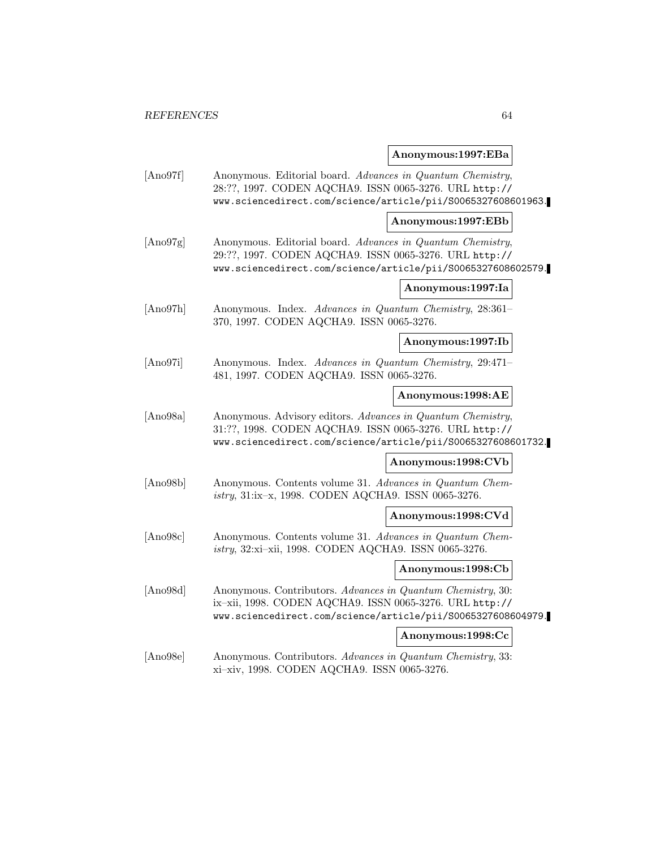## **Anonymous:1997:EBa**

| [Ano97f] | Anonymous. Editorial board. Advances in Quantum Chemistry,<br>28:??, 1997. CODEN AQCHA9. ISSN 0065-3276. URL http://<br>www.sciencedirect.com/science/article/pii/S0065327608601963.   |                    |
|----------|----------------------------------------------------------------------------------------------------------------------------------------------------------------------------------------|--------------------|
|          |                                                                                                                                                                                        | Anonymous:1997:EBb |
| [Ano97g] | Anonymous. Editorial board. Advances in Quantum Chemistry,<br>29:??, 1997. CODEN AQCHA9. ISSN 0065-3276. URL http://<br>www.sciencedirect.com/science/article/pii/S0065327608602579.   |                    |
|          |                                                                                                                                                                                        | Anonymous:1997:Ia  |
| [Ano97h] | Anonymous. Index. Advances in Quantum Chemistry, 28:361-<br>370, 1997. CODEN AQCHA9. ISSN 0065-3276.                                                                                   |                    |
|          |                                                                                                                                                                                        | Anonymous:1997:Ib  |
| [Ano97i] | Anonymous. Index. Advances in Quantum Chemistry, 29:471-<br>481, 1997. CODEN AQCHA9. ISSN 0065-3276.                                                                                   |                    |
|          |                                                                                                                                                                                        | Anonymous:1998:AE  |
| [Ano98a] | Anonymous. Advisory editors. Advances in Quantum Chemistry,<br>31:??, 1998. CODEN AQCHA9. ISSN 0065-3276. URL http://<br>www.sciencedirect.com/science/article/pii/S0065327608601732.  |                    |
|          |                                                                                                                                                                                        | Anonymous:1998:CVb |
| [Ano98b] | Anonymous. Contents volume 31. Advances in Quantum Chem-<br>istry, 31:ix-x, 1998. CODEN AQCHA9. ISSN 0065-3276.                                                                        |                    |
|          |                                                                                                                                                                                        | Anonymous:1998:CVd |
| [Ano98c] | Anonymous. Contents volume 31. Advances in Quantum Chem-<br>istry, 32:xi-xii, 1998. CODEN AQCHA9. ISSN 0065-3276.                                                                      |                    |
|          |                                                                                                                                                                                        | Anonymous:1998:Cb  |
| [Ano98d] | Anonymous. Contributors. Advances in Quantum Chemistry, 30:<br>ix-xii, 1998. CODEN AQCHA9. ISSN 0065-3276. URL http://<br>www.sciencedirect.com/science/article/pii/S0065327608604979. |                    |
|          |                                                                                                                                                                                        | Anonymous:1998:Cc  |
| [Ano98e] | Anonymous. Contributors. Advances in Quantum Chemistry, 33:<br>xi-xiv, 1998. CODEN AQCHA9. ISSN 0065-3276.                                                                             |                    |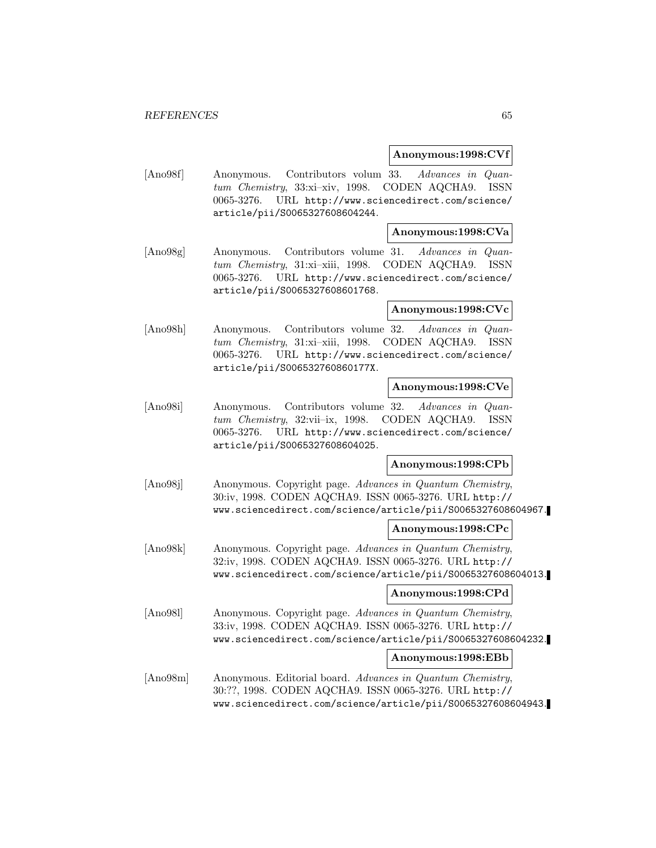#### **Anonymous:1998:CVf**

[Ano98f] Anonymous. Contributors volum 33. Advances in Quantum Chemistry, 33:xi–xiv, 1998. CODEN AQCHA9. ISSN 0065-3276. URL http://www.sciencedirect.com/science/ article/pii/S0065327608604244.

#### **Anonymous:1998:CVa**

[Ano98g] Anonymous. Contributors volume 31. Advances in Quantum Chemistry, 31:xi–xiii, 1998. CODEN AQCHA9. ISSN 0065-3276. URL http://www.sciencedirect.com/science/ article/pii/S0065327608601768.

#### **Anonymous:1998:CVc**

[Ano98h] Anonymous. Contributors volume 32. Advances in Quantum Chemistry, 31:xi–xiii, 1998. CODEN AQCHA9. ISSN 0065-3276. URL http://www.sciencedirect.com/science/ article/pii/S006532760860177X.

## **Anonymous:1998:CVe**

[Ano98i] Anonymous. Contributors volume 32. Advances in Quantum Chemistry, 32:vii–ix, 1998. CODEN AQCHA9. ISSN 0065-3276. URL http://www.sciencedirect.com/science/ article/pii/S0065327608604025.

### **Anonymous:1998:CPb**

[Ano98j] Anonymous. Copyright page. Advances in Quantum Chemistry, 30:iv, 1998. CODEN AQCHA9. ISSN 0065-3276. URL http:// www.sciencedirect.com/science/article/pii/S0065327608604967.

#### **Anonymous:1998:CPc**

[Ano98k] Anonymous. Copyright page. Advances in Quantum Chemistry, 32:iv, 1998. CODEN AQCHA9. ISSN 0065-3276. URL http:// www.sciencedirect.com/science/article/pii/S0065327608604013.

#### **Anonymous:1998:CPd**

[Ano98l] Anonymous. Copyright page. Advances in Quantum Chemistry, 33:iv, 1998. CODEN AQCHA9. ISSN 0065-3276. URL http:// www.sciencedirect.com/science/article/pii/S0065327608604232.

#### **Anonymous:1998:EBb**

[Ano98m] Anonymous. Editorial board. Advances in Quantum Chemistry, 30:??, 1998. CODEN AQCHA9. ISSN 0065-3276. URL http:// www.sciencedirect.com/science/article/pii/S0065327608604943.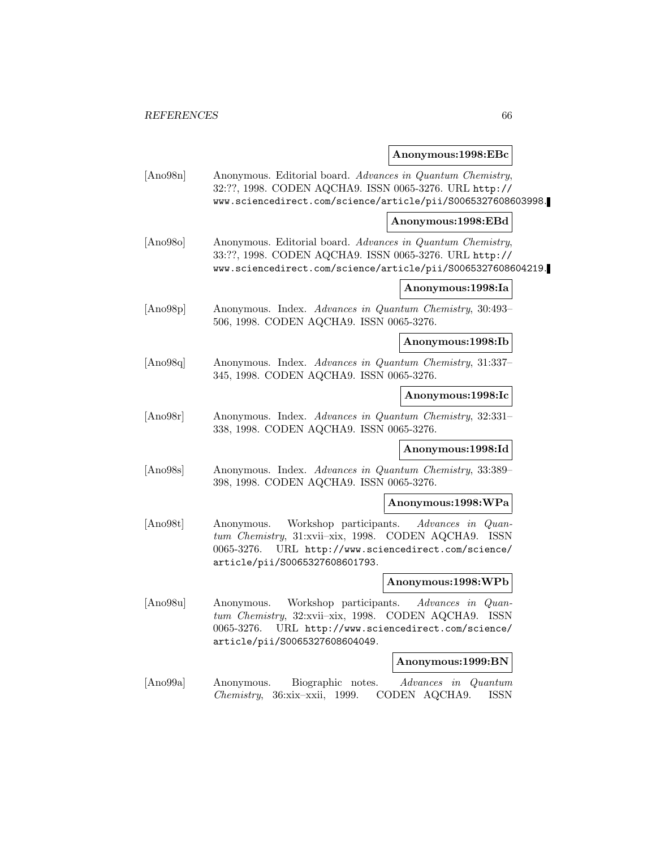## **Anonymous:1998:EBc**

| [Ano98n] | Anonymous. Editorial board. Advances in Quantum Chemistry,<br>32:??, 1998. CODEN AQCHA9. ISSN 0065-3276. URL http://<br>www.sciencedirect.com/science/article/pii/S0065327608603998.                           |
|----------|----------------------------------------------------------------------------------------------------------------------------------------------------------------------------------------------------------------|
|          | Anonymous:1998:EBd                                                                                                                                                                                             |
| [Ano980] | Anonymous. Editorial board. Advances in Quantum Chemistry,<br>33:??, 1998. CODEN AQCHA9. ISSN 0065-3276. URL http://<br>www.sciencedirect.com/science/article/pii/S0065327608604219.                           |
|          | Anonymous:1998:Ia                                                                                                                                                                                              |
| [Ano98p] | Anonymous. Index. Advances in Quantum Chemistry, 30:493-<br>506, 1998. CODEN AQCHA9. ISSN 0065-3276.                                                                                                           |
|          | Anonymous:1998:Ib                                                                                                                                                                                              |
| [Ano98q] | Anonymous. Index. Advances in Quantum Chemistry, 31:337-<br>345, 1998. CODEN AQCHA9. ISSN 0065-3276.                                                                                                           |
|          | Anonymous:1998:Ic                                                                                                                                                                                              |
| [Ano98r] | Anonymous. Index. Advances in Quantum Chemistry, 32:331-<br>338, 1998. CODEN AQCHA9. ISSN 0065-3276.                                                                                                           |
|          | Anonymous:1998:Id                                                                                                                                                                                              |
| [Ano98s] | Anonymous. Index. Advances in Quantum Chemistry, 33:389-<br>398, 1998. CODEN AQCHA9. ISSN 0065-3276.                                                                                                           |
|          | Anonymous:1998:WPa                                                                                                                                                                                             |
| [Ano98t] | Workshop participants.<br>Advances in Quan-<br>Anonymous.<br>tum Chemistry, 31:xvii-xix, 1998. CODEN AQCHA9. ISSN<br>URL http://www.sciencedirect.com/science/<br>0065-3276.<br>article/pii/S0065327608601793. |
|          | Anonymous:1998:WPb                                                                                                                                                                                             |
| [Ano98u] | Workshop participants.<br>Advances in Quan-<br>Anonymous.<br>tum Chemistry, 32:xvii-xix, 1998. CODEN AQCHA9. ISSN<br>URL http://www.sciencedirect.com/science/<br>0065-3276.<br>article/pii/S0065327608604049. |
|          | Anonymous:1999:BN                                                                                                                                                                                              |
| [Ano99a] | Biographic notes.<br>Advances in Quantum<br>Anonymous.<br>Chemistry, 36:xix-xxii, 1999.<br>CODEN AQCHA9.<br><b>ISSN</b>                                                                                        |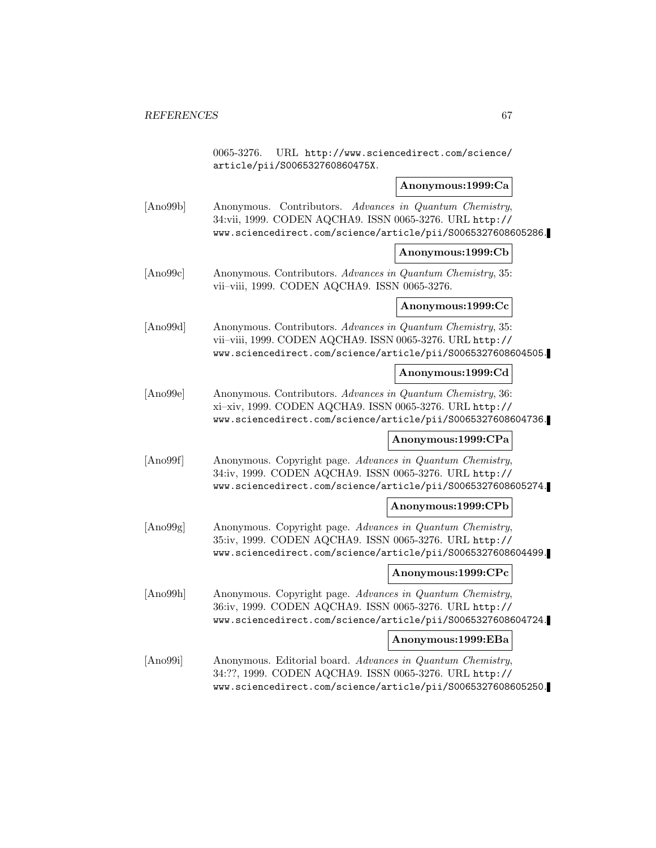0065-3276. URL http://www.sciencedirect.com/science/ article/pii/S006532760860475X.

#### **Anonymous:1999:Ca**

[Ano99b] Anonymous. Contributors. Advances in Quantum Chemistry, 34:vii, 1999. CODEN AQCHA9. ISSN 0065-3276. URL http:// www.sciencedirect.com/science/article/pii/S0065327608605286.

#### **Anonymous:1999:Cb**

[Ano99c] Anonymous. Contributors. Advances in Quantum Chemistry, 35: vii–viii, 1999. CODEN AQCHA9. ISSN 0065-3276.

#### **Anonymous:1999:Cc**

[Ano99d] Anonymous. Contributors. Advances in Quantum Chemistry, 35: vii–viii, 1999. CODEN AQCHA9. ISSN 0065-3276. URL http:// www.sciencedirect.com/science/article/pii/S0065327608604505.

#### **Anonymous:1999:Cd**

[Ano99e] Anonymous. Contributors. Advances in Quantum Chemistry, 36: xi–xiv, 1999. CODEN AQCHA9. ISSN 0065-3276. URL http:// www.sciencedirect.com/science/article/pii/S0065327608604736.

#### **Anonymous:1999:CPa**

[Ano99f] Anonymous. Copyright page. Advances in Quantum Chemistry, 34:iv, 1999. CODEN AQCHA9. ISSN 0065-3276. URL http:// www.sciencedirect.com/science/article/pii/S0065327608605274.

#### **Anonymous:1999:CPb**

[Ano99g] Anonymous. Copyright page. Advances in Quantum Chemistry, 35:iv, 1999. CODEN AQCHA9. ISSN 0065-3276. URL http:// www.sciencedirect.com/science/article/pii/S0065327608604499.

#### **Anonymous:1999:CPc**

[Ano99h] Anonymous. Copyright page. Advances in Quantum Chemistry, 36:iv, 1999. CODEN AQCHA9. ISSN 0065-3276. URL http:// www.sciencedirect.com/science/article/pii/S0065327608604724.

#### **Anonymous:1999:EBa**

[Ano99i] Anonymous. Editorial board. Advances in Quantum Chemistry, 34:??, 1999. CODEN AQCHA9. ISSN 0065-3276. URL http:// www.sciencedirect.com/science/article/pii/S0065327608605250.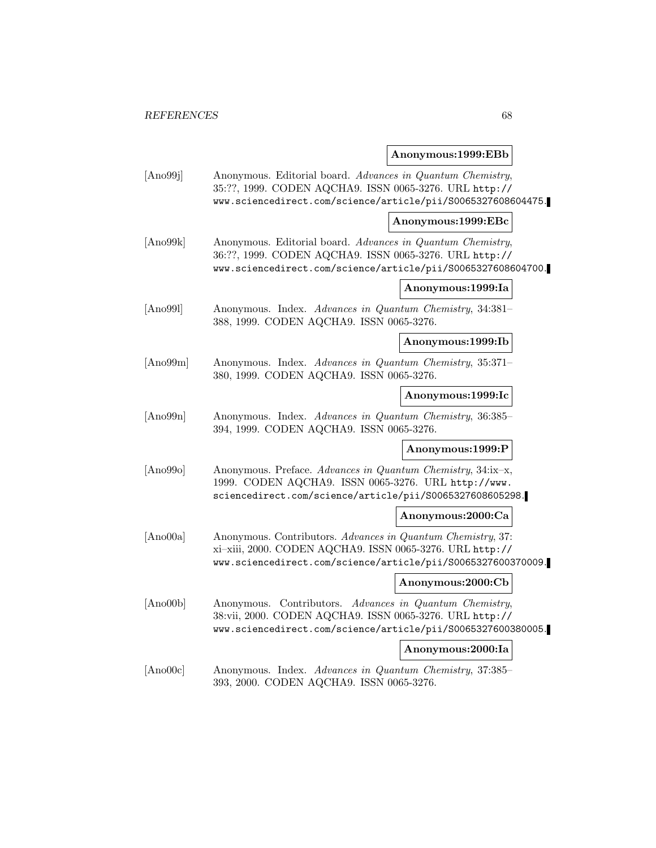## **Anonymous:1999:EBb**

| [Ano99j] | Anonymous. Editorial board. Advances in Quantum Chemistry,<br>35:??, 1999. CODEN AQCHA9. ISSN 0065-3276. URL http://<br>www.sciencedirect.com/science/article/pii/S0065327608604475.    |                    |
|----------|-----------------------------------------------------------------------------------------------------------------------------------------------------------------------------------------|--------------------|
|          |                                                                                                                                                                                         | Anonymous:1999:EBc |
| [Ano99k] | Anonymous. Editorial board. Advances in Quantum Chemistry,<br>36:??, 1999. CODEN AQCHA9. ISSN 0065-3276. URL http://<br>www.sciencedirect.com/science/article/pii/S0065327608604700.    |                    |
|          |                                                                                                                                                                                         | Anonymous:1999:Ia  |
| [Ano99]  | Anonymous. Index. Advances in Quantum Chemistry, 34:381-<br>388, 1999. CODEN AQCHA9. ISSN 0065-3276.                                                                                    |                    |
|          |                                                                                                                                                                                         | Anonymous:1999:Ib  |
| [Ano99m] | Anonymous. Index. Advances in Quantum Chemistry, 35:371-<br>380, 1999. CODEN AQCHA9. ISSN 0065-3276.                                                                                    |                    |
|          |                                                                                                                                                                                         | Anonymous:1999:Ic  |
| [Ano99n] | Anonymous. Index. Advances in Quantum Chemistry, 36:385-<br>394, 1999. CODEN AQCHA9. ISSN 0065-3276.                                                                                    |                    |
|          |                                                                                                                                                                                         | Anonymous:1999:P   |
| [Ano990] | Anonymous. Preface. Advances in Quantum Chemistry, 34:ix-x,<br>1999. CODEN AQCHA9. ISSN 0065-3276. URL http://www.<br>sciencedirect.com/science/article/pii/S0065327608605298.          |                    |
|          |                                                                                                                                                                                         | Anonymous:2000:Ca  |
| [Ano00a] | Anonymous. Contributors. Advances in Quantum Chemistry, 37:<br>xi-xiii, 2000. CODEN AQCHA9. ISSN 0065-3276. URL http://<br>www.sciencedirect.com/science/article/pii/S0065327600370009. |                    |
|          |                                                                                                                                                                                         | Anonymous:2000:Cb  |
| [Ano00b] | Anonymous. Contributors. Advances in Quantum Chemistry,<br>38:vii, 2000. CODEN AQCHA9. ISSN 0065-3276. URL http://<br>www.sciencedirect.com/science/article/pii/S0065327600380005.      |                    |
|          |                                                                                                                                                                                         | Anonymous:2000:Ia  |
| [Ano00c] | Anonymous. Index. Advances in Quantum Chemistry, 37:385-<br>393, 2000. CODEN AQCHA9. ISSN 0065-3276.                                                                                    |                    |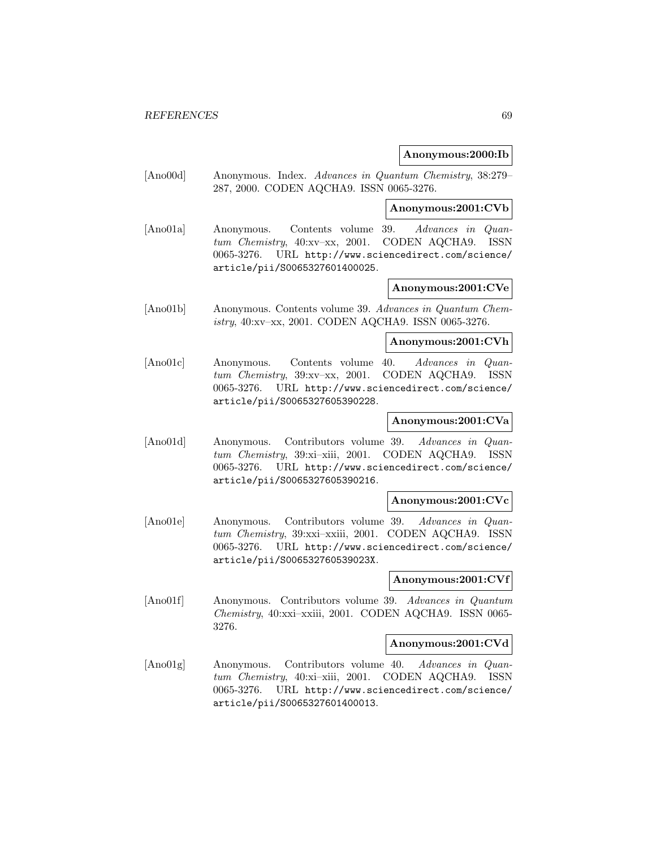#### **Anonymous:2000:Ib**

[Ano00d] Anonymous. Index. Advances in Quantum Chemistry, 38:279– 287, 2000. CODEN AQCHA9. ISSN 0065-3276.

#### **Anonymous:2001:CVb**

[Ano01a] Anonymous. Contents volume 39. Advances in Quantum Chemistry, 40:xv–xx, 2001. CODEN AQCHA9. ISSN 0065-3276. URL http://www.sciencedirect.com/science/ article/pii/S0065327601400025.

## **Anonymous:2001:CVe**

[Ano01b] Anonymous. Contents volume 39. Advances in Quantum Chemistry, 40:xv–xx, 2001. CODEN AQCHA9. ISSN 0065-3276.

#### **Anonymous:2001:CVh**

[Ano01c] Anonymous. Contents volume 40. Advances in Quantum Chemistry, 39:xv–xx, 2001. CODEN AQCHA9. ISSN 0065-3276. URL http://www.sciencedirect.com/science/ article/pii/S0065327605390228.

#### **Anonymous:2001:CVa**

[Ano01d] Anonymous. Contributors volume 39. Advances in Quantum Chemistry, 39:xi–xiii, 2001. CODEN AQCHA9. ISSN 0065-3276. URL http://www.sciencedirect.com/science/ article/pii/S0065327605390216.

#### **Anonymous:2001:CVc**

[Ano01e] Anonymous. Contributors volume 39. Advances in Quantum Chemistry, 39:xxi–xxiii, 2001. CODEN AQCHA9. ISSN 0065-3276. URL http://www.sciencedirect.com/science/ article/pii/S006532760539023X.

#### **Anonymous:2001:CVf**

[Ano01f] Anonymous. Contributors volume 39. Advances in Quantum Chemistry, 40:xxi–xxiii, 2001. CODEN AQCHA9. ISSN 0065- 3276.

#### **Anonymous:2001:CVd**

[Ano01g] Anonymous. Contributors volume 40. Advances in Quantum Chemistry, 40:xi–xiii, 2001. CODEN AQCHA9. ISSN 0065-3276. URL http://www.sciencedirect.com/science/ article/pii/S0065327601400013.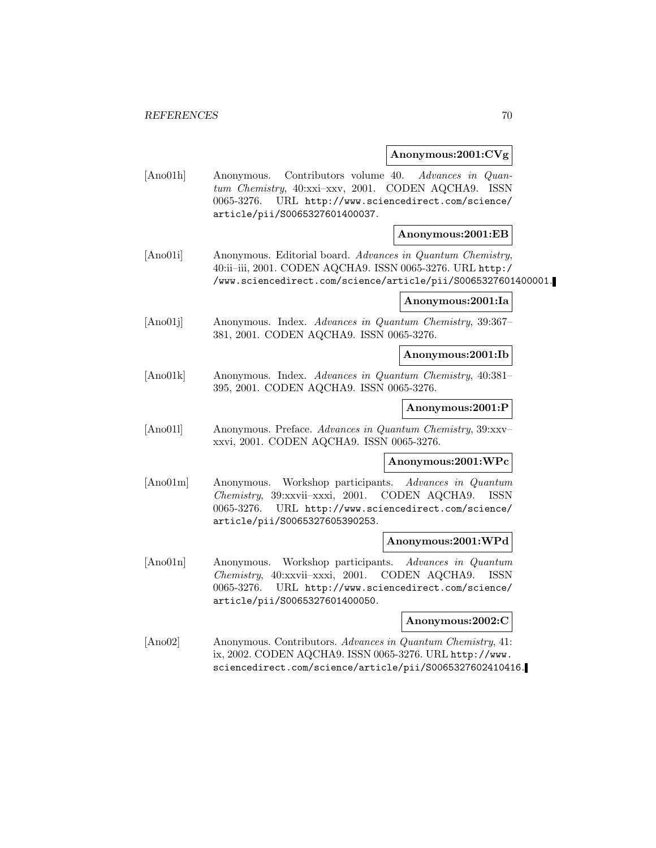#### **Anonymous:2001:CVg**

[Ano01h] Anonymous. Contributors volume 40. Advances in Quantum Chemistry, 40:xxi–xxv, 2001. CODEN AQCHA9. ISSN 0065-3276. URL http://www.sciencedirect.com/science/ article/pii/S0065327601400037.

#### **Anonymous:2001:EB**

[Ano01i] Anonymous. Editorial board. Advances in Quantum Chemistry, 40:ii–iii, 2001. CODEN AQCHA9. ISSN 0065-3276. URL http:/ /www.sciencedirect.com/science/article/pii/S0065327601400001.

#### **Anonymous:2001:Ia**

[Ano01j] Anonymous. Index. Advances in Quantum Chemistry, 39:367– 381, 2001. CODEN AQCHA9. ISSN 0065-3276.

#### **Anonymous:2001:Ib**

[Ano01k] Anonymous. Index. Advances in Quantum Chemistry, 40:381– 395, 2001. CODEN AQCHA9. ISSN 0065-3276.

#### **Anonymous:2001:P**

[Ano01l] Anonymous. Preface. Advances in Quantum Chemistry, 39:xxv– xxvi, 2001. CODEN AQCHA9. ISSN 0065-3276.

#### **Anonymous:2001:WPc**

[Ano01m] Anonymous. Workshop participants. Advances in Quantum Chemistry, 39:xxvii–xxxi, 2001. CODEN AQCHA9. ISSN 0065-3276. URL http://www.sciencedirect.com/science/ article/pii/S0065327605390253.

#### **Anonymous:2001:WPd**

[Ano01n] Anonymous. Workshop participants. Advances in Quantum Chemistry, 40:xxvii–xxxi, 2001. CODEN AQCHA9. ISSN 0065-3276. URL http://www.sciencedirect.com/science/ article/pii/S0065327601400050.

#### **Anonymous:2002:C**

[Ano02] Anonymous. Contributors. Advances in Quantum Chemistry, 41: ix, 2002. CODEN AQCHA9. ISSN 0065-3276. URL http://www. sciencedirect.com/science/article/pii/S0065327602410416.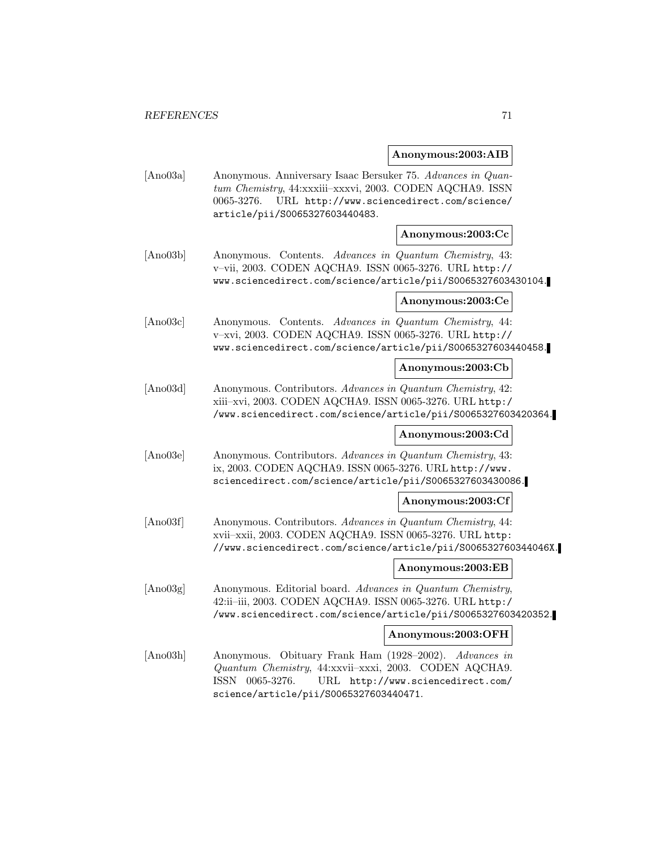#### **Anonymous:2003:AIB**

| [Ano03a] | Anonymous. Anniversary Isaac Bersuker 75. Advances in Quan- |
|----------|-------------------------------------------------------------|
|          | tum Chemistry, 44:xxxiii-xxxvi, 2003. CODEN AQCHA9. ISSN    |
|          | $0065-3276.$ URL http://www.sciencedirect.com/science/      |
|          | article/pii/S0065327603440483.                              |

#### **Anonymous:2003:Cc**

[Ano03b] Anonymous. Contents. Advances in Quantum Chemistry, 43: v–vii, 2003. CODEN AQCHA9. ISSN 0065-3276. URL http:// www.sciencedirect.com/science/article/pii/S0065327603430104.

#### **Anonymous:2003:Ce**

[Ano03c] Anonymous. Contents. Advances in Quantum Chemistry, 44: v–xvi, 2003. CODEN AQCHA9. ISSN 0065-3276. URL http:// www.sciencedirect.com/science/article/pii/S0065327603440458.

#### **Anonymous:2003:Cb**

[Ano03d] Anonymous. Contributors. Advances in Quantum Chemistry, 42: xiii–xvi, 2003. CODEN AQCHA9. ISSN 0065-3276. URL http:/ /www.sciencedirect.com/science/article/pii/S0065327603420364.

#### **Anonymous:2003:Cd**

[Ano03e] Anonymous. Contributors. Advances in Quantum Chemistry, 43: ix, 2003. CODEN AQCHA9. ISSN 0065-3276. URL http://www. sciencedirect.com/science/article/pii/S0065327603430086.

#### **Anonymous:2003:Cf**

[Ano03f] Anonymous. Contributors. Advances in Quantum Chemistry, 44: xvii–xxii, 2003. CODEN AQCHA9. ISSN 0065-3276. URL http: //www.sciencedirect.com/science/article/pii/S006532760344046X.

#### **Anonymous:2003:EB**

[Ano03g] Anonymous. Editorial board. Advances in Quantum Chemistry, 42:ii–iii, 2003. CODEN AQCHA9. ISSN 0065-3276. URL http:/ /www.sciencedirect.com/science/article/pii/S0065327603420352.

#### **Anonymous:2003:OFH**

[Ano03h] Anonymous. Obituary Frank Ham (1928–2002). Advances in Quantum Chemistry, 44:xxvii–xxxi, 2003. CODEN AQCHA9. ISSN 0065-3276. URL http://www.sciencedirect.com/ science/article/pii/S0065327603440471.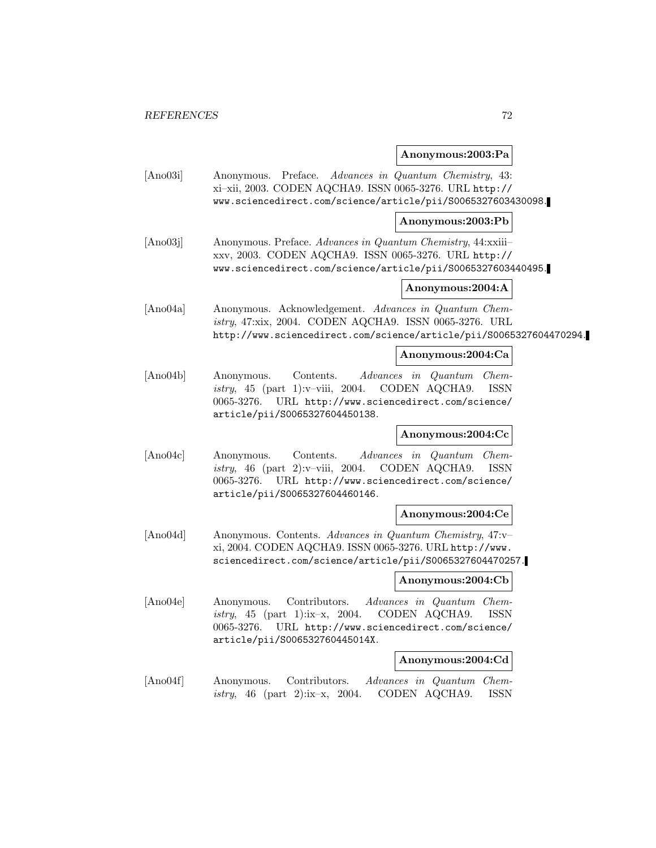#### **Anonymous:2003:Pa**

[Ano03i] Anonymous. Preface. Advances in Quantum Chemistry, 43: xi–xii, 2003. CODEN AQCHA9. ISSN 0065-3276. URL http:// www.sciencedirect.com/science/article/pii/S0065327603430098.

#### **Anonymous:2003:Pb**

[Ano03j] Anonymous. Preface. Advances in Quantum Chemistry, 44:xxiii– xxv, 2003. CODEN AQCHA9. ISSN 0065-3276. URL http:// www.sciencedirect.com/science/article/pii/S0065327603440495.

## **Anonymous:2004:A**

[Ano04a] Anonymous. Acknowledgement. Advances in Quantum Chemistry, 47:xix, 2004. CODEN AQCHA9. ISSN 0065-3276. URL http://www.sciencedirect.com/science/article/pii/S0065327604470294.

#### **Anonymous:2004:Ca**

[Ano04b] Anonymous. Contents. Advances in Quantum Chemistry, 45 (part 1):v–viii, 2004. CODEN AQCHA9. ISSN 0065-3276. URL http://www.sciencedirect.com/science/ article/pii/S0065327604450138.

### **Anonymous:2004:Cc**

[Ano04c] Anonymous. Contents. Advances in Quantum Chemistry, 46 (part 2):v–viii, 2004. CODEN AQCHA9. ISSN 0065-3276. URL http://www.sciencedirect.com/science/ article/pii/S0065327604460146.

#### **Anonymous:2004:Ce**

[Ano04d] Anonymous. Contents. Advances in Quantum Chemistry, 47:v– xi, 2004. CODEN AQCHA9. ISSN 0065-3276. URL http://www. sciencedirect.com/science/article/pii/S0065327604470257.

#### **Anonymous:2004:Cb**

[Ano04e] Anonymous. Contributors. Advances in Quantum Chemistry, 45 (part 1): $ix-x$ , 2004. CODEN AQCHA9. ISSN 0065-3276. URL http://www.sciencedirect.com/science/ article/pii/S006532760445014X.

#### **Anonymous:2004:Cd**

[Ano04f] Anonymous. Contributors. Advances in Quantum Chemistry, 46 (part 2):ix–x, 2004. CODEN AQCHA9. ISSN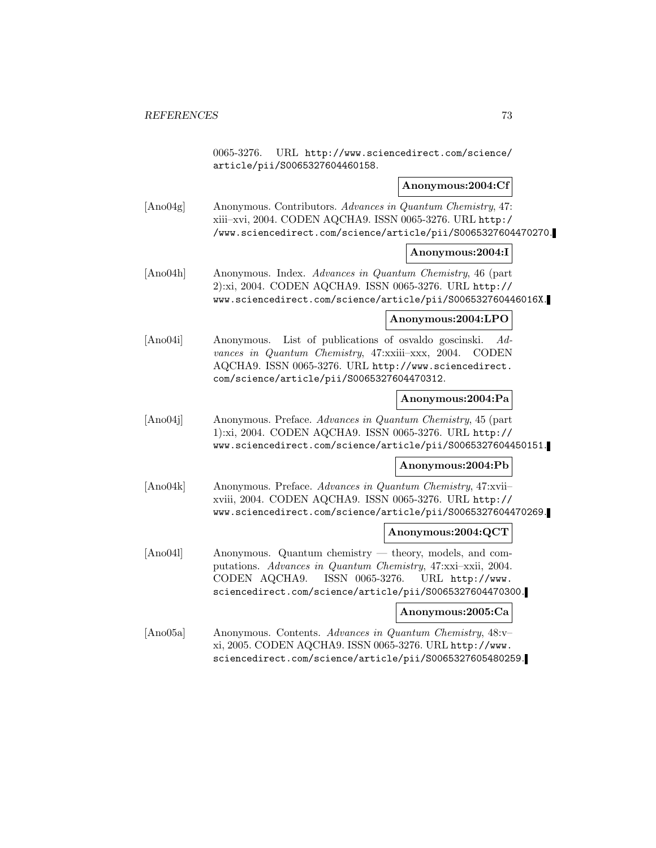0065-3276. URL http://www.sciencedirect.com/science/ article/pii/S0065327604460158.

### **Anonymous:2004:Cf**

[Ano04g] Anonymous. Contributors. Advances in Quantum Chemistry, 47: xiii–xvi, 2004. CODEN AQCHA9. ISSN 0065-3276. URL http:/ /www.sciencedirect.com/science/article/pii/S0065327604470270.

### **Anonymous:2004:I**

[Ano04h] Anonymous. Index. Advances in Quantum Chemistry, 46 (part 2):xi, 2004. CODEN AQCHA9. ISSN 0065-3276. URL http:// www.sciencedirect.com/science/article/pii/S006532760446016X.

### **Anonymous:2004:LPO**

[Ano04i] Anonymous. List of publications of osvaldo goscinski. Advances in Quantum Chemistry, 47:xxiii–xxx, 2004. CODEN AQCHA9. ISSN 0065-3276. URL http://www.sciencedirect. com/science/article/pii/S0065327604470312.

### **Anonymous:2004:Pa**

[Ano04j] Anonymous. Preface. Advances in Quantum Chemistry, 45 (part 1):xi, 2004. CODEN AQCHA9. ISSN 0065-3276. URL http:// www.sciencedirect.com/science/article/pii/S0065327604450151.

### **Anonymous:2004:Pb**

[Ano04k] Anonymous. Preface. Advances in Quantum Chemistry, 47:xvii– xviii, 2004. CODEN AQCHA9. ISSN 0065-3276. URL http:// www.sciencedirect.com/science/article/pii/S0065327604470269.

### **Anonymous:2004:QCT**

[Ano04l] Anonymous. Quantum chemistry — theory, models, and computations. Advances in Quantum Chemistry, 47:xxi–xxii, 2004. CODEN AQCHA9. ISSN 0065-3276. URL http://www. sciencedirect.com/science/article/pii/S0065327604470300.

### **Anonymous:2005:Ca**

[Ano05a] Anonymous. Contents. Advances in Quantum Chemistry, 48:v– xi, 2005. CODEN AQCHA9. ISSN 0065-3276. URL http://www. sciencedirect.com/science/article/pii/S0065327605480259.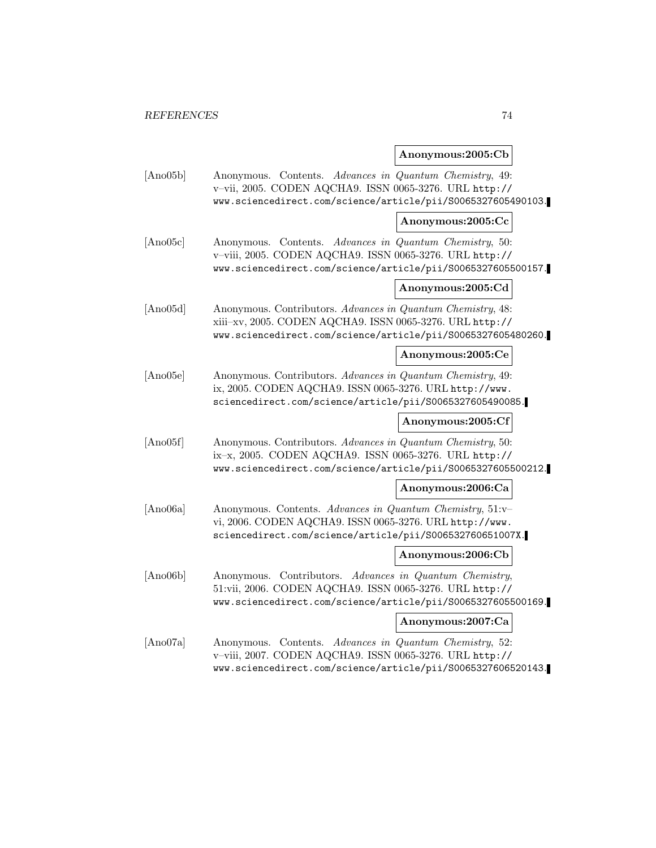## **Anonymous:2005:Cb**

| [Ano05b] | Anonymous. Contents. Advances in Quantum Chemistry, 49:<br>v-vii, 2005. CODEN AQCHA9. ISSN 0065-3276. URL http://<br>www.sciencedirect.com/science/article/pii/S0065327605490103.       |                   |
|----------|-----------------------------------------------------------------------------------------------------------------------------------------------------------------------------------------|-------------------|
|          |                                                                                                                                                                                         | Anonymous:2005:Cc |
| [Ano05c] | Anonymous. Contents. Advances in Quantum Chemistry, 50:<br>v-viii, 2005. CODEN AQCHA9. ISSN 0065-3276. URL http://<br>www.sciencedirect.com/science/article/pii/S0065327605500157.      |                   |
|          |                                                                                                                                                                                         | Anonymous:2005:Cd |
| [Ano05d] | Anonymous. Contributors. Advances in Quantum Chemistry, 48:<br>xiii-xv, 2005. CODEN AQCHA9. ISSN 0065-3276. URL http://<br>www.sciencedirect.com/science/article/pii/S0065327605480260. |                   |
|          |                                                                                                                                                                                         | Anonymous:2005:Ce |
| [Ano05e] | Anonymous. Contributors. Advances in Quantum Chemistry, 49:<br>ix, 2005. CODEN AQCHA9. ISSN 0065-3276. URL http://www.<br>sciencedirect.com/science/article/pii/S0065327605490085.      |                   |
|          |                                                                                                                                                                                         | Anonymous:2005:Cf |
| [Ano05f] | Anonymous. Contributors. Advances in Quantum Chemistry, 50:<br>ix-x, 2005. CODEN AQCHA9. ISSN 0065-3276. URL http://<br>www.sciencedirect.com/science/article/pii/S0065327605500212.    |                   |
|          |                                                                                                                                                                                         | Anonymous:2006:Ca |
| [Ano06a] | Anonymous. Contents. Advances in Quantum Chemistry, 51:v-<br>vi, 2006. CODEN AQCHA9. ISSN 0065-3276. URL http://www.<br>sciencedirect.com/science/article/pii/S006532760651007X.        |                   |
|          |                                                                                                                                                                                         | Anonymous:2006:Cb |
| [Ano06b] | Anonymous. Contributors. Advances in Quantum Chemistry,<br>51:vii, 2006. CODEN AQCHA9. ISSN 0065-3276. URL http://<br>www.sciencedirect.com/science/article/pii/S0065327605500169.      |                   |
|          |                                                                                                                                                                                         | Anonymous:2007:Ca |
| [Ano07a] | Anonymous. Contents. Advances in Quantum Chemistry, 52:<br>v-viii, 2007. CODEN AQCHA9. ISSN 0065-3276. URL http://<br>www.sciencedirect.com/science/article/pii/S0065327606520143.      |                   |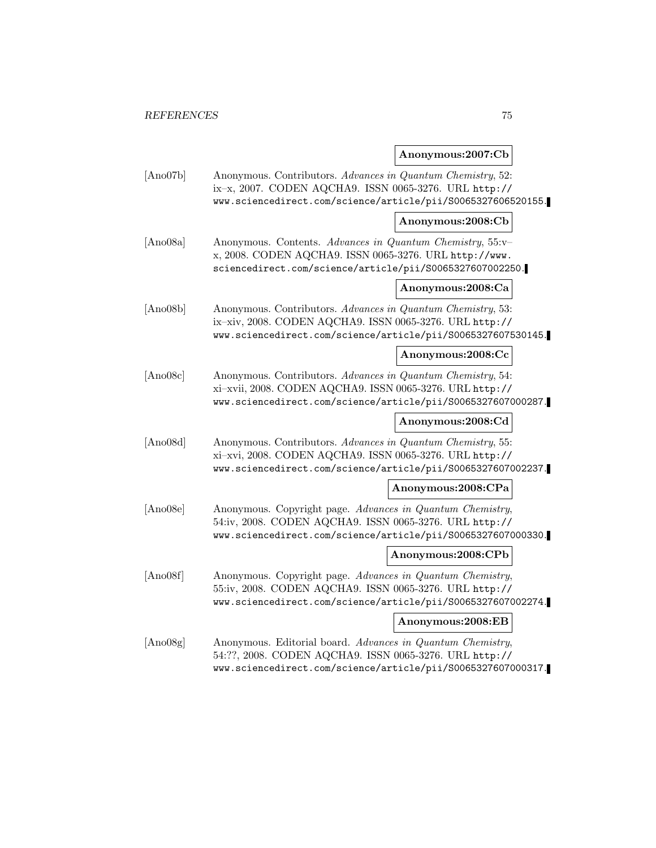## **Anonymous:2007:Cb**

| [Ano07b] | Anonymous. Contributors. Advances in Quantum Chemistry, 52:<br>ix-x, 2007. CODEN AQCHA9. ISSN 0065-3276. URL http://<br>www.sciencedirect.com/science/article/pii/S0065327606520155.    |                    |
|----------|-----------------------------------------------------------------------------------------------------------------------------------------------------------------------------------------|--------------------|
|          |                                                                                                                                                                                         | Anonymous:2008:Cb  |
| [Ano08a] | Anonymous. Contents. Advances in Quantum Chemistry, 55:v-<br>x, 2008. CODEN AQCHA9. ISSN 0065-3276. URL http://www.<br>sciencedirect.com/science/article/pii/S0065327607002250.         |                    |
|          |                                                                                                                                                                                         | Anonymous:2008:Ca  |
| [Ano08b] | Anonymous. Contributors. Advances in Quantum Chemistry, 53:<br>ix-xiv, 2008. CODEN AQCHA9. ISSN 0065-3276. URL http://<br>www.sciencedirect.com/science/article/pii/S0065327607530145.  |                    |
|          |                                                                                                                                                                                         | Anonymous:2008:Cc  |
| [Ano08c] | Anonymous. Contributors. Advances in Quantum Chemistry, 54:<br>xi-xvii, 2008. CODEN AQCHA9. ISSN 0065-3276. URL http://<br>www.sciencedirect.com/science/article/pii/S0065327607000287. |                    |
|          |                                                                                                                                                                                         | Anonymous:2008:Cd  |
| [Ano08d] | Anonymous. Contributors. Advances in Quantum Chemistry, 55:<br>xi-xvi, 2008. CODEN AQCHA9. ISSN 0065-3276. URL http://<br>www.sciencedirect.com/science/article/pii/S0065327607002237.  |                    |
|          |                                                                                                                                                                                         | Anonymous:2008:CPa |
| [Ano08e] | Anonymous. Copyright page. Advances in Quantum Chemistry,<br>54:iv, 2008. CODEN AQCHA9. ISSN 0065-3276. URL http://<br>www.sciencedirect.com/science/article/pii/S0065327607000330.     |                    |
|          |                                                                                                                                                                                         | Anonymous:2008:CPb |
| [Ano08f] | Anonymous. Copyright page. Advances in Quantum Chemistry,<br>55:iv, 2008. CODEN AQCHA9. ISSN 0065-3276. URL http://<br>www.sciencedirect.com/science/article/pii/S0065327607002274.     |                    |
|          |                                                                                                                                                                                         | Anonymous:2008:EB  |
| [Ano08g] | Anonymous. Editorial board. Advances in Quantum Chemistry,<br>54:??, 2008. CODEN AQCHA9. ISSN 0065-3276. URL http://<br>www.sciencedirect.com/science/article/pii/S0065327607000317.    |                    |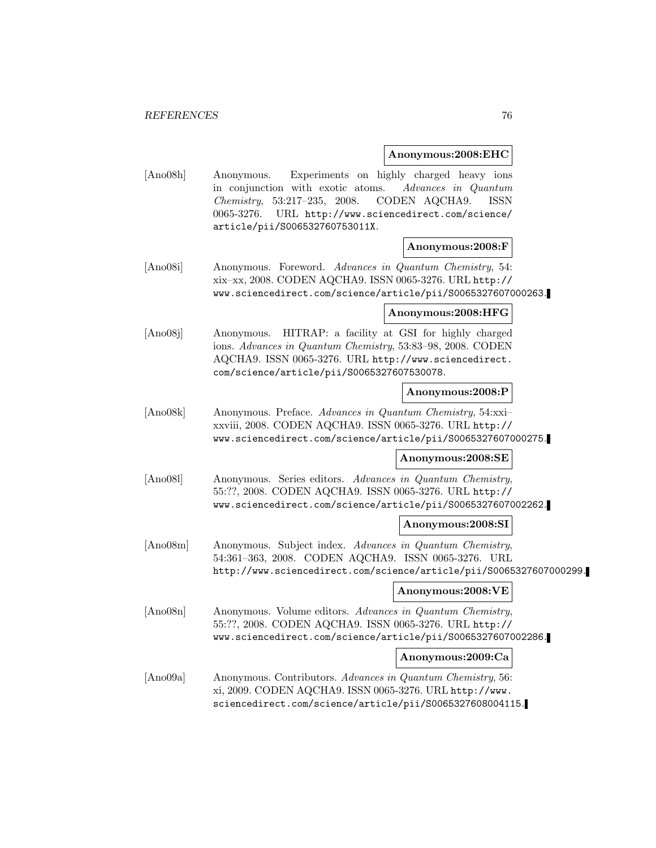#### **Anonymous:2008:EHC**

[Ano08h] Anonymous. Experiments on highly charged heavy ions in conjunction with exotic atoms. Advances in Quantum Chemistry, 53:217–235, 2008. CODEN AQCHA9. ISSN 0065-3276. URL http://www.sciencedirect.com/science/ article/pii/S006532760753011X.

### **Anonymous:2008:F**

[Ano08i] Anonymous. Foreword. Advances in Quantum Chemistry, 54: xix–xx, 2008. CODEN AQCHA9. ISSN 0065-3276. URL http:// www.sciencedirect.com/science/article/pii/S0065327607000263.

### **Anonymous:2008:HFG**

[Ano08j] Anonymous. HITRAP: a facility at GSI for highly charged ions. Advances in Quantum Chemistry, 53:83–98, 2008. CODEN AQCHA9. ISSN 0065-3276. URL http://www.sciencedirect. com/science/article/pii/S0065327607530078.

### **Anonymous:2008:P**

[Ano08k] Anonymous. Preface. Advances in Quantum Chemistry, 54:xxi– xxviii, 2008. CODEN AQCHA9. ISSN 0065-3276. URL http:// www.sciencedirect.com/science/article/pii/S0065327607000275.

### **Anonymous:2008:SE**

[Ano08l] Anonymous. Series editors. Advances in Quantum Chemistry, 55:??, 2008. CODEN AQCHA9. ISSN 0065-3276. URL http:// www.sciencedirect.com/science/article/pii/S0065327607002262.

### **Anonymous:2008:SI**

[Ano08m] Anonymous. Subject index. Advances in Quantum Chemistry, 54:361–363, 2008. CODEN AQCHA9. ISSN 0065-3276. URL http://www.sciencedirect.com/science/article/pii/S0065327607000299.

### **Anonymous:2008:VE**

[Ano08n] Anonymous. Volume editors. Advances in Quantum Chemistry, 55:??, 2008. CODEN AQCHA9. ISSN 0065-3276. URL http:// www.sciencedirect.com/science/article/pii/S0065327607002286.

### **Anonymous:2009:Ca**

[Ano09a] Anonymous. Contributors. Advances in Quantum Chemistry, 56: xi, 2009. CODEN AQCHA9. ISSN 0065-3276. URL http://www. sciencedirect.com/science/article/pii/S0065327608004115.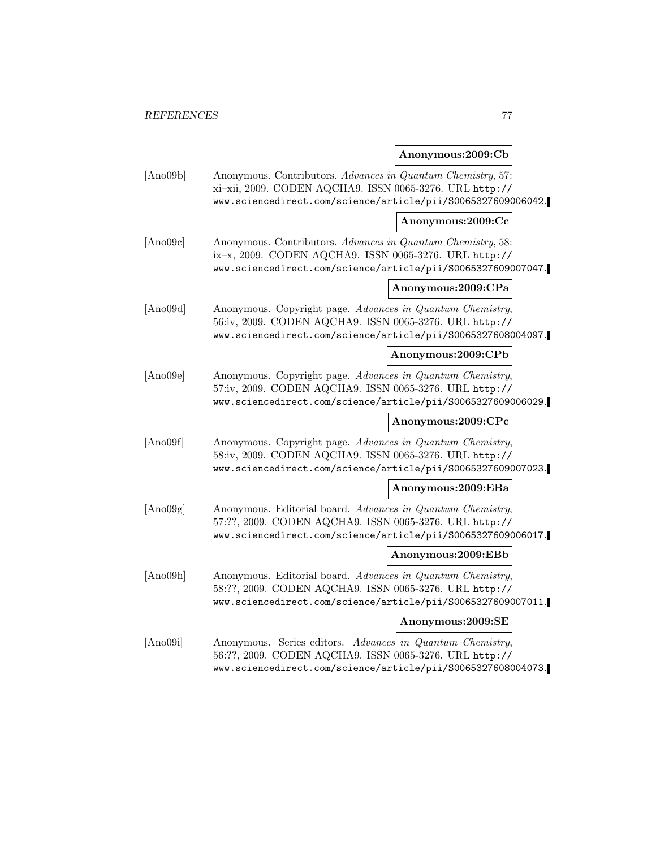## **Anonymous:2009:Cb**

| [Ano09b] | Anonymous. Contributors. Advances in Quantum Chemistry, 57:<br>xi-xii, 2009. CODEN AQCHA9. ISSN 0065-3276. URL http://<br>www.sciencedirect.com/science/article/pii/S0065327609006042. |                    |
|----------|----------------------------------------------------------------------------------------------------------------------------------------------------------------------------------------|--------------------|
|          |                                                                                                                                                                                        | Anonymous:2009:Cc  |
| [Ano09c] | Anonymous. Contributors. Advances in Quantum Chemistry, 58:<br>ix-x, 2009. CODEN AQCHA9. ISSN 0065-3276. URL http://<br>www.sciencedirect.com/science/article/pii/S0065327609007047.   |                    |
|          |                                                                                                                                                                                        | Anonymous:2009:CPa |
| [Ano09d] | Anonymous. Copyright page. Advances in Quantum Chemistry,<br>56:iv, 2009. CODEN AQCHA9. ISSN 0065-3276. URL http://<br>www.sciencedirect.com/science/article/pii/S0065327608004097.    |                    |
|          |                                                                                                                                                                                        | Anonymous:2009:CPb |
| [Ano09e] | Anonymous. Copyright page. Advances in Quantum Chemistry,<br>57:iv, 2009. CODEN AQCHA9. ISSN 0065-3276. URL http://<br>www.sciencedirect.com/science/article/pii/S0065327609006029.    |                    |
|          |                                                                                                                                                                                        | Anonymous:2009:CPc |
| [Ano09f] | Anonymous. Copyright page. Advances in Quantum Chemistry,<br>58:iv, 2009. CODEN AQCHA9. ISSN 0065-3276. URL http://<br>www.sciencedirect.com/science/article/pii/S0065327609007023.    |                    |
|          |                                                                                                                                                                                        | Anonymous:2009:EBa |
| [Ano09g] | Anonymous. Editorial board. Advances in Quantum Chemistry,<br>57:??, 2009. CODEN AQCHA9. ISSN 0065-3276. URL http://<br>www.sciencedirect.com/science/article/pii/S0065327609006017.   |                    |
|          |                                                                                                                                                                                        | Anonymous:2009:EBb |
| [Ano09h] | Anonymous. Editorial board. Advances in Quantum Chemistry,<br>58:??, 2009. CODEN AQCHA9. ISSN 0065-3276. URL http://<br>www.sciencedirect.com/science/article/pii/S0065327609007011.   |                    |
|          |                                                                                                                                                                                        | Anonymous:2009:SE  |
| [Ano09i] | Anonymous. Series editors. Advances in Quantum Chemistry,<br>56:??, 2009. CODEN AQCHA9. ISSN 0065-3276. URL http://<br>www.sciencedirect.com/science/article/pii/S0065327608004073.    |                    |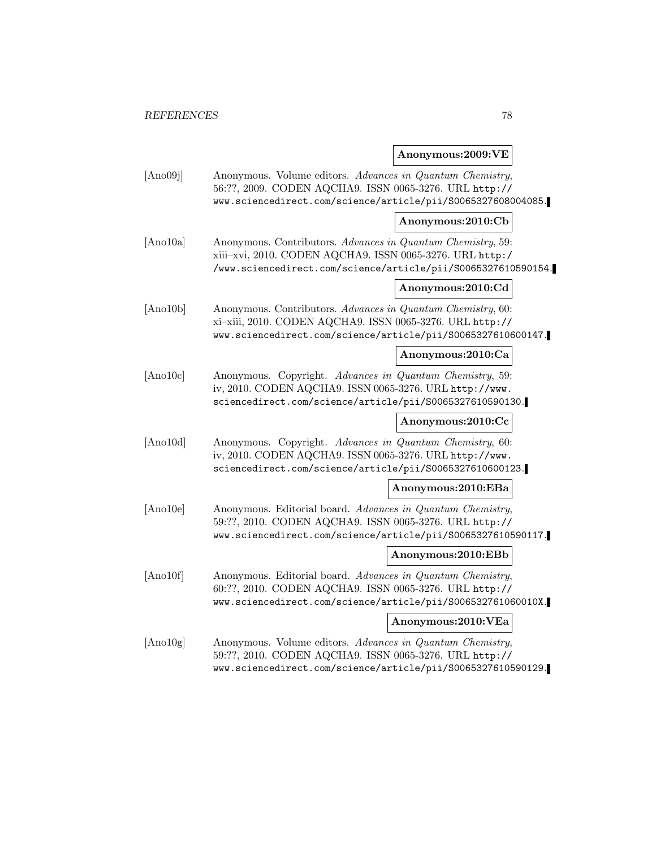## **Anonymous:2009:VE**

| [Ano09j]  | Anonymous. Volume editors. Advances in Quantum Chemistry,<br>56:??, 2009. CODEN AQCHA9. ISSN 0065-3276. URL http://<br>www.sciencedirect.com/science/article/pii/S0065327608004085.      |                    |
|-----------|------------------------------------------------------------------------------------------------------------------------------------------------------------------------------------------|--------------------|
|           |                                                                                                                                                                                          | Anonymous:2010:Cb  |
| [Ano10a]  | Anonymous. Contributors. Advances in Quantum Chemistry, 59:<br>xiii-xvi, 2010. CODEN AQCHA9. ISSN 0065-3276. URL http:/<br>/www.sciencedirect.com/science/article/pii/S0065327610590154. |                    |
|           |                                                                                                                                                                                          | Anonymous:2010:Cd  |
| [Ano10b]  | Anonymous. Contributors. Advances in Quantum Chemistry, 60:<br>xi-xiii, 2010. CODEN AQCHA9. ISSN 0065-3276. URL http://<br>www.sciencedirect.com/science/article/pii/S0065327610600147.  |                    |
|           |                                                                                                                                                                                          | Anonymous:2010:Ca  |
| [Ano10c]  | Anonymous. Copyright. Advances in Quantum Chemistry, 59:<br>iv, 2010. CODEN AQCHA9. ISSN 0065-3276. URL http://www.<br>sciencedirect.com/science/article/pii/S0065327610590130.          |                    |
|           |                                                                                                                                                                                          | Anonymous:2010:Cc  |
| [Ano10d]  | Anonymous. Copyright. Advances in Quantum Chemistry, 60:<br>iv, 2010. CODEN AQCHA9. ISSN 0065-3276. URL http://www.<br>sciencedirect.com/science/article/pii/S0065327610600123.          |                    |
|           |                                                                                                                                                                                          | Anonymous:2010:EBa |
| [And 10e] | Anonymous. Editorial board. Advances in Quantum Chemistry,<br>59:??, 2010. CODEN AQCHA9. ISSN 0065-3276. URL http://<br>www.sciencedirect.com/science/article/pii/S0065327610590117.     |                    |
|           |                                                                                                                                                                                          | Anonymous:2010:EBb |
| [Ano10f]  | Anonymous. Editorial board. Advances in Quantum Chemistry,<br>60:??, 2010. CODEN AQCHA9. ISSN 0065-3276. URL http://<br>www.sciencedirect.com/science/article/pii/S006532761060010X.     |                    |
|           |                                                                                                                                                                                          | Anonymous:2010:VEa |
| [And10g]  | Anonymous. Volume editors. Advances in Quantum Chemistry,<br>59:??, 2010. CODEN AQCHA9. ISSN 0065-3276. URL http://<br>www.sciencedirect.com/science/article/pii/S0065327610590129.      |                    |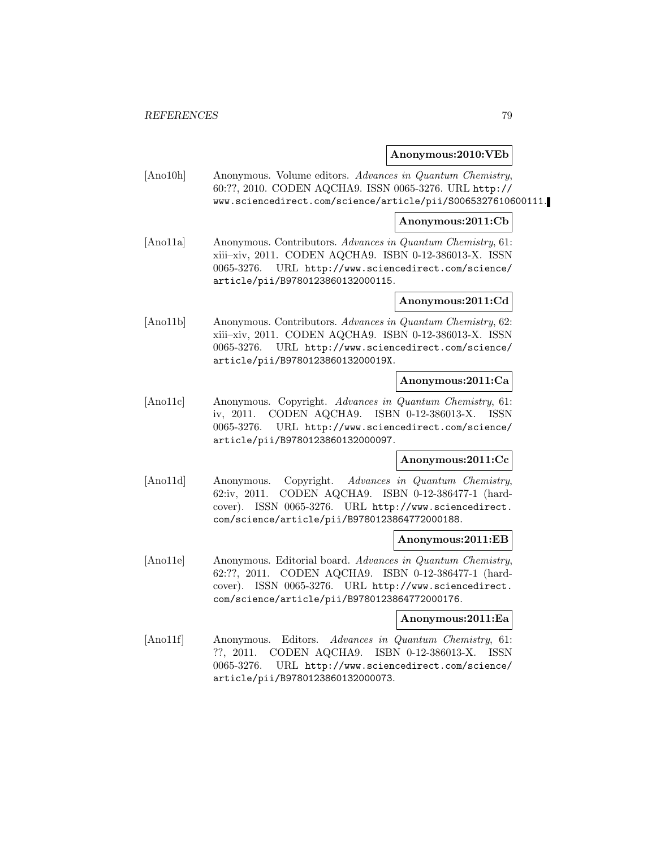### **Anonymous:2010:VEb**

[Ano10h] Anonymous. Volume editors. Advances in Quantum Chemistry, 60:??, 2010. CODEN AQCHA9. ISSN 0065-3276. URL http:// www.sciencedirect.com/science/article/pii/S0065327610600111.

### **Anonymous:2011:Cb**

[Ano11a] Anonymous. Contributors. Advances in Quantum Chemistry, 61: xiii–xiv, 2011. CODEN AQCHA9. ISBN 0-12-386013-X. ISSN 0065-3276. URL http://www.sciencedirect.com/science/ article/pii/B9780123860132000115.

### **Anonymous:2011:Cd**

[Ano11b] Anonymous. Contributors. Advances in Quantum Chemistry, 62: xiii–xiv, 2011. CODEN AQCHA9. ISBN 0-12-386013-X. ISSN 0065-3276. URL http://www.sciencedirect.com/science/ article/pii/B978012386013200019X.

### **Anonymous:2011:Ca**

[Ano11c] Anonymous. Copyright. Advances in Quantum Chemistry, 61: iv, 2011. CODEN AQCHA9. ISBN 0-12-386013-X. ISSN 0065-3276. URL http://www.sciencedirect.com/science/ article/pii/B9780123860132000097.

### **Anonymous:2011:Cc**

[Ano11d] Anonymous. Copyright. Advances in Quantum Chemistry, 62:iv, 2011. CODEN AQCHA9. ISBN 0-12-386477-1 (hardcover). ISSN 0065-3276. URL http://www.sciencedirect. com/science/article/pii/B9780123864772000188.

### **Anonymous:2011:EB**

[Ano11e] Anonymous. Editorial board. Advances in Quantum Chemistry, 62:??, 2011. CODEN AQCHA9. ISBN 0-12-386477-1 (hardcover). ISSN 0065-3276. URL http://www.sciencedirect. com/science/article/pii/B9780123864772000176.

### **Anonymous:2011:Ea**

[Ano11f] Anonymous. Editors. Advances in Quantum Chemistry, 61: ??, 2011. CODEN AQCHA9. ISBN 0-12-386013-X. ISSN 0065-3276. URL http://www.sciencedirect.com/science/ article/pii/B9780123860132000073.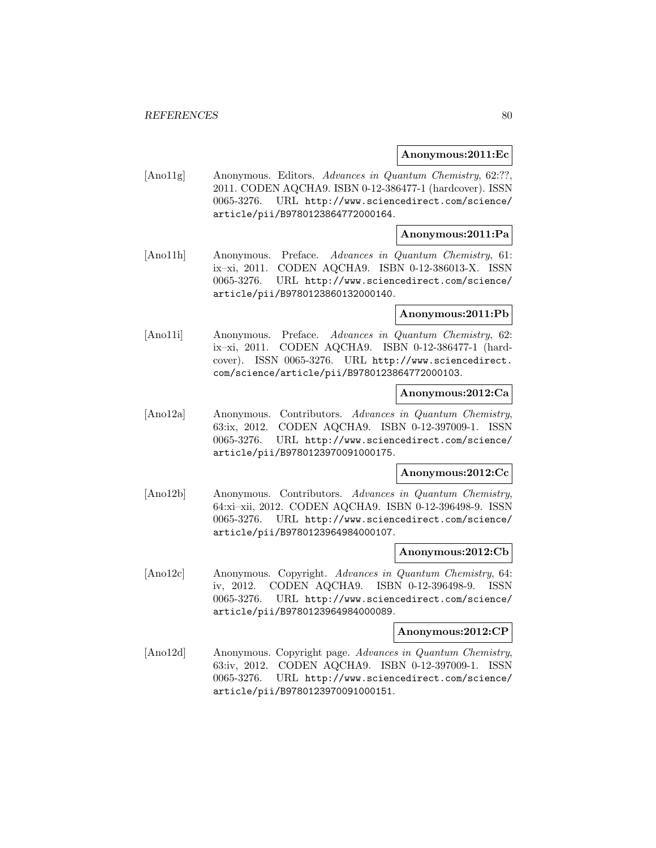#### **Anonymous:2011:Ec**

[Ano11g] Anonymous. Editors. Advances in Quantum Chemistry, 62:??, 2011. CODEN AQCHA9. ISBN 0-12-386477-1 (hardcover). ISSN 0065-3276. URL http://www.sciencedirect.com/science/ article/pii/B9780123864772000164.

### **Anonymous:2011:Pa**

[Ano11h] Anonymous. Preface. Advances in Quantum Chemistry, 61: ix–xi, 2011. CODEN AQCHA9. ISBN 0-12-386013-X. ISSN 0065-3276. URL http://www.sciencedirect.com/science/ article/pii/B9780123860132000140.

### **Anonymous:2011:Pb**

[Ano11i] Anonymous. Preface. Advances in Quantum Chemistry, 62: ix–xi, 2011. CODEN AQCHA9. ISBN 0-12-386477-1 (hardcover). ISSN 0065-3276. URL http://www.sciencedirect. com/science/article/pii/B9780123864772000103.

### **Anonymous:2012:Ca**

[Ano12a] Anonymous. Contributors. Advances in Quantum Chemistry, 63:ix, 2012. CODEN AQCHA9. ISBN 0-12-397009-1. ISSN 0065-3276. URL http://www.sciencedirect.com/science/ article/pii/B9780123970091000175.

#### **Anonymous:2012:Cc**

[Ano12b] Anonymous. Contributors. Advances in Quantum Chemistry, 64:xi–xii, 2012. CODEN AQCHA9. ISBN 0-12-396498-9. ISSN 0065-3276. URL http://www.sciencedirect.com/science/ article/pii/B9780123964984000107.

### **Anonymous:2012:Cb**

[Ano12c] Anonymous. Copyright. Advances in Quantum Chemistry, 64: iv, 2012. CODEN AQCHA9. ISBN 0-12-396498-9. ISSN 0065-3276. URL http://www.sciencedirect.com/science/ article/pii/B9780123964984000089.

#### **Anonymous:2012:CP**

[Ano12d] Anonymous. Copyright page. Advances in Quantum Chemistry, 63:iv, 2012. CODEN AQCHA9. ISBN 0-12-397009-1. ISSN 0065-3276. URL http://www.sciencedirect.com/science/ article/pii/B9780123970091000151.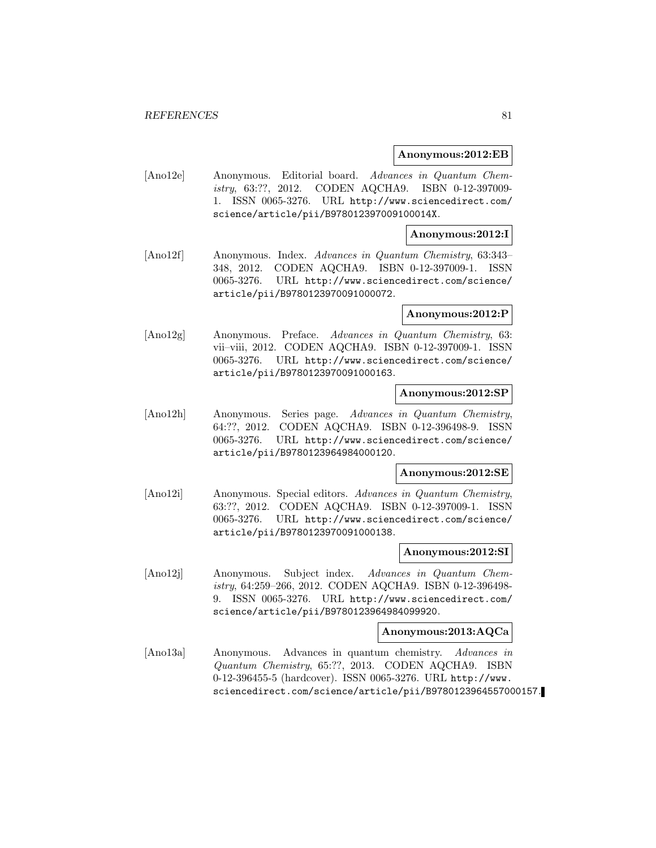#### **Anonymous:2012:EB**

[Ano12e] Anonymous. Editorial board. Advances in Quantum Chemistry, 63:??, 2012. CODEN AQCHA9. ISBN 0-12-397009- 1. ISSN 0065-3276. URL http://www.sciencedirect.com/ science/article/pii/B978012397009100014X.

### **Anonymous:2012:I**

[Ano12f] Anonymous. Index. Advances in Quantum Chemistry, 63:343– 348, 2012. CODEN AQCHA9. ISBN 0-12-397009-1. ISSN 0065-3276. URL http://www.sciencedirect.com/science/ article/pii/B9780123970091000072.

### **Anonymous:2012:P**

[Ano12g] Anonymous. Preface. Advances in Quantum Chemistry, 63: vii–viii, 2012. CODEN AQCHA9. ISBN 0-12-397009-1. ISSN 0065-3276. URL http://www.sciencedirect.com/science/ article/pii/B9780123970091000163.

### **Anonymous:2012:SP**

[Ano12h] Anonymous. Series page. Advances in Quantum Chemistry, 64:??, 2012. CODEN AQCHA9. ISBN 0-12-396498-9. ISSN 0065-3276. URL http://www.sciencedirect.com/science/ article/pii/B9780123964984000120.

#### **Anonymous:2012:SE**

[Ano12i] Anonymous. Special editors. Advances in Quantum Chemistry, 63:??, 2012. CODEN AQCHA9. ISBN 0-12-397009-1. ISSN 0065-3276. URL http://www.sciencedirect.com/science/ article/pii/B9780123970091000138.

#### **Anonymous:2012:SI**

[Ano12j] Anonymous. Subject index. Advances in Quantum Chemistry, 64:259–266, 2012. CODEN AQCHA9. ISBN 0-12-396498- 9. ISSN 0065-3276. URL http://www.sciencedirect.com/ science/article/pii/B9780123964984099920.

#### **Anonymous:2013:AQCa**

[Ano13a] Anonymous. Advances in quantum chemistry. Advances in Quantum Chemistry, 65:??, 2013. CODEN AQCHA9. ISBN 0-12-396455-5 (hardcover). ISSN 0065-3276. URL http://www. sciencedirect.com/science/article/pii/B9780123964557000157.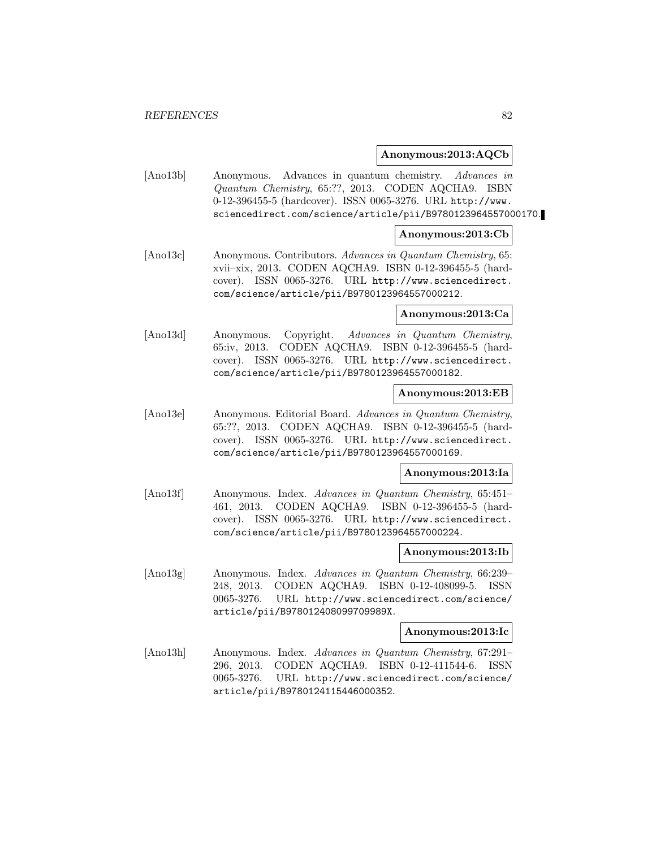### **Anonymous:2013:AQCb**

[Ano13b] Anonymous. Advances in quantum chemistry. Advances in Quantum Chemistry, 65:??, 2013. CODEN AQCHA9. ISBN 0-12-396455-5 (hardcover). ISSN 0065-3276. URL http://www. sciencedirect.com/science/article/pii/B9780123964557000170.

### **Anonymous:2013:Cb**

[Ano13c] Anonymous. Contributors. Advances in Quantum Chemistry, 65: xvii–xix, 2013. CODEN AQCHA9. ISBN 0-12-396455-5 (hardcover). ISSN 0065-3276. URL http://www.sciencedirect. com/science/article/pii/B9780123964557000212.

#### **Anonymous:2013:Ca**

[Ano13d] Anonymous. Copyright. Advances in Quantum Chemistry, 65:iv, 2013. CODEN AQCHA9. ISBN 0-12-396455-5 (hardcover). ISSN 0065-3276. URL http://www.sciencedirect. com/science/article/pii/B9780123964557000182.

### **Anonymous:2013:EB**

[Ano13e] Anonymous. Editorial Board. Advances in Quantum Chemistry, 65:??, 2013. CODEN AQCHA9. ISBN 0-12-396455-5 (hardcover). ISSN 0065-3276. URL http://www.sciencedirect. com/science/article/pii/B9780123964557000169.

#### **Anonymous:2013:Ia**

[Ano13f] Anonymous. Index. Advances in Quantum Chemistry, 65:451– 461, 2013. CODEN AQCHA9. ISBN 0-12-396455-5 (hardcover). ISSN 0065-3276. URL http://www.sciencedirect. com/science/article/pii/B9780123964557000224.

### **Anonymous:2013:Ib**

[Ano13g] Anonymous. Index. Advances in Quantum Chemistry, 66:239-248, 2013. CODEN AQCHA9. ISBN 0-12-408099-5. ISSN 0065-3276. URL http://www.sciencedirect.com/science/ article/pii/B978012408099709989X.

#### **Anonymous:2013:Ic**

[Ano13h] Anonymous. Index. Advances in Quantum Chemistry, 67:291– 296, 2013. CODEN AQCHA9. ISBN 0-12-411544-6. ISSN 0065-3276. URL http://www.sciencedirect.com/science/ article/pii/B9780124115446000352.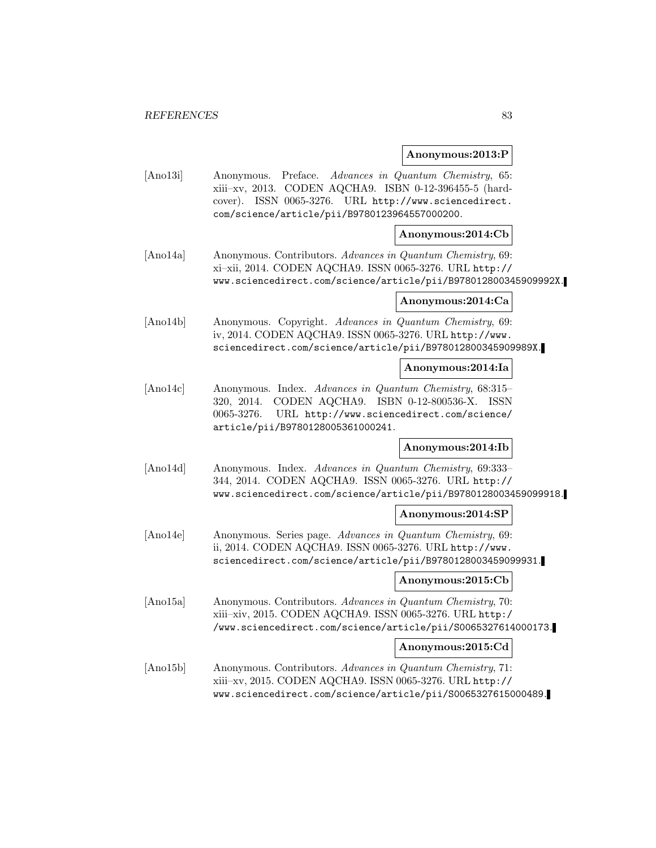### **Anonymous:2013:P**

[Ano13i] Anonymous. Preface. Advances in Quantum Chemistry, 65: xiii–xv, 2013. CODEN AQCHA9. ISBN 0-12-396455-5 (hardcover). ISSN 0065-3276. URL http://www.sciencedirect. com/science/article/pii/B9780123964557000200.

### **Anonymous:2014:Cb**

[Ano14a] Anonymous. Contributors. Advances in Quantum Chemistry, 69: xi–xii, 2014. CODEN AQCHA9. ISSN 0065-3276. URL http:// www.sciencedirect.com/science/article/pii/B978012800345909992X.

### **Anonymous:2014:Ca**

[Ano14b] Anonymous. Copyright. Advances in Quantum Chemistry, 69: iv, 2014. CODEN AQCHA9. ISSN 0065-3276. URL http://www. sciencedirect.com/science/article/pii/B978012800345909989X.

### **Anonymous:2014:Ia**

[Ano14c] Anonymous. Index. Advances in Quantum Chemistry, 68:315– 320, 2014. CODEN AQCHA9. ISBN 0-12-800536-X. ISSN 0065-3276. URL http://www.sciencedirect.com/science/ article/pii/B9780128005361000241.

### **Anonymous:2014:Ib**

[Ano14d] Anonymous. Index. Advances in Quantum Chemistry, 69:333-344, 2014. CODEN AQCHA9. ISSN 0065-3276. URL http:// www.sciencedirect.com/science/article/pii/B9780128003459099918.

### **Anonymous:2014:SP**

[Ano14e] Anonymous. Series page. Advances in Quantum Chemistry, 69: ii, 2014. CODEN AQCHA9. ISSN 0065-3276. URL http://www. sciencedirect.com/science/article/pii/B9780128003459099931.

### **Anonymous:2015:Cb**

[Ano15a] Anonymous. Contributors. Advances in Quantum Chemistry, 70: xiii–xiv, 2015. CODEN AQCHA9. ISSN 0065-3276. URL http:/ /www.sciencedirect.com/science/article/pii/S0065327614000173.

### **Anonymous:2015:Cd**

[Ano15b] Anonymous. Contributors. Advances in Quantum Chemistry, 71: xiii–xv, 2015. CODEN AQCHA9. ISSN 0065-3276. URL http:// www.sciencedirect.com/science/article/pii/S0065327615000489.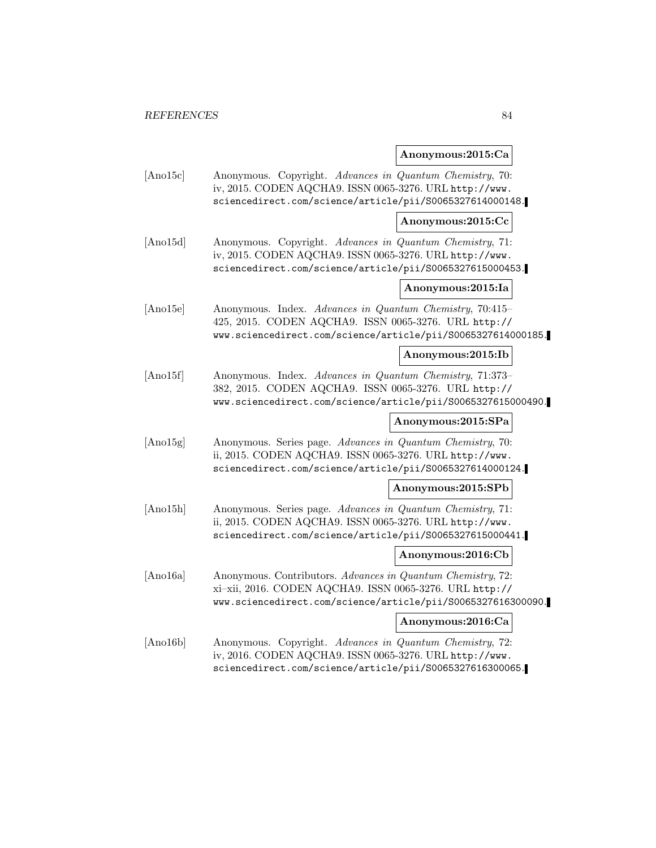## **Anonymous:2015:Ca**

| [And5c]  | Anonymous. Copyright. Advances in Quantum Chemistry, 70:<br>iv, 2015. CODEN AQCHA9. ISSN 0065-3276. URL http://www.<br>sciencedirect.com/science/article/pii/S0065327614000148.        |                    |
|----------|----------------------------------------------------------------------------------------------------------------------------------------------------------------------------------------|--------------------|
|          |                                                                                                                                                                                        | Anonymous:2015:Cc  |
| [And15d] | Anonymous. Copyright. Advances in Quantum Chemistry, 71:<br>iv, 2015. CODEN AQCHA9. ISSN 0065-3276. URL http://www.<br>sciencedirect.com/science/article/pii/S0065327615000453.        |                    |
|          |                                                                                                                                                                                        | Anonymous:2015:Ia  |
| [And5e]  | Anonymous. Index. Advances in Quantum Chemistry, 70:415-<br>425, 2015. CODEN AQCHA9. ISSN 0065-3276. URL http://<br>www.sciencedirect.com/science/article/pii/S0065327614000185.       |                    |
|          |                                                                                                                                                                                        | Anonymous:2015:Ib  |
| [Ano15f] | Anonymous. Index. Advances in Quantum Chemistry, 71:373-<br>382, 2015. CODEN AQCHA9. ISSN 0065-3276. URL http://<br>www.sciencedirect.com/science/article/pii/S0065327615000490.       |                    |
|          |                                                                                                                                                                                        | Anonymous:2015:SPa |
| [And15g] | Anonymous. Series page. Advances in Quantum Chemistry, 70:<br>ii, 2015. CODEN AQCHA9. ISSN 0065-3276. URL http://www.<br>sciencedirect.com/science/article/pii/S0065327614000124.      |                    |
|          |                                                                                                                                                                                        | Anonymous:2015:SPb |
| [Ano15h] | Anonymous. Series page. Advances in Quantum Chemistry, 71:<br>ii, 2015. CODEN AQCHA9. ISSN 0065-3276. URL http://www.<br>sciencedirect.com/science/article/pii/S0065327615000441.      |                    |
|          |                                                                                                                                                                                        | Anonymous:2016:Cb  |
| [Ano16a] | Anonymous. Contributors. Advances in Quantum Chemistry, 72:<br>xi-xii, 2016. CODEN AQCHA9. ISSN 0065-3276. URL http://<br>www.sciencedirect.com/science/article/pii/S0065327616300090. |                    |
|          |                                                                                                                                                                                        | Anonymous:2016:Ca  |
| [Ano16b] | Anonymous. Copyright. Advances in Quantum Chemistry, 72:<br>iv, 2016. CODEN AQCHA9. ISSN 0065-3276. URL http://www.<br>sciencedirect.com/science/article/pii/S0065327616300065.        |                    |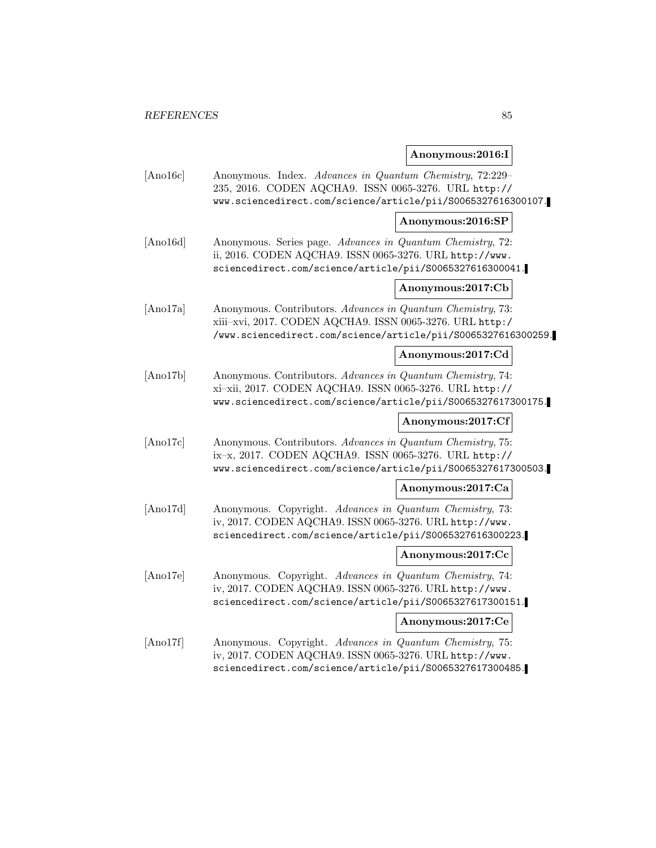# **Anonymous:2016:I**

| [Ano16c]         | Anonymous. Index. Advances in Quantum Chemistry, 72:229-<br>235, 2016. CODEN AQCHA9. ISSN 0065-3276. URL http://<br>www.sciencedirect.com/science/article/pii/S0065327616300107.         |                   |
|------------------|------------------------------------------------------------------------------------------------------------------------------------------------------------------------------------------|-------------------|
|                  |                                                                                                                                                                                          | Anonymous:2016:SP |
| [Ano16d]         | Anonymous. Series page. Advances in Quantum Chemistry, 72:<br>ii, 2016. CODEN AQCHA9. ISSN 0065-3276. URL http://www.<br>sciencedirect.com/science/article/pii/S0065327616300041.        |                   |
|                  |                                                                                                                                                                                          | Anonymous:2017:Cb |
| [Ano17a]         | Anonymous. Contributors. Advances in Quantum Chemistry, 73:<br>xiii-xvi, 2017. CODEN AQCHA9. ISSN 0065-3276. URL http:/<br>/www.sciencedirect.com/science/article/pii/S0065327616300259. |                   |
|                  |                                                                                                                                                                                          | Anonymous:2017:Cd |
| [Ano17b]         | Anonymous. Contributors. Advances in Quantum Chemistry, 74:<br>xi-xii, 2017. CODEN AQCHA9. ISSN 0065-3276. URL http://<br>www.sciencedirect.com/science/article/pii/S0065327617300175.   |                   |
|                  |                                                                                                                                                                                          | Anonymous:2017:Cf |
| $[{\rm Ano17c}]$ | Anonymous. Contributors. Advances in Quantum Chemistry, 75:<br>ix-x, 2017. CODEN AQCHA9. ISSN 0065-3276. URL http://<br>www.sciencedirect.com/science/article/pii/S0065327617300503.     |                   |
|                  |                                                                                                                                                                                          | Anonymous:2017:Ca |
| [Ano17d]         | Anonymous. Copyright. Advances in Quantum Chemistry, 73:<br>iv, 2017. CODEN AQCHA9. ISSN 0065-3276. URL http://www.<br>sciencedirect.com/science/article/pii/S0065327616300223.          |                   |
|                  |                                                                                                                                                                                          | Anonymous:2017:Cc |
| [And7e]          | Anonymous. Copyright. Advances in Quantum Chemistry, 74:<br>iv, 2017. CODEN AQCHA9. ISSN 0065-3276. URL http://www.<br>sciencedirect.com/science/article/pii/S0065327617300151.          |                   |
|                  |                                                                                                                                                                                          | Anonymous:2017:Ce |
| [Ano17f]         | Anonymous. Copyright. Advances in Quantum Chemistry, 75:<br>iv, 2017. CODEN AQCHA9. ISSN 0065-3276. URL http://www.<br>sciencedirect.com/science/article/pii/S0065327617300485.          |                   |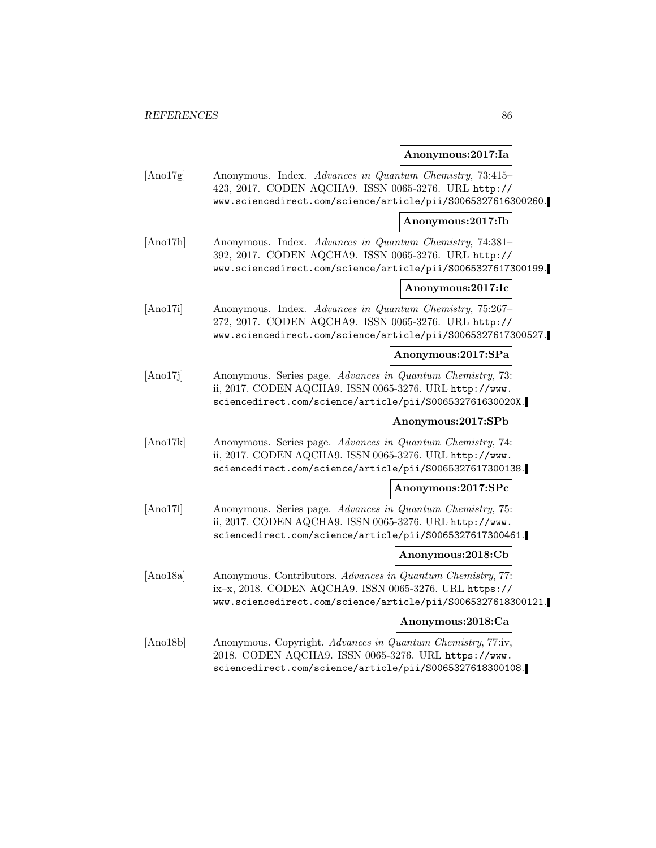### **Anonymous:2017:Ia**

[Ano17g] Anonymous. Index. Advances in Quantum Chemistry, 73:415– 423, 2017. CODEN AQCHA9. ISSN 0065-3276. URL http:// www.sciencedirect.com/science/article/pii/S0065327616300260.

### **Anonymous:2017:Ib**

[Ano17h] Anonymous. Index. Advances in Quantum Chemistry, 74:381– 392, 2017. CODEN AQCHA9. ISSN 0065-3276. URL http:// www.sciencedirect.com/science/article/pii/S0065327617300199.

### **Anonymous:2017:Ic**

[Ano17i] Anonymous. Index. Advances in Quantum Chemistry, 75:267– 272, 2017. CODEN AQCHA9. ISSN 0065-3276. URL http:// www.sciencedirect.com/science/article/pii/S0065327617300527.

### **Anonymous:2017:SPa**

[Ano17j] Anonymous. Series page. Advances in Quantum Chemistry, 73: ii, 2017. CODEN AQCHA9. ISSN 0065-3276. URL http://www. sciencedirect.com/science/article/pii/S006532761630020X.

### **Anonymous:2017:SPb**

[Ano17k] Anonymous. Series page. Advances in Quantum Chemistry, 74: ii, 2017. CODEN AQCHA9. ISSN 0065-3276. URL http://www. sciencedirect.com/science/article/pii/S0065327617300138.

### **Anonymous:2017:SPc**

[Ano17l] Anonymous. Series page. Advances in Quantum Chemistry, 75: ii, 2017. CODEN AQCHA9. ISSN 0065-3276. URL http://www. sciencedirect.com/science/article/pii/S0065327617300461.

### **Anonymous:2018:Cb**

[Ano18a] Anonymous. Contributors. Advances in Quantum Chemistry, 77: ix–x, 2018. CODEN AQCHA9. ISSN 0065-3276. URL https:// www.sciencedirect.com/science/article/pii/S0065327618300121.

### **Anonymous:2018:Ca**

[Ano18b] Anonymous. Copyright. Advances in Quantum Chemistry, 77:iv, 2018. CODEN AQCHA9. ISSN 0065-3276. URL https://www. sciencedirect.com/science/article/pii/S0065327618300108.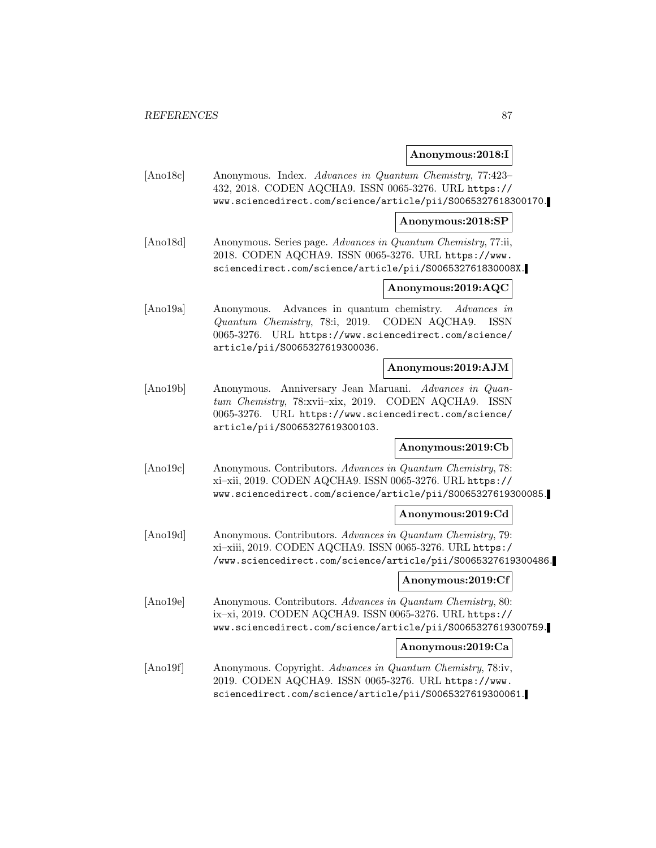### **Anonymous:2018:I**

[Ano18c] Anonymous. Index. Advances in Quantum Chemistry, 77:423– 432, 2018. CODEN AQCHA9. ISSN 0065-3276. URL https:// www.sciencedirect.com/science/article/pii/S0065327618300170.

### **Anonymous:2018:SP**

[Ano18d] Anonymous. Series page. Advances in Quantum Chemistry, 77:ii, 2018. CODEN AQCHA9. ISSN 0065-3276. URL https://www. sciencedirect.com/science/article/pii/S006532761830008X.

### **Anonymous:2019:AQC**

[Ano19a] Anonymous. Advances in quantum chemistry. Advances in Quantum Chemistry, 78:i, 2019. CODEN AQCHA9. ISSN 0065-3276. URL https://www.sciencedirect.com/science/ article/pii/S0065327619300036.

### **Anonymous:2019:AJM**

[Ano19b] Anonymous. Anniversary Jean Maruani. Advances in Quantum Chemistry, 78:xvii–xix, 2019. CODEN AQCHA9. ISSN 0065-3276. URL https://www.sciencedirect.com/science/ article/pii/S0065327619300103.

### **Anonymous:2019:Cb**

[Ano19c] Anonymous. Contributors. Advances in Quantum Chemistry, 78: xi–xii, 2019. CODEN AQCHA9. ISSN 0065-3276. URL https:// www.sciencedirect.com/science/article/pii/S0065327619300085.

### **Anonymous:2019:Cd**

[Ano19d] Anonymous. Contributors. Advances in Quantum Chemistry, 79: xi–xiii, 2019. CODEN AQCHA9. ISSN 0065-3276. URL https:/ /www.sciencedirect.com/science/article/pii/S0065327619300486.

### **Anonymous:2019:Cf**

[Ano19e] Anonymous. Contributors. Advances in Quantum Chemistry, 80: ix–xi, 2019. CODEN AQCHA9. ISSN 0065-3276. URL https:// www.sciencedirect.com/science/article/pii/S0065327619300759.

### **Anonymous:2019:Ca**

[Ano19f] Anonymous. Copyright. Advances in Quantum Chemistry, 78:iv, 2019. CODEN AQCHA9. ISSN 0065-3276. URL https://www. sciencedirect.com/science/article/pii/S0065327619300061.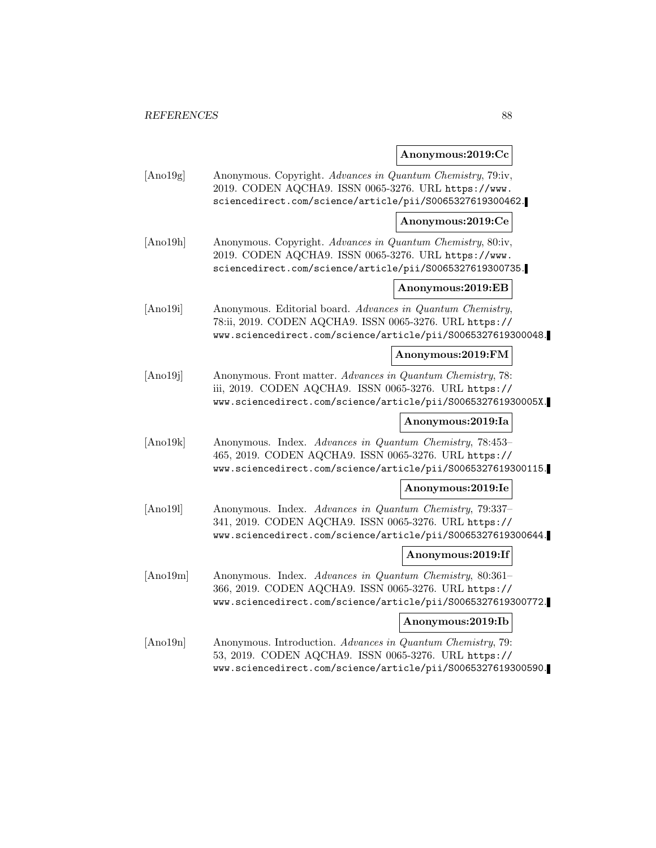## **Anonymous:2019:Cc**

| [And19g] | Anonymous. Copyright. Advances in Quantum Chemistry, 79:iv,<br>2019. CODEN AQCHA9. ISSN 0065-3276. URL https://www.<br>sciencedirect.com/science/article/pii/S0065327619300462.       |                   |
|----------|---------------------------------------------------------------------------------------------------------------------------------------------------------------------------------------|-------------------|
|          |                                                                                                                                                                                       | Anonymous:2019:Ce |
| [Ano19h] | Anonymous. Copyright. Advances in Quantum Chemistry, 80:iv,<br>2019. CODEN AQCHA9. ISSN 0065-3276. URL https://www.<br>sciencedirect.com/science/article/pii/S0065327619300735.       |                   |
|          |                                                                                                                                                                                       | Anonymous:2019:EB |
| [Ano19i] | Anonymous. Editorial board. Advances in Quantum Chemistry,<br>78:ii, 2019. CODEN AQCHA9. ISSN 0065-3276. URL https://<br>www.sciencedirect.com/science/article/pii/S0065327619300048. |                   |
|          |                                                                                                                                                                                       | Anonymous:2019:FM |
| [Ano19j] | Anonymous. Front matter. Advances in Quantum Chemistry, 78:<br>iii, 2019. CODEN AQCHA9. ISSN 0065-3276. URL https://<br>www.sciencedirect.com/science/article/pii/S006532761930005X.  |                   |
|          |                                                                                                                                                                                       | Anonymous:2019:Ia |
| [Ano19k] | Anonymous. Index. Advances in Quantum Chemistry, 78:453-<br>465, 2019. CODEN AQCHA9. ISSN 0065-3276. URL https://<br>www.sciencedirect.com/science/article/pii/S0065327619300115.     |                   |
|          |                                                                                                                                                                                       | Anonymous:2019:Ie |
| [Ano19]  | Anonymous. Index. Advances in Quantum Chemistry, 79:337-<br>341, 2019. CODEN AQCHA9. ISSN 0065-3276. URL https://<br>www.sciencedirect.com/science/article/pii/S0065327619300644.     |                   |
|          |                                                                                                                                                                                       | Anonymous:2019:If |
| [Ano19m] | Anonymous. Index. Advances in Quantum Chemistry, 80:361-<br>366, 2019. CODEN AQCHA9. ISSN 0065-3276. URL https://<br>www.sciencedirect.com/science/article/pii/S0065327619300772.     |                   |
|          |                                                                                                                                                                                       | Anonymous:2019:Ib |
| [Ano19n] | Anonymous. Introduction. Advances in Quantum Chemistry, 79:<br>53, 2019. CODEN AQCHA9. ISSN 0065-3276. URL https://<br>www.sciencedirect.com/science/article/pii/S0065327619300590.   |                   |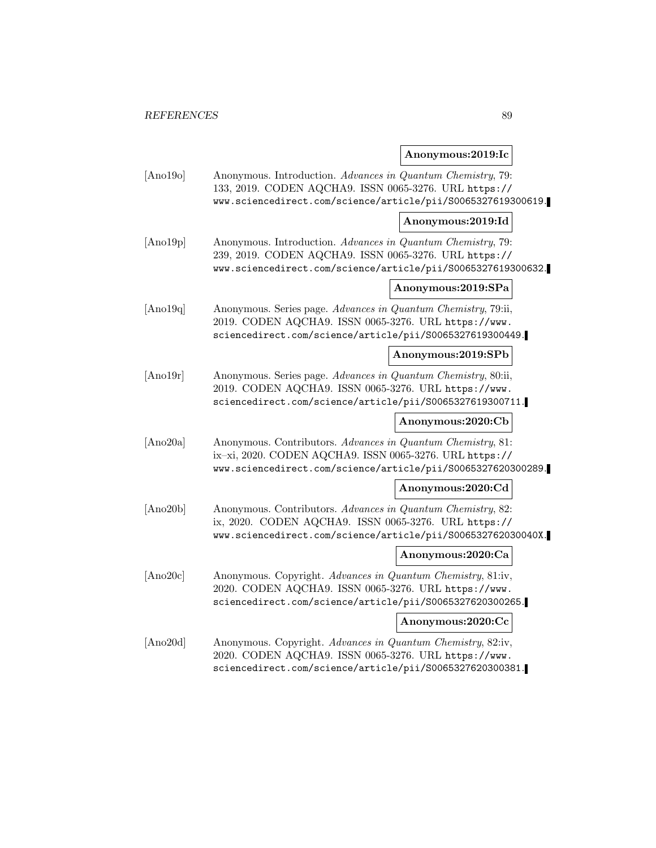## **Anonymous:2019:Ic**

| [Ano19o]       | Anonymous. Introduction. Advances in Quantum Chemistry, 79:<br>133, 2019. CODEN AQCHA9. ISSN 0065-3276. URL https://<br>www.sciencedirect.com/science/article/pii/S0065327619300619.   |                    |
|----------------|----------------------------------------------------------------------------------------------------------------------------------------------------------------------------------------|--------------------|
|                |                                                                                                                                                                                        | Anonymous:2019:Id  |
| [Ano19p]       | Anonymous. Introduction. Advances in Quantum Chemistry, 79:<br>239, 2019. CODEN AQCHA9. ISSN 0065-3276. URL https://<br>www.sciencedirect.com/science/article/pii/S0065327619300632.   |                    |
|                |                                                                                                                                                                                        | Anonymous:2019:SPa |
| [And19q]       | Anonymous. Series page. Advances in Quantum Chemistry, 79:ii,<br>2019. CODEN AQCHA9. ISSN 0065-3276. URL https://www.<br>sciencedirect.com/science/article/pii/S0065327619300449.      |                    |
|                |                                                                                                                                                                                        | Anonymous:2019:SPb |
| $[$ Ano $19r]$ | Anonymous. Series page. Advances in Quantum Chemistry, 80:ii,<br>2019. CODEN AQCHA9. ISSN 0065-3276. URL https://www.<br>sciencedirect.com/science/article/pii/S0065327619300711.      |                    |
|                |                                                                                                                                                                                        | Anonymous:2020:Cb  |
| [Ano20a]       | Anonymous. Contributors. Advances in Quantum Chemistry, 81:<br>ix-xi, 2020. CODEN AQCHA9. ISSN 0065-3276. URL https://<br>www.sciencedirect.com/science/article/pii/S0065327620300289. |                    |
|                |                                                                                                                                                                                        | Anonymous:2020:Cd  |
| [Ano20b]       | Anonymous. Contributors. Advances in Quantum Chemistry, 82:<br>ix, 2020. CODEN AQCHA9. ISSN 0065-3276. URL https://<br>www.sciencedirect.com/science/article/pii/S006532762030040X.    |                    |
|                |                                                                                                                                                                                        | Anonymous:2020:Ca  |
| [Ano20c]       | Anonymous. Copyright. Advances in Quantum Chemistry, 81:iv,<br>2020. CODEN AQCHA9. ISSN 0065-3276. URL https://www.<br>sciencedirect.com/science/article/pii/S0065327620300265.        |                    |
|                |                                                                                                                                                                                        | Anonymous:2020:Cc  |
| [Ano20d]       | Anonymous. Copyright. Advances in Quantum Chemistry, 82:iv,<br>2020. CODEN AQCHA9. ISSN 0065-3276. URL https://www.<br>sciencedirect.com/science/article/pii/S0065327620300381.        |                    |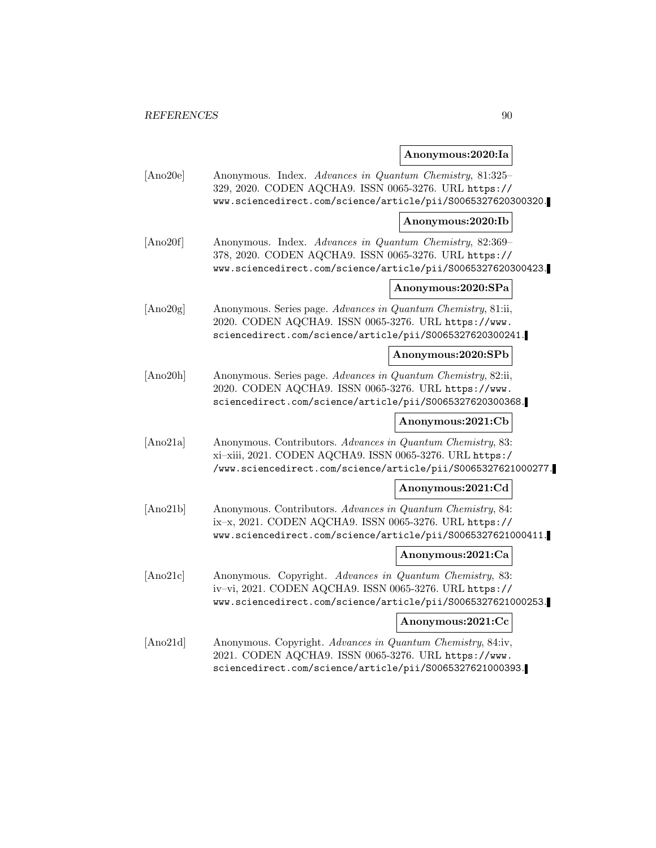## **Anonymous:2020:Ia**

| [Ano20e] | Anonymous. Index. Advances in Quantum Chemistry, 81:325-<br>329, 2020. CODEN AQCHA9. ISSN 0065-3276. URL https://<br>www.sciencedirect.com/science/article/pii/S0065327620300320.        |                    |
|----------|------------------------------------------------------------------------------------------------------------------------------------------------------------------------------------------|--------------------|
|          |                                                                                                                                                                                          | Anonymous:2020:Ib  |
| [Ano20f] | Anonymous. Index. Advances in Quantum Chemistry, 82:369-<br>378, 2020. CODEN AQCHA9. ISSN 0065-3276. URL https://<br>www.sciencedirect.com/science/article/pii/S0065327620300423.        |                    |
|          |                                                                                                                                                                                          | Anonymous:2020:SPa |
| [Ano20g] | Anonymous. Series page. Advances in Quantum Chemistry, 81:ii,<br>2020. CODEN AQCHA9. ISSN 0065-3276. URL https://www.<br>sciencedirect.com/science/article/pii/S0065327620300241.        |                    |
|          |                                                                                                                                                                                          | Anonymous:2020:SPb |
| [Ano20h] | Anonymous. Series page. Advances in Quantum Chemistry, 82:ii,<br>2020. CODEN AQCHA9. ISSN 0065-3276. URL https://www.<br>sciencedirect.com/science/article/pii/S0065327620300368.        |                    |
|          |                                                                                                                                                                                          | Anonymous:2021:Cb  |
| [Ano21a] | Anonymous. Contributors. Advances in Quantum Chemistry, 83:<br>xi-xiii, 2021. CODEN AQCHA9. ISSN 0065-3276. URL https:/<br>/www.sciencedirect.com/science/article/pii/S0065327621000277. |                    |
|          |                                                                                                                                                                                          | Anonymous:2021:Cd  |
| [Ano21b] | Anonymous. Contributors. Advances in Quantum Chemistry, 84:<br>ix-x, 2021. CODEN AQCHA9. ISSN 0065-3276. URL https://<br>www.sciencedirect.com/science/article/pii/S0065327621000411.    |                    |
|          |                                                                                                                                                                                          | Anonymous:2021:Ca  |
| [Ano21c] | Anonymous. Copyright. Advances in Quantum Chemistry, 83:<br>iv-vi, 2021. CODEN AQCHA9. ISSN 0065-3276. URL https://<br>www.sciencedirect.com/science/article/pii/S0065327621000253.      |                    |
|          |                                                                                                                                                                                          | Anonymous:2021:Cc  |
| [Ano21d] | Anonymous. Copyright. Advances in Quantum Chemistry, 84:iv,<br>2021. CODEN AQCHA9. ISSN 0065-3276. URL https://www.<br>sciencedirect.com/science/article/pii/S0065327621000393.          |                    |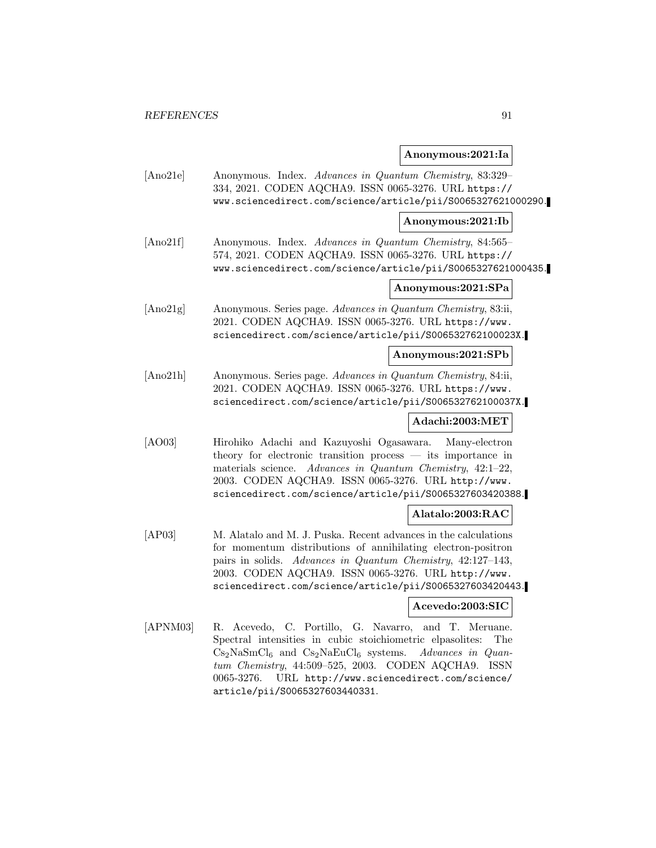### **Anonymous:2021:Ia**

[Ano21e] Anonymous. Index. Advances in Quantum Chemistry, 83:329– 334, 2021. CODEN AQCHA9. ISSN 0065-3276. URL https:// www.sciencedirect.com/science/article/pii/S0065327621000290.

### **Anonymous:2021:Ib**

[Ano21f] Anonymous. Index. Advances in Quantum Chemistry, 84:565– 574, 2021. CODEN AQCHA9. ISSN 0065-3276. URL https:// www.sciencedirect.com/science/article/pii/S0065327621000435.

### **Anonymous:2021:SPa**

[Ano21g] Anonymous. Series page. Advances in Quantum Chemistry, 83:ii, 2021. CODEN AQCHA9. ISSN 0065-3276. URL https://www. sciencedirect.com/science/article/pii/S006532762100023X.

#### **Anonymous:2021:SPb**

[Ano21h] Anonymous. Series page. Advances in Quantum Chemistry, 84:ii, 2021. CODEN AQCHA9. ISSN 0065-3276. URL https://www. sciencedirect.com/science/article/pii/S006532762100037X.

## **Adachi:2003:MET**

[AO03] Hirohiko Adachi and Kazuyoshi Ogasawara. Many-electron theory for electronic transition process — its importance in materials science. Advances in Quantum Chemistry, 42:1–22, 2003. CODEN AQCHA9. ISSN 0065-3276. URL http://www. sciencedirect.com/science/article/pii/S0065327603420388.

#### **Alatalo:2003:RAC**

[AP03] M. Alatalo and M. J. Puska. Recent advances in the calculations for momentum distributions of annihilating electron-positron pairs in solids. Advances in Quantum Chemistry, 42:127–143, 2003. CODEN AQCHA9. ISSN 0065-3276. URL http://www. sciencedirect.com/science/article/pii/S0065327603420443.

#### **Acevedo:2003:SIC**

[APNM03] R. Acevedo, C. Portillo, G. Navarro, and T. Meruane. Spectral intensities in cubic stoichiometric elpasolites: The  $Cs<sub>2</sub>NaSmCl<sub>6</sub>$  and  $Cs<sub>2</sub>NaEuCl<sub>6</sub>$  systems. Advances in Quantum Chemistry, 44:509–525, 2003. CODEN AQCHA9. ISSN 0065-3276. URL http://www.sciencedirect.com/science/ article/pii/S0065327603440331.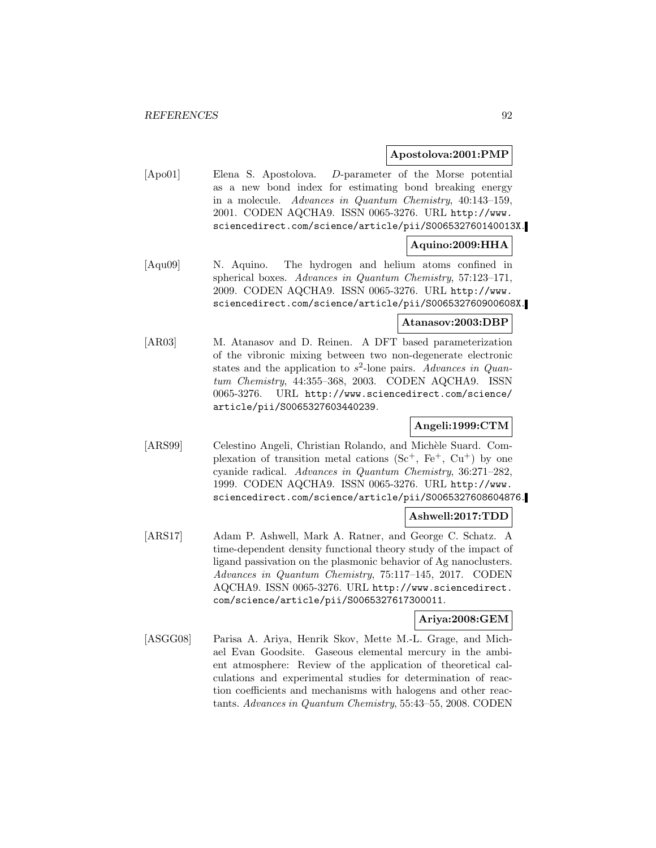### **Apostolova:2001:PMP**

[Apo01] Elena S. Apostolova. D-parameter of the Morse potential as a new bond index for estimating bond breaking energy in a molecule. Advances in Quantum Chemistry, 40:143–159, 2001. CODEN AQCHA9. ISSN 0065-3276. URL http://www. sciencedirect.com/science/article/pii/S006532760140013X.

### **Aquino:2009:HHA**

[Aqu09] N. Aquino. The hydrogen and helium atoms confined in spherical boxes. Advances in Quantum Chemistry, 57:123–171, 2009. CODEN AQCHA9. ISSN 0065-3276. URL http://www. sciencedirect.com/science/article/pii/S006532760900608X.

### **Atanasov:2003:DBP**

[AR03] M. Atanasov and D. Reinen. A DFT based parameterization of the vibronic mixing between two non-degenerate electronic states and the application to  $s^2$ -lone pairs. Advances in Quantum Chemistry, 44:355–368, 2003. CODEN AQCHA9. ISSN 0065-3276. URL http://www.sciencedirect.com/science/ article/pii/S0065327603440239.

### **Angeli:1999:CTM**

[ARS99] Celestino Angeli, Christian Rolando, and Michèle Suard. Complexation of transition metal cations  $(Sc^+, Fe^+, Cu^+)$  by one cyanide radical. Advances in Quantum Chemistry, 36:271–282, 1999. CODEN AQCHA9. ISSN 0065-3276. URL http://www. sciencedirect.com/science/article/pii/S0065327608604876.

#### **Ashwell:2017:TDD**

[ARS17] Adam P. Ashwell, Mark A. Ratner, and George C. Schatz. A time-dependent density functional theory study of the impact of ligand passivation on the plasmonic behavior of Ag nanoclusters. Advances in Quantum Chemistry, 75:117–145, 2017. CODEN AQCHA9. ISSN 0065-3276. URL http://www.sciencedirect. com/science/article/pii/S0065327617300011.

### **Ariya:2008:GEM**

[ASGG08] Parisa A. Ariya, Henrik Skov, Mette M.-L. Grage, and Michael Evan Goodsite. Gaseous elemental mercury in the ambient atmosphere: Review of the application of theoretical calculations and experimental studies for determination of reaction coefficients and mechanisms with halogens and other reactants. Advances in Quantum Chemistry, 55:43–55, 2008. CODEN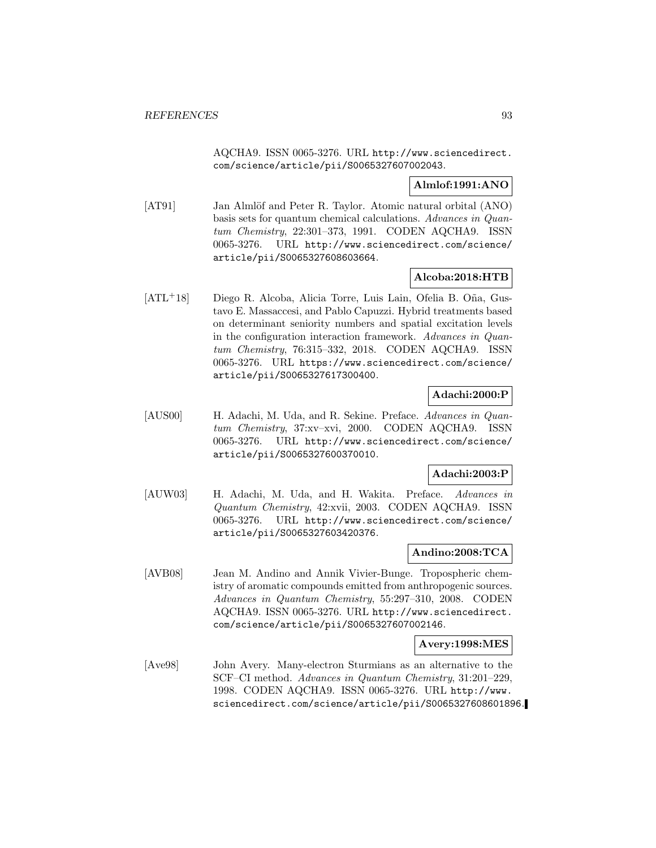AQCHA9. ISSN 0065-3276. URL http://www.sciencedirect. com/science/article/pii/S0065327607002043.

### **Almlof:1991:ANO**

[AT91] Jan Almlöf and Peter R. Taylor. Atomic natural orbital (ANO) basis sets for quantum chemical calculations. Advances in Quantum Chemistry, 22:301–373, 1991. CODEN AQCHA9. ISSN 0065-3276. URL http://www.sciencedirect.com/science/ article/pii/S0065327608603664.

### **Alcoba:2018:HTB**

[ATL<sup>+</sup>18] Diego R. Alcoba, Alicia Torre, Luis Lain, Ofelia B. Oña, Gustavo E. Massaccesi, and Pablo Capuzzi. Hybrid treatments based on determinant seniority numbers and spatial excitation levels in the configuration interaction framework. Advances in Quantum Chemistry, 76:315–332, 2018. CODEN AQCHA9. ISSN 0065-3276. URL https://www.sciencedirect.com/science/ article/pii/S0065327617300400.

### **Adachi:2000:P**

[AUS00] H. Adachi, M. Uda, and R. Sekine. Preface. Advances in Quantum Chemistry, 37:xv–xvi, 2000. CODEN AQCHA9. ISSN 0065-3276. URL http://www.sciencedirect.com/science/ article/pii/S0065327600370010.

### **Adachi:2003:P**

[AUW03] H. Adachi, M. Uda, and H. Wakita. Preface. Advances in Quantum Chemistry, 42:xvii, 2003. CODEN AQCHA9. ISSN 0065-3276. URL http://www.sciencedirect.com/science/ article/pii/S0065327603420376.

### **Andino:2008:TCA**

[AVB08] Jean M. Andino and Annik Vivier-Bunge. Tropospheric chemistry of aromatic compounds emitted from anthropogenic sources. Advances in Quantum Chemistry, 55:297–310, 2008. CODEN AQCHA9. ISSN 0065-3276. URL http://www.sciencedirect. com/science/article/pii/S0065327607002146.

### **Avery:1998:MES**

[Ave98] John Avery. Many-electron Sturmians as an alternative to the SCF–CI method. Advances in Quantum Chemistry, 31:201–229, 1998. CODEN AQCHA9. ISSN 0065-3276. URL http://www. sciencedirect.com/science/article/pii/S0065327608601896.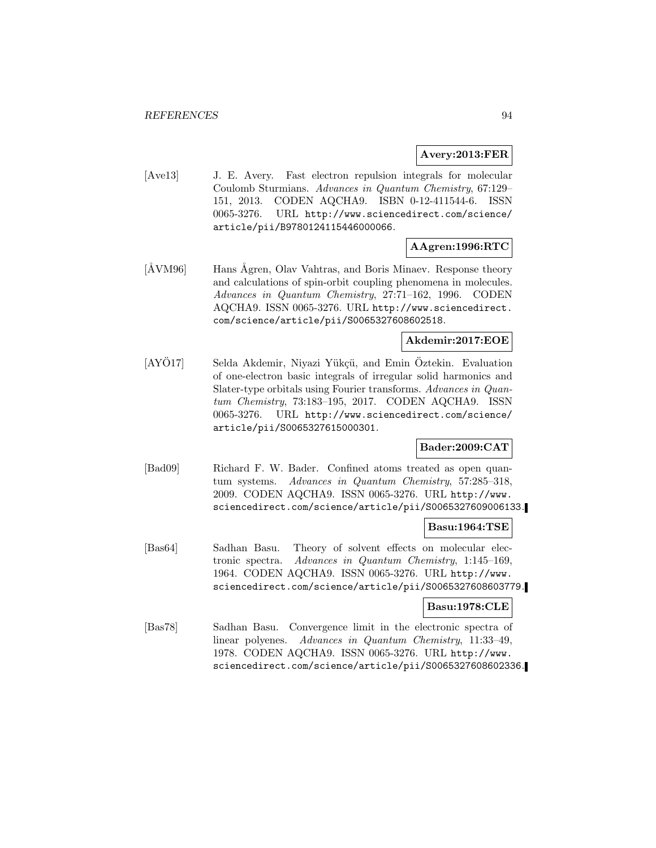### **Avery:2013:FER**

[Ave13] J. E. Avery. Fast electron repulsion integrals for molecular Coulomb Sturmians. Advances in Quantum Chemistry, 67:129– 151, 2013. CODEN AQCHA9. ISBN 0-12-411544-6. ISSN 0065-3276. URL http://www.sciencedirect.com/science/ article/pii/B9780124115446000066.

### **AAgren:1996:RTC**

[ÅVM96] Hans Ågren, Olav Vahtras, and Boris Minaev. Response theory and calculations of spin-orbit coupling phenomena in molecules. Advances in Quantum Chemistry, 27:71–162, 1996. CODEN AQCHA9. ISSN 0065-3276. URL http://www.sciencedirect. com/science/article/pii/S0065327608602518.

### **Akdemir:2017:EOE**

[AYÖ17] Selda Akdemir, Niyazi Yükçü, and Emin Öztekin. Evaluation of one-electron basic integrals of irregular solid harmonics and Slater-type orbitals using Fourier transforms. Advances in Quantum Chemistry, 73:183–195, 2017. CODEN AQCHA9. ISSN 0065-3276. URL http://www.sciencedirect.com/science/ article/pii/S0065327615000301.

### **Bader:2009:CAT**

[Bad09] Richard F. W. Bader. Confined atoms treated as open quantum systems. Advances in Quantum Chemistry, 57:285–318, 2009. CODEN AQCHA9. ISSN 0065-3276. URL http://www. sciencedirect.com/science/article/pii/S0065327609006133.

#### **Basu:1964:TSE**

[Bas64] Sadhan Basu. Theory of solvent effects on molecular electronic spectra. Advances in Quantum Chemistry, 1:145–169, 1964. CODEN AQCHA9. ISSN 0065-3276. URL http://www. sciencedirect.com/science/article/pii/S0065327608603779.

#### **Basu:1978:CLE**

[Bas78] Sadhan Basu. Convergence limit in the electronic spectra of linear polyenes. Advances in Quantum Chemistry, 11:33–49, 1978. CODEN AQCHA9. ISSN 0065-3276. URL http://www. sciencedirect.com/science/article/pii/S0065327608602336.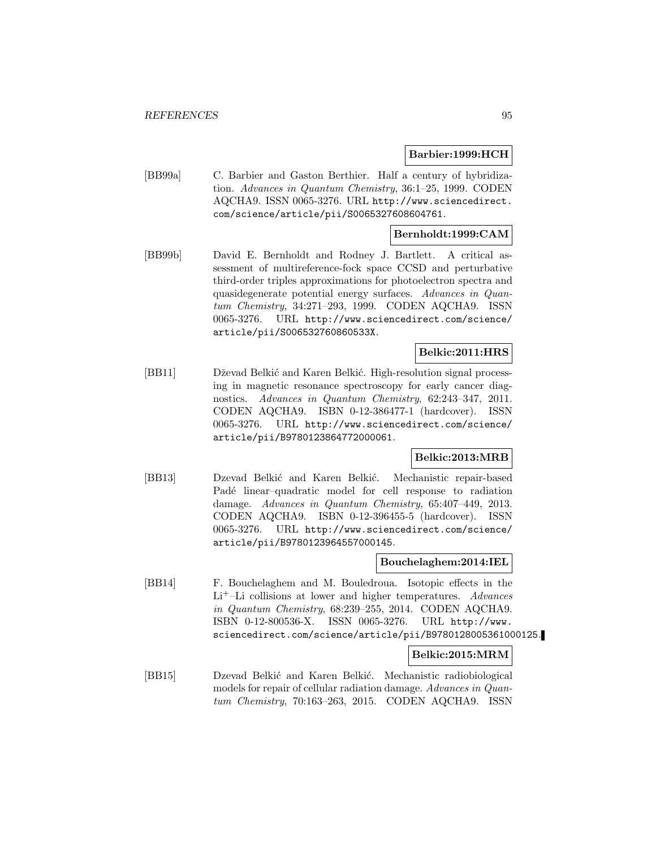### **Barbier:1999:HCH**

[BB99a] C. Barbier and Gaston Berthier. Half a century of hybridization. Advances in Quantum Chemistry, 36:1–25, 1999. CODEN AQCHA9. ISSN 0065-3276. URL http://www.sciencedirect. com/science/article/pii/S0065327608604761.

### **Bernholdt:1999:CAM**

[BB99b] David E. Bernholdt and Rodney J. Bartlett. A critical assessment of multireference-fock space CCSD and perturbative third-order triples approximations for photoelectron spectra and quasidegenerate potential energy surfaces. Advances in Quantum Chemistry, 34:271–293, 1999. CODEN AQCHA9. ISSN 0065-3276. URL http://www.sciencedirect.com/science/ article/pii/S006532760860533X.

### **Belkic:2011:HRS**

[BB11] Dževad Belkić and Karen Belkić. High-resolution signal processing in magnetic resonance spectroscopy for early cancer diagnostics. Advances in Quantum Chemistry, 62:243–347, 2011. CODEN AQCHA9. ISBN 0-12-386477-1 (hardcover). ISSN 0065-3276. URL http://www.sciencedirect.com/science/ article/pii/B9780123864772000061.

### **Belkic:2013:MRB**

[BB13] Dzevad Belkić and Karen Belkić. Mechanistic repair-based Padé linear-quadratic model for cell response to radiation damage. Advances in Quantum Chemistry, 65:407–449, 2013. CODEN AQCHA9. ISBN 0-12-396455-5 (hardcover). ISSN 0065-3276. URL http://www.sciencedirect.com/science/ article/pii/B9780123964557000145.

#### **Bouchelaghem:2014:IEL**

[BB14] F. Bouchelaghem and M. Bouledroua. Isotopic effects in the  $Li<sup>+</sup>-Li$  collisions at lower and higher temperatures. Advances in Quantum Chemistry, 68:239–255, 2014. CODEN AQCHA9. ISBN 0-12-800536-X. ISSN 0065-3276. URL http://www. sciencedirect.com/science/article/pii/B9780128005361000125.

#### **Belkic:2015:MRM**

[BB15] Dzevad Belkić and Karen Belkić. Mechanistic radiobiological models for repair of cellular radiation damage. Advances in Quantum Chemistry, 70:163–263, 2015. CODEN AQCHA9. ISSN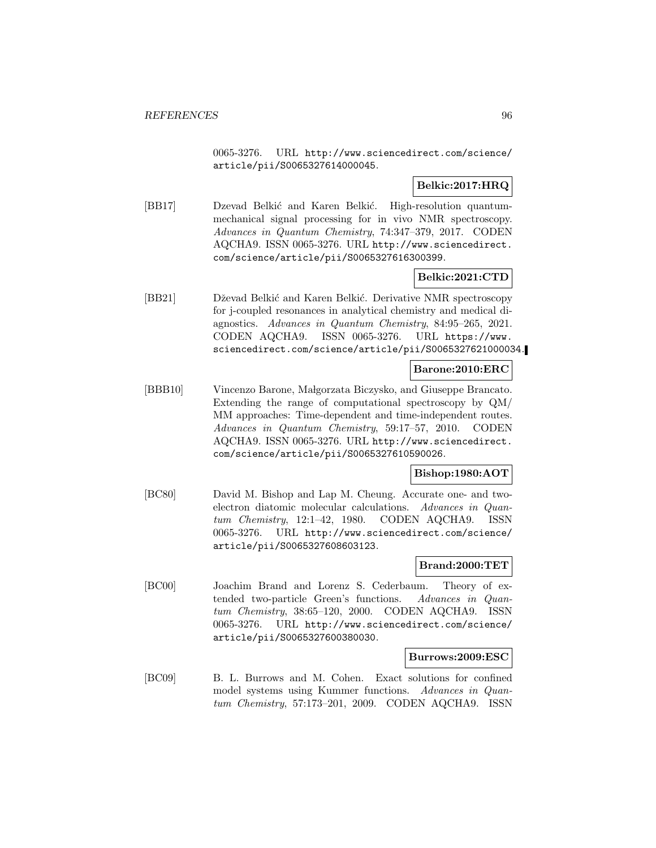0065-3276. URL http://www.sciencedirect.com/science/ article/pii/S0065327614000045.

### **Belkic:2017:HRQ**

[BB17] Dzevad Belkić and Karen Belkić. High-resolution quantummechanical signal processing for in vivo NMR spectroscopy. Advances in Quantum Chemistry, 74:347–379, 2017. CODEN AQCHA9. ISSN 0065-3276. URL http://www.sciencedirect. com/science/article/pii/S0065327616300399.

### **Belkic:2021:CTD**

[BB21] Dževad Belkić and Karen Belkić. Derivative NMR spectroscopy for j-coupled resonances in analytical chemistry and medical diagnostics. Advances in Quantum Chemistry, 84:95–265, 2021. CODEN AQCHA9. ISSN 0065-3276. URL https://www. sciencedirect.com/science/article/pii/S0065327621000034.

### **Barone:2010:ERC**

[BBB10] Vincenzo Barone, Małgorzata Biczysko, and Giuseppe Brancato. Extending the range of computational spectroscopy by QM/ MM approaches: Time-dependent and time-independent routes. Advances in Quantum Chemistry, 59:17–57, 2010. CODEN AQCHA9. ISSN 0065-3276. URL http://www.sciencedirect. com/science/article/pii/S0065327610590026.

### **Bishop:1980:AOT**

[BC80] David M. Bishop and Lap M. Cheung. Accurate one- and twoelectron diatomic molecular calculations. Advances in Quantum Chemistry, 12:1–42, 1980. CODEN AQCHA9. ISSN 0065-3276. URL http://www.sciencedirect.com/science/ article/pii/S0065327608603123.

### **Brand:2000:TET**

[BC00] Joachim Brand and Lorenz S. Cederbaum. Theory of extended two-particle Green's functions. Advances in Quantum Chemistry, 38:65–120, 2000. CODEN AQCHA9. ISSN 0065-3276. URL http://www.sciencedirect.com/science/ article/pii/S0065327600380030.

#### **Burrows:2009:ESC**

[BC09] B. L. Burrows and M. Cohen. Exact solutions for confined model systems using Kummer functions. Advances in Quantum Chemistry, 57:173–201, 2009. CODEN AQCHA9. ISSN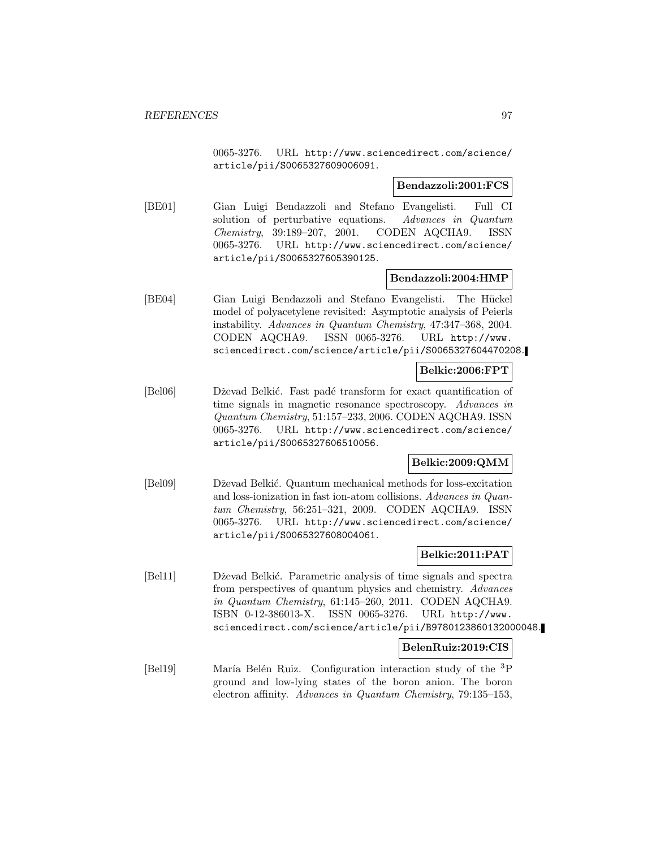0065-3276. URL http://www.sciencedirect.com/science/ article/pii/S0065327609006091.

### **Bendazzoli:2001:FCS**

[BE01] Gian Luigi Bendazzoli and Stefano Evangelisti. Full CI solution of perturbative equations. Advances in Quantum Chemistry, 39:189–207, 2001. CODEN AQCHA9. ISSN 0065-3276. URL http://www.sciencedirect.com/science/ article/pii/S0065327605390125.

### **Bendazzoli:2004:HMP**

[BE04] Gian Luigi Bendazzoli and Stefano Evangelisti. The Hückel model of polyacetylene revisited: Asymptotic analysis of Peierls instability. Advances in Quantum Chemistry, 47:347–368, 2004. CODEN AQCHA9. ISSN 0065-3276. URL http://www. sciencedirect.com/science/article/pii/S0065327604470208.

### **Belkic:2006:FPT**

[Bel06] Dževad Belkić. Fast padé transform for exact quantification of time signals in magnetic resonance spectroscopy. Advances in Quantum Chemistry, 51:157–233, 2006. CODEN AQCHA9. ISSN 0065-3276. URL http://www.sciencedirect.com/science/ article/pii/S0065327606510056.

### **Belkic:2009:QMM**

[Bel09] Dževad Belkić. Quantum mechanical methods for loss-excitation and loss-ionization in fast ion-atom collisions. Advances in Quantum Chemistry, 56:251–321, 2009. CODEN AQCHA9. ISSN 0065-3276. URL http://www.sciencedirect.com/science/ article/pii/S0065327608004061.

### **Belkic:2011:PAT**

[Bel11] Dževad Belkić. Parametric analysis of time signals and spectra from perspectives of quantum physics and chemistry. Advances in Quantum Chemistry, 61:145–260, 2011. CODEN AQCHA9. ISBN 0-12-386013-X. ISSN 0065-3276. URL http://www. sciencedirect.com/science/article/pii/B9780123860132000048.

### **BelenRuiz:2019:CIS**

[Bel19] María Belén Ruiz. Configuration interaction study of the <sup>3</sup>P ground and low-lying states of the boron anion. The boron electron affinity. Advances in Quantum Chemistry, 79:135–153,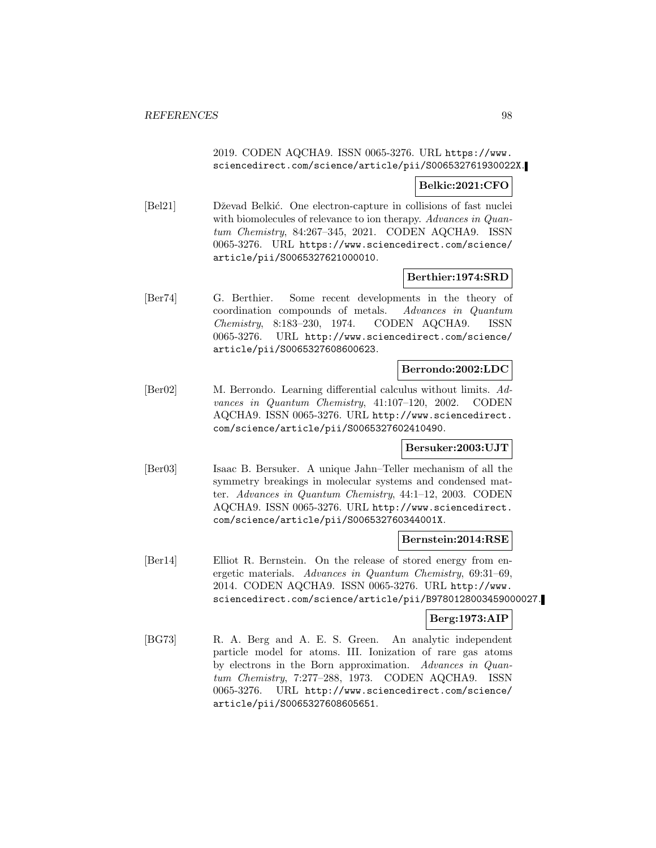### 2019. CODEN AQCHA9. ISSN 0065-3276. URL https://www. sciencedirect.com/science/article/pii/S006532761930022X.

## **Belkic:2021:CFO**

[Bel21] Dževad Belkić. One electron-capture in collisions of fast nuclei with biomolecules of relevance to ion therapy. Advances in Quantum Chemistry, 84:267–345, 2021. CODEN AQCHA9. ISSN 0065-3276. URL https://www.sciencedirect.com/science/ article/pii/S0065327621000010.

### **Berthier:1974:SRD**

[Ber74] G. Berthier. Some recent developments in the theory of coordination compounds of metals. Advances in Quantum Chemistry, 8:183–230, 1974. CODEN AQCHA9. ISSN 0065-3276. URL http://www.sciencedirect.com/science/ article/pii/S0065327608600623.

### **Berrondo:2002:LDC**

[Ber02] M. Berrondo. Learning differential calculus without limits. Advances in Quantum Chemistry, 41:107–120, 2002. CODEN AQCHA9. ISSN 0065-3276. URL http://www.sciencedirect. com/science/article/pii/S0065327602410490.

### **Bersuker:2003:UJT**

[Ber03] Isaac B. Bersuker. A unique Jahn–Teller mechanism of all the symmetry breakings in molecular systems and condensed matter. Advances in Quantum Chemistry, 44:1–12, 2003. CODEN AQCHA9. ISSN 0065-3276. URL http://www.sciencedirect. com/science/article/pii/S006532760344001X.

### **Bernstein:2014:RSE**

[Ber14] Elliot R. Bernstein. On the release of stored energy from energetic materials. Advances in Quantum Chemistry, 69:31–69, 2014. CODEN AQCHA9. ISSN 0065-3276. URL http://www. sciencedirect.com/science/article/pii/B9780128003459000027.

### **Berg:1973:AIP**

[BG73] R. A. Berg and A. E. S. Green. An analytic independent particle model for atoms. III. Ionization of rare gas atoms by electrons in the Born approximation. Advances in Quantum Chemistry, 7:277–288, 1973. CODEN AQCHA9. ISSN 0065-3276. URL http://www.sciencedirect.com/science/ article/pii/S0065327608605651.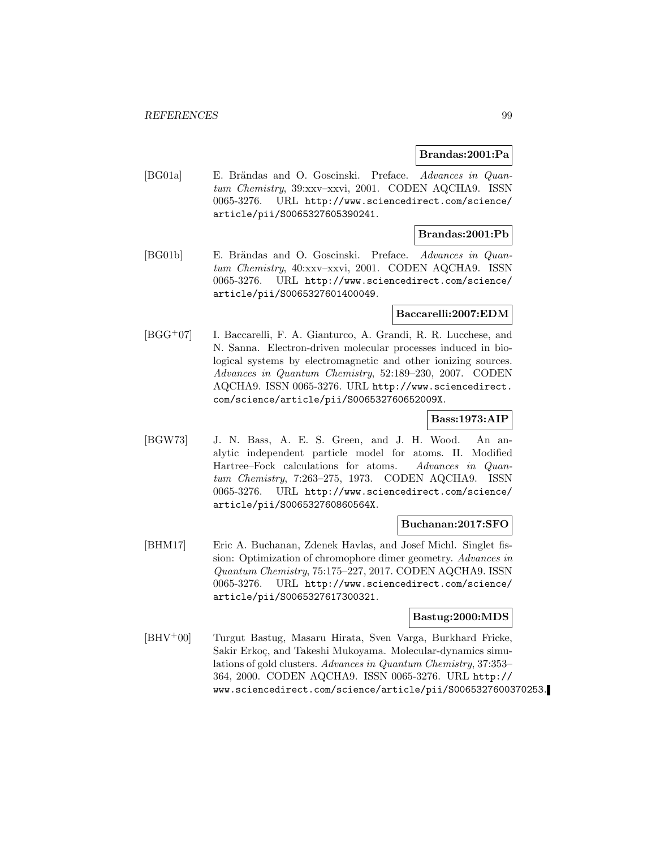### **Brandas:2001:Pa**

[BG01a] E. Brändas and O. Goscinski. Preface. Advances in Quantum Chemistry, 39:xxv–xxvi, 2001. CODEN AQCHA9. ISSN 0065-3276. URL http://www.sciencedirect.com/science/ article/pii/S0065327605390241.

### **Brandas:2001:Pb**

[BG01b] E. Brändas and O. Goscinski. Preface. Advances in Quantum Chemistry, 40:xxv–xxvi, 2001. CODEN AQCHA9. ISSN 0065-3276. URL http://www.sciencedirect.com/science/ article/pii/S0065327601400049.

### **Baccarelli:2007:EDM**

[BGG<sup>+</sup>07] I. Baccarelli, F. A. Gianturco, A. Grandi, R. R. Lucchese, and N. Sanna. Electron-driven molecular processes induced in biological systems by electromagnetic and other ionizing sources. Advances in Quantum Chemistry, 52:189–230, 2007. CODEN AQCHA9. ISSN 0065-3276. URL http://www.sciencedirect. com/science/article/pii/S006532760652009X.

### **Bass:1973:AIP**

[BGW73] J. N. Bass, A. E. S. Green, and J. H. Wood. An analytic independent particle model for atoms. II. Modified Hartree–Fock calculations for atoms. Advances in Quantum Chemistry, 7:263–275, 1973. CODEN AQCHA9. ISSN 0065-3276. URL http://www.sciencedirect.com/science/ article/pii/S006532760860564X.

### **Buchanan:2017:SFO**

[BHM17] Eric A. Buchanan, Zdenek Havlas, and Josef Michl. Singlet fission: Optimization of chromophore dimer geometry. Advances in Quantum Chemistry, 75:175–227, 2017. CODEN AQCHA9. ISSN 0065-3276. URL http://www.sciencedirect.com/science/ article/pii/S0065327617300321.

### **Bastug:2000:MDS**

[BHV<sup>+</sup>00] Turgut Bastug, Masaru Hirata, Sven Varga, Burkhard Fricke, Sakir Erkoç, and Takeshi Mukoyama. Molecular-dynamics simulations of gold clusters. Advances in Quantum Chemistry, 37:353– 364, 2000. CODEN AQCHA9. ISSN 0065-3276. URL http:// www.sciencedirect.com/science/article/pii/S0065327600370253.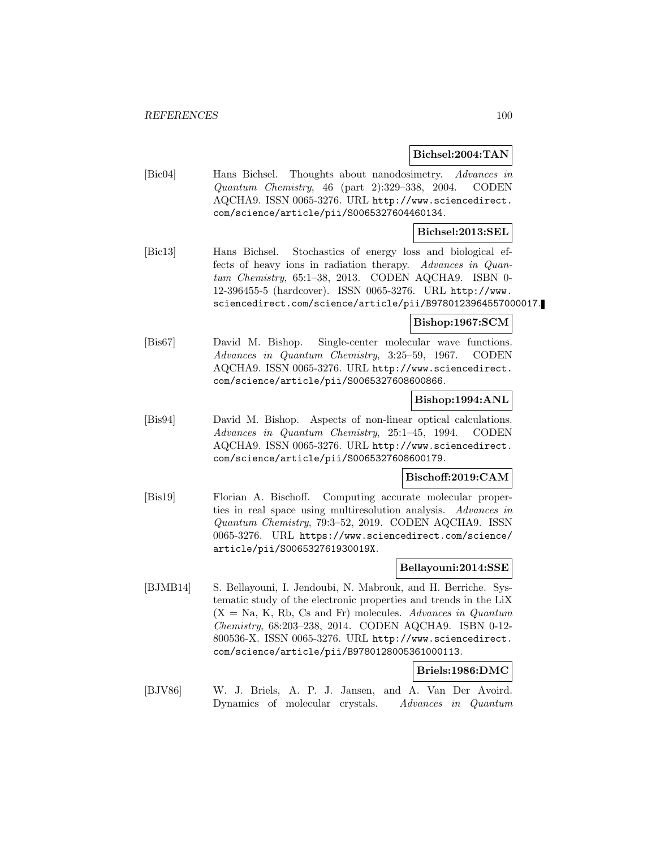### **Bichsel:2004:TAN**

[Bic04] Hans Bichsel. Thoughts about nanodosimetry. Advances in Quantum Chemistry, 46 (part 2):329–338, 2004. CODEN AQCHA9. ISSN 0065-3276. URL http://www.sciencedirect. com/science/article/pii/S0065327604460134.

### **Bichsel:2013:SEL**

[Bic13] Hans Bichsel. Stochastics of energy loss and biological effects of heavy ions in radiation therapy. Advances in Quantum Chemistry, 65:1–38, 2013. CODEN AQCHA9. ISBN 0- 12-396455-5 (hardcover). ISSN 0065-3276. URL http://www. sciencedirect.com/science/article/pii/B9780123964557000017.

### **Bishop:1967:SCM**

[Bis67] David M. Bishop. Single-center molecular wave functions. Advances in Quantum Chemistry, 3:25–59, 1967. CODEN AQCHA9. ISSN 0065-3276. URL http://www.sciencedirect. com/science/article/pii/S0065327608600866.

### **Bishop:1994:ANL**

[Bis94] David M. Bishop. Aspects of non-linear optical calculations. Advances in Quantum Chemistry, 25:1–45, 1994. CODEN AQCHA9. ISSN 0065-3276. URL http://www.sciencedirect. com/science/article/pii/S0065327608600179.

### **Bischoff:2019:CAM**

[Bis19] Florian A. Bischoff. Computing accurate molecular properties in real space using multiresolution analysis. Advances in Quantum Chemistry, 79:3–52, 2019. CODEN AQCHA9. ISSN 0065-3276. URL https://www.sciencedirect.com/science/ article/pii/S006532761930019X.

### **Bellayouni:2014:SSE**

[BJMB14] S. Bellayouni, I. Jendoubi, N. Mabrouk, and H. Berriche. Systematic study of the electronic properties and trends in the LiX  $(X = Na, K, Rb, Cs, and Fr)$  molecules. Advances in Quantum Chemistry, 68:203–238, 2014. CODEN AQCHA9. ISBN 0-12- 800536-X. ISSN 0065-3276. URL http://www.sciencedirect. com/science/article/pii/B9780128005361000113.

### **Briels:1986:DMC**

[BJV86] W. J. Briels, A. P. J. Jansen, and A. Van Der Avoird. Dynamics of molecular crystals. Advances in Quantum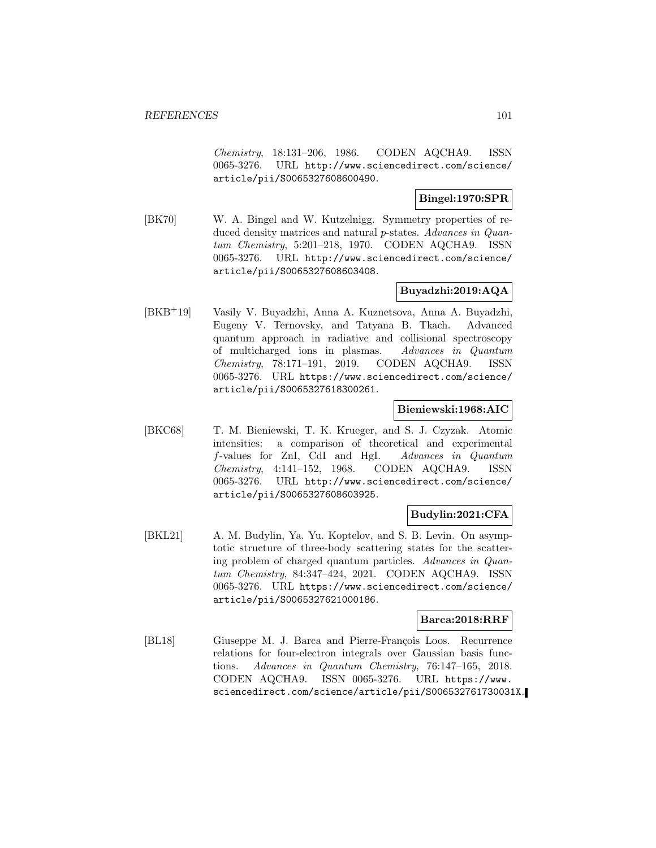Chemistry, 18:131–206, 1986. CODEN AQCHA9. ISSN 0065-3276. URL http://www.sciencedirect.com/science/ article/pii/S0065327608600490.

### **Bingel:1970:SPR**

[BK70] W. A. Bingel and W. Kutzelnigg. Symmetry properties of reduced density matrices and natural p-states. Advances in Quantum Chemistry, 5:201–218, 1970. CODEN AQCHA9. ISSN 0065-3276. URL http://www.sciencedirect.com/science/ article/pii/S0065327608603408.

### **Buyadzhi:2019:AQA**

[BKB<sup>+</sup>19] Vasily V. Buyadzhi, Anna A. Kuznetsova, Anna A. Buyadzhi, Eugeny V. Ternovsky, and Tatyana B. Tkach. Advanced quantum approach in radiative and collisional spectroscopy of multicharged ions in plasmas. Advances in Quantum Chemistry, 78:171–191, 2019. CODEN AQCHA9. ISSN 0065-3276. URL https://www.sciencedirect.com/science/ article/pii/S0065327618300261.

### **Bieniewski:1968:AIC**

[BKC68] T. M. Bieniewski, T. K. Krueger, and S. J. Czyzak. Atomic intensities: a comparison of theoretical and experimental f-values for ZnI, CdI and HgI. Advances in Quantum Chemistry, 4:141–152, 1968. CODEN AQCHA9. ISSN 0065-3276. URL http://www.sciencedirect.com/science/ article/pii/S0065327608603925.

### **Budylin:2021:CFA**

[BKL21] A. M. Budylin, Ya. Yu. Koptelov, and S. B. Levin. On asymptotic structure of three-body scattering states for the scattering problem of charged quantum particles. Advances in Quantum Chemistry, 84:347–424, 2021. CODEN AQCHA9. ISSN 0065-3276. URL https://www.sciencedirect.com/science/ article/pii/S0065327621000186.

### **Barca:2018:RRF**

[BL18] Giuseppe M. J. Barca and Pierre-François Loos. Recurrence relations for four-electron integrals over Gaussian basis functions. Advances in Quantum Chemistry, 76:147–165, 2018. CODEN AQCHA9. ISSN 0065-3276. URL https://www. sciencedirect.com/science/article/pii/S006532761730031X.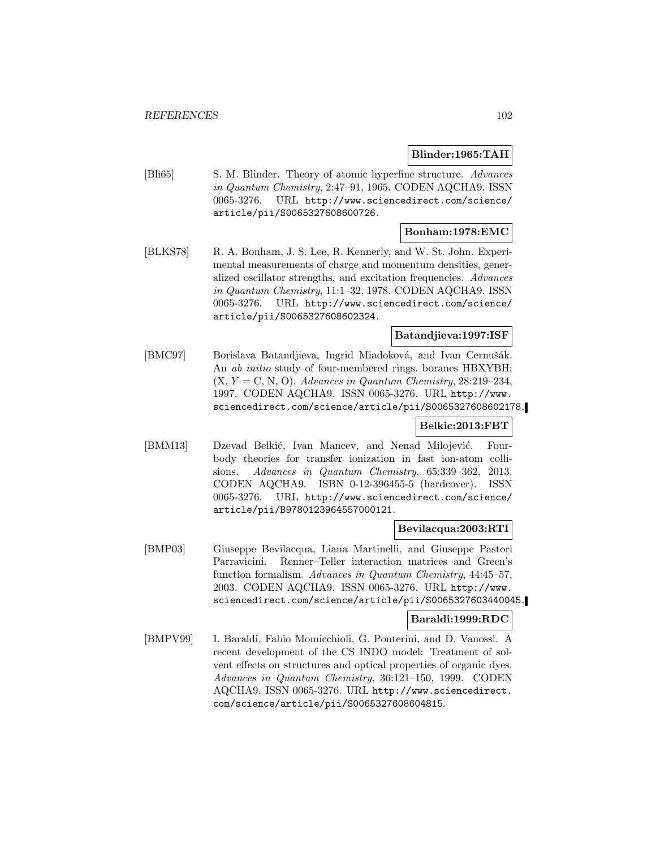### **Blinder:1965:TAH**

[Bli65] S. M. Blinder. Theory of atomic hyperfine structure. Advances in Quantum Chemistry, 2:47–91, 1965. CODEN AQCHA9. ISSN 0065-3276. URL http://www.sciencedirect.com/science/ article/pii/S0065327608600726.

### **Bonham:1978:EMC**

[BLKS78] R. A. Bonham, J. S. Lee, R. Kennerly, and W. St. John. Experimental measurements of charge and momentum densities, generalized oscillator strengths, and excitation frequencies. Advances in Quantum Chemistry, 11:1–32, 1978. CODEN AQCHA9. ISSN 0065-3276. URL http://www.sciencedirect.com/science/ article/pii/S0065327608602324.

### **Batandjieva:1997:ISF**

[BMC97] Borislava Batandjieva, Ingrid Miadoková, and Ivan Cernušák. An ab initio study of four-membered rings. boranes HBXYBH;  $(X, Y = C, N, O)$ . Advances in Quantum Chemistry, 28:219-234, 1997. CODEN AQCHA9. ISSN 0065-3276. URL http://www. sciencedirect.com/science/article/pii/S0065327608602178.

### **Belkic:2013:FBT**

[BMM13] Dzevad Belkić, Ivan Mancev, and Nenad Milojević. Fourbody theories for transfer ionization in fast ion-atom collisions. Advances in Quantum Chemistry, 65:339–362, 2013. CODEN AQCHA9. ISBN 0-12-396455-5 (hardcover). ISSN 0065-3276. URL http://www.sciencedirect.com/science/ article/pii/B9780123964557000121.

### **Bevilacqua:2003:RTI**

[BMP03] Giuseppe Bevilacqua, Liana Martinelli, and Giuseppe Pastori Parravicini. Renner–Teller interaction matrices and Green's function formalism. Advances in Quantum Chemistry, 44:45–57, 2003. CODEN AQCHA9. ISSN 0065-3276. URL http://www. sciencedirect.com/science/article/pii/S0065327603440045.

### **Baraldi:1999:RDC**

[BMPV99] I. Baraldi, Fabio Momicchioli, G. Ponterini, and D. Vanossi. A recent development of the CS INDO model: Treatment of solvent effects on structures and optical properties of organic dyes. Advances in Quantum Chemistry, 36:121–150, 1999. CODEN AQCHA9. ISSN 0065-3276. URL http://www.sciencedirect. com/science/article/pii/S0065327608604815.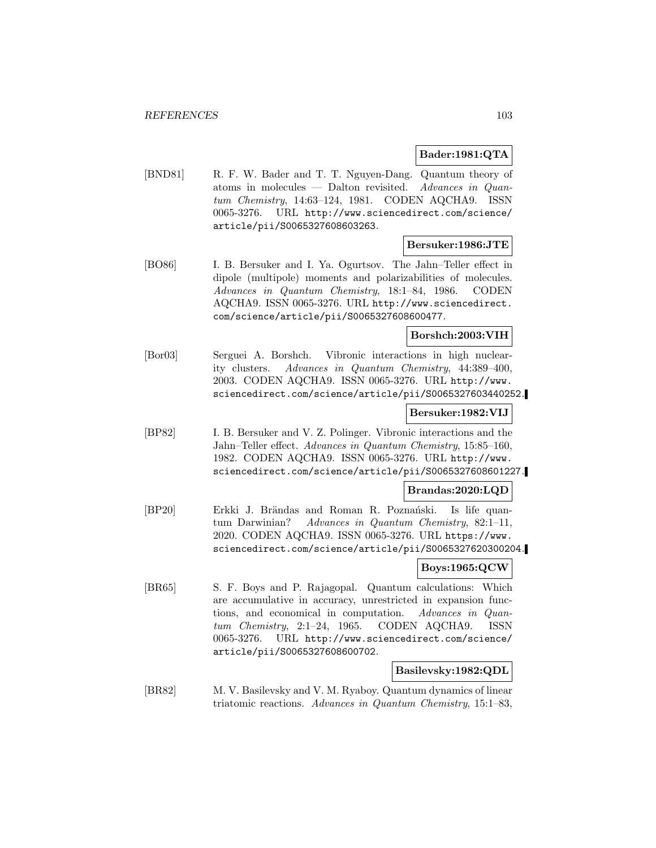### **Bader:1981:QTA**

[BND81] R. F. W. Bader and T. T. Nguyen-Dang. Quantum theory of atoms in molecules — Dalton revisited. Advances in Quantum Chemistry, 14:63–124, 1981. CODEN AQCHA9. ISSN 0065-3276. URL http://www.sciencedirect.com/science/ article/pii/S0065327608603263.

### **Bersuker:1986:JTE**

[BO86] I. B. Bersuker and I. Ya. Ogurtsov. The Jahn–Teller effect in dipole (multipole) moments and polarizabilities of molecules. Advances in Quantum Chemistry, 18:1–84, 1986. CODEN AQCHA9. ISSN 0065-3276. URL http://www.sciencedirect. com/science/article/pii/S0065327608600477.

### **Borshch:2003:VIH**

[Bor03] Serguei A. Borshch. Vibronic interactions in high nuclearity clusters. Advances in Quantum Chemistry, 44:389–400, 2003. CODEN AQCHA9. ISSN 0065-3276. URL http://www. sciencedirect.com/science/article/pii/S0065327603440252.

### **Bersuker:1982:VIJ**

[BP82] I. B. Bersuker and V. Z. Polinger. Vibronic interactions and the Jahn–Teller effect. Advances in Quantum Chemistry, 15:85–160, 1982. CODEN AQCHA9. ISSN 0065-3276. URL http://www. sciencedirect.com/science/article/pii/S0065327608601227.

#### **Brandas:2020:LQD**

[BP20] Erkki J. Brändas and Roman R. Poznański. Is life quantum Darwinian? Advances in Quantum Chemistry, 82:1–11, 2020. CODEN AQCHA9. ISSN 0065-3276. URL https://www. sciencedirect.com/science/article/pii/S0065327620300204.

### **Boys:1965:QCW**

[BR65] S. F. Boys and P. Rajagopal. Quantum calculations: Which are accumulative in accuracy, unrestricted in expansion functions, and economical in computation. Advances in Quantum Chemistry, 2:1–24, 1965. CODEN AQCHA9. ISSN 0065-3276. URL http://www.sciencedirect.com/science/ article/pii/S0065327608600702.

### **Basilevsky:1982:QDL**

[BR82] M. V. Basilevsky and V. M. Ryaboy. Quantum dynamics of linear triatomic reactions. Advances in Quantum Chemistry, 15:1–83,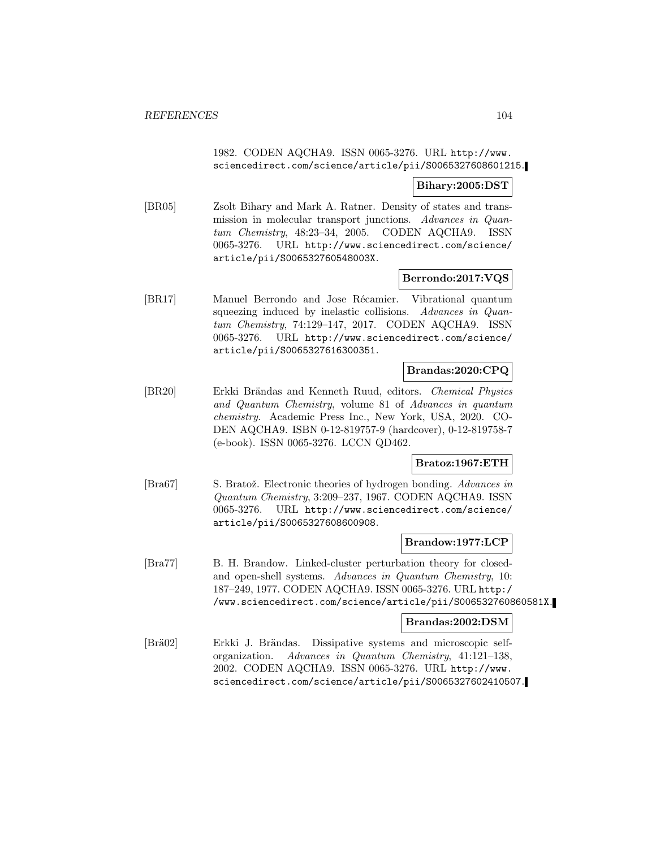### 1982. CODEN AQCHA9. ISSN 0065-3276. URL http://www. sciencedirect.com/science/article/pii/S0065327608601215.

### **Bihary:2005:DST**

[BR05] Zsolt Bihary and Mark A. Ratner. Density of states and transmission in molecular transport junctions. Advances in Quantum Chemistry, 48:23–34, 2005. CODEN AQCHA9. ISSN 0065-3276. URL http://www.sciencedirect.com/science/ article/pii/S006532760548003X.

### **Berrondo:2017:VQS**

[BR17] Manuel Berrondo and Jose Récamier. Vibrational quantum squeezing induced by inelastic collisions. Advances in Quantum Chemistry, 74:129–147, 2017. CODEN AQCHA9. ISSN 0065-3276. URL http://www.sciencedirect.com/science/ article/pii/S0065327616300351.

### **Brandas:2020:CPQ**

[BR20] Erkki Brändas and Kenneth Ruud, editors. *Chemical Physics* and Quantum Chemistry, volume 81 of Advances in quantum chemistry. Academic Press Inc., New York, USA, 2020. CO-DEN AQCHA9. ISBN 0-12-819757-9 (hardcover), 0-12-819758-7 (e-book). ISSN 0065-3276. LCCN QD462.

### **Bratoz:1967:ETH**

[Bra67] S. Bratož. Electronic theories of hydrogen bonding. Advances in Quantum Chemistry, 3:209–237, 1967. CODEN AQCHA9. ISSN 0065-3276. URL http://www.sciencedirect.com/science/ article/pii/S0065327608600908.

#### **Brandow:1977:LCP**

[Bra77] B. H. Brandow. Linked-cluster perturbation theory for closedand open-shell systems. Advances in Quantum Chemistry, 10: 187–249, 1977. CODEN AQCHA9. ISSN 0065-3276. URL http:/ /www.sciencedirect.com/science/article/pii/S006532760860581X.

#### **Brandas:2002:DSM**

[Brä02] Erkki J. Brändas. Dissipative systems and microscopic selforganization. Advances in Quantum Chemistry, 41:121–138, 2002. CODEN AQCHA9. ISSN 0065-3276. URL http://www. sciencedirect.com/science/article/pii/S0065327602410507.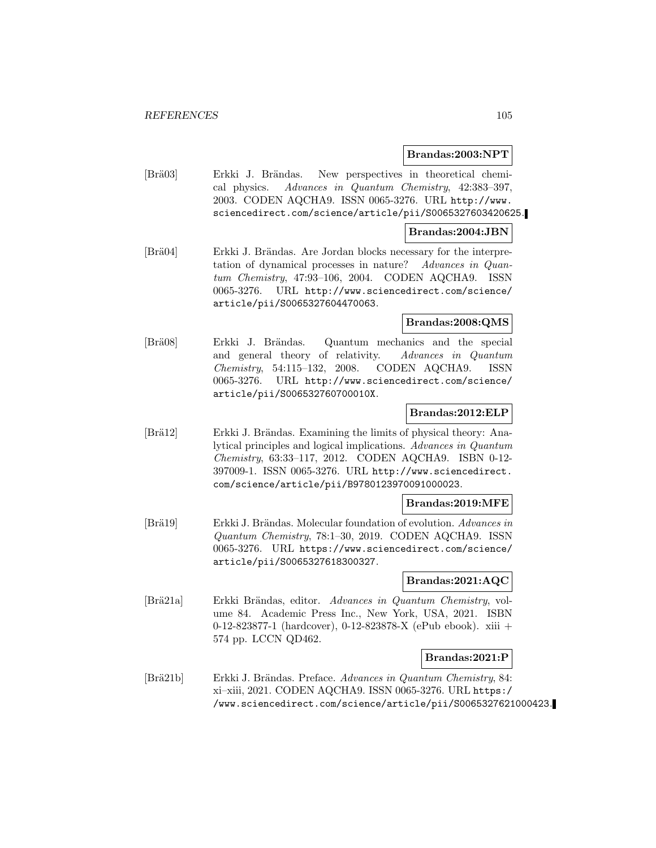### **Brandas:2003:NPT**

[Brä03] Erkki J. Brändas. New perspectives in theoretical chemical physics. Advances in Quantum Chemistry, 42:383–397, 2003. CODEN AQCHA9. ISSN 0065-3276. URL http://www. sciencedirect.com/science/article/pii/S0065327603420625.

### **Brandas:2004:JBN**

[Brä04] Erkki J. Brändas. Are Jordan blocks necessary for the interpretation of dynamical processes in nature? Advances in Quantum Chemistry, 47:93–106, 2004. CODEN AQCHA9. ISSN 0065-3276. URL http://www.sciencedirect.com/science/ article/pii/S0065327604470063.

### **Brandas:2008:QMS**

[Brä08] Erkki J. Brändas. Quantum mechanics and the special and general theory of relativity. Advances in Quantum Chemistry, 54:115–132, 2008. CODEN AQCHA9. ISSN 0065-3276. URL http://www.sciencedirect.com/science/ article/pii/S006532760700010X.

### **Brandas:2012:ELP**

[Brä12] Erkki J. Brändas. Examining the limits of physical theory: Analytical principles and logical implications. Advances in Quantum Chemistry, 63:33–117, 2012. CODEN AQCHA9. ISBN 0-12- 397009-1. ISSN 0065-3276. URL http://www.sciencedirect. com/science/article/pii/B9780123970091000023.

### **Brandas:2019:MFE**

[Brä19] Erkki J. Brändas. Molecular foundation of evolution. Advances in Quantum Chemistry, 78:1–30, 2019. CODEN AQCHA9. ISSN 0065-3276. URL https://www.sciencedirect.com/science/ article/pii/S0065327618300327.

### **Brandas:2021:AQC**

[Brä21a] Erkki Brändas, editor. Advances in Quantum Chemistry, volume 84. Academic Press Inc., New York, USA, 2021. ISBN 0-12-823877-1 (hardcover), 0-12-823878-X (ePub ebook). xiii + 574 pp. LCCN QD462.

#### **Brandas:2021:P**

[Brä21b] Erkki J. Brändas. Preface. Advances in Quantum Chemistry, 84: xi–xiii, 2021. CODEN AQCHA9. ISSN 0065-3276. URL https:/ /www.sciencedirect.com/science/article/pii/S0065327621000423.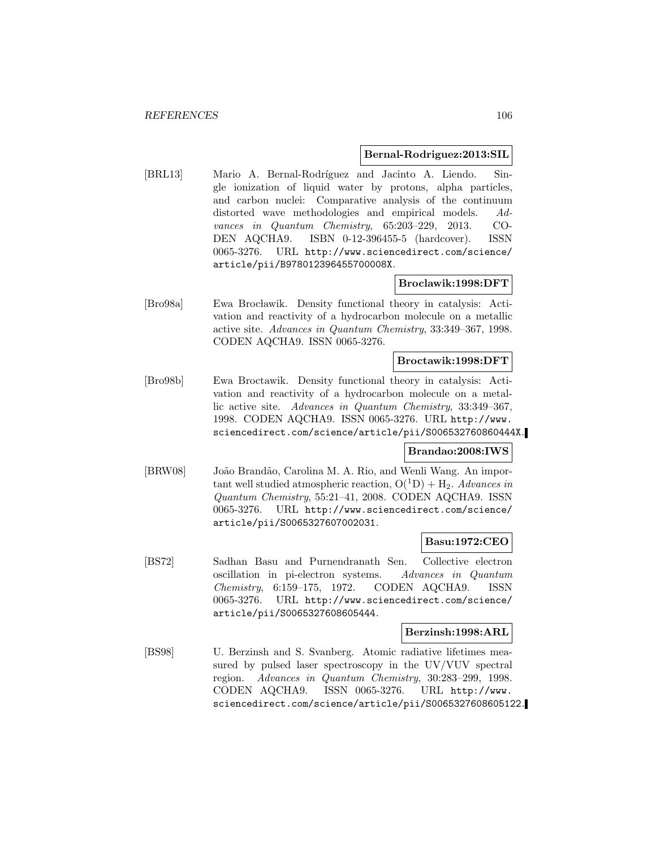#### **Bernal-Rodriguez:2013:SIL**

[BRL13] Mario A. Bernal-Rodríguez and Jacinto A. Liendo. Single ionization of liquid water by protons, alpha particles, and carbon nuclei: Comparative analysis of the continuum distorted wave methodologies and empirical models. Advances in Quantum Chemistry, 65:203–229, 2013. CO-DEN AQCHA9. ISBN 0-12-396455-5 (hardcover). ISSN 0065-3276. URL http://www.sciencedirect.com/science/ article/pii/B978012396455700008X.

### **Broclawik:1998:DFT**

[Bro98a] Ewa Brocławik. Density functional theory in catalysis: Activation and reactivity of a hydrocarbon molecule on a metallic active site. Advances in Quantum Chemistry, 33:349–367, 1998. CODEN AQCHA9. ISSN 0065-3276.

#### **Broctawik:1998:DFT**

[Bro98b] Ewa Broctawik. Density functional theory in catalysis: Activation and reactivity of a hydrocarbon molecule on a metallic active site. Advances in Quantum Chemistry, 33:349–367, 1998. CODEN AQCHA9. ISSN 0065-3276. URL http://www. sciencedirect.com/science/article/pii/S006532760860444X.

### **Brandao:2008:IWS**

[BRW08] João Brandão, Carolina M. A. Rio, and Wenli Wang. An important well studied atmospheric reaction,  $O(^{1}D) + H_2$ . Advances in Quantum Chemistry, 55:21–41, 2008. CODEN AQCHA9. ISSN 0065-3276. URL http://www.sciencedirect.com/science/ article/pii/S0065327607002031.

### **Basu:1972:CEO**

[BS72] Sadhan Basu and Purnendranath Sen. Collective electron oscillation in pi-electron systems. Advances in Quantum Chemistry, 6:159–175, 1972. CODEN AQCHA9. ISSN 0065-3276. URL http://www.sciencedirect.com/science/ article/pii/S0065327608605444.

#### **Berzinsh:1998:ARL**

[BS98] U. Berzinsh and S. Svanberg. Atomic radiative lifetimes measured by pulsed laser spectroscopy in the UV/VUV spectral region. Advances in Quantum Chemistry, 30:283–299, 1998. CODEN AQCHA9. ISSN 0065-3276. URL http://www. sciencedirect.com/science/article/pii/S0065327608605122.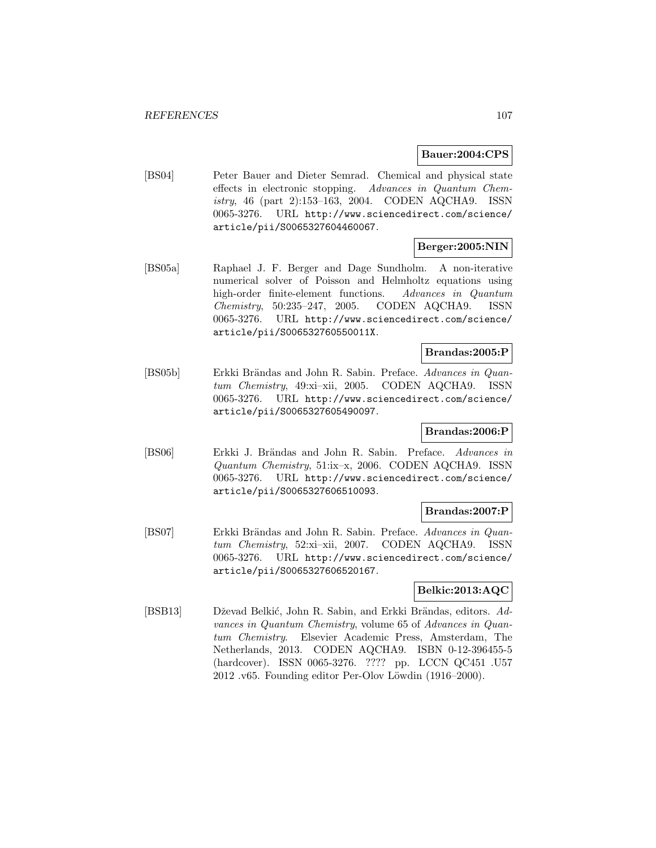### **Bauer:2004:CPS**

[BS04] Peter Bauer and Dieter Semrad. Chemical and physical state effects in electronic stopping. Advances in Quantum Chemistry, 46 (part 2):153–163, 2004. CODEN AQCHA9. ISSN 0065-3276. URL http://www.sciencedirect.com/science/ article/pii/S0065327604460067.

### **Berger:2005:NIN**

[BS05a] Raphael J. F. Berger and Dage Sundholm. A non-iterative numerical solver of Poisson and Helmholtz equations using high-order finite-element functions. Advances in Quantum Chemistry, 50:235–247, 2005. CODEN AQCHA9. ISSN 0065-3276. URL http://www.sciencedirect.com/science/ article/pii/S006532760550011X.

### **Brandas:2005:P**

[BS05b] Erkki Brändas and John R. Sabin. Preface. Advances in Quantum Chemistry, 49:xi–xii, 2005. CODEN AQCHA9. ISSN 0065-3276. URL http://www.sciencedirect.com/science/ article/pii/S0065327605490097.

### **Brandas:2006:P**

[BS06] Erkki J. Brändas and John R. Sabin. Preface. Advances in Quantum Chemistry, 51:ix–x, 2006. CODEN AQCHA9. ISSN 0065-3276. URL http://www.sciencedirect.com/science/ article/pii/S0065327606510093.

### **Brandas:2007:P**

[BS07] Erkki Brändas and John R. Sabin. Preface. Advances in Quantum Chemistry, 52:xi–xii, 2007. CODEN AQCHA9. ISSN 0065-3276. URL http://www.sciencedirect.com/science/ article/pii/S0065327606520167.

### **Belkic:2013:AQC**

[BSB13] Dževad Belkić, John R. Sabin, and Erkki Brändas, editors. Advances in Quantum Chemistry, volume 65 of Advances in Quantum Chemistry. Elsevier Academic Press, Amsterdam, The Netherlands, 2013. CODEN AQCHA9. ISBN 0-12-396455-5 (hardcover). ISSN 0065-3276. ???? pp. LCCN QC451 .U57 2012 .v65. Founding editor Per-Olov Löwdin (1916–2000).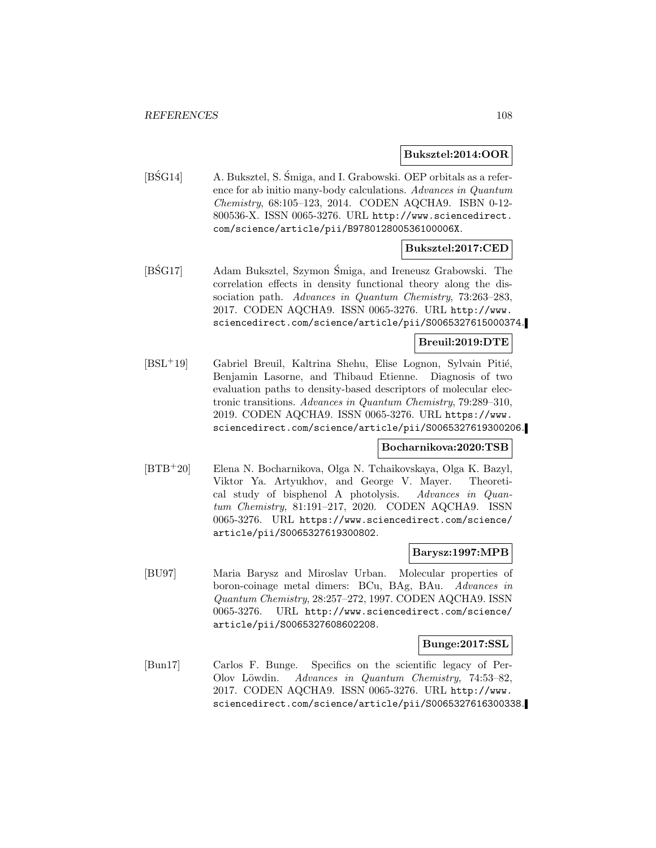### **Buksztel:2014:OOR**

[BSG14] A. Buksztel, S. Śmiga, and I. Grabowski. OEP orbitals as a reference for ab initio many-body calculations. Advances in Quantum Chemistry, 68:105–123, 2014. CODEN AQCHA9. ISBN 0-12- 800536-X. ISSN 0065-3276. URL http://www.sciencedirect. com/science/article/pii/B978012800536100006X.

### **Buksztel:2017:CED**

[BSG17] Adam Buksztel, Szymon Śmiga, and Ireneusz Grabowski. The correlation effects in density functional theory along the dissociation path. Advances in Quantum Chemistry, 73:263–283, 2017. CODEN AQCHA9. ISSN 0065-3276. URL http://www. sciencedirect.com/science/article/pii/S0065327615000374.

### **Breuil:2019:DTE**

[BSL<sup>+</sup>19] Gabriel Breuil, Kaltrina Shehu, Elise Lognon, Sylvain Pitié, Benjamin Lasorne, and Thibaud Etienne. Diagnosis of two evaluation paths to density-based descriptors of molecular electronic transitions. Advances in Quantum Chemistry, 79:289–310, 2019. CODEN AQCHA9. ISSN 0065-3276. URL https://www. sciencedirect.com/science/article/pii/S0065327619300206.

#### **Bocharnikova:2020:TSB**

[BTB<sup>+</sup>20] Elena N. Bocharnikova, Olga N. Tchaikovskaya, Olga K. Bazyl, Viktor Ya. Artyukhov, and George V. Mayer. Theoretical study of bisphenol A photolysis. Advances in Quantum Chemistry, 81:191–217, 2020. CODEN AQCHA9. ISSN 0065-3276. URL https://www.sciencedirect.com/science/ article/pii/S0065327619300802.

### **Barysz:1997:MPB**

[BU97] Maria Barysz and Miroslav Urban. Molecular properties of boron-coinage metal dimers: BCu, BAg, BAu. Advances in Quantum Chemistry, 28:257–272, 1997. CODEN AQCHA9. ISSN 0065-3276. URL http://www.sciencedirect.com/science/ article/pii/S0065327608602208.

#### **Bunge:2017:SSL**

[Bun17] Carlos F. Bunge. Specifics on the scientific legacy of Per-Olov Löwdin. Advances in Quantum Chemistry, 74:53–82, 2017. CODEN AQCHA9. ISSN 0065-3276. URL http://www. sciencedirect.com/science/article/pii/S0065327616300338.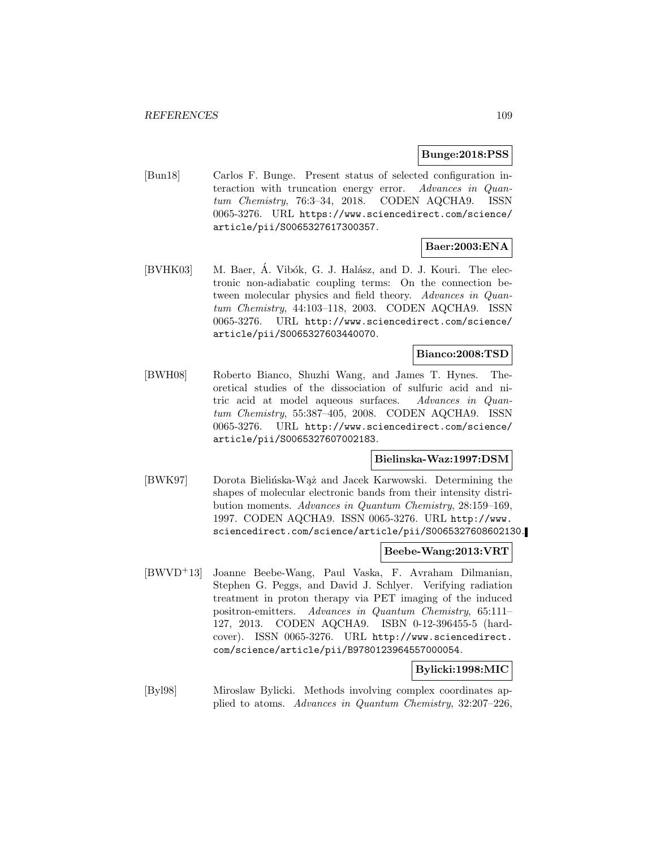## **Bunge:2018:PSS**

[Bun18] Carlos F. Bunge. Present status of selected configuration interaction with truncation energy error. Advances in Quantum Chemistry, 76:3–34, 2018. CODEN AQCHA9. ISSN 0065-3276. URL https://www.sciencedirect.com/science/ article/pii/S0065327617300357.

# **Baer:2003:ENA**

[BVHK03] M. Baer, A. Vibók, G. J. Halász, and D. J. Kouri. The electronic non-adiabatic coupling terms: On the connection between molecular physics and field theory. Advances in Quantum Chemistry, 44:103–118, 2003. CODEN AQCHA9. ISSN 0065-3276. URL http://www.sciencedirect.com/science/ article/pii/S0065327603440070.

# **Bianco:2008:TSD**

[BWH08] Roberto Bianco, Shuzhi Wang, and James T. Hynes. Theoretical studies of the dissociation of sulfuric acid and nitric acid at model aqueous surfaces. Advances in Quantum Chemistry, 55:387–405, 2008. CODEN AQCHA9. ISSN 0065-3276. URL http://www.sciencedirect.com/science/ article/pii/S0065327607002183.

## **Bielinska-Waz:1997:DSM**

[BWK97] Dorota Bielińska-Wąż and Jacek Karwowski. Determining the shapes of molecular electronic bands from their intensity distribution moments. Advances in Quantum Chemistry, 28:159–169, 1997. CODEN AQCHA9. ISSN 0065-3276. URL http://www. sciencedirect.com/science/article/pii/S0065327608602130.

### **Beebe-Wang:2013:VRT**

[BWVD<sup>+</sup>13] Joanne Beebe-Wang, Paul Vaska, F. Avraham Dilmanian, Stephen G. Peggs, and David J. Schlyer. Verifying radiation treatment in proton therapy via PET imaging of the induced positron-emitters. Advances in Quantum Chemistry, 65:111– 127, 2013. CODEN AQCHA9. ISBN 0-12-396455-5 (hardcover). ISSN 0065-3276. URL http://www.sciencedirect. com/science/article/pii/B9780123964557000054.

## **Bylicki:1998:MIC**

[Byl98] Miroslaw Bylicki. Methods involving complex coordinates applied to atoms. Advances in Quantum Chemistry, 32:207–226,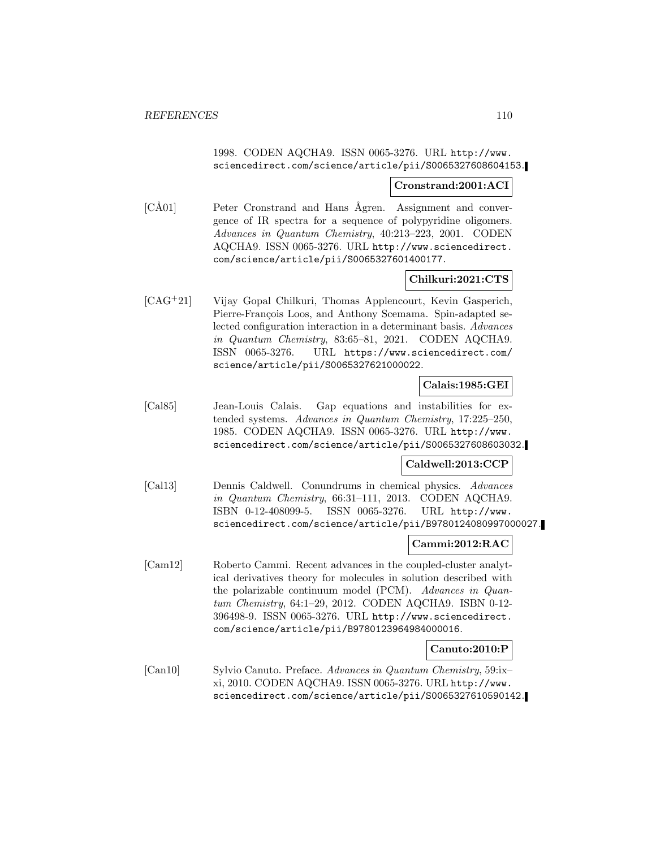1998. CODEN AQCHA9. ISSN 0065-3276. URL http://www. sciencedirect.com/science/article/pii/S0065327608604153.

### **Cronstrand:2001:ACI**

[CÅ01] Peter Cronstrand and Hans Ågren. Assignment and convergence of IR spectra for a sequence of polypyridine oligomers. Advances in Quantum Chemistry, 40:213–223, 2001. CODEN AQCHA9. ISSN 0065-3276. URL http://www.sciencedirect. com/science/article/pii/S0065327601400177.

# **Chilkuri:2021:CTS**

[CAG<sup>+</sup>21] Vijay Gopal Chilkuri, Thomas Applencourt, Kevin Gasperich, Pierre-François Loos, and Anthony Scemama. Spin-adapted selected configuration interaction in a determinant basis. Advances in Quantum Chemistry, 83:65–81, 2021. CODEN AQCHA9. ISSN 0065-3276. URL https://www.sciencedirect.com/ science/article/pii/S0065327621000022.

## **Calais:1985:GEI**

[Cal85] Jean-Louis Calais. Gap equations and instabilities for extended systems. Advances in Quantum Chemistry, 17:225–250, 1985. CODEN AQCHA9. ISSN 0065-3276. URL http://www. sciencedirect.com/science/article/pii/S0065327608603032.

## **Caldwell:2013:CCP**

[Cal13] Dennis Caldwell. Conundrums in chemical physics. Advances in Quantum Chemistry, 66:31–111, 2013. CODEN AQCHA9. ISBN 0-12-408099-5. ISSN 0065-3276. URL http://www. sciencedirect.com/science/article/pii/B9780124080997000027.

## **Cammi:2012:RAC**

[Cam12] Roberto Cammi. Recent advances in the coupled-cluster analytical derivatives theory for molecules in solution described with the polarizable continuum model (PCM). Advances in Quantum Chemistry, 64:1–29, 2012. CODEN AQCHA9. ISBN 0-12- 396498-9. ISSN 0065-3276. URL http://www.sciencedirect. com/science/article/pii/B9780123964984000016.

## **Canuto:2010:P**

[Can10] Sylvio Canuto. Preface. Advances in Quantum Chemistry, 59:ix– xi, 2010. CODEN AQCHA9. ISSN 0065-3276. URL http://www. sciencedirect.com/science/article/pii/S0065327610590142.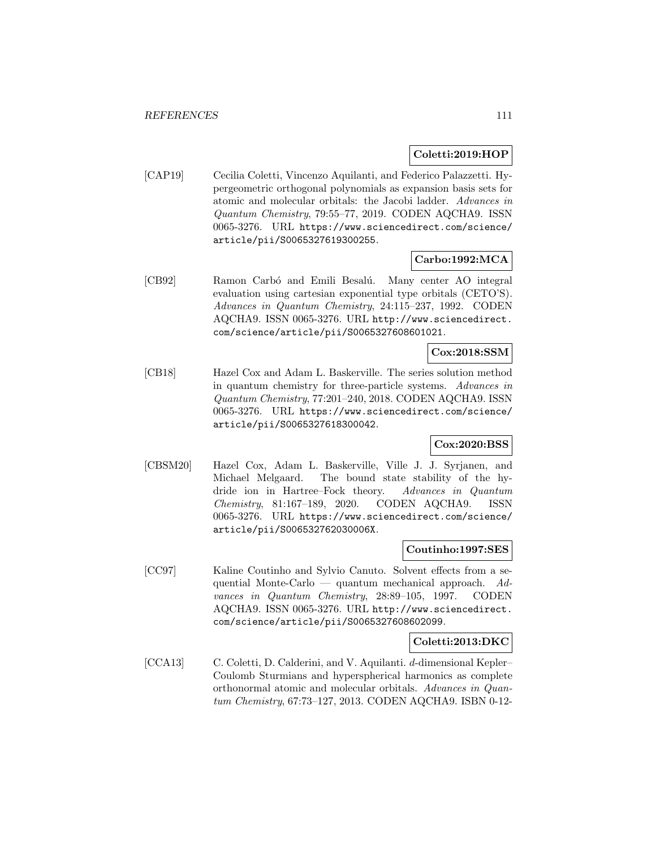## **Coletti:2019:HOP**

[CAP19] Cecilia Coletti, Vincenzo Aquilanti, and Federico Palazzetti. Hypergeometric orthogonal polynomials as expansion basis sets for atomic and molecular orbitals: the Jacobi ladder. Advances in Quantum Chemistry, 79:55–77, 2019. CODEN AQCHA9. ISSN 0065-3276. URL https://www.sciencedirect.com/science/ article/pii/S0065327619300255.

# **Carbo:1992:MCA**

[CB92] Ramon Carbó and Emili Besalú. Many center AO integral evaluation using cartesian exponential type orbitals (CETO'S). Advances in Quantum Chemistry, 24:115–237, 1992. CODEN AQCHA9. ISSN 0065-3276. URL http://www.sciencedirect. com/science/article/pii/S0065327608601021.

## **Cox:2018:SSM**

[CB18] Hazel Cox and Adam L. Baskerville. The series solution method in quantum chemistry for three-particle systems. Advances in Quantum Chemistry, 77:201–240, 2018. CODEN AQCHA9. ISSN 0065-3276. URL https://www.sciencedirect.com/science/ article/pii/S0065327618300042.

## **Cox:2020:BSS**

[CBSM20] Hazel Cox, Adam L. Baskerville, Ville J. J. Syrjanen, and Michael Melgaard. The bound state stability of the hydride ion in Hartree–Fock theory. Advances in Quantum Chemistry, 81:167–189, 2020. CODEN AQCHA9. ISSN 0065-3276. URL https://www.sciencedirect.com/science/ article/pii/S006532762030006X.

### **Coutinho:1997:SES**

[CC97] Kaline Coutinho and Sylvio Canuto. Solvent effects from a sequential Monte-Carlo — quantum mechanical approach. Advances in Quantum Chemistry, 28:89–105, 1997. CODEN AQCHA9. ISSN 0065-3276. URL http://www.sciencedirect. com/science/article/pii/S0065327608602099.

### **Coletti:2013:DKC**

[CCA13] C. Coletti, D. Calderini, and V. Aquilanti. d-dimensional Kepler– Coulomb Sturmians and hyperspherical harmonics as complete orthonormal atomic and molecular orbitals. Advances in Quantum Chemistry, 67:73–127, 2013. CODEN AQCHA9. ISBN 0-12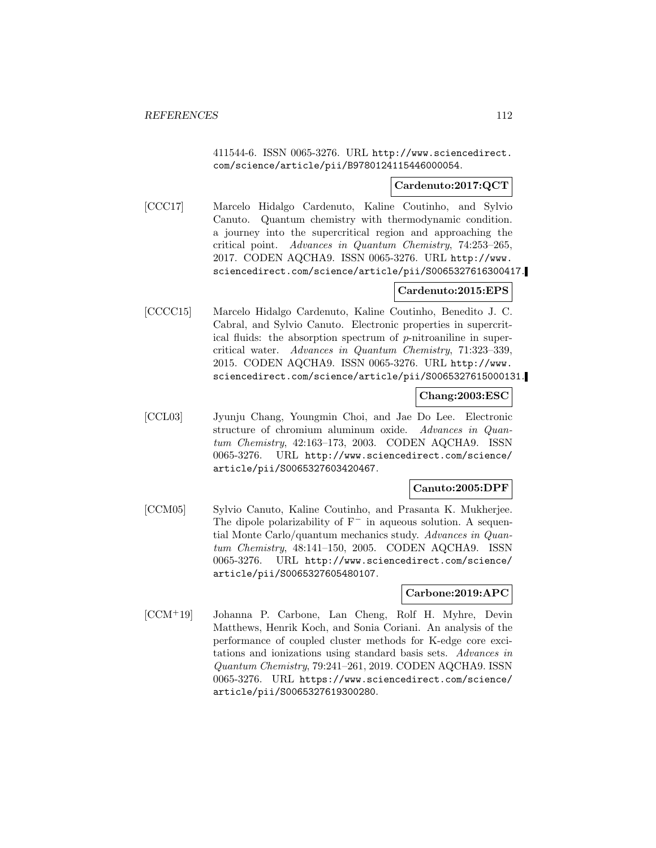411544-6. ISSN 0065-3276. URL http://www.sciencedirect. com/science/article/pii/B9780124115446000054.

### **Cardenuto:2017:QCT**

[CCC17] Marcelo Hidalgo Cardenuto, Kaline Coutinho, and Sylvio Canuto. Quantum chemistry with thermodynamic condition. a journey into the supercritical region and approaching the critical point. Advances in Quantum Chemistry, 74:253–265, 2017. CODEN AQCHA9. ISSN 0065-3276. URL http://www. sciencedirect.com/science/article/pii/S0065327616300417.

## **Cardenuto:2015:EPS**

[CCCC15] Marcelo Hidalgo Cardenuto, Kaline Coutinho, Benedito J. C. Cabral, and Sylvio Canuto. Electronic properties in supercritical fluids: the absorption spectrum of p-nitroaniline in supercritical water. Advances in Quantum Chemistry, 71:323–339, 2015. CODEN AQCHA9. ISSN 0065-3276. URL http://www. sciencedirect.com/science/article/pii/S0065327615000131.

### **Chang:2003:ESC**

[CCL03] Jyunju Chang, Youngmin Choi, and Jae Do Lee. Electronic structure of chromium aluminum oxide. Advances in Quantum Chemistry, 42:163–173, 2003. CODEN AQCHA9. ISSN 0065-3276. URL http://www.sciencedirect.com/science/ article/pii/S0065327603420467.

## **Canuto:2005:DPF**

[CCM05] Sylvio Canuto, Kaline Coutinho, and Prasanta K. Mukherjee. The dipole polarizability of  $F^-$  in aqueous solution. A sequential Monte Carlo/quantum mechanics study. Advances in Quantum Chemistry, 48:141–150, 2005. CODEN AQCHA9. ISSN 0065-3276. URL http://www.sciencedirect.com/science/ article/pii/S0065327605480107.

## **Carbone:2019:APC**

[CCM<sup>+</sup>19] Johanna P. Carbone, Lan Cheng, Rolf H. Myhre, Devin Matthews, Henrik Koch, and Sonia Coriani. An analysis of the performance of coupled cluster methods for K-edge core excitations and ionizations using standard basis sets. Advances in Quantum Chemistry, 79:241–261, 2019. CODEN AQCHA9. ISSN 0065-3276. URL https://www.sciencedirect.com/science/ article/pii/S0065327619300280.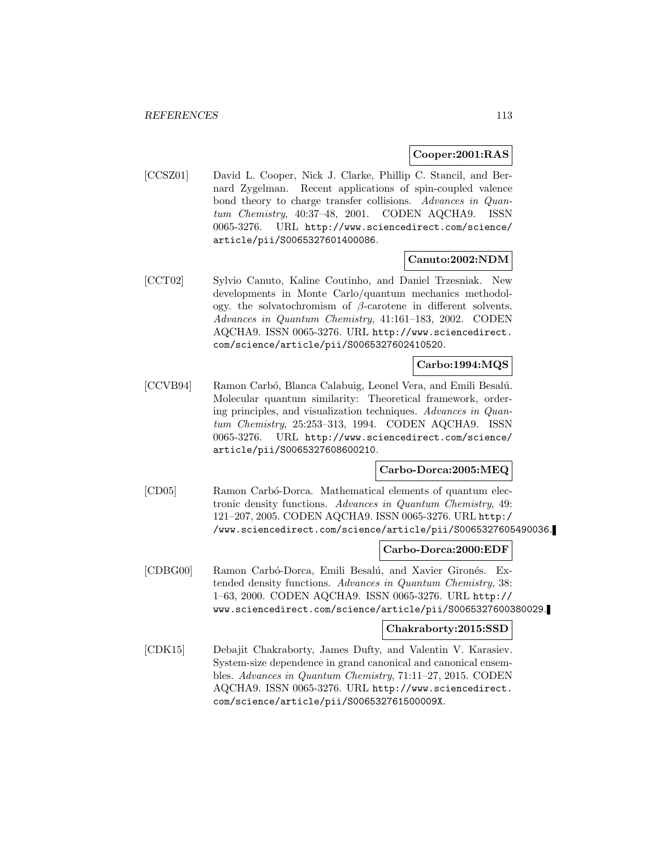### **Cooper:2001:RAS**

[CCSZ01] David L. Cooper, Nick J. Clarke, Phillip C. Stancil, and Bernard Zygelman. Recent applications of spin-coupled valence bond theory to charge transfer collisions. Advances in Quantum Chemistry, 40:37–48, 2001. CODEN AQCHA9. ISSN 0065-3276. URL http://www.sciencedirect.com/science/ article/pii/S0065327601400086.

# **Canuto:2002:NDM**

[CCT02] Sylvio Canuto, Kaline Coutinho, and Daniel Trzesniak. New developments in Monte Carlo/quantum mechanics methodology. the solvatochromism of β-carotene in different solvents. Advances in Quantum Chemistry, 41:161–183, 2002. CODEN AQCHA9. ISSN 0065-3276. URL http://www.sciencedirect. com/science/article/pii/S0065327602410520.

# **Carbo:1994:MQS**

[CCVB94] Ramon Carbó, Blanca Calabuig, Leonel Vera, and Emili Besalú. Molecular quantum similarity: Theoretical framework, ordering principles, and visualization techniques. Advances in Quantum Chemistry, 25:253–313, 1994. CODEN AQCHA9. ISSN 0065-3276. URL http://www.sciencedirect.com/science/ article/pii/S0065327608600210.

## **Carbo-Dorca:2005:MEQ**

[CD05] Ramon Carbó-Dorca. Mathematical elements of quantum electronic density functions. Advances in Quantum Chemistry, 49: 121–207, 2005. CODEN AQCHA9. ISSN 0065-3276. URL http:/ /www.sciencedirect.com/science/article/pii/S0065327605490036.

### **Carbo-Dorca:2000:EDF**

[CDBG00] Ramon Carbó-Dorca, Emili Besalú, and Xavier Gironés. Extended density functions. Advances in Quantum Chemistry, 38: 1–63, 2000. CODEN AQCHA9. ISSN 0065-3276. URL http:// www.sciencedirect.com/science/article/pii/S0065327600380029.

## **Chakraborty:2015:SSD**

[CDK15] Debajit Chakraborty, James Dufty, and Valentin V. Karasiev. System-size dependence in grand canonical and canonical ensembles. Advances in Quantum Chemistry, 71:11–27, 2015. CODEN AQCHA9. ISSN 0065-3276. URL http://www.sciencedirect. com/science/article/pii/S006532761500009X.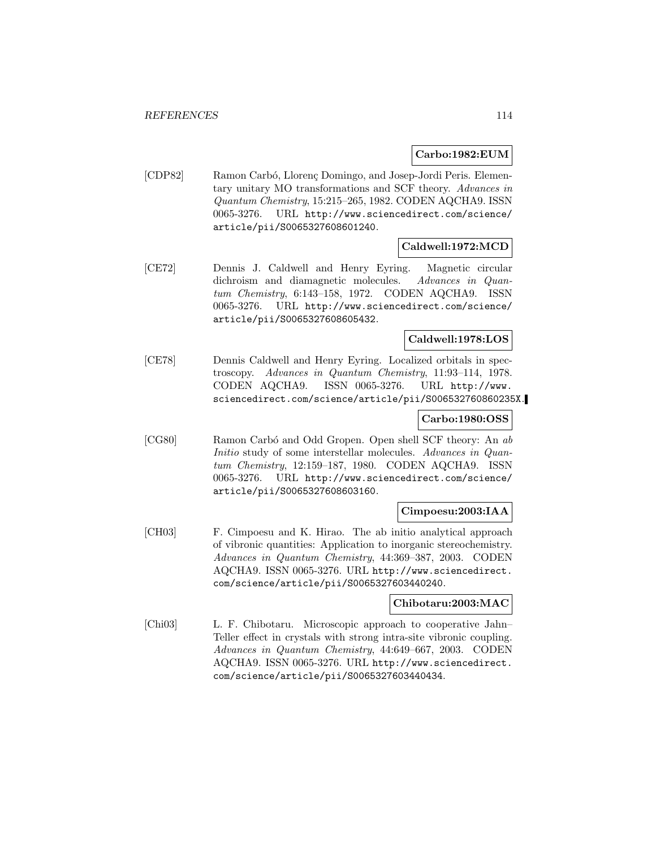## **Carbo:1982:EUM**

[CDP82] Ramon Carbó, Llorenç Domingo, and Josep-Jordi Peris. Elementary unitary MO transformations and SCF theory. Advances in Quantum Chemistry, 15:215–265, 1982. CODEN AQCHA9. ISSN 0065-3276. URL http://www.sciencedirect.com/science/ article/pii/S0065327608601240.

# **Caldwell:1972:MCD**

[CE72] Dennis J. Caldwell and Henry Eyring. Magnetic circular dichroism and diamagnetic molecules. Advances in Quantum Chemistry, 6:143–158, 1972. CODEN AQCHA9. ISSN 0065-3276. URL http://www.sciencedirect.com/science/ article/pii/S0065327608605432.

# **Caldwell:1978:LOS**

[CE78] Dennis Caldwell and Henry Eyring. Localized orbitals in spectroscopy. Advances in Quantum Chemistry, 11:93–114, 1978. CODEN AQCHA9. ISSN 0065-3276. URL http://www. sciencedirect.com/science/article/pii/S006532760860235X.

# **Carbo:1980:OSS**

[CG80] Ramon Carbó and Odd Gropen. Open shell SCF theory: An ab Initio study of some interstellar molecules. Advances in Quantum Chemistry, 12:159–187, 1980. CODEN AQCHA9. ISSN 0065-3276. URL http://www.sciencedirect.com/science/ article/pii/S0065327608603160.

## **Cimpoesu:2003:IAA**

[CH03] F. Cimpoesu and K. Hirao. The ab initio analytical approach of vibronic quantities: Application to inorganic stereochemistry. Advances in Quantum Chemistry, 44:369–387, 2003. CODEN AQCHA9. ISSN 0065-3276. URL http://www.sciencedirect. com/science/article/pii/S0065327603440240.

## **Chibotaru:2003:MAC**

[Chi03] L. F. Chibotaru. Microscopic approach to cooperative Jahn– Teller effect in crystals with strong intra-site vibronic coupling. Advances in Quantum Chemistry, 44:649–667, 2003. CODEN AQCHA9. ISSN 0065-3276. URL http://www.sciencedirect. com/science/article/pii/S0065327603440434.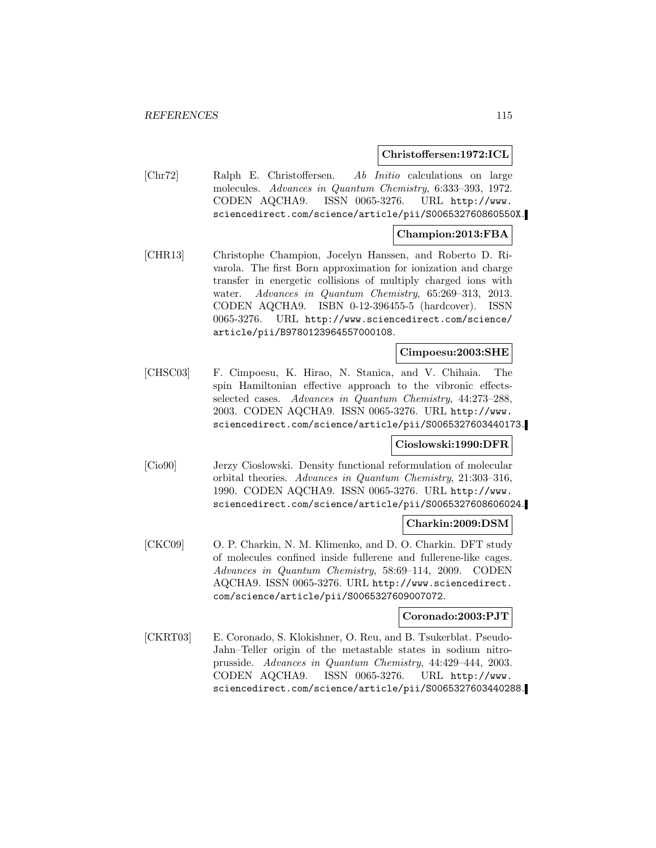### **Christoffersen:1972:ICL**

[Chr72] Ralph E. Christoffersen. Ab Initio calculations on large molecules. Advances in Quantum Chemistry, 6:333–393, 1972. CODEN AQCHA9. ISSN 0065-3276. URL http://www. sciencedirect.com/science/article/pii/S006532760860550X.

### **Champion:2013:FBA**

[CHR13] Christophe Champion, Jocelyn Hanssen, and Roberto D. Rivarola. The first Born approximation for ionization and charge transfer in energetic collisions of multiply charged ions with water. Advances in Quantum Chemistry, 65:269–313, 2013. CODEN AQCHA9. ISBN 0-12-396455-5 (hardcover). ISSN 0065-3276. URL http://www.sciencedirect.com/science/ article/pii/B9780123964557000108.

### **Cimpoesu:2003:SHE**

[CHSC03] F. Cimpoesu, K. Hirao, N. Stanica, and V. Chihaia. The spin Hamiltonian effective approach to the vibronic effectsselected cases. Advances in Quantum Chemistry, 44:273–288, 2003. CODEN AQCHA9. ISSN 0065-3276. URL http://www. sciencedirect.com/science/article/pii/S0065327603440173.

### **Cioslowski:1990:DFR**

[Cio90] Jerzy Cioslowski. Density functional reformulation of molecular orbital theories. Advances in Quantum Chemistry, 21:303–316, 1990. CODEN AQCHA9. ISSN 0065-3276. URL http://www. sciencedirect.com/science/article/pii/S0065327608606024.

### **Charkin:2009:DSM**

[CKC09] O. P. Charkin, N. M. Klimenko, and D. O. Charkin. DFT study of molecules confined inside fullerene and fullerene-like cages. Advances in Quantum Chemistry, 58:69–114, 2009. CODEN AQCHA9. ISSN 0065-3276. URL http://www.sciencedirect. com/science/article/pii/S0065327609007072.

# **Coronado:2003:PJT**

[CKRT03] E. Coronado, S. Klokishner, O. Reu, and B. Tsukerblat. Pseudo-Jahn–Teller origin of the metastable states in sodium nitroprusside. Advances in Quantum Chemistry, 44:429–444, 2003. CODEN AQCHA9. ISSN 0065-3276. URL http://www. sciencedirect.com/science/article/pii/S0065327603440288.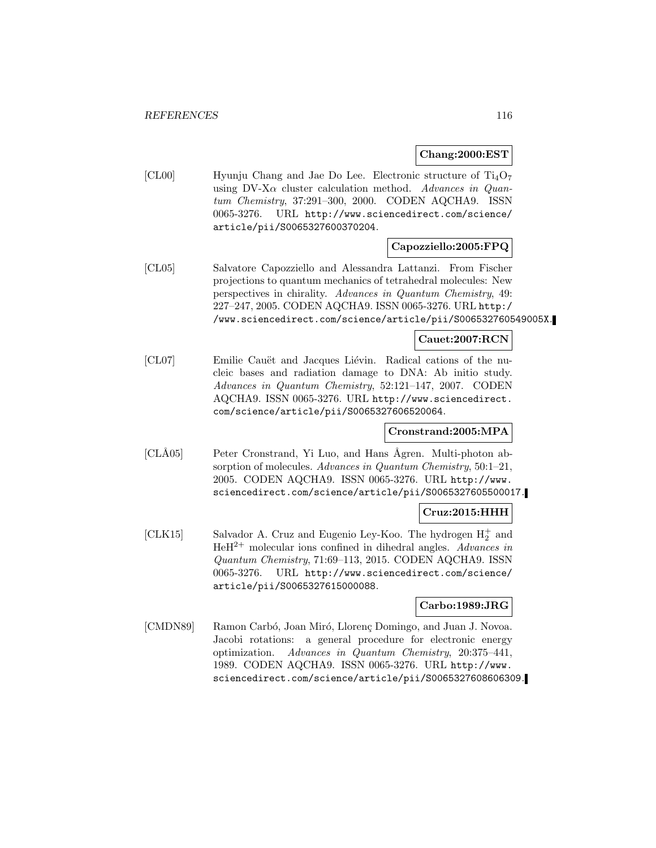## **Chang:2000:EST**

[CL00] Hyunju Chang and Jae Do Lee. Electronic structure of  $Ti_4O_7$ using DV-X $\alpha$  cluster calculation method. Advances in Quantum Chemistry, 37:291–300, 2000. CODEN AQCHA9. ISSN 0065-3276. URL http://www.sciencedirect.com/science/ article/pii/S0065327600370204.

# **Capozziello:2005:FPQ**

[CL05] Salvatore Capozziello and Alessandra Lattanzi. From Fischer projections to quantum mechanics of tetrahedral molecules: New perspectives in chirality. Advances in Quantum Chemistry, 49: 227–247, 2005. CODEN AQCHA9. ISSN 0065-3276. URL http:/ /www.sciencedirect.com/science/article/pii/S006532760549005X.

## **Cauet:2007:RCN**

[CL07] Emilie Cauët and Jacques Liévin. Radical cations of the nucleic bases and radiation damage to DNA: Ab initio study. Advances in Quantum Chemistry, 52:121–147, 2007. CODEN AQCHA9. ISSN 0065-3276. URL http://www.sciencedirect. com/science/article/pii/S0065327606520064.

## **Cronstrand:2005:MPA**

[CLÅ05] Peter Cronstrand, Yi Luo, and Hans Ågren. Multi-photon absorption of molecules. Advances in Quantum Chemistry, 50:1-21, 2005. CODEN AQCHA9. ISSN 0065-3276. URL http://www. sciencedirect.com/science/article/pii/S0065327605500017.

# **Cruz:2015:HHH**

[CLK15] Salvador A. Cruz and Eugenio Ley-Koo. The hydrogen  $H_2^+$  and  $HeH^{2+}$  molecular ions confined in dihedral angles. Advances in Quantum Chemistry, 71:69–113, 2015. CODEN AQCHA9. ISSN 0065-3276. URL http://www.sciencedirect.com/science/ article/pii/S0065327615000088.

## **Carbo:1989:JRG**

[CMDN89] Ramon Carbó, Joan Miró, Llorenç Domingo, and Juan J. Novoa. Jacobi rotations: a general procedure for electronic energy optimization. Advances in Quantum Chemistry, 20:375–441, 1989. CODEN AQCHA9. ISSN 0065-3276. URL http://www. sciencedirect.com/science/article/pii/S0065327608606309.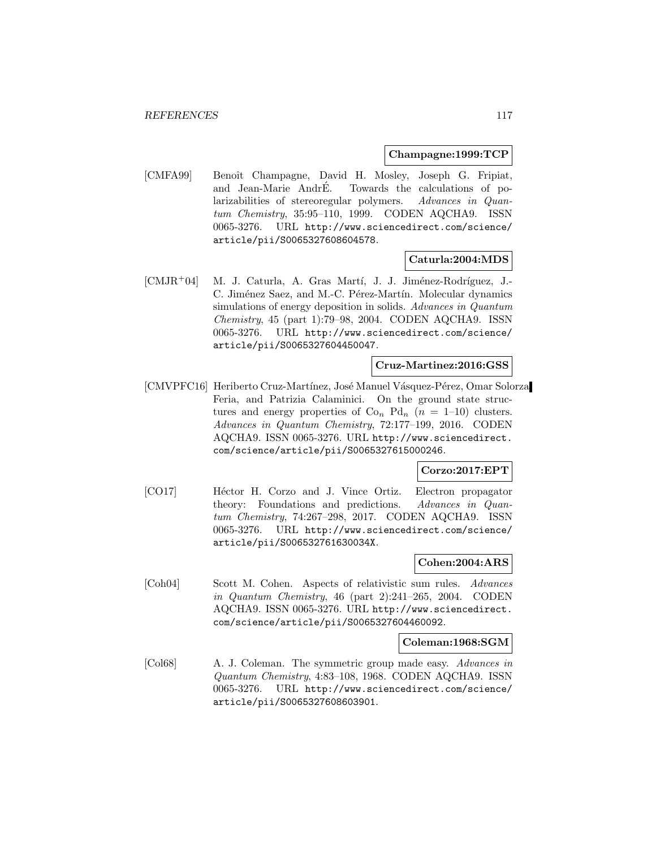### **Champagne:1999:TCP**

[CMFA99] Benoît Champagne, David H. Mosley, Joseph G. Fripiat, and Jean-Marie AndrE. Towards the calculations of polarizabilities of stereoregular polymers. Advances in Quantum Chemistry, 35:95–110, 1999. CODEN AQCHA9. ISSN 0065-3276. URL http://www.sciencedirect.com/science/ article/pii/S0065327608604578.

## **Caturla:2004:MDS**

[CMJR+04] M. J. Caturla, A. Gras Martí, J. J. Jiménez-Rodríguez, J.-C. Jiménez Saez, and M.-C. Pérez-Martín. Molecular dynamics simulations of energy deposition in solids. Advances in Quantum Chemistry, 45 (part 1):79–98, 2004. CODEN AQCHA9. ISSN 0065-3276. URL http://www.sciencedirect.com/science/ article/pii/S0065327604450047.

### **Cruz-Martinez:2016:GSS**

[CMVPFC16] Heriberto Cruz-Martínez, José Manuel Vásquez-Pérez, Omar Solorza Feria, and Patrizia Calaminici. On the ground state structures and energy properties of  $Co_n$   $Pd_n$  ( $n = 1-10$ ) clusters. Advances in Quantum Chemistry, 72:177–199, 2016. CODEN AQCHA9. ISSN 0065-3276. URL http://www.sciencedirect. com/science/article/pii/S0065327615000246.

## **Corzo:2017:EPT**

[CO17] Héctor H. Corzo and J. Vince Ortiz. Electron propagator theory: Foundations and predictions. Advances in Quantum Chemistry, 74:267–298, 2017. CODEN AQCHA9. ISSN 0065-3276. URL http://www.sciencedirect.com/science/ article/pii/S006532761630034X.

# **Cohen:2004:ARS**

[Coh04] Scott M. Cohen. Aspects of relativistic sum rules. Advances in Quantum Chemistry, 46 (part 2):241–265, 2004. CODEN AQCHA9. ISSN 0065-3276. URL http://www.sciencedirect. com/science/article/pii/S0065327604460092.

### **Coleman:1968:SGM**

[Col68] A. J. Coleman. The symmetric group made easy. Advances in Quantum Chemistry, 4:83–108, 1968. CODEN AQCHA9. ISSN 0065-3276. URL http://www.sciencedirect.com/science/ article/pii/S0065327608603901.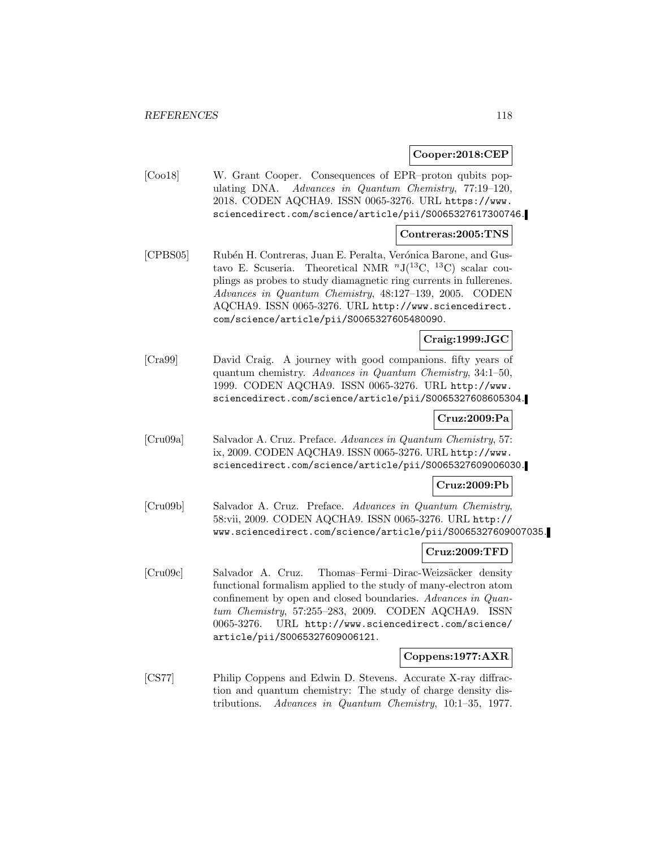### **Cooper:2018:CEP**

[Coo18] W. Grant Cooper. Consequences of EPR–proton qubits populating DNA. Advances in Quantum Chemistry, 77:19–120, 2018. CODEN AQCHA9. ISSN 0065-3276. URL https://www. sciencedirect.com/science/article/pii/S0065327617300746.

### **Contreras:2005:TNS**

[CPBS05] Rubén H. Contreras, Juan E. Peralta, Verónica Barone, and Gustavo E. Scuseria. Theoretical NMR  $^{n}J(^{13}C, ^{13}C)$  scalar couplings as probes to study diamagnetic ring currents in fullerenes. Advances in Quantum Chemistry, 48:127–139, 2005. CODEN AQCHA9. ISSN 0065-3276. URL http://www.sciencedirect. com/science/article/pii/S0065327605480090.

## **Craig:1999:JGC**

[Cra99] David Craig. A journey with good companions. fifty years of quantum chemistry. Advances in Quantum Chemistry, 34:1–50, 1999. CODEN AQCHA9. ISSN 0065-3276. URL http://www. sciencedirect.com/science/article/pii/S0065327608605304.

# **Cruz:2009:Pa**

[Cru09a] Salvador A. Cruz. Preface. Advances in Quantum Chemistry, 57: ix, 2009. CODEN AQCHA9. ISSN 0065-3276. URL http://www. sciencedirect.com/science/article/pii/S0065327609006030.

## **Cruz:2009:Pb**

[Cru09b] Salvador A. Cruz. Preface. Advances in Quantum Chemistry, 58:vii, 2009. CODEN AQCHA9. ISSN 0065-3276. URL http:// www.sciencedirect.com/science/article/pii/S0065327609007035.

### **Cruz:2009:TFD**

[Cru09c] Salvador A. Cruz. Thomas–Fermi–Dirac-Weizsäcker density functional formalism applied to the study of many-electron atom confinement by open and closed boundaries. Advances in Quantum Chemistry, 57:255–283, 2009. CODEN AQCHA9. ISSN 0065-3276. URL http://www.sciencedirect.com/science/ article/pii/S0065327609006121.

### **Coppens:1977:AXR**

[CS77] Philip Coppens and Edwin D. Stevens. Accurate X-ray diffraction and quantum chemistry: The study of charge density distributions. Advances in Quantum Chemistry, 10:1–35, 1977.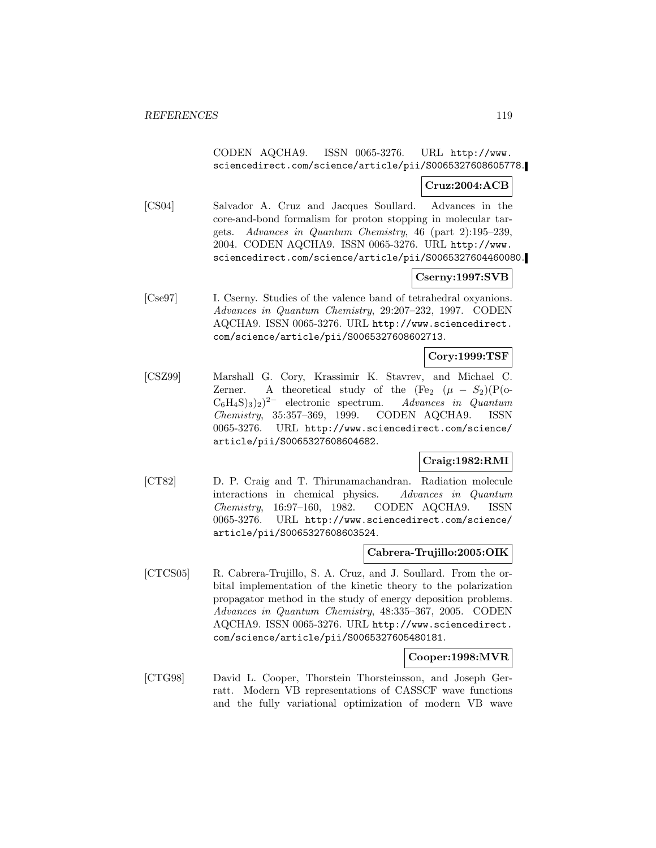# CODEN AQCHA9. ISSN 0065-3276. URL http://www. sciencedirect.com/science/article/pii/S0065327608605778.

## **Cruz:2004:ACB**

[CS04] Salvador A. Cruz and Jacques Soullard. Advances in the core-and-bond formalism for proton stopping in molecular targets. Advances in Quantum Chemistry, 46 (part 2):195–239, 2004. CODEN AQCHA9. ISSN 0065-3276. URL http://www. sciencedirect.com/science/article/pii/S0065327604460080.

# **Cserny:1997:SVB**

[Cse97] I. Cserny. Studies of the valence band of tetrahedral oxyanions. Advances in Quantum Chemistry, 29:207–232, 1997. CODEN AQCHA9. ISSN 0065-3276. URL http://www.sciencedirect. com/science/article/pii/S0065327608602713.

## **Cory:1999:TSF**

[CSZ99] Marshall G. Cory, Krassimir K. Stavrev, and Michael C. Zerner. A theoretical study of the  $(Fe<sub>2</sub> (\mu - S<sub>2</sub>)(P(\text{o-}C<sub>6</sub>H<sub>4</sub>S)<sub>3</sub>)<sub>2</sub>)<sup>2-</sup>$  electronic spectrum. Advances in Quantum  $C_6H_4S_{32}^2$ <sup>2−</sup> electronic spectrum. Chemistry, 35:357–369, 1999. CODEN AQCHA9. ISSN 0065-3276. URL http://www.sciencedirect.com/science/ article/pii/S0065327608604682.

# **Craig:1982:RMI**

[CT82] D. P. Craig and T. Thirunamachandran. Radiation molecule interactions in chemical physics. Advances in Quantum Chemistry, 16:97–160, 1982. CODEN AQCHA9. ISSN 0065-3276. URL http://www.sciencedirect.com/science/ article/pii/S0065327608603524.

# **Cabrera-Trujillo:2005:OIK**

[CTCS05] R. Cabrera-Trujillo, S. A. Cruz, and J. Soullard. From the orbital implementation of the kinetic theory to the polarization propagator method in the study of energy deposition problems. Advances in Quantum Chemistry, 48:335–367, 2005. CODEN AQCHA9. ISSN 0065-3276. URL http://www.sciencedirect. com/science/article/pii/S0065327605480181.

## **Cooper:1998:MVR**

[CTG98] David L. Cooper, Thorstein Thorsteinsson, and Joseph Gerratt. Modern VB representations of CASSCF wave functions and the fully variational optimization of modern VB wave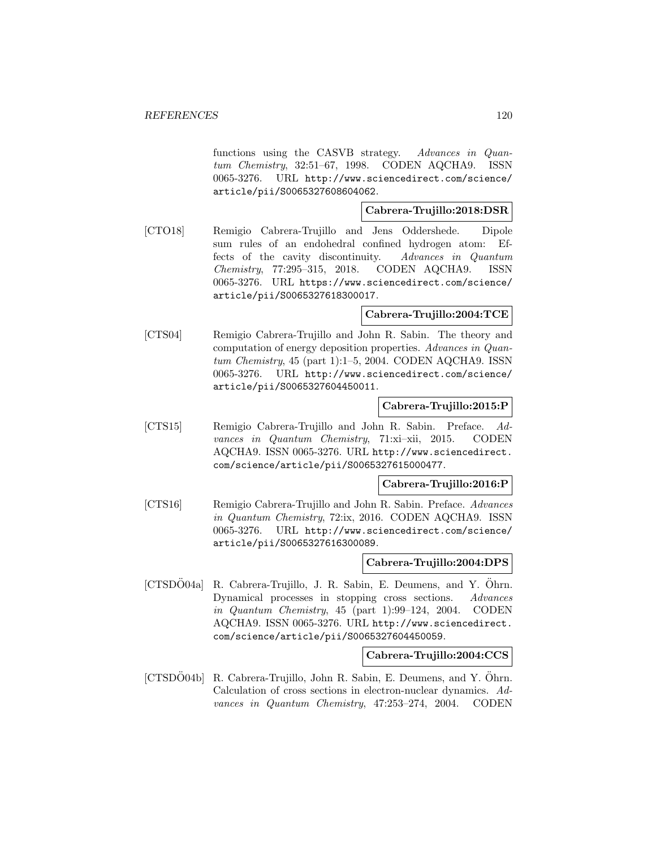functions using the CASVB strategy. Advances in Quantum Chemistry, 32:51–67, 1998. CODEN AQCHA9. ISSN 0065-3276. URL http://www.sciencedirect.com/science/ article/pii/S0065327608604062.

# **Cabrera-Trujillo:2018:DSR**

[CTO18] Remigio Cabrera-Trujillo and Jens Oddershede. Dipole sum rules of an endohedral confined hydrogen atom: Effects of the cavity discontinuity. Advances in Quantum Chemistry, 77:295–315, 2018. CODEN AQCHA9. ISSN 0065-3276. URL https://www.sciencedirect.com/science/ article/pii/S0065327618300017.

## **Cabrera-Trujillo:2004:TCE**

[CTS04] Remigio Cabrera-Trujillo and John R. Sabin. The theory and computation of energy deposition properties. Advances in Quantum Chemistry, 45 (part 1):1–5, 2004. CODEN AQCHA9. ISSN 0065-3276. URL http://www.sciencedirect.com/science/ article/pii/S0065327604450011.

# **Cabrera-Trujillo:2015:P**

[CTS15] Remigio Cabrera-Trujillo and John R. Sabin. Preface. Advances in Quantum Chemistry, 71:xi–xii, 2015. CODEN AQCHA9. ISSN 0065-3276. URL http://www.sciencedirect. com/science/article/pii/S0065327615000477.

**Cabrera-Trujillo:2016:P**

[CTS16] Remigio Cabrera-Trujillo and John R. Sabin. Preface. Advances in Quantum Chemistry, 72:ix, 2016. CODEN AQCHA9. ISSN 0065-3276. URL http://www.sciencedirect.com/science/ article/pii/S0065327616300089.

## **Cabrera-Trujillo:2004:DPS**

[CTSDÖ04a] R. Cabrera-Trujillo, J. R. Sabin, E. Deumens, and Y. Öhrn. Dynamical processes in stopping cross sections. Advances in Quantum Chemistry, 45 (part 1):99–124, 2004. CODEN AQCHA9. ISSN 0065-3276. URL http://www.sciencedirect. com/science/article/pii/S0065327604450059.

### **Cabrera-Trujillo:2004:CCS**

[CTSDO04b] R. Cabrera-Trujillo, John R. Sabin, E. Deumens, and Y. Ohrn. Calculation of cross sections in electron-nuclear dynamics. Advances in Quantum Chemistry, 47:253–274, 2004. CODEN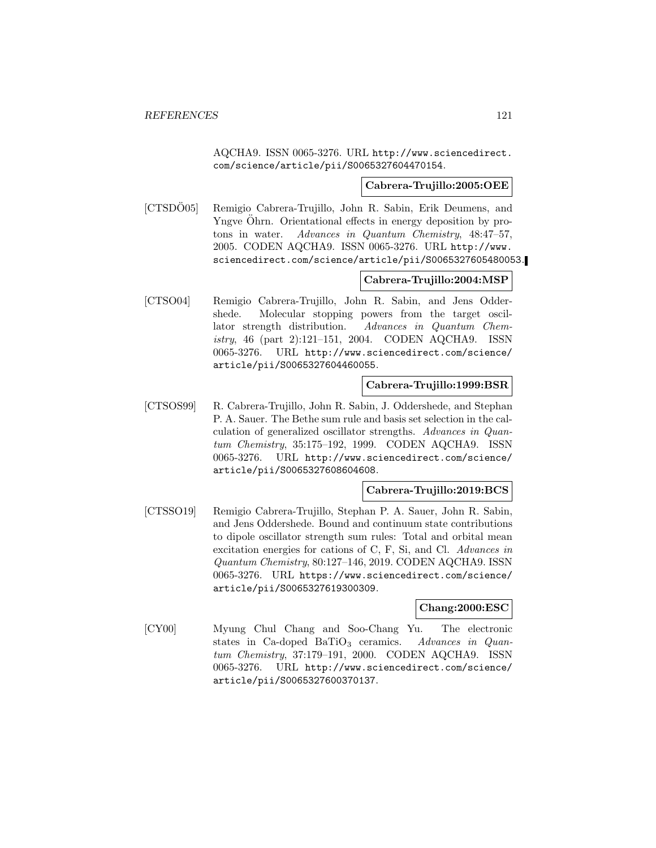AQCHA9. ISSN 0065-3276. URL http://www.sciencedirect. com/science/article/pii/S0065327604470154.

### **Cabrera-Trujillo:2005:OEE**

[CTSDO05] Remigio Cabrera-Trujillo, John R. Sabin, Erik Deumens, and Yngve Ohrn. Orientational effects in energy deposition by protons in water. Advances in Quantum Chemistry, 48:47–57, 2005. CODEN AQCHA9. ISSN 0065-3276. URL http://www. sciencedirect.com/science/article/pii/S0065327605480053.

# **Cabrera-Trujillo:2004:MSP**

[CTSO04] Remigio Cabrera-Trujillo, John R. Sabin, and Jens Oddershede. Molecular stopping powers from the target oscillator strength distribution. Advances in Quantum Chemistry, 46 (part 2):121–151, 2004. CODEN AQCHA9. ISSN 0065-3276. URL http://www.sciencedirect.com/science/ article/pii/S0065327604460055.

### **Cabrera-Trujillo:1999:BSR**

[CTSOS99] R. Cabrera-Trujillo, John R. Sabin, J. Oddershede, and Stephan P. A. Sauer. The Bethe sum rule and basis set selection in the calculation of generalized oscillator strengths. Advances in Quantum Chemistry, 35:175–192, 1999. CODEN AQCHA9. ISSN 0065-3276. URL http://www.sciencedirect.com/science/ article/pii/S0065327608604608.

### **Cabrera-Trujillo:2019:BCS**

[CTSSO19] Remigio Cabrera-Trujillo, Stephan P. A. Sauer, John R. Sabin, and Jens Oddershede. Bound and continuum state contributions to dipole oscillator strength sum rules: Total and orbital mean excitation energies for cations of C, F, Si, and Cl. Advances in Quantum Chemistry, 80:127–146, 2019. CODEN AQCHA9. ISSN 0065-3276. URL https://www.sciencedirect.com/science/ article/pii/S0065327619300309.

## **Chang:2000:ESC**

[CY00] Myung Chul Chang and Soo-Chang Yu. The electronic states in Ca-doped BaTiO<sub>3</sub> ceramics. Advances in Quantum Chemistry, 37:179–191, 2000. CODEN AQCHA9. ISSN 0065-3276. URL http://www.sciencedirect.com/science/ article/pii/S0065327600370137.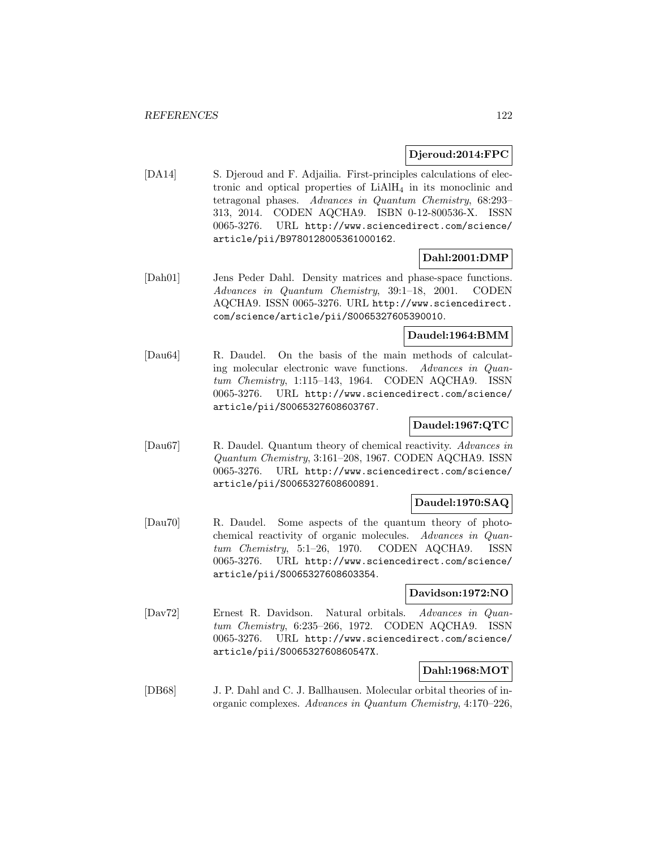## **Djeroud:2014:FPC**

[DA14] S. Djeroud and F. Adjailia. First-principles calculations of electronic and optical properties of  $LiAlH<sub>4</sub>$  in its monoclinic and tetragonal phases. Advances in Quantum Chemistry, 68:293– 313, 2014. CODEN AQCHA9. ISBN 0-12-800536-X. ISSN 0065-3276. URL http://www.sciencedirect.com/science/ article/pii/B9780128005361000162.

# **Dahl:2001:DMP**

[Dah01] Jens Peder Dahl. Density matrices and phase-space functions. Advances in Quantum Chemistry, 39:1–18, 2001. CODEN AQCHA9. ISSN 0065-3276. URL http://www.sciencedirect. com/science/article/pii/S0065327605390010.

# **Daudel:1964:BMM**

[Dau64] R. Daudel. On the basis of the main methods of calculating molecular electronic wave functions. Advances in Quantum Chemistry, 1:115–143, 1964. CODEN AQCHA9. ISSN 0065-3276. URL http://www.sciencedirect.com/science/ article/pii/S0065327608603767.

# **Daudel:1967:QTC**

[Dau67] R. Daudel. Quantum theory of chemical reactivity. Advances in Quantum Chemistry, 3:161–208, 1967. CODEN AQCHA9. ISSN 0065-3276. URL http://www.sciencedirect.com/science/ article/pii/S0065327608600891.

# **Daudel:1970:SAQ**

[Dau70] R. Daudel. Some aspects of the quantum theory of photochemical reactivity of organic molecules. Advances in Quantum Chemistry, 5:1–26, 1970. CODEN AQCHA9. ISSN 0065-3276. URL http://www.sciencedirect.com/science/ article/pii/S0065327608603354.

## **Davidson:1972:NO**

[Dav72] Ernest R. Davidson. Natural orbitals. Advances in Quantum Chemistry, 6:235–266, 1972. CODEN AQCHA9. ISSN 0065-3276. URL http://www.sciencedirect.com/science/ article/pii/S006532760860547X.

# **Dahl:1968:MOT**

[DB68] J. P. Dahl and C. J. Ballhausen. Molecular orbital theories of inorganic complexes. Advances in Quantum Chemistry, 4:170–226,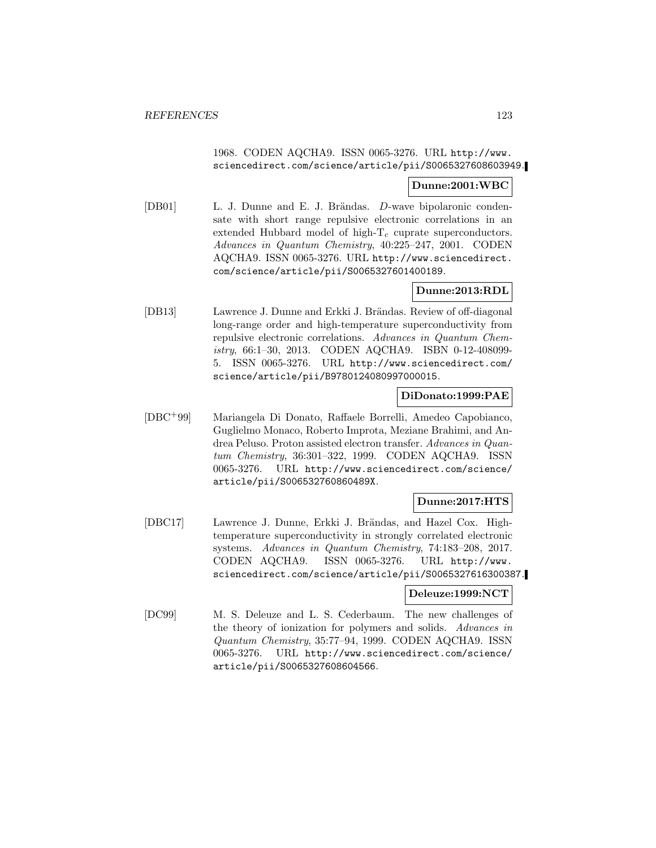# 1968. CODEN AQCHA9. ISSN 0065-3276. URL http://www. sciencedirect.com/science/article/pii/S0065327608603949.

### **Dunne:2001:WBC**

[DB01] L. J. Dunne and E. J. Brändas. D-wave bipolaronic condensate with short range repulsive electronic correlations in an extended Hubbard model of high- $T_c$  cuprate superconductors. Advances in Quantum Chemistry, 40:225–247, 2001. CODEN AQCHA9. ISSN 0065-3276. URL http://www.sciencedirect. com/science/article/pii/S0065327601400189.

# **Dunne:2013:RDL**

[DB13] Lawrence J. Dunne and Erkki J. Brändas. Review of off-diagonal long-range order and high-temperature superconductivity from repulsive electronic correlations. Advances in Quantum Chemistry, 66:1–30, 2013. CODEN AQCHA9. ISBN 0-12-408099- 5. ISSN 0065-3276. URL http://www.sciencedirect.com/ science/article/pii/B9780124080997000015.

# **DiDonato:1999:PAE**

[DBC<sup>+</sup>99] Mariangela Di Donato, Raffaele Borrelli, Amedeo Capobianco, Guglielmo Monaco, Roberto Improta, Meziane Brahimi, and Andrea Peluso. Proton assisted electron transfer. Advances in Quantum Chemistry, 36:301–322, 1999. CODEN AQCHA9. ISSN 0065-3276. URL http://www.sciencedirect.com/science/ article/pii/S006532760860489X.

# **Dunne:2017:HTS**

[DBC17] Lawrence J. Dunne, Erkki J. Brändas, and Hazel Cox. Hightemperature superconductivity in strongly correlated electronic systems. Advances in Quantum Chemistry, 74:183–208, 2017. CODEN AQCHA9. ISSN 0065-3276. URL http://www. sciencedirect.com/science/article/pii/S0065327616300387.

## **Deleuze:1999:NCT**

[DC99] M. S. Deleuze and L. S. Cederbaum. The new challenges of the theory of ionization for polymers and solids. Advances in Quantum Chemistry, 35:77–94, 1999. CODEN AQCHA9. ISSN 0065-3276. URL http://www.sciencedirect.com/science/ article/pii/S0065327608604566.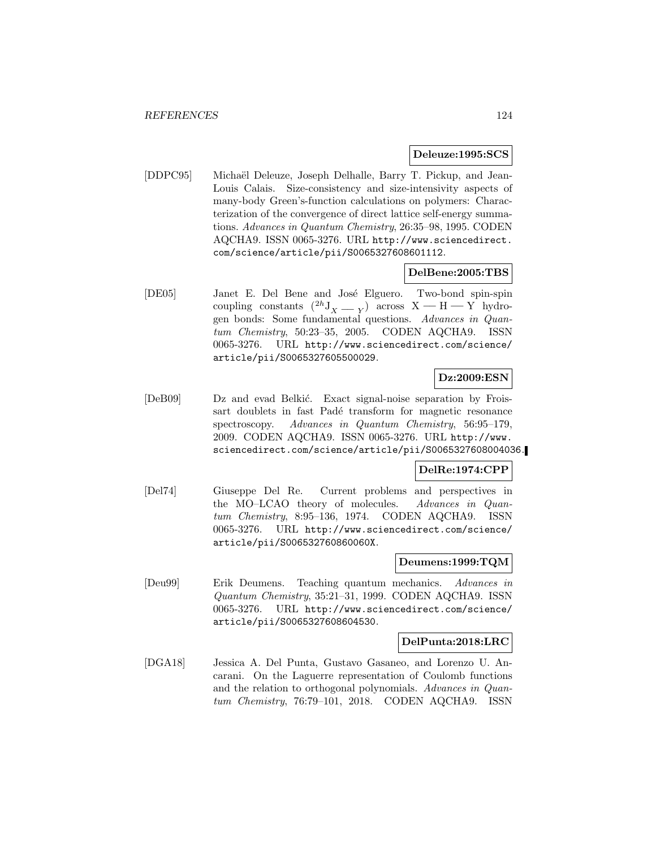### **Deleuze:1995:SCS**

[DDPC95] Michaël Deleuze, Joseph Delhalle, Barry T. Pickup, and Jean-Louis Calais. Size-consistency and size-intensivity aspects of many-body Green's-function calculations on polymers: Characterization of the convergence of direct lattice self-energy summations. Advances in Quantum Chemistry, 26:35–98, 1995. CODEN AQCHA9. ISSN 0065-3276. URL http://www.sciencedirect. com/science/article/pii/S0065327608601112.

## **DelBene:2005:TBS**

[DE05] Janet E. Del Bene and José Elguero. Two-bond spin-spin coupling constants  $(^{2h}J_X = \overline{Y})$  across  $X \rightarrow H \rightarrow Y$  hydrogen bonds: Some fundamental questions. Advances in Quantum Chemistry, 50:23–35, 2005. CODEN AQCHA9. ISSN 0065-3276. URL http://www.sciencedirect.com/science/ article/pii/S0065327605500029.

# **Dz:2009:ESN**

[DeB09] Dz and evad Belkić. Exact signal-noise separation by Froissart doublets in fast Padé transform for magnetic resonance spectroscopy. Advances in Quantum Chemistry, 56:95–179, 2009. CODEN AQCHA9. ISSN 0065-3276. URL http://www. sciencedirect.com/science/article/pii/S0065327608004036.

# **DelRe:1974:CPP**

[Del74] Giuseppe Del Re. Current problems and perspectives in the MO–LCAO theory of molecules. Advances in Quantum Chemistry, 8:95–136, 1974. CODEN AQCHA9. ISSN 0065-3276. URL http://www.sciencedirect.com/science/ article/pii/S006532760860060X.

### **Deumens:1999:TQM**

[Deu99] Erik Deumens. Teaching quantum mechanics. Advances in Quantum Chemistry, 35:21–31, 1999. CODEN AQCHA9. ISSN 0065-3276. URL http://www.sciencedirect.com/science/ article/pii/S0065327608604530.

### **DelPunta:2018:LRC**

[DGA18] Jessica A. Del Punta, Gustavo Gasaneo, and Lorenzo U. Ancarani. On the Laguerre representation of Coulomb functions and the relation to orthogonal polynomials. Advances in Quantum Chemistry, 76:79–101, 2018. CODEN AQCHA9. ISSN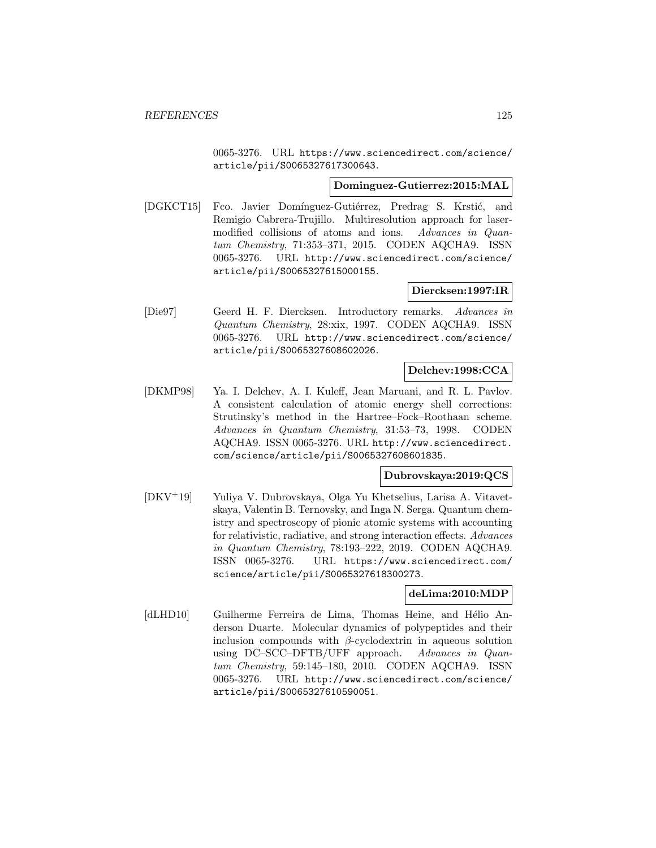0065-3276. URL https://www.sciencedirect.com/science/ article/pii/S0065327617300643.

## **Dominguez-Gutierrez:2015:MAL**

[DGKCT15] Fco. Javier Domínguez-Gutiérrez, Predrag S. Krstić, and Remigio Cabrera-Trujillo. Multiresolution approach for lasermodified collisions of atoms and ions. Advances in Quantum Chemistry, 71:353–371, 2015. CODEN AQCHA9. ISSN 0065-3276. URL http://www.sciencedirect.com/science/ article/pii/S0065327615000155.

# **Diercksen:1997:IR**

[Die97] Geerd H. F. Diercksen. Introductory remarks. Advances in Quantum Chemistry, 28:xix, 1997. CODEN AQCHA9. ISSN 0065-3276. URL http://www.sciencedirect.com/science/ article/pii/S0065327608602026.

# **Delchev:1998:CCA**

[DKMP98] Ya. I. Delchev, A. I. Kuleff, Jean Maruani, and R. L. Pavlov. A consistent calculation of atomic energy shell corrections: Strutinsky's method in the Hartree–Fock–Roothaan scheme. Advances in Quantum Chemistry, 31:53–73, 1998. CODEN AQCHA9. ISSN 0065-3276. URL http://www.sciencedirect. com/science/article/pii/S0065327608601835.

# **Dubrovskaya:2019:QCS**

[DKV<sup>+</sup>19] Yuliya V. Dubrovskaya, Olga Yu Khetselius, Larisa A. Vitavetskaya, Valentin B. Ternovsky, and Inga N. Serga. Quantum chemistry and spectroscopy of pionic atomic systems with accounting for relativistic, radiative, and strong interaction effects. Advances in Quantum Chemistry, 78:193–222, 2019. CODEN AQCHA9. ISSN 0065-3276. URL https://www.sciencedirect.com/ science/article/pii/S0065327618300273.

## **deLima:2010:MDP**

[dLHD10] Guilherme Ferreira de Lima, Thomas Heine, and Hélio Anderson Duarte. Molecular dynamics of polypeptides and their inclusion compounds with  $\beta$ -cyclodextrin in aqueous solution using DC–SCC–DFTB/UFF approach. Advances in Quantum Chemistry, 59:145–180, 2010. CODEN AQCHA9. ISSN 0065-3276. URL http://www.sciencedirect.com/science/ article/pii/S0065327610590051.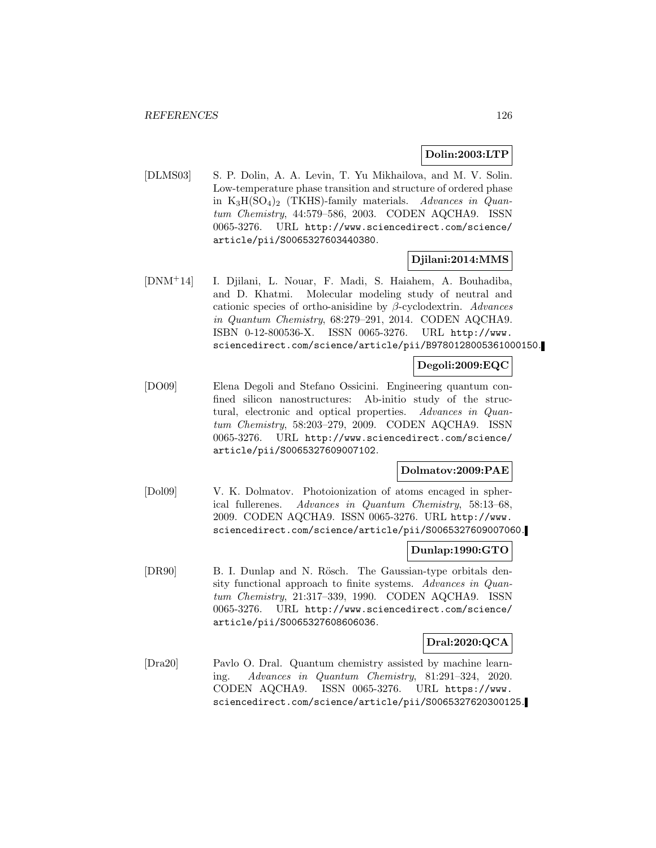## **Dolin:2003:LTP**

[DLMS03] S. P. Dolin, A. A. Levin, T. Yu Mikhailova, and M. V. Solin. Low-temperature phase transition and structure of ordered phase in  $K_3H(SO_4)_2$  (TKHS)-family materials. Advances in Quantum Chemistry, 44:579–586, 2003. CODEN AQCHA9. ISSN 0065-3276. URL http://www.sciencedirect.com/science/ article/pii/S0065327603440380.

## **Djilani:2014:MMS**

[DNM<sup>+</sup>14] I. Djilani, L. Nouar, F. Madi, S. Haiahem, A. Bouhadiba, and D. Khatmi. Molecular modeling study of neutral and cationic species of ortho-anisidine by  $\beta$ -cyclodextrin. Advances in Quantum Chemistry, 68:279–291, 2014. CODEN AQCHA9. ISBN 0-12-800536-X. ISSN 0065-3276. URL http://www. sciencedirect.com/science/article/pii/B9780128005361000150.

### **Degoli:2009:EQC**

[DO09] Elena Degoli and Stefano Ossicini. Engineering quantum confined silicon nanostructures: Ab-initio study of the structural, electronic and optical properties. Advances in Quantum Chemistry, 58:203–279, 2009. CODEN AQCHA9. ISSN 0065-3276. URL http://www.sciencedirect.com/science/ article/pii/S0065327609007102.

## **Dolmatov:2009:PAE**

[Dol09] V. K. Dolmatov. Photoionization of atoms encaged in spherical fullerenes. Advances in Quantum Chemistry, 58:13–68, 2009. CODEN AQCHA9. ISSN 0065-3276. URL http://www. sciencedirect.com/science/article/pii/S0065327609007060.

## **Dunlap:1990:GTO**

[DR90] B. I. Dunlap and N. Rösch. The Gaussian-type orbitals density functional approach to finite systems. Advances in Quantum Chemistry, 21:317–339, 1990. CODEN AQCHA9. ISSN 0065-3276. URL http://www.sciencedirect.com/science/ article/pii/S0065327608606036.

## **Dral:2020:QCA**

[Dra20] Pavlo O. Dral. Quantum chemistry assisted by machine learning. Advances in Quantum Chemistry, 81:291–324, 2020. CODEN AQCHA9. ISSN 0065-3276. URL https://www. sciencedirect.com/science/article/pii/S0065327620300125.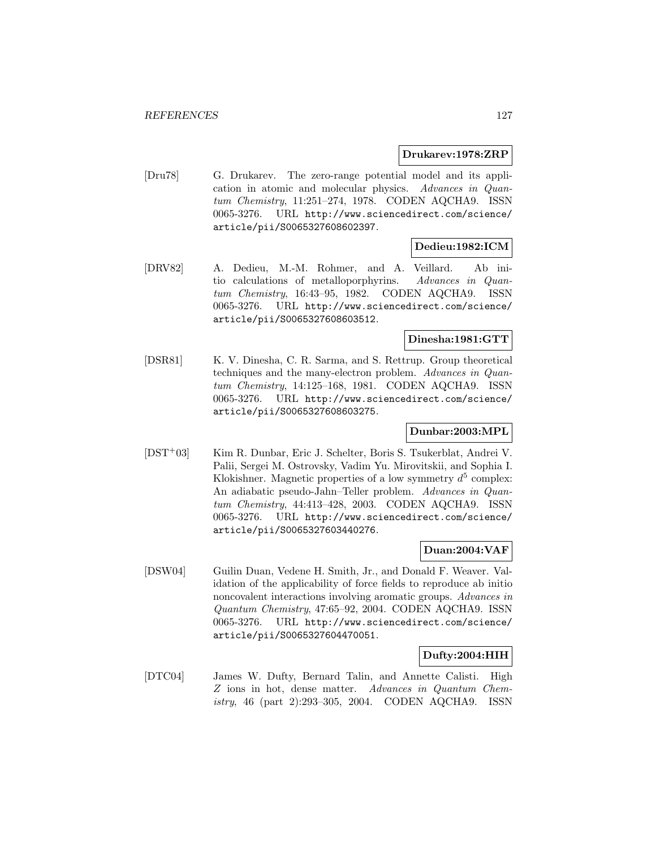### **Drukarev:1978:ZRP**

[Dru78] G. Drukarev. The zero-range potential model and its application in atomic and molecular physics. Advances in Quantum Chemistry, 11:251–274, 1978. CODEN AQCHA9. ISSN 0065-3276. URL http://www.sciencedirect.com/science/ article/pii/S0065327608602397.

# **Dedieu:1982:ICM**

[DRV82] A. Dedieu, M.-M. Rohmer, and A. Veillard. Ab initio calculations of metalloporphyrins. Advances in Quantum Chemistry, 16:43–95, 1982. CODEN AQCHA9. ISSN 0065-3276. URL http://www.sciencedirect.com/science/ article/pii/S0065327608603512.

# **Dinesha:1981:GTT**

[DSR81] K. V. Dinesha, C. R. Sarma, and S. Rettrup. Group theoretical techniques and the many-electron problem. Advances in Quantum Chemistry, 14:125–168, 1981. CODEN AQCHA9. ISSN 0065-3276. URL http://www.sciencedirect.com/science/ article/pii/S0065327608603275.

# **Dunbar:2003:MPL**

[DST<sup>+</sup>03] Kim R. Dunbar, Eric J. Schelter, Boris S. Tsukerblat, Andrei V. Palii, Sergei M. Ostrovsky, Vadim Yu. Mirovitskii, and Sophia I. Klokishner. Magnetic properties of a low symmetry  $d^5$  complex: An adiabatic pseudo-Jahn–Teller problem. Advances in Quantum Chemistry, 44:413–428, 2003. CODEN AQCHA9. ISSN 0065-3276. URL http://www.sciencedirect.com/science/ article/pii/S0065327603440276.

## **Duan:2004:VAF**

[DSW04] Guilin Duan, Vedene H. Smith, Jr., and Donald F. Weaver. Validation of the applicability of force fields to reproduce ab initio noncovalent interactions involving aromatic groups. Advances in Quantum Chemistry, 47:65–92, 2004. CODEN AQCHA9. ISSN 0065-3276. URL http://www.sciencedirect.com/science/ article/pii/S0065327604470051.

## **Dufty:2004:HIH**

[DTC04] James W. Dufty, Bernard Talin, and Annette Calisti. High Z ions in hot, dense matter. Advances in Quantum Chemistry, 46 (part 2):293–305, 2004. CODEN AQCHA9. ISSN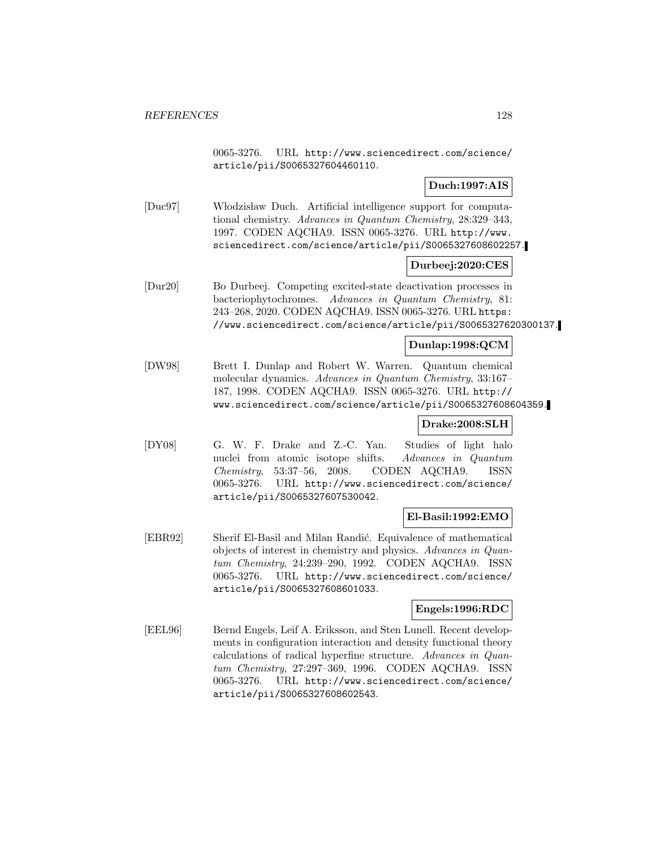0065-3276. URL http://www.sciencedirect.com/science/ article/pii/S0065327604460110.

# **Duch:1997:AIS**

[Duc97] Włodzisław Duch. Artificial intelligence support for computational chemistry. Advances in Quantum Chemistry, 28:329–343, 1997. CODEN AQCHA9. ISSN 0065-3276. URL http://www. sciencedirect.com/science/article/pii/S0065327608602257.

# **Durbeej:2020:CES**

[Dur20] Bo Durbeej. Competing excited-state deactivation processes in bacteriophytochromes. Advances in Quantum Chemistry, 81: 243–268, 2020. CODEN AQCHA9. ISSN 0065-3276. URL https: //www.sciencedirect.com/science/article/pii/S0065327620300137.

# **Dunlap:1998:QCM**

[DW98] Brett I. Dunlap and Robert W. Warren. Quantum chemical molecular dynamics. Advances in Quantum Chemistry, 33:167– 187, 1998. CODEN AQCHA9. ISSN 0065-3276. URL http:// www.sciencedirect.com/science/article/pii/S0065327608604359.

# **Drake:2008:SLH**

[DY08] G. W. F. Drake and Z.-C. Yan. Studies of light halo nuclei from atomic isotope shifts. Advances in Quantum Chemistry, 53:37–56, 2008. CODEN AQCHA9. ISSN 0065-3276. URL http://www.sciencedirect.com/science/ article/pii/S0065327607530042.

# **El-Basil:1992:EMO**

[EBR92] Sherif El-Basil and Milan Randić. Equivalence of mathematical objects of interest in chemistry and physics. Advances in Quantum Chemistry, 24:239–290, 1992. CODEN AQCHA9. ISSN 0065-3276. URL http://www.sciencedirect.com/science/ article/pii/S0065327608601033.

# **Engels:1996:RDC**

[EEL96] Bernd Engels, Leif A. Eriksson, and Sten Lunell. Recent developments in configuration interaction and density functional theory calculations of radical hyperfine structure. Advances in Quantum Chemistry, 27:297–369, 1996. CODEN AQCHA9. ISSN 0065-3276. URL http://www.sciencedirect.com/science/ article/pii/S0065327608602543.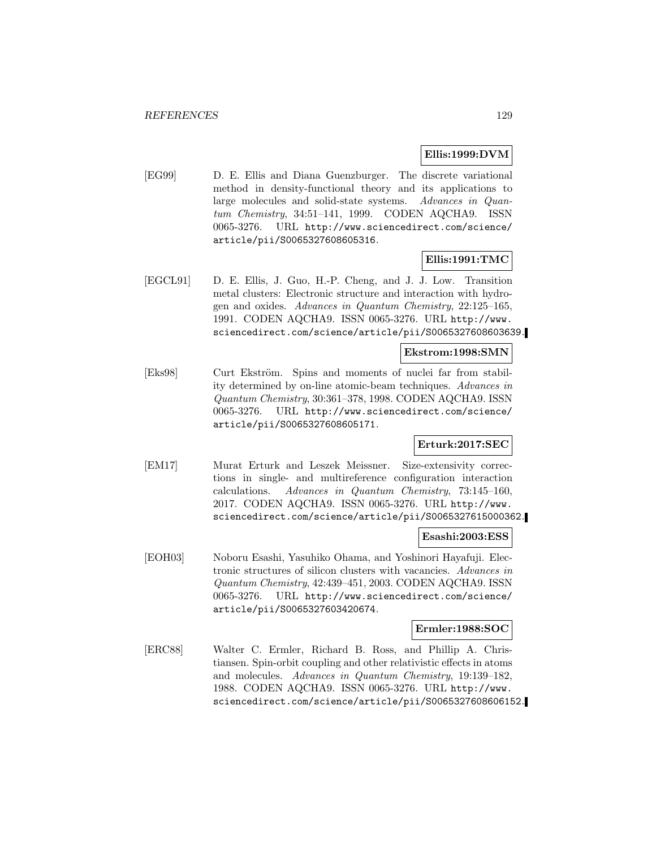### **Ellis:1999:DVM**

[EG99] D. E. Ellis and Diana Guenzburger. The discrete variational method in density-functional theory and its applications to large molecules and solid-state systems. Advances in Quantum Chemistry, 34:51–141, 1999. CODEN AQCHA9. ISSN 0065-3276. URL http://www.sciencedirect.com/science/ article/pii/S0065327608605316.

### **Ellis:1991:TMC**

[EGCL91] D. E. Ellis, J. Guo, H.-P. Cheng, and J. J. Low. Transition metal clusters: Electronic structure and interaction with hydrogen and oxides. Advances in Quantum Chemistry, 22:125–165, 1991. CODEN AQCHA9. ISSN 0065-3276. URL http://www. sciencedirect.com/science/article/pii/S0065327608603639.

## **Ekstrom:1998:SMN**

[Eks98] Curt Ekström. Spins and moments of nuclei far from stability determined by on-line atomic-beam techniques. Advances in Quantum Chemistry, 30:361–378, 1998. CODEN AQCHA9. ISSN 0065-3276. URL http://www.sciencedirect.com/science/ article/pii/S0065327608605171.

# **Erturk:2017:SEC**

[EM17] Murat Erturk and Leszek Meissner. Size-extensivity corrections in single- and multireference configuration interaction calculations. Advances in Quantum Chemistry, 73:145–160, 2017. CODEN AQCHA9. ISSN 0065-3276. URL http://www. sciencedirect.com/science/article/pii/S0065327615000362.

### **Esashi:2003:ESS**

[EOH03] Noboru Esashi, Yasuhiko Ohama, and Yoshinori Hayafuji. Electronic structures of silicon clusters with vacancies. Advances in Quantum Chemistry, 42:439–451, 2003. CODEN AQCHA9. ISSN 0065-3276. URL http://www.sciencedirect.com/science/ article/pii/S0065327603420674.

### **Ermler:1988:SOC**

[ERC88] Walter C. Ermler, Richard B. Ross, and Phillip A. Christiansen. Spin-orbit coupling and other relativistic effects in atoms and molecules. Advances in Quantum Chemistry, 19:139–182, 1988. CODEN AQCHA9. ISSN 0065-3276. URL http://www. sciencedirect.com/science/article/pii/S0065327608606152.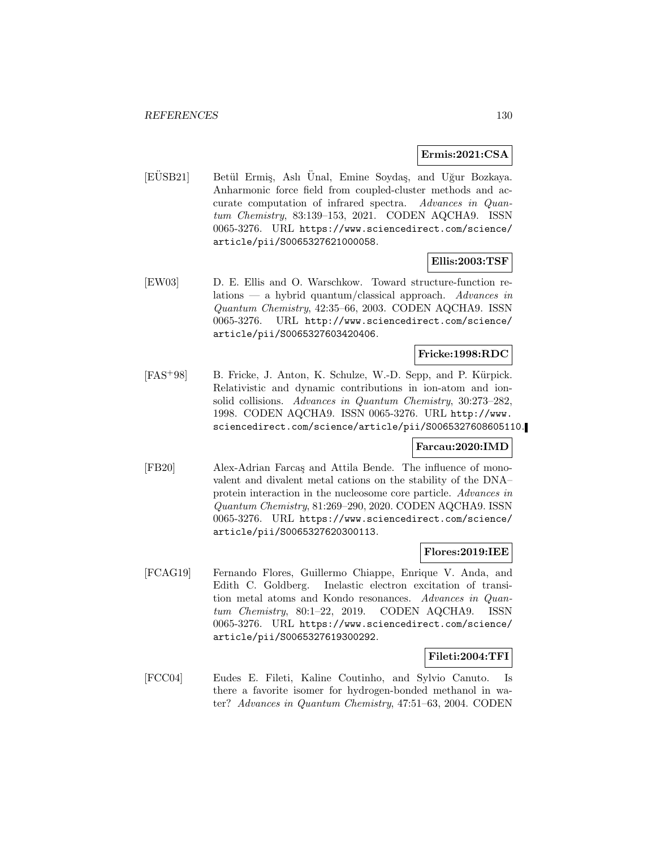### **Ermis:2021:CSA**

[EUSB21] Betül Ermiş, Aslı Ünal, Emine Soydaş, and Uğur Bozkaya. Anharmonic force field from coupled-cluster methods and accurate computation of infrared spectra. Advances in Quantum Chemistry, 83:139–153, 2021. CODEN AQCHA9. ISSN 0065-3276. URL https://www.sciencedirect.com/science/ article/pii/S0065327621000058.

## **Ellis:2003:TSF**

[EW03] D. E. Ellis and O. Warschkow. Toward structure-function relations — a hybrid quantum/classical approach. Advances in Quantum Chemistry, 42:35–66, 2003. CODEN AQCHA9. ISSN 0065-3276. URL http://www.sciencedirect.com/science/ article/pii/S0065327603420406.

# **Fricke:1998:RDC**

[FAS<sup>+</sup>98] B. Fricke, J. Anton, K. Schulze, W.-D. Sepp, and P. Kürpick. Relativistic and dynamic contributions in ion-atom and ionsolid collisions. Advances in Quantum Chemistry, 30:273–282, 1998. CODEN AQCHA9. ISSN 0065-3276. URL http://www. sciencedirect.com/science/article/pii/S0065327608605110.

## **Farcau:2020:IMD**

[FB20] Alex-Adrian Farca¸s and Attila Bende. The influence of monovalent and divalent metal cations on the stability of the DNA– protein interaction in the nucleosome core particle. Advances in Quantum Chemistry, 81:269–290, 2020. CODEN AQCHA9. ISSN 0065-3276. URL https://www.sciencedirect.com/science/ article/pii/S0065327620300113.

## **Flores:2019:IEE**

[FCAG19] Fernando Flores, Guillermo Chiappe, Enrique V. Anda, and Edith C. Goldberg. Inelastic electron excitation of transition metal atoms and Kondo resonances. Advances in Quantum Chemistry, 80:1–22, 2019. CODEN AQCHA9. ISSN 0065-3276. URL https://www.sciencedirect.com/science/ article/pii/S0065327619300292.

## **Fileti:2004:TFI**

[FCC04] Eudes E. Fileti, Kaline Coutinho, and Sylvio Canuto. Is there a favorite isomer for hydrogen-bonded methanol in water? Advances in Quantum Chemistry, 47:51–63, 2004. CODEN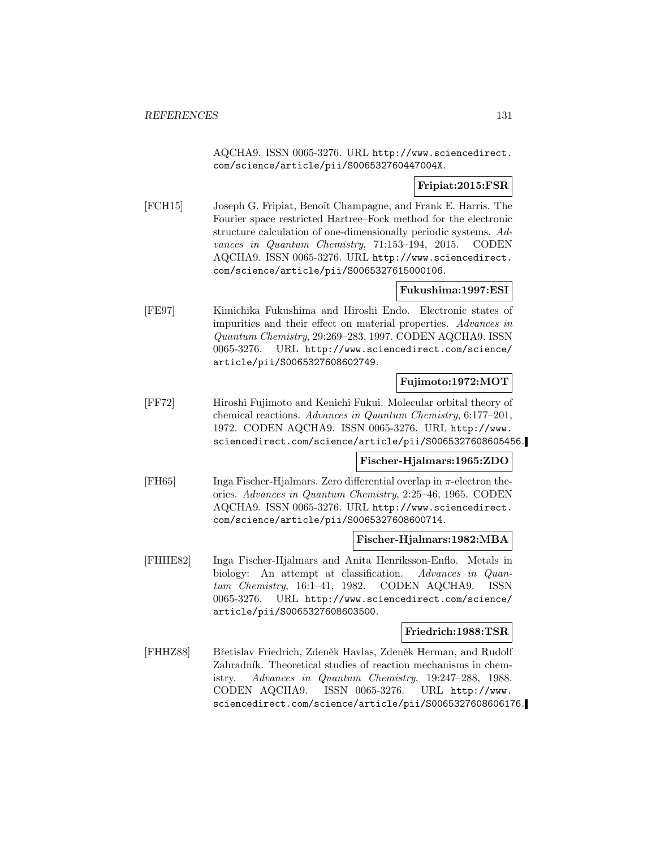AQCHA9. ISSN 0065-3276. URL http://www.sciencedirect. com/science/article/pii/S006532760447004X.

# **Fripiat:2015:FSR**

[FCH15] Joseph G. Fripiat, Benoît Champagne, and Frank E. Harris. The Fourier space restricted Hartree–Fock method for the electronic structure calculation of one-dimensionally periodic systems. Advances in Quantum Chemistry, 71:153–194, 2015. CODEN AQCHA9. ISSN 0065-3276. URL http://www.sciencedirect. com/science/article/pii/S0065327615000106.

# **Fukushima:1997:ESI**

[FE97] Kimichika Fukushima and Hiroshi Endo. Electronic states of impurities and their effect on material properties. Advances in Quantum Chemistry, 29:269–283, 1997. CODEN AQCHA9. ISSN 0065-3276. URL http://www.sciencedirect.com/science/ article/pii/S0065327608602749.

## **Fujimoto:1972:MOT**

[FF72] Hiroshi Fujimoto and Kenichi Fukui. Molecular orbital theory of chemical reactions. Advances in Quantum Chemistry, 6:177–201, 1972. CODEN AQCHA9. ISSN 0065-3276. URL http://www. sciencedirect.com/science/article/pii/S0065327608605456.

## **Fischer-Hjalmars:1965:ZDO**

[FH65] Inga Fischer-Hjalmars. Zero differential overlap in  $\pi$ -electron theories. Advances in Quantum Chemistry, 2:25–46, 1965. CODEN AQCHA9. ISSN 0065-3276. URL http://www.sciencedirect. com/science/article/pii/S0065327608600714.

## **Fischer-Hjalmars:1982:MBA**

[FHHE82] Inga Fischer-Hjalmars and Anita Henriksson-Enflo. Metals in biology: An attempt at classification. Advances in Quantum Chemistry, 16:1–41, 1982. CODEN AQCHA9. ISSN 0065-3276. URL http://www.sciencedirect.com/science/ article/pii/S0065327608603500.

## **Friedrich:1988:TSR**

[FHHZ88] Břetislav Friedrich, Zdeněk Havlas, Zdeněk Herman, and Rudolf Zahradník. Theoretical studies of reaction mechanisms in chemistry. Advances in Quantum Chemistry, 19:247–288, 1988. CODEN AQCHA9. ISSN 0065-3276. URL http://www. sciencedirect.com/science/article/pii/S0065327608606176.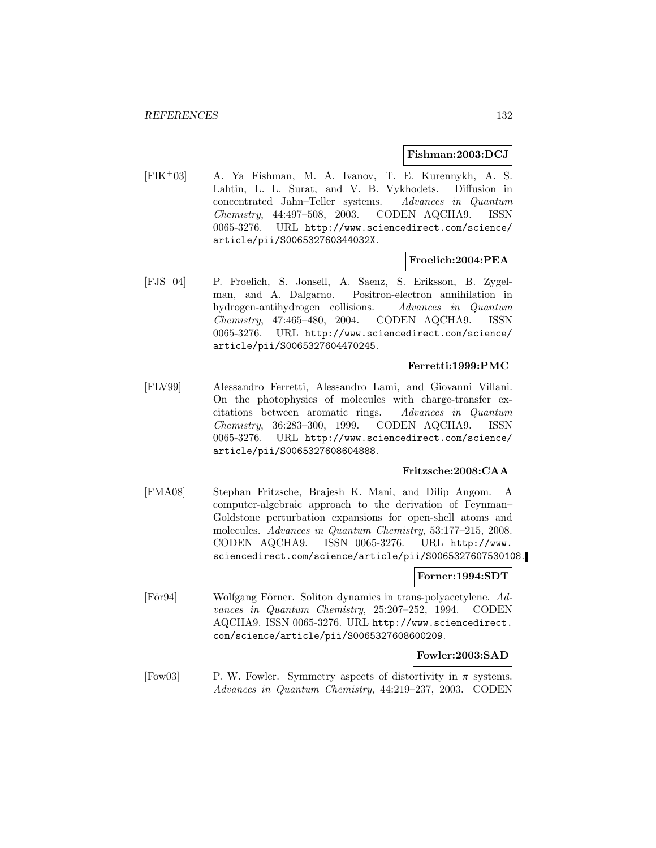### **Fishman:2003:DCJ**

[FIK<sup>+</sup>03] A. Ya Fishman, M. A. Ivanov, T. E. Kurennykh, A. S. Lahtin, L. L. Surat, and V. B. Vykhodets. Diffusion in concentrated Jahn–Teller systems. Advances in Quantum Chemistry, 44:497–508, 2003. CODEN AQCHA9. ISSN 0065-3276. URL http://www.sciencedirect.com/science/ article/pii/S006532760344032X.

## **Froelich:2004:PEA**

[FJS<sup>+</sup>04] P. Froelich, S. Jonsell, A. Saenz, S. Eriksson, B. Zygelman, and A. Dalgarno. Positron-electron annihilation in hydrogen-antihydrogen collisions. Advances in Quantum Chemistry, 47:465–480, 2004. CODEN AQCHA9. ISSN 0065-3276. URL http://www.sciencedirect.com/science/ article/pii/S0065327604470245.

## **Ferretti:1999:PMC**

[FLV99] Alessandro Ferretti, Alessandro Lami, and Giovanni Villani. On the photophysics of molecules with charge-transfer excitations between aromatic rings. Advances in Quantum Chemistry, 36:283–300, 1999. CODEN AQCHA9. ISSN 0065-3276. URL http://www.sciencedirect.com/science/ article/pii/S0065327608604888.

## **Fritzsche:2008:CAA**

[FMA08] Stephan Fritzsche, Brajesh K. Mani, and Dilip Angom. A computer-algebraic approach to the derivation of Feynman– Goldstone perturbation expansions for open-shell atoms and molecules. Advances in Quantum Chemistry, 53:177–215, 2008. CODEN AQCHA9. ISSN 0065-3276. URL http://www. sciencedirect.com/science/article/pii/S0065327607530108.

### **Forner:1994:SDT**

[För94] Wolfgang Förner. Soliton dynamics in trans-polyacetylene. Advances in Quantum Chemistry, 25:207–252, 1994. CODEN AQCHA9. ISSN 0065-3276. URL http://www.sciencedirect. com/science/article/pii/S0065327608600209.

**Fowler:2003:SAD**

[Fow03] P. W. Fowler. Symmetry aspects of distortivity in  $\pi$  systems. Advances in Quantum Chemistry, 44:219–237, 2003. CODEN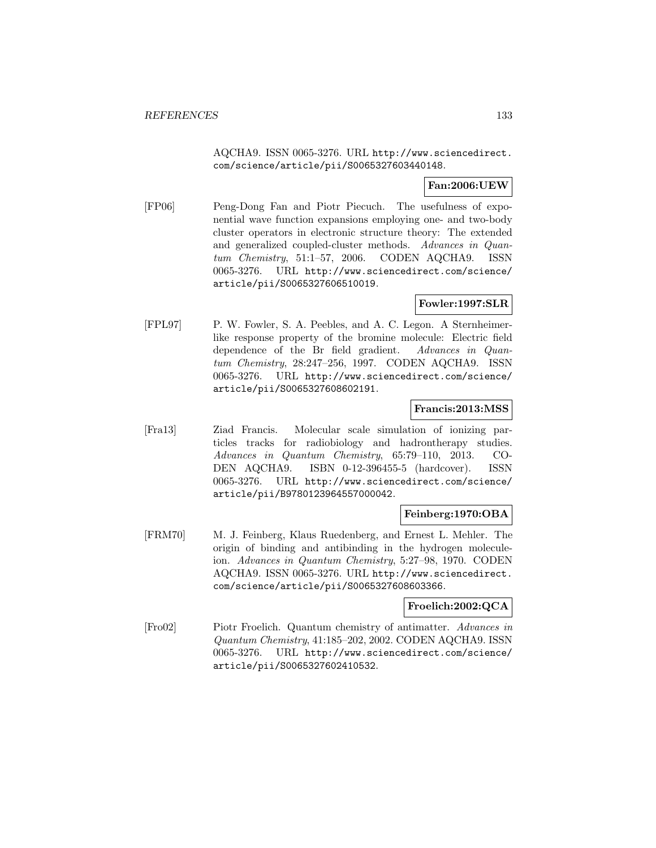AQCHA9. ISSN 0065-3276. URL http://www.sciencedirect. com/science/article/pii/S0065327603440148.

# **Fan:2006:UEW**

[FP06] Peng-Dong Fan and Piotr Piecuch. The usefulness of exponential wave function expansions employing one- and two-body cluster operators in electronic structure theory: The extended and generalized coupled-cluster methods. Advances in Quantum Chemistry, 51:1–57, 2006. CODEN AQCHA9. ISSN 0065-3276. URL http://www.sciencedirect.com/science/ article/pii/S0065327606510019.

## **Fowler:1997:SLR**

[FPL97] P. W. Fowler, S. A. Peebles, and A. C. Legon. A Sternheimerlike response property of the bromine molecule: Electric field dependence of the Br field gradient. Advances in Quantum Chemistry, 28:247–256, 1997. CODEN AQCHA9. ISSN 0065-3276. URL http://www.sciencedirect.com/science/ article/pii/S0065327608602191.

## **Francis:2013:MSS**

[Fra13] Ziad Francis. Molecular scale simulation of ionizing particles tracks for radiobiology and hadrontherapy studies. Advances in Quantum Chemistry, 65:79–110, 2013. CO-DEN AQCHA9. ISBN 0-12-396455-5 (hardcover). ISSN 0065-3276. URL http://www.sciencedirect.com/science/ article/pii/B9780123964557000042.

## **Feinberg:1970:OBA**

[FRM70] M. J. Feinberg, Klaus Ruedenberg, and Ernest L. Mehler. The origin of binding and antibinding in the hydrogen moleculeion. Advances in Quantum Chemistry, 5:27–98, 1970. CODEN AQCHA9. ISSN 0065-3276. URL http://www.sciencedirect. com/science/article/pii/S0065327608603366.

## **Froelich:2002:QCA**

[Fro02] Piotr Froelich. Quantum chemistry of antimatter. Advances in Quantum Chemistry, 41:185–202, 2002. CODEN AQCHA9. ISSN 0065-3276. URL http://www.sciencedirect.com/science/ article/pii/S0065327602410532.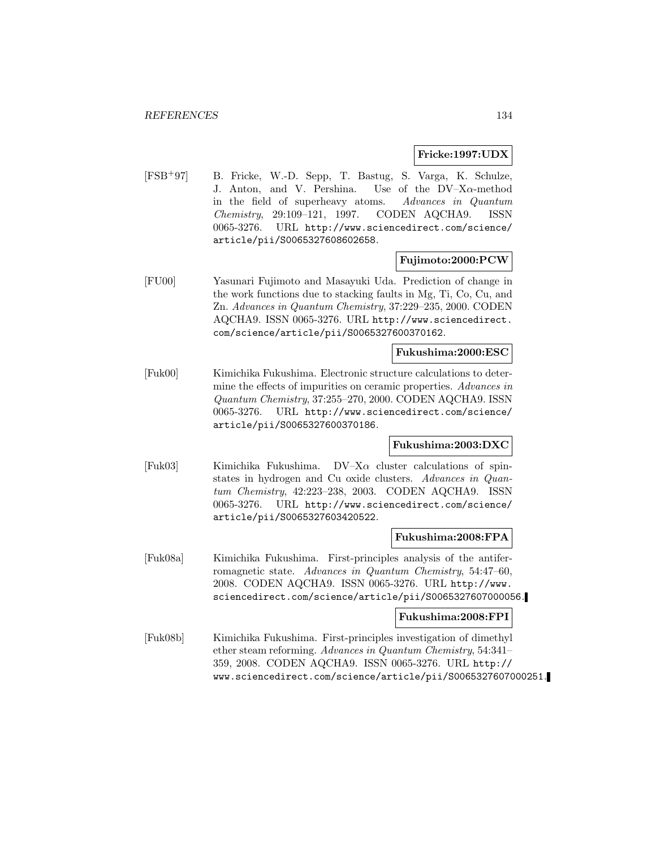### **Fricke:1997:UDX**

[FSB<sup>+</sup>97] B. Fricke, W.-D. Sepp, T. Bastug, S. Varga, K. Schulze, J. Anton, and V. Pershina. Use of the  $DV-X\alpha$ -method in the field of superheavy atoms. Advances in Quantum Chemistry, 29:109–121, 1997. CODEN AQCHA9. ISSN 0065-3276. URL http://www.sciencedirect.com/science/ article/pii/S0065327608602658.

## **Fujimoto:2000:PCW**

[FU00] Yasunari Fujimoto and Masayuki Uda. Prediction of change in the work functions due to stacking faults in Mg, Ti, Co, Cu, and Zn. Advances in Quantum Chemistry, 37:229–235, 2000. CODEN AQCHA9. ISSN 0065-3276. URL http://www.sciencedirect. com/science/article/pii/S0065327600370162.

### **Fukushima:2000:ESC**

[Fuk00] Kimichika Fukushima. Electronic structure calculations to determine the effects of impurities on ceramic properties. Advances in Quantum Chemistry, 37:255–270, 2000. CODEN AQCHA9. ISSN 0065-3276. URL http://www.sciencedirect.com/science/ article/pii/S0065327600370186.

# **Fukushima:2003:DXC**

[Fuk03] Kimichika Fukushima.  $DV-X\alpha$  cluster calculations of spinstates in hydrogen and Cu oxide clusters. Advances in Quantum Chemistry, 42:223–238, 2003. CODEN AQCHA9. ISSN 0065-3276. URL http://www.sciencedirect.com/science/ article/pii/S0065327603420522.

## **Fukushima:2008:FPA**

[Fuk08a] Kimichika Fukushima. First-principles analysis of the antiferromagnetic state. Advances in Quantum Chemistry, 54:47–60, 2008. CODEN AQCHA9. ISSN 0065-3276. URL http://www. sciencedirect.com/science/article/pii/S0065327607000056.

## **Fukushima:2008:FPI**

[Fuk08b] Kimichika Fukushima. First-principles investigation of dimethyl ether steam reforming. Advances in Quantum Chemistry, 54:341– 359, 2008. CODEN AQCHA9. ISSN 0065-3276. URL http:// www.sciencedirect.com/science/article/pii/S0065327607000251.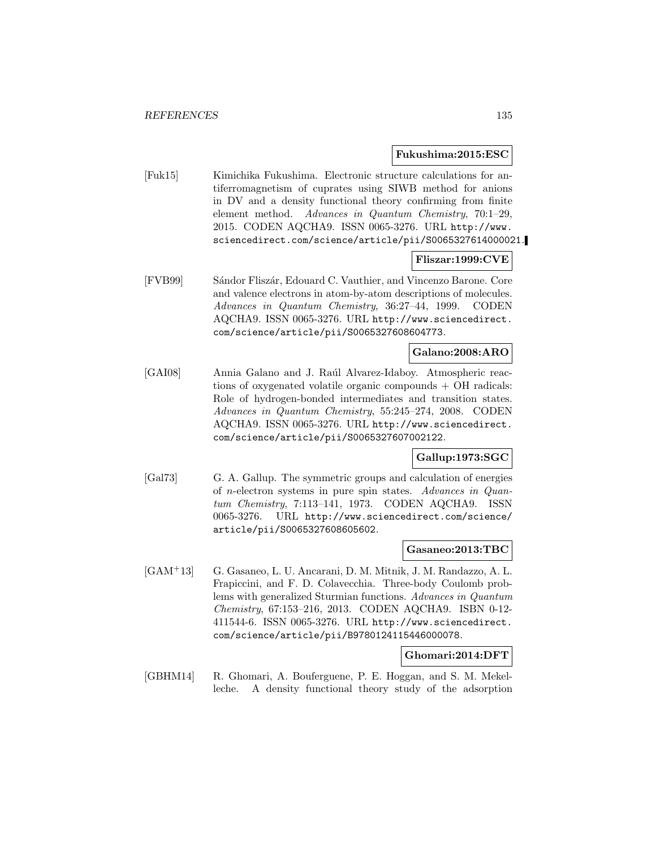### **Fukushima:2015:ESC**

[Fuk15] Kimichika Fukushima. Electronic structure calculations for antiferromagnetism of cuprates using SIWB method for anions in DV and a density functional theory confirming from finite element method. Advances in Quantum Chemistry, 70:1–29, 2015. CODEN AQCHA9. ISSN 0065-3276. URL http://www. sciencedirect.com/science/article/pii/S0065327614000021.

## **Fliszar:1999:CVE**

[FVB99] Sándor Fliszár, Edouard C. Vauthier, and Vincenzo Barone. Core and valence electrons in atom-by-atom descriptions of molecules. Advances in Quantum Chemistry, 36:27–44, 1999. CODEN AQCHA9. ISSN 0065-3276. URL http://www.sciencedirect. com/science/article/pii/S0065327608604773.

## **Galano:2008:ARO**

[GAI08] Annia Galano and J. Raúl Alvarez-Idaboy. Atmospheric reactions of oxygenated volatile organic compounds + OH radicals: Role of hydrogen-bonded intermediates and transition states. Advances in Quantum Chemistry, 55:245–274, 2008. CODEN AQCHA9. ISSN 0065-3276. URL http://www.sciencedirect. com/science/article/pii/S0065327607002122.

## **Gallup:1973:SGC**

[Gal73] G. A. Gallup. The symmetric groups and calculation of energies of n-electron systems in pure spin states. Advances in Quantum Chemistry, 7:113–141, 1973. CODEN AQCHA9. ISSN 0065-3276. URL http://www.sciencedirect.com/science/ article/pii/S0065327608605602.

### **Gasaneo:2013:TBC**

[GAM<sup>+</sup>13] G. Gasaneo, L. U. Ancarani, D. M. Mitnik, J. M. Randazzo, A. L. Frapiccini, and F. D. Colavecchia. Three-body Coulomb problems with generalized Sturmian functions. Advances in Quantum Chemistry, 67:153–216, 2013. CODEN AQCHA9. ISBN 0-12- 411544-6. ISSN 0065-3276. URL http://www.sciencedirect. com/science/article/pii/B9780124115446000078.

### **Ghomari:2014:DFT**

[GBHM14] R. Ghomari, A. Bouferguene, P. E. Hoggan, and S. M. Mekelleche. A density functional theory study of the adsorption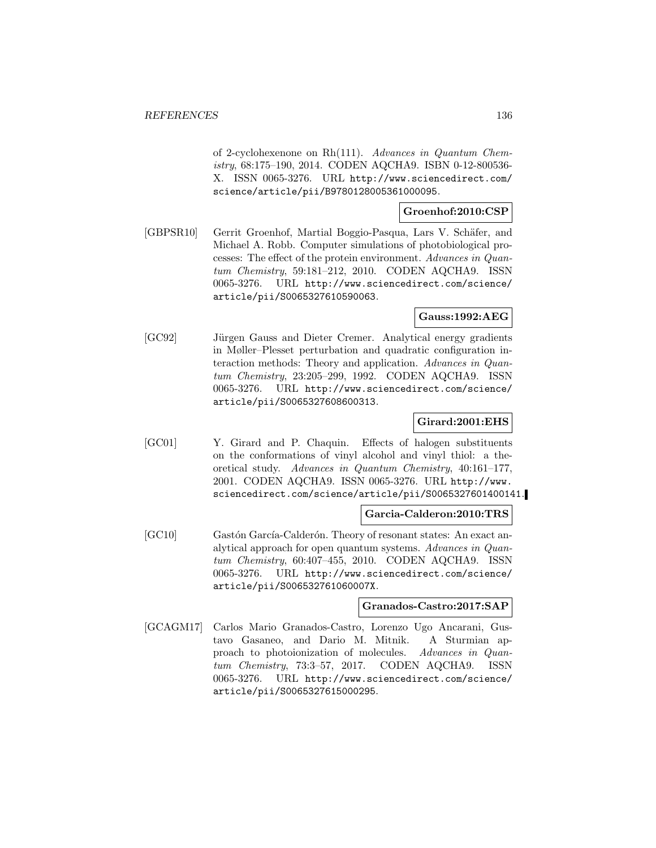of 2-cyclohexenone on Rh(111). Advances in Quantum Chemistry, 68:175–190, 2014. CODEN AQCHA9. ISBN 0-12-800536- X. ISSN 0065-3276. URL http://www.sciencedirect.com/ science/article/pii/B9780128005361000095.

## **Groenhof:2010:CSP**

[GBPSR10] Gerrit Groenhof, Martial Boggio-Pasqua, Lars V. Schäfer, and Michael A. Robb. Computer simulations of photobiological processes: The effect of the protein environment. Advances in Quantum Chemistry, 59:181–212, 2010. CODEN AQCHA9. ISSN 0065-3276. URL http://www.sciencedirect.com/science/ article/pii/S0065327610590063.

# **Gauss:1992:AEG**

[GC92] Jürgen Gauss and Dieter Cremer. Analytical energy gradients in Møller–Plesset perturbation and quadratic configuration interaction methods: Theory and application. Advances in Quantum Chemistry, 23:205–299, 1992. CODEN AQCHA9. ISSN 0065-3276. URL http://www.sciencedirect.com/science/ article/pii/S0065327608600313.

### **Girard:2001:EHS**

[GC01] Y. Girard and P. Chaquin. Effects of halogen substituents on the conformations of vinyl alcohol and vinyl thiol: a theoretical study. Advances in Quantum Chemistry, 40:161–177, 2001. CODEN AQCHA9. ISSN 0065-3276. URL http://www. sciencedirect.com/science/article/pii/S0065327601400141.

### **Garcia-Calderon:2010:TRS**

[GC10] Gastón García-Calderón. Theory of resonant states: An exact analytical approach for open quantum systems. Advances in Quantum Chemistry, 60:407–455, 2010. CODEN AQCHA9. ISSN 0065-3276. URL http://www.sciencedirect.com/science/ article/pii/S006532761060007X.

### **Granados-Castro:2017:SAP**

[GCAGM17] Carlos Mario Granados-Castro, Lorenzo Ugo Ancarani, Gustavo Gasaneo, and Dario M. Mitnik. A Sturmian approach to photoionization of molecules. Advances in Quantum Chemistry, 73:3–57, 2017. CODEN AQCHA9. ISSN 0065-3276. URL http://www.sciencedirect.com/science/ article/pii/S0065327615000295.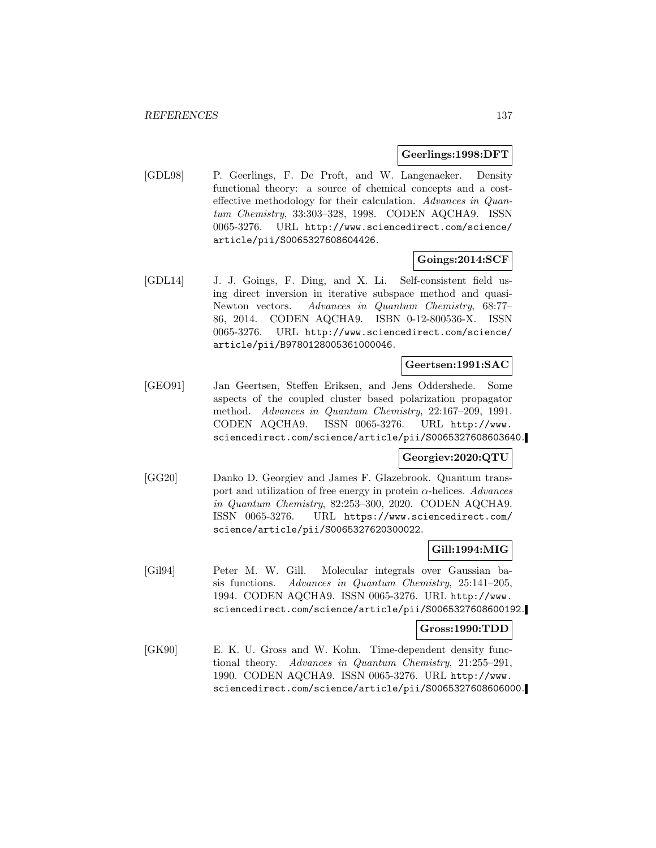### **Geerlings:1998:DFT**

[GDL98] P. Geerlings, F. De Proft, and W. Langenaeker. Density functional theory: a source of chemical concepts and a costeffective methodology for their calculation. Advances in Quantum Chemistry, 33:303–328, 1998. CODEN AQCHA9. ISSN 0065-3276. URL http://www.sciencedirect.com/science/ article/pii/S0065327608604426.

## **Goings:2014:SCF**

[GDL14] J. J. Goings, F. Ding, and X. Li. Self-consistent field using direct inversion in iterative subspace method and quasi-Newton vectors. Advances in Quantum Chemistry, 68:77– 86, 2014. CODEN AQCHA9. ISBN 0-12-800536-X. ISSN 0065-3276. URL http://www.sciencedirect.com/science/ article/pii/B9780128005361000046.

### **Geertsen:1991:SAC**

[GEO91] Jan Geertsen, Steffen Eriksen, and Jens Oddershede. Some aspects of the coupled cluster based polarization propagator method. Advances in Quantum Chemistry, 22:167–209, 1991. CODEN AQCHA9. ISSN 0065-3276. URL http://www. sciencedirect.com/science/article/pii/S0065327608603640.

## **Georgiev:2020:QTU**

[GG20] Danko D. Georgiev and James F. Glazebrook. Quantum transport and utilization of free energy in protein  $\alpha$ -helices. Advances in Quantum Chemistry, 82:253–300, 2020. CODEN AQCHA9. ISSN 0065-3276. URL https://www.sciencedirect.com/ science/article/pii/S0065327620300022.

## **Gill:1994:MIG**

[Gil94] Peter M. W. Gill. Molecular integrals over Gaussian basis functions. Advances in Quantum Chemistry, 25:141–205, 1994. CODEN AQCHA9. ISSN 0065-3276. URL http://www. sciencedirect.com/science/article/pii/S0065327608600192.

### **Gross:1990:TDD**

[GK90] E. K. U. Gross and W. Kohn. Time-dependent density functional theory. Advances in Quantum Chemistry, 21:255–291, 1990. CODEN AQCHA9. ISSN 0065-3276. URL http://www. sciencedirect.com/science/article/pii/S0065327608606000.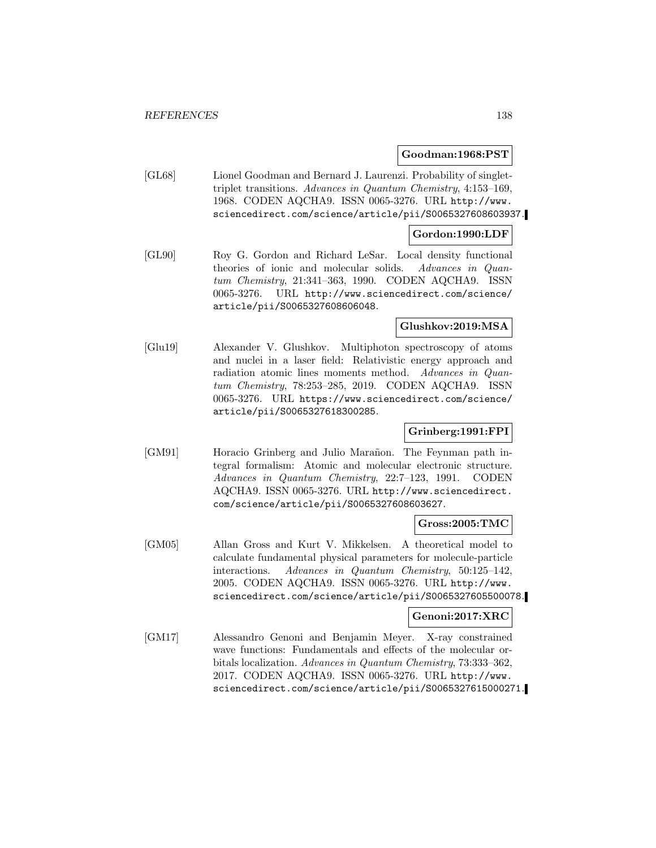### **Goodman:1968:PST**

[GL68] Lionel Goodman and Bernard J. Laurenzi. Probability of singlettriplet transitions. Advances in Quantum Chemistry, 4:153–169, 1968. CODEN AQCHA9. ISSN 0065-3276. URL http://www. sciencedirect.com/science/article/pii/S0065327608603937.

### **Gordon:1990:LDF**

[GL90] Roy G. Gordon and Richard LeSar. Local density functional theories of ionic and molecular solids. Advances in Quantum Chemistry, 21:341–363, 1990. CODEN AQCHA9. ISSN 0065-3276. URL http://www.sciencedirect.com/science/ article/pii/S0065327608606048.

## **Glushkov:2019:MSA**

[Glu19] Alexander V. Glushkov. Multiphoton spectroscopy of atoms and nuclei in a laser field: Relativistic energy approach and radiation atomic lines moments method. Advances in Quantum Chemistry, 78:253–285, 2019. CODEN AQCHA9. ISSN 0065-3276. URL https://www.sciencedirect.com/science/ article/pii/S0065327618300285.

# **Grinberg:1991:FPI**

[GM91] Horacio Grinberg and Julio Marañon. The Feynman path integral formalism: Atomic and molecular electronic structure. Advances in Quantum Chemistry, 22:7–123, 1991. CODEN AQCHA9. ISSN 0065-3276. URL http://www.sciencedirect. com/science/article/pii/S0065327608603627.

### **Gross:2005:TMC**

[GM05] Allan Gross and Kurt V. Mikkelsen. A theoretical model to calculate fundamental physical parameters for molecule-particle interactions. Advances in Quantum Chemistry, 50:125–142, 2005. CODEN AQCHA9. ISSN 0065-3276. URL http://www. sciencedirect.com/science/article/pii/S0065327605500078.

## **Genoni:2017:XRC**

[GM17] Alessandro Genoni and Benjamin Meyer. X-ray constrained wave functions: Fundamentals and effects of the molecular orbitals localization. Advances in Quantum Chemistry, 73:333–362, 2017. CODEN AQCHA9. ISSN 0065-3276. URL http://www. sciencedirect.com/science/article/pii/S0065327615000271.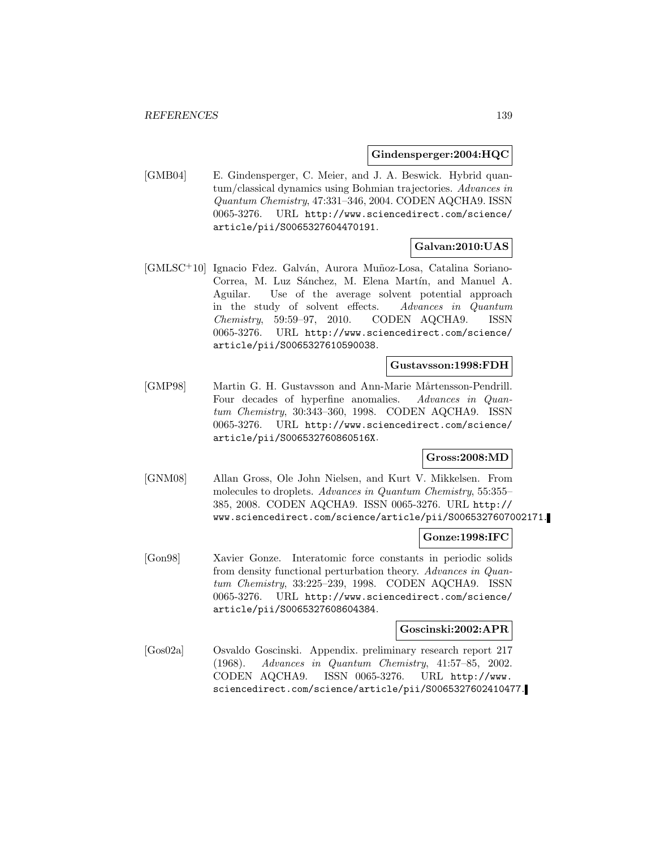### **Gindensperger:2004:HQC**

[GMB04] E. Gindensperger, C. Meier, and J. A. Beswick. Hybrid quantum/classical dynamics using Bohmian trajectories. Advances in Quantum Chemistry, 47:331–346, 2004. CODEN AQCHA9. ISSN 0065-3276. URL http://www.sciencedirect.com/science/ article/pii/S0065327604470191.

# **Galvan:2010:UAS**

[GMLSC+10] Ignacio Fdez. Galván, Aurora Muñoz-Losa, Catalina Soriano-Correa, M. Luz Sánchez, M. Elena Martín, and Manuel A. Aguilar. Use of the average solvent potential approach in the study of solvent effects. Advances in Quantum Chemistry, 59:59–97, 2010. CODEN AQCHA9. ISSN 0065-3276. URL http://www.sciencedirect.com/science/ article/pii/S0065327610590038.

## **Gustavsson:1998:FDH**

[GMP98] Martin G. H. Gustavsson and Ann-Marie Mårtensson-Pendrill. Four decades of hyperfine anomalies. Advances in Quantum Chemistry, 30:343–360, 1998. CODEN AQCHA9. ISSN 0065-3276. URL http://www.sciencedirect.com/science/ article/pii/S006532760860516X.

## **Gross:2008:MD**

[GNM08] Allan Gross, Ole John Nielsen, and Kurt V. Mikkelsen. From molecules to droplets. Advances in Quantum Chemistry, 55:355– 385, 2008. CODEN AQCHA9. ISSN 0065-3276. URL http:// www.sciencedirect.com/science/article/pii/S0065327607002171.

## **Gonze:1998:IFC**

[Gon98] Xavier Gonze. Interatomic force constants in periodic solids from density functional perturbation theory. Advances in Quantum Chemistry, 33:225–239, 1998. CODEN AQCHA9. ISSN 0065-3276. URL http://www.sciencedirect.com/science/ article/pii/S0065327608604384.

### **Goscinski:2002:APR**

[Gos02a] Osvaldo Goscinski. Appendix. preliminary research report 217 (1968). Advances in Quantum Chemistry, 41:57–85, 2002. CODEN AQCHA9. ISSN 0065-3276. URL http://www. sciencedirect.com/science/article/pii/S0065327602410477.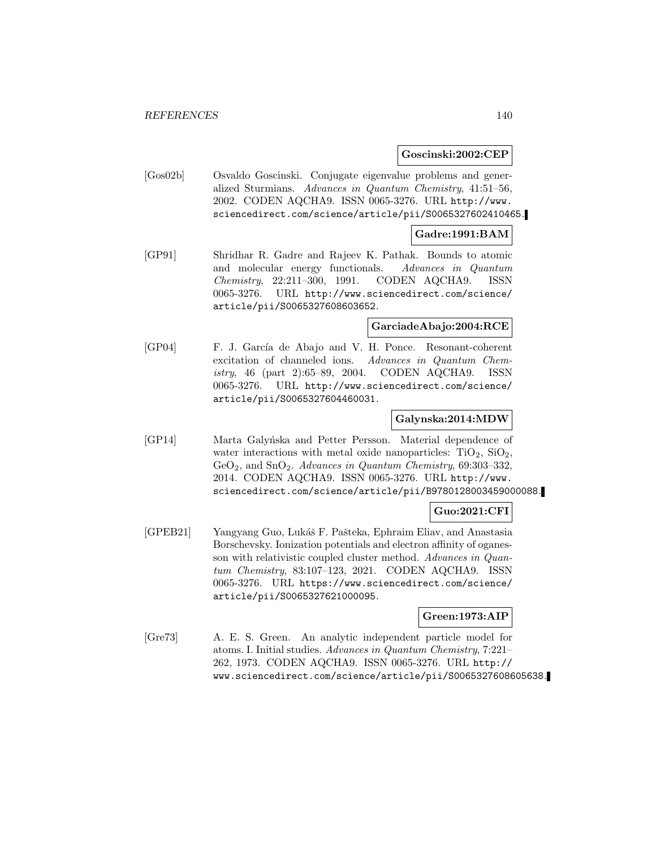### **Goscinski:2002:CEP**

[Gos02b] Osvaldo Goscinski. Conjugate eigenvalue problems and generalized Sturmians. Advances in Quantum Chemistry, 41:51–56, 2002. CODEN AQCHA9. ISSN 0065-3276. URL http://www. sciencedirect.com/science/article/pii/S0065327602410465.

## **Gadre:1991:BAM**

[GP91] Shridhar R. Gadre and Rajeev K. Pathak. Bounds to atomic and molecular energy functionals. Advances in Quantum Chemistry, 22:211–300, 1991. CODEN AQCHA9. ISSN 0065-3276. URL http://www.sciencedirect.com/science/ article/pii/S0065327608603652.

### **GarciadeAbajo:2004:RCE**

[GP04] F. J. García de Abajo and V. H. Ponce. Resonant-coherent excitation of channeled ions. Advances in Quantum Chemistry, 46 (part 2):65–89, 2004. CODEN AQCHA9. ISSN 0065-3276. URL http://www.sciencedirect.com/science/ article/pii/S0065327604460031.

## **Galynska:2014:MDW**

[GP14] Marta Galyńska and Petter Persson. Material dependence of water interactions with metal oxide nanoparticles:  $TiO<sub>2</sub>$ ,  $SiO<sub>2</sub>$ ,  $GeO<sub>2</sub>$ , and  $SnO<sub>2</sub>$ . Advances in Quantum Chemistry, 69:303-332, 2014. CODEN AQCHA9. ISSN 0065-3276. URL http://www. sciencedirect.com/science/article/pii/B9780128003459000088.

## **Guo:2021:CFI**

[GPEB21] Yangyang Guo, Lukáš F. Pašteka, Ephraim Eliav, and Anastasia Borschevsky. Ionization potentials and electron affinity of oganesson with relativistic coupled cluster method. Advances in Quantum Chemistry, 83:107–123, 2021. CODEN AQCHA9. ISSN 0065-3276. URL https://www.sciencedirect.com/science/ article/pii/S0065327621000095.

## **Green:1973:AIP**

[Gre73] A. E. S. Green. An analytic independent particle model for atoms. I. Initial studies. Advances in Quantum Chemistry, 7:221– 262, 1973. CODEN AQCHA9. ISSN 0065-3276. URL http:// www.sciencedirect.com/science/article/pii/S0065327608605638.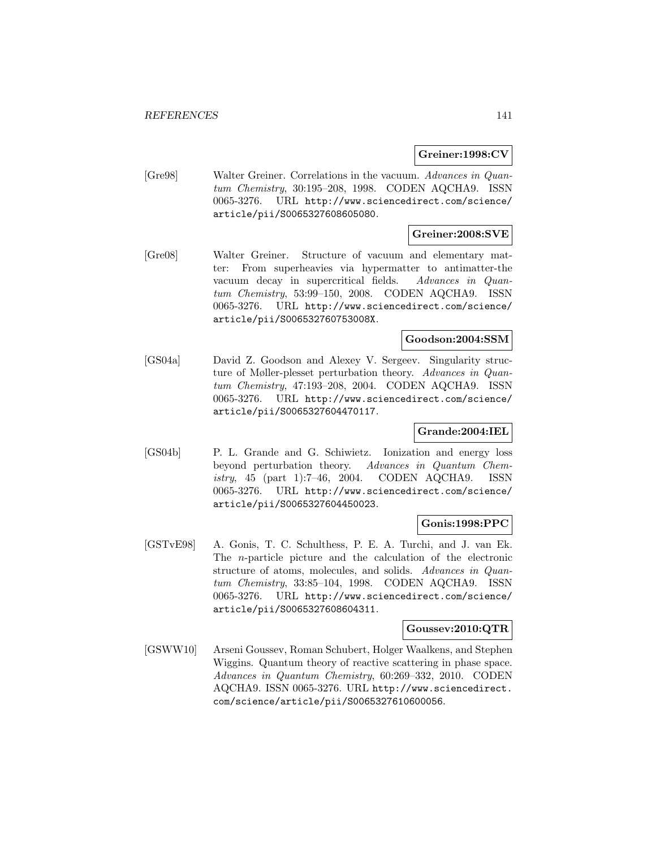## **Greiner:1998:CV**

[Gre98] Walter Greiner. Correlations in the vacuum. Advances in Quantum Chemistry, 30:195–208, 1998. CODEN AQCHA9. ISSN 0065-3276. URL http://www.sciencedirect.com/science/ article/pii/S0065327608605080.

# **Greiner:2008:SVE**

[Gre08] Walter Greiner. Structure of vacuum and elementary matter: From superheavies via hypermatter to antimatter-the vacuum decay in supercritical fields. Advances in Quantum Chemistry, 53:99–150, 2008. CODEN AQCHA9. ISSN 0065-3276. URL http://www.sciencedirect.com/science/ article/pii/S006532760753008X.

# **Goodson:2004:SSM**

[GS04a] David Z. Goodson and Alexey V. Sergeev. Singularity structure of Møller-plesset perturbation theory. Advances in Quantum Chemistry, 47:193–208, 2004. CODEN AQCHA9. ISSN 0065-3276. URL http://www.sciencedirect.com/science/ article/pii/S0065327604470117.

# **Grande:2004:IEL**

[GS04b] P. L. Grande and G. Schiwietz. Ionization and energy loss beyond perturbation theory. Advances in Quantum Chemistry, 45 (part 1):7–46, 2004. CODEN AQCHA9. ISSN 0065-3276. URL http://www.sciencedirect.com/science/ article/pii/S0065327604450023.

### **Gonis:1998:PPC**

[GSTvE98] A. Gonis, T. C. Schulthess, P. E. A. Turchi, and J. van Ek. The n-particle picture and the calculation of the electronic structure of atoms, molecules, and solids. Advances in Quantum Chemistry, 33:85–104, 1998. CODEN AQCHA9. ISSN 0065-3276. URL http://www.sciencedirect.com/science/ article/pii/S0065327608604311.

### **Goussev:2010:QTR**

[GSWW10] Arseni Goussev, Roman Schubert, Holger Waalkens, and Stephen Wiggins. Quantum theory of reactive scattering in phase space. Advances in Quantum Chemistry, 60:269–332, 2010. CODEN AQCHA9. ISSN 0065-3276. URL http://www.sciencedirect. com/science/article/pii/S0065327610600056.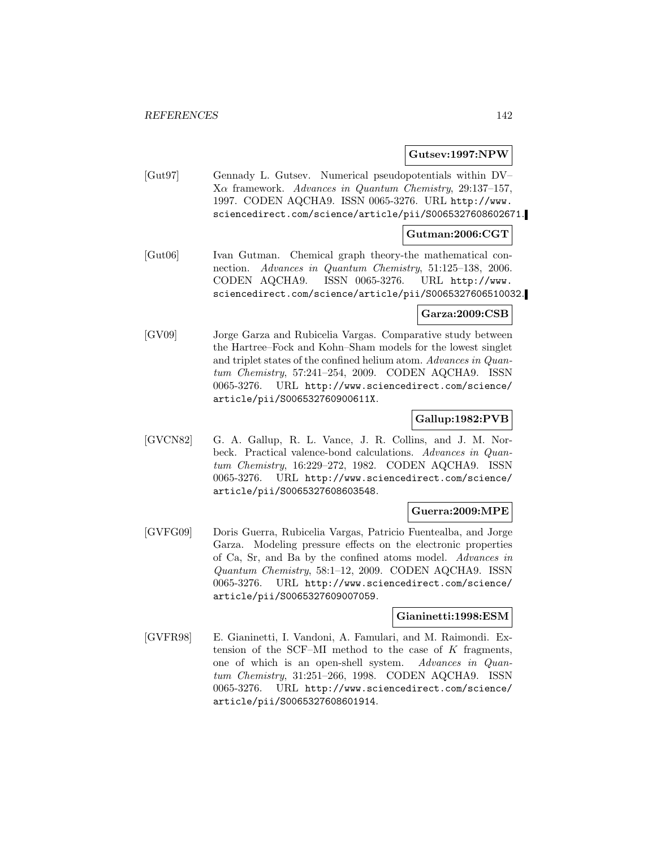### **Gutsev:1997:NPW**

[Gut97] Gennady L. Gutsev. Numerical pseudopotentials within DV– Xα framework. Advances in Quantum Chemistry, 29:137–157, 1997. CODEN AQCHA9. ISSN 0065-3276. URL http://www. sciencedirect.com/science/article/pii/S0065327608602671.

### **Gutman:2006:CGT**

[Gut06] Ivan Gutman. Chemical graph theory-the mathematical connection. Advances in Quantum Chemistry, 51:125–138, 2006. CODEN AQCHA9. ISSN 0065-3276. URL http://www. sciencedirect.com/science/article/pii/S0065327606510032.

## **Garza:2009:CSB**

[GV09] Jorge Garza and Rubicelia Vargas. Comparative study between the Hartree–Fock and Kohn–Sham models for the lowest singlet and triplet states of the confined helium atom. Advances in Quantum Chemistry, 57:241–254, 2009. CODEN AQCHA9. ISSN 0065-3276. URL http://www.sciencedirect.com/science/ article/pii/S006532760900611X.

## **Gallup:1982:PVB**

[GVCN82] G. A. Gallup, R. L. Vance, J. R. Collins, and J. M. Norbeck. Practical valence-bond calculations. Advances in Quantum Chemistry, 16:229–272, 1982. CODEN AQCHA9. ISSN 0065-3276. URL http://www.sciencedirect.com/science/ article/pii/S0065327608603548.

## **Guerra:2009:MPE**

[GVFG09] Doris Guerra, Rubicelia Vargas, Patricio Fuentealba, and Jorge Garza. Modeling pressure effects on the electronic properties of Ca, Sr, and Ba by the confined atoms model. Advances in Quantum Chemistry, 58:1–12, 2009. CODEN AQCHA9. ISSN 0065-3276. URL http://www.sciencedirect.com/science/ article/pii/S0065327609007059.

## **Gianinetti:1998:ESM**

[GVFR98] E. Gianinetti, I. Vandoni, A. Famulari, and M. Raimondi. Extension of the SCF–MI method to the case of  $K$  fragments, one of which is an open-shell system. Advances in Quantum Chemistry, 31:251–266, 1998. CODEN AQCHA9. ISSN 0065-3276. URL http://www.sciencedirect.com/science/ article/pii/S0065327608601914.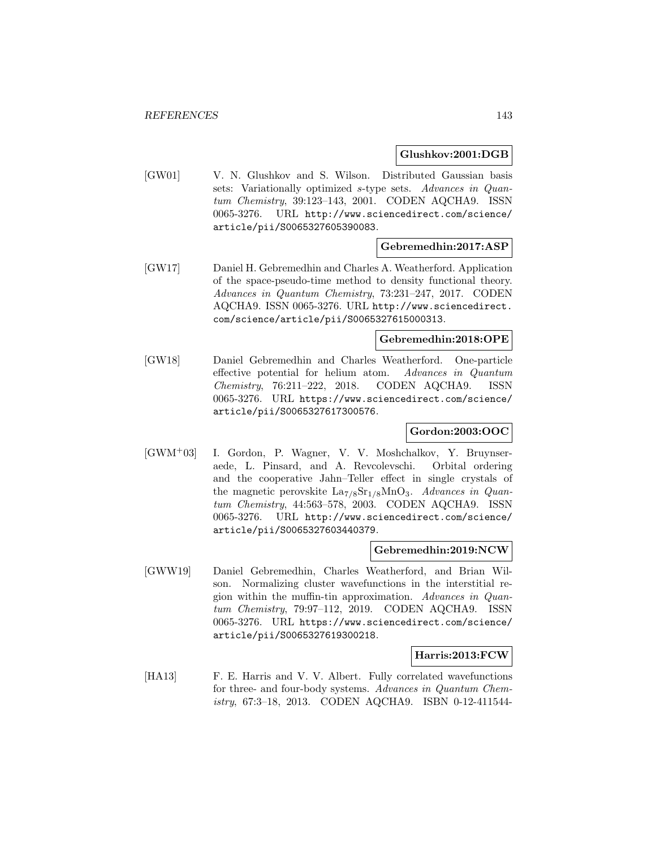### **Glushkov:2001:DGB**

[GW01] V. N. Glushkov and S. Wilson. Distributed Gaussian basis sets: Variationally optimized s-type sets. Advances in Quantum Chemistry, 39:123–143, 2001. CODEN AQCHA9. ISSN 0065-3276. URL http://www.sciencedirect.com/science/ article/pii/S0065327605390083.

# **Gebremedhin:2017:ASP**

[GW17] Daniel H. Gebremedhin and Charles A. Weatherford. Application of the space-pseudo-time method to density functional theory. Advances in Quantum Chemistry, 73:231–247, 2017. CODEN AQCHA9. ISSN 0065-3276. URL http://www.sciencedirect. com/science/article/pii/S0065327615000313.

## **Gebremedhin:2018:OPE**

[GW18] Daniel Gebremedhin and Charles Weatherford. One-particle effective potential for helium atom. Advances in Quantum Chemistry, 76:211–222, 2018. CODEN AQCHA9. ISSN 0065-3276. URL https://www.sciencedirect.com/science/ article/pii/S0065327617300576.

## **Gordon:2003:OOC**

[GWM<sup>+</sup>03] I. Gordon, P. Wagner, V. V. Moshchalkov, Y. Bruynseraede, L. Pinsard, and A. Revcolevschi. Orbital ordering and the cooperative Jahn–Teller effect in single crystals of the magnetic perovskite  $La_{7/8}Sr_{1/8}MnO_3$ . Advances in Quantum Chemistry, 44:563–578, 2003. CODEN AQCHA9. ISSN 0065-3276. URL http://www.sciencedirect.com/science/ article/pii/S0065327603440379.

### **Gebremedhin:2019:NCW**

[GWW19] Daniel Gebremedhin, Charles Weatherford, and Brian Wilson. Normalizing cluster wavefunctions in the interstitial region within the muffin-tin approximation. Advances in Quantum Chemistry, 79:97–112, 2019. CODEN AQCHA9. ISSN 0065-3276. URL https://www.sciencedirect.com/science/ article/pii/S0065327619300218.

## **Harris:2013:FCW**

[HA13] F. E. Harris and V. V. Albert. Fully correlated wavefunctions for three- and four-body systems. Advances in Quantum Chemistry, 67:3–18, 2013. CODEN AQCHA9. ISBN 0-12-411544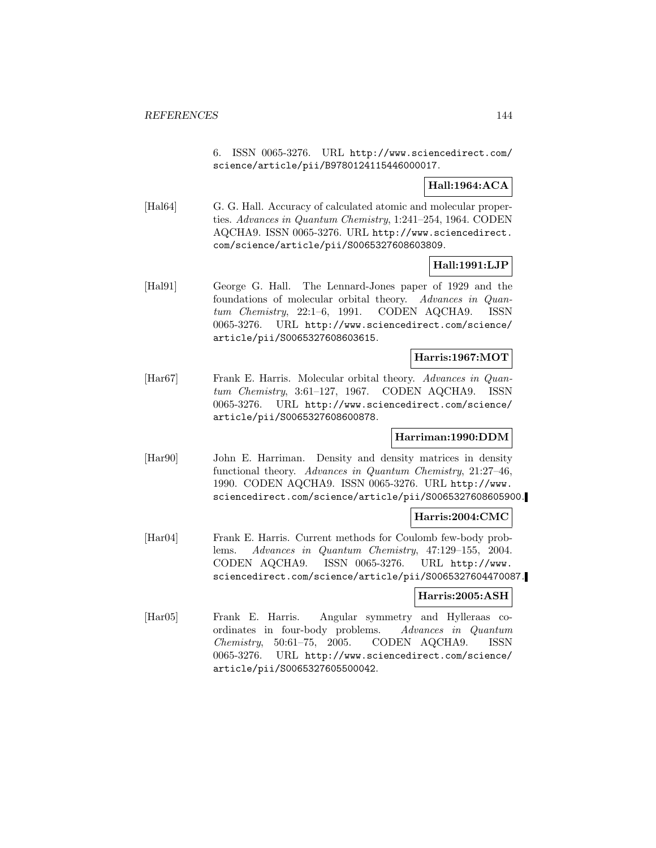6. ISSN 0065-3276. URL http://www.sciencedirect.com/ science/article/pii/B9780124115446000017.

# **Hall:1964:ACA**

[Hal64] G. G. Hall. Accuracy of calculated atomic and molecular properties. Advances in Quantum Chemistry, 1:241–254, 1964. CODEN AQCHA9. ISSN 0065-3276. URL http://www.sciencedirect. com/science/article/pii/S0065327608603809.

# **Hall:1991:LJP**

[Hal91] George G. Hall. The Lennard-Jones paper of 1929 and the foundations of molecular orbital theory. Advances in Quantum Chemistry, 22:1–6, 1991. CODEN AQCHA9. ISSN 0065-3276. URL http://www.sciencedirect.com/science/ article/pii/S0065327608603615.

## **Harris:1967:MOT**

[Har67] Frank E. Harris. Molecular orbital theory. Advances in Quantum Chemistry, 3:61–127, 1967. CODEN AQCHA9. ISSN 0065-3276. URL http://www.sciencedirect.com/science/ article/pii/S0065327608600878.

## **Harriman:1990:DDM**

[Har90] John E. Harriman. Density and density matrices in density functional theory. Advances in Quantum Chemistry, 21:27–46, 1990. CODEN AQCHA9. ISSN 0065-3276. URL http://www. sciencedirect.com/science/article/pii/S0065327608605900.

### **Harris:2004:CMC**

[Har04] Frank E. Harris. Current methods for Coulomb few-body problems. Advances in Quantum Chemistry, 47:129–155, 2004. CODEN AQCHA9. ISSN 0065-3276. URL http://www. sciencedirect.com/science/article/pii/S0065327604470087.

## **Harris:2005:ASH**

[Har05] Frank E. Harris. Angular symmetry and Hylleraas coordinates in four-body problems. Advances in Quantum Chemistry, 50:61–75, 2005. CODEN AQCHA9. ISSN 0065-3276. URL http://www.sciencedirect.com/science/ article/pii/S0065327605500042.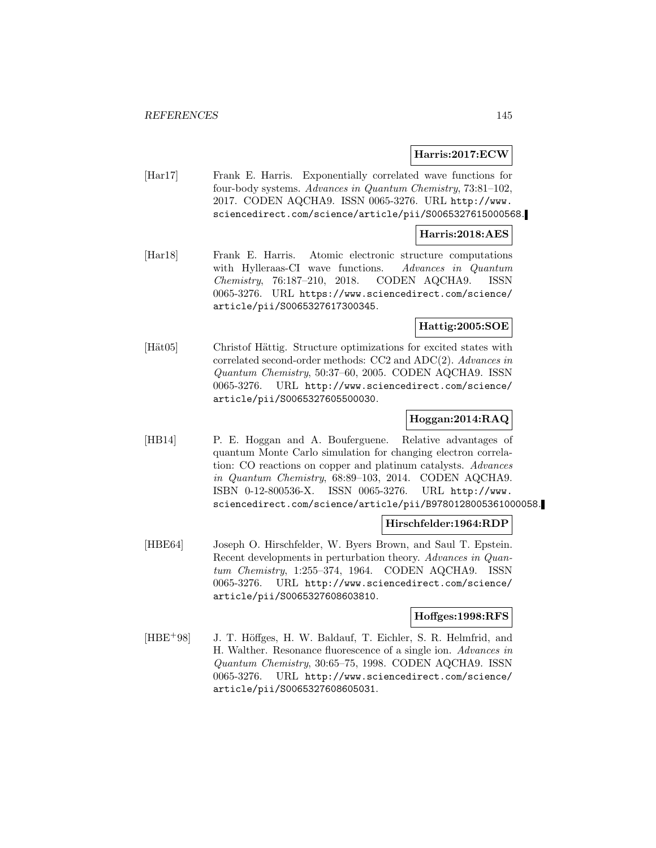### **Harris:2017:ECW**

[Har17] Frank E. Harris. Exponentially correlated wave functions for four-body systems. Advances in Quantum Chemistry, 73:81–102, 2017. CODEN AQCHA9. ISSN 0065-3276. URL http://www. sciencedirect.com/science/article/pii/S0065327615000568.

#### **Harris:2018:AES**

[Har18] Frank E. Harris. Atomic electronic structure computations with Hylleraas-CI wave functions. Advances in Quantum Chemistry, 76:187–210, 2018. CODEN AQCHA9. ISSN 0065-3276. URL https://www.sciencedirect.com/science/ article/pii/S0065327617300345.

## **Hattig:2005:SOE**

[Hät05] Christof Hättig. Structure optimizations for excited states with correlated second-order methods: CC2 and ADC(2). Advances in Quantum Chemistry, 50:37–60, 2005. CODEN AQCHA9. ISSN 0065-3276. URL http://www.sciencedirect.com/science/ article/pii/S0065327605500030.

# **Hoggan:2014:RAQ**

[HB14] P. E. Hoggan and A. Bouferguene. Relative advantages of quantum Monte Carlo simulation for changing electron correlation: CO reactions on copper and platinum catalysts. Advances in Quantum Chemistry, 68:89–103, 2014. CODEN AQCHA9. ISBN 0-12-800536-X. ISSN 0065-3276. URL http://www. sciencedirect.com/science/article/pii/B9780128005361000058.

## **Hirschfelder:1964:RDP**

[HBE64] Joseph O. Hirschfelder, W. Byers Brown, and Saul T. Epstein. Recent developments in perturbation theory. Advances in Quantum Chemistry, 1:255–374, 1964. CODEN AQCHA9. ISSN 0065-3276. URL http://www.sciencedirect.com/science/ article/pii/S0065327608603810.

#### **Hoffges:1998:RFS**

[HBE<sup>+98]</sup> J. T. Höffges, H. W. Baldauf, T. Eichler, S. R. Helmfrid, and H. Walther. Resonance fluorescence of a single ion. Advances in Quantum Chemistry, 30:65–75, 1998. CODEN AQCHA9. ISSN 0065-3276. URL http://www.sciencedirect.com/science/ article/pii/S0065327608605031.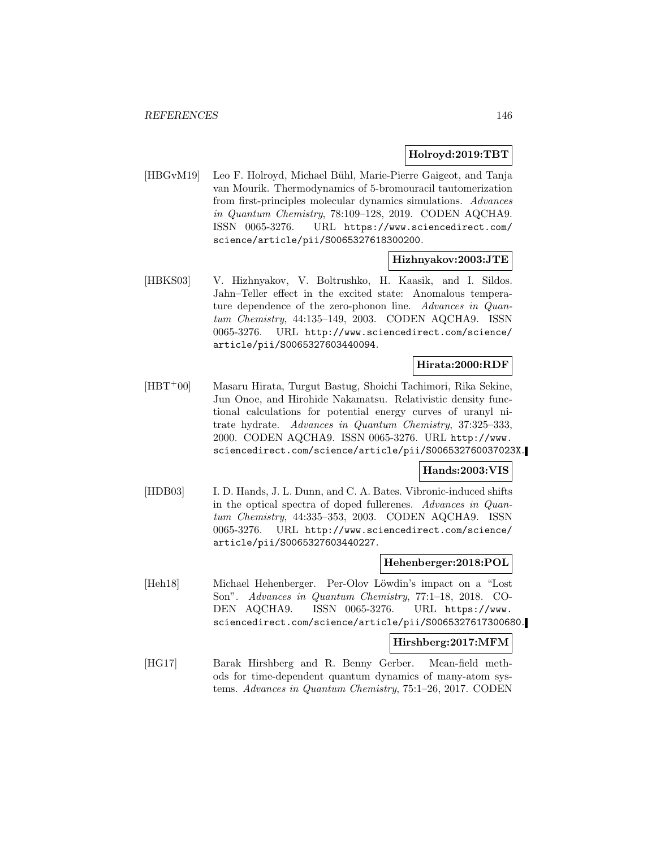## **Holroyd:2019:TBT**

[HBGvM19] Leo F. Holroyd, Michael Bühl, Marie-Pierre Gaigeot, and Tanja van Mourik. Thermodynamics of 5-bromouracil tautomerization from first-principles molecular dynamics simulations. Advances in Quantum Chemistry, 78:109–128, 2019. CODEN AQCHA9. ISSN 0065-3276. URL https://www.sciencedirect.com/ science/article/pii/S0065327618300200.

## **Hizhnyakov:2003:JTE**

[HBKS03] V. Hizhnyakov, V. Boltrushko, H. Kaasik, and I. Sildos. Jahn–Teller effect in the excited state: Anomalous temperature dependence of the zero-phonon line. Advances in Quantum Chemistry, 44:135–149, 2003. CODEN AQCHA9. ISSN 0065-3276. URL http://www.sciencedirect.com/science/ article/pii/S0065327603440094.

# **Hirata:2000:RDF**

[HBT<sup>+</sup>00] Masaru Hirata, Turgut Bastug, Shoichi Tachimori, Rika Sekine, Jun Onoe, and Hirohide Nakamatsu. Relativistic density functional calculations for potential energy curves of uranyl nitrate hydrate. Advances in Quantum Chemistry, 37:325–333, 2000. CODEN AQCHA9. ISSN 0065-3276. URL http://www. sciencedirect.com/science/article/pii/S006532760037023X.

# **Hands:2003:VIS**

[HDB03] I. D. Hands, J. L. Dunn, and C. A. Bates. Vibronic-induced shifts in the optical spectra of doped fullerenes. Advances in Quantum Chemistry, 44:335–353, 2003. CODEN AQCHA9. ISSN 0065-3276. URL http://www.sciencedirect.com/science/ article/pii/S0065327603440227.

## **Hehenberger:2018:POL**

[Heh18] Michael Hehenberger. Per-Olov Löwdin's impact on a "Lost" Son". Advances in Quantum Chemistry, 77:1–18, 2018. CO-DEN AQCHA9. ISSN 0065-3276. URL https://www. sciencedirect.com/science/article/pii/S0065327617300680.

## **Hirshberg:2017:MFM**

[HG17] Barak Hirshberg and R. Benny Gerber. Mean-field methods for time-dependent quantum dynamics of many-atom systems. Advances in Quantum Chemistry, 75:1–26, 2017. CODEN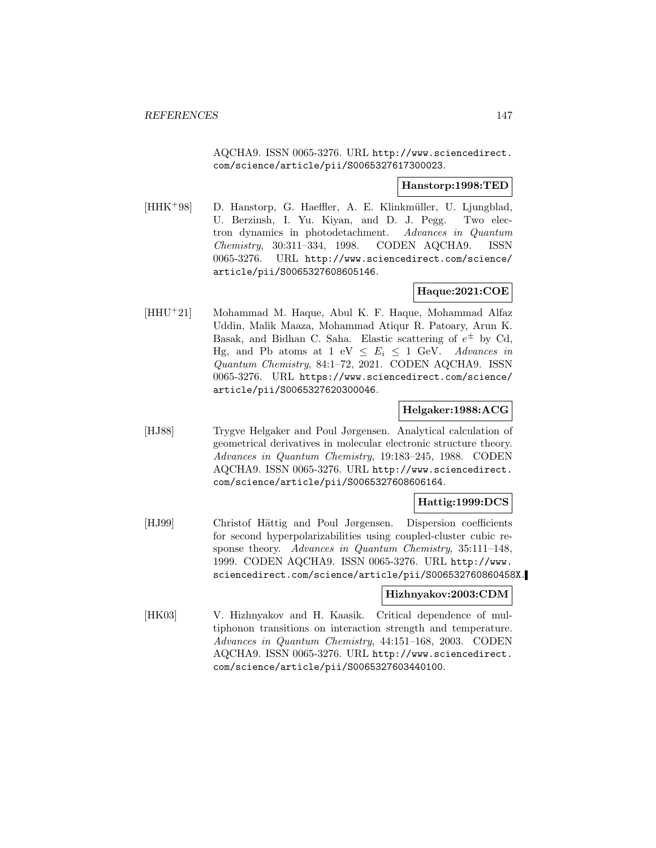AQCHA9. ISSN 0065-3276. URL http://www.sciencedirect. com/science/article/pii/S0065327617300023.

### **Hanstorp:1998:TED**

[HHK+98] D. Hanstorp, G. Haeffler, A. E. Klinkmüller, U. Ljungblad, U. Berzinsh, I. Yu. Kiyan, and D. J. Pegg. Two electron dynamics in photodetachment. Advances in Quantum Chemistry, 30:311–334, 1998. CODEN AQCHA9. ISSN 0065-3276. URL http://www.sciencedirect.com/science/ article/pii/S0065327608605146.

# **Haque:2021:COE**

[HHU<sup>+</sup>21] Mohammad M. Haque, Abul K. F. Haque, Mohammad Alfaz Uddin, Malik Maaza, Mohammad Atiqur R. Patoary, Arun K. Basak, and Bidhan C. Saha. Elastic scattering of  $e^{\pm}$  by Cd, Hg, and Pb atoms at 1 eV  $\leq E_i \leq 1$  GeV. Advances in Quantum Chemistry, 84:1–72, 2021. CODEN AQCHA9. ISSN 0065-3276. URL https://www.sciencedirect.com/science/ article/pii/S0065327620300046.

# **Helgaker:1988:ACG**

[HJ88] Trygve Helgaker and Poul Jørgensen. Analytical calculation of geometrical derivatives in molecular electronic structure theory. Advances in Quantum Chemistry, 19:183–245, 1988. CODEN AQCHA9. ISSN 0065-3276. URL http://www.sciencedirect. com/science/article/pii/S0065327608606164.

## **Hattig:1999:DCS**

[HJ99] Christof Hättig and Poul Jørgensen. Dispersion coefficients for second hyperpolarizabilities using coupled-cluster cubic response theory. Advances in Quantum Chemistry, 35:111–148, 1999. CODEN AQCHA9. ISSN 0065-3276. URL http://www. sciencedirect.com/science/article/pii/S006532760860458X.

## **Hizhnyakov:2003:CDM**

[HK03] V. Hizhnyakov and H. Kaasik. Critical dependence of multiphonon transitions on interaction strength and temperature. Advances in Quantum Chemistry, 44:151–168, 2003. CODEN AQCHA9. ISSN 0065-3276. URL http://www.sciencedirect. com/science/article/pii/S0065327603440100.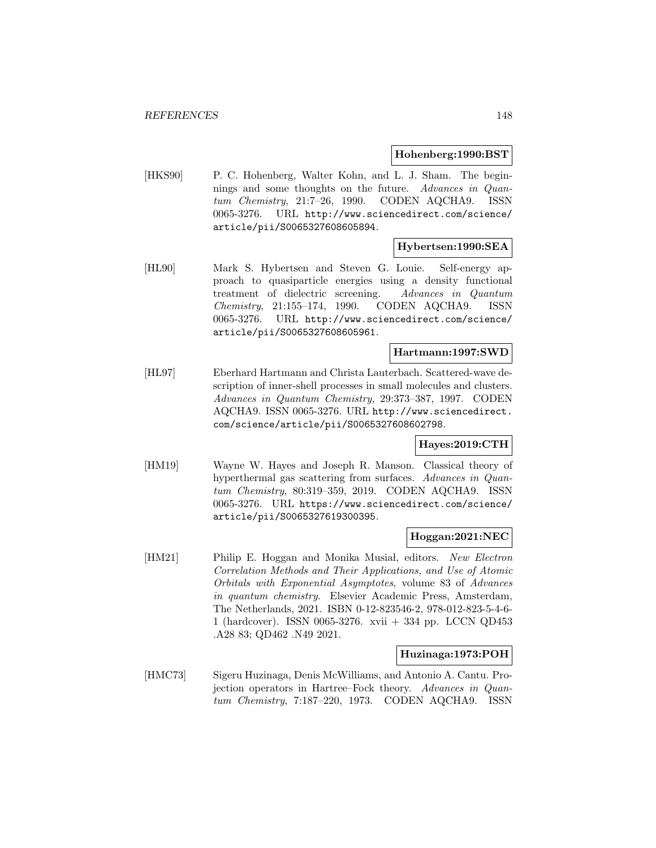#### **Hohenberg:1990:BST**

[HKS90] P. C. Hohenberg, Walter Kohn, and L. J. Sham. The beginnings and some thoughts on the future. Advances in Quantum Chemistry, 21:7–26, 1990. CODEN AQCHA9. ISSN 0065-3276. URL http://www.sciencedirect.com/science/ article/pii/S0065327608605894.

## **Hybertsen:1990:SEA**

[HL90] Mark S. Hybertsen and Steven G. Louie. Self-energy approach to quasiparticle energies using a density functional treatment of dielectric screening. Advances in Quantum Chemistry, 21:155–174, 1990. CODEN AQCHA9. ISSN 0065-3276. URL http://www.sciencedirect.com/science/ article/pii/S0065327608605961.

# **Hartmann:1997:SWD**

[HL97] Eberhard Hartmann and Christa Lauterbach. Scattered-wave description of inner-shell processes in small molecules and clusters. Advances in Quantum Chemistry, 29:373–387, 1997. CODEN AQCHA9. ISSN 0065-3276. URL http://www.sciencedirect. com/science/article/pii/S0065327608602798.

## **Hayes:2019:CTH**

[HM19] Wayne W. Hayes and Joseph R. Manson. Classical theory of hyperthermal gas scattering from surfaces. Advances in Quantum Chemistry, 80:319–359, 2019. CODEN AQCHA9. ISSN 0065-3276. URL https://www.sciencedirect.com/science/ article/pii/S0065327619300395.

#### **Hoggan:2021:NEC**

[HM21] Philip E. Hoggan and Monika Musial, editors. New Electron Correlation Methods and Their Applications, and Use of Atomic Orbitals with Exponential Asymptotes, volume 83 of Advances in quantum chemistry. Elsevier Academic Press, Amsterdam, The Netherlands, 2021. ISBN 0-12-823546-2, 978-012-823-5-4-6- 1 (hardcover). ISSN 0065-3276. xvii + 334 pp. LCCN QD453 .A28 83; QD462 .N49 2021.

# **Huzinaga:1973:POH**

[HMC73] Sigeru Huzinaga, Denis McWilliams, and Antonio A. Cantu. Projection operators in Hartree–Fock theory. Advances in Quantum Chemistry, 7:187–220, 1973. CODEN AQCHA9. ISSN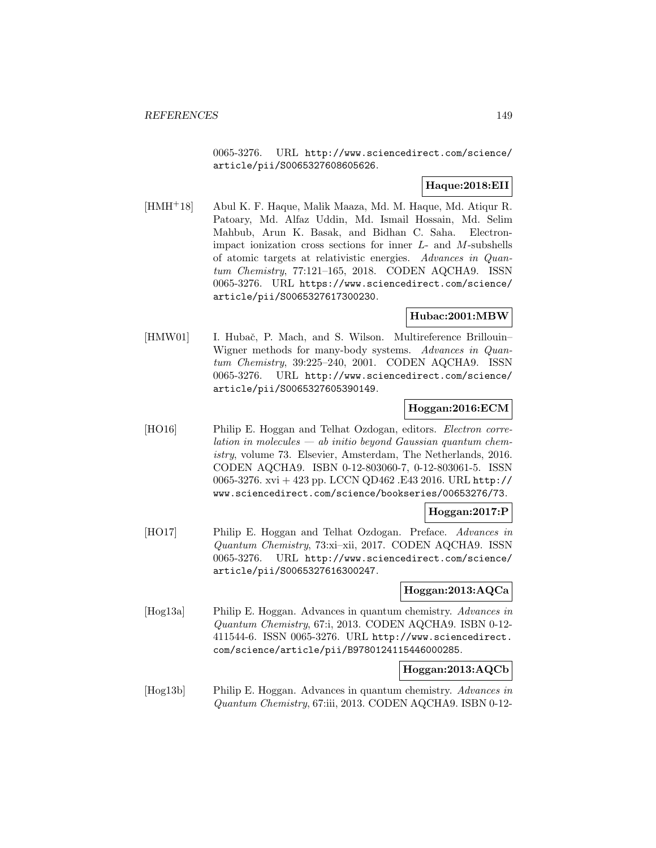0065-3276. URL http://www.sciencedirect.com/science/ article/pii/S0065327608605626.

# **Haque:2018:EII**

[HMH<sup>+</sup>18] Abul K. F. Haque, Malik Maaza, Md. M. Haque, Md. Atiqur R. Patoary, Md. Alfaz Uddin, Md. Ismail Hossain, Md. Selim Mahbub, Arun K. Basak, and Bidhan C. Saha. Electronimpact ionization cross sections for inner  $L$ - and  $M$ -subshells of atomic targets at relativistic energies. Advances in Quantum Chemistry, 77:121–165, 2018. CODEN AQCHA9. ISSN 0065-3276. URL https://www.sciencedirect.com/science/ article/pii/S0065327617300230.

# **Hubac:2001:MBW**

[HMW01] I. Hubač, P. Mach, and S. Wilson. Multireference Brillouin– Wigner methods for many-body systems. Advances in Quantum Chemistry, 39:225–240, 2001. CODEN AQCHA9. ISSN 0065-3276. URL http://www.sciencedirect.com/science/ article/pii/S0065327605390149.

# **Hoggan:2016:ECM**

[HO16] Philip E. Hoggan and Telhat Ozdogan, editors. *Electron corre* $lation in molecules - ab initio beyond Gaussian quantum chem$ istry, volume 73. Elsevier, Amsterdam, The Netherlands, 2016. CODEN AQCHA9. ISBN 0-12-803060-7, 0-12-803061-5. ISSN 0065-3276. xvi + 423 pp. LCCN QD462 .E43 2016. URL http:// www.sciencedirect.com/science/bookseries/00653276/73.

## **Hoggan:2017:P**

[HO17] Philip E. Hoggan and Telhat Ozdogan. Preface. Advances in Quantum Chemistry, 73:xi–xii, 2017. CODEN AQCHA9. ISSN 0065-3276. URL http://www.sciencedirect.com/science/ article/pii/S0065327616300247.

## **Hoggan:2013:AQCa**

[Hog13a] Philip E. Hoggan. Advances in quantum chemistry. Advances in Quantum Chemistry, 67:i, 2013. CODEN AQCHA9. ISBN 0-12- 411544-6. ISSN 0065-3276. URL http://www.sciencedirect. com/science/article/pii/B9780124115446000285.

# **Hoggan:2013:AQCb**

[Hog13b] Philip E. Hoggan. Advances in quantum chemistry. Advances in Quantum Chemistry, 67:iii, 2013. CODEN AQCHA9. ISBN 0-12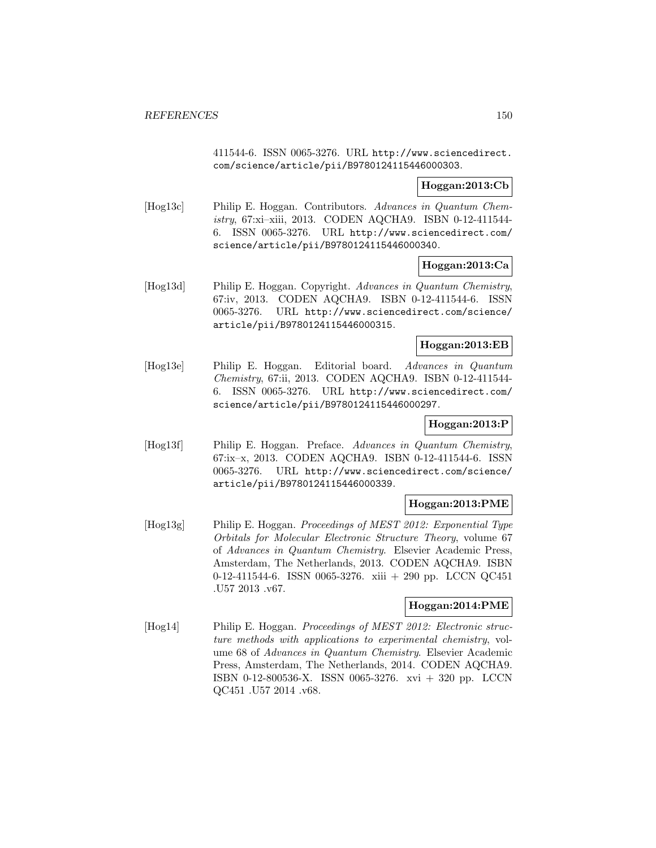411544-6. ISSN 0065-3276. URL http://www.sciencedirect. com/science/article/pii/B9780124115446000303.

# **Hoggan:2013:Cb**

[Hog13c] Philip E. Hoggan. Contributors. Advances in Quantum Chemistry, 67:xi–xiii, 2013. CODEN AQCHA9. ISBN 0-12-411544- 6. ISSN 0065-3276. URL http://www.sciencedirect.com/ science/article/pii/B9780124115446000340.

# **Hoggan:2013:Ca**

[Hog13d] Philip E. Hoggan. Copyright. Advances in Quantum Chemistry, 67:iv, 2013. CODEN AQCHA9. ISBN 0-12-411544-6. ISSN 0065-3276. URL http://www.sciencedirect.com/science/ article/pii/B9780124115446000315.

# **Hoggan:2013:EB**

[Hog13e] Philip E. Hoggan. Editorial board. Advances in Quantum Chemistry, 67:ii, 2013. CODEN AQCHA9. ISBN 0-12-411544- 6. ISSN 0065-3276. URL http://www.sciencedirect.com/ science/article/pii/B9780124115446000297.

# **Hoggan:2013:P**

[Hog13f] Philip E. Hoggan. Preface. Advances in Quantum Chemistry, 67:ix–x, 2013. CODEN AQCHA9. ISBN 0-12-411544-6. ISSN 0065-3276. URL http://www.sciencedirect.com/science/ article/pii/B9780124115446000339.

# **Hoggan:2013:PME**

[Hog13g] Philip E. Hoggan. Proceedings of MEST 2012: Exponential Type Orbitals for Molecular Electronic Structure Theory, volume 67 of Advances in Quantum Chemistry. Elsevier Academic Press, Amsterdam, The Netherlands, 2013. CODEN AQCHA9. ISBN 0-12-411544-6. ISSN 0065-3276. xiii + 290 pp. LCCN QC451 .U57 2013 .v67.

# **Hoggan:2014:PME**

[Hog14] Philip E. Hoggan. Proceedings of MEST 2012: Electronic structure methods with applications to experimental chemistry, volume 68 of Advances in Quantum Chemistry. Elsevier Academic Press, Amsterdam, The Netherlands, 2014. CODEN AQCHA9. ISBN 0-12-800536-X. ISSN 0065-3276. xvi + 320 pp. LCCN QC451 .U57 2014 .v68.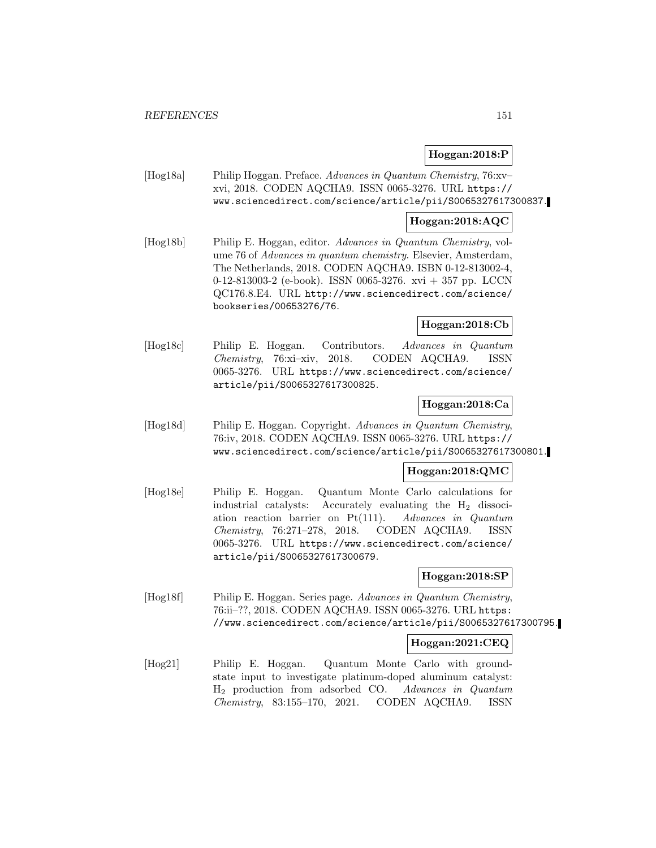# **Hoggan:2018:P**

[Hog18a] Philip Hoggan. Preface. Advances in Quantum Chemistry, 76:xv– xvi, 2018. CODEN AQCHA9. ISSN 0065-3276. URL https:// www.sciencedirect.com/science/article/pii/S0065327617300837.

# **Hoggan:2018:AQC**

[Hog18b] Philip E. Hoggan, editor. Advances in Quantum Chemistry, volume 76 of Advances in quantum chemistry. Elsevier, Amsterdam, The Netherlands, 2018. CODEN AQCHA9. ISBN 0-12-813002-4, 0-12-813003-2 (e-book). ISSN 0065-3276. xvi + 357 pp. LCCN QC176.8.E4. URL http://www.sciencedirect.com/science/ bookseries/00653276/76.

# **Hoggan:2018:Cb**

[Hog18c] Philip E. Hoggan. Contributors. Advances in Quantum Chemistry, 76:xi–xiv, 2018. CODEN AQCHA9. ISSN 0065-3276. URL https://www.sciencedirect.com/science/ article/pii/S0065327617300825.

# **Hoggan:2018:Ca**

[Hog18d] Philip E. Hoggan. Copyright. Advances in Quantum Chemistry, 76:iv, 2018. CODEN AQCHA9. ISSN 0065-3276. URL https:// www.sciencedirect.com/science/article/pii/S0065327617300801.

# **Hoggan:2018:QMC**

[Hog18e] Philip E. Hoggan. Quantum Monte Carlo calculations for industrial catalysts: Accurately evaluating the  $H_2$  dissociation reaction barrier on Pt(111). Advances in Quantum Chemistry, 76:271–278, 2018. CODEN AQCHA9. ISSN 0065-3276. URL https://www.sciencedirect.com/science/ article/pii/S0065327617300679.

## **Hoggan:2018:SP**

[Hog18f] Philip E. Hoggan. Series page. Advances in Quantum Chemistry, 76:ii–??, 2018. CODEN AQCHA9. ISSN 0065-3276. URL https: //www.sciencedirect.com/science/article/pii/S0065327617300795.

## **Hoggan:2021:CEQ**

[Hog21] Philip E. Hoggan. Quantum Monte Carlo with groundstate input to investigate platinum-doped aluminum catalyst: H<sup>2</sup> production from adsorbed CO. Advances in Quantum Chemistry, 83:155–170, 2021. CODEN AQCHA9. ISSN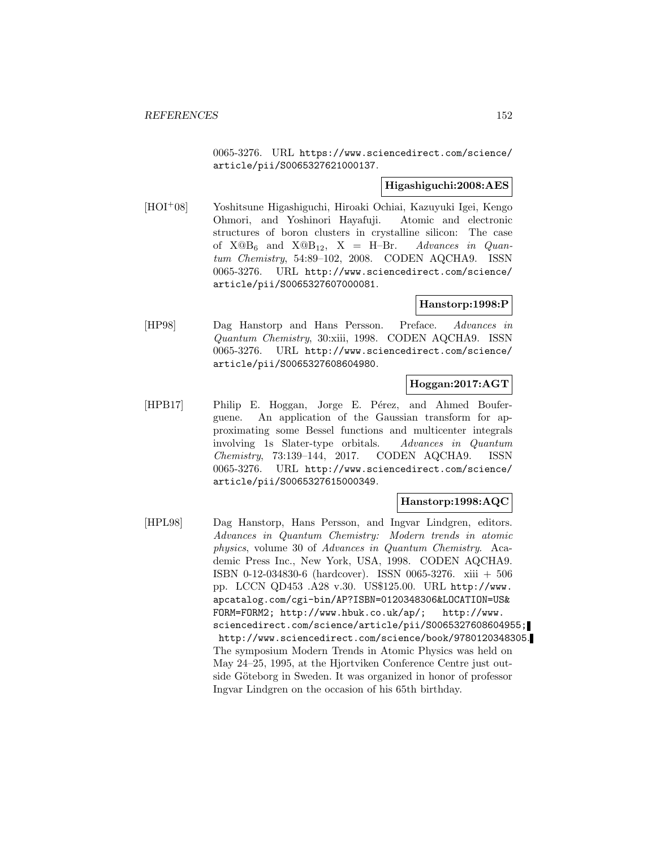0065-3276. URL https://www.sciencedirect.com/science/ article/pii/S0065327621000137.

# **Higashiguchi:2008:AES**

[HOI<sup>+</sup>08] Yoshitsune Higashiguchi, Hiroaki Ochiai, Kazuyuki Igei, Kengo Ohmori, and Yoshinori Hayafuji. Atomic and electronic structures of boron clusters in crystalline silicon: The case of  $X@B_6$  and  $X@B_{12}$ ,  $X = H-Br$ . Advances in Quantum Chemistry, 54:89–102, 2008. CODEN AQCHA9. ISSN 0065-3276. URL http://www.sciencedirect.com/science/ article/pii/S0065327607000081.

# **Hanstorp:1998:P**

[HP98] Dag Hanstorp and Hans Persson. Preface. Advances in Quantum Chemistry, 30:xiii, 1998. CODEN AQCHA9. ISSN 0065-3276. URL http://www.sciencedirect.com/science/ article/pii/S0065327608604980.

# **Hoggan:2017:AGT**

[HPB17] Philip E. Hoggan, Jorge E. Pérez, and Ahmed Bouferguene. An application of the Gaussian transform for approximating some Bessel functions and multicenter integrals involving 1s Slater-type orbitals. Advances in Quantum Chemistry, 73:139–144, 2017. CODEN AQCHA9. ISSN 0065-3276. URL http://www.sciencedirect.com/science/ article/pii/S0065327615000349.

# **Hanstorp:1998:AQC**

[HPL98] Dag Hanstorp, Hans Persson, and Ingvar Lindgren, editors. Advances in Quantum Chemistry: Modern trends in atomic physics, volume 30 of Advances in Quantum Chemistry. Academic Press Inc., New York, USA, 1998. CODEN AQCHA9. ISBN 0-12-034830-6 (hardcover). ISSN 0065-3276. xiii + 506 pp. LCCN QD453 .A28 v.30. US\$125.00. URL http://www. apcatalog.com/cgi-bin/AP?ISBN=0120348306&LOCATION=US& FORM=FORM2; http://www.hbuk.co.uk/ap/; http://www. sciencedirect.com/science/article/pii/S0065327608604955; http://www.sciencedirect.com/science/book/9780120348305. The symposium Modern Trends in Atomic Physics was held on May 24–25, 1995, at the Hjortviken Conference Centre just outside Göteborg in Sweden. It was organized in honor of professor Ingvar Lindgren on the occasion of his 65th birthday.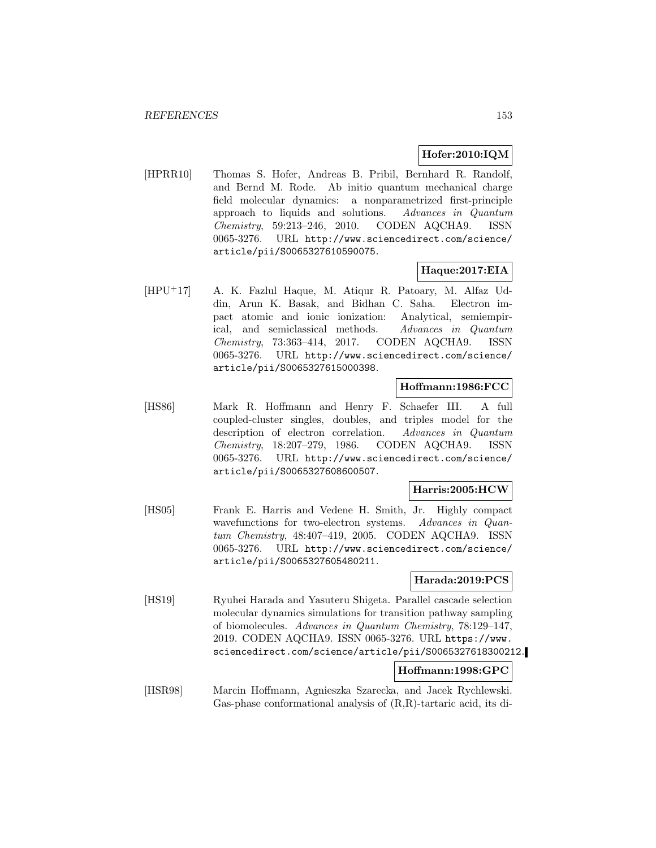# **Hofer:2010:IQM**

[HPRR10] Thomas S. Hofer, Andreas B. Pribil, Bernhard R. Randolf, and Bernd M. Rode. Ab initio quantum mechanical charge field molecular dynamics: a nonparametrized first-principle approach to liquids and solutions. Advances in Quantum Chemistry, 59:213–246, 2010. CODEN AQCHA9. ISSN 0065-3276. URL http://www.sciencedirect.com/science/ article/pii/S0065327610590075.

# **Haque:2017:EIA**

[HPU<sup>+</sup>17] A. K. Fazlul Haque, M. Atiqur R. Patoary, M. Alfaz Uddin, Arun K. Basak, and Bidhan C. Saha. Electron impact atomic and ionic ionization: Analytical, semiempirical, and semiclassical methods. Advances in Quantum Chemistry, 73:363–414, 2017. CODEN AQCHA9. ISSN 0065-3276. URL http://www.sciencedirect.com/science/ article/pii/S0065327615000398.

## **Hoffmann:1986:FCC**

[HS86] Mark R. Hoffmann and Henry F. Schaefer III. A full coupled-cluster singles, doubles, and triples model for the description of electron correlation. Advances in Quantum Chemistry, 18:207–279, 1986. CODEN AQCHA9. ISSN 0065-3276. URL http://www.sciencedirect.com/science/ article/pii/S0065327608600507.

#### **Harris:2005:HCW**

[HS05] Frank E. Harris and Vedene H. Smith, Jr. Highly compact wavefunctions for two-electron systems. Advances in Quantum Chemistry, 48:407–419, 2005. CODEN AQCHA9. ISSN 0065-3276. URL http://www.sciencedirect.com/science/ article/pii/S0065327605480211.

# **Harada:2019:PCS**

[HS19] Ryuhei Harada and Yasuteru Shigeta. Parallel cascade selection molecular dynamics simulations for transition pathway sampling of biomolecules. Advances in Quantum Chemistry, 78:129–147, 2019. CODEN AQCHA9. ISSN 0065-3276. URL https://www. sciencedirect.com/science/article/pii/S0065327618300212.

## **Hoffmann:1998:GPC**

[HSR98] Marcin Hoffmann, Agnieszka Szarecka, and Jacek Rychlewski. Gas-phase conformational analysis of (R,R)-tartaric acid, its di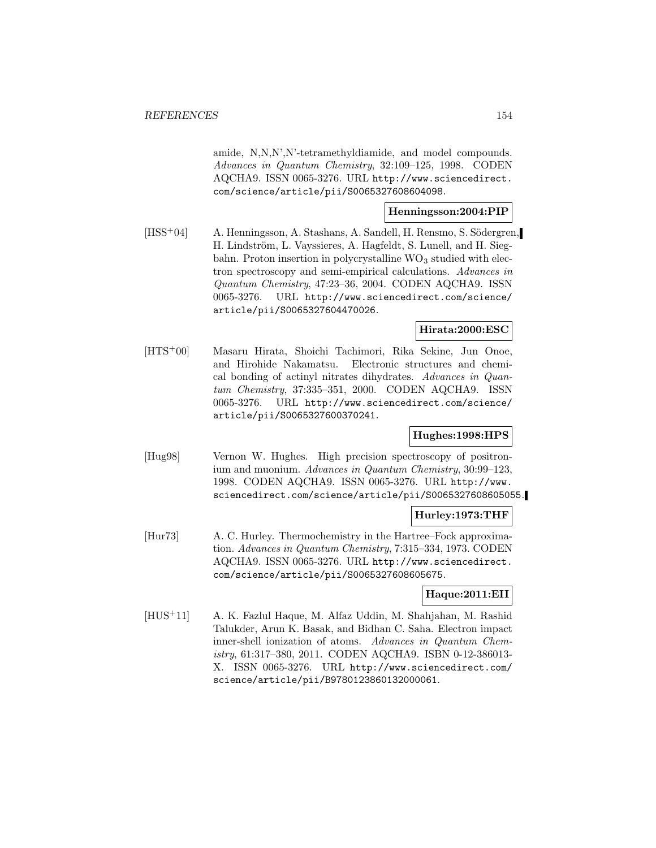amide, N,N,N',N'-tetramethyldiamide, and model compounds. Advances in Quantum Chemistry, 32:109–125, 1998. CODEN AQCHA9. ISSN 0065-3276. URL http://www.sciencedirect. com/science/article/pii/S0065327608604098.

### **Henningsson:2004:PIP**

[HSS<sup>+</sup>04] A. Henningsson, A. Stashans, A. Sandell, H. Rensmo, S. Södergren, H. Lindström, L. Vayssieres, A. Hagfeldt, S. Lunell, and H. Siegbahn. Proton insertion in polycrystalline  $WO<sub>3</sub>$  studied with electron spectroscopy and semi-empirical calculations. Advances in Quantum Chemistry, 47:23–36, 2004. CODEN AQCHA9. ISSN 0065-3276. URL http://www.sciencedirect.com/science/ article/pii/S0065327604470026.

# **Hirata:2000:ESC**

[HTS<sup>+</sup>00] Masaru Hirata, Shoichi Tachimori, Rika Sekine, Jun Onoe, and Hirohide Nakamatsu. Electronic structures and chemical bonding of actinyl nitrates dihydrates. Advances in Quantum Chemistry, 37:335–351, 2000. CODEN AQCHA9. ISSN 0065-3276. URL http://www.sciencedirect.com/science/ article/pii/S0065327600370241.

# **Hughes:1998:HPS**

[Hug98] Vernon W. Hughes. High precision spectroscopy of positronium and muonium. Advances in Quantum Chemistry, 30:99–123, 1998. CODEN AQCHA9. ISSN 0065-3276. URL http://www. sciencedirect.com/science/article/pii/S0065327608605055.

## **Hurley:1973:THF**

[Hur73] A. C. Hurley. Thermochemistry in the Hartree–Fock approximation. Advances in Quantum Chemistry, 7:315–334, 1973. CODEN AQCHA9. ISSN 0065-3276. URL http://www.sciencedirect. com/science/article/pii/S0065327608605675.

## **Haque:2011:EII**

[HUS<sup>+</sup>11] A. K. Fazlul Haque, M. Alfaz Uddin, M. Shahjahan, M. Rashid Talukder, Arun K. Basak, and Bidhan C. Saha. Electron impact inner-shell ionization of atoms. Advances in Quantum Chemistry, 61:317–380, 2011. CODEN AQCHA9. ISBN 0-12-386013- X. ISSN 0065-3276. URL http://www.sciencedirect.com/ science/article/pii/B9780123860132000061.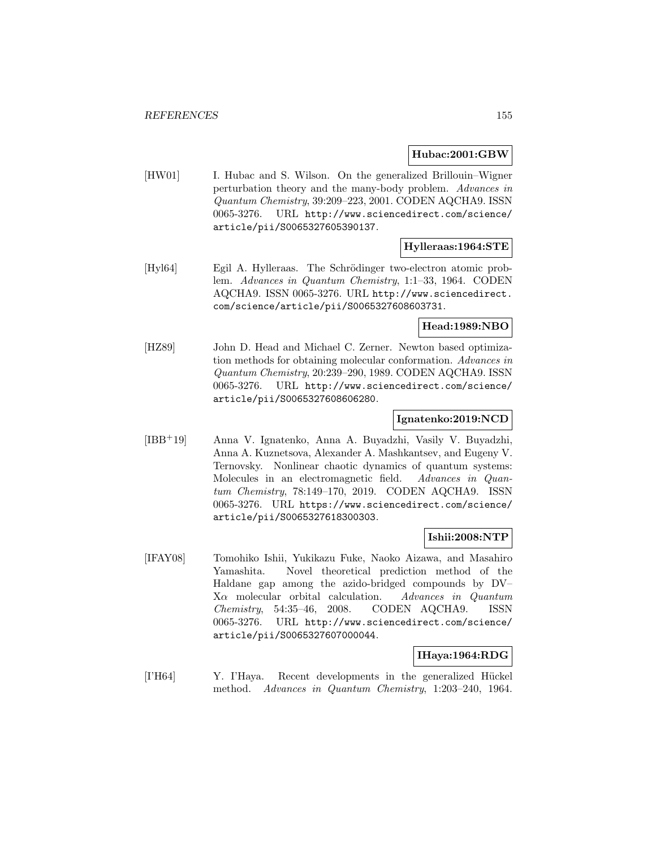#### **Hubac:2001:GBW**

[HW01] I. Hubac and S. Wilson. On the generalized Brillouin–Wigner perturbation theory and the many-body problem. Advances in Quantum Chemistry, 39:209–223, 2001. CODEN AQCHA9. ISSN 0065-3276. URL http://www.sciencedirect.com/science/ article/pii/S0065327605390137.

## **Hylleraas:1964:STE**

[Hyl64] Egil A. Hylleraas. The Schrödinger two-electron atomic problem. Advances in Quantum Chemistry, 1:1–33, 1964. CODEN AQCHA9. ISSN 0065-3276. URL http://www.sciencedirect. com/science/article/pii/S0065327608603731.

## **Head:1989:NBO**

[HZ89] John D. Head and Michael C. Zerner. Newton based optimization methods for obtaining molecular conformation. Advances in Quantum Chemistry, 20:239–290, 1989. CODEN AQCHA9. ISSN 0065-3276. URL http://www.sciencedirect.com/science/ article/pii/S0065327608606280.

#### **Ignatenko:2019:NCD**

[IBB<sup>+</sup>19] Anna V. Ignatenko, Anna A. Buyadzhi, Vasily V. Buyadzhi, Anna A. Kuznetsova, Alexander A. Mashkantsev, and Eugeny V. Ternovsky. Nonlinear chaotic dynamics of quantum systems: Molecules in an electromagnetic field. Advances in Quantum Chemistry, 78:149–170, 2019. CODEN AQCHA9. ISSN 0065-3276. URL https://www.sciencedirect.com/science/ article/pii/S0065327618300303.

## **Ishii:2008:NTP**

[IFAY08] Tomohiko Ishii, Yukikazu Fuke, Naoko Aizawa, and Masahiro Yamashita. Novel theoretical prediction method of the Haldane gap among the azido-bridged compounds by DV– Xα molecular orbital calculation. Advances in Quantum Chemistry, 54:35–46, 2008. CODEN AQCHA9. ISSN 0065-3276. URL http://www.sciencedirect.com/science/ article/pii/S0065327607000044.

#### **IHaya:1964:RDG**

[I'H64] Y. I'Haya. Recent developments in the generalized Hückel method. Advances in Quantum Chemistry, 1:203–240, 1964.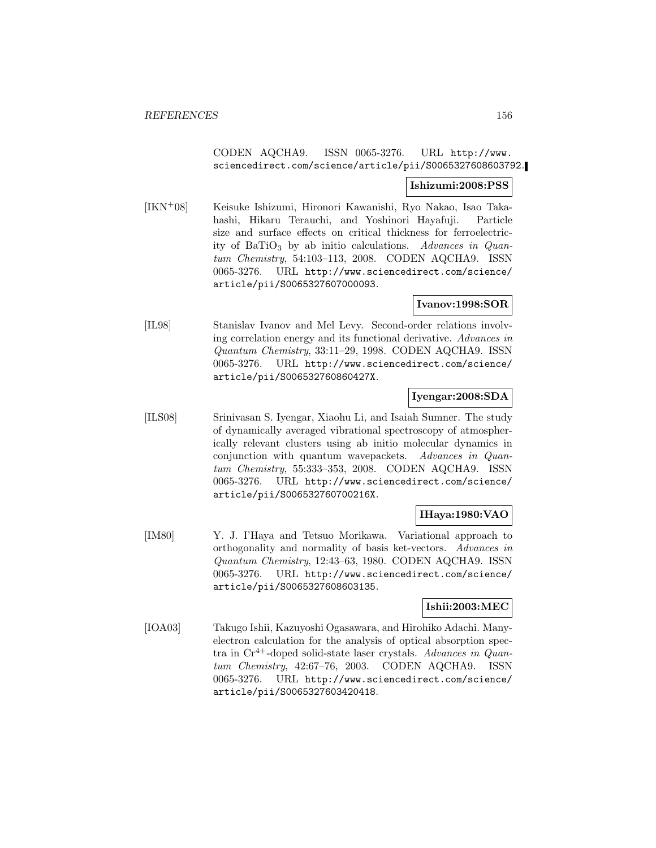# CODEN AQCHA9. ISSN 0065-3276. URL http://www. sciencedirect.com/science/article/pii/S0065327608603792.

# **Ishizumi:2008:PSS**

[IKN<sup>+</sup>08] Keisuke Ishizumi, Hironori Kawanishi, Ryo Nakao, Isao Takahashi, Hikaru Terauchi, and Yoshinori Hayafuji. Particle size and surface effects on critical thickness for ferroelectricity of BaTiO<sub>3</sub> by ab initio calculations. Advances in Quantum Chemistry, 54:103–113, 2008. CODEN AQCHA9. ISSN 0065-3276. URL http://www.sciencedirect.com/science/ article/pii/S0065327607000093.

## **Ivanov:1998:SOR**

[IL98] Stanislav Ivanov and Mel Levy. Second-order relations involving correlation energy and its functional derivative. Advances in Quantum Chemistry, 33:11–29, 1998. CODEN AQCHA9. ISSN 0065-3276. URL http://www.sciencedirect.com/science/ article/pii/S006532760860427X.

# **Iyengar:2008:SDA**

[ILS08] Srinivasan S. Iyengar, Xiaohu Li, and Isaiah Sumner. The study of dynamically averaged vibrational spectroscopy of atmospherically relevant clusters using ab initio molecular dynamics in conjunction with quantum wavepackets. Advances in Quantum Chemistry, 55:333–353, 2008. CODEN AQCHA9. ISSN 0065-3276. URL http://www.sciencedirect.com/science/ article/pii/S006532760700216X.

# **IHaya:1980:VAO**

[IM80] Y. J. I'Haya and Tetsuo Morikawa. Variational approach to orthogonality and normality of basis ket-vectors. Advances in Quantum Chemistry, 12:43–63, 1980. CODEN AQCHA9. ISSN 0065-3276. URL http://www.sciencedirect.com/science/ article/pii/S0065327608603135.

## **Ishii:2003:MEC**

[IOA03] Takugo Ishii, Kazuyoshi Ogasawara, and Hirohiko Adachi. Manyelectron calculation for the analysis of optical absorption spectra in  $Cr^{4+}$ -doped solid-state laser crystals. Advances in Quantum Chemistry, 42:67–76, 2003. CODEN AQCHA9. ISSN 0065-3276. URL http://www.sciencedirect.com/science/ article/pii/S0065327603420418.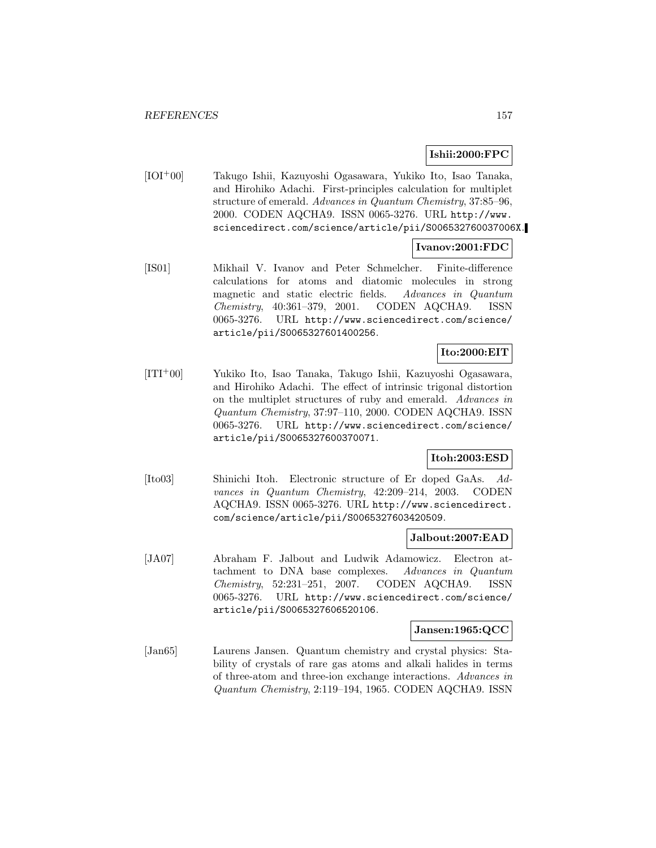# **Ishii:2000:FPC**

[IOI<sup>+</sup>00] Takugo Ishii, Kazuyoshi Ogasawara, Yukiko Ito, Isao Tanaka, and Hirohiko Adachi. First-principles calculation for multiplet structure of emerald. Advances in Quantum Chemistry, 37:85–96, 2000. CODEN AQCHA9. ISSN 0065-3276. URL http://www. sciencedirect.com/science/article/pii/S006532760037006X.

# **Ivanov:2001:FDC**

[IS01] Mikhail V. Ivanov and Peter Schmelcher. Finite-difference calculations for atoms and diatomic molecules in strong magnetic and static electric fields. Advances in Quantum Chemistry, 40:361–379, 2001. CODEN AQCHA9. ISSN 0065-3276. URL http://www.sciencedirect.com/science/ article/pii/S0065327601400256.

# **Ito:2000:EIT**

[ITI<sup>+</sup>00] Yukiko Ito, Isao Tanaka, Takugo Ishii, Kazuyoshi Ogasawara, and Hirohiko Adachi. The effect of intrinsic trigonal distortion on the multiplet structures of ruby and emerald. Advances in Quantum Chemistry, 37:97–110, 2000. CODEN AQCHA9. ISSN 0065-3276. URL http://www.sciencedirect.com/science/ article/pii/S0065327600370071.

# **Itoh:2003:ESD**

[Ito03] Shinichi Itoh. Electronic structure of Er doped GaAs. Advances in Quantum Chemistry, 42:209–214, 2003. CODEN AQCHA9. ISSN 0065-3276. URL http://www.sciencedirect. com/science/article/pii/S0065327603420509.

## **Jalbout:2007:EAD**

[JA07] Abraham F. Jalbout and Ludwik Adamowicz. Electron attachment to DNA base complexes. Advances in Quantum Chemistry, 52:231–251, 2007. CODEN AQCHA9. ISSN 0065-3276. URL http://www.sciencedirect.com/science/ article/pii/S0065327606520106.

## **Jansen:1965:QCC**

[Jan65] Laurens Jansen. Quantum chemistry and crystal physics: Stability of crystals of rare gas atoms and alkali halides in terms of three-atom and three-ion exchange interactions. Advances in Quantum Chemistry, 2:119–194, 1965. CODEN AQCHA9. ISSN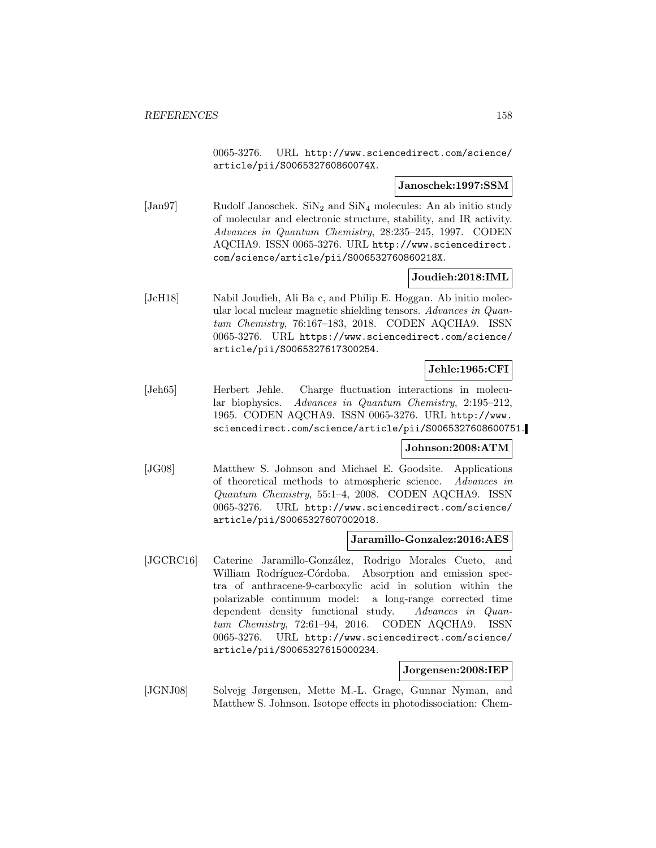0065-3276. URL http://www.sciencedirect.com/science/ article/pii/S006532760860074X.

#### **Janoschek:1997:SSM**

[Jan97] Rudolf Janoschek.  $\text{SiN}_2$  and  $\text{SiN}_4$  molecules: An ab initio study of molecular and electronic structure, stability, and IR activity. Advances in Quantum Chemistry, 28:235–245, 1997. CODEN AQCHA9. ISSN 0065-3276. URL http://www.sciencedirect. com/science/article/pii/S006532760860218X.

## **Joudieh:2018:IML**

[JcH18] Nabil Joudieh, Ali Ba c, and Philip E. Hoggan. Ab initio molecular local nuclear magnetic shielding tensors. Advances in Quantum Chemistry, 76:167–183, 2018. CODEN AQCHA9. ISSN 0065-3276. URL https://www.sciencedirect.com/science/ article/pii/S0065327617300254.

# **Jehle:1965:CFI**

[Jeh65] Herbert Jehle. Charge fluctuation interactions in molecular biophysics. Advances in Quantum Chemistry, 2:195–212, 1965. CODEN AQCHA9. ISSN 0065-3276. URL http://www. sciencedirect.com/science/article/pii/S0065327608600751.

## **Johnson:2008:ATM**

[JG08] Matthew S. Johnson and Michael E. Goodsite. Applications of theoretical methods to atmospheric science. Advances in Quantum Chemistry, 55:1–4, 2008. CODEN AQCHA9. ISSN 0065-3276. URL http://www.sciencedirect.com/science/ article/pii/S0065327607002018.

#### **Jaramillo-Gonzalez:2016:AES**

[JGCRC16] Caterine Jaramillo-González, Rodrigo Morales Cueto, and William Rodríguez-Córdoba. Absorption and emission spectra of anthracene-9-carboxylic acid in solution within the polarizable continuum model: a long-range corrected time dependent density functional study. Advances in Quantum Chemistry, 72:61–94, 2016. CODEN AQCHA9. ISSN 0065-3276. URL http://www.sciencedirect.com/science/ article/pii/S0065327615000234.

#### **Jorgensen:2008:IEP**

[JGNJ08] Solvejg Jørgensen, Mette M.-L. Grage, Gunnar Nyman, and Matthew S. Johnson. Isotope effects in photodissociation: Chem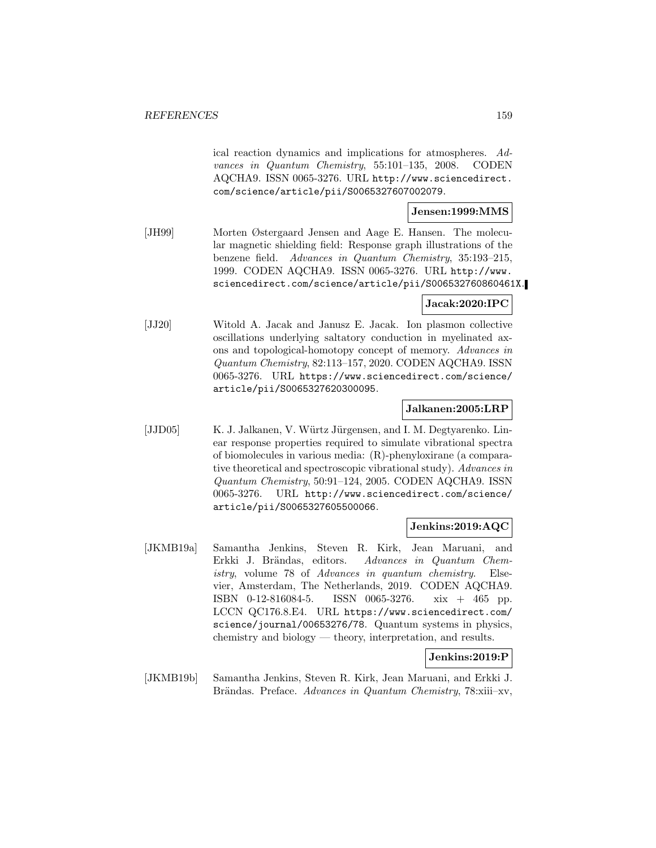ical reaction dynamics and implications for atmospheres. Advances in Quantum Chemistry, 55:101–135, 2008. CODEN AQCHA9. ISSN 0065-3276. URL http://www.sciencedirect. com/science/article/pii/S0065327607002079.

## **Jensen:1999:MMS**

[JH99] Morten Østergaard Jensen and Aage E. Hansen. The molecular magnetic shielding field: Response graph illustrations of the benzene field. Advances in Quantum Chemistry, 35:193–215, 1999. CODEN AQCHA9. ISSN 0065-3276. URL http://www. sciencedirect.com/science/article/pii/S006532760860461X.

## **Jacak:2020:IPC**

[JJ20] Witold A. Jacak and Janusz E. Jacak. Ion plasmon collective oscillations underlying saltatory conduction in myelinated axons and topological-homotopy concept of memory. Advances in Quantum Chemistry, 82:113–157, 2020. CODEN AQCHA9. ISSN 0065-3276. URL https://www.sciencedirect.com/science/ article/pii/S0065327620300095.

#### **Jalkanen:2005:LRP**

[JJD05] K. J. Jalkanen, V. Würtz Jürgensen, and I. M. Degtyarenko. Linear response properties required to simulate vibrational spectra of biomolecules in various media: (R)-phenyloxirane (a comparative theoretical and spectroscopic vibrational study). Advances in Quantum Chemistry, 50:91–124, 2005. CODEN AQCHA9. ISSN 0065-3276. URL http://www.sciencedirect.com/science/ article/pii/S0065327605500066.

#### **Jenkins:2019:AQC**

[JKMB19a] Samantha Jenkins, Steven R. Kirk, Jean Maruani, and Erkki J. Brändas, editors. Advances in Quantum Chemistry, volume 78 of Advances in quantum chemistry. Elsevier, Amsterdam, The Netherlands, 2019. CODEN AQCHA9. ISBN 0-12-816084-5. ISSN 0065-3276. xix + 465 pp. LCCN QC176.8.E4. URL https://www.sciencedirect.com/ science/journal/00653276/78. Quantum systems in physics, chemistry and biology — theory, interpretation, and results.

#### **Jenkins:2019:P**

[JKMB19b] Samantha Jenkins, Steven R. Kirk, Jean Maruani, and Erkki J. Brändas. Preface. Advances in Quantum Chemistry, 78:xiii–xv,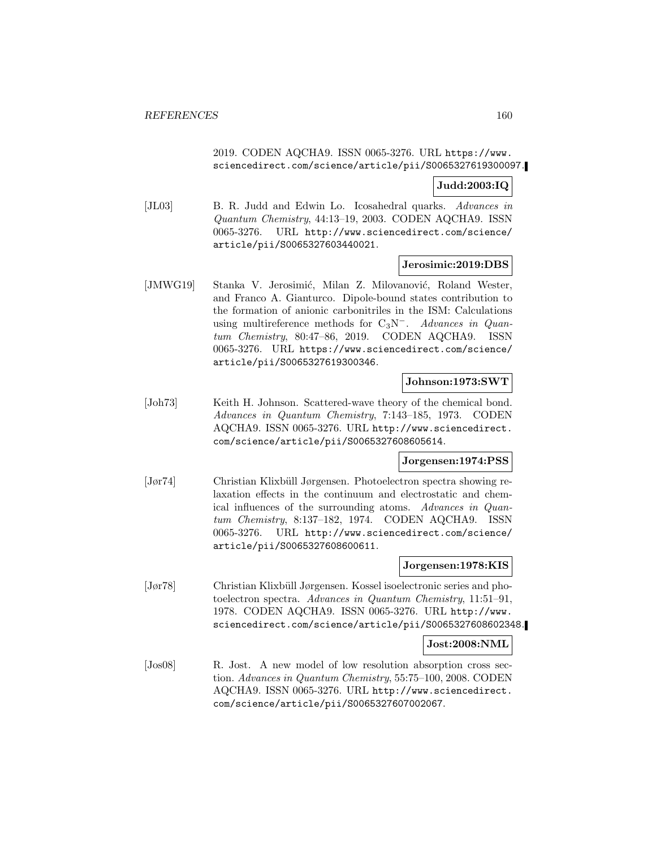# 2019. CODEN AQCHA9. ISSN 0065-3276. URL https://www. sciencedirect.com/science/article/pii/S0065327619300097.

## **Judd:2003:IQ**

[JL03] B. R. Judd and Edwin Lo. Icosahedral quarks. Advances in Quantum Chemistry, 44:13–19, 2003. CODEN AQCHA9. ISSN 0065-3276. URL http://www.sciencedirect.com/science/ article/pii/S0065327603440021.

#### **Jerosimic:2019:DBS**

[JMWG19] Stanka V. Jerosimić, Milan Z. Milovanović, Roland Wester, and Franco A. Gianturco. Dipole-bound states contribution to the formation of anionic carbonitriles in the ISM: Calculations using multireference methods for  $C_3N^-$ . Advances in Quantum Chemistry, 80:47–86, 2019. CODEN AQCHA9. ISSN 0065-3276. URL https://www.sciencedirect.com/science/ article/pii/S0065327619300346.

## **Johnson:1973:SWT**

[Joh73] Keith H. Johnson. Scattered-wave theory of the chemical bond. Advances in Quantum Chemistry, 7:143–185, 1973. CODEN AQCHA9. ISSN 0065-3276. URL http://www.sciencedirect. com/science/article/pii/S0065327608605614.

# **Jorgensen:1974:PSS**

[Jør74] Christian Klixbüll Jørgensen. Photoelectron spectra showing relaxation effects in the continuum and electrostatic and chemical influences of the surrounding atoms. Advances in Quantum Chemistry, 8:137–182, 1974. CODEN AQCHA9. ISSN 0065-3276. URL http://www.sciencedirect.com/science/ article/pii/S0065327608600611.

### **Jorgensen:1978:KIS**

[Jør78] Christian Klixbüll Jørgensen. Kossel isoelectronic series and photoelectron spectra. Advances in Quantum Chemistry, 11:51–91, 1978. CODEN AQCHA9. ISSN 0065-3276. URL http://www. sciencedirect.com/science/article/pii/S0065327608602348.

#### **Jost:2008:NML**

[Jos08] R. Jost. A new model of low resolution absorption cross section. Advances in Quantum Chemistry, 55:75–100, 2008. CODEN AQCHA9. ISSN 0065-3276. URL http://www.sciencedirect. com/science/article/pii/S0065327607002067.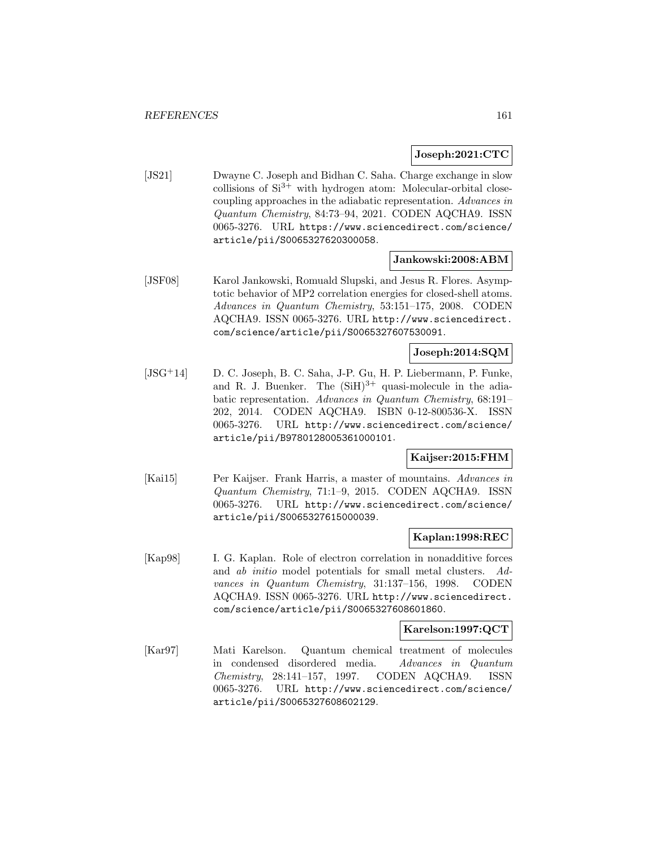# **Joseph:2021:CTC**

[JS21] Dwayne C. Joseph and Bidhan C. Saha. Charge exchange in slow collisions of  $Si^{3+}$  with hydrogen atom: Molecular-orbital closecoupling approaches in the adiabatic representation. Advances in Quantum Chemistry, 84:73–94, 2021. CODEN AQCHA9. ISSN 0065-3276. URL https://www.sciencedirect.com/science/ article/pii/S0065327620300058.

## **Jankowski:2008:ABM**

[JSF08] Karol Jankowski, Romuald Slupski, and Jesus R. Flores. Asymptotic behavior of MP2 correlation energies for closed-shell atoms. Advances in Quantum Chemistry, 53:151–175, 2008. CODEN AQCHA9. ISSN 0065-3276. URL http://www.sciencedirect. com/science/article/pii/S0065327607530091.

# **Joseph:2014:SQM**

[JSG<sup>+</sup>14] D. C. Joseph, B. C. Saha, J-P. Gu, H. P. Liebermann, P. Funke, and R. J. Buenker. The  $(SiH)^{3+}$  quasi-molecule in the adiabatic representation. Advances in Quantum Chemistry, 68:191– 202, 2014. CODEN AQCHA9. ISBN 0-12-800536-X. ISSN 0065-3276. URL http://www.sciencedirect.com/science/ article/pii/B9780128005361000101.

## **Kaijser:2015:FHM**

[Kai15] Per Kaijser. Frank Harris, a master of mountains. Advances in Quantum Chemistry, 71:1–9, 2015. CODEN AQCHA9. ISSN 0065-3276. URL http://www.sciencedirect.com/science/ article/pii/S0065327615000039.

## **Kaplan:1998:REC**

[Kap98] I. G. Kaplan. Role of electron correlation in nonadditive forces and ab initio model potentials for small metal clusters. Advances in Quantum Chemistry, 31:137–156, 1998. CODEN AQCHA9. ISSN 0065-3276. URL http://www.sciencedirect. com/science/article/pii/S0065327608601860.

## **Karelson:1997:QCT**

[Kar97] Mati Karelson. Quantum chemical treatment of molecules in condensed disordered media. Advances in Quantum Chemistry, 28:141–157, 1997. CODEN AQCHA9. ISSN 0065-3276. URL http://www.sciencedirect.com/science/ article/pii/S0065327608602129.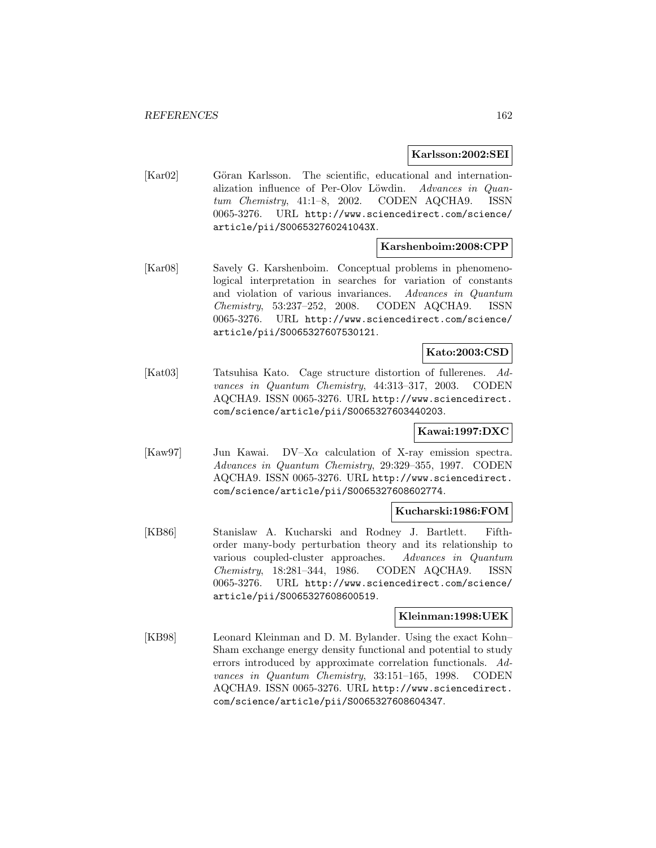#### **Karlsson:2002:SEI**

[Kar02] Göran Karlsson. The scientific, educational and internationalization influence of Per-Olov Löwdin. Advances in Quantum Chemistry, 41:1–8, 2002. CODEN AQCHA9. ISSN 0065-3276. URL http://www.sciencedirect.com/science/ article/pii/S006532760241043X.

# **Karshenboim:2008:CPP**

[Kar08] Savely G. Karshenboim. Conceptual problems in phenomenological interpretation in searches for variation of constants and violation of various invariances. Advances in Quantum Chemistry, 53:237–252, 2008. CODEN AQCHA9. ISSN 0065-3276. URL http://www.sciencedirect.com/science/ article/pii/S0065327607530121.

# **Kato:2003:CSD**

[Kat03] Tatsuhisa Kato. Cage structure distortion of fullerenes. Advances in Quantum Chemistry, 44:313–317, 2003. CODEN AQCHA9. ISSN 0065-3276. URL http://www.sciencedirect. com/science/article/pii/S0065327603440203.

## **Kawai:1997:DXC**

[Kaw97] Jun Kawai. DV–X $\alpha$  calculation of X-ray emission spectra. Advances in Quantum Chemistry, 29:329–355, 1997. CODEN AQCHA9. ISSN 0065-3276. URL http://www.sciencedirect. com/science/article/pii/S0065327608602774.

#### **Kucharski:1986:FOM**

[KB86] Stanislaw A. Kucharski and Rodney J. Bartlett. Fifthorder many-body perturbation theory and its relationship to various coupled-cluster approaches. Advances in Quantum Chemistry, 18:281–344, 1986. CODEN AQCHA9. ISSN 0065-3276. URL http://www.sciencedirect.com/science/ article/pii/S0065327608600519.

#### **Kleinman:1998:UEK**

[KB98] Leonard Kleinman and D. M. Bylander. Using the exact Kohn– Sham exchange energy density functional and potential to study errors introduced by approximate correlation functionals. Advances in Quantum Chemistry, 33:151–165, 1998. CODEN AQCHA9. ISSN 0065-3276. URL http://www.sciencedirect. com/science/article/pii/S0065327608604347.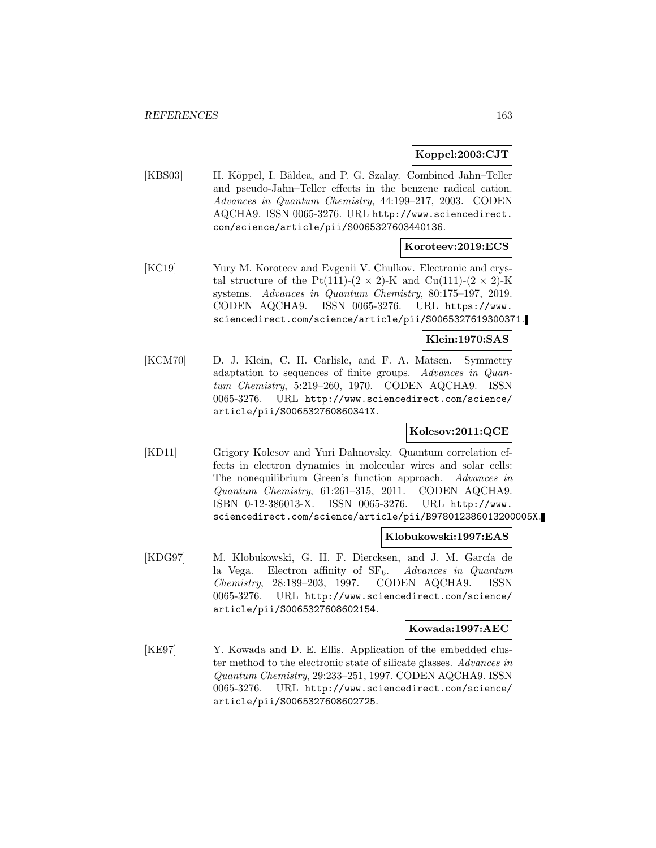# **Koppel:2003:CJT**

[KBS03] H. Köppel, I. Bâldea, and P. G. Szalay. Combined Jahn–Teller and pseudo-Jahn–Teller effects in the benzene radical cation. Advances in Quantum Chemistry, 44:199–217, 2003. CODEN AQCHA9. ISSN 0065-3276. URL http://www.sciencedirect. com/science/article/pii/S0065327603440136.

## **Koroteev:2019:ECS**

[KC19] Yury M. Koroteev and Evgenii V. Chulkov. Electronic and crystal structure of the Pt(111)-(2  $\times$  2)-K and Cu(111)-(2  $\times$  2)-K systems. Advances in Quantum Chemistry, 80:175–197, 2019. CODEN AQCHA9. ISSN 0065-3276. URL https://www. sciencedirect.com/science/article/pii/S0065327619300371.

## **Klein:1970:SAS**

[KCM70] D. J. Klein, C. H. Carlisle, and F. A. Matsen. Symmetry adaptation to sequences of finite groups. Advances in Quantum Chemistry, 5:219–260, 1970. CODEN AQCHA9. ISSN 0065-3276. URL http://www.sciencedirect.com/science/ article/pii/S006532760860341X.

## **Kolesov:2011:QCE**

[KD11] Grigory Kolesov and Yuri Dahnovsky. Quantum correlation effects in electron dynamics in molecular wires and solar cells: The nonequilibrium Green's function approach. Advances in Quantum Chemistry, 61:261–315, 2011. CODEN AQCHA9. ISBN 0-12-386013-X. ISSN 0065-3276. URL http://www. sciencedirect.com/science/article/pii/B978012386013200005X.

#### **Klobukowski:1997:EAS**

[KDG97] M. Klobukowski, G. H. F. Diercksen, and J. M. García de la Vega. Electron affinity of  $SF_6$ . Advances in Quantum Chemistry, 28:189–203, 1997. CODEN AQCHA9. ISSN 0065-3276. URL http://www.sciencedirect.com/science/ article/pii/S0065327608602154.

#### **Kowada:1997:AEC**

[KE97] Y. Kowada and D. E. Ellis. Application of the embedded cluster method to the electronic state of silicate glasses. Advances in Quantum Chemistry, 29:233–251, 1997. CODEN AQCHA9. ISSN 0065-3276. URL http://www.sciencedirect.com/science/ article/pii/S0065327608602725.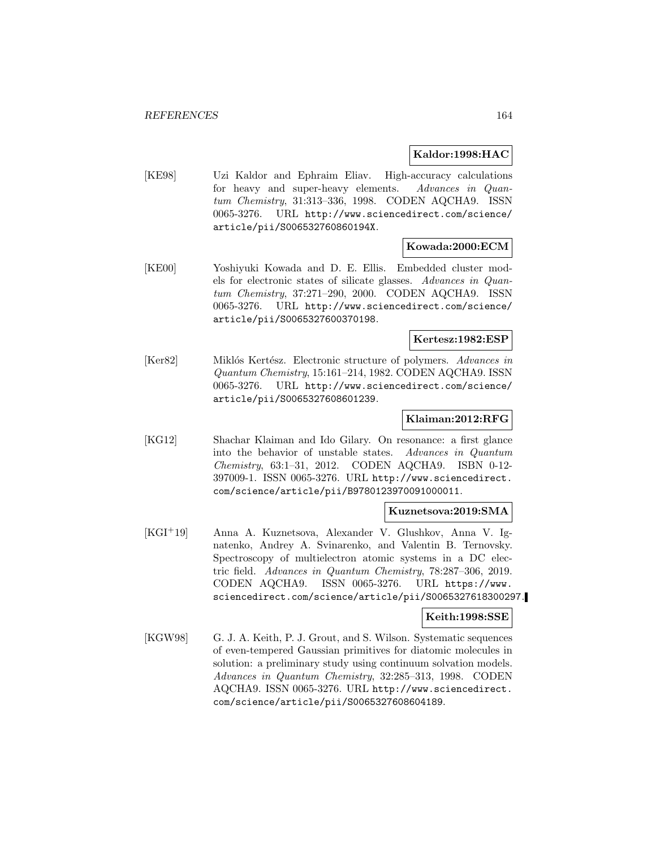### **Kaldor:1998:HAC**

[KE98] Uzi Kaldor and Ephraim Eliav. High-accuracy calculations for heavy and super-heavy elements. Advances in Quantum Chemistry, 31:313–336, 1998. CODEN AQCHA9. ISSN 0065-3276. URL http://www.sciencedirect.com/science/ article/pii/S006532760860194X.

# **Kowada:2000:ECM**

[KE00] Yoshiyuki Kowada and D. E. Ellis. Embedded cluster models for electronic states of silicate glasses. Advances in Quantum Chemistry, 37:271–290, 2000. CODEN AQCHA9. ISSN 0065-3276. URL http://www.sciencedirect.com/science/ article/pii/S0065327600370198.

#### **Kertesz:1982:ESP**

[Ker82] Miklós Kertész. Electronic structure of polymers. Advances in Quantum Chemistry, 15:161–214, 1982. CODEN AQCHA9. ISSN 0065-3276. URL http://www.sciencedirect.com/science/ article/pii/S0065327608601239.

## **Klaiman:2012:RFG**

[KG12] Shachar Klaiman and Ido Gilary. On resonance: a first glance into the behavior of unstable states. Advances in Quantum Chemistry, 63:1–31, 2012. CODEN AQCHA9. ISBN 0-12- 397009-1. ISSN 0065-3276. URL http://www.sciencedirect. com/science/article/pii/B9780123970091000011.

## **Kuznetsova:2019:SMA**

[KGI<sup>+</sup>19] Anna A. Kuznetsova, Alexander V. Glushkov, Anna V. Ignatenko, Andrey A. Svinarenko, and Valentin B. Ternovsky. Spectroscopy of multielectron atomic systems in a DC electric field. Advances in Quantum Chemistry, 78:287–306, 2019. CODEN AQCHA9. ISSN 0065-3276. URL https://www. sciencedirect.com/science/article/pii/S0065327618300297.

#### **Keith:1998:SSE**

[KGW98] G. J. A. Keith, P. J. Grout, and S. Wilson. Systematic sequences of even-tempered Gaussian primitives for diatomic molecules in solution: a preliminary study using continuum solvation models. Advances in Quantum Chemistry, 32:285–313, 1998. CODEN AQCHA9. ISSN 0065-3276. URL http://www.sciencedirect. com/science/article/pii/S0065327608604189.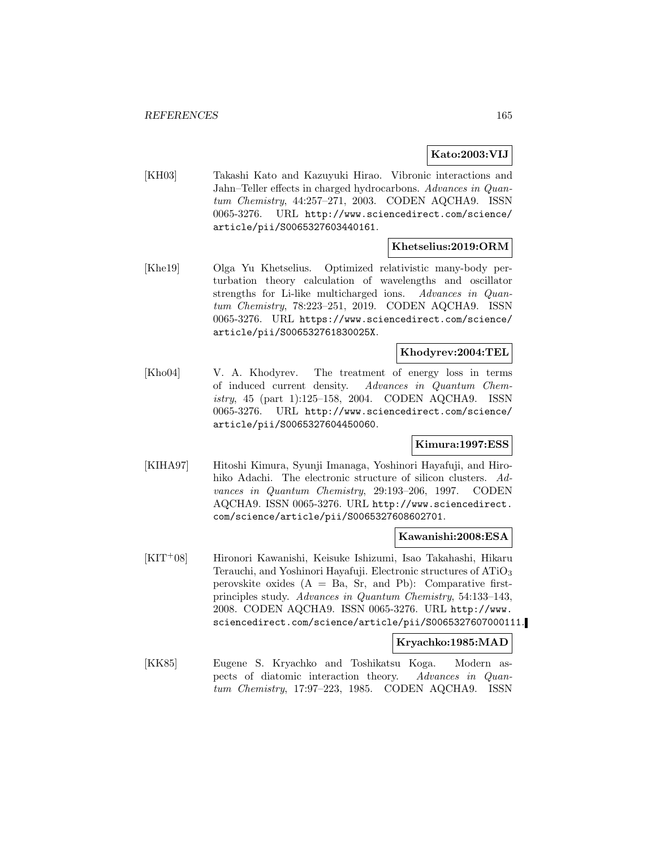# **Kato:2003:VIJ**

[KH03] Takashi Kato and Kazuyuki Hirao. Vibronic interactions and Jahn–Teller effects in charged hydrocarbons. Advances in Quantum Chemistry, 44:257–271, 2003. CODEN AQCHA9. ISSN 0065-3276. URL http://www.sciencedirect.com/science/ article/pii/S0065327603440161.

# **Khetselius:2019:ORM**

[Khe19] Olga Yu Khetselius. Optimized relativistic many-body perturbation theory calculation of wavelengths and oscillator strengths for Li-like multicharged ions. Advances in Quantum Chemistry, 78:223–251, 2019. CODEN AQCHA9. ISSN 0065-3276. URL https://www.sciencedirect.com/science/ article/pii/S006532761830025X.

# **Khodyrev:2004:TEL**

[Kho04] V. A. Khodyrev. The treatment of energy loss in terms of induced current density. Advances in Quantum Chemistry, 45 (part 1):125–158, 2004. CODEN AQCHA9. ISSN 0065-3276. URL http://www.sciencedirect.com/science/ article/pii/S0065327604450060.

# **Kimura:1997:ESS**

[KIHA97] Hitoshi Kimura, Syunji Imanaga, Yoshinori Hayafuji, and Hirohiko Adachi. The electronic structure of silicon clusters. Advances in Quantum Chemistry, 29:193–206, 1997. CODEN AQCHA9. ISSN 0065-3276. URL http://www.sciencedirect. com/science/article/pii/S0065327608602701.

#### **Kawanishi:2008:ESA**

[KIT<sup>+</sup>08] Hironori Kawanishi, Keisuke Ishizumi, Isao Takahashi, Hikaru Terauchi, and Yoshinori Hayafuji. Electronic structures of ATiO<sup>3</sup> perovskite oxides  $(A = Ba, Sr, and Pb)$ : Comparative firstprinciples study. Advances in Quantum Chemistry, 54:133–143, 2008. CODEN AQCHA9. ISSN 0065-3276. URL http://www. sciencedirect.com/science/article/pii/S0065327607000111.

# **Kryachko:1985:MAD**

[KK85] Eugene S. Kryachko and Toshikatsu Koga. Modern aspects of diatomic interaction theory. Advances in Quantum Chemistry, 17:97–223, 1985. CODEN AQCHA9. ISSN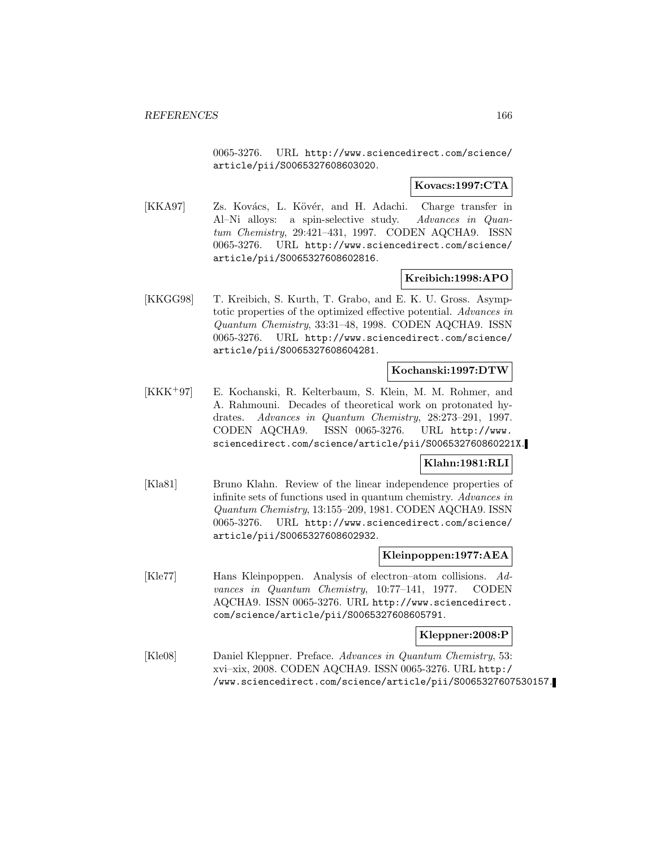0065-3276. URL http://www.sciencedirect.com/science/ article/pii/S0065327608603020.

# **Kovacs:1997:CTA**

[KKA97] Zs. Kovács, L. Kövér, and H. Adachi. Charge transfer in Al–Ni alloys: a spin-selective study. Advances in Quantum Chemistry, 29:421–431, 1997. CODEN AQCHA9. ISSN 0065-3276. URL http://www.sciencedirect.com/science/ article/pii/S0065327608602816.

# **Kreibich:1998:APO**

[KKGG98] T. Kreibich, S. Kurth, T. Grabo, and E. K. U. Gross. Asymptotic properties of the optimized effective potential. Advances in Quantum Chemistry, 33:31–48, 1998. CODEN AQCHA9. ISSN 0065-3276. URL http://www.sciencedirect.com/science/ article/pii/S0065327608604281.

# **Kochanski:1997:DTW**

[KKK<sup>+</sup>97] E. Kochanski, R. Kelterbaum, S. Klein, M. M. Rohmer, and A. Rahmouni. Decades of theoretical work on protonated hydrates. Advances in Quantum Chemistry, 28:273–291, 1997. CODEN AQCHA9. ISSN 0065-3276. URL http://www. sciencedirect.com/science/article/pii/S006532760860221X.

# **Klahn:1981:RLI**

[Kla81] Bruno Klahn. Review of the linear independence properties of infinite sets of functions used in quantum chemistry. Advances in Quantum Chemistry, 13:155–209, 1981. CODEN AQCHA9. ISSN 0065-3276. URL http://www.sciencedirect.com/science/ article/pii/S0065327608602932.

## **Kleinpoppen:1977:AEA**

[Kle77] Hans Kleinpoppen. Analysis of electron–atom collisions. Advances in Quantum Chemistry, 10:77–141, 1977. CODEN AQCHA9. ISSN 0065-3276. URL http://www.sciencedirect. com/science/article/pii/S0065327608605791.

# **Kleppner:2008:P**

[Kle08] Daniel Kleppner. Preface. Advances in Quantum Chemistry, 53: xvi–xix, 2008. CODEN AQCHA9. ISSN 0065-3276. URL http:/ /www.sciencedirect.com/science/article/pii/S0065327607530157.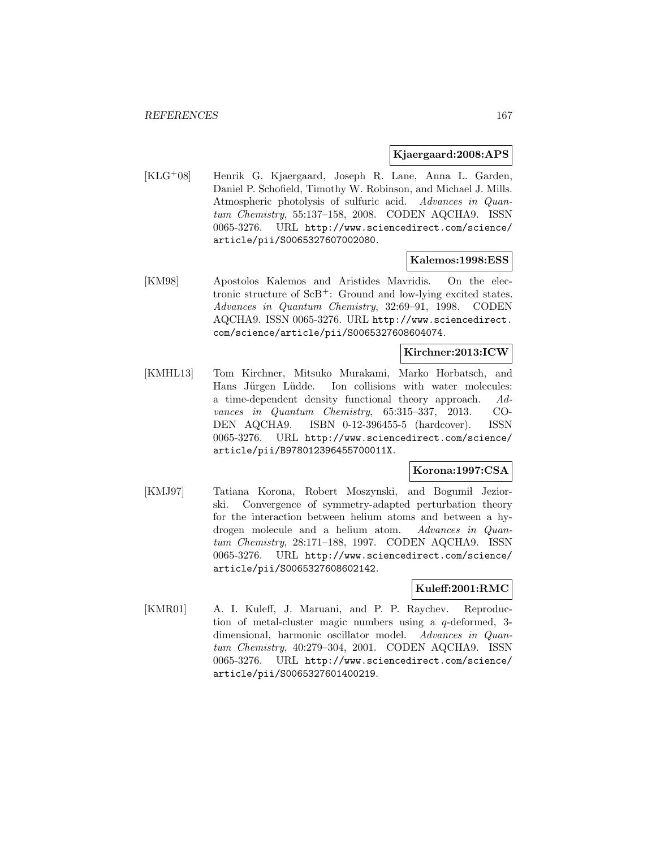#### **Kjaergaard:2008:APS**

[KLG<sup>+</sup>08] Henrik G. Kjaergaard, Joseph R. Lane, Anna L. Garden, Daniel P. Schofield, Timothy W. Robinson, and Michael J. Mills. Atmospheric photolysis of sulfuric acid. Advances in Quantum Chemistry, 55:137–158, 2008. CODEN AQCHA9. ISSN 0065-3276. URL http://www.sciencedirect.com/science/ article/pii/S0065327607002080.

#### **Kalemos:1998:ESS**

[KM98] Apostolos Kalemos and Aristides Mavridis. On the electronic structure of ScB<sup>+</sup>: Ground and low-lying excited states. Advances in Quantum Chemistry, 32:69–91, 1998. CODEN AQCHA9. ISSN 0065-3276. URL http://www.sciencedirect. com/science/article/pii/S0065327608604074.

# **Kirchner:2013:ICW**

[KMHL13] Tom Kirchner, Mitsuko Murakami, Marko Horbatsch, and Hans Jürgen Lüdde. Ion collisions with water molecules: a time-dependent density functional theory approach. Advances in Quantum Chemistry, 65:315–337, 2013. CO-DEN AQCHA9. ISBN 0-12-396455-5 (hardcover). ISSN 0065-3276. URL http://www.sciencedirect.com/science/ article/pii/B978012396455700011X.

## **Korona:1997:CSA**

[KMJ97] Tatiana Korona, Robert Moszynski, and Bogumił Jeziorski. Convergence of symmetry-adapted perturbation theory for the interaction between helium atoms and between a hydrogen molecule and a helium atom. Advances in Quantum Chemistry, 28:171–188, 1997. CODEN AQCHA9. ISSN 0065-3276. URL http://www.sciencedirect.com/science/ article/pii/S0065327608602142.

# **Kuleff:2001:RMC**

[KMR01] A. I. Kuleff, J. Maruani, and P. P. Raychev. Reproduction of metal-cluster magic numbers using a q-deformed, 3 dimensional, harmonic oscillator model. Advances in Quantum Chemistry, 40:279–304, 2001. CODEN AQCHA9. ISSN 0065-3276. URL http://www.sciencedirect.com/science/ article/pii/S0065327601400219.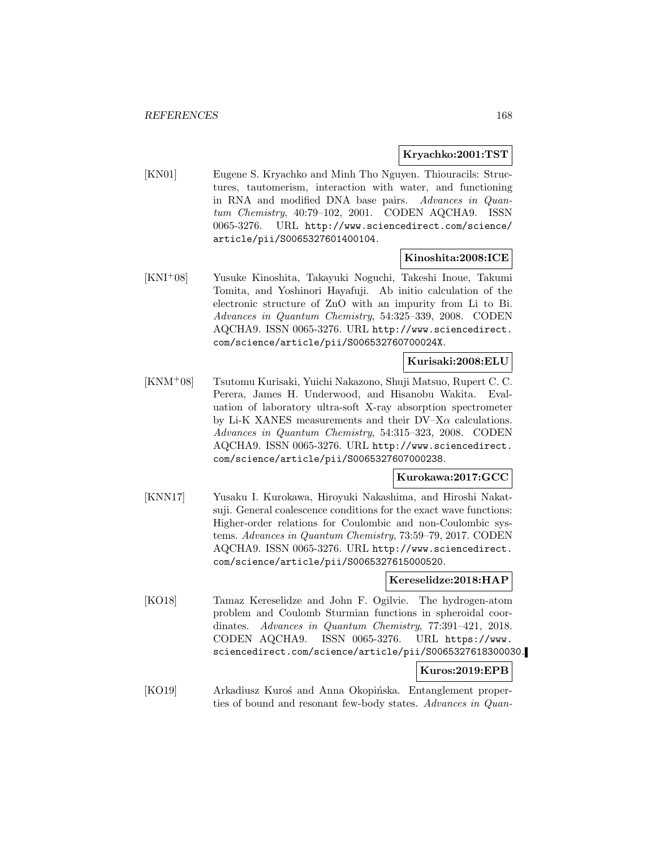### **Kryachko:2001:TST**

[KN01] Eugene S. Kryachko and Minh Tho Nguyen. Thiouracils: Structures, tautomerism, interaction with water, and functioning in RNA and modified DNA base pairs. Advances in Quantum Chemistry, 40:79–102, 2001. CODEN AQCHA9. ISSN 0065-3276. URL http://www.sciencedirect.com/science/ article/pii/S0065327601400104.

# **Kinoshita:2008:ICE**

[KNI<sup>+</sup>08] Yusuke Kinoshita, Takayuki Noguchi, Takeshi Inoue, Takumi Tomita, and Yoshinori Hayafuji. Ab initio calculation of the electronic structure of ZnO with an impurity from Li to Bi. Advances in Quantum Chemistry, 54:325–339, 2008. CODEN AQCHA9. ISSN 0065-3276. URL http://www.sciencedirect. com/science/article/pii/S006532760700024X.

#### **Kurisaki:2008:ELU**

[KNM<sup>+</sup>08] Tsutomu Kurisaki, Yuichi Nakazono, Shuji Matsuo, Rupert C. C. Perera, James H. Underwood, and Hisanobu Wakita. Evaluation of laboratory ultra-soft X-ray absorption spectrometer by Li-K XANES measurements and their  $DV-X\alpha$  calculations. Advances in Quantum Chemistry, 54:315–323, 2008. CODEN AQCHA9. ISSN 0065-3276. URL http://www.sciencedirect. com/science/article/pii/S0065327607000238.

# **Kurokawa:2017:GCC**

[KNN17] Yusaku I. Kurokawa, Hiroyuki Nakashima, and Hiroshi Nakatsuji. General coalescence conditions for the exact wave functions: Higher-order relations for Coulombic and non-Coulombic systems. Advances in Quantum Chemistry, 73:59–79, 2017. CODEN AQCHA9. ISSN 0065-3276. URL http://www.sciencedirect. com/science/article/pii/S0065327615000520.

## **Kereselidze:2018:HAP**

[KO18] Tamaz Kereselidze and John F. Ogilvie. The hydrogen-atom problem and Coulomb Sturmian functions in spheroidal coordinates. Advances in Quantum Chemistry, 77:391-421, 2018. CODEN AQCHA9. ISSN 0065-3276. URL https://www. sciencedirect.com/science/article/pii/S0065327618300030.

## **Kuros:2019:EPB**

[KO19] Arkadiusz Kuroś and Anna Okopińska. Entanglement properties of bound and resonant few-body states. Advances in Quan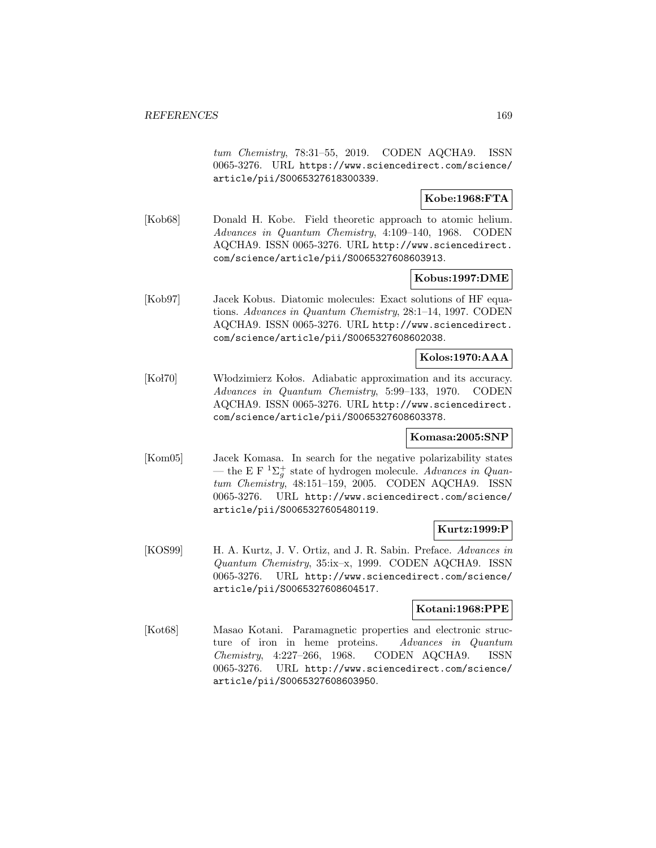tum Chemistry, 78:31–55, 2019. CODEN AQCHA9. ISSN 0065-3276. URL https://www.sciencedirect.com/science/ article/pii/S0065327618300339.

# **Kobe:1968:FTA**

[Kob68] Donald H. Kobe. Field theoretic approach to atomic helium. Advances in Quantum Chemistry, 4:109–140, 1968. CODEN AQCHA9. ISSN 0065-3276. URL http://www.sciencedirect. com/science/article/pii/S0065327608603913.

## **Kobus:1997:DME**

[Kob97] Jacek Kobus. Diatomic molecules: Exact solutions of HF equations. Advances in Quantum Chemistry, 28:1–14, 1997. CODEN AQCHA9. ISSN 0065-3276. URL http://www.sciencedirect. com/science/article/pii/S0065327608602038.

## **Kolos:1970:AAA**

[Ko l70] Włodzimierz Kołos. Adiabatic approximation and its accuracy. Advances in Quantum Chemistry, 5:99–133, 1970. CODEN AQCHA9. ISSN 0065-3276. URL http://www.sciencedirect. com/science/article/pii/S0065327608603378.

## **Komasa:2005:SNP**

[Kom05] Jacek Komasa. In search for the negative polarizability states — the E F  ${}^{1}\Sigma_{g}^{+}$  state of hydrogen molecule. Advances in Quantum Chemistry, 48:151–159, 2005. CODEN AQCHA9. ISSN 0065-3276. URL http://www.sciencedirect.com/science/ article/pii/S0065327605480119.

# **Kurtz:1999:P**

[KOS99] H. A. Kurtz, J. V. Ortiz, and J. R. Sabin. Preface. Advances in Quantum Chemistry, 35:ix–x, 1999. CODEN AQCHA9. ISSN 0065-3276. URL http://www.sciencedirect.com/science/ article/pii/S0065327608604517.

## **Kotani:1968:PPE**

[Kot68] Masao Kotani. Paramagnetic properties and electronic structure of iron in heme proteins. Advances in Quantum Chemistry, 4:227–266, 1968. CODEN AQCHA9. ISSN 0065-3276. URL http://www.sciencedirect.com/science/ article/pii/S0065327608603950.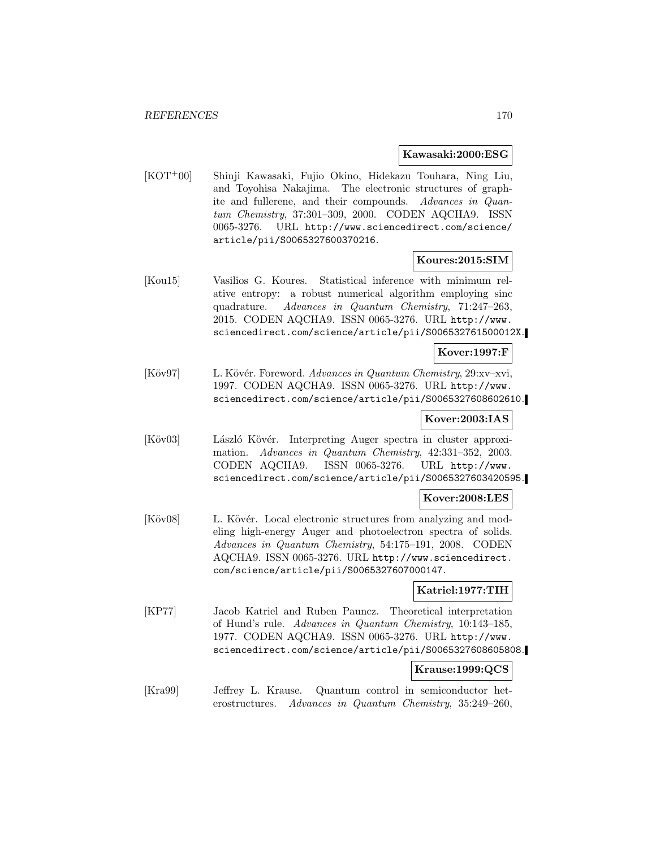#### **Kawasaki:2000:ESG**

[KOT<sup>+</sup>00] Shinji Kawasaki, Fujio Okino, Hidekazu Touhara, Ning Liu, and Toyohisa Nakajima. The electronic structures of graphite and fullerene, and their compounds. Advances in Quantum Chemistry, 37:301–309, 2000. CODEN AQCHA9. ISSN 0065-3276. URL http://www.sciencedirect.com/science/ article/pii/S0065327600370216.

### **Koures:2015:SIM**

[Kou15] Vasilios G. Koures. Statistical inference with minimum relative entropy: a robust numerical algorithm employing sinc quadrature. Advances in Quantum Chemistry, 71:247–263, 2015. CODEN AQCHA9. ISSN 0065-3276. URL http://www. sciencedirect.com/science/article/pii/S006532761500012X.

## **Kover:1997:F**

[Köv97] L. Kövér. Foreword. Advances in Quantum Chemistry, 29:xv–xvi, 1997. CODEN AQCHA9. ISSN 0065-3276. URL http://www. sciencedirect.com/science/article/pii/S0065327608602610.

### **Kover:2003:IAS**

[Köv03] László Kövér. Interpreting Auger spectra in cluster approximation. Advances in Quantum Chemistry, 42:331–352, 2003. CODEN AQCHA9. ISSN 0065-3276. URL http://www. sciencedirect.com/science/article/pii/S0065327603420595.

#### **Kover:2008:LES**

[Köv08] L. Kövér. Local electronic structures from analyzing and modeling high-energy Auger and photoelectron spectra of solids. Advances in Quantum Chemistry, 54:175–191, 2008. CODEN AQCHA9. ISSN 0065-3276. URL http://www.sciencedirect. com/science/article/pii/S0065327607000147.

#### **Katriel:1977:TIH**

[KP77] Jacob Katriel and Ruben Pauncz. Theoretical interpretation of Hund's rule. Advances in Quantum Chemistry, 10:143–185, 1977. CODEN AQCHA9. ISSN 0065-3276. URL http://www. sciencedirect.com/science/article/pii/S0065327608605808.

#### **Krause:1999:QCS**

[Kra99] Jeffrey L. Krause. Quantum control in semiconductor heterostructures. Advances in Quantum Chemistry, 35:249–260,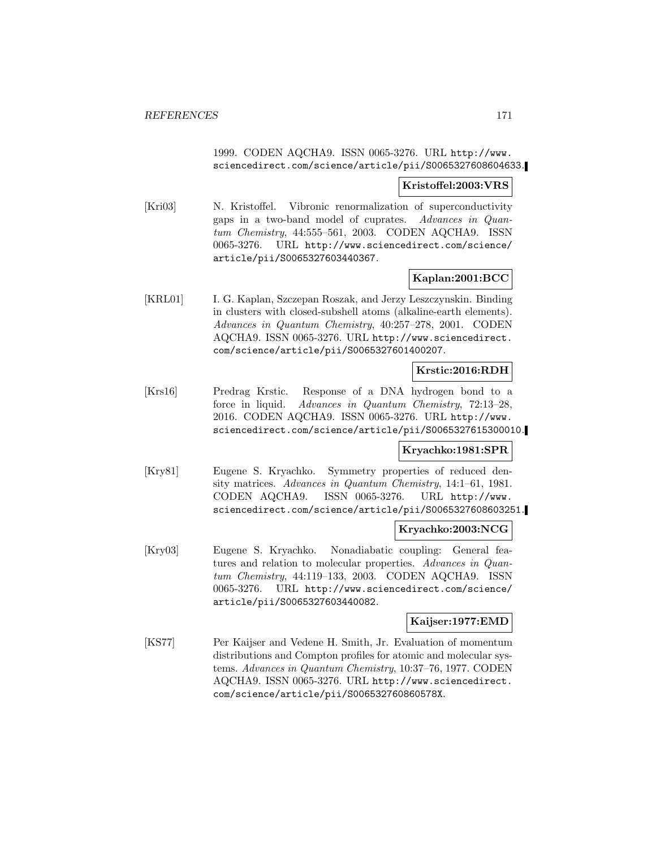# 1999. CODEN AQCHA9. ISSN 0065-3276. URL http://www. sciencedirect.com/science/article/pii/S0065327608604633.

### **Kristoffel:2003:VRS**

[Kri03] N. Kristoffel. Vibronic renormalization of superconductivity gaps in a two-band model of cuprates. Advances in Quantum Chemistry, 44:555–561, 2003. CODEN AQCHA9. ISSN 0065-3276. URL http://www.sciencedirect.com/science/ article/pii/S0065327603440367.

## **Kaplan:2001:BCC**

[KRL01] I. G. Kaplan, Szczepan Roszak, and Jerzy Leszczynskin. Binding in clusters with closed-subshell atoms (alkaline-earth elements). Advances in Quantum Chemistry, 40:257–278, 2001. CODEN AQCHA9. ISSN 0065-3276. URL http://www.sciencedirect. com/science/article/pii/S0065327601400207.

# **Krstic:2016:RDH**

[Krs16] Predrag Krstic. Response of a DNA hydrogen bond to a force in liquid. Advances in Quantum Chemistry, 72:13–28, 2016. CODEN AQCHA9. ISSN 0065-3276. URL http://www. sciencedirect.com/science/article/pii/S0065327615300010.

## **Kryachko:1981:SPR**

[Kry81] Eugene S. Kryachko. Symmetry properties of reduced density matrices. Advances in Quantum Chemistry, 14:1–61, 1981. CODEN AQCHA9. ISSN 0065-3276. URL http://www. sciencedirect.com/science/article/pii/S0065327608603251.

## **Kryachko:2003:NCG**

[Kry03] Eugene S. Kryachko. Nonadiabatic coupling: General features and relation to molecular properties. Advances in Quantum Chemistry, 44:119–133, 2003. CODEN AQCHA9. ISSN 0065-3276. URL http://www.sciencedirect.com/science/ article/pii/S0065327603440082.

# **Kaijser:1977:EMD**

[KS77] Per Kaijser and Vedene H. Smith, Jr. Evaluation of momentum distributions and Compton profiles for atomic and molecular systems. Advances in Quantum Chemistry, 10:37–76, 1977. CODEN AQCHA9. ISSN 0065-3276. URL http://www.sciencedirect. com/science/article/pii/S006532760860578X.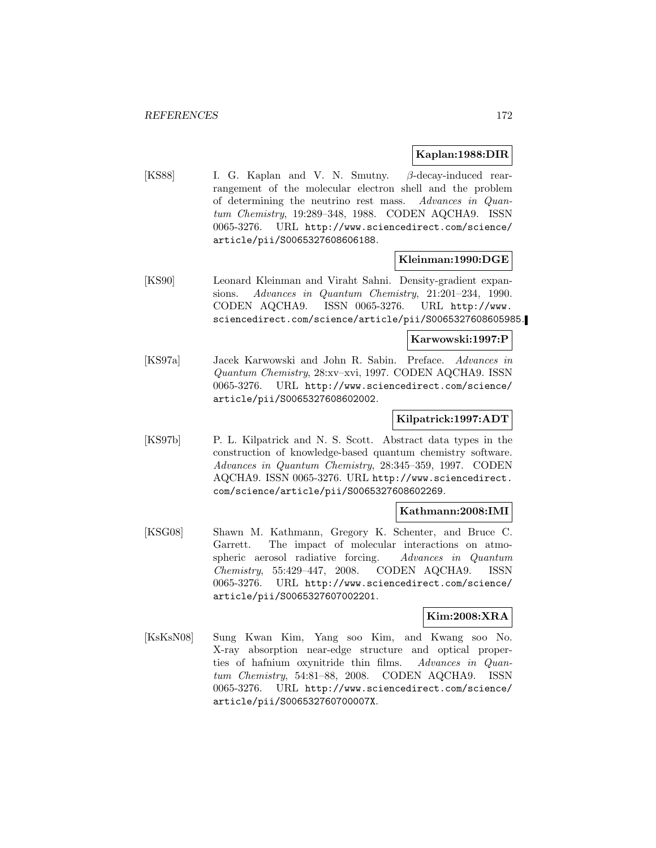### **Kaplan:1988:DIR**

[KS88] I. G. Kaplan and V. N. Smutny. β-decay-induced rearrangement of the molecular electron shell and the problem of determining the neutrino rest mass. Advances in Quantum Chemistry, 19:289–348, 1988. CODEN AQCHA9. ISSN 0065-3276. URL http://www.sciencedirect.com/science/ article/pii/S0065327608606188.

#### **Kleinman:1990:DGE**

[KS90] Leonard Kleinman and Viraht Sahni. Density-gradient expansions. Advances in Quantum Chemistry, 21:201–234, 1990. CODEN AQCHA9. ISSN 0065-3276. URL http://www. sciencedirect.com/science/article/pii/S0065327608605985.

#### **Karwowski:1997:P**

[KS97a] Jacek Karwowski and John R. Sabin. Preface. Advances in Quantum Chemistry, 28:xv–xvi, 1997. CODEN AQCHA9. ISSN 0065-3276. URL http://www.sciencedirect.com/science/ article/pii/S0065327608602002.

## **Kilpatrick:1997:ADT**

[KS97b] P. L. Kilpatrick and N. S. Scott. Abstract data types in the construction of knowledge-based quantum chemistry software. Advances in Quantum Chemistry, 28:345–359, 1997. CODEN AQCHA9. ISSN 0065-3276. URL http://www.sciencedirect. com/science/article/pii/S0065327608602269.

#### **Kathmann:2008:IMI**

[KSG08] Shawn M. Kathmann, Gregory K. Schenter, and Bruce C. Garrett. The impact of molecular interactions on atmospheric aerosol radiative forcing. Advances in Quantum Chemistry, 55:429–447, 2008. CODEN AQCHA9. ISSN 0065-3276. URL http://www.sciencedirect.com/science/ article/pii/S0065327607002201.

#### **Kim:2008:XRA**

[KsKsN08] Sung Kwan Kim, Yang soo Kim, and Kwang soo No. X-ray absorption near-edge structure and optical properties of hafnium oxynitride thin films. Advances in Quantum Chemistry, 54:81–88, 2008. CODEN AQCHA9. ISSN 0065-3276. URL http://www.sciencedirect.com/science/ article/pii/S006532760700007X.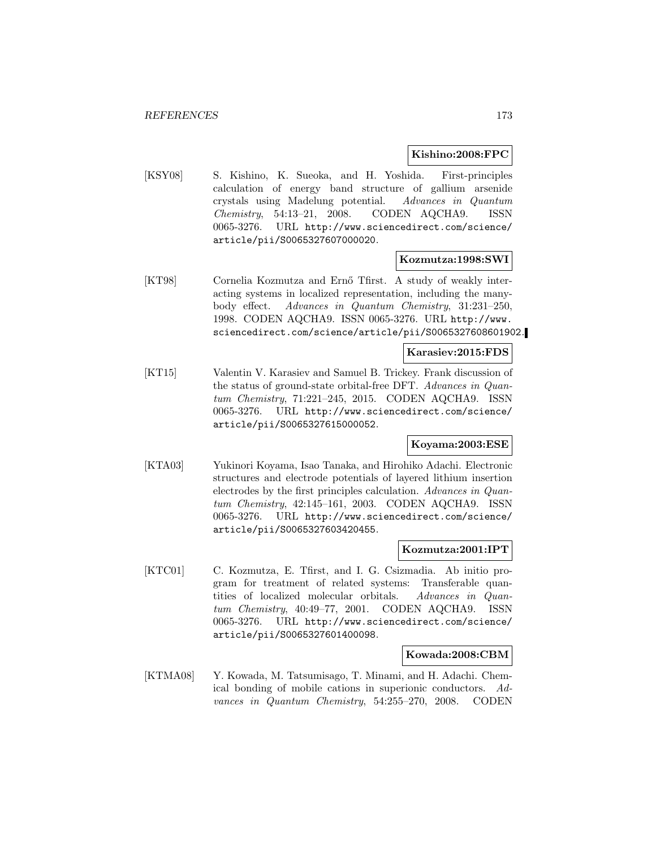#### **Kishino:2008:FPC**

[KSY08] S. Kishino, K. Sueoka, and H. Yoshida. First-principles calculation of energy band structure of gallium arsenide crystals using Madelung potential. Advances in Quantum Chemistry, 54:13–21, 2008. CODEN AQCHA9. ISSN 0065-3276. URL http://www.sciencedirect.com/science/ article/pii/S0065327607000020.

#### **Kozmutza:1998:SWI**

[KT98] Cornelia Kozmutza and Ernő Tfirst. A study of weakly interacting systems in localized representation, including the manybody effect. Advances in Quantum Chemistry, 31:231–250, 1998. CODEN AQCHA9. ISSN 0065-3276. URL http://www. sciencedirect.com/science/article/pii/S0065327608601902.

## **Karasiev:2015:FDS**

[KT15] Valentin V. Karasiev and Samuel B. Trickey. Frank discussion of the status of ground-state orbital-free DFT. Advances in Quantum Chemistry, 71:221–245, 2015. CODEN AQCHA9. ISSN 0065-3276. URL http://www.sciencedirect.com/science/ article/pii/S0065327615000052.

# **Koyama:2003:ESE**

[KTA03] Yukinori Koyama, Isao Tanaka, and Hirohiko Adachi. Electronic structures and electrode potentials of layered lithium insertion electrodes by the first principles calculation. Advances in Quantum Chemistry, 42:145–161, 2003. CODEN AQCHA9. ISSN 0065-3276. URL http://www.sciencedirect.com/science/ article/pii/S0065327603420455.

#### **Kozmutza:2001:IPT**

[KTC01] C. Kozmutza, E. Tfirst, and I. G. Csizmadia. Ab initio program for treatment of related systems: Transferable quantities of localized molecular orbitals. Advances in Quantum Chemistry, 40:49–77, 2001. CODEN AQCHA9. ISSN 0065-3276. URL http://www.sciencedirect.com/science/ article/pii/S0065327601400098.

#### **Kowada:2008:CBM**

[KTMA08] Y. Kowada, M. Tatsumisago, T. Minami, and H. Adachi. Chemical bonding of mobile cations in superionic conductors. Advances in Quantum Chemistry, 54:255–270, 2008. CODEN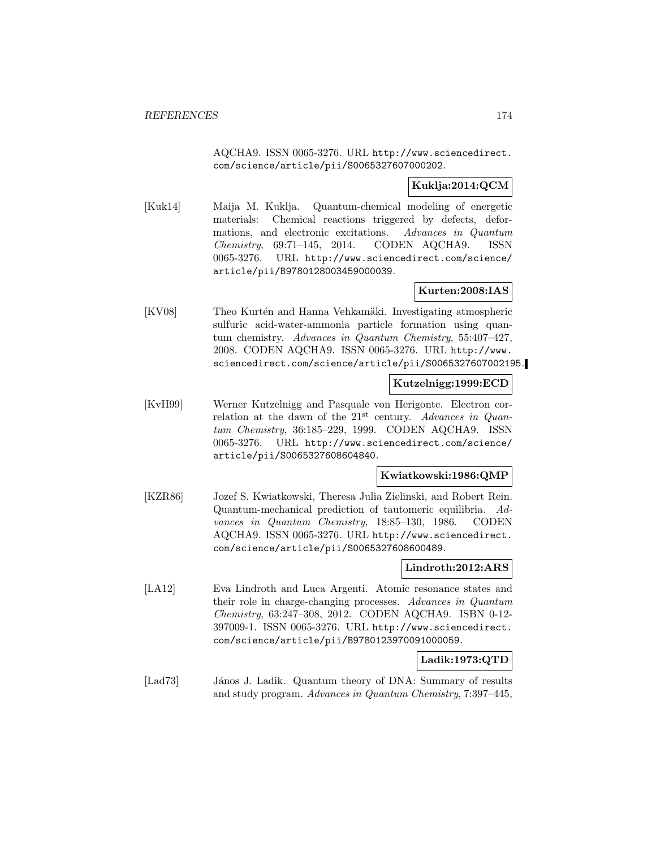AQCHA9. ISSN 0065-3276. URL http://www.sciencedirect. com/science/article/pii/S0065327607000202.

# **Kuklja:2014:QCM**

[Kuk14] Maija M. Kuklja. Quantum-chemical modeling of energetic materials: Chemical reactions triggered by defects, deformations, and electronic excitations. Advances in Quantum Chemistry, 69:71–145, 2014. CODEN AQCHA9. ISSN 0065-3276. URL http://www.sciencedirect.com/science/ article/pii/B9780128003459000039.

# **Kurten:2008:IAS**

[KV08] Theo Kurtén and Hanna Vehkamäki. Investigating atmospheric sulfuric acid-water-ammonia particle formation using quantum chemistry. Advances in Quantum Chemistry, 55:407–427, 2008. CODEN AQCHA9. ISSN 0065-3276. URL http://www. sciencedirect.com/science/article/pii/S0065327607002195.

# **Kutzelnigg:1999:ECD**

[KvH99] Werner Kutzelnigg and Pasquale von Herigonte. Electron correlation at the dawn of the  $21<sup>st</sup>$  century. Advances in Quantum Chemistry, 36:185–229, 1999. CODEN AQCHA9. ISSN 0065-3276. URL http://www.sciencedirect.com/science/ article/pii/S0065327608604840.

# **Kwiatkowski:1986:QMP**

[KZR86] Jozef S. Kwiatkowski, Theresa Julia Zielinski, and Robert Rein. Quantum-mechanical prediction of tautomeric equilibria. Advances in Quantum Chemistry, 18:85–130, 1986. CODEN AQCHA9. ISSN 0065-3276. URL http://www.sciencedirect. com/science/article/pii/S0065327608600489.

# **Lindroth:2012:ARS**

[LA12] Eva Lindroth and Luca Argenti. Atomic resonance states and their role in charge-changing processes. Advances in Quantum Chemistry, 63:247–308, 2012. CODEN AQCHA9. ISBN 0-12- 397009-1. ISSN 0065-3276. URL http://www.sciencedirect. com/science/article/pii/B9780123970091000059.

# **Ladik:1973:QTD**

[Lad73] János J. Ladik. Quantum theory of DNA: Summary of results and study program. Advances in Quantum Chemistry, 7:397–445,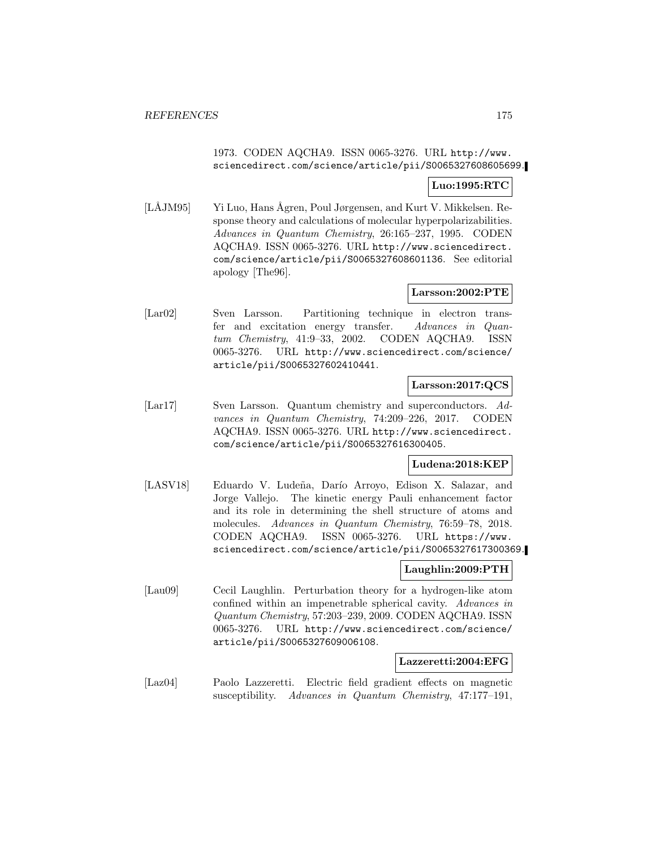1973. CODEN AQCHA9. ISSN 0065-3276. URL http://www. sciencedirect.com/science/article/pii/S0065327608605699.

# **Luo:1995:RTC**

[LÅJM95] Yi Luo, Hans Ågren, Poul Jørgensen, and Kurt V. Mikkelsen. Response theory and calculations of molecular hyperpolarizabilities. Advances in Quantum Chemistry, 26:165–237, 1995. CODEN AQCHA9. ISSN 0065-3276. URL http://www.sciencedirect. com/science/article/pii/S0065327608601136. See editorial apology [The96].

## **Larsson:2002:PTE**

[Lar02] Sven Larsson. Partitioning technique in electron transfer and excitation energy transfer. Advances in Quantum Chemistry, 41:9–33, 2002. CODEN AQCHA9. ISSN 0065-3276. URL http://www.sciencedirect.com/science/ article/pii/S0065327602410441.

## **Larsson:2017:QCS**

[Lar17] Sven Larsson. Quantum chemistry and superconductors. Advances in Quantum Chemistry, 74:209–226, 2017. CODEN AQCHA9. ISSN 0065-3276. URL http://www.sciencedirect. com/science/article/pii/S0065327616300405.

# **Ludena:2018:KEP**

[LASV18] Eduardo V. Ludeña, Darío Arroyo, Edison X. Salazar, and Jorge Vallejo. The kinetic energy Pauli enhancement factor and its role in determining the shell structure of atoms and molecules. Advances in Quantum Chemistry, 76:59–78, 2018. CODEN AQCHA9. ISSN 0065-3276. URL https://www. sciencedirect.com/science/article/pii/S0065327617300369.

## **Laughlin:2009:PTH**

[Lau09] Cecil Laughlin. Perturbation theory for a hydrogen-like atom confined within an impenetrable spherical cavity. Advances in Quantum Chemistry, 57:203–239, 2009. CODEN AQCHA9. ISSN 0065-3276. URL http://www.sciencedirect.com/science/ article/pii/S0065327609006108.

#### **Lazzeretti:2004:EFG**

[Laz04] Paolo Lazzeretti. Electric field gradient effects on magnetic susceptibility. Advances in Quantum Chemistry, 47:177–191,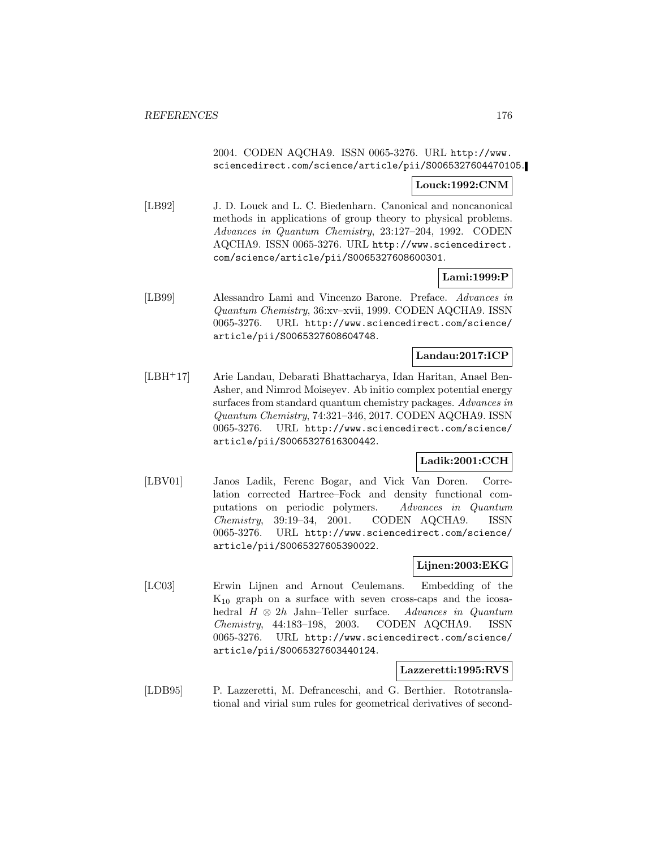# 2004. CODEN AQCHA9. ISSN 0065-3276. URL http://www. sciencedirect.com/science/article/pii/S0065327604470105.

# **Louck:1992:CNM**

[LB92] J. D. Louck and L. C. Biedenharn. Canonical and noncanonical methods in applications of group theory to physical problems. Advances in Quantum Chemistry, 23:127–204, 1992. CODEN AQCHA9. ISSN 0065-3276. URL http://www.sciencedirect. com/science/article/pii/S0065327608600301.

# **Lami:1999:P**

[LB99] Alessandro Lami and Vincenzo Barone. Preface. Advances in Quantum Chemistry, 36:xv–xvii, 1999. CODEN AQCHA9. ISSN 0065-3276. URL http://www.sciencedirect.com/science/ article/pii/S0065327608604748.

# **Landau:2017:ICP**

[LBH<sup>+</sup>17] Arie Landau, Debarati Bhattacharya, Idan Haritan, Anael Ben-Asher, and Nimrod Moiseyev. Ab initio complex potential energy surfaces from standard quantum chemistry packages. Advances in Quantum Chemistry, 74:321–346, 2017. CODEN AQCHA9. ISSN 0065-3276. URL http://www.sciencedirect.com/science/ article/pii/S0065327616300442.

# **Ladik:2001:CCH**

[LBV01] Janos Ladik, Ferenc Bogar, and Vick Van Doren. Correlation corrected Hartree–Fock and density functional computations on periodic polymers. Advances in Quantum Chemistry, 39:19–34, 2001. CODEN AQCHA9. ISSN 0065-3276. URL http://www.sciencedirect.com/science/ article/pii/S0065327605390022.

# **Lijnen:2003:EKG**

[LC03] Erwin Lijnen and Arnout Ceulemans. Embedding of the  $K_{10}$  graph on a surface with seven cross-caps and the icosahedral  $H \otimes 2h$  Jahn–Teller surface. Advances in Quantum Chemistry, 44:183–198, 2003. CODEN AQCHA9. ISSN  $Chemistry, 44:183-198, 2003.$ 0065-3276. URL http://www.sciencedirect.com/science/ article/pii/S0065327603440124.

# **Lazzeretti:1995:RVS**

[LDB95] P. Lazzeretti, M. Defranceschi, and G. Berthier. Rototranslational and virial sum rules for geometrical derivatives of second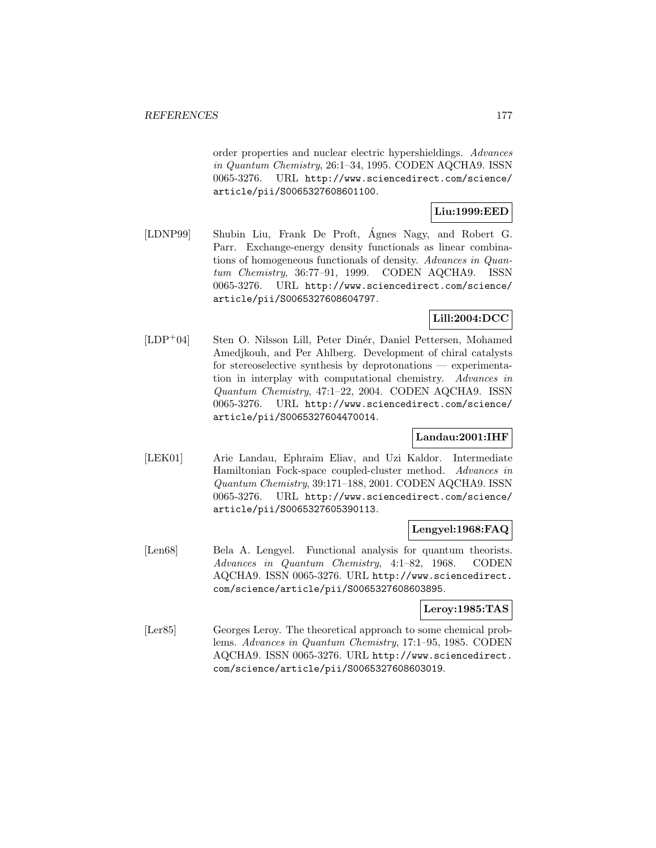order properties and nuclear electric hypershieldings. Advances in Quantum Chemistry, 26:1–34, 1995. CODEN AQCHA9. ISSN 0065-3276. URL http://www.sciencedirect.com/science/ article/pii/S0065327608601100.

# **Liu:1999:EED**

[LDNP99] Shubin Liu, Frank De Proft, Ágnes Nagy, and Robert G. Parr. Exchange-energy density functionals as linear combinations of homogeneous functionals of density. Advances in Quantum Chemistry, 36:77–91, 1999. CODEN AQCHA9. ISSN 0065-3276. URL http://www.sciencedirect.com/science/ article/pii/S0065327608604797.

# **Lill:2004:DCC**

[LDP<sup>+</sup>04] Sten O. Nilsson Lill, Peter Dinér, Daniel Pettersen, Mohamed Amedjkouh, and Per Ahlberg. Development of chiral catalysts for stereoselective synthesis by deprotonations — experimentation in interplay with computational chemistry. Advances in Quantum Chemistry, 47:1–22, 2004. CODEN AQCHA9. ISSN 0065-3276. URL http://www.sciencedirect.com/science/ article/pii/S0065327604470014.

# **Landau:2001:IHF**

[LEK01] Arie Landau, Ephraim Eliav, and Uzi Kaldor. Intermediate Hamiltonian Fock-space coupled-cluster method. Advances in Quantum Chemistry, 39:171–188, 2001. CODEN AQCHA9. ISSN 0065-3276. URL http://www.sciencedirect.com/science/ article/pii/S0065327605390113.

# **Lengyel:1968:FAQ**

[Len68] Bela A. Lengyel. Functional analysis for quantum theorists. Advances in Quantum Chemistry, 4:1–82, 1968. CODEN AQCHA9. ISSN 0065-3276. URL http://www.sciencedirect. com/science/article/pii/S0065327608603895.

## **Leroy:1985:TAS**

[Ler85] Georges Leroy. The theoretical approach to some chemical problems. Advances in Quantum Chemistry, 17:1–95, 1985. CODEN AQCHA9. ISSN 0065-3276. URL http://www.sciencedirect. com/science/article/pii/S0065327608603019.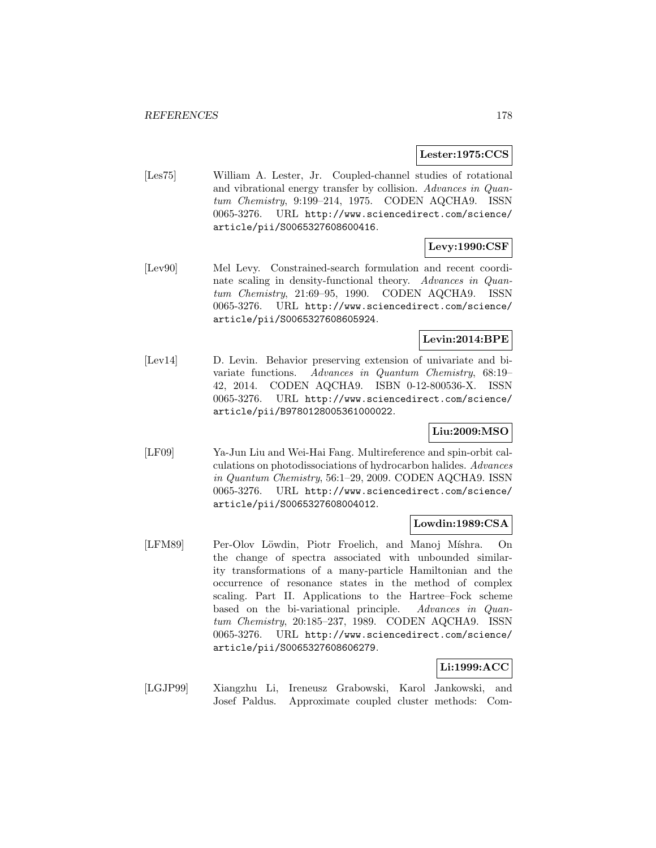### **Lester:1975:CCS**

[Les75] William A. Lester, Jr. Coupled-channel studies of rotational and vibrational energy transfer by collision. Advances in Quantum Chemistry, 9:199–214, 1975. CODEN AQCHA9. ISSN 0065-3276. URL http://www.sciencedirect.com/science/ article/pii/S0065327608600416.

# **Levy:1990:CSF**

[Lev90] Mel Levy. Constrained-search formulation and recent coordinate scaling in density-functional theory. Advances in Quantum Chemistry, 21:69–95, 1990. CODEN AQCHA9. ISSN 0065-3276. URL http://www.sciencedirect.com/science/ article/pii/S0065327608605924.

# **Levin:2014:BPE**

[Lev14] D. Levin. Behavior preserving extension of univariate and bivariate functions. Advances in Quantum Chemistry, 68:19– 42, 2014. CODEN AQCHA9. ISBN 0-12-800536-X. ISSN 0065-3276. URL http://www.sciencedirect.com/science/ article/pii/B9780128005361000022.

# **Liu:2009:MSO**

[LF09] Ya-Jun Liu and Wei-Hai Fang. Multireference and spin-orbit calculations on photodissociations of hydrocarbon halides. Advances in Quantum Chemistry, 56:1–29, 2009. CODEN AQCHA9. ISSN 0065-3276. URL http://www.sciencedirect.com/science/ article/pii/S0065327608004012.

## **Lowdin:1989:CSA**

[LFM89] Per-Olov Löwdin, Piotr Froelich, and Manoj Míshra. On the change of spectra associated with unbounded similarity transformations of a many-particle Hamiltonian and the occurrence of resonance states in the method of complex scaling. Part II. Applications to the Hartree–Fock scheme based on the bi-variational principle. Advances in Quantum Chemistry, 20:185–237, 1989. CODEN AQCHA9. ISSN 0065-3276. URL http://www.sciencedirect.com/science/ article/pii/S0065327608606279.

## **Li:1999:ACC**

[LGJP99] Xiangzhu Li, Ireneusz Grabowski, Karol Jankowski, and Josef Paldus. Approximate coupled cluster methods: Com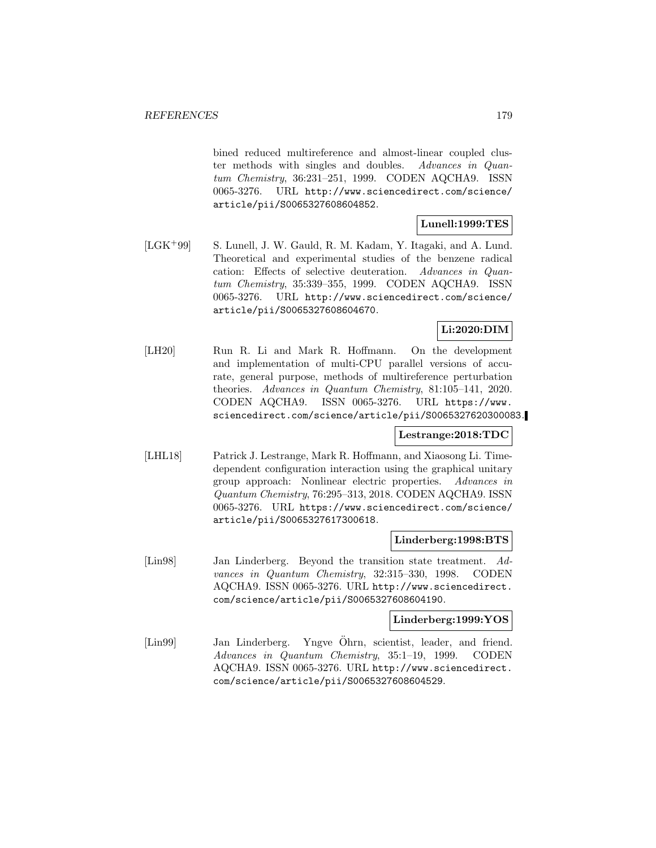bined reduced multireference and almost-linear coupled cluster methods with singles and doubles. Advances in Quantum Chemistry, 36:231–251, 1999. CODEN AQCHA9. ISSN 0065-3276. URL http://www.sciencedirect.com/science/ article/pii/S0065327608604852.

# **Lunell:1999:TES**

[LGK<sup>+</sup>99] S. Lunell, J. W. Gauld, R. M. Kadam, Y. Itagaki, and A. Lund. Theoretical and experimental studies of the benzene radical cation: Effects of selective deuteration. Advances in Quantum Chemistry, 35:339–355, 1999. CODEN AQCHA9. ISSN 0065-3276. URL http://www.sciencedirect.com/science/ article/pii/S0065327608604670.

# **Li:2020:DIM**

[LH20] Run R. Li and Mark R. Hoffmann. On the development and implementation of multi-CPU parallel versions of accurate, general purpose, methods of multireference perturbation theories. Advances in Quantum Chemistry, 81:105–141, 2020. CODEN AQCHA9. ISSN 0065-3276. URL https://www. sciencedirect.com/science/article/pii/S0065327620300083.

## **Lestrange:2018:TDC**

[LHL18] Patrick J. Lestrange, Mark R. Hoffmann, and Xiaosong Li. Timedependent configuration interaction using the graphical unitary group approach: Nonlinear electric properties. Advances in Quantum Chemistry, 76:295–313, 2018. CODEN AQCHA9. ISSN 0065-3276. URL https://www.sciencedirect.com/science/ article/pii/S0065327617300618.

# **Linderberg:1998:BTS**

[Lin98] Jan Linderberg. Beyond the transition state treatment. Advances in Quantum Chemistry, 32:315–330, 1998. CODEN AQCHA9. ISSN 0065-3276. URL http://www.sciencedirect. com/science/article/pii/S0065327608604190.

# **Linderberg:1999:YOS**

[Lin99] Jan Linderberg. Yngve Öhrn, scientist, leader, and friend. Advances in Quantum Chemistry, 35:1–19, 1999. CODEN AQCHA9. ISSN 0065-3276. URL http://www.sciencedirect. com/science/article/pii/S0065327608604529.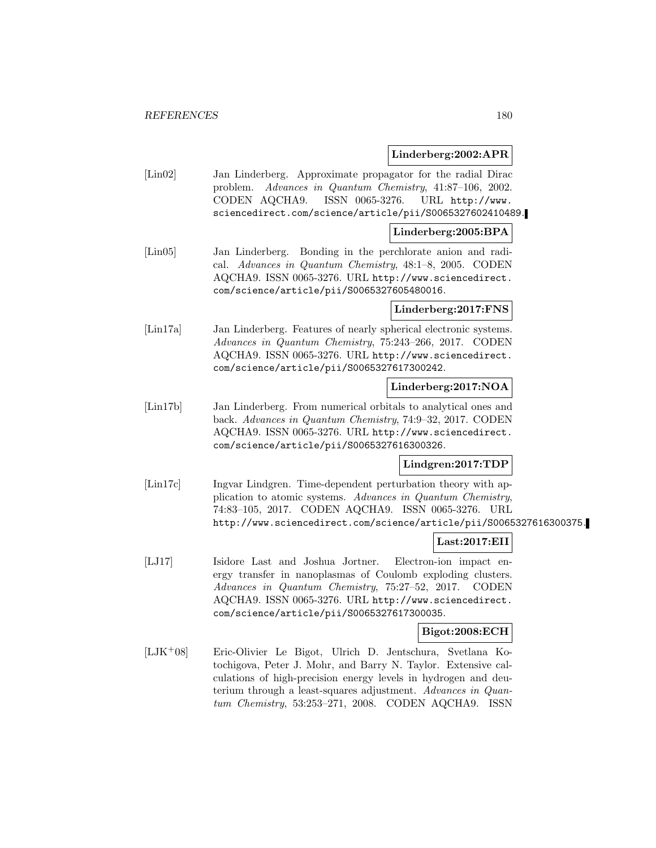## **Linderberg:2002:APR**

[Lin02] Jan Linderberg. Approximate propagator for the radial Dirac problem. Advances in Quantum Chemistry, 41:87–106, 2002. CODEN AQCHA9. ISSN 0065-3276. URL http://www. sciencedirect.com/science/article/pii/S0065327602410489.

#### **Linderberg:2005:BPA**

[Lin05] Jan Linderberg. Bonding in the perchlorate anion and radical. Advances in Quantum Chemistry, 48:1–8, 2005. CODEN AQCHA9. ISSN 0065-3276. URL http://www.sciencedirect. com/science/article/pii/S0065327605480016.

## **Linderberg:2017:FNS**

[Lin17a] Jan Linderberg. Features of nearly spherical electronic systems. Advances in Quantum Chemistry, 75:243–266, 2017. CODEN AQCHA9. ISSN 0065-3276. URL http://www.sciencedirect. com/science/article/pii/S0065327617300242.

# **Linderberg:2017:NOA**

[Lin17b] Jan Linderberg. From numerical orbitals to analytical ones and back. Advances in Quantum Chemistry, 74:9–32, 2017. CODEN AQCHA9. ISSN 0065-3276. URL http://www.sciencedirect. com/science/article/pii/S0065327616300326.

# **Lindgren:2017:TDP**

[Lin17c] Ingvar Lindgren. Time-dependent perturbation theory with application to atomic systems. Advances in Quantum Chemistry, 74:83–105, 2017. CODEN AQCHA9. ISSN 0065-3276. URL http://www.sciencedirect.com/science/article/pii/S0065327616300375.

# **Last:2017:EII**

[LJ17] Isidore Last and Joshua Jortner. Electron-ion impact energy transfer in nanoplasmas of Coulomb exploding clusters. Advances in Quantum Chemistry, 75:27–52, 2017. CODEN AQCHA9. ISSN 0065-3276. URL http://www.sciencedirect. com/science/article/pii/S0065327617300035.

## **Bigot:2008:ECH**

[LJK<sup>+</sup>08] Eric-Olivier Le Bigot, Ulrich D. Jentschura, Svetlana Kotochigova, Peter J. Mohr, and Barry N. Taylor. Extensive calculations of high-precision energy levels in hydrogen and deuterium through a least-squares adjustment. Advances in Quantum Chemistry, 53:253–271, 2008. CODEN AQCHA9. ISSN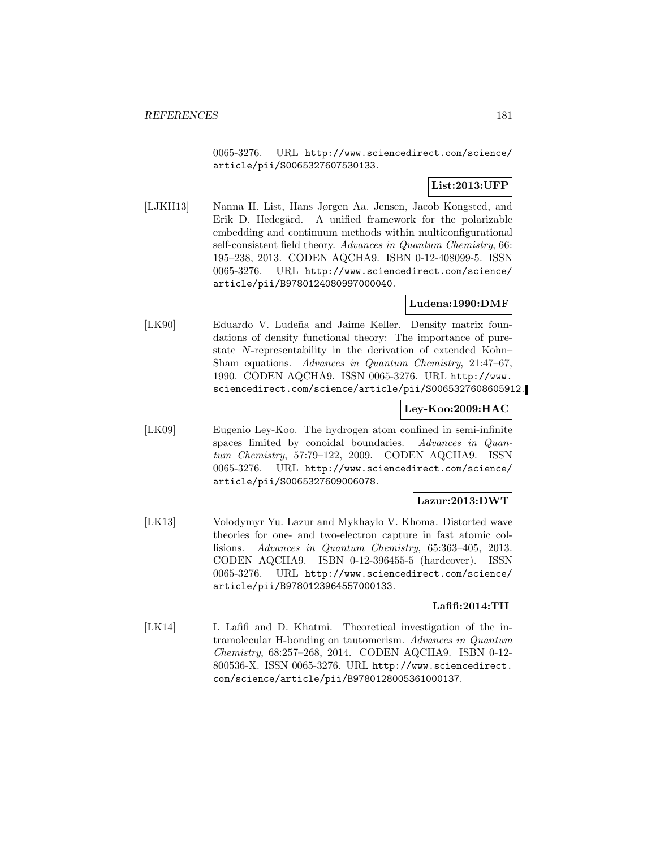0065-3276. URL http://www.sciencedirect.com/science/ article/pii/S0065327607530133.

# **List:2013:UFP**

[LJKH13] Nanna H. List, Hans Jørgen Aa. Jensen, Jacob Kongsted, and Erik D. Hedegård. A unified framework for the polarizable embedding and continuum methods within multiconfigurational self-consistent field theory. Advances in Quantum Chemistry, 66: 195–238, 2013. CODEN AQCHA9. ISBN 0-12-408099-5. ISSN 0065-3276. URL http://www.sciencedirect.com/science/ article/pii/B9780124080997000040.

## **Ludena:1990:DMF**

[LK90] Eduardo V. Ludeña and Jaime Keller. Density matrix foundations of density functional theory: The importance of purestate N-representability in the derivation of extended Kohn– Sham equations. Advances in Quantum Chemistry, 21:47–67, 1990. CODEN AQCHA9. ISSN 0065-3276. URL http://www. sciencedirect.com/science/article/pii/S0065327608605912.

# **Ley-Koo:2009:HAC**

[LK09] Eugenio Ley-Koo. The hydrogen atom confined in semi-infinite spaces limited by conoidal boundaries. Advances in Quantum Chemistry, 57:79–122, 2009. CODEN AQCHA9. ISSN 0065-3276. URL http://www.sciencedirect.com/science/ article/pii/S0065327609006078.

# **Lazur:2013:DWT**

[LK13] Volodymyr Yu. Lazur and Mykhaylo V. Khoma. Distorted wave theories for one- and two-electron capture in fast atomic collisions. Advances in Quantum Chemistry, 65:363–405, 2013. CODEN AQCHA9. ISBN 0-12-396455-5 (hardcover). ISSN 0065-3276. URL http://www.sciencedirect.com/science/ article/pii/B9780123964557000133.

### **Lafifi:2014:TII**

[LK14] I. Lafifi and D. Khatmi. Theoretical investigation of the intramolecular H-bonding on tautomerism. Advances in Quantum Chemistry, 68:257–268, 2014. CODEN AQCHA9. ISBN 0-12- 800536-X. ISSN 0065-3276. URL http://www.sciencedirect. com/science/article/pii/B9780128005361000137.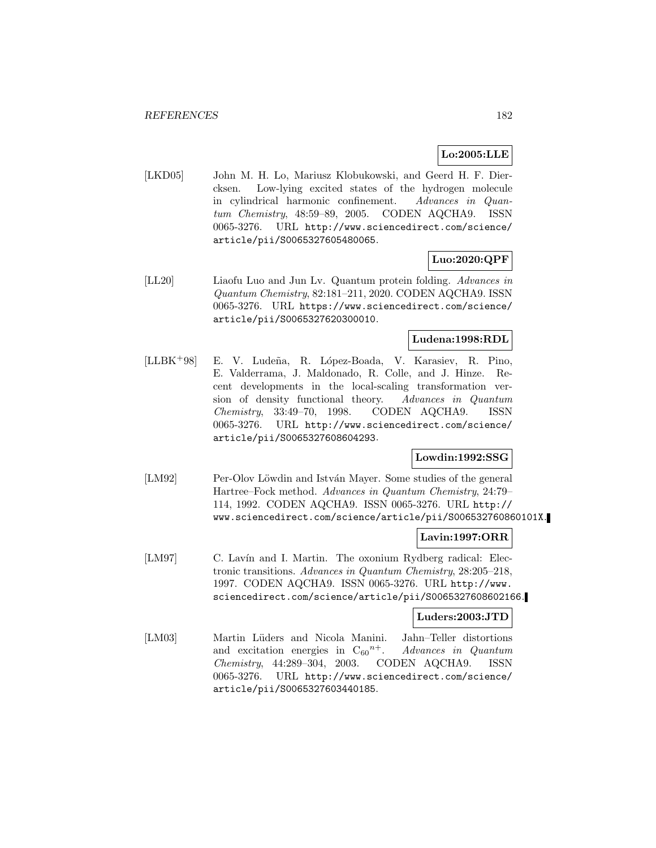# **Lo:2005:LLE**

[LKD05] John M. H. Lo, Mariusz Klobukowski, and Geerd H. F. Diercksen. Low-lying excited states of the hydrogen molecule in cylindrical harmonic confinement. Advances in Quantum Chemistry, 48:59–89, 2005. CODEN AQCHA9. ISSN 0065-3276. URL http://www.sciencedirect.com/science/ article/pii/S0065327605480065.

# **Luo:2020:QPF**

[LL20] Liaofu Luo and Jun Lv. Quantum protein folding. Advances in Quantum Chemistry, 82:181–211, 2020. CODEN AQCHA9. ISSN 0065-3276. URL https://www.sciencedirect.com/science/ article/pii/S0065327620300010.

# **Ludena:1998:RDL**

[LLBK<sup>+</sup>98] E. V. Lude˜na, R. L´opez-Boada, V. Karasiev, R. Pino, E. Valderrama, J. Maldonado, R. Colle, and J. Hinze. Recent developments in the local-scaling transformation version of density functional theory. Advances in Quantum Chemistry, 33:49–70, 1998. CODEN AQCHA9. ISSN 0065-3276. URL http://www.sciencedirect.com/science/ article/pii/S0065327608604293.

# **Lowdin:1992:SSG**

[LM92] Per-Olov Löwdin and István Mayer. Some studies of the general Hartree–Fock method. Advances in Quantum Chemistry, 24:79– 114, 1992. CODEN AQCHA9. ISSN 0065-3276. URL http:// www.sciencedirect.com/science/article/pii/S006532760860101X.

### **Lavin:1997:ORR**

[LM97] C. Lavín and I. Martin. The oxonium Rydberg radical: Electronic transitions. Advances in Quantum Chemistry, 28:205–218, 1997. CODEN AQCHA9. ISSN 0065-3276. URL http://www. sciencedirect.com/science/article/pii/S0065327608602166.

### **Luders:2003:JTD**

[LM03] Martin Lüders and Nicola Manini. Jahn–Teller distortions and excitation energies in  $C_{60}^{n+}$ . Advances in Quantum Chemistry, 44:289–304, 2003. CODEN AQCHA9. ISSN 0065-3276. URL http://www.sciencedirect.com/science/ article/pii/S0065327603440185.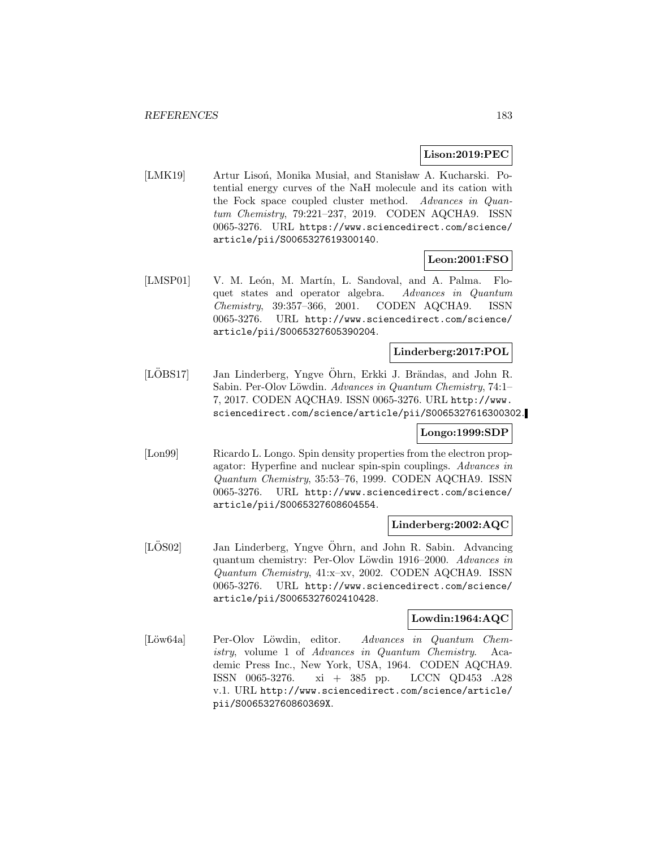### **Lison:2019:PEC**

[LMK19] Artur Lisoń, Monika Musiał, and Stanisław A. Kucharski. Potential energy curves of the NaH molecule and its cation with the Fock space coupled cluster method. Advances in Quantum Chemistry, 79:221–237, 2019. CODEN AQCHA9. ISSN 0065-3276. URL https://www.sciencedirect.com/science/ article/pii/S0065327619300140.

# **Leon:2001:FSO**

[LMSP01] V. M. León, M. Martín, L. Sandoval, and A. Palma. Floquet states and operator algebra. Advances in Quantum Chemistry, 39:357–366, 2001. CODEN AQCHA9. ISSN 0065-3276. URL http://www.sciencedirect.com/science/ article/pii/S0065327605390204.

## **Linderberg:2017:POL**

[LÖBS17] Jan Linderberg, Yngve Öhrn, Erkki J. Brändas, and John R. Sabin. Per-Olov Löwdin. Advances in Quantum Chemistry, 74:1– 7, 2017. CODEN AQCHA9. ISSN 0065-3276. URL http://www. sciencedirect.com/science/article/pii/S0065327616300302.

# **Longo:1999:SDP**

[Lon99] Ricardo L. Longo. Spin density properties from the electron propagator: Hyperfine and nuclear spin-spin couplings. Advances in Quantum Chemistry, 35:53–76, 1999. CODEN AQCHA9. ISSN 0065-3276. URL http://www.sciencedirect.com/science/ article/pii/S0065327608604554.

### **Linderberg:2002:AQC**

[LOS02] Jan Linderberg, Yngve Öhrn, and John R. Sabin. Advancing quantum chemistry: Per-Olov Löwdin 1916–2000. Advances in Quantum Chemistry, 41:x–xv, 2002. CODEN AQCHA9. ISSN 0065-3276. URL http://www.sciencedirect.com/science/ article/pii/S0065327602410428.

# **Lowdin:1964:AQC**

[Löw64a] Per-Olov Löwdin, editor. Advances in Quantum Chemistry, volume 1 of Advances in Quantum Chemistry. Academic Press Inc., New York, USA, 1964. CODEN AQCHA9. ISSN 0065-3276. xi + 385 pp. LCCN QD453 .A28 v.1. URL http://www.sciencedirect.com/science/article/ pii/S006532760860369X.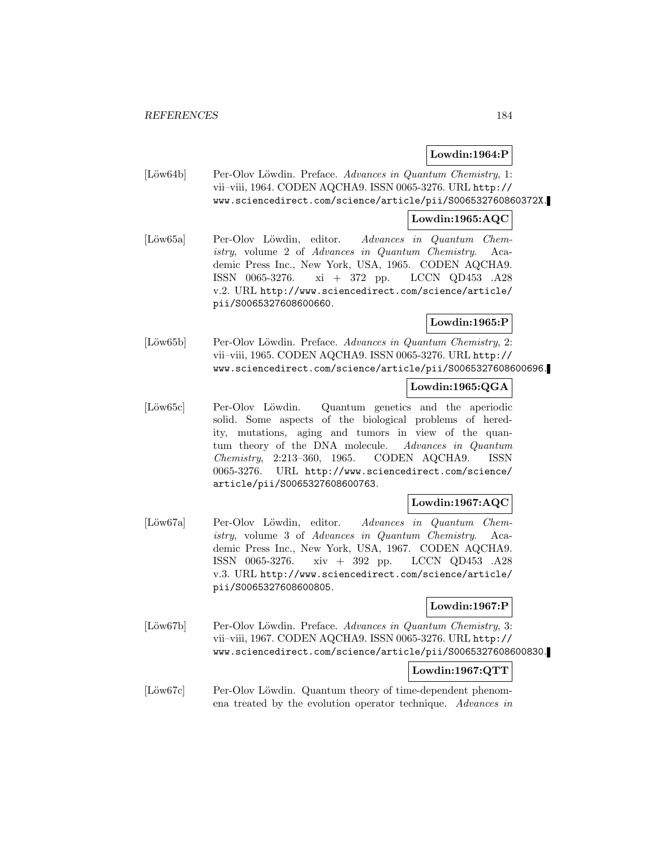## **Lowdin:1964:P**

[Löw64b] Per-Olov Löwdin. Preface. Advances in Quantum Chemistry, 1: vii–viii, 1964. CODEN AQCHA9. ISSN 0065-3276. URL http:// www.sciencedirect.com/science/article/pii/S006532760860372X.

## **Lowdin:1965:AQC**

[Löw65a] Per-Olov Löwdin, editor. Advances in Quantum Chemistry, volume 2 of Advances in Quantum Chemistry. Academic Press Inc., New York, USA, 1965. CODEN AQCHA9. ISSN 0065-3276. xi + 372 pp. LCCN QD453 .A28 v.2. URL http://www.sciencedirect.com/science/article/ pii/S0065327608600660.

**Lowdin:1965:P**

[Löw65b] Per-Olov Löwdin. Preface. Advances in Quantum Chemistry, 2: vii–viii, 1965. CODEN AQCHA9. ISSN 0065-3276. URL http:// www.sciencedirect.com/science/article/pii/S0065327608600696.

# **Lowdin:1965:QGA**

[Löw65c] Per-Olov Löwdin. Quantum genetics and the aperiodic solid. Some aspects of the biological problems of heredity, mutations, aging and tumors in view of the quantum theory of the DNA molecule. Advances in Quantum Chemistry, 2:213–360, 1965. CODEN AQCHA9. ISSN 0065-3276. URL http://www.sciencedirect.com/science/ article/pii/S0065327608600763.

# **Lowdin:1967:AQC**

[Löw67a] Per-Olov Löwdin, editor. Advances in Quantum Chemistry, volume 3 of Advances in Quantum Chemistry. Academic Press Inc., New York, USA, 1967. CODEN AQCHA9. ISSN 0065-3276. xiv + 392 pp. LCCN QD453 .A28 v.3. URL http://www.sciencedirect.com/science/article/ pii/S0065327608600805.

## **Lowdin:1967:P**

 $|L\ddot{\phi}\text{w67b}|$  Per-Olov Löwdin. Preface. Advances in Quantum Chemistry, 3: vii–viii, 1967. CODEN AQCHA9. ISSN 0065-3276. URL http:// www.sciencedirect.com/science/article/pii/S0065327608600830.

# **Lowdin:1967:QTT**

[Löw67c] Per-Olov Löwdin. Quantum theory of time-dependent phenomena treated by the evolution operator technique. Advances in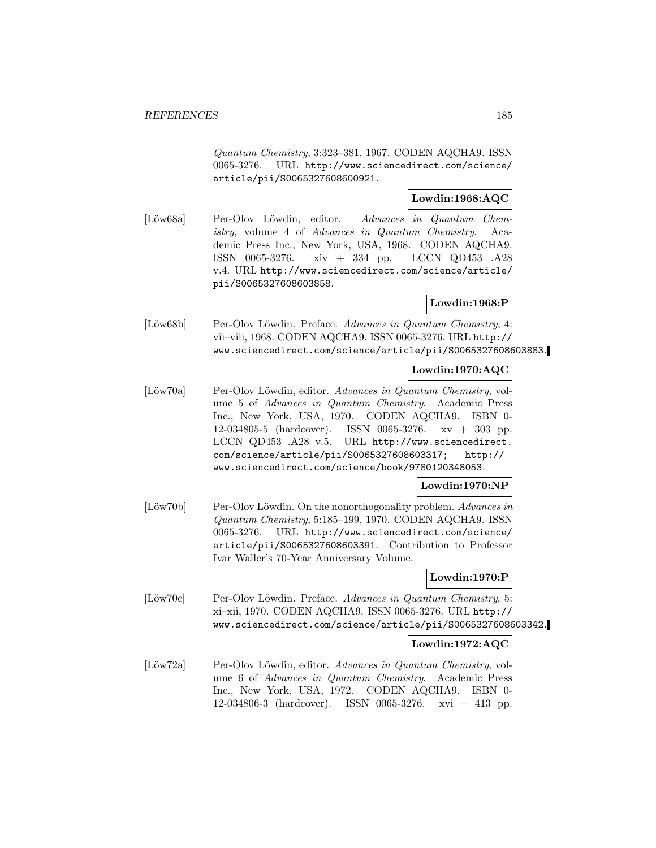Quantum Chemistry, 3:323–381, 1967. CODEN AQCHA9. ISSN 0065-3276. URL http://www.sciencedirect.com/science/ article/pii/S0065327608600921.

# **Lowdin:1968:AQC**

[Löw68a] Per-Olov Löwdin, editor. Advances in Quantum Chemistry, volume 4 of Advances in Quantum Chemistry. Academic Press Inc., New York, USA, 1968. CODEN AQCHA9. ISSN 0065-3276. xiv + 334 pp. LCCN QD453 .A28 v.4. URL http://www.sciencedirect.com/science/article/ pii/S0065327608603858.

## **Lowdin:1968:P**

[Löw68b] Per-Olov Löwdin. Preface. Advances in Quantum Chemistry, 4: vii–viii, 1968. CODEN AQCHA9. ISSN 0065-3276. URL http:// www.sciencedirect.com/science/article/pii/S0065327608603883.

#### **Lowdin:1970:AQC**

[Löw70a] Per-Olov Löwdin, editor. Advances in Quantum Chemistry, volume 5 of Advances in Quantum Chemistry. Academic Press Inc., New York, USA, 1970. CODEN AQCHA9. ISBN 0- 12-034805-5 (hardcover). ISSN 0065-3276. xv + 303 pp. LCCN QD453 .A28 v.5. URL http://www.sciencedirect. com/science/article/pii/S0065327608603317; http:// www.sciencedirect.com/science/book/9780120348053.

### **Lowdin:1970:NP**

[Löw70b] Per-Olov Löwdin. On the nonorthogonality problem. Advances in Quantum Chemistry, 5:185–199, 1970. CODEN AQCHA9. ISSN 0065-3276. URL http://www.sciencedirect.com/science/ article/pii/S0065327608603391. Contribution to Professor Ivar Waller's 70-Year Anniversary Volume.

### **Lowdin:1970:P**

[Löw70c] Per-Olov Löwdin. Preface. Advances in Quantum Chemistry, 5: xi–xii, 1970. CODEN AQCHA9. ISSN 0065-3276. URL http:// www.sciencedirect.com/science/article/pii/S0065327608603342.

### **Lowdin:1972:AQC**

[Löw72a] Per-Olov Löwdin, editor. Advances in Quantum Chemistry, volume 6 of Advances in Quantum Chemistry. Academic Press Inc., New York, USA, 1972. CODEN AQCHA9. ISBN 0- 12-034806-3 (hardcover). ISSN 0065-3276. xvi + 413 pp.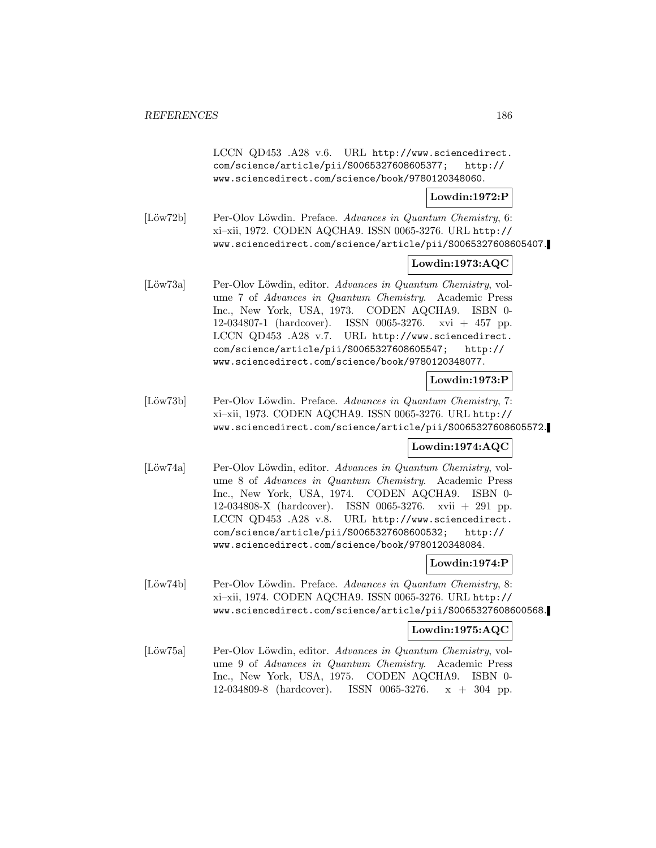LCCN QD453 .A28 v.6. URL http://www.sciencedirect. com/science/article/pii/S0065327608605377; http:// www.sciencedirect.com/science/book/9780120348060.

## **Lowdin:1972:P**

[Löw72b] Per-Olov Löwdin. Preface. Advances in Quantum Chemistry, 6: xi–xii, 1972. CODEN AQCHA9. ISSN 0065-3276. URL http:// www.sciencedirect.com/science/article/pii/S0065327608605407.

# **Lowdin:1973:AQC**

[Löw73a] Per-Olov Löwdin, editor. Advances in Quantum Chemistry, volume 7 of Advances in Quantum Chemistry. Academic Press Inc., New York, USA, 1973. CODEN AQCHA9. ISBN 0- 12-034807-1 (hardcover). ISSN 0065-3276. xvi + 457 pp. LCCN QD453 .A28 v.7. URL http://www.sciencedirect. com/science/article/pii/S0065327608605547; http:// www.sciencedirect.com/science/book/9780120348077.

### **Lowdin:1973:P**

[Löw73b] Per-Olov Löwdin. Preface. Advances in Quantum Chemistry, 7: xi–xii, 1973. CODEN AQCHA9. ISSN 0065-3276. URL http:// www.sciencedirect.com/science/article/pii/S0065327608605572.

# **Lowdin:1974:AQC**

[Löw74a] Per-Olov Löwdin, editor. Advances in Quantum Chemistry, volume 8 of Advances in Quantum Chemistry. Academic Press Inc., New York, USA, 1974. CODEN AQCHA9. ISBN 0- 12-034808-X (hardcover). ISSN 0065-3276. xvii + 291 pp. LCCN QD453 .A28 v.8. URL http://www.sciencedirect. com/science/article/pii/S0065327608600532; http:// www.sciencedirect.com/science/book/9780120348084.

# **Lowdin:1974:P**

[Löw74b] Per-Olov Löwdin. Preface. Advances in Quantum Chemistry, 8: xi–xii, 1974. CODEN AQCHA9. ISSN 0065-3276. URL http:// www.sciencedirect.com/science/article/pii/S0065327608600568.

### **Lowdin:1975:AQC**

[Löw75a] Per-Olov Löwdin, editor. Advances in Quantum Chemistry, volume 9 of Advances in Quantum Chemistry. Academic Press Inc., New York, USA, 1975. CODEN AQCHA9. ISBN 0- 12-034809-8 (hardcover). ISSN 0065-3276. x + 304 pp.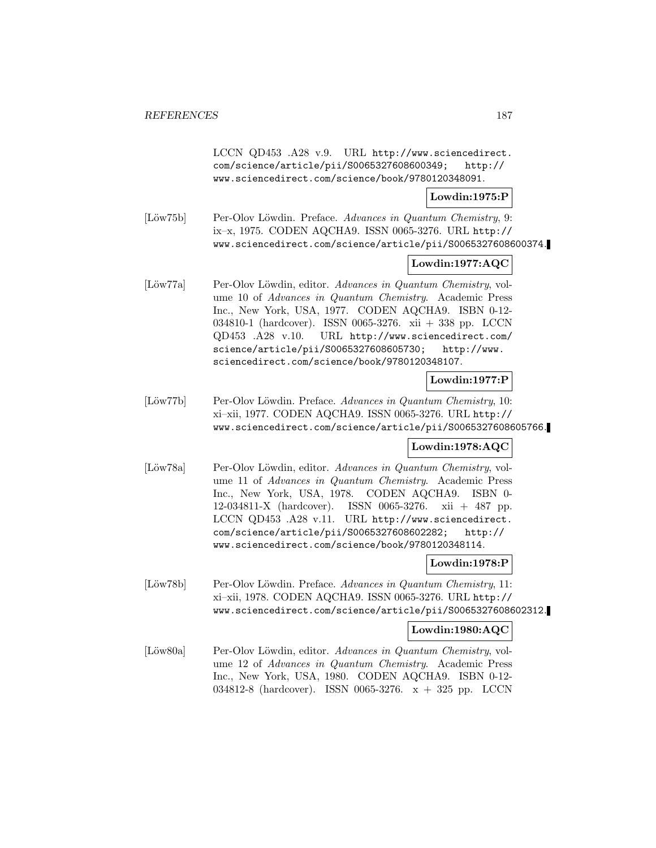LCCN QD453 .A28 v.9. URL http://www.sciencedirect. com/science/article/pii/S0065327608600349; http:// www.sciencedirect.com/science/book/9780120348091.

## **Lowdin:1975:P**

[Löw75b] Per-Olov Löwdin. Preface. Advances in Quantum Chemistry, 9: ix–x, 1975. CODEN AQCHA9. ISSN 0065-3276. URL http:// www.sciencedirect.com/science/article/pii/S0065327608600374.

## **Lowdin:1977:AQC**

[Löw77a] Per-Olov Löwdin, editor. Advances in Quantum Chemistry, volume 10 of Advances in Quantum Chemistry. Academic Press Inc., New York, USA, 1977. CODEN AQCHA9. ISBN 0-12- 034810-1 (hardcover). ISSN 0065-3276. xii + 338 pp. LCCN QD453 .A28 v.10. URL http://www.sciencedirect.com/ science/article/pii/S0065327608605730; http://www. sciencedirect.com/science/book/9780120348107.

## **Lowdin:1977:P**

[Löw77b] Per-Olov Löwdin. Preface. Advances in Quantum Chemistry, 10: xi–xii, 1977. CODEN AQCHA9. ISSN 0065-3276. URL http:// www.sciencedirect.com/science/article/pii/S0065327608605766.

# **Lowdin:1978:AQC**

[Löw78a] Per-Olov Löwdin, editor. Advances in Quantum Chemistry, volume 11 of Advances in Quantum Chemistry. Academic Press Inc., New York, USA, 1978. CODEN AQCHA9. ISBN 0- 12-034811-X (hardcover). ISSN 0065-3276. xii + 487 pp. LCCN QD453 .A28 v.11. URL http://www.sciencedirect. com/science/article/pii/S0065327608602282; http:// www.sciencedirect.com/science/book/9780120348114.

# **Lowdin:1978:P**

[Löw78b] Per-Olov Löwdin. Preface. Advances in Quantum Chemistry, 11: xi–xii, 1978. CODEN AQCHA9. ISSN 0065-3276. URL http:// www.sciencedirect.com/science/article/pii/S0065327608602312.

### **Lowdin:1980:AQC**

[Löw80a] Per-Olov Löwdin, editor. Advances in Quantum Chemistry, volume 12 of Advances in Quantum Chemistry. Academic Press Inc., New York, USA, 1980. CODEN AQCHA9. ISBN 0-12- 034812-8 (hardcover). ISSN 0065-3276. x + 325 pp. LCCN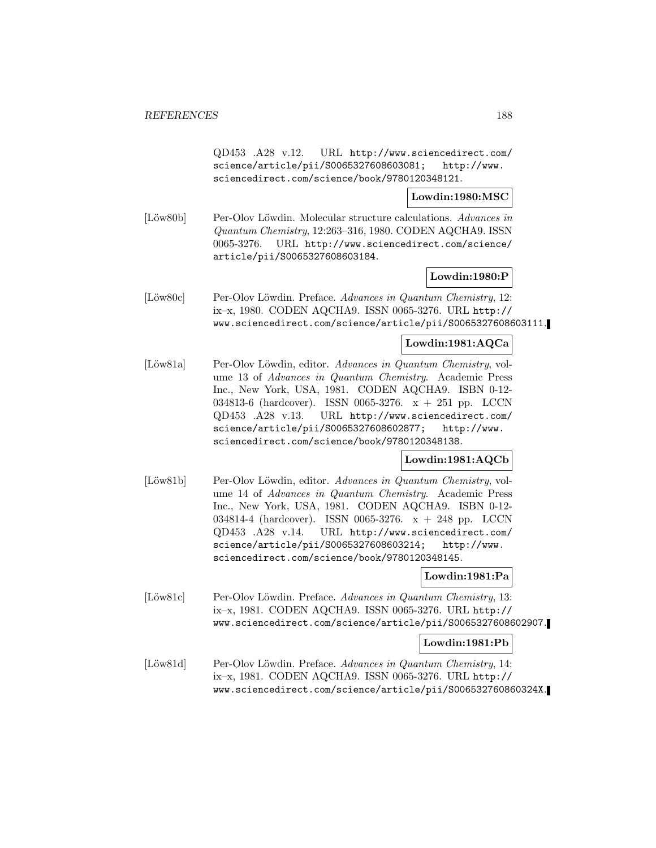QD453 .A28 v.12. URL http://www.sciencedirect.com/ science/article/pii/S0065327608603081; http://www. sciencedirect.com/science/book/9780120348121.

**Lowdin:1980:MSC**

[Löw80b] Per-Olov Löwdin. Molecular structure calculations. Advances in Quantum Chemistry, 12:263–316, 1980. CODEN AQCHA9. ISSN 0065-3276. URL http://www.sciencedirect.com/science/ article/pii/S0065327608603184.

**Lowdin:1980:P**

[Löw80c] Per-Olov Löwdin. Preface. Advances in Quantum Chemistry, 12: ix–x, 1980. CODEN AQCHA9. ISSN 0065-3276. URL http:// www.sciencedirect.com/science/article/pii/S0065327608603111.

### **Lowdin:1981:AQCa**

[Löw81a] Per-Olov Löwdin, editor. Advances in Quantum Chemistry, volume 13 of Advances in Quantum Chemistry. Academic Press Inc., New York, USA, 1981. CODEN AQCHA9. ISBN 0-12- 034813-6 (hardcover). ISSN 0065-3276. x + 251 pp. LCCN QD453 .A28 v.13. URL http://www.sciencedirect.com/ science/article/pii/S0065327608602877; http://www. sciencedirect.com/science/book/9780120348138.

**Lowdin:1981:AQCb**

[Löw81b] Per-Olov Löwdin, editor. Advances in Quantum Chemistry, volume 14 of Advances in Quantum Chemistry. Academic Press Inc., New York, USA, 1981. CODEN AQCHA9. ISBN 0-12- 034814-4 (hardcover). ISSN 0065-3276. x + 248 pp. LCCN QD453 .A28 v.14. URL http://www.sciencedirect.com/ science/article/pii/S0065327608603214; http://www. sciencedirect.com/science/book/9780120348145.

### **Lowdin:1981:Pa**

[Löw81c] Per-Olov Löwdin. Preface. Advances in Quantum Chemistry, 13: ix–x, 1981. CODEN AQCHA9. ISSN 0065-3276. URL http:// www.sciencedirect.com/science/article/pii/S0065327608602907.

### **Lowdin:1981:Pb**

[Löw81d] Per-Olov Löwdin. Preface. Advances in Quantum Chemistry, 14: ix–x, 1981. CODEN AQCHA9. ISSN 0065-3276. URL http:// www.sciencedirect.com/science/article/pii/S006532760860324X.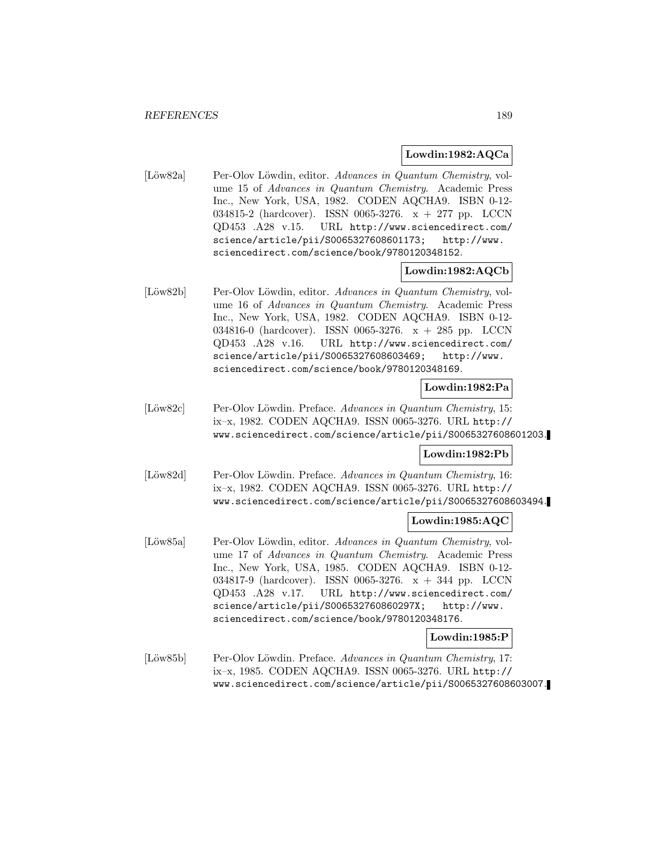#### **Lowdin:1982:AQCa**

[Löw82a] Per-Olov Löwdin, editor. Advances in Quantum Chemistry, volume 15 of Advances in Quantum Chemistry. Academic Press Inc., New York, USA, 1982. CODEN AQCHA9. ISBN 0-12- 034815-2 (hardcover). ISSN 0065-3276. x + 277 pp. LCCN QD453 .A28 v.15. URL http://www.sciencedirect.com/ science/article/pii/S0065327608601173; http://www. sciencedirect.com/science/book/9780120348152.

### **Lowdin:1982:AQCb**

[Löw82b] Per-Olov Löwdin, editor. Advances in Quantum Chemistry, volume 16 of Advances in Quantum Chemistry. Academic Press Inc., New York, USA, 1982. CODEN AQCHA9. ISBN 0-12- 034816-0 (hardcover). ISSN 0065-3276. x + 285 pp. LCCN QD453 .A28 v.16. URL http://www.sciencedirect.com/ science/article/pii/S0065327608603469; http://www. sciencedirect.com/science/book/9780120348169.

# **Lowdin:1982:Pa**

[Löw82c] Per-Olov Löwdin. Preface. Advances in Quantum Chemistry, 15: ix–x, 1982. CODEN AQCHA9. ISSN 0065-3276. URL http:// www.sciencedirect.com/science/article/pii/S0065327608601203.

### **Lowdin:1982:Pb**

[Löw82d] Per-Olov Löwdin. Preface. Advances in Quantum Chemistry, 16: ix–x, 1982. CODEN AQCHA9. ISSN 0065-3276. URL http:// www.sciencedirect.com/science/article/pii/S0065327608603494.

### **Lowdin:1985:AQC**

[Löw85a] Per-Olov Löwdin, editor. Advances in Quantum Chemistry, volume 17 of Advances in Quantum Chemistry. Academic Press Inc., New York, USA, 1985. CODEN AQCHA9. ISBN 0-12- 034817-9 (hardcover). ISSN 0065-3276. x + 344 pp. LCCN QD453 .A28 v.17. URL http://www.sciencedirect.com/ science/article/pii/S006532760860297X; http://www. sciencedirect.com/science/book/9780120348176.

## **Lowdin:1985:P**

[Löw85b] Per-Olov Löwdin. Preface. Advances in Quantum Chemistry, 17: ix–x, 1985. CODEN AQCHA9. ISSN 0065-3276. URL http:// www.sciencedirect.com/science/article/pii/S0065327608603007.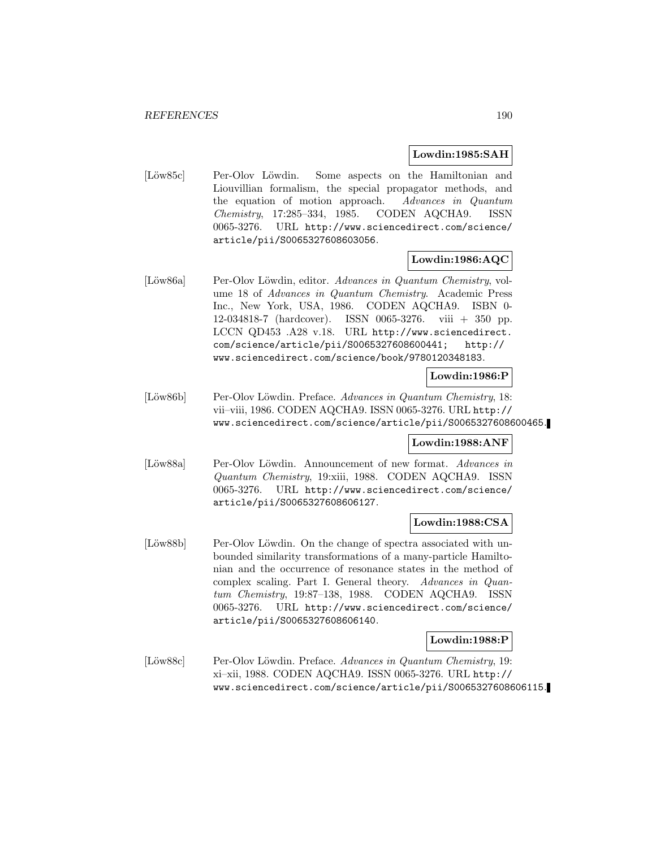#### **Lowdin:1985:SAH**

[Löw85c] Per-Olov Löwdin. Some aspects on the Hamiltonian and Liouvillian formalism, the special propagator methods, and the equation of motion approach. Advances in Quantum Chemistry, 17:285–334, 1985. CODEN AQCHA9. ISSN 0065-3276. URL http://www.sciencedirect.com/science/ article/pii/S0065327608603056.

### **Lowdin:1986:AQC**

[Löw86a] Per-Olov Löwdin, editor. Advances in Quantum Chemistry, volume 18 of Advances in Quantum Chemistry. Academic Press Inc., New York, USA, 1986. CODEN AQCHA9. ISBN 0- 12-034818-7 (hardcover). ISSN 0065-3276. viii + 350 pp. LCCN QD453 .A28 v.18. URL http://www.sciencedirect. com/science/article/pii/S0065327608600441; http:// www.sciencedirect.com/science/book/9780120348183.

## **Lowdin:1986:P**

[Löw86b] Per-Olov Löwdin. Preface. Advances in Quantum Chemistry, 18: vii–viii, 1986. CODEN AQCHA9. ISSN 0065-3276. URL http:// www.sciencedirect.com/science/article/pii/S0065327608600465.

### **Lowdin:1988:ANF**

[Löw88a] Per-Olov Löwdin. Announcement of new format. Advances in Quantum Chemistry, 19:xiii, 1988. CODEN AQCHA9. ISSN 0065-3276. URL http://www.sciencedirect.com/science/ article/pii/S0065327608606127.

### **Lowdin:1988:CSA**

[Löw88b] Per-Olov Löwdin. On the change of spectra associated with unbounded similarity transformations of a many-particle Hamiltonian and the occurrence of resonance states in the method of complex scaling. Part I. General theory. Advances in Quantum Chemistry, 19:87–138, 1988. CODEN AQCHA9. ISSN 0065-3276. URL http://www.sciencedirect.com/science/ article/pii/S0065327608606140.

### **Lowdin:1988:P**

[Löw88c] Per-Olov Löwdin. Preface. Advances in Quantum Chemistry, 19: xi–xii, 1988. CODEN AQCHA9. ISSN 0065-3276. URL http:// www.sciencedirect.com/science/article/pii/S0065327608606115.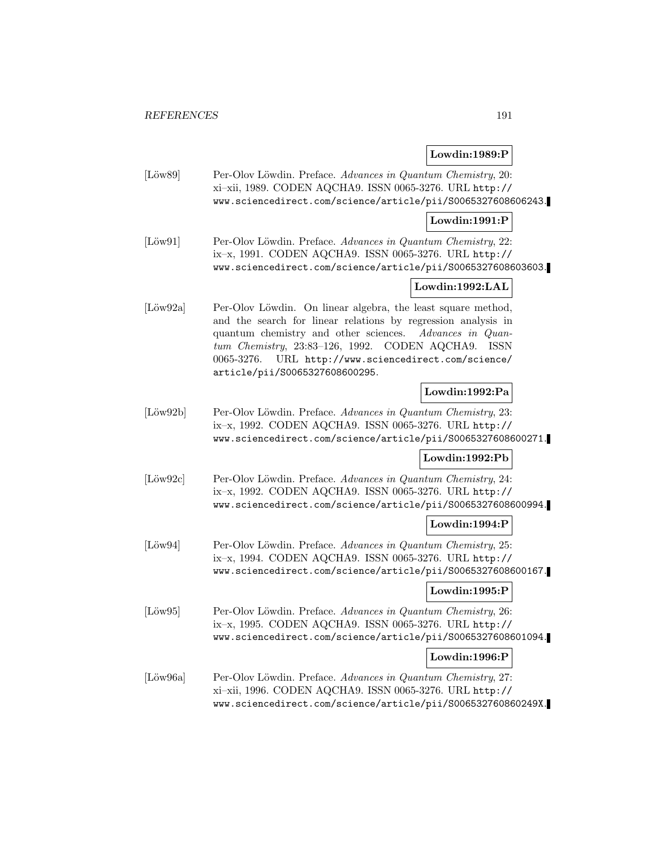# **Lowdin:1989:P**

[Löw89] Per-Olov Löwdin. Preface. Advances in Quantum Chemistry, 20: xi–xii, 1989. CODEN AQCHA9. ISSN 0065-3276. URL http:// www.sciencedirect.com/science/article/pii/S0065327608606243.

## **Lowdin:1991:P**

[Löw91] Per-Olov Löwdin. Preface. Advances in Quantum Chemistry, 22: ix–x, 1991. CODEN AQCHA9. ISSN 0065-3276. URL http:// www.sciencedirect.com/science/article/pii/S0065327608603603.

# **Lowdin:1992:LAL**

[Löw92a] Per-Olov Löwdin. On linear algebra, the least square method, and the search for linear relations by regression analysis in quantum chemistry and other sciences. Advances in Quantum Chemistry, 23:83–126, 1992. CODEN AQCHA9. ISSN 0065-3276. URL http://www.sciencedirect.com/science/ article/pii/S0065327608600295.

### **Lowdin:1992:Pa**

[Löw92b] Per-Olov Löwdin. Preface. Advances in Quantum Chemistry, 23: ix–x, 1992. CODEN AQCHA9. ISSN 0065-3276. URL http:// www.sciencedirect.com/science/article/pii/S0065327608600271.

### **Lowdin:1992:Pb**

[Löw92c] Per-Olov Löwdin. Preface. Advances in Quantum Chemistry, 24: ix–x, 1992. CODEN AQCHA9. ISSN 0065-3276. URL http:// www.sciencedirect.com/science/article/pii/S0065327608600994.

### **Lowdin:1994:P**

[Löw94] Per-Olov Löwdin. Preface. Advances in Quantum Chemistry, 25: ix–x, 1994. CODEN AQCHA9. ISSN 0065-3276. URL http:// www.sciencedirect.com/science/article/pii/S0065327608600167.

### **Lowdin:1995:P**

[Löw95] Per-Olov Löwdin. Preface. Advances in Quantum Chemistry, 26: ix–x, 1995. CODEN AQCHA9. ISSN 0065-3276. URL http:// www.sciencedirect.com/science/article/pii/S0065327608601094.

### **Lowdin:1996:P**

[Löw96a] Per-Olov Löwdin. Preface. Advances in Quantum Chemistry, 27: xi–xii, 1996. CODEN AQCHA9. ISSN 0065-3276. URL http:// www.sciencedirect.com/science/article/pii/S006532760860249X.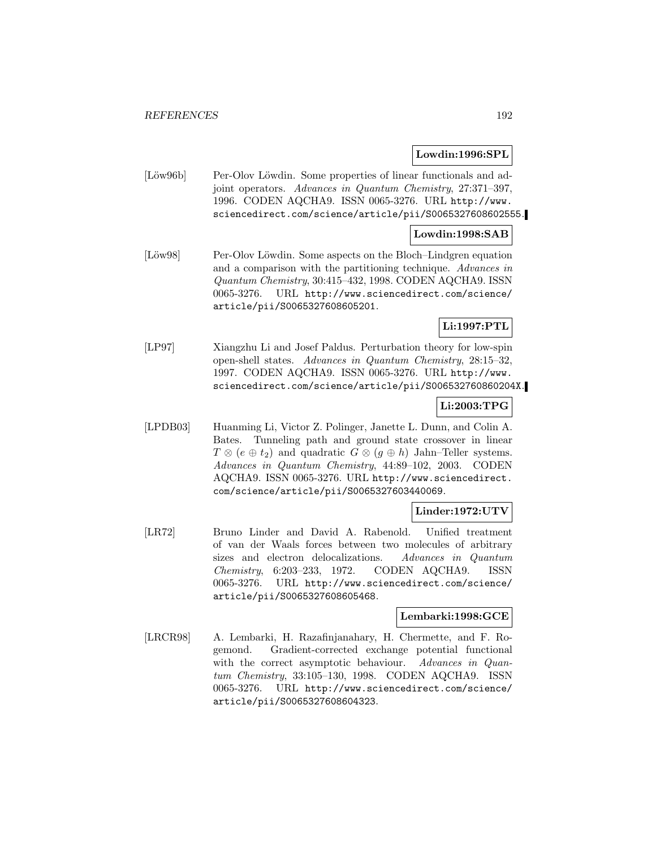### **Lowdin:1996:SPL**

[Löw96b] Per-Olov Löwdin. Some properties of linear functionals and adjoint operators. Advances in Quantum Chemistry, 27:371–397, 1996. CODEN AQCHA9. ISSN 0065-3276. URL http://www. sciencedirect.com/science/article/pii/S0065327608602555.

## **Lowdin:1998:SAB**

[Löw98] Per-Olov Löwdin. Some aspects on the Bloch–Lindgren equation and a comparison with the partitioning technique. Advances in Quantum Chemistry, 30:415–432, 1998. CODEN AQCHA9. ISSN 0065-3276. URL http://www.sciencedirect.com/science/ article/pii/S0065327608605201.

# **Li:1997:PTL**

[LP97] Xiangzhu Li and Josef Paldus. Perturbation theory for low-spin open-shell states. Advances in Quantum Chemistry, 28:15–32, 1997. CODEN AQCHA9. ISSN 0065-3276. URL http://www. sciencedirect.com/science/article/pii/S006532760860204X.

## **Li:2003:TPG**

[LPDB03] Huanming Li, Victor Z. Polinger, Janette L. Dunn, and Colin A. Bates. Tunneling path and ground state crossover in linear  $T \otimes (e \oplus t_2)$  and quadratic  $G \otimes (g \oplus h)$  Jahn–Teller systems. Advances in Quantum Chemistry, 44:89–102, 2003. CODEN AQCHA9. ISSN 0065-3276. URL http://www.sciencedirect. com/science/article/pii/S0065327603440069.

### **Linder:1972:UTV**

[LR72] Bruno Linder and David A. Rabenold. Unified treatment of van der Waals forces between two molecules of arbitrary sizes and electron delocalizations. Advances in Quantum Chemistry, 6:203–233, 1972. CODEN AQCHA9. ISSN 0065-3276. URL http://www.sciencedirect.com/science/ article/pii/S0065327608605468.

# **Lembarki:1998:GCE**

[LRCR98] A. Lembarki, H. Razafinjanahary, H. Chermette, and F. Rogemond. Gradient-corrected exchange potential functional with the correct asymptotic behaviour. Advances in Quantum Chemistry, 33:105–130, 1998. CODEN AQCHA9. ISSN 0065-3276. URL http://www.sciencedirect.com/science/ article/pii/S0065327608604323.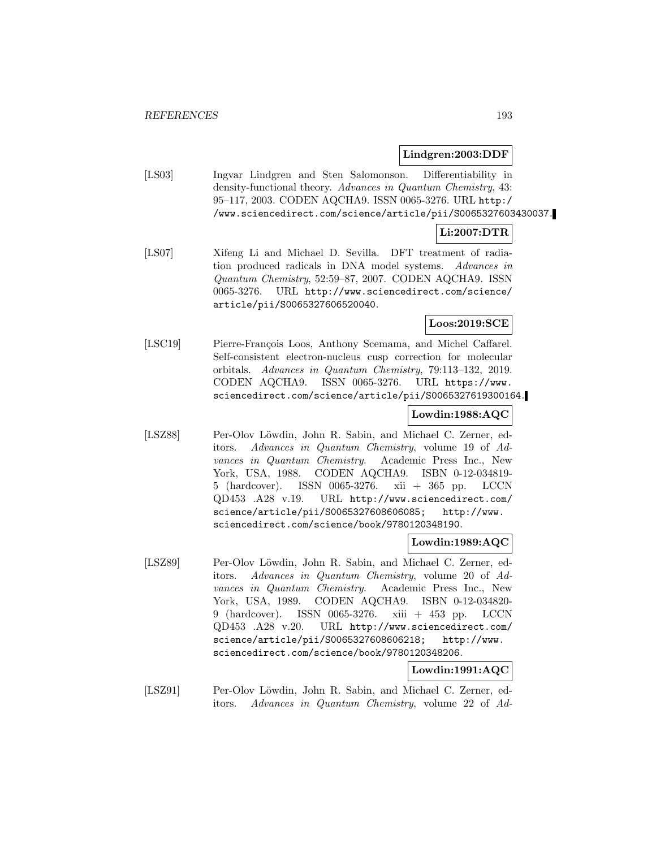### **Lindgren:2003:DDF**

[LS03] Ingvar Lindgren and Sten Salomonson. Differentiability in density-functional theory. Advances in Quantum Chemistry, 43: 95–117, 2003. CODEN AQCHA9. ISSN 0065-3276. URL http:/ /www.sciencedirect.com/science/article/pii/S0065327603430037.

## **Li:2007:DTR**

[LS07] Xifeng Li and Michael D. Sevilla. DFT treatment of radiation produced radicals in DNA model systems. Advances in Quantum Chemistry, 52:59–87, 2007. CODEN AQCHA9. ISSN 0065-3276. URL http://www.sciencedirect.com/science/ article/pii/S0065327606520040.

## **Loos:2019:SCE**

[LSC19] Pierre-François Loos, Anthony Scemama, and Michel Caffarel. Self-consistent electron-nucleus cusp correction for molecular orbitals. Advances in Quantum Chemistry, 79:113–132, 2019. CODEN AQCHA9. ISSN 0065-3276. URL https://www. sciencedirect.com/science/article/pii/S0065327619300164.

# **Lowdin:1988:AQC**

[LSZ88] Per-Olov Löwdin, John R. Sabin, and Michael C. Zerner, editors. Advances in Quantum Chemistry, volume 19 of Advances in Quantum Chemistry. Academic Press Inc., New York, USA, 1988. CODEN AQCHA9. ISBN 0-12-034819- 5 (hardcover). ISSN 0065-3276. xii + 365 pp. LCCN QD453 .A28 v.19. URL http://www.sciencedirect.com/ science/article/pii/S0065327608606085; http://www. sciencedirect.com/science/book/9780120348190.

### **Lowdin:1989:AQC**

[LSZ89] Per-Olov Löwdin, John R. Sabin, and Michael C. Zerner, editors. Advances in Quantum Chemistry, volume 20 of Advances in Quantum Chemistry. Academic Press Inc., New York, USA, 1989. CODEN AQCHA9. ISBN 0-12-034820- 9 (hardcover). ISSN 0065-3276. xiii + 453 pp. LCCN QD453 .A28 v.20. URL http://www.sciencedirect.com/ science/article/pii/S0065327608606218; http://www. sciencedirect.com/science/book/9780120348206.

# **Lowdin:1991:AQC**

[LSZ91] Per-Olov Löwdin, John R. Sabin, and Michael C. Zerner, editors. Advances in Quantum Chemistry, volume 22 of Ad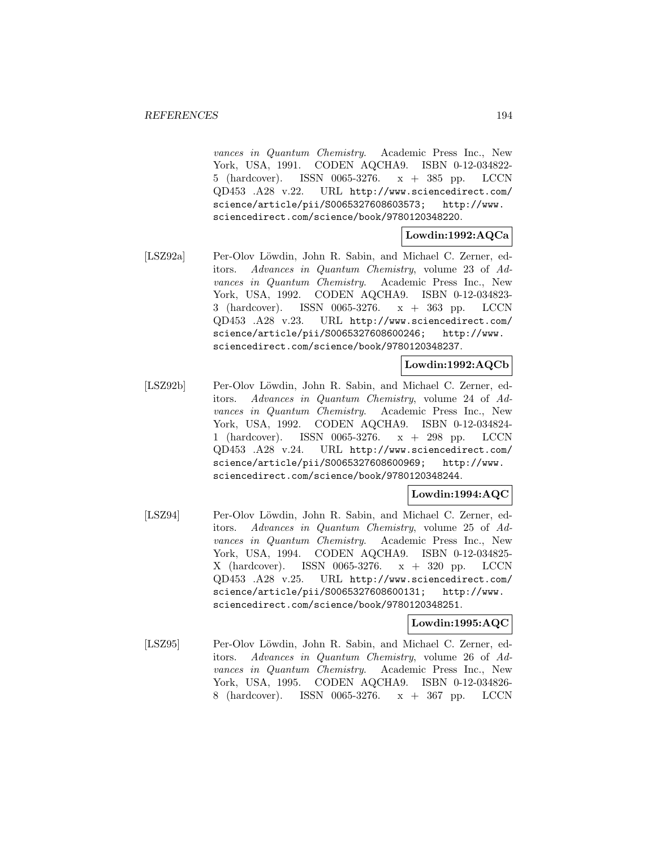vances in Quantum Chemistry. Academic Press Inc., New York, USA, 1991. CODEN AQCHA9. ISBN 0-12-034822- 5 (hardcover). ISSN 0065-3276. x + 385 pp. LCCN QD453 .A28 v.22. URL http://www.sciencedirect.com/ science/article/pii/S0065327608603573; http://www. sciencedirect.com/science/book/9780120348220.

#### **Lowdin:1992:AQCa**

[LSZ92a] Per-Olov Löwdin, John R. Sabin, and Michael C. Zerner, editors. Advances in Quantum Chemistry, volume 23 of Advances in Quantum Chemistry. Academic Press Inc., New York, USA, 1992. CODEN AQCHA9. ISBN 0-12-034823- 3 (hardcover). ISSN 0065-3276. x + 363 pp. LCCN QD453 .A28 v.23. URL http://www.sciencedirect.com/ science/article/pii/S0065327608600246; http://www. sciencedirect.com/science/book/9780120348237.

# **Lowdin:1992:AQCb**

[LSZ92b] Per-Olov Löwdin, John R. Sabin, and Michael C. Zerner, editors. Advances in Quantum Chemistry, volume 24 of Advances in Quantum Chemistry. Academic Press Inc., New York, USA, 1992. CODEN AQCHA9. ISBN 0-12-034824- 1 (hardcover). ISSN 0065-3276. x + 298 pp. LCCN QD453 .A28 v.24. URL http://www.sciencedirect.com/ science/article/pii/S0065327608600969; http://www. sciencedirect.com/science/book/9780120348244.

### **Lowdin:1994:AQC**

[LSZ94] Per-Olov Löwdin, John R. Sabin, and Michael C. Zerner, editors. Advances in Quantum Chemistry, volume 25 of Advances in Quantum Chemistry. Academic Press Inc., New York, USA, 1994. CODEN AQCHA9. ISBN 0-12-034825- X (hardcover). ISSN 0065-3276. x + 320 pp. LCCN QD453 .A28 v.25. URL http://www.sciencedirect.com/ science/article/pii/S0065327608600131; http://www. sciencedirect.com/science/book/9780120348251.

#### **Lowdin:1995:AQC**

[LSZ95] Per-Olov Löwdin, John R. Sabin, and Michael C. Zerner, editors. Advances in Quantum Chemistry, volume 26 of Advances in Quantum Chemistry. Academic Press Inc., New York, USA, 1995. CODEN AQCHA9. ISBN 0-12-034826- 8 (hardcover). ISSN 0065-3276. x + 367 pp. LCCN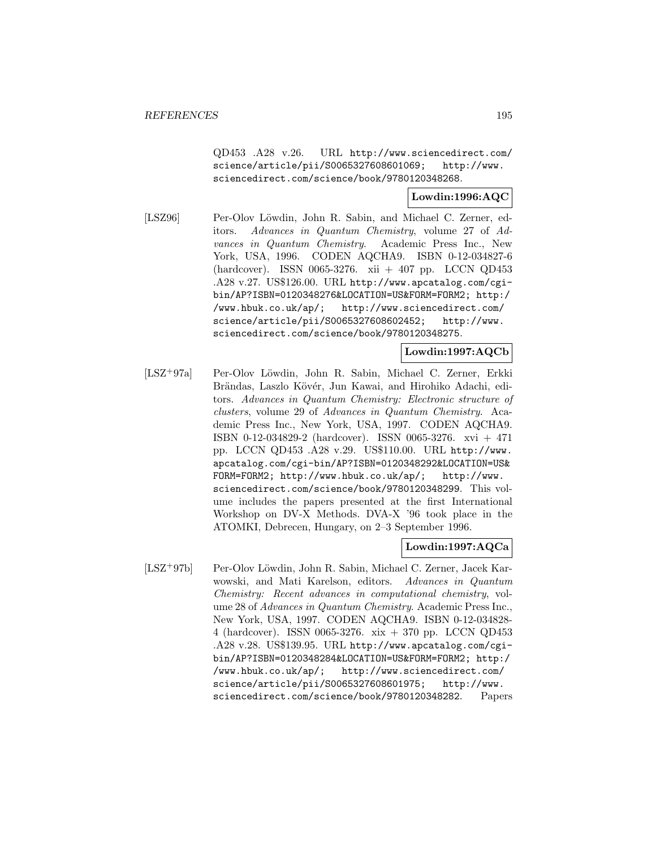QD453 .A28 v.26. URL http://www.sciencedirect.com/ science/article/pii/S0065327608601069; http://www. sciencedirect.com/science/book/9780120348268.

### **Lowdin:1996:AQC**

[LSZ96] Per-Olov Löwdin, John R. Sabin, and Michael C. Zerner, editors. Advances in Quantum Chemistry, volume 27 of Advances in Quantum Chemistry. Academic Press Inc., New York, USA, 1996. CODEN AQCHA9. ISBN 0-12-034827-6 (hardcover). ISSN 0065-3276. xii + 407 pp. LCCN QD453 .A28 v.27. US\$126.00. URL http://www.apcatalog.com/cgibin/AP?ISBN=0120348276&LOCATION=US&FORM=FORM2; http:/ /www.hbuk.co.uk/ap/; http://www.sciencedirect.com/ science/article/pii/S0065327608602452; http://www. sciencedirect.com/science/book/9780120348275.

**Lowdin:1997:AQCb**

[LSZ<sup>+</sup>97a] Per-Olov L¨owdin, John R. Sabin, Michael C. Zerner, Erkki Brändas, Laszlo Kövér, Jun Kawai, and Hirohiko Adachi, editors. Advances in Quantum Chemistry: Electronic structure of clusters, volume 29 of Advances in Quantum Chemistry. Academic Press Inc., New York, USA, 1997. CODEN AQCHA9. ISBN 0-12-034829-2 (hardcover). ISSN 0065-3276. xvi + 471 pp. LCCN QD453 .A28 v.29. US\$110.00. URL http://www. apcatalog.com/cgi-bin/AP?ISBN=0120348292&LOCATION=US& FORM=FORM2; http://www.hbuk.co.uk/ap/; http://www. sciencedirect.com/science/book/9780120348299. This volume includes the papers presented at the first International Workshop on DV-X Methods. DVA-X '96 took place in the ATOMKI, Debrecen, Hungary, on 2–3 September 1996.

# **Lowdin:1997:AQCa**

[LSZ<sup>+</sup>97b] Per-Olov Löwdin, John R. Sabin, Michael C. Zerner, Jacek Karwowski, and Mati Karelson, editors. Advances in Quantum Chemistry: Recent advances in computational chemistry, volume 28 of Advances in Quantum Chemistry. Academic Press Inc., New York, USA, 1997. CODEN AQCHA9. ISBN 0-12-034828- 4 (hardcover). ISSN 0065-3276. xix + 370 pp. LCCN QD453 .A28 v.28. US\$139.95. URL http://www.apcatalog.com/cgibin/AP?ISBN=0120348284&LOCATION=US&FORM=FORM2; http:/ /www.hbuk.co.uk/ap/; http://www.sciencedirect.com/ science/article/pii/S0065327608601975; http://www. sciencedirect.com/science/book/9780120348282. Papers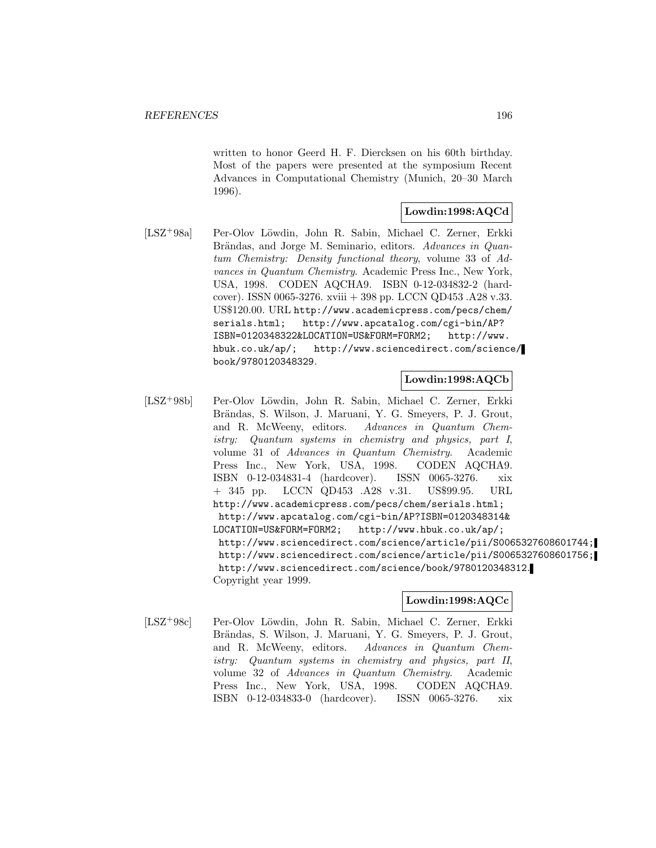written to honor Geerd H. F. Diercksen on his 60th birthday. Most of the papers were presented at the symposium Recent Advances in Computational Chemistry (Munich, 20–30 March 1996).

# **Lowdin:1998:AQCd**

[LSZ+98a] Per-Olov Löwdin, John R. Sabin, Michael C. Zerner, Erkki Brändas, and Jorge M. Seminario, editors. Advances in Quantum Chemistry: Density functional theory, volume 33 of Advances in Quantum Chemistry. Academic Press Inc., New York, USA, 1998. CODEN AQCHA9. ISBN 0-12-034832-2 (hardcover). ISSN 0065-3276. xviii + 398 pp. LCCN QD453 .A28 v.33. US\$120.00. URL http://www.academicpress.com/pecs/chem/ serials.html; http://www.apcatalog.com/cgi-bin/AP? ISBN=0120348322&LOCATION=US&FORM=FORM2; http://www. hbuk.co.uk/ap/; http://www.sciencedirect.com/science/ book/9780120348329.

### **Lowdin:1998:AQCb**

[LSZ<sup>+</sup>98b] Per-Olov Löwdin, John R. Sabin, Michael C. Zerner, Erkki Brändas, S. Wilson, J. Maruani, Y. G. Smeyers, P. J. Grout, and R. McWeeny, editors. Advances in Quantum Chemistry: Quantum systems in chemistry and physics, part I, volume 31 of Advances in Quantum Chemistry. Academic Press Inc., New York, USA, 1998. CODEN AQCHA9. ISBN 0-12-034831-4 (hardcover). ISSN 0065-3276. xix + 345 pp. LCCN QD453 .A28 v.31. US\$99.95. URL http://www.academicpress.com/pecs/chem/serials.html; http://www.apcatalog.com/cgi-bin/AP?ISBN=0120348314& LOCATION=US&FORM=FORM2; http://www.hbuk.co.uk/ap/; http://www.sciencedirect.com/science/article/pii/S0065327608601744; http://www.sciencedirect.com/science/article/pii/S0065327608601756; http://www.sciencedirect.com/science/book/9780120348312. Copyright year 1999.

# **Lowdin:1998:AQCc**

[LSZ<sup>+</sup>98c] Per-Olov L¨owdin, John R. Sabin, Michael C. Zerner, Erkki Brändas, S. Wilson, J. Maruani, Y. G. Smeyers, P. J. Grout, and R. McWeeny, editors. Advances in Quantum Chemistry: Quantum systems in chemistry and physics, part II, volume 32 of Advances in Quantum Chemistry. Academic Press Inc., New York, USA, 1998. CODEN AQCHA9. ISBN 0-12-034833-0 (hardcover). ISSN 0065-3276. xix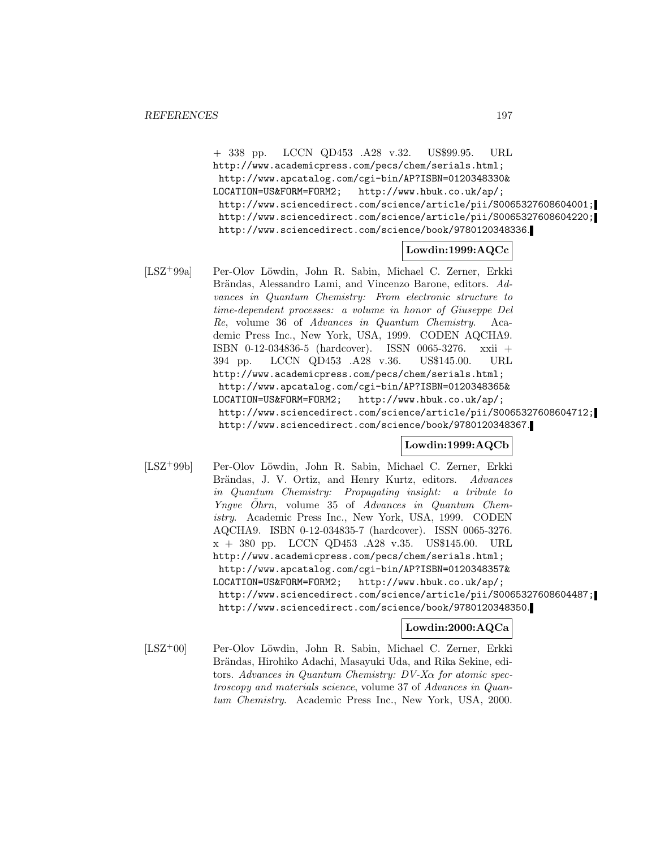+ 338 pp. LCCN QD453 .A28 v.32. US\$99.95. URL http://www.academicpress.com/pecs/chem/serials.html; http://www.apcatalog.com/cgi-bin/AP?ISBN=0120348330& LOCATION=US&FORM=FORM2; http://www.hbuk.co.uk/ap/; http://www.sciencedirect.com/science/article/pii/S0065327608604001; http://www.sciencedirect.com/science/article/pii/S0065327608604220; http://www.sciencedirect.com/science/book/9780120348336.

# **Lowdin:1999:AQCc**

[LSZ+99a] Per-Olov Löwdin, John R. Sabin, Michael C. Zerner, Erkki Brändas, Alessandro Lami, and Vincenzo Barone, editors. Advances in Quantum Chemistry: From electronic structure to time-dependent processes: a volume in honor of Giuseppe Del Re, volume 36 of Advances in Quantum Chemistry. Academic Press Inc., New York, USA, 1999. CODEN AQCHA9. ISBN 0-12-034836-5 (hardcover). ISSN 0065-3276. xxii + 394 pp. LCCN QD453 .A28 v.36. US\$145.00. URL http://www.academicpress.com/pecs/chem/serials.html; http://www.apcatalog.com/cgi-bin/AP?ISBN=0120348365& LOCATION=US&FORM=FORM2; http://www.hbuk.co.uk/ap/; http://www.sciencedirect.com/science/article/pii/S0065327608604712; http://www.sciencedirect.com/science/book/9780120348367.

# **Lowdin:1999:AQCb**

[LSZ<sup>+</sup>99b] Per-Olov L¨owdin, John R. Sabin, Michael C. Zerner, Erkki Brändas, J. V. Ortiz, and Henry Kurtz, editors. Advances in Quantum Chemistry: Propagating insight: a tribute to *Yngve Öhrn*, volume 35 of  $Advances$  in  $Quantum$  Chemistry. Academic Press Inc., New York, USA, 1999. CODEN AQCHA9. ISBN 0-12-034835-7 (hardcover). ISSN 0065-3276. x + 380 pp. LCCN QD453 .A28 v.35. US\$145.00. URL http://www.academicpress.com/pecs/chem/serials.html; http://www.apcatalog.com/cgi-bin/AP?ISBN=0120348357& LOCATION=US&FORM=FORM2; http://www.hbuk.co.uk/ap/; http://www.sciencedirect.com/science/article/pii/S0065327608604487; http://www.sciencedirect.com/science/book/9780120348350.

### **Lowdin:2000:AQCa**

[LSZ<sup>+</sup>00] Per-Olov Löwdin, John R. Sabin, Michael C. Zerner, Erkki Brändas, Hirohiko Adachi, Masayuki Uda, and Rika Sekine, editors. Advances in Quantum Chemistry: DV-Xα for atomic spectroscopy and materials science, volume 37 of Advances in Quantum Chemistry. Academic Press Inc., New York, USA, 2000.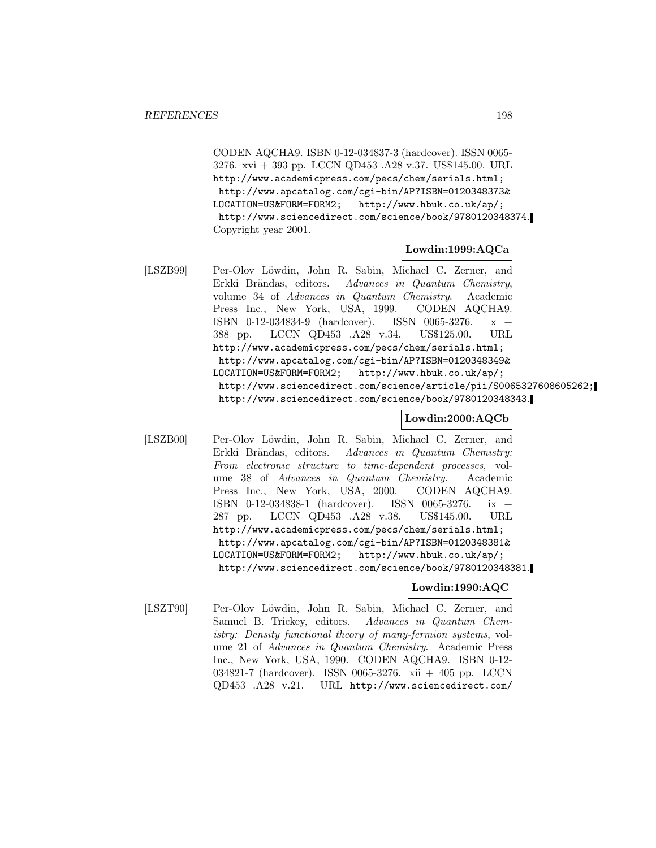CODEN AQCHA9. ISBN 0-12-034837-3 (hardcover). ISSN 0065- 3276. xvi + 393 pp. LCCN QD453 .A28 v.37. US\$145.00. URL http://www.academicpress.com/pecs/chem/serials.html; http://www.apcatalog.com/cgi-bin/AP?ISBN=0120348373& LOCATION=US&FORM=FORM2; http://www.hbuk.co.uk/ap/; http://www.sciencedirect.com/science/book/9780120348374. Copyright year 2001.

### **Lowdin:1999:AQCa**

[LSZB99] Per-Olov Löwdin, John R. Sabin, Michael C. Zerner, and Erkki Brändas, editors. Advances in Quantum Chemistry, volume 34 of Advances in Quantum Chemistry. Academic Press Inc., New York, USA, 1999. CODEN AQCHA9. ISBN 0-12-034834-9 (hardcover). ISSN 0065-3276. x + 388 pp. LCCN QD453 .A28 v.34. US\$125.00. URL http://www.academicpress.com/pecs/chem/serials.html; http://www.apcatalog.com/cgi-bin/AP?ISBN=0120348349& LOCATION=US&FORM=FORM2; http://www.hbuk.co.uk/ap/; http://www.sciencedirect.com/science/article/pii/S0065327608605262; http://www.sciencedirect.com/science/book/9780120348343.

## **Lowdin:2000:AQCb**

[LSZB00] Per-Olov Löwdin, John R. Sabin, Michael C. Zerner, and Erkki Brändas, editors. Advances in Quantum Chemistry: From electronic structure to time-dependent processes, volume 38 of Advances in Quantum Chemistry. Academic Press Inc., New York, USA, 2000. CODEN AQCHA9. ISBN 0-12-034838-1 (hardcover). ISSN 0065-3276. ix + 287 pp. LCCN QD453 .A28 v.38. US\$145.00. URL http://www.academicpress.com/pecs/chem/serials.html; http://www.apcatalog.com/cgi-bin/AP?ISBN=0120348381& LOCATION=US&FORM=FORM2; http://www.hbuk.co.uk/ap/; http://www.sciencedirect.com/science/book/9780120348381.

#### **Lowdin:1990:AQC**

[LSZT90] Per-Olov Löwdin, John R. Sabin, Michael C. Zerner, and Samuel B. Trickey, editors. Advances in Quantum Chemistry: Density functional theory of many-fermion systems, volume 21 of Advances in Quantum Chemistry. Academic Press Inc., New York, USA, 1990. CODEN AQCHA9. ISBN 0-12- 034821-7 (hardcover). ISSN 0065-3276. xii + 405 pp. LCCN QD453 .A28 v.21. URL http://www.sciencedirect.com/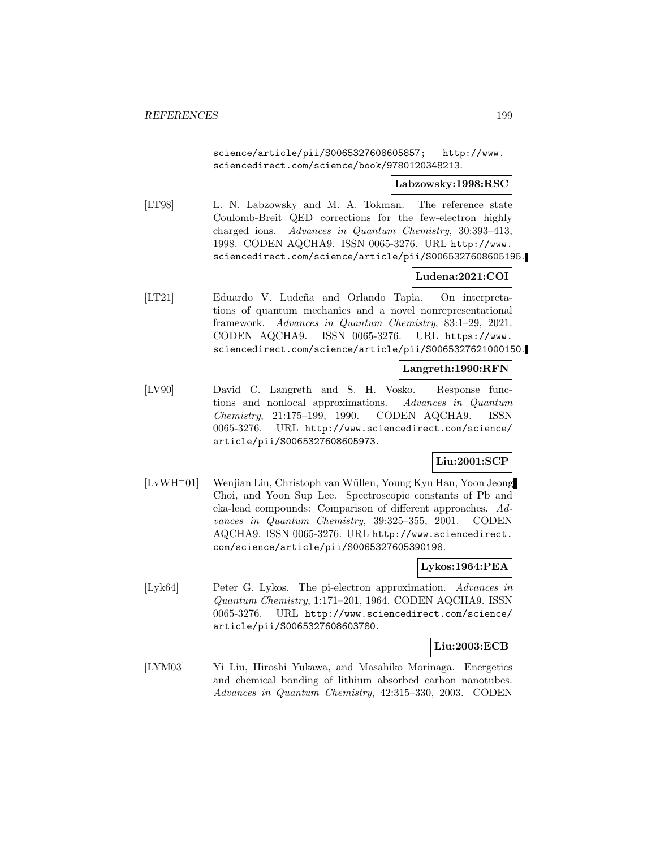science/article/pii/S0065327608605857; http://www. sciencedirect.com/science/book/9780120348213.

#### **Labzowsky:1998:RSC**

[LT98] L. N. Labzowsky and M. A. Tokman. The reference state Coulomb-Breit QED corrections for the few-electron highly charged ions. Advances in Quantum Chemistry, 30:393–413, 1998. CODEN AQCHA9. ISSN 0065-3276. URL http://www. sciencedirect.com/science/article/pii/S0065327608605195.

# **Ludena:2021:COI**

[LT21] Eduardo V. Ludeña and Orlando Tapia. On interpretations of quantum mechanics and a novel nonrepresentational framework. Advances in Quantum Chemistry, 83:1–29, 2021. CODEN AQCHA9. ISSN 0065-3276. URL https://www. sciencedirect.com/science/article/pii/S0065327621000150.

#### **Langreth:1990:RFN**

[LV90] David C. Langreth and S. H. Vosko. Response functions and nonlocal approximations. Advances in Quantum Chemistry, 21:175–199, 1990. CODEN AQCHA9. ISSN 0065-3276. URL http://www.sciencedirect.com/science/ article/pii/S0065327608605973.

### **Liu:2001:SCP**

[LvWH<sup>+</sup>01] Wenjian Liu, Christoph van W¨ullen, Young Kyu Han, Yoon Jeong Choi, and Yoon Sup Lee. Spectroscopic constants of Pb and eka-lead compounds: Comparison of different approaches. Advances in Quantum Chemistry, 39:325–355, 2001. CODEN AQCHA9. ISSN 0065-3276. URL http://www.sciencedirect. com/science/article/pii/S0065327605390198.

### **Lykos:1964:PEA**

[Lyk64] Peter G. Lykos. The pi-electron approximation. Advances in Quantum Chemistry, 1:171–201, 1964. CODEN AQCHA9. ISSN 0065-3276. URL http://www.sciencedirect.com/science/ article/pii/S0065327608603780.

# **Liu:2003:ECB**

[LYM03] Yi Liu, Hiroshi Yukawa, and Masahiko Morinaga. Energetics and chemical bonding of lithium absorbed carbon nanotubes. Advances in Quantum Chemistry, 42:315–330, 2003. CODEN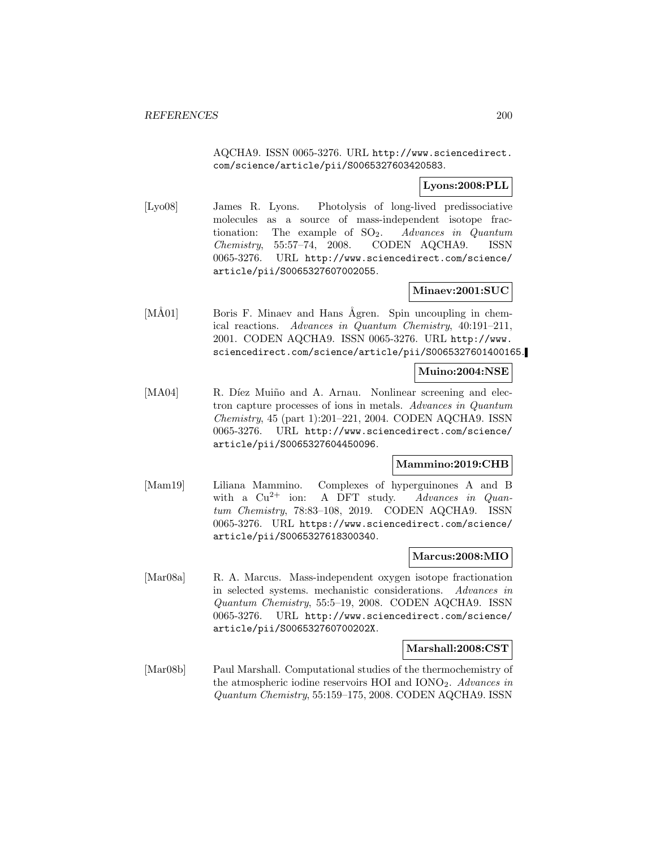AQCHA9. ISSN 0065-3276. URL http://www.sciencedirect. com/science/article/pii/S0065327603420583.

# **Lyons:2008:PLL**

[Lyo08] James R. Lyons. Photolysis of long-lived predissociative molecules as a source of mass-independent isotope fractionation: The example of  $SO_2$ . Advances in Quantum Chemistry, 55:57–74, 2008. CODEN AQCHA9. ISSN 0065-3276. URL http://www.sciencedirect.com/science/ article/pii/S0065327607002055.

# **Minaev:2001:SUC**

[MÅ01] Boris F. Minaev and Hans Ågren. Spin uncoupling in chemical reactions. Advances in Quantum Chemistry, 40:191–211, 2001. CODEN AQCHA9. ISSN 0065-3276. URL http://www. sciencedirect.com/science/article/pii/S0065327601400165.

### **Muino:2004:NSE**

[MA04] R. Díez Muiño and A. Arnau. Nonlinear screening and electron capture processes of ions in metals. Advances in Quantum Chemistry, 45 (part 1):201–221, 2004. CODEN AQCHA9. ISSN 0065-3276. URL http://www.sciencedirect.com/science/ article/pii/S0065327604450096.

### **Mammino:2019:CHB**

[Mam19] Liliana Mammino. Complexes of hyperguinones A and B with a  $Cu^{2+}$  ion: A DFT study. Advances in Quantum Chemistry, 78:83–108, 2019. CODEN AQCHA9. ISSN 0065-3276. URL https://www.sciencedirect.com/science/ article/pii/S0065327618300340.

### **Marcus:2008:MIO**

[Mar08a] R. A. Marcus. Mass-independent oxygen isotope fractionation in selected systems. mechanistic considerations. Advances in Quantum Chemistry, 55:5–19, 2008. CODEN AQCHA9. ISSN 0065-3276. URL http://www.sciencedirect.com/science/ article/pii/S006532760700202X.

### **Marshall:2008:CST**

[Mar08b] Paul Marshall. Computational studies of the thermochemistry of the atmospheric iodine reservoirs HOI and  $IONO<sub>2</sub>$ . Advances in Quantum Chemistry, 55:159–175, 2008. CODEN AQCHA9. ISSN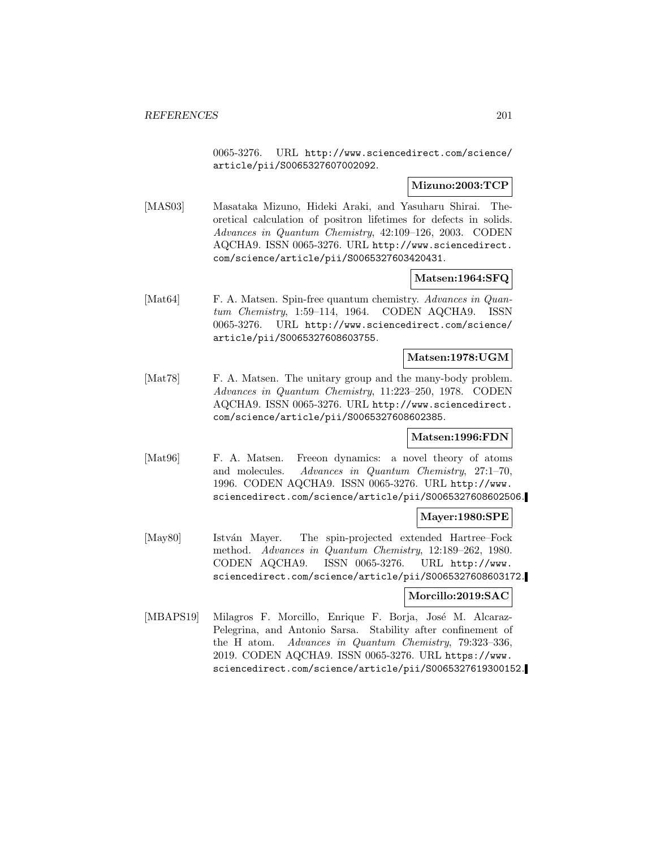0065-3276. URL http://www.sciencedirect.com/science/ article/pii/S0065327607002092.

## **Mizuno:2003:TCP**

[MAS03] Masataka Mizuno, Hideki Araki, and Yasuharu Shirai. Theoretical calculation of positron lifetimes for defects in solids. Advances in Quantum Chemistry, 42:109–126, 2003. CODEN AQCHA9. ISSN 0065-3276. URL http://www.sciencedirect. com/science/article/pii/S0065327603420431.

## **Matsen:1964:SFQ**

[Mat64] F. A. Matsen. Spin-free quantum chemistry. Advances in Quantum Chemistry, 1:59–114, 1964. CODEN AQCHA9. ISSN 0065-3276. URL http://www.sciencedirect.com/science/ article/pii/S0065327608603755.

#### **Matsen:1978:UGM**

[Mat78] F. A. Matsen. The unitary group and the many-body problem. Advances in Quantum Chemistry, 11:223–250, 1978. CODEN AQCHA9. ISSN 0065-3276. URL http://www.sciencedirect. com/science/article/pii/S0065327608602385.

#### **Matsen:1996:FDN**

[Mat96] F. A. Matsen. Freeon dynamics: a novel theory of atoms and molecules. Advances in Quantum Chemistry, 27:1–70, 1996. CODEN AQCHA9. ISSN 0065-3276. URL http://www. sciencedirect.com/science/article/pii/S0065327608602506.

#### **Mayer:1980:SPE**

[May80] István Mayer. The spin-projected extended Hartree–Fock method. Advances in Quantum Chemistry, 12:189–262, 1980. CODEN AQCHA9. ISSN 0065-3276. URL http://www. sciencedirect.com/science/article/pii/S0065327608603172.

### **Morcillo:2019:SAC**

[MBAPS19] Milagros F. Morcillo, Enrique F. Borja, José M. Alcaraz-Pelegrina, and Antonio Sarsa. Stability after confinement of the H atom. Advances in Quantum Chemistry, 79:323–336, 2019. CODEN AQCHA9. ISSN 0065-3276. URL https://www. sciencedirect.com/science/article/pii/S0065327619300152.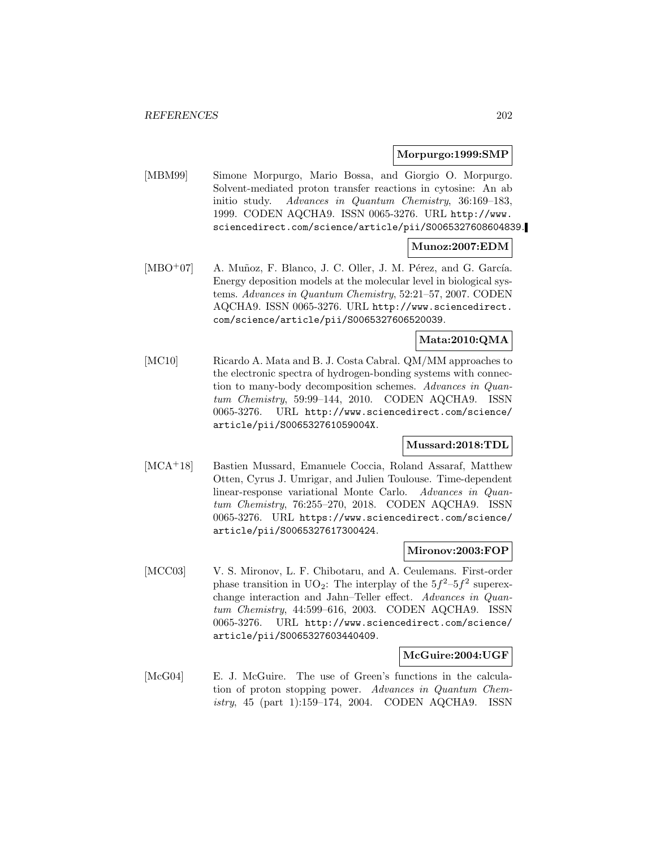#### **Morpurgo:1999:SMP**

[MBM99] Simone Morpurgo, Mario Bossa, and Giorgio O. Morpurgo. Solvent-mediated proton transfer reactions in cytosine: An ab initio study. Advances in Quantum Chemistry, 36:169–183, 1999. CODEN AQCHA9. ISSN 0065-3276. URL http://www. sciencedirect.com/science/article/pii/S0065327608604839.

### **Munoz:2007:EDM**

[MBO<sup>+</sup>07] A. Muñoz, F. Blanco, J. C. Oller, J. M. Pérez, and G. García. Energy deposition models at the molecular level in biological systems. Advances in Quantum Chemistry, 52:21–57, 2007. CODEN AQCHA9. ISSN 0065-3276. URL http://www.sciencedirect. com/science/article/pii/S0065327606520039.

## **Mata:2010:QMA**

[MC10] Ricardo A. Mata and B. J. Costa Cabral. QM/MM approaches to the electronic spectra of hydrogen-bonding systems with connection to many-body decomposition schemes. Advances in Quantum Chemistry, 59:99–144, 2010. CODEN AQCHA9. ISSN 0065-3276. URL http://www.sciencedirect.com/science/ article/pii/S006532761059004X.

### **Mussard:2018:TDL**

[MCA<sup>+</sup>18] Bastien Mussard, Emanuele Coccia, Roland Assaraf, Matthew Otten, Cyrus J. Umrigar, and Julien Toulouse. Time-dependent linear-response variational Monte Carlo. Advances in Quantum Chemistry, 76:255–270, 2018. CODEN AQCHA9. ISSN 0065-3276. URL https://www.sciencedirect.com/science/ article/pii/S0065327617300424.

### **Mironov:2003:FOP**

[MCC03] V. S. Mironov, L. F. Chibotaru, and A. Ceulemans. First-order phase transition in UO<sub>2</sub>: The interplay of the  $5f^2-5f^2$  superexchange interaction and Jahn–Teller effect. Advances in Quantum Chemistry, 44:599–616, 2003. CODEN AQCHA9. ISSN 0065-3276. URL http://www.sciencedirect.com/science/ article/pii/S0065327603440409.

#### **McGuire:2004:UGF**

[McG04] E. J. McGuire. The use of Green's functions in the calculation of proton stopping power. Advances in Quantum Chemistry, 45 (part 1):159–174, 2004. CODEN AQCHA9. ISSN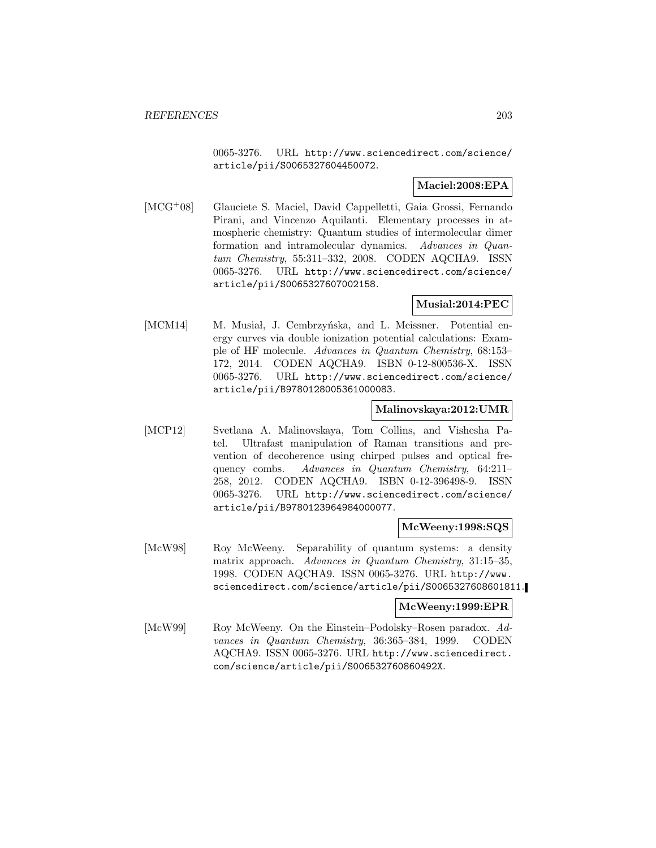0065-3276. URL http://www.sciencedirect.com/science/ article/pii/S0065327604450072.

# **Maciel:2008:EPA**

[MCG<sup>+</sup>08] Glauciete S. Maciel, David Cappelletti, Gaia Grossi, Fernando Pirani, and Vincenzo Aquilanti. Elementary processes in atmospheric chemistry: Quantum studies of intermolecular dimer formation and intramolecular dynamics. Advances in Quantum Chemistry, 55:311–332, 2008. CODEN AQCHA9. ISSN 0065-3276. URL http://www.sciencedirect.com/science/ article/pii/S0065327607002158.

## **Musial:2014:PEC**

[MCM14] M. Musia, J. Cembrzyńska, and L. Meissner. Potential energy curves via double ionization potential calculations: Example of HF molecule. Advances in Quantum Chemistry, 68:153– 172, 2014. CODEN AQCHA9. ISBN 0-12-800536-X. ISSN 0065-3276. URL http://www.sciencedirect.com/science/ article/pii/B9780128005361000083.

## **Malinovskaya:2012:UMR**

[MCP12] Svetlana A. Malinovskaya, Tom Collins, and Vishesha Patel. Ultrafast manipulation of Raman transitions and prevention of decoherence using chirped pulses and optical frequency combs. Advances in Quantum Chemistry, 64:211– 258, 2012. CODEN AQCHA9. ISBN 0-12-396498-9. ISSN 0065-3276. URL http://www.sciencedirect.com/science/ article/pii/B9780123964984000077.

### **McWeeny:1998:SQS**

[McW98] Roy McWeeny. Separability of quantum systems: a density matrix approach. Advances in Quantum Chemistry, 31:15–35, 1998. CODEN AQCHA9. ISSN 0065-3276. URL http://www. sciencedirect.com/science/article/pii/S0065327608601811.

#### **McWeeny:1999:EPR**

[McW99] Roy McWeeny. On the Einstein–Podolsky–Rosen paradox. Advances in Quantum Chemistry, 36:365–384, 1999. CODEN AQCHA9. ISSN 0065-3276. URL http://www.sciencedirect. com/science/article/pii/S006532760860492X.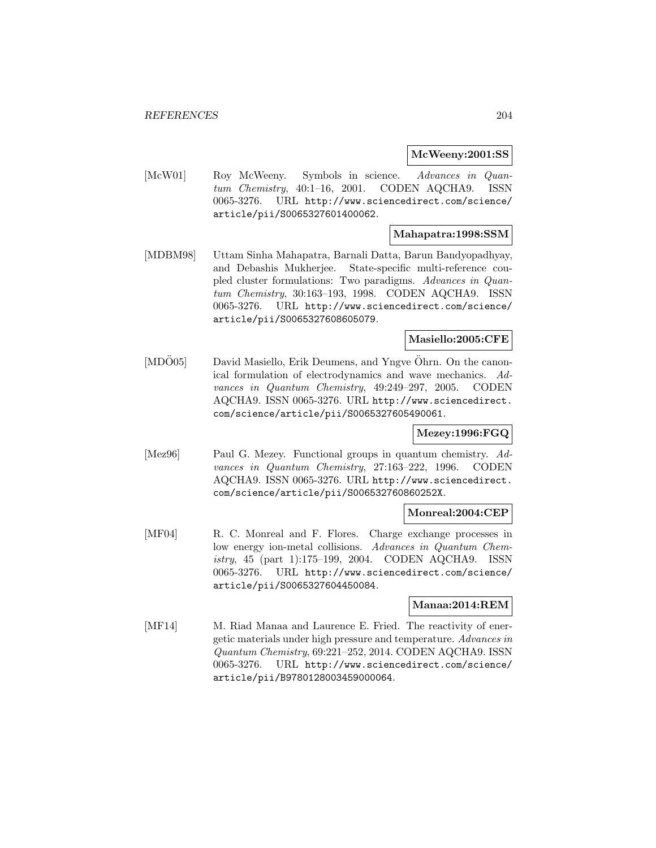#### **McWeeny:2001:SS**

[McW01] Roy McWeeny. Symbols in science. Advances in Quantum Chemistry, 40:1–16, 2001. CODEN AQCHA9. ISSN 0065-3276. URL http://www.sciencedirect.com/science/ article/pii/S0065327601400062.

### **Mahapatra:1998:SSM**

[MDBM98] Uttam Sinha Mahapatra, Barnali Datta, Barun Bandyopadhyay, and Debashis Mukherjee. State-specific multi-reference coupled cluster formulations: Two paradigms. Advances in Quantum Chemistry, 30:163–193, 1998. CODEN AQCHA9. ISSN 0065-3276. URL http://www.sciencedirect.com/science/ article/pii/S0065327608605079.

## **Masiello:2005:CFE**

[MDÖ05] David Masiello, Erik Deumens, and Yngve Öhrn. On the canonical formulation of electrodynamics and wave mechanics. Advances in Quantum Chemistry, 49:249–297, 2005. CODEN AQCHA9. ISSN 0065-3276. URL http://www.sciencedirect. com/science/article/pii/S0065327605490061.

### **Mezey:1996:FGQ**

[Mez96] Paul G. Mezey. Functional groups in quantum chemistry. Advances in Quantum Chemistry, 27:163–222, 1996. CODEN AQCHA9. ISSN 0065-3276. URL http://www.sciencedirect. com/science/article/pii/S006532760860252X.

### **Monreal:2004:CEP**

[MF04] R. C. Monreal and F. Flores. Charge exchange processes in low energy ion-metal collisions. Advances in Quantum Chemistry, 45 (part 1):175–199, 2004. CODEN AQCHA9. ISSN 0065-3276. URL http://www.sciencedirect.com/science/ article/pii/S0065327604450084.

### **Manaa:2014:REM**

[MF14] M. Riad Manaa and Laurence E. Fried. The reactivity of energetic materials under high pressure and temperature. Advances in Quantum Chemistry, 69:221–252, 2014. CODEN AQCHA9. ISSN 0065-3276. URL http://www.sciencedirect.com/science/ article/pii/B9780128003459000064.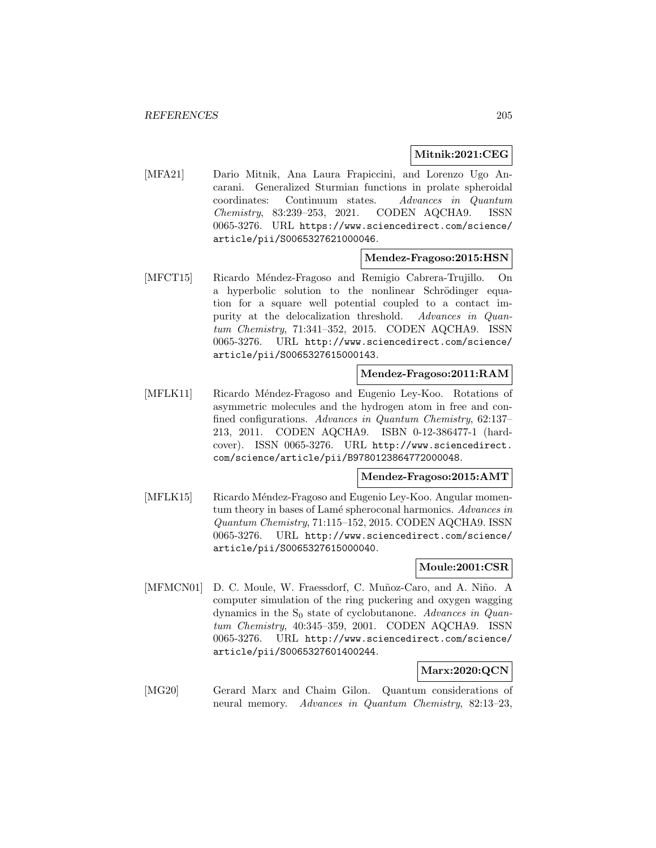## **Mitnik:2021:CEG**

[MFA21] Dario Mitnik, Ana Laura Frapiccini, and Lorenzo Ugo Ancarani. Generalized Sturmian functions in prolate spheroidal coordinates: Continuum states. Advances in Quantum Chemistry, 83:239–253, 2021. CODEN AQCHA9. ISSN 0065-3276. URL https://www.sciencedirect.com/science/ article/pii/S0065327621000046.

### **Mendez-Fragoso:2015:HSN**

[MFCT15] Ricardo Méndez-Fragoso and Remigio Cabrera-Trujillo. On a hyperbolic solution to the nonlinear Schrödinger equation for a square well potential coupled to a contact impurity at the delocalization threshold. Advances in Quantum Chemistry, 71:341–352, 2015. CODEN AQCHA9. ISSN 0065-3276. URL http://www.sciencedirect.com/science/ article/pii/S0065327615000143.

### **Mendez-Fragoso:2011:RAM**

[MFLK11] Ricardo Méndez-Fragoso and Eugenio Ley-Koo. Rotations of asymmetric molecules and the hydrogen atom in free and confined configurations. Advances in Quantum Chemistry, 62:137– 213, 2011. CODEN AQCHA9. ISBN 0-12-386477-1 (hardcover). ISSN 0065-3276. URL http://www.sciencedirect. com/science/article/pii/B9780123864772000048.

#### **Mendez-Fragoso:2015:AMT**

[MFLK15] Ricardo Méndez-Fragoso and Eugenio Ley-Koo. Angular momentum theory in bases of Lamé spheroconal harmonics. Advances in Quantum Chemistry, 71:115–152, 2015. CODEN AQCHA9. ISSN 0065-3276. URL http://www.sciencedirect.com/science/ article/pii/S0065327615000040.

### **Moule:2001:CSR**

[MFMCN01] D. C. Moule, W. Fraessdorf, C. Muñoz-Caro, and A. Niño. A computer simulation of the ring puckering and oxygen wagging dynamics in the  $S_0$  state of cyclobutanone. Advances in Quantum Chemistry, 40:345–359, 2001. CODEN AQCHA9. ISSN 0065-3276. URL http://www.sciencedirect.com/science/ article/pii/S0065327601400244.

# **Marx:2020:QCN**

[MG20] Gerard Marx and Chaim Gilon. Quantum considerations of neural memory. Advances in Quantum Chemistry, 82:13–23,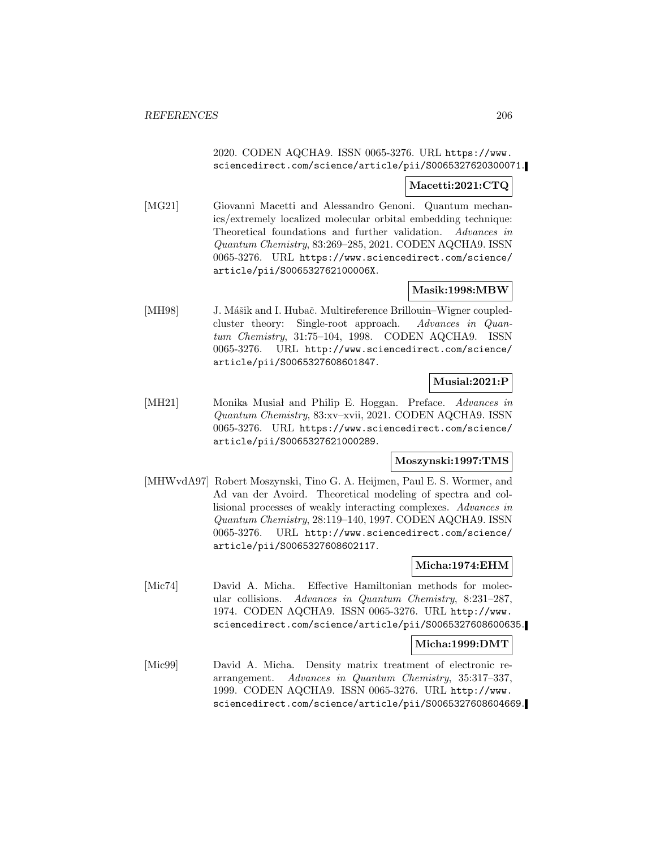## 2020. CODEN AQCHA9. ISSN 0065-3276. URL https://www. sciencedirect.com/science/article/pii/S0065327620300071.

### **Macetti:2021:CTQ**

[MG21] Giovanni Macetti and Alessandro Genoni. Quantum mechanics/extremely localized molecular orbital embedding technique: Theoretical foundations and further validation. Advances in Quantum Chemistry, 83:269–285, 2021. CODEN AQCHA9. ISSN 0065-3276. URL https://www.sciencedirect.com/science/ article/pii/S006532762100006X.

# **Masik:1998:MBW**

[MH98] J. Mášik and I. Hubač. Multireference Brillouin–Wigner coupledcluster theory: Single-root approach. Advances in Quantum Chemistry, 31:75–104, 1998. CODEN AQCHA9. ISSN 0065-3276. URL http://www.sciencedirect.com/science/ article/pii/S0065327608601847.

### **Musial:2021:P**

[MH21] Monika Musial and Philip E. Hoggan. Preface. Advances in Quantum Chemistry, 83:xv–xvii, 2021. CODEN AQCHA9. ISSN 0065-3276. URL https://www.sciencedirect.com/science/ article/pii/S0065327621000289.

# **Moszynski:1997:TMS**

[MHWvdA97] Robert Moszynski, Tino G. A. Heijmen, Paul E. S. Wormer, and Ad van der Avoird. Theoretical modeling of spectra and collisional processes of weakly interacting complexes. Advances in Quantum Chemistry, 28:119–140, 1997. CODEN AQCHA9. ISSN 0065-3276. URL http://www.sciencedirect.com/science/ article/pii/S0065327608602117.

# **Micha:1974:EHM**

[Mic74] David A. Micha. Effective Hamiltonian methods for molecular collisions. Advances in Quantum Chemistry, 8:231–287, 1974. CODEN AQCHA9. ISSN 0065-3276. URL http://www. sciencedirect.com/science/article/pii/S0065327608600635.

### **Micha:1999:DMT**

[Mic99] David A. Micha. Density matrix treatment of electronic rearrangement. Advances in Quantum Chemistry, 35:317–337, 1999. CODEN AQCHA9. ISSN 0065-3276. URL http://www. sciencedirect.com/science/article/pii/S0065327608604669.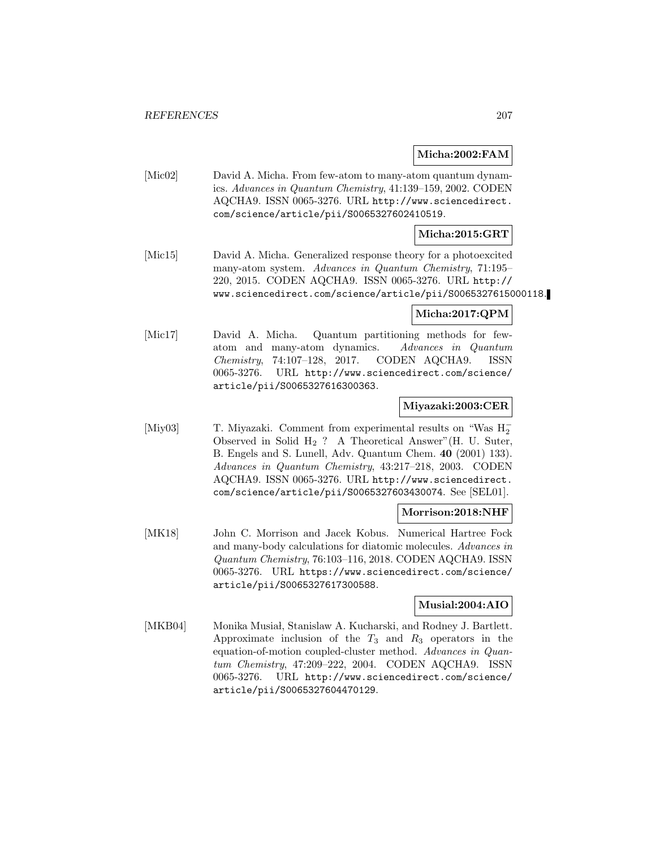### **Micha:2002:FAM**

[Mic02] David A. Micha. From few-atom to many-atom quantum dynamics. Advances in Quantum Chemistry, 41:139–159, 2002. CODEN AQCHA9. ISSN 0065-3276. URL http://www.sciencedirect. com/science/article/pii/S0065327602410519.

### **Micha:2015:GRT**

[Mic15] David A. Micha. Generalized response theory for a photoexcited many-atom system. Advances in Quantum Chemistry, 71:195– 220, 2015. CODEN AQCHA9. ISSN 0065-3276. URL http:// www.sciencedirect.com/science/article/pii/S0065327615000118.

# **Micha:2017:QPM**

[Mic17] David A. Micha. Quantum partitioning methods for fewatom and many-atom dynamics. Advances in Quantum Chemistry, 74:107–128, 2017. CODEN AQCHA9. ISSN 0065-3276. URL http://www.sciencedirect.com/science/ article/pii/S0065327616300363.

### **Miyazaki:2003:CER**

[Miy03] T. Miyazaki. Comment from experimental results on "Was H<sup>−</sup> 2 Observed in Solid  $H_2$  ? A Theoretical Answer" (H. U. Suter, B. Engels and S. Lunell, Adv. Quantum Chem. **40** (2001) 133). Advances in Quantum Chemistry, 43:217–218, 2003. CODEN AQCHA9. ISSN 0065-3276. URL http://www.sciencedirect. com/science/article/pii/S0065327603430074. See [SEL01].

### **Morrison:2018:NHF**

[MK18] John C. Morrison and Jacek Kobus. Numerical Hartree Fock and many-body calculations for diatomic molecules. Advances in Quantum Chemistry, 76:103–116, 2018. CODEN AQCHA9. ISSN 0065-3276. URL https://www.sciencedirect.com/science/ article/pii/S0065327617300588.

### **Musial:2004:AIO**

[MKB04] Monika Musiał, Stanislaw A. Kucharski, and Rodney J. Bartlett. Approximate inclusion of the  $T_3$  and  $R_3$  operators in the equation-of-motion coupled-cluster method. Advances in Quantum Chemistry, 47:209–222, 2004. CODEN AQCHA9. ISSN 0065-3276. URL http://www.sciencedirect.com/science/ article/pii/S0065327604470129.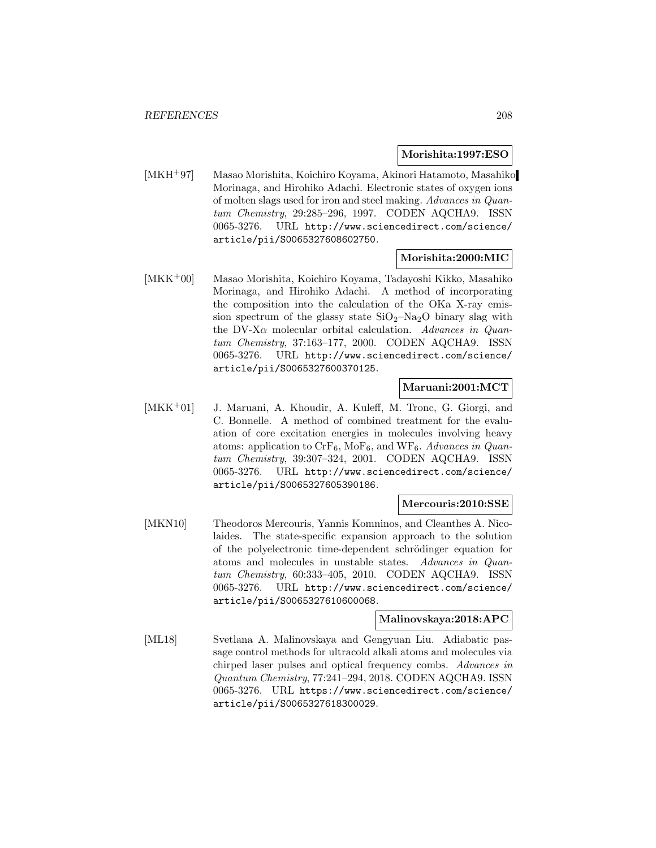#### **Morishita:1997:ESO**

[MKH<sup>+</sup>97] Masao Morishita, Koichiro Koyama, Akinori Hatamoto, Masahiko Morinaga, and Hirohiko Adachi. Electronic states of oxygen ions of molten slags used for iron and steel making. Advances in Quantum Chemistry, 29:285–296, 1997. CODEN AQCHA9. ISSN 0065-3276. URL http://www.sciencedirect.com/science/ article/pii/S0065327608602750.

#### **Morishita:2000:MIC**

[MKK<sup>+</sup>00] Masao Morishita, Koichiro Koyama, Tadayoshi Kikko, Masahiko Morinaga, and Hirohiko Adachi. A method of incorporating the composition into the calculation of the OKa X-ray emission spectrum of the glassy state  $SiO_2-Na_2O$  binary slag with the DV-X $\alpha$  molecular orbital calculation. Advances in Quantum Chemistry, 37:163–177, 2000. CODEN AQCHA9. ISSN 0065-3276. URL http://www.sciencedirect.com/science/ article/pii/S0065327600370125.

## **Maruani:2001:MCT**

[MKK<sup>+</sup>01] J. Maruani, A. Khoudir, A. Kuleff, M. Tronc, G. Giorgi, and C. Bonnelle. A method of combined treatment for the evaluation of core excitation energies in molecules involving heavy atoms: application to  $\text{CrF}_6$ , MoF<sub>6</sub>, and WF<sub>6</sub>. Advances in Quantum Chemistry, 39:307–324, 2001. CODEN AQCHA9. ISSN 0065-3276. URL http://www.sciencedirect.com/science/ article/pii/S0065327605390186.

### **Mercouris:2010:SSE**

[MKN10] Theodoros Mercouris, Yannis Komninos, and Cleanthes A. Nicolaides. The state-specific expansion approach to the solution of the polyelectronic time-dependent schrödinger equation for atoms and molecules in unstable states. Advances in Quantum Chemistry, 60:333–405, 2010. CODEN AQCHA9. ISSN 0065-3276. URL http://www.sciencedirect.com/science/ article/pii/S0065327610600068.

### **Malinovskaya:2018:APC**

[ML18] Svetlana A. Malinovskaya and Gengyuan Liu. Adiabatic passage control methods for ultracold alkali atoms and molecules via chirped laser pulses and optical frequency combs. Advances in Quantum Chemistry, 77:241–294, 2018. CODEN AQCHA9. ISSN 0065-3276. URL https://www.sciencedirect.com/science/ article/pii/S0065327618300029.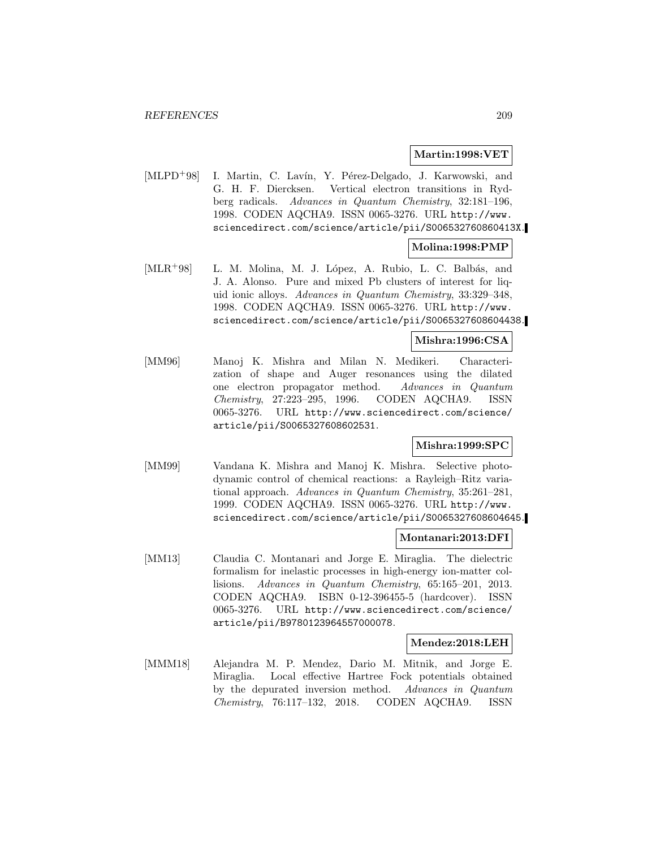#### **Martin:1998:VET**

[MLPD<sup>+</sup>98] I. Martin, C. Lavín, Y. Pérez-Delgado, J. Karwowski, and G. H. F. Diercksen. Vertical electron transitions in Rydberg radicals. Advances in Quantum Chemistry, 32:181–196, 1998. CODEN AQCHA9. ISSN 0065-3276. URL http://www. sciencedirect.com/science/article/pii/S006532760860413X.

### **Molina:1998:PMP**

[MLR<sup>+98]</sup> L. M. Molina, M. J. López, A. Rubio, L. C. Balbás, and J. A. Alonso. Pure and mixed Pb clusters of interest for liquid ionic alloys. Advances in Quantum Chemistry, 33:329–348, 1998. CODEN AQCHA9. ISSN 0065-3276. URL http://www. sciencedirect.com/science/article/pii/S0065327608604438.

### **Mishra:1996:CSA**

[MM96] Manoj K. Mishra and Milan N. Medikeri. Characterization of shape and Auger resonances using the dilated one electron propagator method. Advances in Quantum Chemistry, 27:223–295, 1996. CODEN AQCHA9. ISSN 0065-3276. URL http://www.sciencedirect.com/science/ article/pii/S0065327608602531.

### **Mishra:1999:SPC**

[MM99] Vandana K. Mishra and Manoj K. Mishra. Selective photodynamic control of chemical reactions: a Rayleigh–Ritz variational approach. Advances in Quantum Chemistry, 35:261–281, 1999. CODEN AQCHA9. ISSN 0065-3276. URL http://www. sciencedirect.com/science/article/pii/S0065327608604645.

### **Montanari:2013:DFI**

[MM13] Claudia C. Montanari and Jorge E. Miraglia. The dielectric formalism for inelastic processes in high-energy ion-matter collisions. Advances in Quantum Chemistry, 65:165–201, 2013. CODEN AQCHA9. ISBN 0-12-396455-5 (hardcover). ISSN 0065-3276. URL http://www.sciencedirect.com/science/ article/pii/B9780123964557000078.

### **Mendez:2018:LEH**

[MMM18] Alejandra M. P. Mendez, Dario M. Mitnik, and Jorge E. Miraglia. Local effective Hartree Fock potentials obtained by the depurated inversion method. Advances in Quantum Chemistry, 76:117–132, 2018. CODEN AQCHA9. ISSN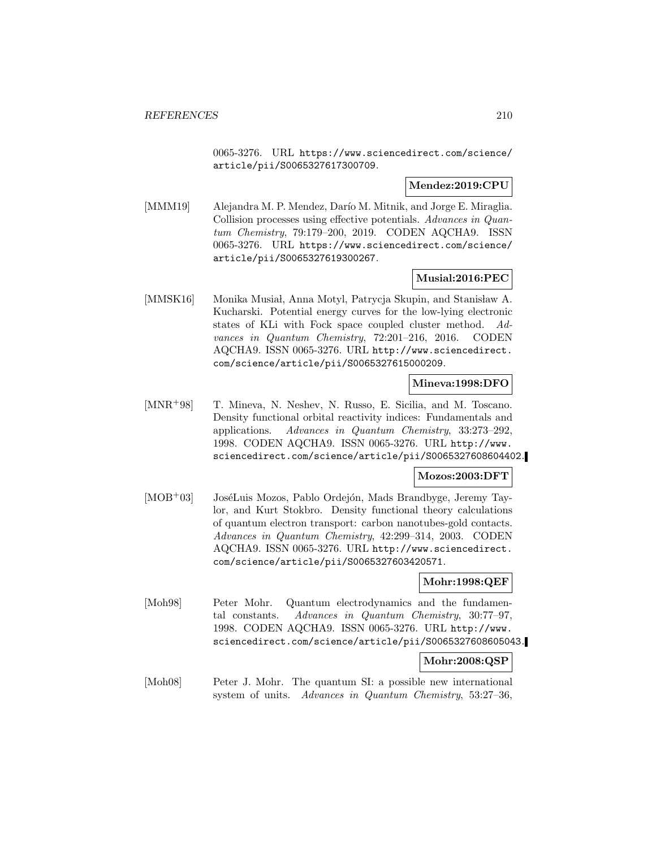0065-3276. URL https://www.sciencedirect.com/science/ article/pii/S0065327617300709.

## **Mendez:2019:CPU**

[MMM19] Alejandra M. P. Mendez, Darío M. Mitnik, and Jorge E. Miraglia. Collision processes using effective potentials. Advances in Quantum Chemistry, 79:179–200, 2019. CODEN AQCHA9. ISSN 0065-3276. URL https://www.sciencedirect.com/science/ article/pii/S0065327619300267.

# **Musial:2016:PEC**

[MMSK16] Monika Musiał, Anna Motyl, Patrycja Skupin, and Stanisław A. Kucharski. Potential energy curves for the low-lying electronic states of KLi with Fock space coupled cluster method. Advances in Quantum Chemistry, 72:201–216, 2016. CODEN AQCHA9. ISSN 0065-3276. URL http://www.sciencedirect. com/science/article/pii/S0065327615000209.

#### **Mineva:1998:DFO**

[MNR<sup>+</sup>98] T. Mineva, N. Neshev, N. Russo, E. Sicilia, and M. Toscano. Density functional orbital reactivity indices: Fundamentals and applications. Advances in Quantum Chemistry, 33:273–292, 1998. CODEN AQCHA9. ISSN 0065-3276. URL http://www. sciencedirect.com/science/article/pii/S0065327608604402.

## **Mozos:2003:DFT**

[MOB<sup>+</sup>03] JoséLuis Mozos, Pablo Ordejón, Mads Brandbyge, Jeremy Taylor, and Kurt Stokbro. Density functional theory calculations of quantum electron transport: carbon nanotubes-gold contacts. Advances in Quantum Chemistry, 42:299–314, 2003. CODEN AQCHA9. ISSN 0065-3276. URL http://www.sciencedirect. com/science/article/pii/S0065327603420571.

### **Mohr:1998:QEF**

[Moh98] Peter Mohr. Quantum electrodynamics and the fundamental constants. Advances in Quantum Chemistry, 30:77–97, 1998. CODEN AQCHA9. ISSN 0065-3276. URL http://www. sciencedirect.com/science/article/pii/S0065327608605043.

### **Mohr:2008:QSP**

[Moh08] Peter J. Mohr. The quantum SI: a possible new international system of units. Advances in Quantum Chemistry, 53:27–36,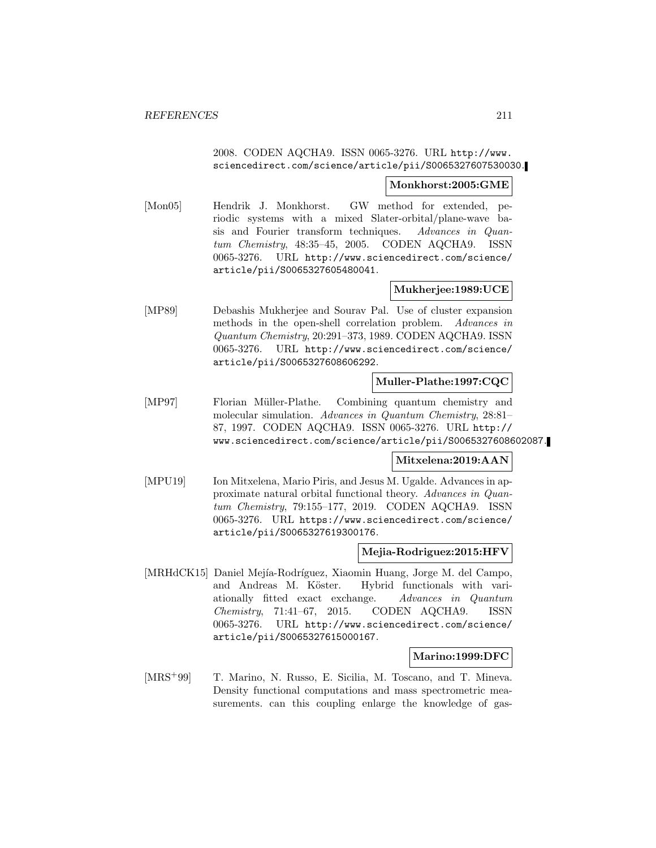## 2008. CODEN AQCHA9. ISSN 0065-3276. URL http://www. sciencedirect.com/science/article/pii/S0065327607530030.

#### **Monkhorst:2005:GME**

[Mon05] Hendrik J. Monkhorst. GW method for extended, periodic systems with a mixed Slater-orbital/plane-wave basis and Fourier transform techniques. Advances in Quantum Chemistry, 48:35–45, 2005. CODEN AQCHA9. ISSN 0065-3276. URL http://www.sciencedirect.com/science/ article/pii/S0065327605480041.

## **Mukherjee:1989:UCE**

[MP89] Debashis Mukherjee and Sourav Pal. Use of cluster expansion methods in the open-shell correlation problem. Advances in Quantum Chemistry, 20:291–373, 1989. CODEN AQCHA9. ISSN 0065-3276. URL http://www.sciencedirect.com/science/ article/pii/S0065327608606292.

#### **Muller-Plathe:1997:CQC**

[MP97] Florian M¨uller-Plathe. Combining quantum chemistry and molecular simulation. Advances in Quantum Chemistry, 28:81– 87, 1997. CODEN AQCHA9. ISSN 0065-3276. URL http:// www.sciencedirect.com/science/article/pii/S0065327608602087.

### **Mitxelena:2019:AAN**

[MPU19] Ion Mitxelena, Mario Piris, and Jesus M. Ugalde. Advances in approximate natural orbital functional theory. Advances in Quantum Chemistry, 79:155–177, 2019. CODEN AQCHA9. ISSN 0065-3276. URL https://www.sciencedirect.com/science/ article/pii/S0065327619300176.

### **Mejia-Rodriguez:2015:HFV**

[MRHdCK15] Daniel Mejía-Rodríguez, Xiaomin Huang, Jorge M. del Campo, and Andreas M. Köster. Hybrid functionals with variationally fitted exact exchange. Advances in Quantum Chemistry, 71:41–67, 2015. CODEN AQCHA9. ISSN 0065-3276. URL http://www.sciencedirect.com/science/ article/pii/S0065327615000167.

## **Marino:1999:DFC**

[MRS<sup>+99]</sup> T. Marino, N. Russo, E. Sicilia, M. Toscano, and T. Mineva. Density functional computations and mass spectrometric measurements. can this coupling enlarge the knowledge of gas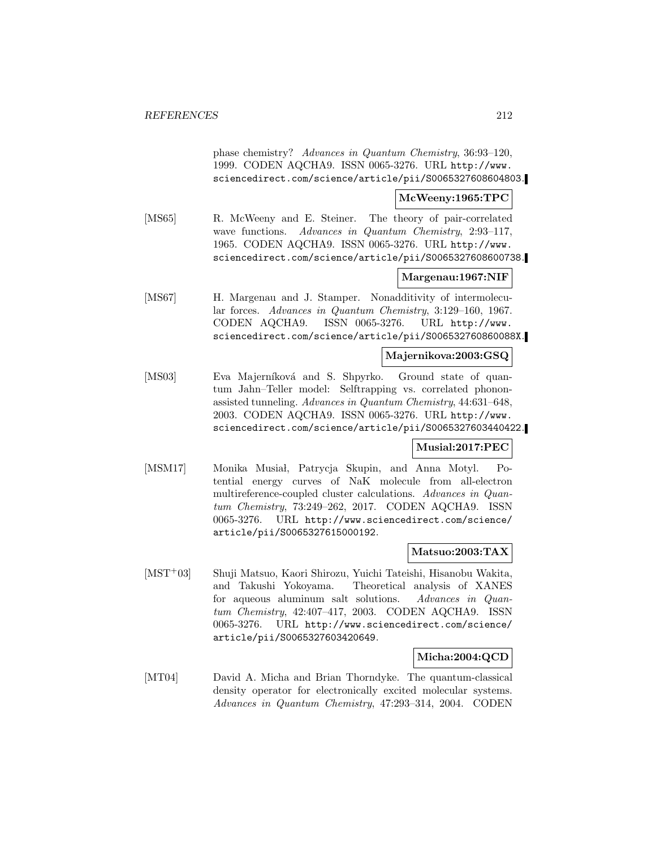phase chemistry? Advances in Quantum Chemistry, 36:93–120, 1999. CODEN AQCHA9. ISSN 0065-3276. URL http://www. sciencedirect.com/science/article/pii/S0065327608604803.

#### **McWeeny:1965:TPC**

[MS65] R. McWeeny and E. Steiner. The theory of pair-correlated wave functions. Advances in Quantum Chemistry, 2:93-117, 1965. CODEN AQCHA9. ISSN 0065-3276. URL http://www. sciencedirect.com/science/article/pii/S0065327608600738.

### **Margenau:1967:NIF**

[MS67] H. Margenau and J. Stamper. Nonadditivity of intermolecular forces. Advances in Quantum Chemistry, 3:129–160, 1967. CODEN AQCHA9. ISSN 0065-3276. URL http://www. sciencedirect.com/science/article/pii/S006532760860088X.

#### **Majernikova:2003:GSQ**

[MS03] Eva Majerníková and S. Shpyrko. Ground state of quantum Jahn–Teller model: Selftrapping vs. correlated phononassisted tunneling. Advances in Quantum Chemistry, 44:631–648, 2003. CODEN AQCHA9. ISSN 0065-3276. URL http://www. sciencedirect.com/science/article/pii/S0065327603440422.

### **Musial:2017:PEC**

[MSM17] Monika Musiał, Patrycja Skupin, and Anna Motyl. Potential energy curves of NaK molecule from all-electron multireference-coupled cluster calculations. Advances in Quantum Chemistry, 73:249–262, 2017. CODEN AQCHA9. ISSN 0065-3276. URL http://www.sciencedirect.com/science/ article/pii/S0065327615000192.

#### **Matsuo:2003:TAX**

[MST<sup>+</sup>03] Shuji Matsuo, Kaori Shirozu, Yuichi Tateishi, Hisanobu Wakita, and Takushi Yokoyama. Theoretical analysis of XANES for aqueous aluminum salt solutions. Advances in Quantum Chemistry, 42:407–417, 2003. CODEN AQCHA9. ISSN 0065-3276. URL http://www.sciencedirect.com/science/ article/pii/S0065327603420649.

### **Micha:2004:QCD**

[MT04] David A. Micha and Brian Thorndyke. The quantum-classical density operator for electronically excited molecular systems. Advances in Quantum Chemistry, 47:293–314, 2004. CODEN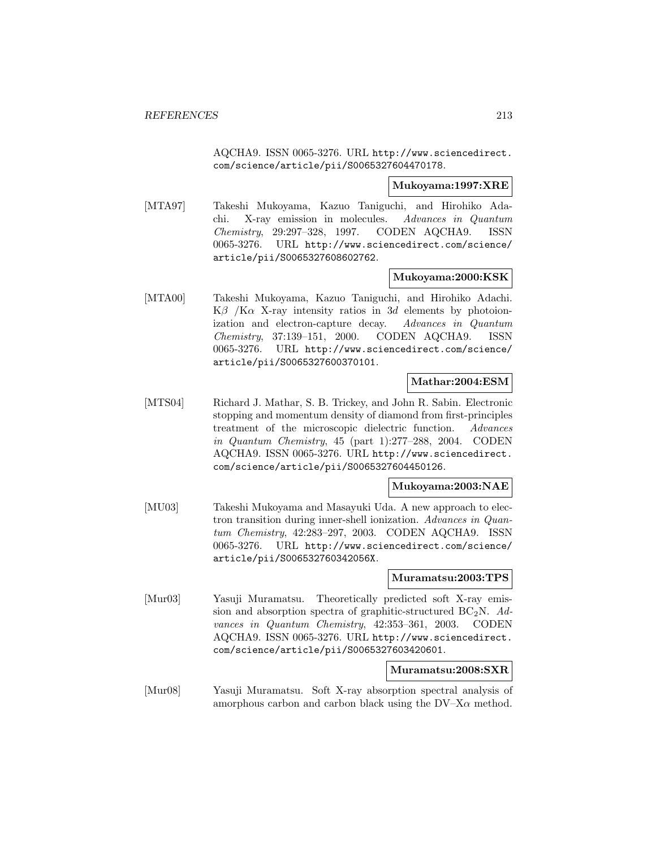AQCHA9. ISSN 0065-3276. URL http://www.sciencedirect. com/science/article/pii/S0065327604470178.

#### **Mukoyama:1997:XRE**

[MTA97] Takeshi Mukoyama, Kazuo Taniguchi, and Hirohiko Adachi. X-ray emission in molecules. Advances in Quantum Chemistry, 29:297–328, 1997. CODEN AQCHA9. ISSN 0065-3276. URL http://www.sciencedirect.com/science/ article/pii/S0065327608602762.

### **Mukoyama:2000:KSK**

[MTA00] Takeshi Mukoyama, Kazuo Taniguchi, and Hirohiko Adachi. K $\beta$  /K $\alpha$  X-ray intensity ratios in 3d elements by photoionization and electron-capture decay. Advances in Quantum Chemistry, 37:139–151, 2000. CODEN AQCHA9. ISSN 0065-3276. URL http://www.sciencedirect.com/science/ article/pii/S0065327600370101.

### **Mathar:2004:ESM**

[MTS04] Richard J. Mathar, S. B. Trickey, and John R. Sabin. Electronic stopping and momentum density of diamond from first-principles treatment of the microscopic dielectric function. Advances in Quantum Chemistry, 45 (part 1):277–288, 2004. CODEN AQCHA9. ISSN 0065-3276. URL http://www.sciencedirect. com/science/article/pii/S0065327604450126.

#### **Mukoyama:2003:NAE**

[MU03] Takeshi Mukoyama and Masayuki Uda. A new approach to electron transition during inner-shell ionization. Advances in Quantum Chemistry, 42:283–297, 2003. CODEN AQCHA9. ISSN 0065-3276. URL http://www.sciencedirect.com/science/ article/pii/S006532760342056X.

#### **Muramatsu:2003:TPS**

[Mur03] Yasuji Muramatsu. Theoretically predicted soft X-ray emission and absorption spectra of graphitic-structured  $BC_2N$ . Advances in Quantum Chemistry, 42:353–361, 2003. CODEN AQCHA9. ISSN 0065-3276. URL http://www.sciencedirect. com/science/article/pii/S0065327603420601.

#### **Muramatsu:2008:SXR**

[Mur08] Yasuji Muramatsu. Soft X-ray absorption spectral analysis of amorphous carbon and carbon black using the  $DV-X\alpha$  method.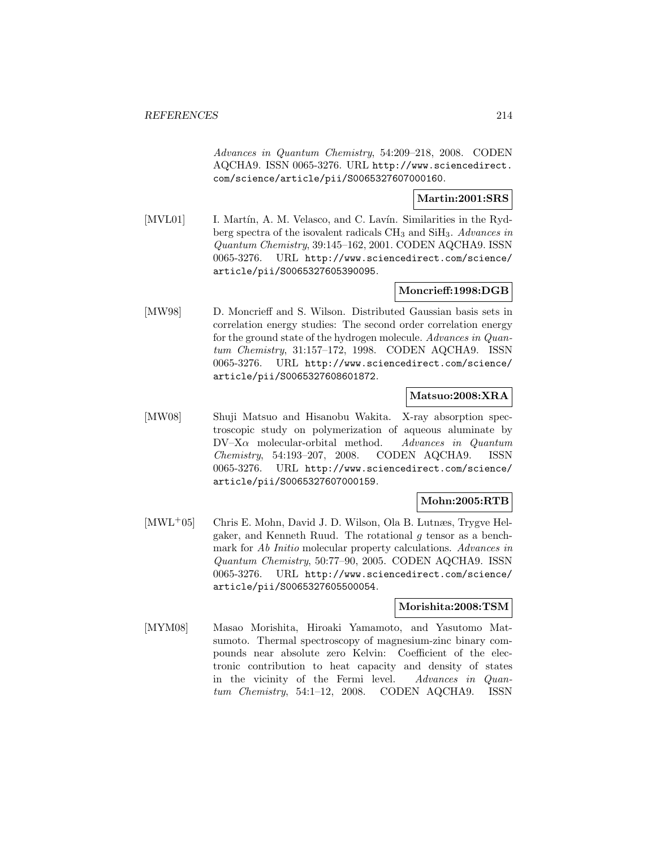Advances in Quantum Chemistry, 54:209–218, 2008. CODEN AQCHA9. ISSN 0065-3276. URL http://www.sciencedirect. com/science/article/pii/S0065327607000160.

## **Martin:2001:SRS**

[MVL01] I. Martín, A. M. Velasco, and C. Lavín. Similarities in the Rydberg spectra of the isovalent radicals  $CH_3$  and  $SiH_3$ . Advances in Quantum Chemistry, 39:145–162, 2001. CODEN AQCHA9. ISSN 0065-3276. URL http://www.sciencedirect.com/science/ article/pii/S0065327605390095.

# **Moncrieff:1998:DGB**

[MW98] D. Moncrieff and S. Wilson. Distributed Gaussian basis sets in correlation energy studies: The second order correlation energy for the ground state of the hydrogen molecule. Advances in Quantum Chemistry, 31:157–172, 1998. CODEN AQCHA9. ISSN 0065-3276. URL http://www.sciencedirect.com/science/ article/pii/S0065327608601872.

# **Matsuo:2008:XRA**

[MW08] Shuji Matsuo and Hisanobu Wakita. X-ray absorption spectroscopic study on polymerization of aqueous aluminate by  $DV-X\alpha$  molecular-orbital method. Advances in Quantum Chemistry, 54:193–207, 2008. CODEN AQCHA9. ISSN 0065-3276. URL http://www.sciencedirect.com/science/ article/pii/S0065327607000159.

# **Mohn:2005:RTB**

[MWL<sup>+</sup>05] Chris E. Mohn, David J. D. Wilson, Ola B. Lutnæs, Trygve Helgaker, and Kenneth Ruud. The rotational g tensor as a benchmark for Ab Initio molecular property calculations. Advances in Quantum Chemistry, 50:77–90, 2005. CODEN AQCHA9. ISSN 0065-3276. URL http://www.sciencedirect.com/science/ article/pii/S0065327605500054.

### **Morishita:2008:TSM**

[MYM08] Masao Morishita, Hiroaki Yamamoto, and Yasutomo Matsumoto. Thermal spectroscopy of magnesium-zinc binary compounds near absolute zero Kelvin: Coefficient of the electronic contribution to heat capacity and density of states in the vicinity of the Fermi level. Advances in Quantum Chemistry, 54:1–12, 2008. CODEN AQCHA9. ISSN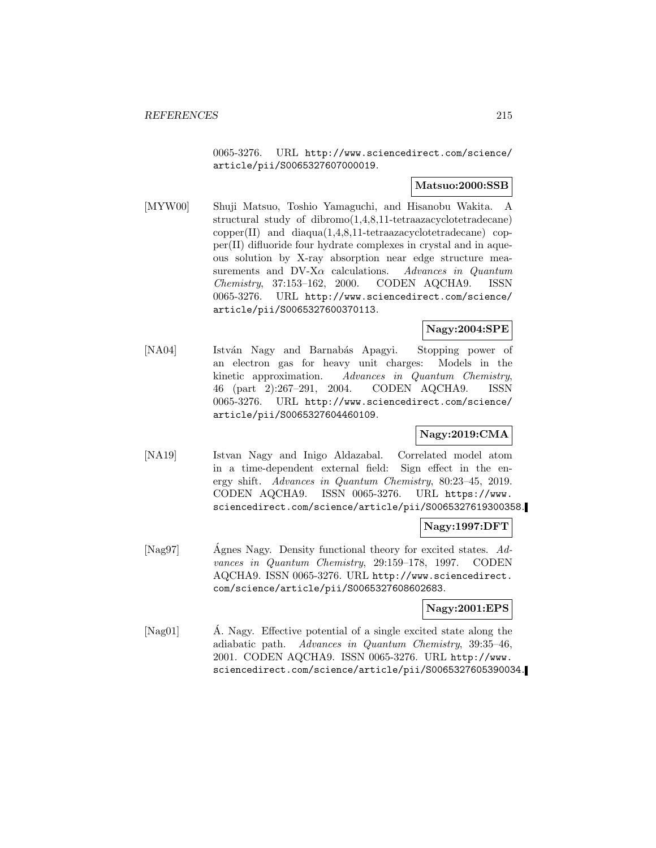0065-3276. URL http://www.sciencedirect.com/science/ article/pii/S0065327607000019.

### **Matsuo:2000:SSB**

[MYW00] Shuji Matsuo, Toshio Yamaguchi, and Hisanobu Wakita. A structural study of dibromo(1,4,8,11-tetraazacyclotetradecane) copper(II) and diaqua(1,4,8,11-tetraazacyclotetradecane) copper(II) difluoride four hydrate complexes in crystal and in aqueous solution by X-ray absorption near edge structure measurements and DV-X $\alpha$  calculations. Advances in Quantum Chemistry, 37:153–162, 2000. CODEN AQCHA9. ISSN 0065-3276. URL http://www.sciencedirect.com/science/ article/pii/S0065327600370113.

## **Nagy:2004:SPE**

[NA04] István Nagy and Barnabás Apagyi. Stopping power of an electron gas for heavy unit charges: Models in the kinetic approximation. Advances in Quantum Chemistry, 46 (part 2):267–291, 2004. CODEN AQCHA9. ISSN 0065-3276. URL http://www.sciencedirect.com/science/ article/pii/S0065327604460109.

# **Nagy:2019:CMA**

[NA19] Istvan Nagy and Inigo Aldazabal. Correlated model atom in a time-dependent external field: Sign effect in the energy shift. Advances in Quantum Chemistry, 80:23–45, 2019. CODEN AQCHA9. ISSN 0065-3276. URL https://www. sciencedirect.com/science/article/pii/S0065327619300358.

## **Nagy:1997:DFT**

[Nag97] Agnes Nagy. Density functional theory for excited states. Advances in Quantum Chemistry, 29:159–178, 1997. CODEN AQCHA9. ISSN 0065-3276. URL http://www.sciencedirect. com/science/article/pii/S0065327608602683.

#### **Nagy:2001:EPS**

[Nag01] A. Nagy. Effective potential of a single excited state along the adiabatic path. Advances in Quantum Chemistry, 39:35–46, 2001. CODEN AQCHA9. ISSN 0065-3276. URL http://www. sciencedirect.com/science/article/pii/S0065327605390034.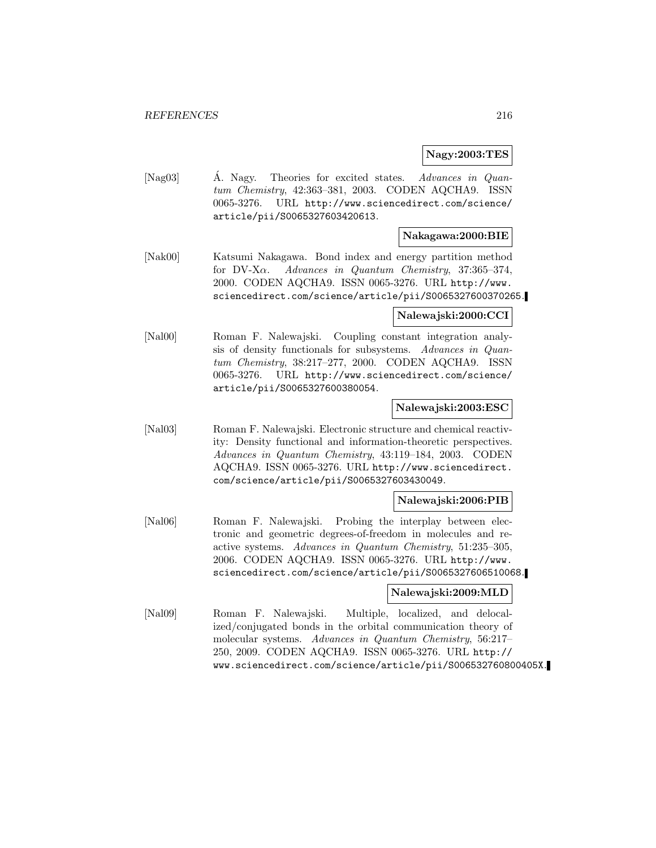## **Nagy:2003:TES**

[Nag03] A. Nagy. Theories for excited states. Advances in Quantum Chemistry, 42:363–381, 2003. CODEN AQCHA9. ISSN 0065-3276. URL http://www.sciencedirect.com/science/ article/pii/S0065327603420613.

#### **Nakagawa:2000:BIE**

[Nak00] Katsumi Nakagawa. Bond index and energy partition method for DV-X $\alpha$ . Advances in Quantum Chemistry, 37:365-374, 2000. CODEN AQCHA9. ISSN 0065-3276. URL http://www. sciencedirect.com/science/article/pii/S0065327600370265.

### **Nalewajski:2000:CCI**

[Nal00] Roman F. Nalewajski. Coupling constant integration analysis of density functionals for subsystems. Advances in Quantum Chemistry, 38:217–277, 2000. CODEN AQCHA9. ISSN 0065-3276. URL http://www.sciencedirect.com/science/ article/pii/S0065327600380054.

### **Nalewajski:2003:ESC**

[Nal03] Roman F. Nalewajski. Electronic structure and chemical reactivity: Density functional and information-theoretic perspectives. Advances in Quantum Chemistry, 43:119–184, 2003. CODEN AQCHA9. ISSN 0065-3276. URL http://www.sciencedirect. com/science/article/pii/S0065327603430049.

### **Nalewajski:2006:PIB**

[Nal06] Roman F. Nalewajski. Probing the interplay between electronic and geometric degrees-of-freedom in molecules and reactive systems. Advances in Quantum Chemistry, 51:235–305, 2006. CODEN AQCHA9. ISSN 0065-3276. URL http://www. sciencedirect.com/science/article/pii/S0065327606510068.

#### **Nalewajski:2009:MLD**

[Nal09] Roman F. Nalewajski. Multiple, localized, and delocalized/conjugated bonds in the orbital communication theory of molecular systems. Advances in Quantum Chemistry, 56:217– 250, 2009. CODEN AQCHA9. ISSN 0065-3276. URL http:// www.sciencedirect.com/science/article/pii/S006532760800405X.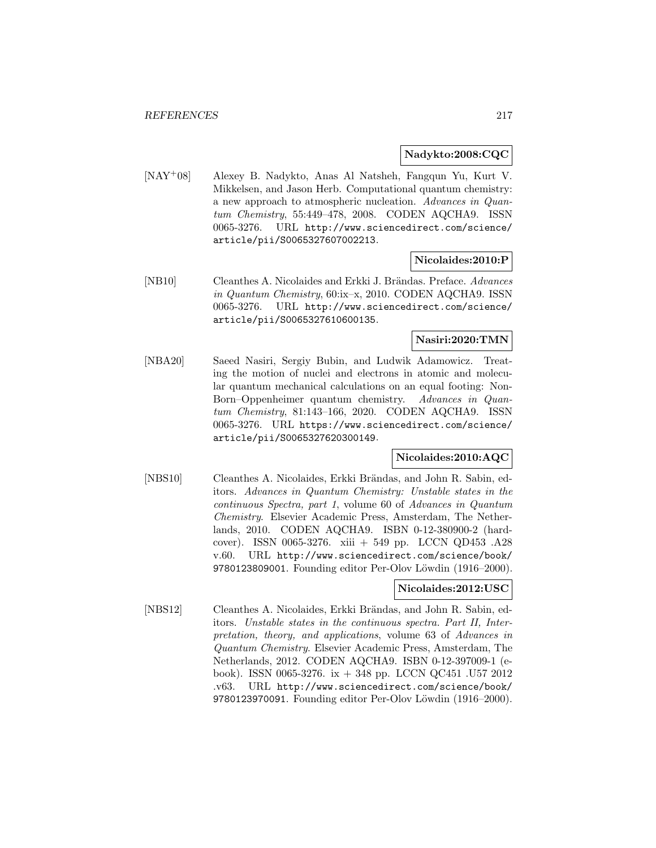#### **Nadykto:2008:CQC**

[NAY<sup>+</sup>08] Alexey B. Nadykto, Anas Al Natsheh, Fangqun Yu, Kurt V. Mikkelsen, and Jason Herb. Computational quantum chemistry: a new approach to atmospheric nucleation. Advances in Quantum Chemistry, 55:449–478, 2008. CODEN AQCHA9. ISSN 0065-3276. URL http://www.sciencedirect.com/science/ article/pii/S0065327607002213.

**Nicolaides:2010:P**

[NB10] Cleanthes A. Nicolaides and Erkki J. Brändas. Preface. Advances in Quantum Chemistry, 60:ix–x, 2010. CODEN AQCHA9. ISSN 0065-3276. URL http://www.sciencedirect.com/science/ article/pii/S0065327610600135.

## **Nasiri:2020:TMN**

[NBA20] Saeed Nasiri, Sergiy Bubin, and Ludwik Adamowicz. Treating the motion of nuclei and electrons in atomic and molecular quantum mechanical calculations on an equal footing: Non-Born–Oppenheimer quantum chemistry. Advances in Quantum Chemistry, 81:143–166, 2020. CODEN AQCHA9. ISSN 0065-3276. URL https://www.sciencedirect.com/science/ article/pii/S0065327620300149.

#### **Nicolaides:2010:AQC**

[NBS10] Cleanthes A. Nicolaides, Erkki Brändas, and John R. Sabin, editors. Advances in Quantum Chemistry: Unstable states in the continuous Spectra, part 1, volume 60 of Advances in Quantum Chemistry. Elsevier Academic Press, Amsterdam, The Netherlands, 2010. CODEN AQCHA9. ISBN 0-12-380900-2 (hardcover). ISSN 0065-3276. xiii + 549 pp. LCCN QD453 .A28 v.60. URL http://www.sciencedirect.com/science/book/ 9780123809001. Founding editor Per-Olov Löwdin (1916–2000).

# **Nicolaides:2012:USC**

[NBS12] Cleanthes A. Nicolaides, Erkki Brändas, and John R. Sabin, editors. Unstable states in the continuous spectra. Part II, Interpretation, theory, and applications, volume 63 of Advances in Quantum Chemistry. Elsevier Academic Press, Amsterdam, The Netherlands, 2012. CODEN AQCHA9. ISBN 0-12-397009-1 (ebook). ISSN 0065-3276. ix + 348 pp. LCCN QC451 .U57 2012 .v63. URL http://www.sciencedirect.com/science/book/ 9780123970091. Founding editor Per-Olov Löwdin (1916–2000).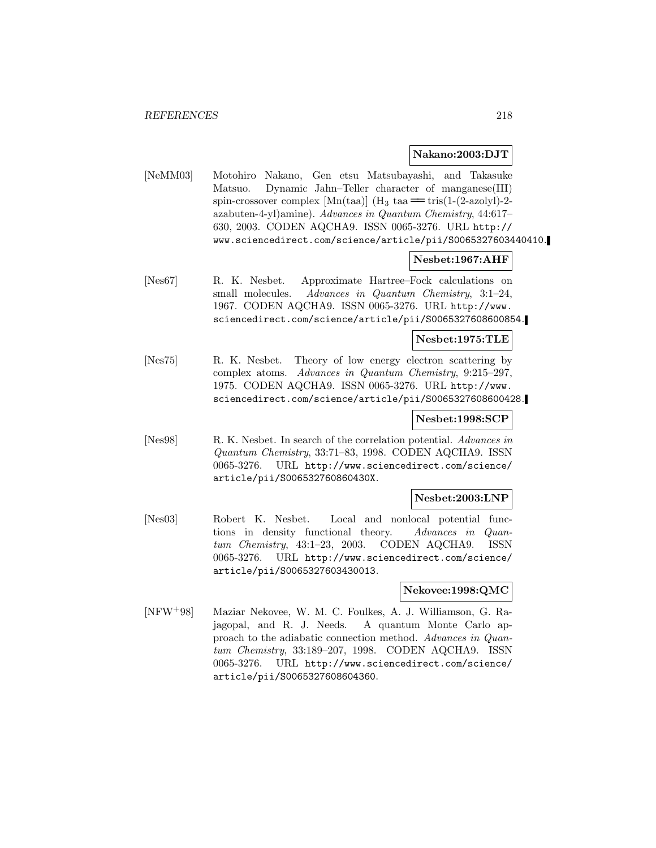#### **Nakano:2003:DJT**

[NeMM03] Motohiro Nakano, Gen etsu Matsubayashi, and Takasuke Matsuo. Dynamic Jahn–Teller character of manganese(III) spin-crossover complex  $[Mn(taa)]$  (H<sub>3</sub> taa  $=$  tris(1-(2-azolyl)-2azabuten-4-yl)amine). Advances in Quantum Chemistry, 44:617– 630, 2003. CODEN AQCHA9. ISSN 0065-3276. URL http:// www.sciencedirect.com/science/article/pii/S0065327603440410.

## **Nesbet:1967:AHF**

[Nes67] R. K. Nesbet. Approximate Hartree–Fock calculations on small molecules. Advances in Quantum Chemistry, 3:1-24, 1967. CODEN AQCHA9. ISSN 0065-3276. URL http://www. sciencedirect.com/science/article/pii/S0065327608600854.

## **Nesbet:1975:TLE**

[Nes75] R. K. Nesbet. Theory of low energy electron scattering by complex atoms. Advances in Quantum Chemistry, 9:215–297, 1975. CODEN AQCHA9. ISSN 0065-3276. URL http://www. sciencedirect.com/science/article/pii/S0065327608600428.

# **Nesbet:1998:SCP**

[Nes98] R. K. Nesbet. In search of the correlation potential. Advances in Quantum Chemistry, 33:71–83, 1998. CODEN AQCHA9. ISSN 0065-3276. URL http://www.sciencedirect.com/science/ article/pii/S006532760860430X.

## **Nesbet:2003:LNP**

[Nes03] Robert K. Nesbet. Local and nonlocal potential functions in density functional theory. Advances in Quantum Chemistry, 43:1–23, 2003. CODEN AQCHA9. ISSN 0065-3276. URL http://www.sciencedirect.com/science/ article/pii/S0065327603430013.

## **Nekovee:1998:QMC**

[NFW<sup>+</sup>98] Maziar Nekovee, W. M. C. Foulkes, A. J. Williamson, G. Rajagopal, and R. J. Needs. A quantum Monte Carlo approach to the adiabatic connection method. Advances in Quantum Chemistry, 33:189–207, 1998. CODEN AQCHA9. ISSN 0065-3276. URL http://www.sciencedirect.com/science/ article/pii/S0065327608604360.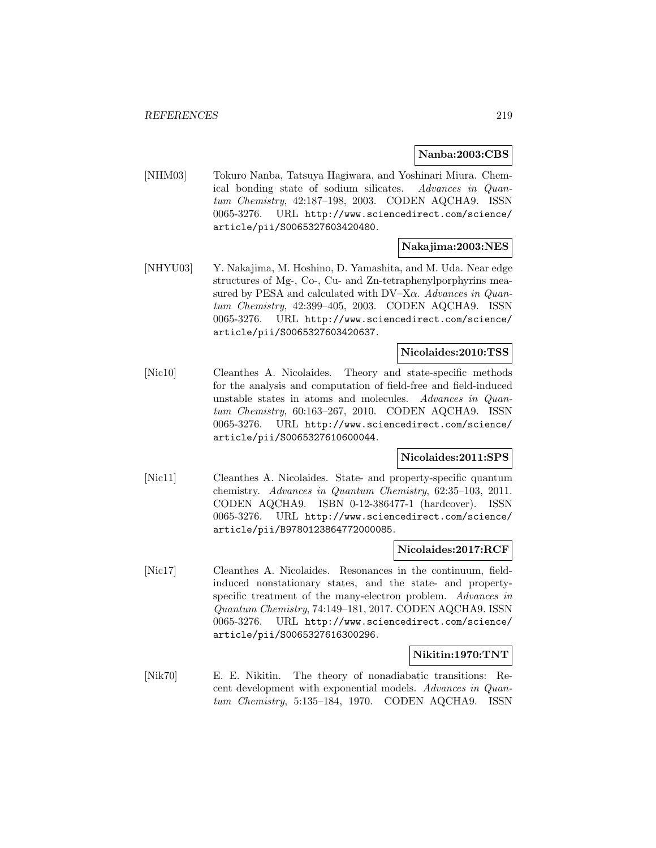#### **Nanba:2003:CBS**

[NHM03] Tokuro Nanba, Tatsuya Hagiwara, and Yoshinari Miura. Chemical bonding state of sodium silicates. Advances in Quantum Chemistry, 42:187–198, 2003. CODEN AQCHA9. ISSN 0065-3276. URL http://www.sciencedirect.com/science/ article/pii/S0065327603420480.

# **Nakajima:2003:NES**

[NHYU03] Y. Nakajima, M. Hoshino, D. Yamashita, and M. Uda. Near edge structures of Mg-, Co-, Cu- and Zn-tetraphenylporphyrins measured by PESA and calculated with  $DV-X\alpha$ . Advances in Quantum Chemistry, 42:399–405, 2003. CODEN AQCHA9. ISSN 0065-3276. URL http://www.sciencedirect.com/science/ article/pii/S0065327603420637.

#### **Nicolaides:2010:TSS**

[Nic10] Cleanthes A. Nicolaides. Theory and state-specific methods for the analysis and computation of field-free and field-induced unstable states in atoms and molecules. Advances in Quantum Chemistry, 60:163–267, 2010. CODEN AQCHA9. ISSN 0065-3276. URL http://www.sciencedirect.com/science/ article/pii/S0065327610600044.

#### **Nicolaides:2011:SPS**

[Nic11] Cleanthes A. Nicolaides. State- and property-specific quantum chemistry. Advances in Quantum Chemistry, 62:35–103, 2011. CODEN AQCHA9. ISBN 0-12-386477-1 (hardcover). ISSN 0065-3276. URL http://www.sciencedirect.com/science/ article/pii/B9780123864772000085.

#### **Nicolaides:2017:RCF**

[Nic17] Cleanthes A. Nicolaides. Resonances in the continuum, fieldinduced nonstationary states, and the state- and propertyspecific treatment of the many-electron problem. Advances in Quantum Chemistry, 74:149–181, 2017. CODEN AQCHA9. ISSN 0065-3276. URL http://www.sciencedirect.com/science/ article/pii/S0065327616300296.

#### **Nikitin:1970:TNT**

[Nik70] E. E. Nikitin. The theory of nonadiabatic transitions: Recent development with exponential models. Advances in Quantum Chemistry, 5:135–184, 1970. CODEN AQCHA9. ISSN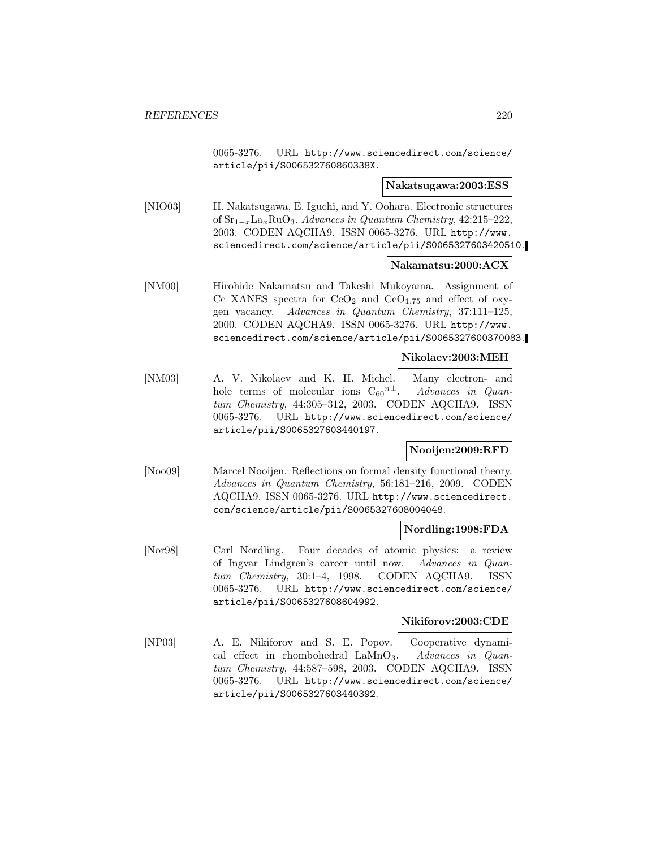0065-3276. URL http://www.sciencedirect.com/science/ article/pii/S006532760860338X.

#### **Nakatsugawa:2003:ESS**

[NIO03] H. Nakatsugawa, E. Iguchi, and Y. Oohara. Electronic structures of  $\text{Sr}_{1-x}\text{La}_x\text{RuO}_3$ . Advances in Quantum Chemistry, 42:215–222, 2003. CODEN AQCHA9. ISSN 0065-3276. URL http://www. sciencedirect.com/science/article/pii/S0065327603420510.

#### **Nakamatsu:2000:ACX**

[NM00] Hirohide Nakamatsu and Takeshi Mukoyama. Assignment of Ce XANES spectra for  $CeO<sub>2</sub>$  and  $CeO<sub>1.75</sub>$  and effect of oxygen vacancy. Advances in Quantum Chemistry, 37:111–125, 2000. CODEN AQCHA9. ISSN 0065-3276. URL http://www. sciencedirect.com/science/article/pii/S0065327600370083.

#### **Nikolaev:2003:MEH**

[NM03] A. V. Nikolaev and K. H. Michel. Many electron- and hole terms of molecular ions  $C_{60}^{n\pm}$ . Advances in Quantum Chemistry, 44:305–312, 2003. CODEN AQCHA9. ISSN 0065-3276. URL http://www.sciencedirect.com/science/ article/pii/S0065327603440197.

## **Nooijen:2009:RFD**

[Noo09] Marcel Nooijen. Reflections on formal density functional theory. Advances in Quantum Chemistry, 56:181–216, 2009. CODEN AQCHA9. ISSN 0065-3276. URL http://www.sciencedirect. com/science/article/pii/S0065327608004048.

## **Nordling:1998:FDA**

[Nor98] Carl Nordling. Four decades of atomic physics: a review of Ingvar Lindgren's career until now. Advances in Quantum Chemistry, 30:1–4, 1998. CODEN AQCHA9. ISSN 0065-3276. URL http://www.sciencedirect.com/science/ article/pii/S0065327608604992.

## **Nikiforov:2003:CDE**

[NP03] A. E. Nikiforov and S. E. Popov. Cooperative dynamical effect in rhombohedral  $\text{LaMnO}_3$ . Advances in Quantum Chemistry, 44:587–598, 2003. CODEN AQCHA9. ISSN 0065-3276. URL http://www.sciencedirect.com/science/ article/pii/S0065327603440392.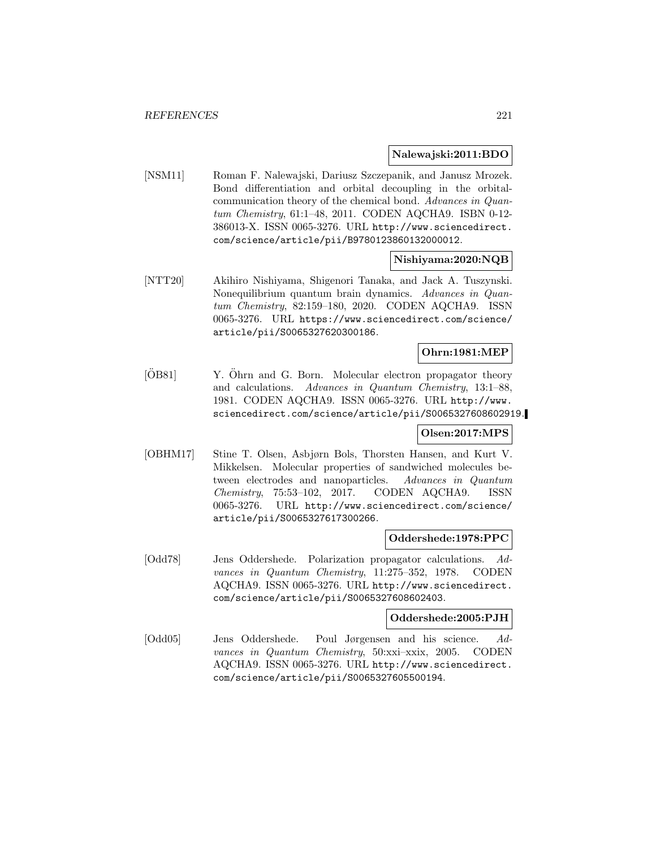#### **Nalewajski:2011:BDO**

[NSM11] Roman F. Nalewajski, Dariusz Szczepanik, and Janusz Mrozek. Bond differentiation and orbital decoupling in the orbitalcommunication theory of the chemical bond. Advances in Quantum Chemistry, 61:1–48, 2011. CODEN AQCHA9. ISBN 0-12- 386013-X. ISSN 0065-3276. URL http://www.sciencedirect. com/science/article/pii/B9780123860132000012.

## **Nishiyama:2020:NQB**

[NTT20] Akihiro Nishiyama, Shigenori Tanaka, and Jack A. Tuszynski. Nonequilibrium quantum brain dynamics. Advances in Quantum Chemistry, 82:159–180, 2020. CODEN AQCHA9. ISSN 0065-3276. URL https://www.sciencedirect.com/science/ article/pii/S0065327620300186.

# **Ohrn:1981:MEP**

[ÖB81] Y. Öhrn and G. Born. Molecular electron propagator theory and calculations. Advances in Quantum Chemistry, 13:1–88, 1981. CODEN AQCHA9. ISSN 0065-3276. URL http://www. sciencedirect.com/science/article/pii/S0065327608602919.

## **Olsen:2017:MPS**

[OBHM17] Stine T. Olsen, Asbjørn Bols, Thorsten Hansen, and Kurt V. Mikkelsen. Molecular properties of sandwiched molecules between electrodes and nanoparticles. Advances in Quantum Chemistry, 75:53–102, 2017. CODEN AQCHA9. ISSN 0065-3276. URL http://www.sciencedirect.com/science/ article/pii/S0065327617300266.

## **Oddershede:1978:PPC**

[Odd78] Jens Oddershede. Polarization propagator calculations. Advances in Quantum Chemistry, 11:275–352, 1978. CODEN AQCHA9. ISSN 0065-3276. URL http://www.sciencedirect. com/science/article/pii/S0065327608602403.

# **Oddershede:2005:PJH**

[Odd05] Jens Oddershede. Poul Jørgensen and his science. Advances in Quantum Chemistry, 50:xxi–xxix, 2005. CODEN AQCHA9. ISSN 0065-3276. URL http://www.sciencedirect. com/science/article/pii/S0065327605500194.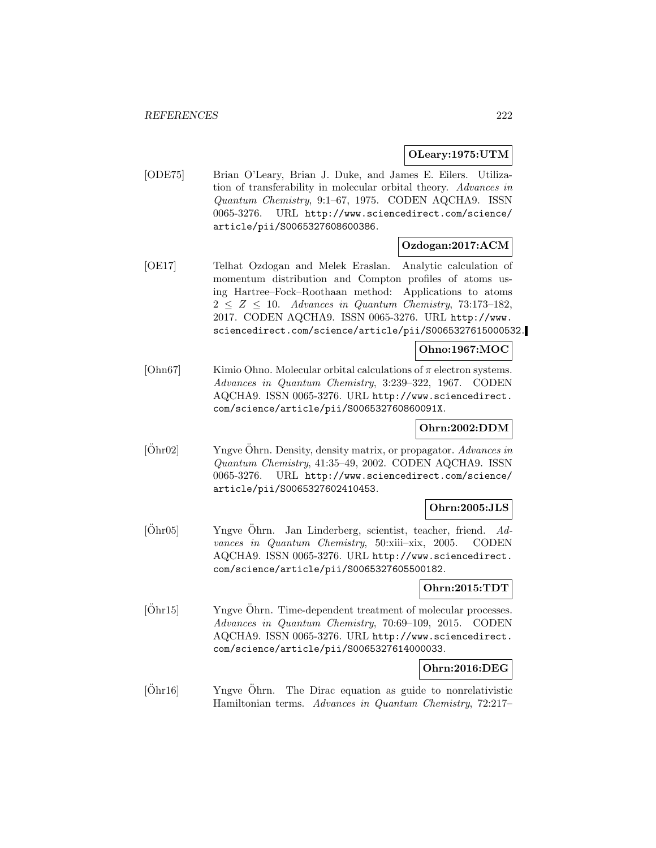# **OLeary:1975:UTM**

[ODE75] Brian O'Leary, Brian J. Duke, and James E. Eilers. Utilization of transferability in molecular orbital theory. Advances in Quantum Chemistry, 9:1–67, 1975. CODEN AQCHA9. ISSN 0065-3276. URL http://www.sciencedirect.com/science/ article/pii/S0065327608600386.

# **Ozdogan:2017:ACM**

[OE17] Telhat Ozdogan and Melek Eraslan. Analytic calculation of momentum distribution and Compton profiles of atoms using Hartree–Fock–Roothaan method: Applications to atoms  $2 \leq Z \leq 10$ . Advances in Quantum Chemistry, 73:173-182, 2017. CODEN AQCHA9. ISSN 0065-3276. URL http://www. sciencedirect.com/science/article/pii/S0065327615000532.

# **Ohno:1967:MOC**

[Ohn67] Kimio Ohno. Molecular orbital calculations of  $\pi$  electron systems. Advances in Quantum Chemistry, 3:239–322, 1967. CODEN AQCHA9. ISSN 0065-3276. URL http://www.sciencedirect. com/science/article/pii/S006532760860091X.

## **Ohrn:2002:DDM**

 $[\text{Öhr02}]$  Yngve  $\ddot{\text{Ohrn}}$ . Density, density matrix, or propagator. Advances in Quantum Chemistry, 41:35–49, 2002. CODEN AQCHA9. ISSN 0065-3276. URL http://www.sciencedirect.com/science/ article/pii/S0065327602410453.

# **Ohrn:2005:JLS**

[Öhr05] Yngve Öhrn. Jan Linderberg, scientist, teacher, friend. Advances in Quantum Chemistry, 50:xiii–xix, 2005. CODEN AQCHA9. ISSN 0065-3276. URL http://www.sciencedirect. com/science/article/pii/S0065327605500182.

# **Ohrn:2015:TDT**

 $[Ohr15]$  Yngve  $\ddot{Ohrn}$ . Time-dependent treatment of molecular processes. Advances in Quantum Chemistry, 70:69–109, 2015. CODEN AQCHA9. ISSN 0065-3276. URL http://www.sciencedirect. com/science/article/pii/S0065327614000033.

## **Ohrn:2016:DEG**

 $[Öhr16]$  Yngve  $Öhrn$ . The Dirac equation as guide to nonrelativistic Hamiltonian terms. Advances in Quantum Chemistry, 72:217–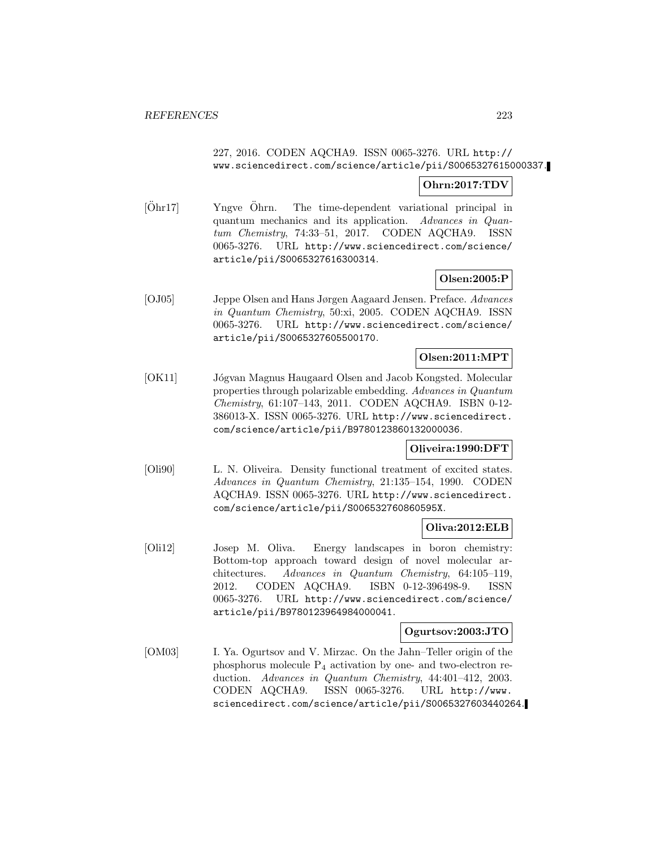# 227, 2016. CODEN AQCHA9. ISSN 0065-3276. URL http:// www.sciencedirect.com/science/article/pii/S0065327615000337.

# **Ohrn:2017:TDV**

 $[Ohr17]$  Yngve  $Ohrn$ . The time-dependent variational principal in quantum mechanics and its application. Advances in Quantum Chemistry, 74:33–51, 2017. CODEN AQCHA9. ISSN 0065-3276. URL http://www.sciencedirect.com/science/ article/pii/S0065327616300314.

## **Olsen:2005:P**

[OJ05] Jeppe Olsen and Hans Jørgen Aagaard Jensen. Preface. Advances in Quantum Chemistry, 50:xi, 2005. CODEN AQCHA9. ISSN 0065-3276. URL http://www.sciencedirect.com/science/ article/pii/S0065327605500170.

# **Olsen:2011:MPT**

[OK11] Jógvan Magnus Haugaard Olsen and Jacob Kongsted. Molecular properties through polarizable embedding. Advances in Quantum Chemistry, 61:107–143, 2011. CODEN AQCHA9. ISBN 0-12- 386013-X. ISSN 0065-3276. URL http://www.sciencedirect. com/science/article/pii/B9780123860132000036.

## **Oliveira:1990:DFT**

[Oli90] L. N. Oliveira. Density functional treatment of excited states. Advances in Quantum Chemistry, 21:135–154, 1990. CODEN AQCHA9. ISSN 0065-3276. URL http://www.sciencedirect. com/science/article/pii/S006532760860595X.

## **Oliva:2012:ELB**

[Oli12] Josep M. Oliva. Energy landscapes in boron chemistry: Bottom-top approach toward design of novel molecular architectures. Advances in Quantum Chemistry, 64:105–119, 2012. CODEN AQCHA9. ISBN 0-12-396498-9. ISSN 0065-3276. URL http://www.sciencedirect.com/science/ article/pii/B9780123964984000041.

## **Ogurtsov:2003:JTO**

[OM03] I. Ya. Ogurtsov and V. Mirzac. On the Jahn–Teller origin of the phosphorus molecule P<sup>4</sup> activation by one- and two-electron reduction. Advances in Quantum Chemistry, 44:401-412, 2003. CODEN AQCHA9. ISSN 0065-3276. URL http://www. sciencedirect.com/science/article/pii/S0065327603440264.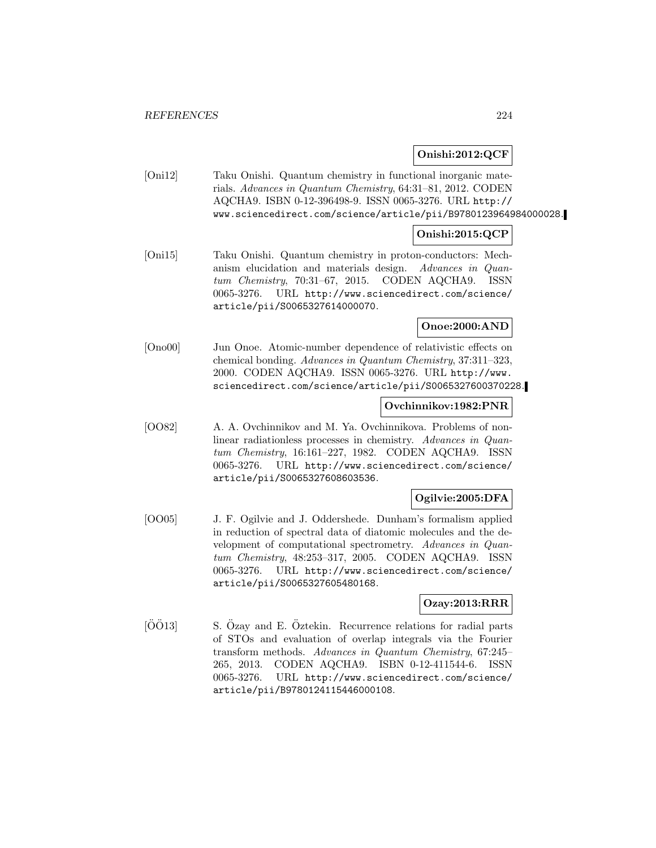# **Onishi:2012:QCF**

[Oni12] Taku Onishi. Quantum chemistry in functional inorganic materials. Advances in Quantum Chemistry, 64:31–81, 2012. CODEN AQCHA9. ISBN 0-12-396498-9. ISSN 0065-3276. URL http:// www.sciencedirect.com/science/article/pii/B9780123964984000028.

# **Onishi:2015:QCP**

[Oni15] Taku Onishi. Quantum chemistry in proton-conductors: Mechanism elucidation and materials design. Advances in Quantum Chemistry, 70:31–67, 2015. CODEN AQCHA9. ISSN 0065-3276. URL http://www.sciencedirect.com/science/ article/pii/S0065327614000070.

# **Onoe:2000:AND**

[Ono00] Jun Onoe. Atomic-number dependence of relativistic effects on chemical bonding. Advances in Quantum Chemistry, 37:311–323, 2000. CODEN AQCHA9. ISSN 0065-3276. URL http://www. sciencedirect.com/science/article/pii/S0065327600370228.

# **Ovchinnikov:1982:PNR**

[OO82] A. A. Ovchinnikov and M. Ya. Ovchinnikova. Problems of nonlinear radiationless processes in chemistry. Advances in Quantum Chemistry, 16:161–227, 1982. CODEN AQCHA9. ISSN 0065-3276. URL http://www.sciencedirect.com/science/ article/pii/S0065327608603536.

# **Ogilvie:2005:DFA**

[OO05] J. F. Ogilvie and J. Oddershede. Dunham's formalism applied in reduction of spectral data of diatomic molecules and the development of computational spectrometry. Advances in Quantum Chemistry, 48:253–317, 2005. CODEN AQCHA9. ISSN 0065-3276. URL http://www.sciencedirect.com/science/ article/pii/S0065327605480168.

# **Ozay:2013:RRR**

 $[0013]$  S.  $0$ zay and E.  $0$ ztekin. Recurrence relations for radial parts of STOs and evaluation of overlap integrals via the Fourier transform methods. Advances in Quantum Chemistry, 67:245– 265, 2013. CODEN AQCHA9. ISBN 0-12-411544-6. ISSN 0065-3276. URL http://www.sciencedirect.com/science/ article/pii/B9780124115446000108.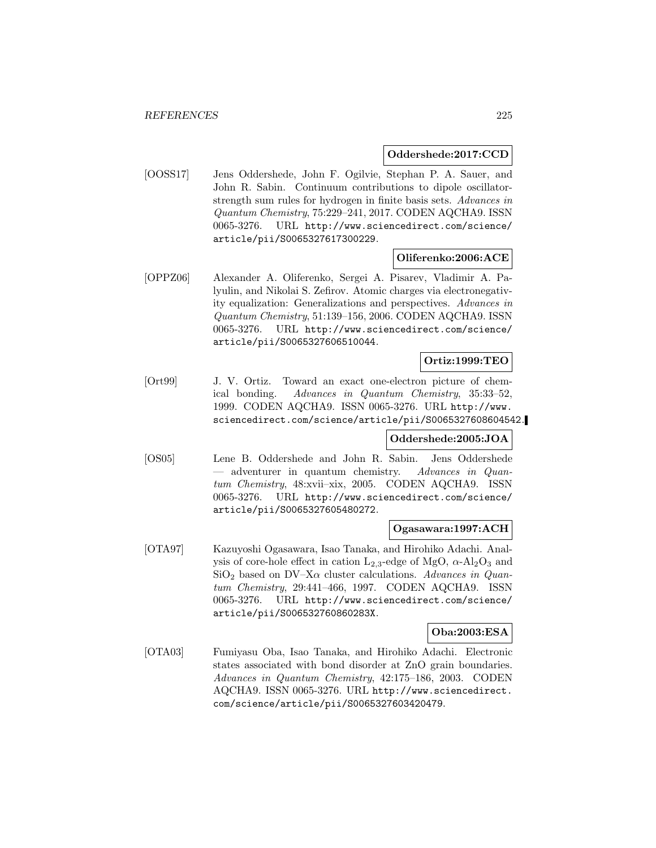## **Oddershede:2017:CCD**

[OOSS17] Jens Oddershede, John F. Ogilvie, Stephan P. A. Sauer, and John R. Sabin. Continuum contributions to dipole oscillatorstrength sum rules for hydrogen in finite basis sets. Advances in Quantum Chemistry, 75:229–241, 2017. CODEN AQCHA9. ISSN 0065-3276. URL http://www.sciencedirect.com/science/ article/pii/S0065327617300229.

# **Oliferenko:2006:ACE**

[OPPZ06] Alexander A. Oliferenko, Sergei A. Pisarev, Vladimir A. Palyulin, and Nikolai S. Zefirov. Atomic charges via electronegativity equalization: Generalizations and perspectives. Advances in Quantum Chemistry, 51:139–156, 2006. CODEN AQCHA9. ISSN 0065-3276. URL http://www.sciencedirect.com/science/ article/pii/S0065327606510044.

#### **Ortiz:1999:TEO**

[Ort99] J. V. Ortiz. Toward an exact one-electron picture of chemical bonding. Advances in Quantum Chemistry, 35:33–52, 1999. CODEN AQCHA9. ISSN 0065-3276. URL http://www. sciencedirect.com/science/article/pii/S0065327608604542.

# **Oddershede:2005:JOA**

[OS05] Lene B. Oddershede and John R. Sabin. Jens Oddershede — adventurer in quantum chemistry. Advances in Quantum Chemistry, 48:xvii–xix, 2005. CODEN AQCHA9. ISSN 0065-3276. URL http://www.sciencedirect.com/science/ article/pii/S0065327605480272.

## **Ogasawara:1997:ACH**

[OTA97] Kazuyoshi Ogasawara, Isao Tanaka, and Hirohiko Adachi. Analysis of core-hole effect in cation  $L_{2,3}$ -edge of MgO,  $\alpha$ -Al<sub>2</sub>O<sub>3</sub> and  $SiO<sub>2</sub>$  based on DV–X $\alpha$  cluster calculations. Advances in Quantum Chemistry, 29:441–466, 1997. CODEN AQCHA9. ISSN 0065-3276. URL http://www.sciencedirect.com/science/ article/pii/S006532760860283X.

#### **Oba:2003:ESA**

[OTA03] Fumiyasu Oba, Isao Tanaka, and Hirohiko Adachi. Electronic states associated with bond disorder at ZnO grain boundaries. Advances in Quantum Chemistry, 42:175–186, 2003. CODEN AQCHA9. ISSN 0065-3276. URL http://www.sciencedirect. com/science/article/pii/S0065327603420479.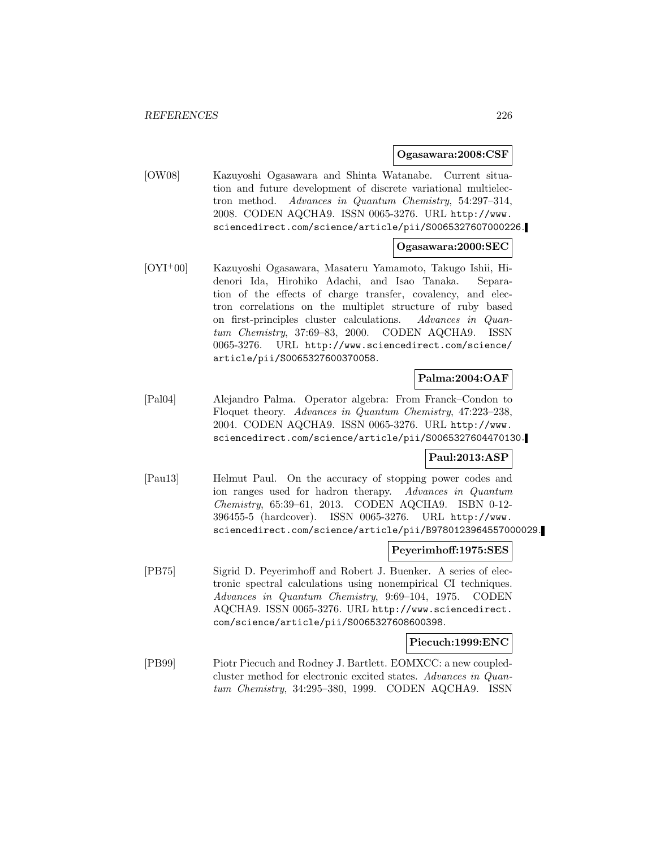**Ogasawara:2008:CSF**

[OW08] Kazuyoshi Ogasawara and Shinta Watanabe. Current situation and future development of discrete variational multielectron method. Advances in Quantum Chemistry, 54:297–314, 2008. CODEN AQCHA9. ISSN 0065-3276. URL http://www. sciencedirect.com/science/article/pii/S0065327607000226.

## **Ogasawara:2000:SEC**

[OYI<sup>+</sup>00] Kazuyoshi Ogasawara, Masateru Yamamoto, Takugo Ishii, Hidenori Ida, Hirohiko Adachi, and Isao Tanaka. Separation of the effects of charge transfer, covalency, and electron correlations on the multiplet structure of ruby based on first-principles cluster calculations. Advances in Quantum Chemistry, 37:69–83, 2000. CODEN AQCHA9. ISSN 0065-3276. URL http://www.sciencedirect.com/science/ article/pii/S0065327600370058.

# **Palma:2004:OAF**

[Pal04] Alejandro Palma. Operator algebra: From Franck–Condon to Floquet theory. Advances in Quantum Chemistry, 47:223–238, 2004. CODEN AQCHA9. ISSN 0065-3276. URL http://www. sciencedirect.com/science/article/pii/S0065327604470130.

## **Paul:2013:ASP**

[Pau13] Helmut Paul. On the accuracy of stopping power codes and ion ranges used for hadron therapy. Advances in Quantum Chemistry, 65:39–61, 2013. CODEN AQCHA9. ISBN 0-12- 396455-5 (hardcover). ISSN 0065-3276. URL http://www. sciencedirect.com/science/article/pii/B9780123964557000029.

#### **Peyerimhoff:1975:SES**

[PB75] Sigrid D. Peyerimhoff and Robert J. Buenker. A series of electronic spectral calculations using nonempirical CI techniques. Advances in Quantum Chemistry, 9:69–104, 1975. CODEN AQCHA9. ISSN 0065-3276. URL http://www.sciencedirect. com/science/article/pii/S0065327608600398.

## **Piecuch:1999:ENC**

[PB99] Piotr Piecuch and Rodney J. Bartlett. EOMXCC: a new coupledcluster method for electronic excited states. Advances in Quantum Chemistry, 34:295–380, 1999. CODEN AQCHA9. ISSN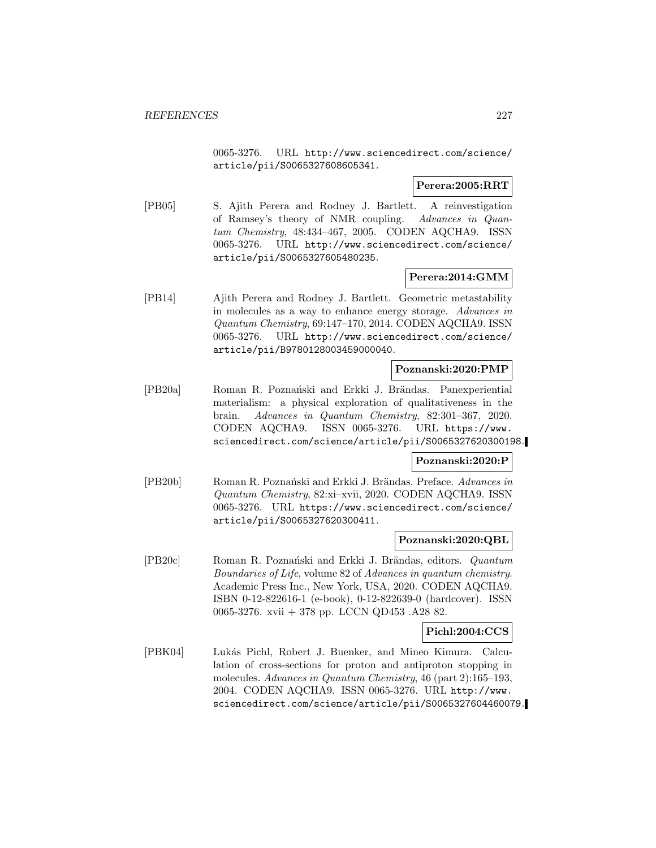0065-3276. URL http://www.sciencedirect.com/science/ article/pii/S0065327608605341.

# **Perera:2005:RRT**

[PB05] S. Ajith Perera and Rodney J. Bartlett. A reinvestigation of Ramsey's theory of NMR coupling. Advances in Quantum Chemistry, 48:434–467, 2005. CODEN AQCHA9. ISSN 0065-3276. URL http://www.sciencedirect.com/science/ article/pii/S0065327605480235.

# **Perera:2014:GMM**

[PB14] Ajith Perera and Rodney J. Bartlett. Geometric metastability in molecules as a way to enhance energy storage. Advances in Quantum Chemistry, 69:147–170, 2014. CODEN AQCHA9. ISSN 0065-3276. URL http://www.sciencedirect.com/science/ article/pii/B9780128003459000040.

## **Poznanski:2020:PMP**

[PB20a] Roman R. Poznański and Erkki J. Brändas. Panexperiential materialism: a physical exploration of qualitativeness in the brain. Advances in Quantum Chemistry, 82:301–367, 2020. CODEN AQCHA9. ISSN 0065-3276. URL https://www. sciencedirect.com/science/article/pii/S0065327620300198.

## **Poznanski:2020:P**

[PB20b] Roman R. Poznański and Erkki J. Brändas. Preface. Advances in Quantum Chemistry, 82:xi–xvii, 2020. CODEN AQCHA9. ISSN 0065-3276. URL https://www.sciencedirect.com/science/ article/pii/S0065327620300411.

#### **Poznanski:2020:QBL**

[PB20c] Roman R. Poznański and Erkki J. Brändas, editors. Quantum Boundaries of Life, volume 82 of Advances in quantum chemistry. Academic Press Inc., New York, USA, 2020. CODEN AQCHA9. ISBN 0-12-822616-1 (e-book), 0-12-822639-0 (hardcover). ISSN 0065-3276. xvii + 378 pp. LCCN QD453 .A28 82.

#### **Pichl:2004:CCS**

[PBK04] Luk´as Pichl, Robert J. Buenker, and Mineo Kimura. Calculation of cross-sections for proton and antiproton stopping in molecules. Advances in Quantum Chemistry, 46 (part 2):165–193, 2004. CODEN AQCHA9. ISSN 0065-3276. URL http://www. sciencedirect.com/science/article/pii/S0065327604460079.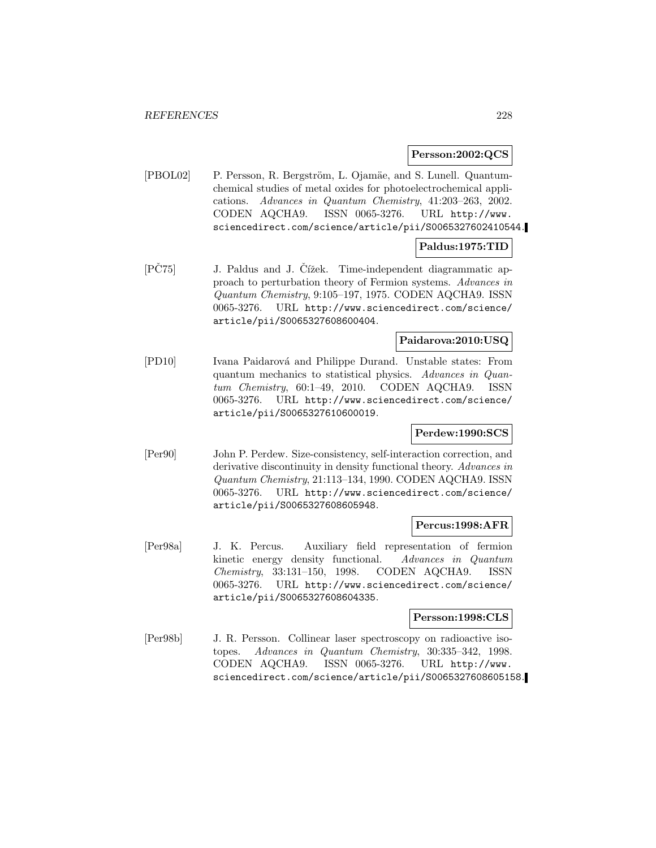#### **Persson:2002:QCS**

[PBOL02] P. Persson, R. Bergström, L. Ojamäe, and S. Lunell. Quantumchemical studies of metal oxides for photoelectrochemical applications. Advances in Quantum Chemistry, 41:203–263, 2002. CODEN AQCHA9. ISSN 0065-3276. URL http://www. sciencedirect.com/science/article/pii/S0065327602410544.

## **Paldus:1975:TID**

[PČ75] J. Paldus and J. Čížek. Time-independent diagrammatic approach to perturbation theory of Fermion systems. Advances in Quantum Chemistry, 9:105–197, 1975. CODEN AQCHA9. ISSN 0065-3276. URL http://www.sciencedirect.com/science/ article/pii/S0065327608600404.

# **Paidarova:2010:USQ**

[PD10] Ivana Paidarov´a and Philippe Durand. Unstable states: From quantum mechanics to statistical physics. Advances in Quantum Chemistry, 60:1–49, 2010. CODEN AQCHA9. ISSN 0065-3276. URL http://www.sciencedirect.com/science/ article/pii/S0065327610600019.

## **Perdew:1990:SCS**

[Per90] John P. Perdew. Size-consistency, self-interaction correction, and derivative discontinuity in density functional theory. Advances in Quantum Chemistry, 21:113–134, 1990. CODEN AQCHA9. ISSN 0065-3276. URL http://www.sciencedirect.com/science/ article/pii/S0065327608605948.

#### **Percus:1998:AFR**

[Per98a] J. K. Percus. Auxiliary field representation of fermion kinetic energy density functional. Advances in Quantum Chemistry, 33:131–150, 1998. CODEN AQCHA9. ISSN 0065-3276. URL http://www.sciencedirect.com/science/ article/pii/S0065327608604335.

## **Persson:1998:CLS**

[Per98b] J. R. Persson. Collinear laser spectroscopy on radioactive isotopes. Advances in Quantum Chemistry, 30:335–342, 1998. CODEN AQCHA9. ISSN 0065-3276. URL http://www. sciencedirect.com/science/article/pii/S0065327608605158.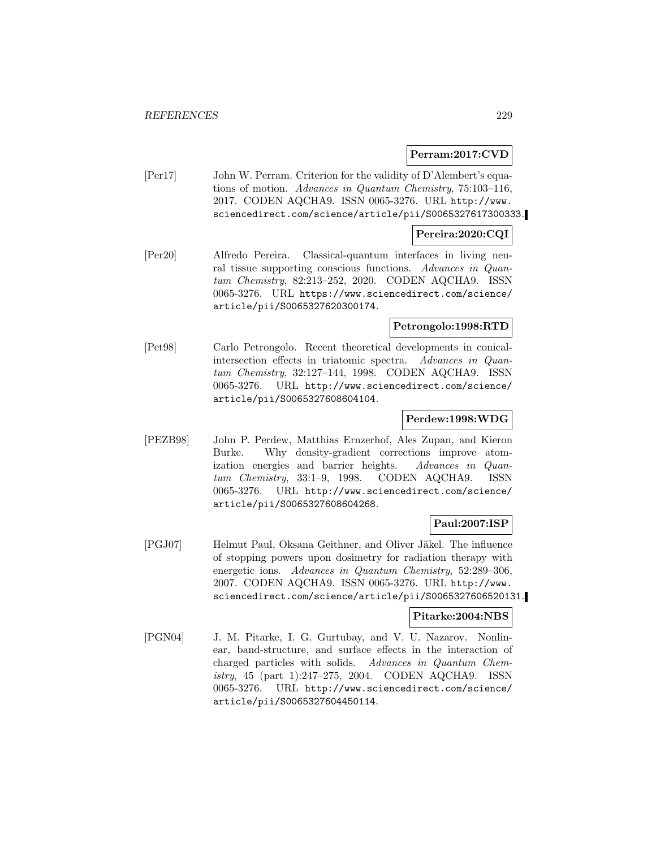## **Perram:2017:CVD**

[Per17] John W. Perram. Criterion for the validity of D'Alembert's equations of motion. Advances in Quantum Chemistry, 75:103–116, 2017. CODEN AQCHA9. ISSN 0065-3276. URL http://www. sciencedirect.com/science/article/pii/S0065327617300333.

## **Pereira:2020:CQI**

[Per20] Alfredo Pereira. Classical-quantum interfaces in living neural tissue supporting conscious functions. Advances in Quantum Chemistry, 82:213–252, 2020. CODEN AQCHA9. ISSN 0065-3276. URL https://www.sciencedirect.com/science/ article/pii/S0065327620300174.

#### **Petrongolo:1998:RTD**

[Pet98] Carlo Petrongolo. Recent theoretical developments in conicalintersection effects in triatomic spectra. Advances in Quantum Chemistry, 32:127–144, 1998. CODEN AQCHA9. ISSN 0065-3276. URL http://www.sciencedirect.com/science/ article/pii/S0065327608604104.

## **Perdew:1998:WDG**

[PEZB98] John P. Perdew, Matthias Ernzerhof, Ales Zupan, and Kieron Burke. Why density-gradient corrections improve atomization energies and barrier heights. Advances in Quantum Chemistry, 33:1–9, 1998. CODEN AQCHA9. ISSN 0065-3276. URL http://www.sciencedirect.com/science/ article/pii/S0065327608604268.

# **Paul:2007:ISP**

[PGJ07] Helmut Paul, Oksana Geithner, and Oliver J¨akel. The influence of stopping powers upon dosimetry for radiation therapy with energetic ions. Advances in Quantum Chemistry, 52:289–306, 2007. CODEN AQCHA9. ISSN 0065-3276. URL http://www. sciencedirect.com/science/article/pii/S0065327606520131.

#### **Pitarke:2004:NBS**

[PGN04] J. M. Pitarke, I. G. Gurtubay, and V. U. Nazarov. Nonlinear, band-structure, and surface effects in the interaction of charged particles with solids. Advances in Quantum Chemistry, 45 (part 1):247–275, 2004. CODEN AQCHA9. ISSN 0065-3276. URL http://www.sciencedirect.com/science/ article/pii/S0065327604450114.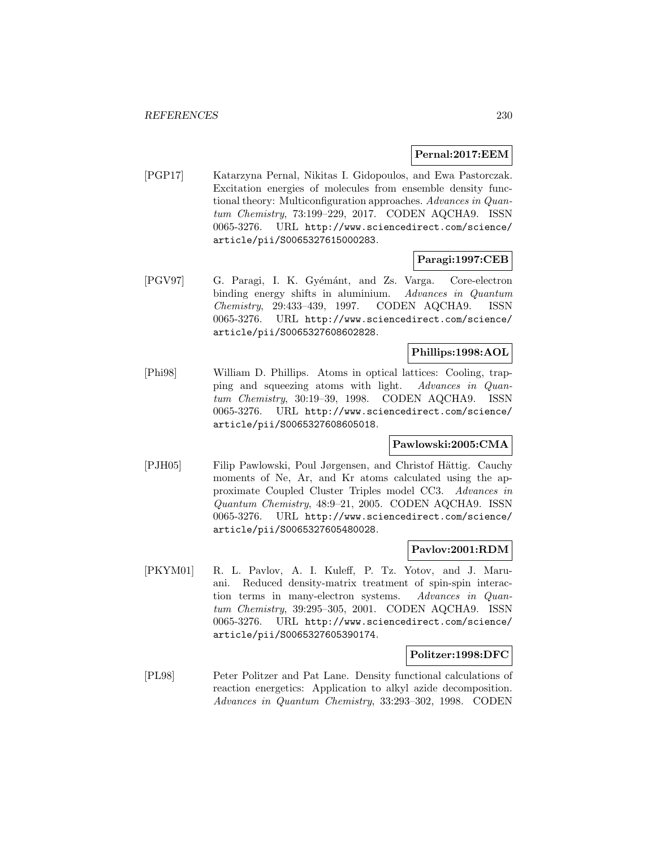#### **Pernal:2017:EEM**

[PGP17] Katarzyna Pernal, Nikitas I. Gidopoulos, and Ewa Pastorczak. Excitation energies of molecules from ensemble density functional theory: Multiconfiguration approaches. Advances in Quantum Chemistry, 73:199–229, 2017. CODEN AQCHA9. ISSN 0065-3276. URL http://www.sciencedirect.com/science/ article/pii/S0065327615000283.

## **Paragi:1997:CEB**

[PGV97] G. Paragi, I. K. Gyémánt, and Zs. Varga. Core-electron binding energy shifts in aluminium. Advances in Quantum Chemistry, 29:433–439, 1997. CODEN AQCHA9. ISSN 0065-3276. URL http://www.sciencedirect.com/science/ article/pii/S0065327608602828.

# **Phillips:1998:AOL**

[Phi98] William D. Phillips. Atoms in optical lattices: Cooling, trapping and squeezing atoms with light. Advances in Quantum Chemistry, 30:19–39, 1998. CODEN AQCHA9. ISSN 0065-3276. URL http://www.sciencedirect.com/science/ article/pii/S0065327608605018.

## **Pawlowski:2005:CMA**

[PJH05] Filip Pawlowski, Poul Jørgensen, and Christof Hättig. Cauchy moments of Ne, Ar, and Kr atoms calculated using the approximate Coupled Cluster Triples model CC3. Advances in Quantum Chemistry, 48:9–21, 2005. CODEN AQCHA9. ISSN 0065-3276. URL http://www.sciencedirect.com/science/ article/pii/S0065327605480028.

#### **Pavlov:2001:RDM**

[PKYM01] R. L. Pavlov, A. I. Kuleff, P. Tz. Yotov, and J. Maruani. Reduced density-matrix treatment of spin-spin interaction terms in many-electron systems. Advances in Quantum Chemistry, 39:295–305, 2001. CODEN AQCHA9. ISSN 0065-3276. URL http://www.sciencedirect.com/science/ article/pii/S0065327605390174.

#### **Politzer:1998:DFC**

[PL98] Peter Politzer and Pat Lane. Density functional calculations of reaction energetics: Application to alkyl azide decomposition. Advances in Quantum Chemistry, 33:293–302, 1998. CODEN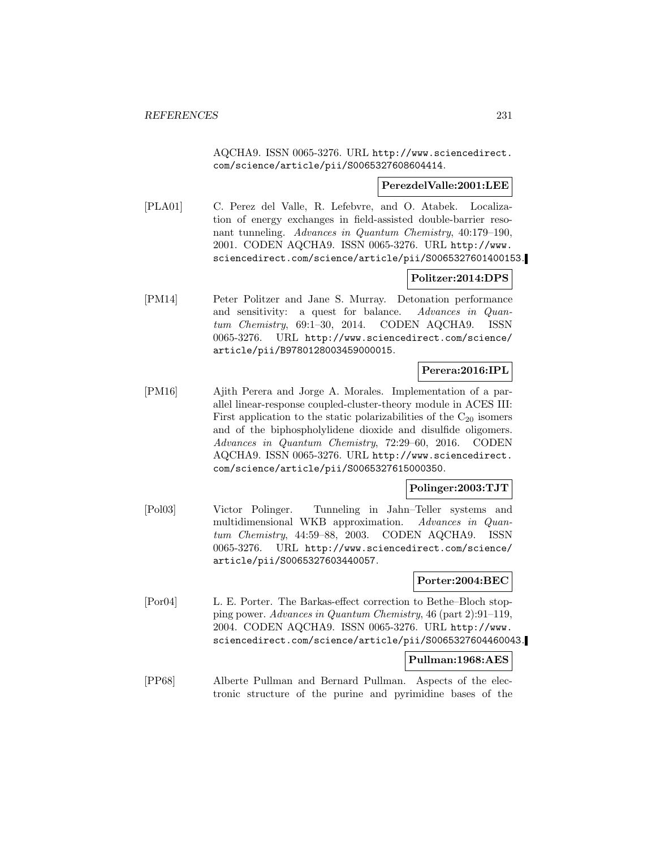AQCHA9. ISSN 0065-3276. URL http://www.sciencedirect. com/science/article/pii/S0065327608604414.

#### **PerezdelValle:2001:LEE**

[PLA01] C. Perez del Valle, R. Lefebvre, and O. Atabek. Localization of energy exchanges in field-assisted double-barrier resonant tunneling. Advances in Quantum Chemistry, 40:179–190, 2001. CODEN AQCHA9. ISSN 0065-3276. URL http://www. sciencedirect.com/science/article/pii/S0065327601400153.

# **Politzer:2014:DPS**

[PM14] Peter Politzer and Jane S. Murray. Detonation performance and sensitivity: a quest for balance. Advances in Quantum Chemistry, 69:1–30, 2014. CODEN AQCHA9. ISSN 0065-3276. URL http://www.sciencedirect.com/science/ article/pii/B9780128003459000015.

# **Perera:2016:IPL**

[PM16] Ajith Perera and Jorge A. Morales. Implementation of a parallel linear-response coupled-cluster-theory module in ACES III: First application to the static polarizabilities of the  $C_{20}$  isomers and of the biphospholylidene dioxide and disulfide oligomers. Advances in Quantum Chemistry, 72:29–60, 2016. CODEN AQCHA9. ISSN 0065-3276. URL http://www.sciencedirect. com/science/article/pii/S0065327615000350.

#### **Polinger:2003:TJT**

[Pol03] Victor Polinger. Tunneling in Jahn–Teller systems and multidimensional WKB approximation. Advances in Quantum Chemistry, 44:59–88, 2003. CODEN AQCHA9. ISSN 0065-3276. URL http://www.sciencedirect.com/science/ article/pii/S0065327603440057.

#### **Porter:2004:BEC**

[Por04] L. E. Porter. The Barkas-effect correction to Bethe–Bloch stopping power. Advances in Quantum Chemistry, 46 (part 2):91–119, 2004. CODEN AQCHA9. ISSN 0065-3276. URL http://www. sciencedirect.com/science/article/pii/S0065327604460043.

#### **Pullman:1968:AES**

[PP68] Alberte Pullman and Bernard Pullman. Aspects of the electronic structure of the purine and pyrimidine bases of the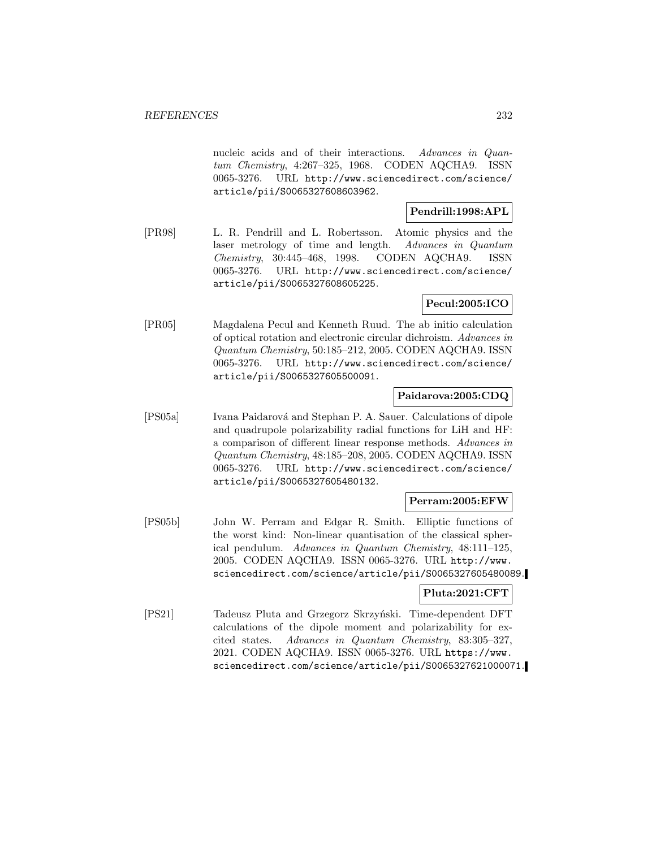nucleic acids and of their interactions. Advances in Quantum Chemistry, 4:267–325, 1968. CODEN AQCHA9. ISSN 0065-3276. URL http://www.sciencedirect.com/science/ article/pii/S0065327608603962.

# **Pendrill:1998:APL**

[PR98] L. R. Pendrill and L. Robertsson. Atomic physics and the laser metrology of time and length. Advances in Quantum Chemistry, 30:445–468, 1998. CODEN AQCHA9. ISSN 0065-3276. URL http://www.sciencedirect.com/science/ article/pii/S0065327608605225.

# **Pecul:2005:ICO**

[PR05] Magdalena Pecul and Kenneth Ruud. The ab initio calculation of optical rotation and electronic circular dichroism. Advances in Quantum Chemistry, 50:185–212, 2005. CODEN AQCHA9. ISSN 0065-3276. URL http://www.sciencedirect.com/science/ article/pii/S0065327605500091.

# **Paidarova:2005:CDQ**

[PS05a] Ivana Paidarová and Stephan P. A. Sauer. Calculations of dipole and quadrupole polarizability radial functions for LiH and HF: a comparison of different linear response methods. Advances in Quantum Chemistry, 48:185–208, 2005. CODEN AQCHA9. ISSN 0065-3276. URL http://www.sciencedirect.com/science/ article/pii/S0065327605480132.

# **Perram:2005:EFW**

[PS05b] John W. Perram and Edgar R. Smith. Elliptic functions of the worst kind: Non-linear quantisation of the classical spherical pendulum. Advances in Quantum Chemistry, 48:111–125, 2005. CODEN AQCHA9. ISSN 0065-3276. URL http://www. sciencedirect.com/science/article/pii/S0065327605480089.

## **Pluta:2021:CFT**

[PS21] Tadeusz Pluta and Grzegorz Skrzyński. Time-dependent DFT calculations of the dipole moment and polarizability for excited states. Advances in Quantum Chemistry, 83:305–327, 2021. CODEN AQCHA9. ISSN 0065-3276. URL https://www. sciencedirect.com/science/article/pii/S0065327621000071.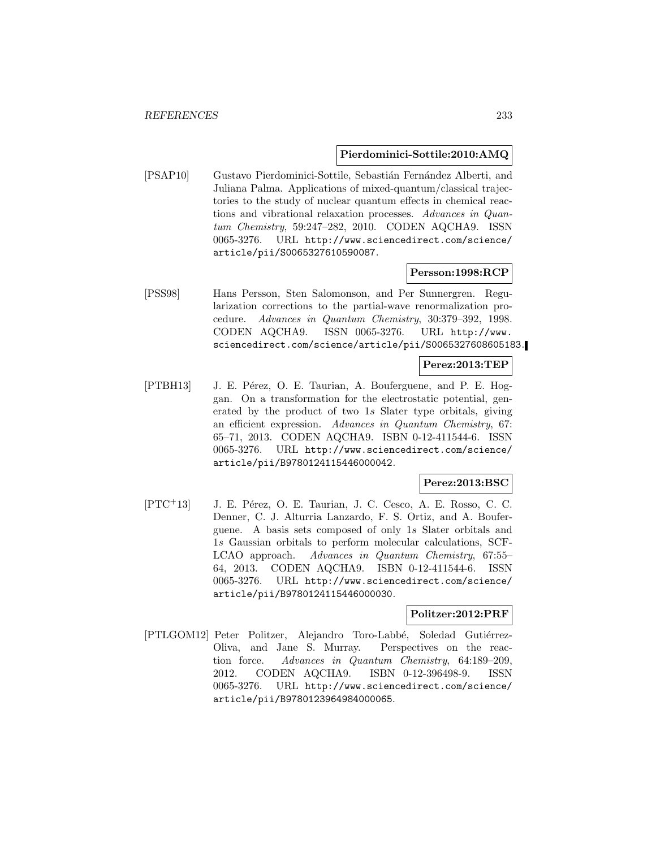#### **Pierdominici-Sottile:2010:AMQ**

[PSAP10] Gustavo Pierdominici-Sottile, Sebastián Fernández Alberti, and Juliana Palma. Applications of mixed-quantum/classical trajectories to the study of nuclear quantum effects in chemical reactions and vibrational relaxation processes. Advances in Quantum Chemistry, 59:247–282, 2010. CODEN AQCHA9. ISSN 0065-3276. URL http://www.sciencedirect.com/science/ article/pii/S0065327610590087.

#### **Persson:1998:RCP**

[PSS98] Hans Persson, Sten Salomonson, and Per Sunnergren. Regularization corrections to the partial-wave renormalization procedure. Advances in Quantum Chemistry, 30:379–392, 1998. CODEN AQCHA9. ISSN 0065-3276. URL http://www. sciencedirect.com/science/article/pii/S0065327608605183.

## **Perez:2013:TEP**

[PTBH13] J. E. Pérez, O. E. Taurian, A. Bouferguene, and P. E. Hoggan. On a transformation for the electrostatic potential, generated by the product of two 1s Slater type orbitals, giving an efficient expression. Advances in Quantum Chemistry, 67: 65–71, 2013. CODEN AQCHA9. ISBN 0-12-411544-6. ISSN 0065-3276. URL http://www.sciencedirect.com/science/ article/pii/B9780124115446000042.

#### **Perez:2013:BSC**

 $[PTC+13]$  J. E. Pérez, O. E. Taurian, J. C. Cesco, A. E. Rosso, C. C. Denner, C. J. Alturria Lanzardo, F. S. Ortiz, and A. Bouferguene. A basis sets composed of only 1s Slater orbitals and 1s Gaussian orbitals to perform molecular calculations, SCF-LCAO approach. Advances in Quantum Chemistry, 67:55– 64, 2013. CODEN AQCHA9. ISBN 0-12-411544-6. ISSN 0065-3276. URL http://www.sciencedirect.com/science/ article/pii/B9780124115446000030.

#### **Politzer:2012:PRF**

[PTLGOM12] Peter Politzer, Alejandro Toro-Labbé, Soledad Gutiérrez-Oliva, and Jane S. Murray. Perspectives on the reaction force. Advances in Quantum Chemistry, 64:189–209, 2012. CODEN AQCHA9. ISBN 0-12-396498-9. ISSN 0065-3276. URL http://www.sciencedirect.com/science/ article/pii/B9780123964984000065.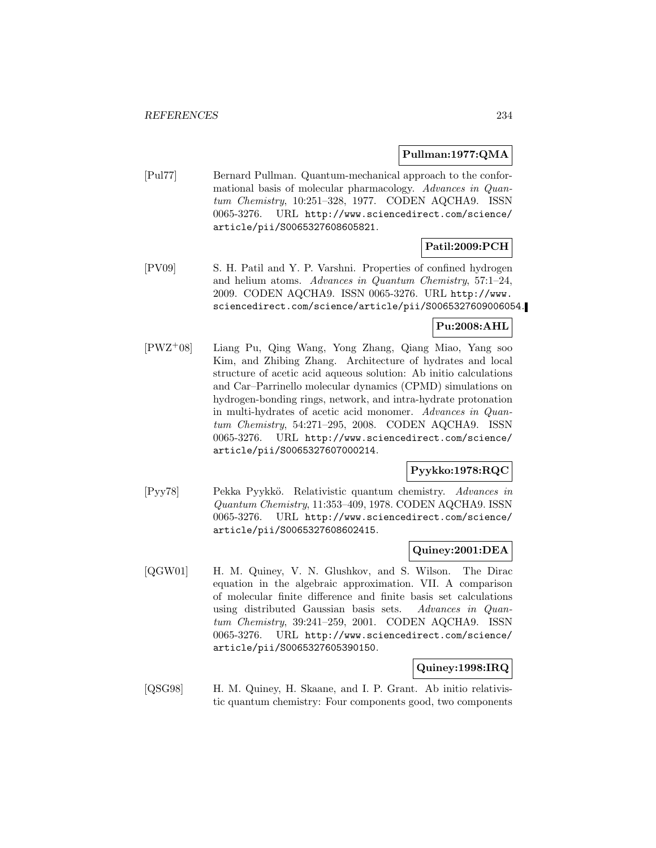## **Pullman:1977:QMA**

[Pul77] Bernard Pullman. Quantum-mechanical approach to the conformational basis of molecular pharmacology. Advances in Quantum Chemistry, 10:251–328, 1977. CODEN AQCHA9. ISSN 0065-3276. URL http://www.sciencedirect.com/science/ article/pii/S0065327608605821.

# **Patil:2009:PCH**

[PV09] S. H. Patil and Y. P. Varshni. Properties of confined hydrogen and helium atoms. Advances in Quantum Chemistry, 57:1–24, 2009. CODEN AQCHA9. ISSN 0065-3276. URL http://www. sciencedirect.com/science/article/pii/S0065327609006054.

# **Pu:2008:AHL**

[PWZ<sup>+</sup>08] Liang Pu, Qing Wang, Yong Zhang, Qiang Miao, Yang soo Kim, and Zhibing Zhang. Architecture of hydrates and local structure of acetic acid aqueous solution: Ab initio calculations and Car–Parrinello molecular dynamics (CPMD) simulations on hydrogen-bonding rings, network, and intra-hydrate protonation in multi-hydrates of acetic acid monomer. Advances in Quantum Chemistry, 54:271–295, 2008. CODEN AQCHA9. ISSN 0065-3276. URL http://www.sciencedirect.com/science/ article/pii/S0065327607000214.

# **Pyykko:1978:RQC**

[Pyy78] Pekka Pyykkö. Relativistic quantum chemistry. Advances in Quantum Chemistry, 11:353–409, 1978. CODEN AQCHA9. ISSN 0065-3276. URL http://www.sciencedirect.com/science/ article/pii/S0065327608602415.

## **Quiney:2001:DEA**

[QGW01] H. M. Quiney, V. N. Glushkov, and S. Wilson. The Dirac equation in the algebraic approximation. VII. A comparison of molecular finite difference and finite basis set calculations using distributed Gaussian basis sets. Advances in Quantum Chemistry, 39:241–259, 2001. CODEN AQCHA9. ISSN 0065-3276. URL http://www.sciencedirect.com/science/ article/pii/S0065327605390150.

## **Quiney:1998:IRQ**

[QSG98] H. M. Quiney, H. Skaane, and I. P. Grant. Ab initio relativistic quantum chemistry: Four components good, two components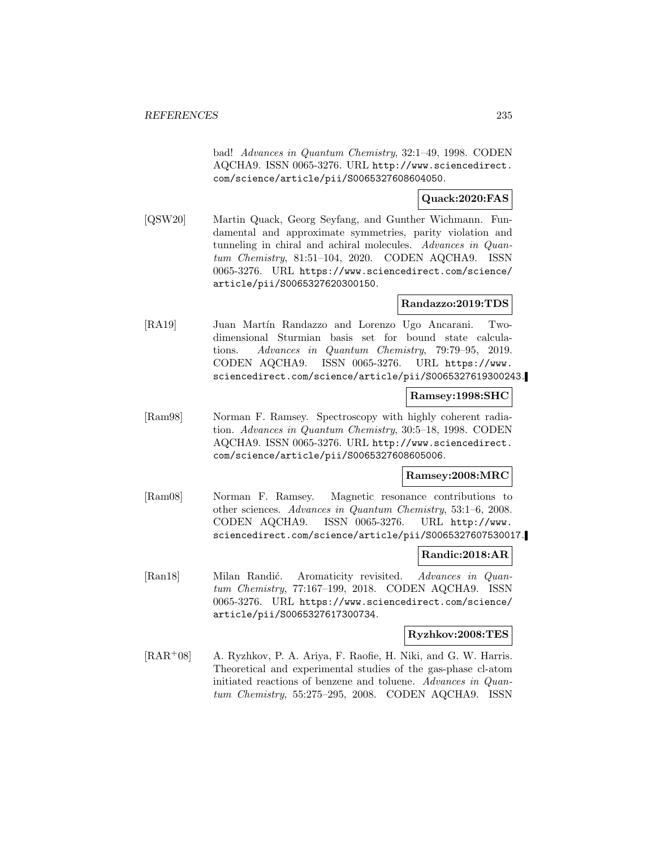bad! Advances in Quantum Chemistry, 32:1–49, 1998. CODEN AQCHA9. ISSN 0065-3276. URL http://www.sciencedirect. com/science/article/pii/S0065327608604050.

# **Quack:2020:FAS**

[QSW20] Martin Quack, Georg Seyfang, and Gunther Wichmann. Fundamental and approximate symmetries, parity violation and tunneling in chiral and achiral molecules. Advances in Quantum Chemistry, 81:51–104, 2020. CODEN AQCHA9. ISSN 0065-3276. URL https://www.sciencedirect.com/science/ article/pii/S0065327620300150.

## **Randazzo:2019:TDS**

[RA19] Juan Mart´ın Randazzo and Lorenzo Ugo Ancarani. Twodimensional Sturmian basis set for bound state calculations. Advances in Quantum Chemistry, 79:79–95, 2019. CODEN AQCHA9. ISSN 0065-3276. URL https://www. sciencedirect.com/science/article/pii/S0065327619300243.

#### **Ramsey:1998:SHC**

[Ram98] Norman F. Ramsey. Spectroscopy with highly coherent radiation. Advances in Quantum Chemistry, 30:5–18, 1998. CODEN AQCHA9. ISSN 0065-3276. URL http://www.sciencedirect. com/science/article/pii/S0065327608605006.

# **Ramsey:2008:MRC**

[Ram08] Norman F. Ramsey. Magnetic resonance contributions to other sciences. Advances in Quantum Chemistry, 53:1–6, 2008. CODEN AQCHA9. ISSN 0065-3276. URL http://www. sciencedirect.com/science/article/pii/S0065327607530017.

## **Randic:2018:AR**

[Ran18] Milan Randić. Aromaticity revisited. Advances in Quantum Chemistry, 77:167–199, 2018. CODEN AQCHA9. ISSN 0065-3276. URL https://www.sciencedirect.com/science/ article/pii/S0065327617300734.

## **Ryzhkov:2008:TES**

[RAR<sup>+</sup>08] A. Ryzhkov, P. A. Ariya, F. Raofie, H. Niki, and G. W. Harris. Theoretical and experimental studies of the gas-phase cl-atom initiated reactions of benzene and toluene. Advances in Quantum Chemistry, 55:275–295, 2008. CODEN AQCHA9. ISSN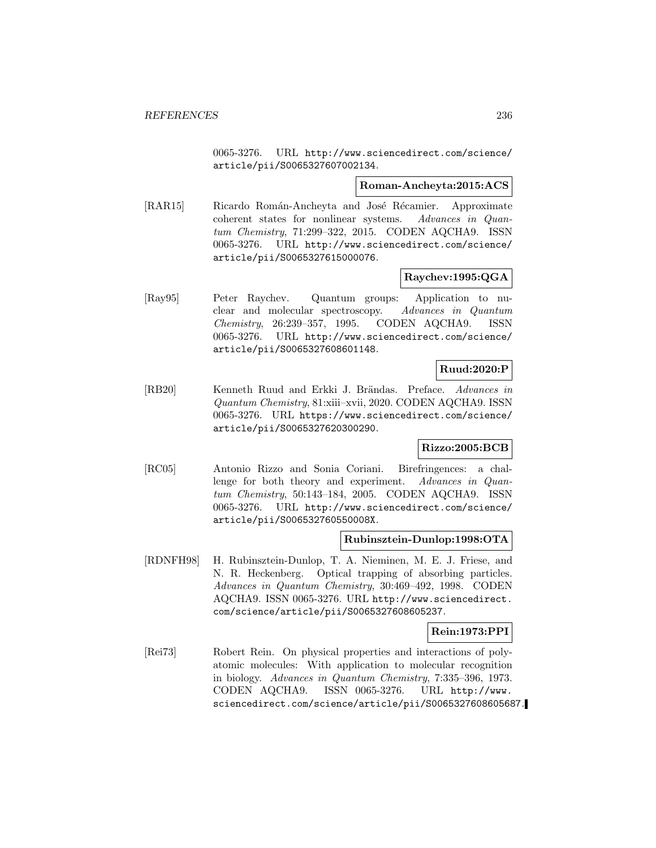0065-3276. URL http://www.sciencedirect.com/science/ article/pii/S0065327607002134.

#### **Roman-Ancheyta:2015:ACS**

[RAR15] Ricardo Román-Ancheyta and José Récamier. Approximate coherent states for nonlinear systems. Advances in Quantum Chemistry, 71:299–322, 2015. CODEN AQCHA9. ISSN 0065-3276. URL http://www.sciencedirect.com/science/ article/pii/S0065327615000076.

# **Raychev:1995:QGA**

[Ray95] Peter Raychev. Quantum groups: Application to nuclear and molecular spectroscopy. Advances in Quantum Chemistry, 26:239–357, 1995. CODEN AQCHA9. ISSN 0065-3276. URL http://www.sciencedirect.com/science/ article/pii/S0065327608601148.

## **Ruud:2020:P**

[RB20] Kenneth Ruud and Erkki J. Brändas. Preface. Advances in Quantum Chemistry, 81:xiii–xvii, 2020. CODEN AQCHA9. ISSN 0065-3276. URL https://www.sciencedirect.com/science/ article/pii/S0065327620300290.

## **Rizzo:2005:BCB**

[RC05] Antonio Rizzo and Sonia Coriani. Birefringences: a challenge for both theory and experiment. Advances in Quantum Chemistry, 50:143–184, 2005. CODEN AQCHA9. ISSN 0065-3276. URL http://www.sciencedirect.com/science/ article/pii/S006532760550008X.

## **Rubinsztein-Dunlop:1998:OTA**

[RDNFH98] H. Rubinsztein-Dunlop, T. A. Nieminen, M. E. J. Friese, and N. R. Heckenberg. Optical trapping of absorbing particles. Advances in Quantum Chemistry, 30:469–492, 1998. CODEN AQCHA9. ISSN 0065-3276. URL http://www.sciencedirect. com/science/article/pii/S0065327608605237.

## **Rein:1973:PPI**

[Rei73] Robert Rein. On physical properties and interactions of polyatomic molecules: With application to molecular recognition in biology. Advances in Quantum Chemistry, 7:335–396, 1973. CODEN AQCHA9. ISSN 0065-3276. URL http://www. sciencedirect.com/science/article/pii/S0065327608605687.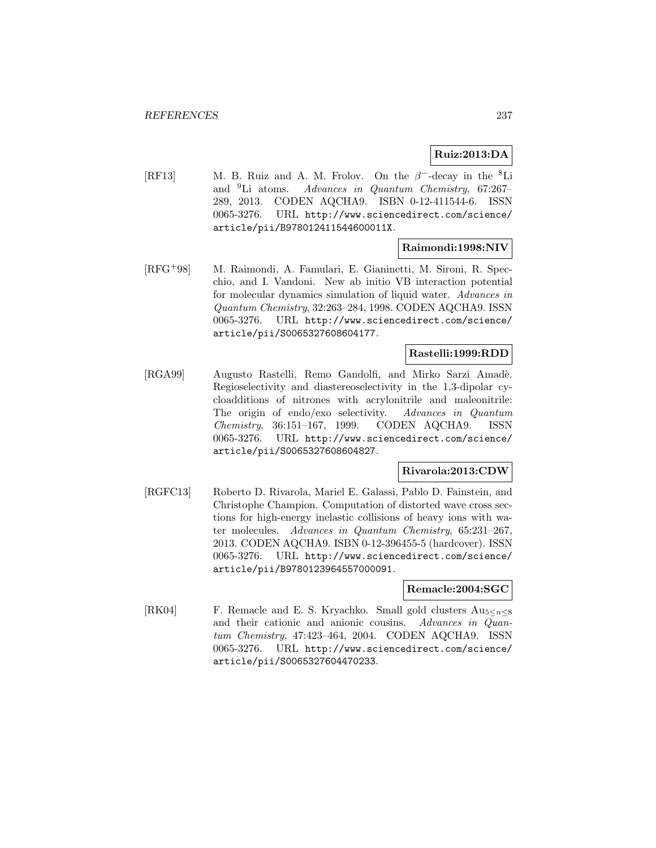# **Ruiz:2013:DA**

[RF13] M. B. Ruiz and A. M. Frolov. On the  $\beta^-$ -decay in the <sup>8</sup>Li and <sup>9</sup>Li atoms. Advances in Quantum Chemistry, 67:267– 289, 2013. CODEN AQCHA9. ISBN 0-12-411544-6. ISSN 0065-3276. URL http://www.sciencedirect.com/science/ article/pii/B978012411544600011X.

# **Raimondi:1998:NIV**

[RFG<sup>+</sup>98] M. Raimondi, A. Famulari, E. Gianinetti, M. Sironi, R. Specchio, and I. Vandoni. New ab initio VB interaction potential for molecular dynamics simulation of liquid water. Advances in Quantum Chemistry, 32:263–284, 1998. CODEN AQCHA9. ISSN 0065-3276. URL http://www.sciencedirect.com/science/ article/pii/S0065327608604177.

## **Rastelli:1999:RDD**

[RGA99] Augusto Rastelli, Remo Gandolfi, and Mirko Sarzi Amadè. Regioselectivity and diastereoselectivity in the 1,3-dipolar cycloadditions of nitrones with acrylonitrile and maleonitrile: The origin of endo/exo selectivity. Advances in Quantum Chemistry, 36:151–167, 1999. CODEN AQCHA9. ISSN 0065-3276. URL http://www.sciencedirect.com/science/ article/pii/S0065327608604827.

## **Rivarola:2013:CDW**

[RGFC13] Roberto D. Rivarola, Mariel E. Galassi, Pablo D. Fainstein, and Christophe Champion. Computation of distorted wave cross sections for high-energy inelastic collisions of heavy ions with water molecules. Advances in Quantum Chemistry, 65:231–267, 2013. CODEN AQCHA9. ISBN 0-12-396455-5 (hardcover). ISSN 0065-3276. URL http://www.sciencedirect.com/science/ article/pii/B9780123964557000091.

## **Remacle:2004:SGC**

[RK04] F. Remacle and E. S. Kryachko. Small gold clusters  $Au_{5\leq n\leq 8}$  and their cationic and anionic cousins. Advances in Quanand their cationic and anionic cousins. tum Chemistry, 47:423–464, 2004. CODEN AQCHA9. ISSN 0065-3276. URL http://www.sciencedirect.com/science/ article/pii/S0065327604470233.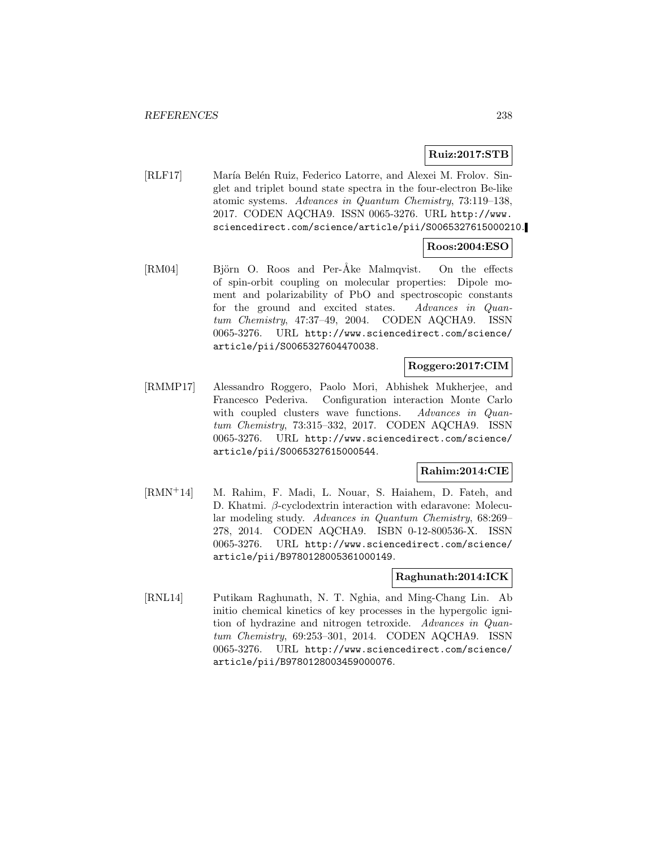## **Ruiz:2017:STB**

[RLF17] María Belén Ruiz, Federico Latorre, and Alexei M. Frolov. Singlet and triplet bound state spectra in the four-electron Be-like atomic systems. Advances in Quantum Chemistry, 73:119–138, 2017. CODEN AQCHA9. ISSN 0065-3276. URL http://www. sciencedirect.com/science/article/pii/S0065327615000210.

# **Roos:2004:ESO**

[RM04] Björn O. Roos and Per-Åke Malmqvist. On the effects of spin-orbit coupling on molecular properties: Dipole moment and polarizability of PbO and spectroscopic constants for the ground and excited states. Advances in Quantum Chemistry, 47:37–49, 2004. CODEN AQCHA9. ISSN 0065-3276. URL http://www.sciencedirect.com/science/ article/pii/S0065327604470038.

## **Roggero:2017:CIM**

[RMMP17] Alessandro Roggero, Paolo Mori, Abhishek Mukherjee, and Francesco Pederiva. Configuration interaction Monte Carlo with coupled clusters wave functions. Advances in Quantum Chemistry, 73:315–332, 2017. CODEN AQCHA9. ISSN 0065-3276. URL http://www.sciencedirect.com/science/ article/pii/S0065327615000544.

## **Rahim:2014:CIE**

[RMN<sup>+</sup>14] M. Rahim, F. Madi, L. Nouar, S. Haiahem, D. Fateh, and D. Khatmi. β-cyclodextrin interaction with edaravone: Molecular modeling study. Advances in Quantum Chemistry, 68:269– 278, 2014. CODEN AQCHA9. ISBN 0-12-800536-X. ISSN 0065-3276. URL http://www.sciencedirect.com/science/ article/pii/B9780128005361000149.

## **Raghunath:2014:ICK**

[RNL14] Putikam Raghunath, N. T. Nghia, and Ming-Chang Lin. Ab initio chemical kinetics of key processes in the hypergolic ignition of hydrazine and nitrogen tetroxide. Advances in Quantum Chemistry, 69:253–301, 2014. CODEN AQCHA9. ISSN 0065-3276. URL http://www.sciencedirect.com/science/ article/pii/B9780128003459000076.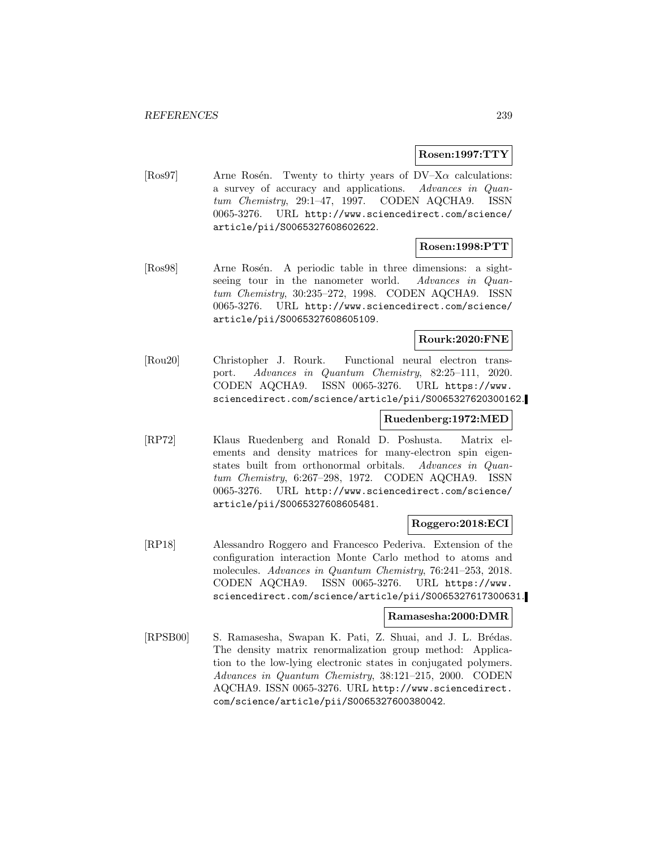## **Rosen:1997:TTY**

[Ros97] Arne Rosén. Twenty to thirty years of  $DV-X\alpha$  calculations: a survey of accuracy and applications. Advances in Quantum Chemistry, 29:1–47, 1997. CODEN AQCHA9. ISSN 0065-3276. URL http://www.sciencedirect.com/science/ article/pii/S0065327608602622.

# **Rosen:1998:PTT**

[Ros98] Arne Rosén. A periodic table in three dimensions: a sightseeing tour in the nanometer world. Advances in Quantum Chemistry, 30:235–272, 1998. CODEN AQCHA9. ISSN 0065-3276. URL http://www.sciencedirect.com/science/ article/pii/S0065327608605109.

# **Rourk:2020:FNE**

[Rou20] Christopher J. Rourk. Functional neural electron transport. Advances in Quantum Chemistry, 82:25–111, 2020. CODEN AQCHA9. ISSN 0065-3276. URL https://www. sciencedirect.com/science/article/pii/S0065327620300162.

# **Ruedenberg:1972:MED**

[RP72] Klaus Ruedenberg and Ronald D. Poshusta. Matrix elements and density matrices for many-electron spin eigenstates built from orthonormal orbitals. Advances in Quantum Chemistry, 6:267–298, 1972. CODEN AQCHA9. ISSN 0065-3276. URL http://www.sciencedirect.com/science/ article/pii/S0065327608605481.

## **Roggero:2018:ECI**

[RP18] Alessandro Roggero and Francesco Pederiva. Extension of the configuration interaction Monte Carlo method to atoms and molecules. Advances in Quantum Chemistry, 76:241–253, 2018. CODEN AQCHA9. ISSN 0065-3276. URL https://www. sciencedirect.com/science/article/pii/S0065327617300631.

## **Ramasesha:2000:DMR**

[RPSB00] S. Ramasesha, Swapan K. Pati, Z. Shuai, and J. L. Brédas. The density matrix renormalization group method: Application to the low-lying electronic states in conjugated polymers. Advances in Quantum Chemistry, 38:121–215, 2000. CODEN AQCHA9. ISSN 0065-3276. URL http://www.sciencedirect. com/science/article/pii/S0065327600380042.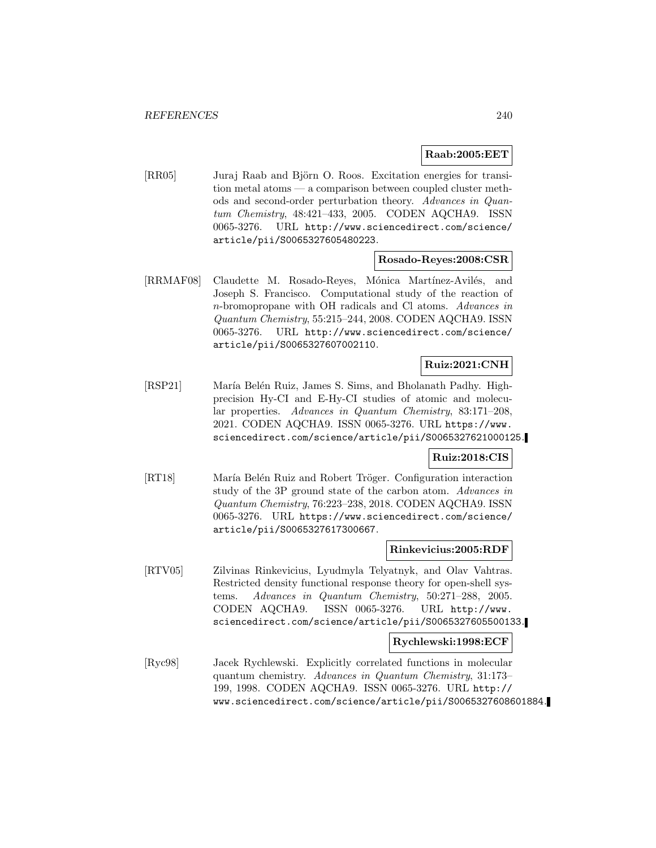#### **Raab:2005:EET**

[RR05] Juraj Raab and Björn O. Roos. Excitation energies for transition metal atoms — a comparison between coupled cluster methods and second-order perturbation theory. Advances in Quantum Chemistry, 48:421–433, 2005. CODEN AQCHA9. ISSN 0065-3276. URL http://www.sciencedirect.com/science/ article/pii/S0065327605480223.

#### **Rosado-Reyes:2008:CSR**

[RRMAF08] Claudette M. Rosado-Reyes, Mónica Martínez-Avilés, and Joseph S. Francisco. Computational study of the reaction of n-bromopropane with OH radicals and Cl atoms. Advances in Quantum Chemistry, 55:215–244, 2008. CODEN AQCHA9. ISSN 0065-3276. URL http://www.sciencedirect.com/science/ article/pii/S0065327607002110.

# **Ruiz:2021:CNH**

[RSP21] María Belén Ruiz, James S. Sims, and Bholanath Padhy. Highprecision Hy-CI and E-Hy-CI studies of atomic and molecular properties. Advances in Quantum Chemistry, 83:171–208, 2021. CODEN AQCHA9. ISSN 0065-3276. URL https://www. sciencedirect.com/science/article/pii/S0065327621000125.

#### **Ruiz:2018:CIS**

[RT18] María Belén Ruiz and Robert Tröger. Configuration interaction study of the 3P ground state of the carbon atom. Advances in Quantum Chemistry, 76:223–238, 2018. CODEN AQCHA9. ISSN 0065-3276. URL https://www.sciencedirect.com/science/ article/pii/S0065327617300667.

#### **Rinkevicius:2005:RDF**

[RTV05] Zilvinas Rinkevicius, Lyudmyla Telyatnyk, and Olav Vahtras. Restricted density functional response theory for open-shell systems. Advances in Quantum Chemistry, 50:271–288, 2005. CODEN AQCHA9. ISSN 0065-3276. URL http://www. sciencedirect.com/science/article/pii/S0065327605500133.

## **Rychlewski:1998:ECF**

[Ryc98] Jacek Rychlewski. Explicitly correlated functions in molecular quantum chemistry. Advances in Quantum Chemistry, 31:173– 199, 1998. CODEN AQCHA9. ISSN 0065-3276. URL http:// www.sciencedirect.com/science/article/pii/S0065327608601884.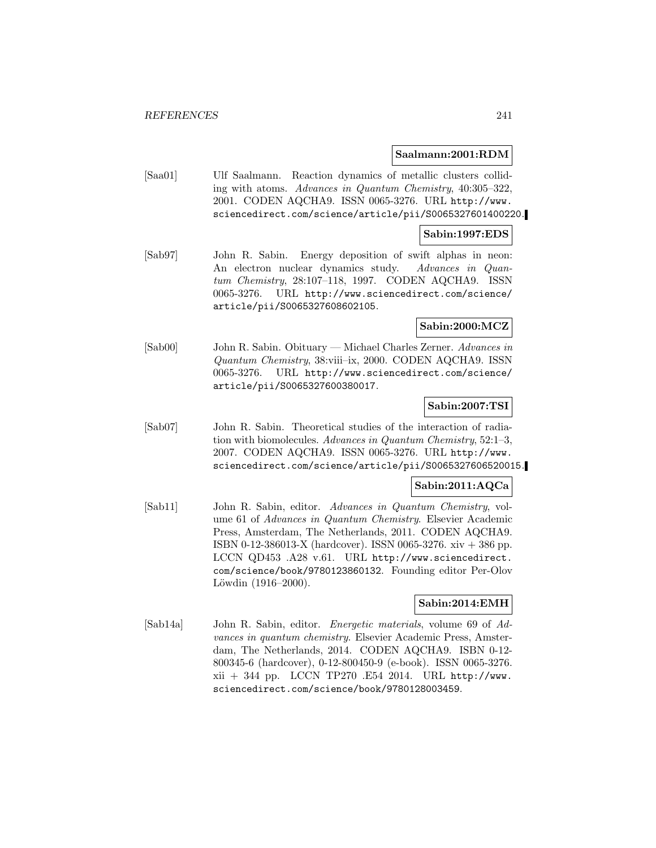#### **Saalmann:2001:RDM**

[Saa01] Ulf Saalmann. Reaction dynamics of metallic clusters colliding with atoms. Advances in Quantum Chemistry, 40:305–322, 2001. CODEN AQCHA9. ISSN 0065-3276. URL http://www. sciencedirect.com/science/article/pii/S0065327601400220.

#### **Sabin:1997:EDS**

[Sab97] John R. Sabin. Energy deposition of swift alphas in neon: An electron nuclear dynamics study. Advances in Quantum Chemistry, 28:107–118, 1997. CODEN AQCHA9. ISSN 0065-3276. URL http://www.sciencedirect.com/science/ article/pii/S0065327608602105.

# **Sabin:2000:MCZ**

[Sab00] John R. Sabin. Obituary — Michael Charles Zerner. Advances in Quantum Chemistry, 38:viii–ix, 2000. CODEN AQCHA9. ISSN 0065-3276. URL http://www.sciencedirect.com/science/ article/pii/S0065327600380017.

## **Sabin:2007:TSI**

[Sab07] John R. Sabin. Theoretical studies of the interaction of radiation with biomolecules. Advances in Quantum Chemistry, 52:1–3, 2007. CODEN AQCHA9. ISSN 0065-3276. URL http://www. sciencedirect.com/science/article/pii/S0065327606520015.

## **Sabin:2011:AQCa**

[Sab11] John R. Sabin, editor. Advances in Quantum Chemistry, volume 61 of Advances in Quantum Chemistry. Elsevier Academic Press, Amsterdam, The Netherlands, 2011. CODEN AQCHA9. ISBN 0-12-386013-X (hardcover). ISSN 0065-3276. xiv  $+$  386 pp. LCCN QD453 .A28 v.61. URL http://www.sciencedirect. com/science/book/9780123860132. Founding editor Per-Olov Löwdin  $(1916-2000)$ .

## **Sabin:2014:EMH**

[Sab14a] John R. Sabin, editor. Energetic materials, volume 69 of Advances in quantum chemistry. Elsevier Academic Press, Amsterdam, The Netherlands, 2014. CODEN AQCHA9. ISBN 0-12- 800345-6 (hardcover), 0-12-800450-9 (e-book). ISSN 0065-3276. xii + 344 pp. LCCN TP270 .E54 2014. URL http://www. sciencedirect.com/science/book/9780128003459.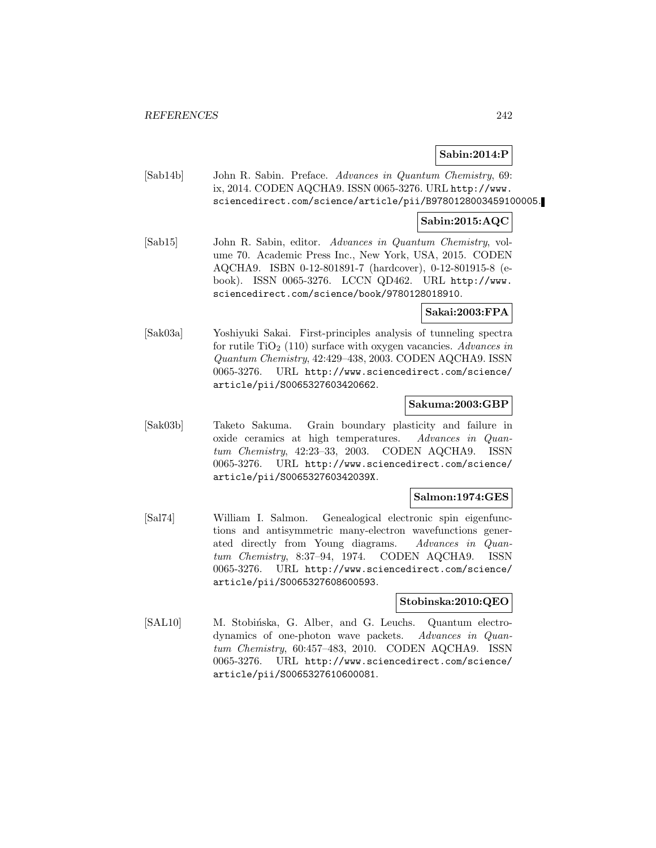# **Sabin:2014:P**

[Sab14b] John R. Sabin. Preface. Advances in Quantum Chemistry, 69: ix, 2014. CODEN AQCHA9. ISSN 0065-3276. URL http://www. sciencedirect.com/science/article/pii/B9780128003459100005.

# **Sabin:2015:AQC**

[Sab15] John R. Sabin, editor. Advances in Quantum Chemistry, volume 70. Academic Press Inc., New York, USA, 2015. CODEN AQCHA9. ISBN 0-12-801891-7 (hardcover), 0-12-801915-8 (ebook). ISSN 0065-3276. LCCN QD462. URL http://www. sciencedirect.com/science/book/9780128018910.

#### **Sakai:2003:FPA**

[Sak03a] Yoshiyuki Sakai. First-principles analysis of tunneling spectra for rutile  $TiO<sub>2</sub>$  (110) surface with oxygen vacancies. Advances in Quantum Chemistry, 42:429–438, 2003. CODEN AQCHA9. ISSN 0065-3276. URL http://www.sciencedirect.com/science/ article/pii/S0065327603420662.

## **Sakuma:2003:GBP**

[Sak03b] Taketo Sakuma. Grain boundary plasticity and failure in oxide ceramics at high temperatures. Advances in Quantum Chemistry, 42:23–33, 2003. CODEN AQCHA9. ISSN 0065-3276. URL http://www.sciencedirect.com/science/ article/pii/S006532760342039X.

## **Salmon:1974:GES**

[Sal74] William I. Salmon. Genealogical electronic spin eigenfunctions and antisymmetric many-electron wavefunctions generated directly from Young diagrams. Advances in Quantum Chemistry, 8:37–94, 1974. CODEN AQCHA9. ISSN 0065-3276. URL http://www.sciencedirect.com/science/ article/pii/S0065327608600593.

#### **Stobinska:2010:QEO**

[SAL10] M. Stobińska, G. Alber, and G. Leuchs. Quantum electrodynamics of one-photon wave packets. Advances in Quantum Chemistry, 60:457–483, 2010. CODEN AQCHA9. ISSN 0065-3276. URL http://www.sciencedirect.com/science/ article/pii/S0065327610600081.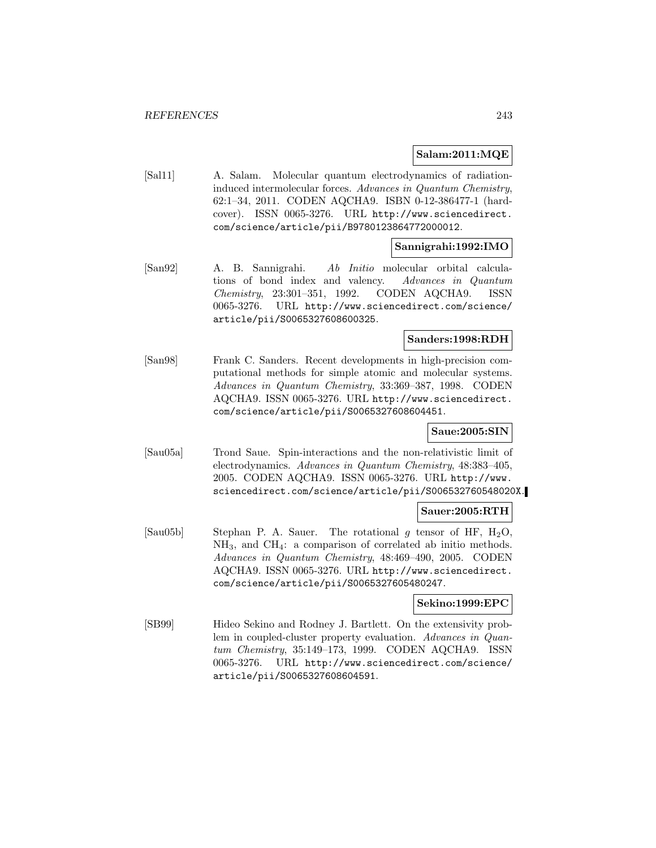#### **Salam:2011:MQE**

[Sal11] A. Salam. Molecular quantum electrodynamics of radiationinduced intermolecular forces. Advances in Quantum Chemistry, 62:1–34, 2011. CODEN AQCHA9. ISBN 0-12-386477-1 (hardcover). ISSN 0065-3276. URL http://www.sciencedirect. com/science/article/pii/B9780123864772000012.

## **Sannigrahi:1992:IMO**

[San92] A. B. Sannigrahi. Ab Initio molecular orbital calculations of bond index and valency. Advances in Quantum Chemistry, 23:301–351, 1992. CODEN AQCHA9. ISSN 0065-3276. URL http://www.sciencedirect.com/science/ article/pii/S0065327608600325.

#### **Sanders:1998:RDH**

[San98] Frank C. Sanders. Recent developments in high-precision computational methods for simple atomic and molecular systems. Advances in Quantum Chemistry, 33:369–387, 1998. CODEN AQCHA9. ISSN 0065-3276. URL http://www.sciencedirect. com/science/article/pii/S0065327608604451.

## **Saue:2005:SIN**

[Sau05a] Trond Saue. Spin-interactions and the non-relativistic limit of electrodynamics. Advances in Quantum Chemistry, 48:383–405, 2005. CODEN AQCHA9. ISSN 0065-3276. URL http://www. sciencedirect.com/science/article/pii/S006532760548020X.

#### **Sauer:2005:RTH**

[Sau05b] Stephan P. A. Sauer. The rotational g tensor of HF,  $H_2O$ ,  $NH_3$ , and  $CH_4$ : a comparison of correlated ab initio methods. Advances in Quantum Chemistry, 48:469–490, 2005. CODEN AQCHA9. ISSN 0065-3276. URL http://www.sciencedirect. com/science/article/pii/S0065327605480247.

## **Sekino:1999:EPC**

[SB99] Hideo Sekino and Rodney J. Bartlett. On the extensivity problem in coupled-cluster property evaluation. Advances in Quantum Chemistry, 35:149–173, 1999. CODEN AQCHA9. ISSN 0065-3276. URL http://www.sciencedirect.com/science/ article/pii/S0065327608604591.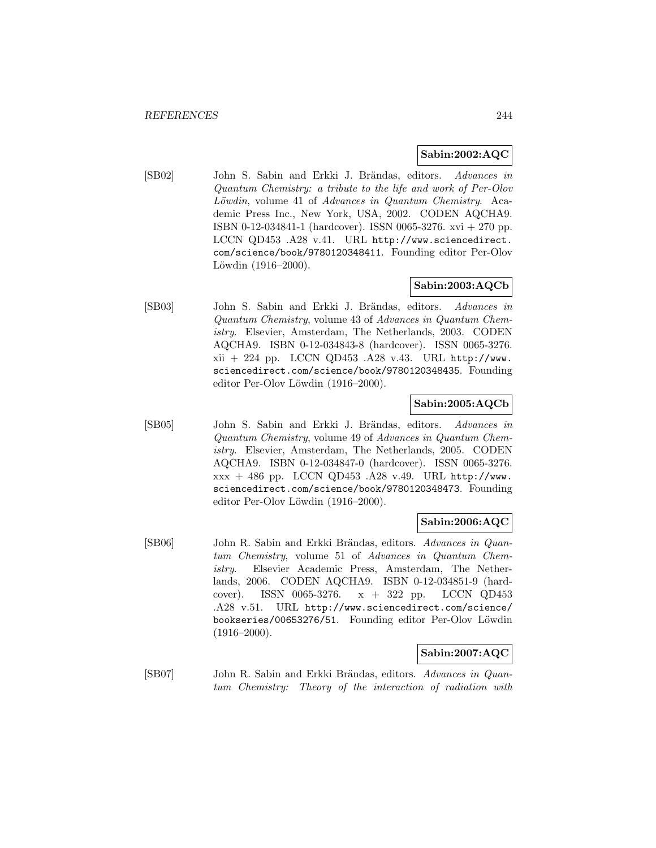# **Sabin:2002:AQC**

[SB02] John S. Sabin and Erkki J. Brändas, editors. Advances in Quantum Chemistry: a tribute to the life and work of Per-Olov Löwdin, volume 41 of Advances in Quantum Chemistry. Academic Press Inc., New York, USA, 2002. CODEN AQCHA9. ISBN 0-12-034841-1 (hardcover). ISSN 0065-3276. xvi + 270 pp. LCCN QD453 .A28 v.41. URL http://www.sciencedirect. com/science/book/9780120348411. Founding editor Per-Olov Löwdin  $(1916-2000)$ .

# **Sabin:2003:AQCb**

[SB03] John S. Sabin and Erkki J. Brändas, editors. Advances in Quantum Chemistry, volume 43 of Advances in Quantum Chemistry. Elsevier, Amsterdam, The Netherlands, 2003. CODEN AQCHA9. ISBN 0-12-034843-8 (hardcover). ISSN 0065-3276. xii + 224 pp. LCCN QD453 .A28 v.43. URL http://www. sciencedirect.com/science/book/9780120348435. Founding editor Per-Olov Löwdin (1916–2000).

# **Sabin:2005:AQCb**

[SB05] John S. Sabin and Erkki J. Brändas, editors. Advances in Quantum Chemistry, volume 49 of Advances in Quantum Chemistry. Elsevier, Amsterdam, The Netherlands, 2005. CODEN AQCHA9. ISBN 0-12-034847-0 (hardcover). ISSN 0065-3276. xxx + 486 pp. LCCN QD453 .A28 v.49. URL http://www. sciencedirect.com/science/book/9780120348473. Founding editor Per-Olov Löwdin (1916–2000).

# **Sabin:2006:AQC**

[SB06] John R. Sabin and Erkki Brändas, editors. Advances in Quantum Chemistry, volume 51 of Advances in Quantum Chemistry. Elsevier Academic Press, Amsterdam, The Netherlands, 2006. CODEN AQCHA9. ISBN 0-12-034851-9 (hardcover). ISSN 0065-3276. x + 322 pp. LCCN QD453 .A28 v.51. URL http://www.sciencedirect.com/science/ bookseries/00653276/51. Founding editor Per-Olov Löwdin  $(1916-2000)$ .

## **Sabin:2007:AQC**

[SB07] John R. Sabin and Erkki Brändas, editors. Advances in Quantum Chemistry: Theory of the interaction of radiation with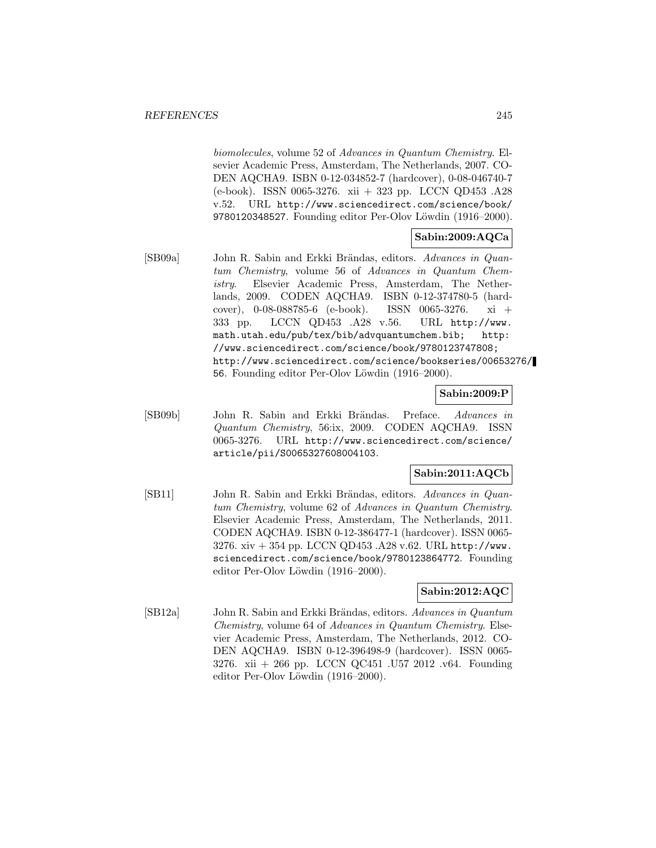biomolecules, volume 52 of Advances in Quantum Chemistry. Elsevier Academic Press, Amsterdam, The Netherlands, 2007. CO-DEN AQCHA9. ISBN 0-12-034852-7 (hardcover), 0-08-046740-7 (e-book). ISSN 0065-3276. xii + 323 pp. LCCN QD453 .A28 v.52. URL http://www.sciencedirect.com/science/book/ 9780120348527. Founding editor Per-Olov Löwdin (1916–2000).

# **Sabin:2009:AQCa**

[SB09a] John R. Sabin and Erkki Brändas, editors. Advances in Quantum Chemistry, volume 56 of Advances in Quantum Chemistry. Elsevier Academic Press, Amsterdam, The Netherlands, 2009. CODEN AQCHA9. ISBN 0-12-374780-5 (hardcover), 0-08-088785-6 (e-book). ISSN 0065-3276. xi + 333 pp. LCCN QD453 .A28 v.56. URL http://www. math.utah.edu/pub/tex/bib/advquantumchem.bib; http: //www.sciencedirect.com/science/book/9780123747808; http://www.sciencedirect.com/science/bookseries/00653276/ 56. Founding editor Per-Olov Löwdin (1916–2000).

#### **Sabin:2009:P**

[SB09b] John R. Sabin and Erkki Brändas. Preface. Advances in Quantum Chemistry, 56:ix, 2009. CODEN AQCHA9. ISSN 0065-3276. URL http://www.sciencedirect.com/science/ article/pii/S0065327608004103.

## **Sabin:2011:AQCb**

[SB11] John R. Sabin and Erkki Brändas, editors. Advances in Quantum Chemistry, volume 62 of Advances in Quantum Chemistry. Elsevier Academic Press, Amsterdam, The Netherlands, 2011. CODEN AQCHA9. ISBN 0-12-386477-1 (hardcover). ISSN 0065- 3276. xiv + 354 pp. LCCN QD453 .A28 v.62. URL http://www. sciencedirect.com/science/book/9780123864772. Founding editor Per-Olov Löwdin (1916–2000).

# **Sabin:2012:AQC**

[SB12a] John R. Sabin and Erkki Brändas, editors. Advances in Quantum Chemistry, volume 64 of Advances in Quantum Chemistry. Elsevier Academic Press, Amsterdam, The Netherlands, 2012. CO-DEN AQCHA9. ISBN 0-12-396498-9 (hardcover). ISSN 0065- 3276. xii + 266 pp. LCCN QC451 .U57 2012 .v64. Founding editor Per-Olov Löwdin (1916–2000).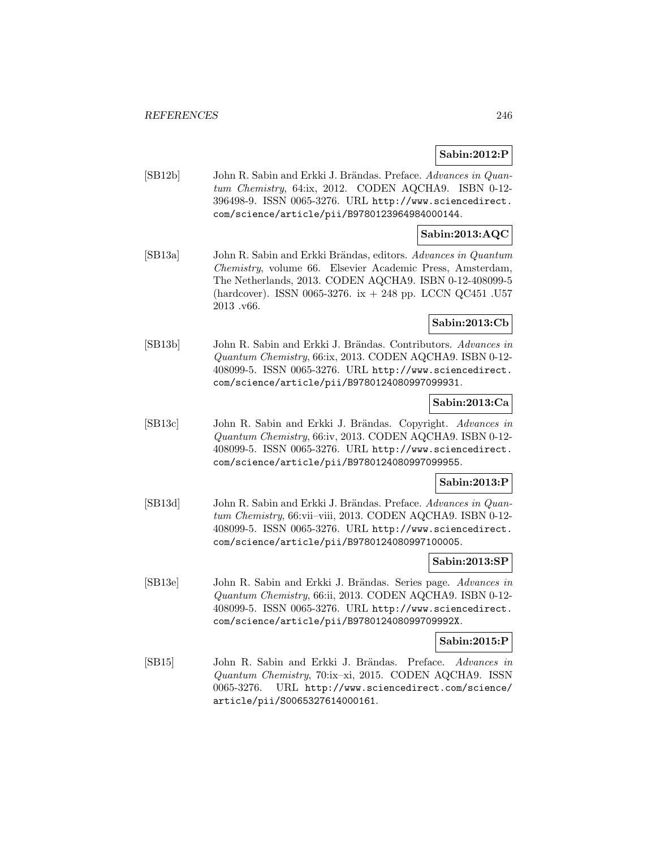# **Sabin:2012:P**

[SB12b] John R. Sabin and Erkki J. Brändas. Preface. Advances in Quantum Chemistry, 64:ix, 2012. CODEN AQCHA9. ISBN 0-12- 396498-9. ISSN 0065-3276. URL http://www.sciencedirect. com/science/article/pii/B9780123964984000144.

## **Sabin:2013:AQC**

[SB13a] John R. Sabin and Erkki Brändas, editors. Advances in Quantum Chemistry, volume 66. Elsevier Academic Press, Amsterdam, The Netherlands, 2013. CODEN AQCHA9. ISBN 0-12-408099-5 (hardcover). ISSN 0065-3276. ix + 248 pp. LCCN QC451 .U57 2013 .v66.

# **Sabin:2013:Cb**

[SB13b] John R. Sabin and Erkki J. Brändas. Contributors. Advances in Quantum Chemistry, 66:ix, 2013. CODEN AQCHA9. ISBN 0-12- 408099-5. ISSN 0065-3276. URL http://www.sciencedirect. com/science/article/pii/B9780124080997099931.

#### **Sabin:2013:Ca**

[SB13c] John R. Sabin and Erkki J. Brändas. Copyright. Advances in Quantum Chemistry, 66:iv, 2013. CODEN AQCHA9. ISBN 0-12- 408099-5. ISSN 0065-3276. URL http://www.sciencedirect. com/science/article/pii/B9780124080997099955.

#### **Sabin:2013:P**

[SB13d] John R. Sabin and Erkki J. Brändas. Preface. Advances in Quantum Chemistry, 66:vii–viii, 2013. CODEN AQCHA9. ISBN 0-12- 408099-5. ISSN 0065-3276. URL http://www.sciencedirect. com/science/article/pii/B9780124080997100005.

## **Sabin:2013:SP**

[SB13e] John R. Sabin and Erkki J. Brändas. Series page. Advances in Quantum Chemistry, 66:ii, 2013. CODEN AQCHA9. ISBN 0-12- 408099-5. ISSN 0065-3276. URL http://www.sciencedirect. com/science/article/pii/B978012408099709992X.

## **Sabin:2015:P**

[SB15] John R. Sabin and Erkki J. Brändas. Preface. Advances in Quantum Chemistry, 70:ix–xi, 2015. CODEN AQCHA9. ISSN 0065-3276. URL http://www.sciencedirect.com/science/ article/pii/S0065327614000161.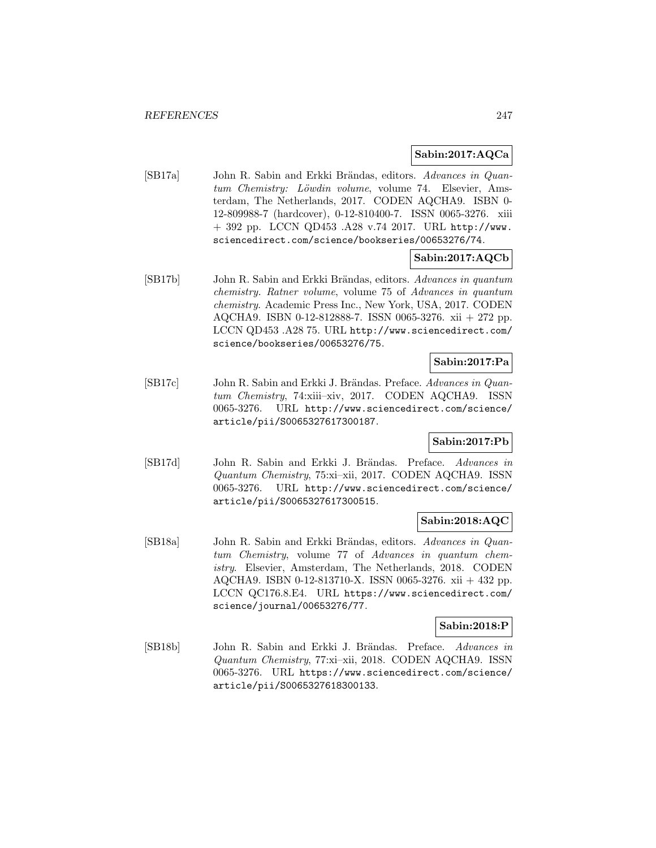# **Sabin:2017:AQCa**

[SB17a] John R. Sabin and Erkki Brändas, editors. Advances in Quantum Chemistry: Löwdin volume, volume 74. Elsevier, Amsterdam, The Netherlands, 2017. CODEN AQCHA9. ISBN 0- 12-809988-7 (hardcover), 0-12-810400-7. ISSN 0065-3276. xiii + 392 pp. LCCN QD453 .A28 v.74 2017. URL http://www. sciencedirect.com/science/bookseries/00653276/74.

# **Sabin:2017:AQCb**

[SB17b] John R. Sabin and Erkki Brändas, editors. Advances in quantum chemistry. Ratner volume, volume 75 of Advances in quantum chemistry. Academic Press Inc., New York, USA, 2017. CODEN AQCHA9. ISBN 0-12-812888-7. ISSN 0065-3276. xii + 272 pp. LCCN QD453 .A28 75. URL http://www.sciencedirect.com/ science/bookseries/00653276/75.

## **Sabin:2017:Pa**

[SB17c] John R. Sabin and Erkki J. Brändas. Preface. Advances in Quantum Chemistry, 74:xiii–xiv, 2017. CODEN AQCHA9. ISSN 0065-3276. URL http://www.sciencedirect.com/science/ article/pii/S0065327617300187.

# **Sabin:2017:Pb**

[SB17d] John R. Sabin and Erkki J. Brändas. Preface. Advances in Quantum Chemistry, 75:xi–xii, 2017. CODEN AQCHA9. ISSN 0065-3276. URL http://www.sciencedirect.com/science/ article/pii/S0065327617300515.

# **Sabin:2018:AQC**

[SB18a] John R. Sabin and Erkki Brändas, editors. Advances in Quantum Chemistry, volume 77 of Advances in quantum chemistry. Elsevier, Amsterdam, The Netherlands, 2018. CODEN AQCHA9. ISBN 0-12-813710-X. ISSN 0065-3276. xii + 432 pp. LCCN QC176.8.E4. URL https://www.sciencedirect.com/ science/journal/00653276/77.

#### **Sabin:2018:P**

[SB18b] John R. Sabin and Erkki J. Brändas. Preface. Advances in Quantum Chemistry, 77:xi–xii, 2018. CODEN AQCHA9. ISSN 0065-3276. URL https://www.sciencedirect.com/science/ article/pii/S0065327618300133.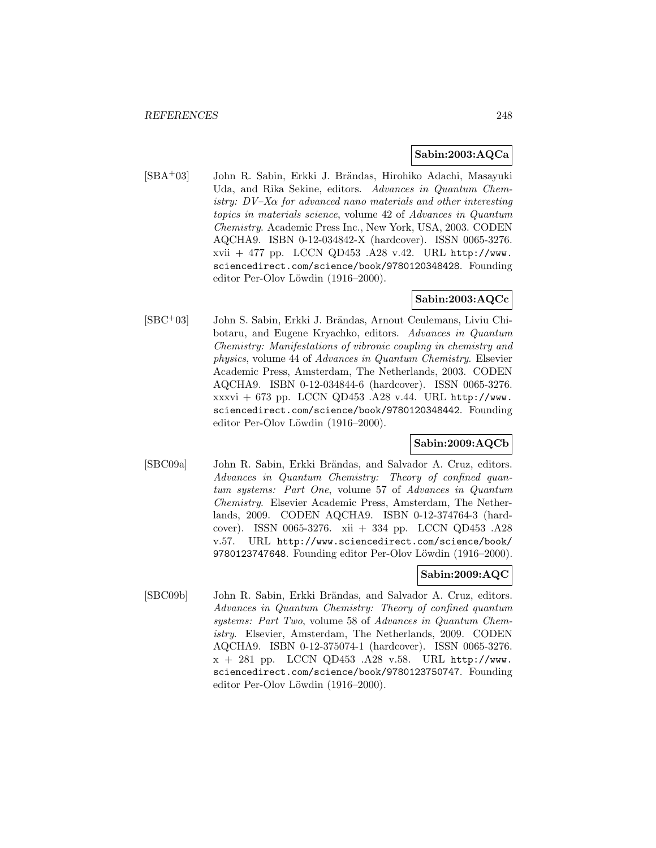#### **Sabin:2003:AQCa**

[SBA+03] John R. Sabin, Erkki J. Brändas, Hirohiko Adachi, Masayuki Uda, and Rika Sekine, editors. Advances in Quantum Chemistry:  $DV-X\alpha$  for advanced nano materials and other interesting topics in materials science, volume 42 of Advances in Quantum Chemistry. Academic Press Inc., New York, USA, 2003. CODEN AQCHA9. ISBN 0-12-034842-X (hardcover). ISSN 0065-3276.  $xvii + 477$  pp. LCCN QD453 .A28 v.42. URL http://www. sciencedirect.com/science/book/9780120348428. Founding editor Per-Olov Löwdin  $(1916-2000)$ .

# **Sabin:2003:AQCc**

 $[SBC<sup>+</sup>03]$  John S. Sabin, Erkki J. Brändas, Arnout Ceulemans, Liviu Chibotaru, and Eugene Kryachko, editors. Advances in Quantum Chemistry: Manifestations of vibronic coupling in chemistry and physics, volume 44 of Advances in Quantum Chemistry. Elsevier Academic Press, Amsterdam, The Netherlands, 2003. CODEN AQCHA9. ISBN 0-12-034844-6 (hardcover). ISSN 0065-3276. xxxvi + 673 pp. LCCN QD453 .A28 v.44. URL http://www. sciencedirect.com/science/book/9780120348442. Founding editor Per-Olov Löwdin (1916–2000).

# **Sabin:2009:AQCb**

[SBC09a] John R. Sabin, Erkki Brändas, and Salvador A. Cruz, editors. Advances in Quantum Chemistry: Theory of confined quantum systems: Part One, volume 57 of Advances in Quantum Chemistry. Elsevier Academic Press, Amsterdam, The Netherlands, 2009. CODEN AQCHA9. ISBN 0-12-374764-3 (hardcover). ISSN 0065-3276. xii + 334 pp. LCCN QD453 .A28 v.57. URL http://www.sciencedirect.com/science/book/ 9780123747648. Founding editor Per-Olov Löwdin (1916–2000).

# **Sabin:2009:AQC**

[SBC09b] John R. Sabin, Erkki Brändas, and Salvador A. Cruz, editors. Advances in Quantum Chemistry: Theory of confined quantum systems: Part Two, volume 58 of Advances in Quantum Chemistry. Elsevier, Amsterdam, The Netherlands, 2009. CODEN AQCHA9. ISBN 0-12-375074-1 (hardcover). ISSN 0065-3276.  $x + 281$  pp. LCCN QD453 .A28 v.58. URL http://www. sciencedirect.com/science/book/9780123750747. Founding editor Per-Olov Löwdin (1916–2000).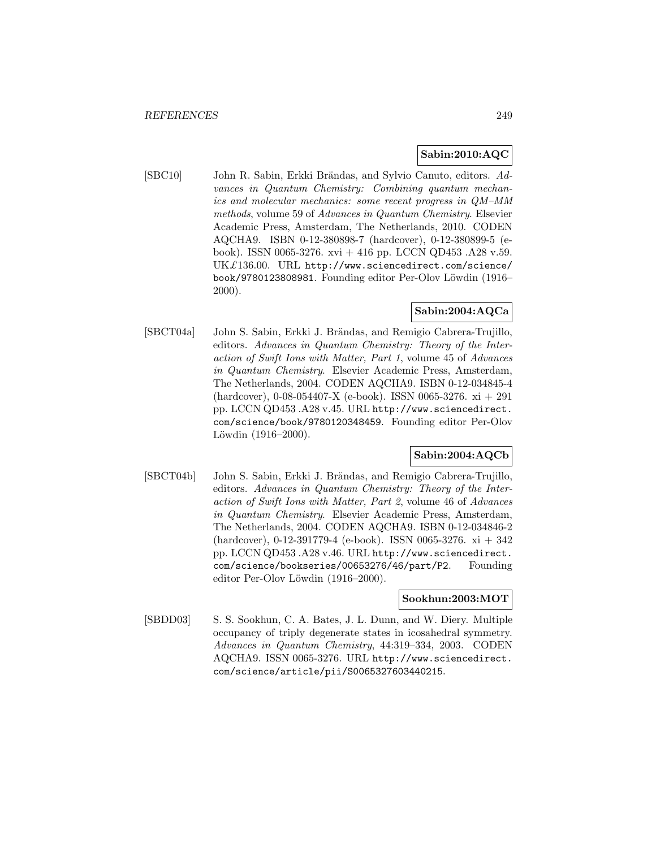# **Sabin:2010:AQC**

[SBC10] John R. Sabin, Erkki Brändas, and Sylvio Canuto, editors. Advances in Quantum Chemistry: Combining quantum mechanics and molecular mechanics: some recent progress in QM–MM methods, volume 59 of Advances in Quantum Chemistry. Elsevier Academic Press, Amsterdam, The Netherlands, 2010. CODEN AQCHA9. ISBN 0-12-380898-7 (hardcover), 0-12-380899-5 (ebook). ISSN 0065-3276. xvi + 416 pp. LCCN QD453 .A28 v.59. UK£136.00. URL http://www.sciencedirect.com/science/ book/9780123808981. Founding editor Per-Olov Löwdin (1916– 2000).

# **Sabin:2004:AQCa**

[SBCT04a] John S. Sabin, Erkki J. Brändas, and Remigio Cabrera-Trujillo, editors. Advances in Quantum Chemistry: Theory of the Interaction of Swift Ions with Matter, Part 1, volume 45 of Advances in Quantum Chemistry. Elsevier Academic Press, Amsterdam, The Netherlands, 2004. CODEN AQCHA9. ISBN 0-12-034845-4 (hardcover), 0-08-054407-X (e-book). ISSN 0065-3276. xi + 291 pp. LCCN QD453 .A28 v.45. URL http://www.sciencedirect. com/science/book/9780120348459. Founding editor Per-Olov Löwdin  $(1916-2000)$ .

# **Sabin:2004:AQCb**

[SBCT04b] John S. Sabin, Erkki J. Brändas, and Remigio Cabrera-Trujillo, editors. Advances in Quantum Chemistry: Theory of the Interaction of Swift Ions with Matter, Part 2, volume 46 of Advances in Quantum Chemistry. Elsevier Academic Press, Amsterdam, The Netherlands, 2004. CODEN AQCHA9. ISBN 0-12-034846-2 (hardcover), 0-12-391779-4 (e-book). ISSN 0065-3276. xi + 342 pp. LCCN QD453 .A28 v.46. URL http://www.sciencedirect. com/science/bookseries/00653276/46/part/P2. Founding editor Per-Olov Löwdin (1916–2000).

## **Sookhun:2003:MOT**

[SBDD03] S. S. Sookhun, C. A. Bates, J. L. Dunn, and W. Diery. Multiple occupancy of triply degenerate states in icosahedral symmetry. Advances in Quantum Chemistry, 44:319–334, 2003. CODEN AQCHA9. ISSN 0065-3276. URL http://www.sciencedirect. com/science/article/pii/S0065327603440215.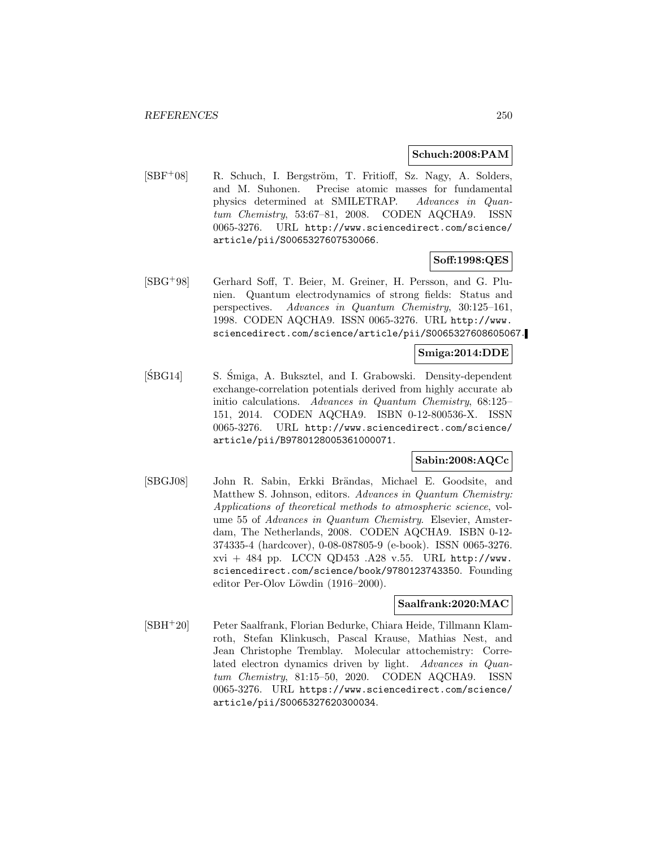#### **Schuch:2008:PAM**

[SBF<sup>+</sup>08] R. Schuch, I. Bergström, T. Fritioff, Sz. Nagy, A. Solders, and M. Suhonen. Precise atomic masses for fundamental physics determined at SMILETRAP. Advances in Quantum Chemistry, 53:67–81, 2008. CODEN AQCHA9. ISSN 0065-3276. URL http://www.sciencedirect.com/science/ article/pii/S0065327607530066.

## **Soff:1998:QES**

[SBG<sup>+</sup>98] Gerhard Soff, T. Beier, M. Greiner, H. Persson, and G. Plunien. Quantum electrodynamics of strong fields: Status and perspectives. Advances in Quantum Chemistry, 30:125–161, 1998. CODEN AQCHA9. ISSN 0065-3276. URL http://www. sciencedirect.com/science/article/pii/S0065327608605067.

# **Smiga:2014:DDE**

[ŚBG14] S. Śmiga, A. Buksztel, and I. Grabowski. Density-dependent exchange-correlation potentials derived from highly accurate ab initio calculations. Advances in Quantum Chemistry, 68:125– 151, 2014. CODEN AQCHA9. ISBN 0-12-800536-X. ISSN 0065-3276. URL http://www.sciencedirect.com/science/ article/pii/B9780128005361000071.

## **Sabin:2008:AQCc**

[SBGJ08] John R. Sabin, Erkki Brändas, Michael E. Goodsite, and Matthew S. Johnson, editors. Advances in Quantum Chemistry: Applications of theoretical methods to atmospheric science, volume 55 of Advances in Quantum Chemistry. Elsevier, Amsterdam, The Netherlands, 2008. CODEN AQCHA9. ISBN 0-12- 374335-4 (hardcover), 0-08-087805-9 (e-book). ISSN 0065-3276. xvi + 484 pp. LCCN QD453 .A28 v.55. URL http://www. sciencedirect.com/science/book/9780123743350. Founding editor Per-Olov Löwdin (1916–2000).

#### **Saalfrank:2020:MAC**

[SBH<sup>+</sup>20] Peter Saalfrank, Florian Bedurke, Chiara Heide, Tillmann Klamroth, Stefan Klinkusch, Pascal Krause, Mathias Nest, and Jean Christophe Tremblay. Molecular attochemistry: Correlated electron dynamics driven by light. Advances in Quantum Chemistry, 81:15–50, 2020. CODEN AQCHA9. ISSN 0065-3276. URL https://www.sciencedirect.com/science/ article/pii/S0065327620300034.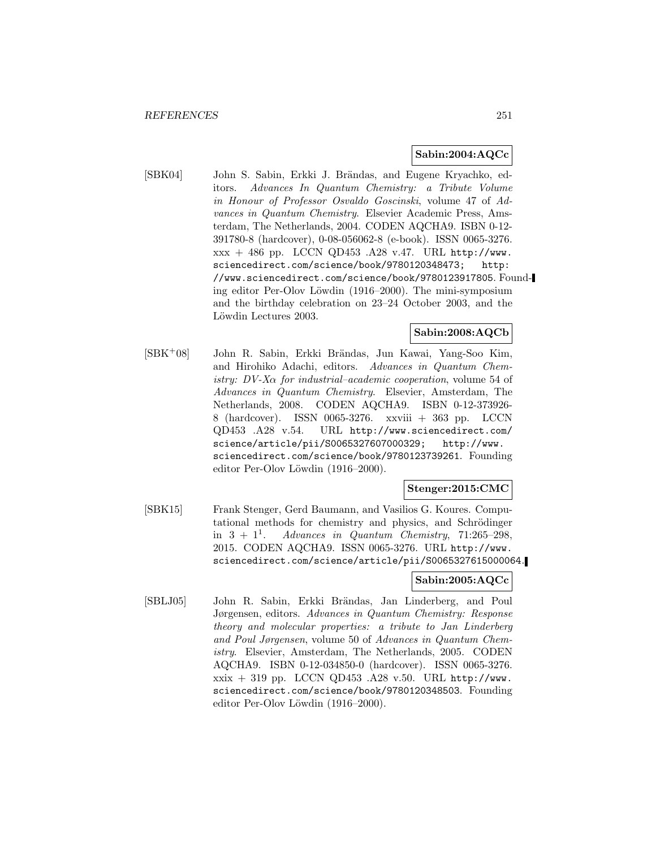#### **Sabin:2004:AQCc**

[SBK04] John S. Sabin, Erkki J. Brändas, and Eugene Kryachko, editors. Advances In Quantum Chemistry: a Tribute Volume in Honour of Professor Osvaldo Goscinski, volume 47 of Advances in Quantum Chemistry. Elsevier Academic Press, Amsterdam, The Netherlands, 2004. CODEN AQCHA9. ISBN 0-12- 391780-8 (hardcover), 0-08-056062-8 (e-book). ISSN 0065-3276. xxx + 486 pp. LCCN QD453 .A28 v.47. URL http://www. sciencedirect.com/science/book/9780120348473; http: //www.sciencedirect.com/science/book/9780123917805. Founding editor Per-Olov Löwdin (1916–2000). The mini-symposium and the birthday celebration on 23–24 October 2003, and the Löwdin Lectures 2003.

## **Sabin:2008:AQCb**

[SBK+08] John R. Sabin, Erkki Brändas, Jun Kawai, Yang-Soo Kim, and Hirohiko Adachi, editors. Advances in Quantum Chemistry:  $DV-X\alpha$  for industrial–academic cooperation, volume 54 of Advances in Quantum Chemistry. Elsevier, Amsterdam, The Netherlands, 2008. CODEN AQCHA9. ISBN 0-12-373926- 8 (hardcover). ISSN 0065-3276. xxviii + 363 pp. LCCN QD453 .A28 v.54. URL http://www.sciencedirect.com/ science/article/pii/S0065327607000329; http://www. sciencedirect.com/science/book/9780123739261. Founding editor Per-Olov Löwdin  $(1916-2000)$ .

#### **Stenger:2015:CMC**

[SBK15] Frank Stenger, Gerd Baumann, and Vasilios G. Koures. Computational methods for chemistry and physics, and Schrödinger in  $3 + 1<sup>1</sup>$ . Advances in Quantum Chemistry, 71:265-298, 2015. CODEN AQCHA9. ISSN 0065-3276. URL http://www. sciencedirect.com/science/article/pii/S0065327615000064.

# **Sabin:2005:AQCc**

[SBLJ05] John R. Sabin, Erkki Brändas, Jan Linderberg, and Poul Jørgensen, editors. Advances in Quantum Chemistry: Response theory and molecular properties: a tribute to Jan Linderberg and Poul Jørgensen, volume 50 of Advances in Quantum Chemistry. Elsevier, Amsterdam, The Netherlands, 2005. CODEN AQCHA9. ISBN 0-12-034850-0 (hardcover). ISSN 0065-3276.  $x\dot{x} + 319$  pp. LCCN QD453 .A28 v.50. URL http://www. sciencedirect.com/science/book/9780120348503. Founding editor Per-Olov Löwdin (1916–2000).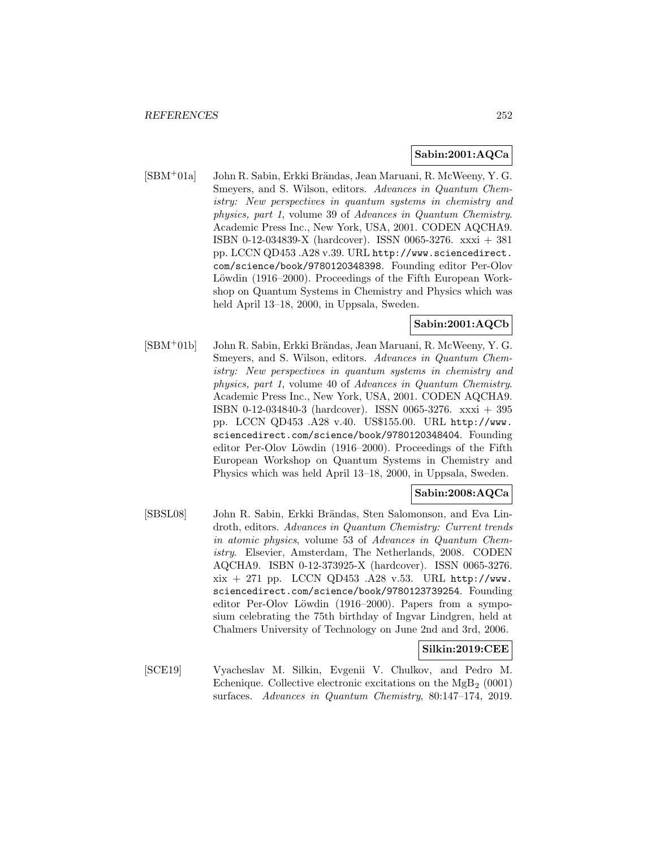# **Sabin:2001:AQCa**

[SBM<sup>+</sup>01a] John R. Sabin, Erkki Brändas, Jean Maruani, R. McWeeny, Y. G. Smeyers, and S. Wilson, editors. Advances in Quantum Chemistry: New perspectives in quantum systems in chemistry and physics, part 1, volume 39 of Advances in Quantum Chemistry. Academic Press Inc., New York, USA, 2001. CODEN AQCHA9. ISBN 0-12-034839-X (hardcover). ISSN 0065-3276. xxxi + 381 pp. LCCN QD453 .A28 v.39. URL http://www.sciencedirect. com/science/book/9780120348398. Founding editor Per-Olov Löwdin (1916–2000). Proceedings of the Fifth European Workshop on Quantum Systems in Chemistry and Physics which was held April 13–18, 2000, in Uppsala, Sweden.

# **Sabin:2001:AQCb**

[SBM+01b] John R. Sabin, Erkki Brändas, Jean Maruani, R. McWeeny, Y. G. Smeyers, and S. Wilson, editors. Advances in Quantum Chemistry: New perspectives in quantum systems in chemistry and physics, part 1, volume 40 of Advances in Quantum Chemistry. Academic Press Inc., New York, USA, 2001. CODEN AQCHA9. ISBN 0-12-034840-3 (hardcover). ISSN 0065-3276. xxxi + 395 pp. LCCN QD453 .A28 v.40. US\$155.00. URL http://www. sciencedirect.com/science/book/9780120348404. Founding editor Per-Olov Löwdin (1916–2000). Proceedings of the Fifth European Workshop on Quantum Systems in Chemistry and Physics which was held April 13–18, 2000, in Uppsala, Sweden.

# **Sabin:2008:AQCa**

[SBSL08] John R. Sabin, Erkki Brändas, Sten Salomonson, and Eva Lindroth, editors. Advances in Quantum Chemistry: Current trends in atomic physics, volume 53 of Advances in Quantum Chemistry. Elsevier, Amsterdam, The Netherlands, 2008. CODEN AQCHA9. ISBN 0-12-373925-X (hardcover). ISSN 0065-3276.  $xix + 271$  pp. LCCN QD453 .A28 v.53. URL http://www. sciencedirect.com/science/book/9780123739254. Founding editor Per-Olov Löwdin (1916–2000). Papers from a symposium celebrating the 75th birthday of Ingvar Lindgren, held at Chalmers University of Technology on June 2nd and 3rd, 2006.

## **Silkin:2019:CEE**

[SCE19] Vyacheslav M. Silkin, Evgenii V. Chulkov, and Pedro M. Echenique. Collective electronic excitations on the  $MgB_2$  (0001) surfaces. Advances in Quantum Chemistry, 80:147–174, 2019.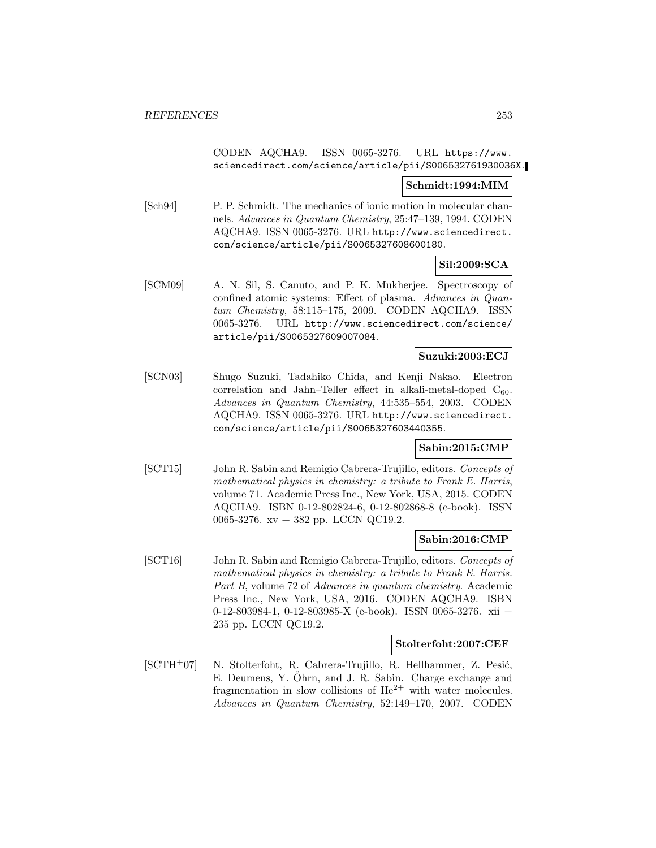## CODEN AQCHA9. ISSN 0065-3276. URL https://www. sciencedirect.com/science/article/pii/S006532761930036X.

## **Schmidt:1994:MIM**

[Sch94] P. P. Schmidt. The mechanics of ionic motion in molecular channels. Advances in Quantum Chemistry, 25:47–139, 1994. CODEN AQCHA9. ISSN 0065-3276. URL http://www.sciencedirect. com/science/article/pii/S0065327608600180.

## **Sil:2009:SCA**

[SCM09] A. N. Sil, S. Canuto, and P. K. Mukherjee. Spectroscopy of confined atomic systems: Effect of plasma. Advances in Quantum Chemistry, 58:115–175, 2009. CODEN AQCHA9. ISSN 0065-3276. URL http://www.sciencedirect.com/science/ article/pii/S0065327609007084.

## **Suzuki:2003:ECJ**

[SCN03] Shugo Suzuki, Tadahiko Chida, and Kenji Nakao. Electron correlation and Jahn–Teller effect in alkali-metal-doped  $C_{60}$ . Advances in Quantum Chemistry, 44:535–554, 2003. CODEN AQCHA9. ISSN 0065-3276. URL http://www.sciencedirect. com/science/article/pii/S0065327603440355.

### **Sabin:2015:CMP**

[SCT15] John R. Sabin and Remigio Cabrera-Trujillo, editors. Concepts of mathematical physics in chemistry: a tribute to Frank E. Harris, volume 71. Academic Press Inc., New York, USA, 2015. CODEN AQCHA9. ISBN 0-12-802824-6, 0-12-802868-8 (e-book). ISSN 0065-3276. xv + 382 pp. LCCN QC19.2.

#### **Sabin:2016:CMP**

[SCT16] John R. Sabin and Remigio Cabrera-Trujillo, editors. Concepts of mathematical physics in chemistry: a tribute to Frank E. Harris. Part B, volume 72 of Advances in quantum chemistry. Academic Press Inc., New York, USA, 2016. CODEN AQCHA9. ISBN 0-12-803984-1, 0-12-803985-X (e-book). ISSN 0065-3276. xii + 235 pp. LCCN QC19.2.

#### **Stolterfoht:2007:CEF**

[SCTH<sup>+</sup>07] N. Stolterfoht, R. Cabrera-Trujillo, R. Hellhammer, Z. Pesić, E. Deumens, Y. Öhrn, and J. R. Sabin. Charge exchange and fragmentation in slow collisions of  $He^{2+}$  with water molecules. Advances in Quantum Chemistry, 52:149–170, 2007. CODEN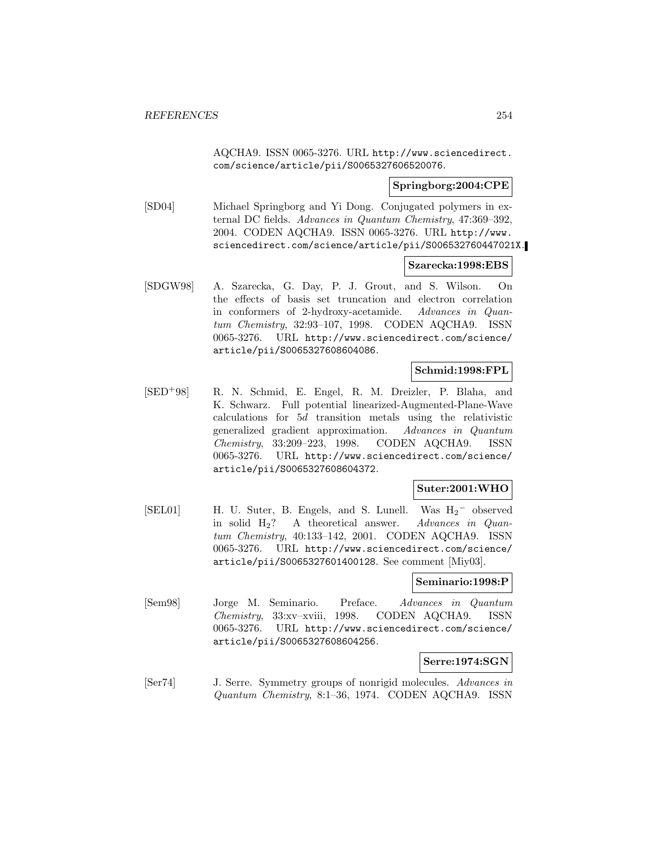AQCHA9. ISSN 0065-3276. URL http://www.sciencedirect. com/science/article/pii/S0065327606520076.

## **Springborg:2004:CPE**

[SD04] Michael Springborg and Yi Dong. Conjugated polymers in external DC fields. Advances in Quantum Chemistry, 47:369–392, 2004. CODEN AQCHA9. ISSN 0065-3276. URL http://www. sciencedirect.com/science/article/pii/S006532760447021X.

#### **Szarecka:1998:EBS**

[SDGW98] A. Szarecka, G. Day, P. J. Grout, and S. Wilson. On the effects of basis set truncation and electron correlation in conformers of 2-hydroxy-acetamide. Advances in Quantum Chemistry, 32:93–107, 1998. CODEN AQCHA9. ISSN 0065-3276. URL http://www.sciencedirect.com/science/ article/pii/S0065327608604086.

## **Schmid:1998:FPL**

[SED<sup>+</sup>98] R. N. Schmid, E. Engel, R. M. Dreizler, P. Blaha, and K. Schwarz. Full potential linearized-Augmented-Plane-Wave calculations for 5d transition metals using the relativistic generalized gradient approximation. Advances in Quantum Chemistry, 33:209–223, 1998. CODEN AQCHA9. ISSN 0065-3276. URL http://www.sciencedirect.com/science/ article/pii/S0065327608604372.

## **Suter:2001:WHO**

[SEL01] H. U. Suter, B. Engels, and S. Lunell. Was  $H_2$ <sup>−</sup> observed in solid H2? A theoretical answer. Advances in Quantum Chemistry, 40:133–142, 2001. CODEN AQCHA9. ISSN 0065-3276. URL http://www.sciencedirect.com/science/ article/pii/S0065327601400128. See comment [Miy03].

#### **Seminario:1998:P**

[Sem98] Jorge M. Seminario. Preface. Advances in Quantum Chemistry, 33:xv–xviii, 1998. CODEN AQCHA9. ISSN 0065-3276. URL http://www.sciencedirect.com/science/ article/pii/S0065327608604256.

**Serre:1974:SGN**

[Ser74] J. Serre. Symmetry groups of nonrigid molecules. Advances in Quantum Chemistry, 8:1–36, 1974. CODEN AQCHA9. ISSN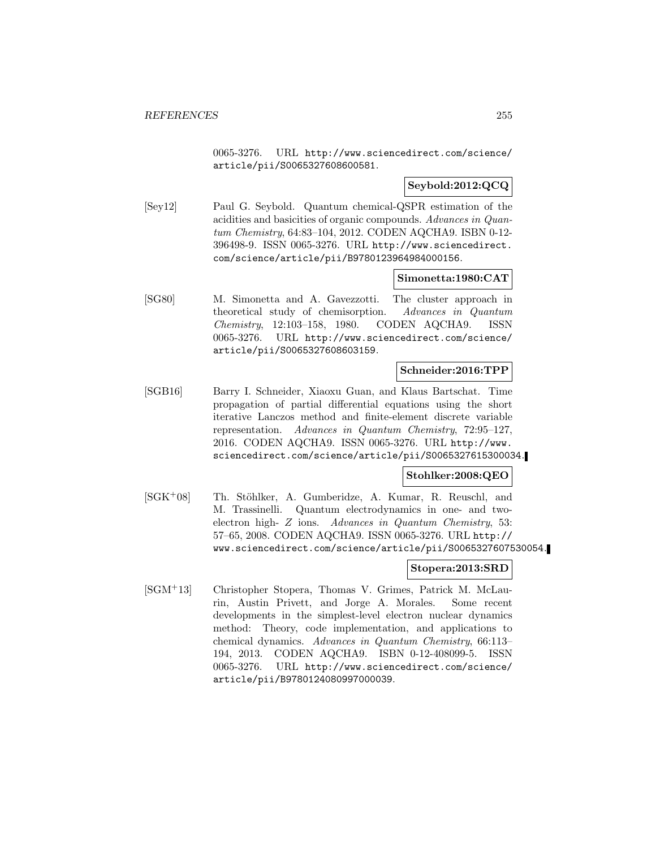0065-3276. URL http://www.sciencedirect.com/science/ article/pii/S0065327608600581.

## **Seybold:2012:QCQ**

[Sey12] Paul G. Seybold. Quantum chemical-QSPR estimation of the acidities and basicities of organic compounds. Advances in Quantum Chemistry, 64:83–104, 2012. CODEN AQCHA9. ISBN 0-12- 396498-9. ISSN 0065-3276. URL http://www.sciencedirect. com/science/article/pii/B9780123964984000156.

## **Simonetta:1980:CAT**

[SG80] M. Simonetta and A. Gavezzotti. The cluster approach in theoretical study of chemisorption. Advances in Quantum Chemistry, 12:103–158, 1980. CODEN AQCHA9. ISSN 0065-3276. URL http://www.sciencedirect.com/science/ article/pii/S0065327608603159.

## **Schneider:2016:TPP**

[SGB16] Barry I. Schneider, Xiaoxu Guan, and Klaus Bartschat. Time propagation of partial differential equations using the short iterative Lanczos method and finite-element discrete variable representation. Advances in Quantum Chemistry, 72:95–127, 2016. CODEN AQCHA9. ISSN 0065-3276. URL http://www. sciencedirect.com/science/article/pii/S0065327615300034.

# **Stohlker:2008:QEO**

[SGK<sup>+</sup>08] Th. Stöhlker, A. Gumberidze, A. Kumar, R. Reuschl, and M. Trassinelli. Quantum electrodynamics in one- and twoelectron high- Z ions. Advances in Quantum Chemistry, 53: 57–65, 2008. CODEN AQCHA9. ISSN 0065-3276. URL http:// www.sciencedirect.com/science/article/pii/S0065327607530054.

## **Stopera:2013:SRD**

[SGM<sup>+</sup>13] Christopher Stopera, Thomas V. Grimes, Patrick M. McLaurin, Austin Privett, and Jorge A. Morales. Some recent developments in the simplest-level electron nuclear dynamics method: Theory, code implementation, and applications to chemical dynamics. Advances in Quantum Chemistry, 66:113– 194, 2013. CODEN AQCHA9. ISBN 0-12-408099-5. ISSN 0065-3276. URL http://www.sciencedirect.com/science/ article/pii/B9780124080997000039.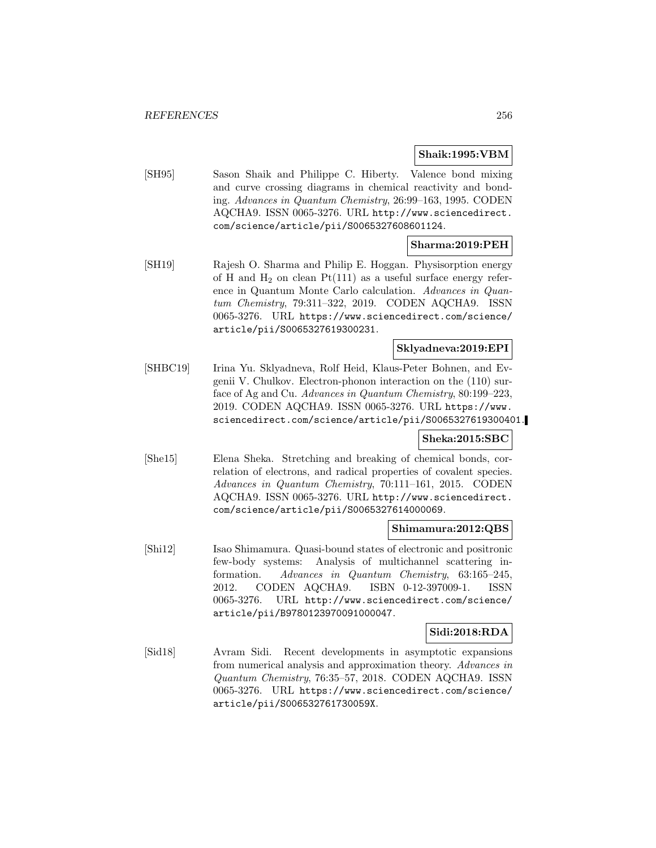## **Shaik:1995:VBM**

[SH95] Sason Shaik and Philippe C. Hiberty. Valence bond mixing and curve crossing diagrams in chemical reactivity and bonding. Advances in Quantum Chemistry, 26:99–163, 1995. CODEN AQCHA9. ISSN 0065-3276. URL http://www.sciencedirect. com/science/article/pii/S0065327608601124.

#### **Sharma:2019:PEH**

[SH19] Rajesh O. Sharma and Philip E. Hoggan. Physisorption energy of H and  $H_2$  on clean Pt(111) as a useful surface energy reference in Quantum Monte Carlo calculation. Advances in Quantum Chemistry, 79:311–322, 2019. CODEN AQCHA9. ISSN 0065-3276. URL https://www.sciencedirect.com/science/ article/pii/S0065327619300231.

#### **Sklyadneva:2019:EPI**

[SHBC19] Irina Yu. Sklyadneva, Rolf Heid, Klaus-Peter Bohnen, and Evgenii V. Chulkov. Electron-phonon interaction on the (110) surface of Ag and Cu. Advances in Quantum Chemistry, 80:199–223, 2019. CODEN AQCHA9. ISSN 0065-3276. URL https://www. sciencedirect.com/science/article/pii/S0065327619300401.

# **Sheka:2015:SBC**

[She15] Elena Sheka. Stretching and breaking of chemical bonds, correlation of electrons, and radical properties of covalent species. Advances in Quantum Chemistry, 70:111–161, 2015. CODEN AQCHA9. ISSN 0065-3276. URL http://www.sciencedirect. com/science/article/pii/S0065327614000069.

### **Shimamura:2012:QBS**

[Shi12] Isao Shimamura. Quasi-bound states of electronic and positronic few-body systems: Analysis of multichannel scattering information. Advances in Quantum Chemistry, 63:165–245, 2012. CODEN AQCHA9. ISBN 0-12-397009-1. ISSN 0065-3276. URL http://www.sciencedirect.com/science/ article/pii/B9780123970091000047.

## **Sidi:2018:RDA**

[Sid18] Avram Sidi. Recent developments in asymptotic expansions from numerical analysis and approximation theory. Advances in Quantum Chemistry, 76:35–57, 2018. CODEN AQCHA9. ISSN 0065-3276. URL https://www.sciencedirect.com/science/ article/pii/S006532761730059X.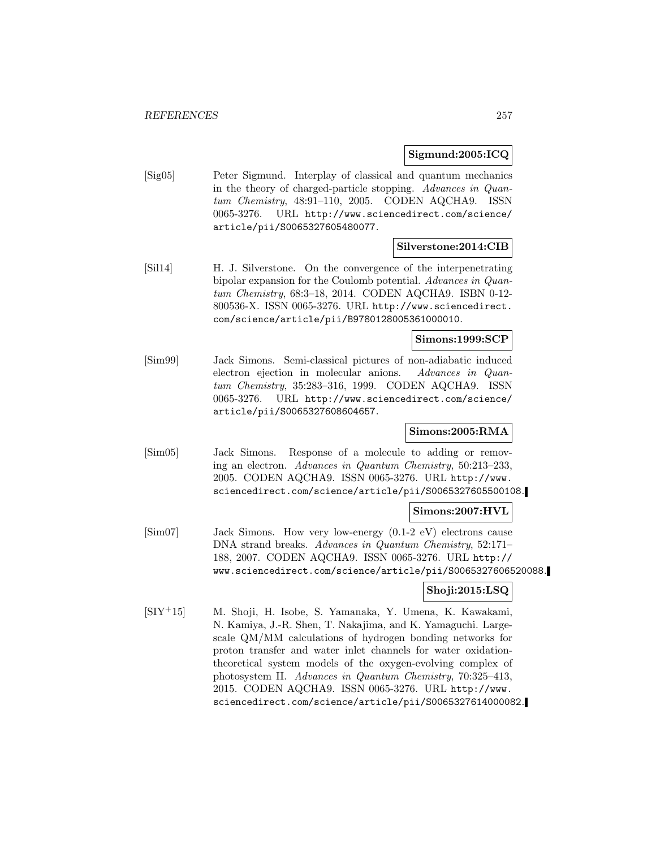## **Sigmund:2005:ICQ**

[Sig05] Peter Sigmund. Interplay of classical and quantum mechanics in the theory of charged-particle stopping. Advances in Quantum Chemistry, 48:91–110, 2005. CODEN AQCHA9. ISSN 0065-3276. URL http://www.sciencedirect.com/science/ article/pii/S0065327605480077.

## **Silverstone:2014:CIB**

[Sil14] H. J. Silverstone. On the convergence of the interpenetrating bipolar expansion for the Coulomb potential. Advances in Quantum Chemistry, 68:3–18, 2014. CODEN AQCHA9. ISBN 0-12- 800536-X. ISSN 0065-3276. URL http://www.sciencedirect. com/science/article/pii/B9780128005361000010.

#### **Simons:1999:SCP**

[Sim99] Jack Simons. Semi-classical pictures of non-adiabatic induced electron ejection in molecular anions. Advances in Quantum Chemistry, 35:283–316, 1999. CODEN AQCHA9. ISSN 0065-3276. URL http://www.sciencedirect.com/science/ article/pii/S0065327608604657.

## **Simons:2005:RMA**

[Sim05] Jack Simons. Response of a molecule to adding or removing an electron. Advances in Quantum Chemistry, 50:213–233, 2005. CODEN AQCHA9. ISSN 0065-3276. URL http://www. sciencedirect.com/science/article/pii/S0065327605500108.

#### **Simons:2007:HVL**

[Sim07] Jack Simons. How very low-energy (0.1-2 eV) electrons cause DNA strand breaks. Advances in Quantum Chemistry, 52:171– 188, 2007. CODEN AQCHA9. ISSN 0065-3276. URL http:// www.sciencedirect.com/science/article/pii/S0065327606520088.

# **Shoji:2015:LSQ**

[SIY<sup>+</sup>15] M. Shoji, H. Isobe, S. Yamanaka, Y. Umena, K. Kawakami, N. Kamiya, J.-R. Shen, T. Nakajima, and K. Yamaguchi. Largescale QM/MM calculations of hydrogen bonding networks for proton transfer and water inlet channels for water oxidationtheoretical system models of the oxygen-evolving complex of photosystem II. Advances in Quantum Chemistry, 70:325–413, 2015. CODEN AQCHA9. ISSN 0065-3276. URL http://www. sciencedirect.com/science/article/pii/S0065327614000082.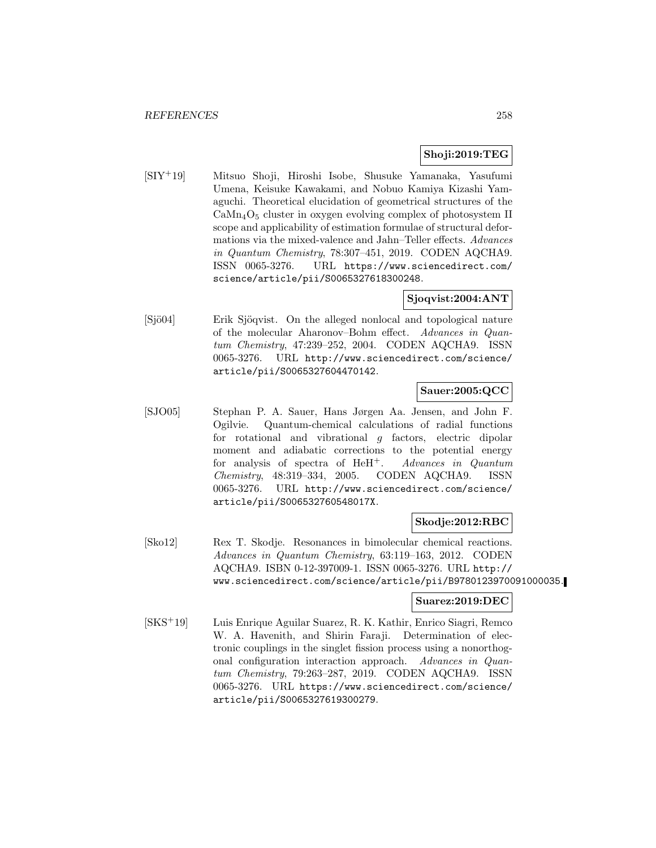## **Shoji:2019:TEG**

[SIY<sup>+</sup>19] Mitsuo Shoji, Hiroshi Isobe, Shusuke Yamanaka, Yasufumi Umena, Keisuke Kawakami, and Nobuo Kamiya Kizashi Yamaguchi. Theoretical elucidation of geometrical structures of the  $\text{CaMn}_4\text{O}_5$  cluster in oxygen evolving complex of photosystem II scope and applicability of estimation formulae of structural deformations via the mixed-valence and Jahn–Teller effects. Advances in Quantum Chemistry, 78:307–451, 2019. CODEN AQCHA9. ISSN 0065-3276. URL https://www.sciencedirect.com/ science/article/pii/S0065327618300248.

# **Sjoqvist:2004:ANT**

[Sjö04] Erik Sjöqvist. On the alleged nonlocal and topological nature of the molecular Aharonov–Bohm effect. Advances in Quantum Chemistry, 47:239–252, 2004. CODEN AQCHA9. ISSN 0065-3276. URL http://www.sciencedirect.com/science/ article/pii/S0065327604470142.

## **Sauer:2005:QCC**

[SJO05] Stephan P. A. Sauer, Hans Jørgen Aa. Jensen, and John F. Ogilvie. Quantum-chemical calculations of radial functions for rotational and vibrational g factors, electric dipolar moment and adiabatic corrections to the potential energy for analysis of spectra of HeH<sup>+</sup>. Advances in Quantum Chemistry, 48:319–334, 2005. CODEN AQCHA9. ISSN 0065-3276. URL http://www.sciencedirect.com/science/ article/pii/S006532760548017X.

## **Skodje:2012:RBC**

[Sko12] Rex T. Skodje. Resonances in bimolecular chemical reactions. Advances in Quantum Chemistry, 63:119–163, 2012. CODEN AQCHA9. ISBN 0-12-397009-1. ISSN 0065-3276. URL http:// www.sciencedirect.com/science/article/pii/B9780123970091000035.

## **Suarez:2019:DEC**

[SKS<sup>+</sup>19] Luis Enrique Aguilar Suarez, R. K. Kathir, Enrico Siagri, Remco W. A. Havenith, and Shirin Faraji. Determination of electronic couplings in the singlet fission process using a nonorthogonal configuration interaction approach. Advances in Quantum Chemistry, 79:263–287, 2019. CODEN AQCHA9. ISSN 0065-3276. URL https://www.sciencedirect.com/science/ article/pii/S0065327619300279.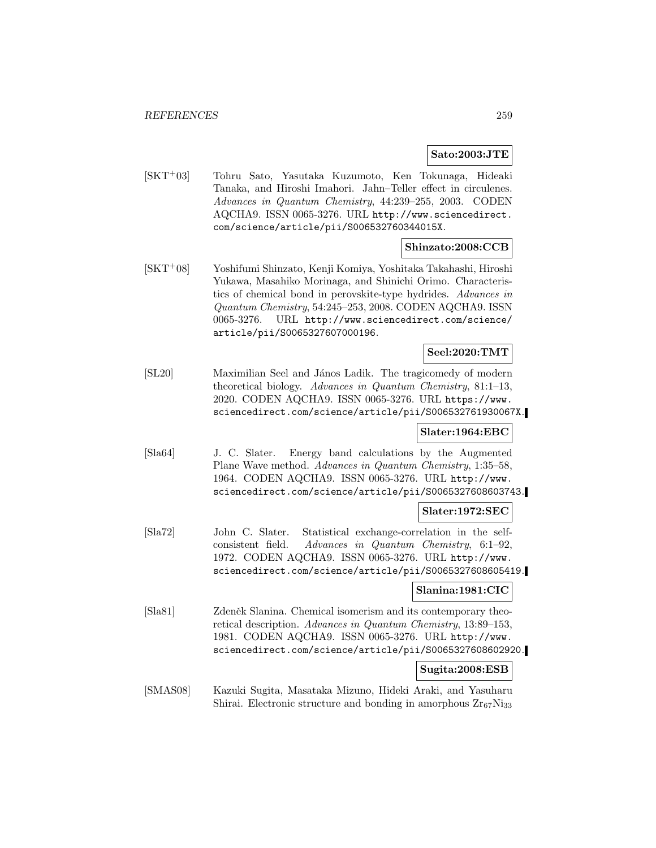## **Sato:2003:JTE**

[SKT<sup>+</sup>03] Tohru Sato, Yasutaka Kuzumoto, Ken Tokunaga, Hideaki Tanaka, and Hiroshi Imahori. Jahn–Teller effect in circulenes. Advances in Quantum Chemistry, 44:239–255, 2003. CODEN AQCHA9. ISSN 0065-3276. URL http://www.sciencedirect. com/science/article/pii/S006532760344015X.

## **Shinzato:2008:CCB**

[SKT<sup>+</sup>08] Yoshifumi Shinzato, Kenji Komiya, Yoshitaka Takahashi, Hiroshi Yukawa, Masahiko Morinaga, and Shinichi Orimo. Characteristics of chemical bond in perovskite-type hydrides. Advances in Quantum Chemistry, 54:245–253, 2008. CODEN AQCHA9. ISSN 0065-3276. URL http://www.sciencedirect.com/science/ article/pii/S0065327607000196.

# **Seel:2020:TMT**

[SL20] Maximilian Seel and János Ladik. The tragicomedy of modern theoretical biology. Advances in Quantum Chemistry, 81:1–13, 2020. CODEN AQCHA9. ISSN 0065-3276. URL https://www. sciencedirect.com/science/article/pii/S006532761930067X.

## **Slater:1964:EBC**

[Sla64] J. C. Slater. Energy band calculations by the Augmented Plane Wave method. Advances in Quantum Chemistry, 1:35–58, 1964. CODEN AQCHA9. ISSN 0065-3276. URL http://www. sciencedirect.com/science/article/pii/S0065327608603743.

#### **Slater:1972:SEC**

[Sla72] John C. Slater. Statistical exchange-correlation in the selfconsistent field. Advances in Quantum Chemistry, 6:1–92, 1972. CODEN AQCHA9. ISSN 0065-3276. URL http://www. sciencedirect.com/science/article/pii/S0065327608605419.

#### **Slanina:1981:CIC**

[Sla81] Zdeněk Slanina. Chemical isomerism and its contemporary theoretical description. Advances in Quantum Chemistry, 13:89–153, 1981. CODEN AQCHA9. ISSN 0065-3276. URL http://www. sciencedirect.com/science/article/pii/S0065327608602920.

#### **Sugita:2008:ESB**

[SMAS08] Kazuki Sugita, Masataka Mizuno, Hideki Araki, and Yasuharu Shirai. Electronic structure and bonding in amorphous  $Zr_{67}Ni_{33}$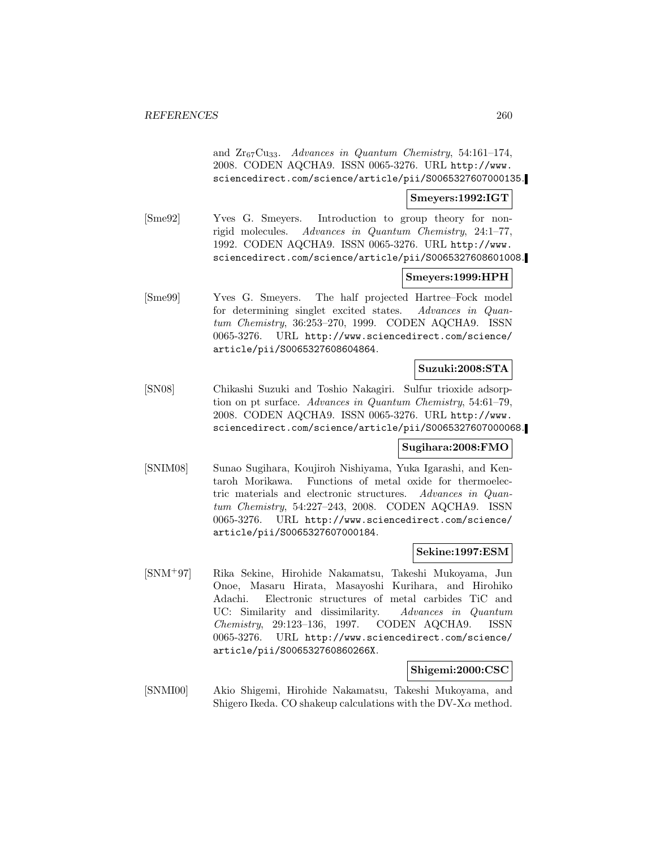and  $Zr_{67}Cu_{33}$ . Advances in Quantum Chemistry, 54:161-174, 2008. CODEN AQCHA9. ISSN 0065-3276. URL http://www. sciencedirect.com/science/article/pii/S0065327607000135.

#### **Smeyers:1992:IGT**

[Sme92] Yves G. Smeyers. Introduction to group theory for nonrigid molecules. Advances in Quantum Chemistry, 24:1–77, 1992. CODEN AQCHA9. ISSN 0065-3276. URL http://www. sciencedirect.com/science/article/pii/S0065327608601008.

## **Smeyers:1999:HPH**

[Sme99] Yves G. Smeyers. The half projected Hartree–Fock model for determining singlet excited states. Advances in Quantum Chemistry, 36:253–270, 1999. CODEN AQCHA9. ISSN 0065-3276. URL http://www.sciencedirect.com/science/ article/pii/S0065327608604864.

#### **Suzuki:2008:STA**

[SN08] Chikashi Suzuki and Toshio Nakagiri. Sulfur trioxide adsorption on pt surface. Advances in Quantum Chemistry, 54:61–79, 2008. CODEN AQCHA9. ISSN 0065-3276. URL http://www. sciencedirect.com/science/article/pii/S0065327607000068.

## **Sugihara:2008:FMO**

[SNIM08] Sunao Sugihara, Koujiroh Nishiyama, Yuka Igarashi, and Kentaroh Morikawa. Functions of metal oxide for thermoelectric materials and electronic structures. Advances in Quantum Chemistry, 54:227–243, 2008. CODEN AQCHA9. ISSN 0065-3276. URL http://www.sciencedirect.com/science/ article/pii/S0065327607000184.

### **Sekine:1997:ESM**

[SNM<sup>+</sup>97] Rika Sekine, Hirohide Nakamatsu, Takeshi Mukoyama, Jun Onoe, Masaru Hirata, Masayoshi Kurihara, and Hirohiko Adachi. Electronic structures of metal carbides TiC and UC: Similarity and dissimilarity. Advances in Quantum Chemistry, 29:123–136, 1997. CODEN AQCHA9. ISSN 0065-3276. URL http://www.sciencedirect.com/science/ article/pii/S006532760860266X.

## **Shigemi:2000:CSC**

[SNMI00] Akio Shigemi, Hirohide Nakamatsu, Takeshi Mukoyama, and Shigero Ikeda. CO shakeup calculations with the  $DV-X\alpha$  method.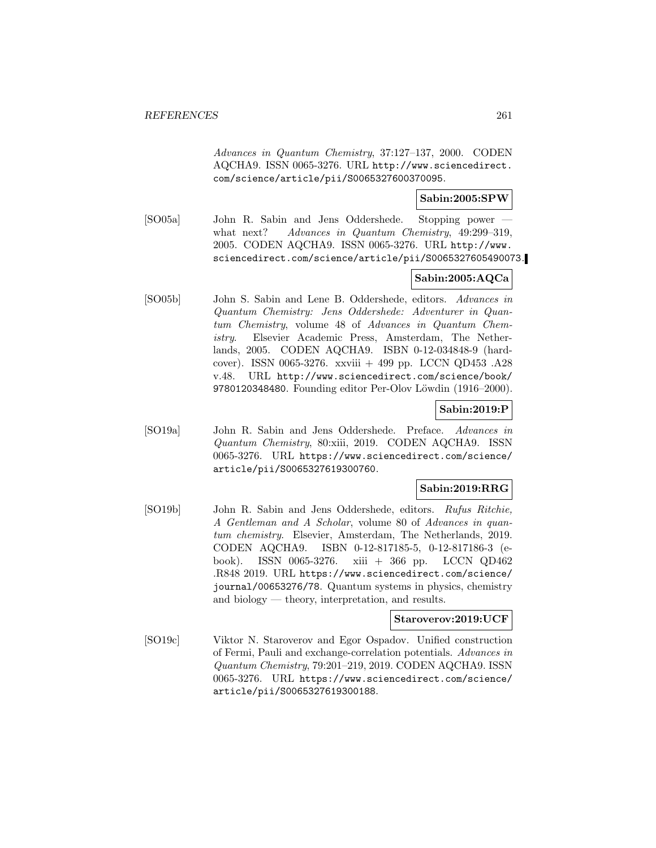Advances in Quantum Chemistry, 37:127–137, 2000. CODEN AQCHA9. ISSN 0065-3276. URL http://www.sciencedirect. com/science/article/pii/S0065327600370095.

## **Sabin:2005:SPW**

[SO05a] John R. Sabin and Jens Oddershede. Stopping power what next? Advances in Quantum Chemistry, 49:299-319, 2005. CODEN AQCHA9. ISSN 0065-3276. URL http://www. sciencedirect.com/science/article/pii/S0065327605490073.

# **Sabin:2005:AQCa**

[SO05b] John S. Sabin and Lene B. Oddershede, editors. Advances in Quantum Chemistry: Jens Oddershede: Adventurer in Quantum Chemistry, volume 48 of Advances in Quantum Chemistry. Elsevier Academic Press, Amsterdam, The Netherlands, 2005. CODEN AQCHA9. ISBN 0-12-034848-9 (hardcover). ISSN 0065-3276. xxviii + 499 pp. LCCN QD453 .A28 v.48. URL http://www.sciencedirect.com/science/book/ 9780120348480. Founding editor Per-Olov Löwdin (1916–2000).

## **Sabin:2019:P**

[SO19a] John R. Sabin and Jens Oddershede. Preface. Advances in Quantum Chemistry, 80:xiii, 2019. CODEN AQCHA9. ISSN 0065-3276. URL https://www.sciencedirect.com/science/ article/pii/S0065327619300760.

## **Sabin:2019:RRG**

[SO19b] John R. Sabin and Jens Oddershede, editors. Rufus Ritchie, A Gentleman and A Scholar, volume 80 of Advances in quantum chemistry. Elsevier, Amsterdam, The Netherlands, 2019. CODEN AQCHA9. ISBN 0-12-817185-5, 0-12-817186-3 (ebook). ISSN 0065-3276. xiii + 366 pp. LCCN QD462 .R848 2019. URL https://www.sciencedirect.com/science/ journal/00653276/78. Quantum systems in physics, chemistry and biology — theory, interpretation, and results.

## **Staroverov:2019:UCF**

[SO19c] Viktor N. Staroverov and Egor Ospadov. Unified construction of Fermi, Pauli and exchange-correlation potentials. Advances in Quantum Chemistry, 79:201–219, 2019. CODEN AQCHA9. ISSN 0065-3276. URL https://www.sciencedirect.com/science/ article/pii/S0065327619300188.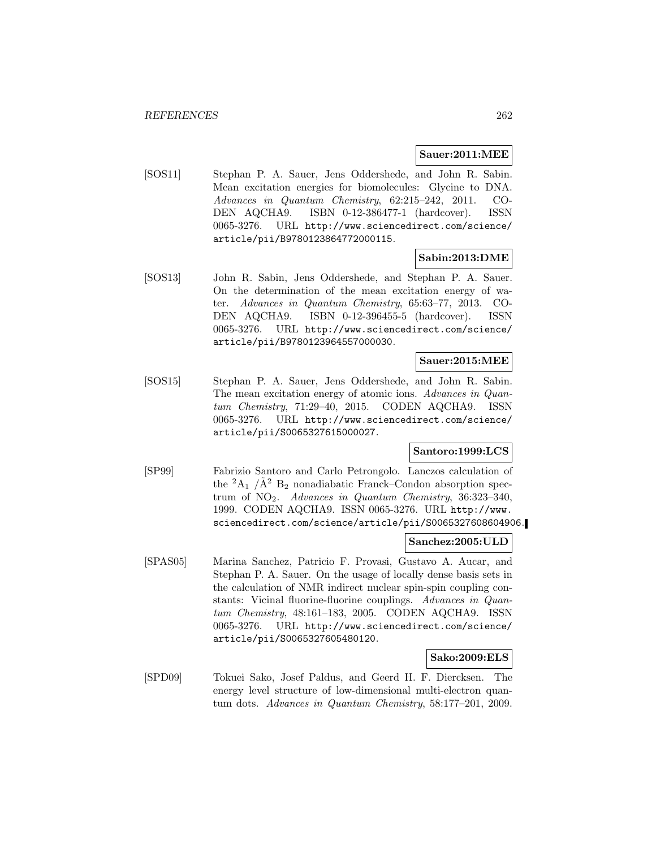#### **Sauer:2011:MEE**

[SOS11] Stephan P. A. Sauer, Jens Oddershede, and John R. Sabin. Mean excitation energies for biomolecules: Glycine to DNA. Advances in Quantum Chemistry, 62:215–242, 2011. CO-DEN AQCHA9. ISBN 0-12-386477-1 (hardcover). ISSN 0065-3276. URL http://www.sciencedirect.com/science/ article/pii/B9780123864772000115.

## **Sabin:2013:DME**

[SOS13] John R. Sabin, Jens Oddershede, and Stephan P. A. Sauer. On the determination of the mean excitation energy of water. Advances in Quantum Chemistry, 65:63–77, 2013. CO-DEN AQCHA9. ISBN 0-12-396455-5 (hardcover). ISSN 0065-3276. URL http://www.sciencedirect.com/science/ article/pii/B9780123964557000030.

#### **Sauer:2015:MEE**

[SOS15] Stephan P. A. Sauer, Jens Oddershede, and John R. Sabin. The mean excitation energy of atomic ions. Advances in Quantum Chemistry, 71:29–40, 2015. CODEN AQCHA9. ISSN 0065-3276. URL http://www.sciencedirect.com/science/ article/pii/S0065327615000027.

## **Santoro:1999:LCS**

[SP99] Fabrizio Santoro and Carlo Petrongolo. Lanczos calculation of the  ${}^2A_1$  / $\tilde{A}{}^2$  B<sub>2</sub> nonadiabatic Franck–Condon absorption spectrum of  $NO<sub>2</sub>$ . Advances in Quantum Chemistry, 36:323-340, 1999. CODEN AQCHA9. ISSN 0065-3276. URL http://www. sciencedirect.com/science/article/pii/S0065327608604906.

## **Sanchez:2005:ULD**

[SPAS05] Marina Sanchez, Patricio F. Provasi, Gustavo A. Aucar, and Stephan P. A. Sauer. On the usage of locally dense basis sets in the calculation of NMR indirect nuclear spin-spin coupling constants: Vicinal fluorine-fluorine couplings. Advances in Quantum Chemistry, 48:161–183, 2005. CODEN AQCHA9. ISSN 0065-3276. URL http://www.sciencedirect.com/science/ article/pii/S0065327605480120.

## **Sako:2009:ELS**

[SPD09] Tokuei Sako, Josef Paldus, and Geerd H. F. Diercksen. The energy level structure of low-dimensional multi-electron quantum dots. Advances in Quantum Chemistry, 58:177–201, 2009.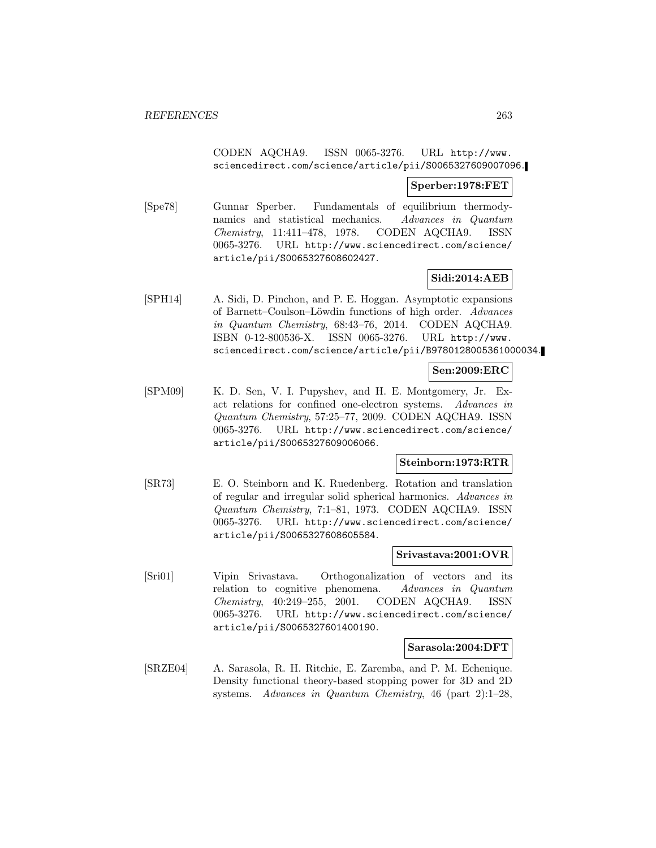## CODEN AQCHA9. ISSN 0065-3276. URL http://www. sciencedirect.com/science/article/pii/S0065327609007096.

## **Sperber:1978:FET**

[Spe78] Gunnar Sperber. Fundamentals of equilibrium thermodynamics and statistical mechanics. Advances in Quantum Chemistry, 11:411–478, 1978. CODEN AQCHA9. ISSN 0065-3276. URL http://www.sciencedirect.com/science/ article/pii/S0065327608602427.

## **Sidi:2014:AEB**

[SPH14] A. Sidi, D. Pinchon, and P. E. Hoggan. Asymptotic expansions of Barnett–Coulson–Löwdin functions of high order. Advances in Quantum Chemistry, 68:43–76, 2014. CODEN AQCHA9. ISBN 0-12-800536-X. ISSN 0065-3276. URL http://www. sciencedirect.com/science/article/pii/B9780128005361000034.

## **Sen:2009:ERC**

[SPM09] K. D. Sen, V. I. Pupyshev, and H. E. Montgomery, Jr. Exact relations for confined one-electron systems. Advances in Quantum Chemistry, 57:25–77, 2009. CODEN AQCHA9. ISSN 0065-3276. URL http://www.sciencedirect.com/science/ article/pii/S0065327609006066.

## **Steinborn:1973:RTR**

[SR73] E. O. Steinborn and K. Ruedenberg. Rotation and translation of regular and irregular solid spherical harmonics. Advances in Quantum Chemistry, 7:1–81, 1973. CODEN AQCHA9. ISSN 0065-3276. URL http://www.sciencedirect.com/science/ article/pii/S0065327608605584.

#### **Srivastava:2001:OVR**

[Sri01] Vipin Srivastava. Orthogonalization of vectors and its relation to cognitive phenomena. Advances in Quantum Chemistry, 40:249–255, 2001. CODEN AQCHA9. ISSN 0065-3276. URL http://www.sciencedirect.com/science/ article/pii/S0065327601400190.

#### **Sarasola:2004:DFT**

[SRZE04] A. Sarasola, R. H. Ritchie, E. Zaremba, and P. M. Echenique. Density functional theory-based stopping power for 3D and 2D systems. Advances in Quantum Chemistry, 46 (part 2):1–28,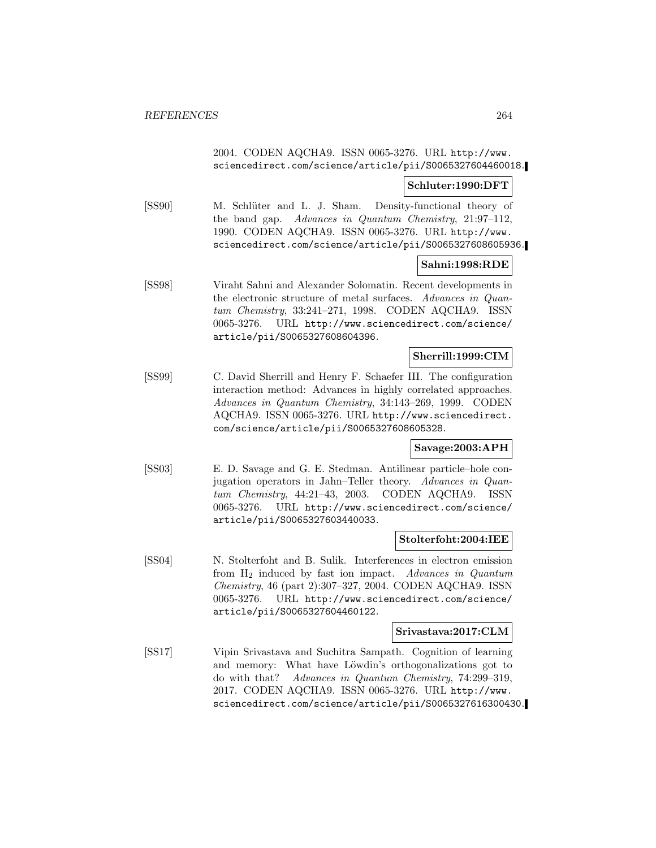## 2004. CODEN AQCHA9. ISSN 0065-3276. URL http://www. sciencedirect.com/science/article/pii/S0065327604460018.

## **Schluter:1990:DFT**

[SS90] M. Schlüter and L. J. Sham. Density-functional theory of the band gap. Advances in Quantum Chemistry, 21:97–112, 1990. CODEN AQCHA9. ISSN 0065-3276. URL http://www. sciencedirect.com/science/article/pii/S0065327608605936.

## **Sahni:1998:RDE**

[SS98] Viraht Sahni and Alexander Solomatin. Recent developments in the electronic structure of metal surfaces. Advances in Quantum Chemistry, 33:241–271, 1998. CODEN AQCHA9. ISSN 0065-3276. URL http://www.sciencedirect.com/science/ article/pii/S0065327608604396.

## **Sherrill:1999:CIM**

[SS99] C. David Sherrill and Henry F. Schaefer III. The configuration interaction method: Advances in highly correlated approaches. Advances in Quantum Chemistry, 34:143–269, 1999. CODEN AQCHA9. ISSN 0065-3276. URL http://www.sciencedirect. com/science/article/pii/S0065327608605328.

#### **Savage:2003:APH**

[SS03] E. D. Savage and G. E. Stedman. Antilinear particle–hole conjugation operators in Jahn–Teller theory. Advances in Quantum Chemistry, 44:21–43, 2003. CODEN AQCHA9. ISSN 0065-3276. URL http://www.sciencedirect.com/science/ article/pii/S0065327603440033.

#### **Stolterfoht:2004:IEE**

[SS04] N. Stolterfoht and B. Sulik. Interferences in electron emission from  $H_2$  induced by fast ion impact. Advances in Quantum Chemistry, 46 (part 2):307–327, 2004. CODEN AQCHA9. ISSN 0065-3276. URL http://www.sciencedirect.com/science/ article/pii/S0065327604460122.

#### **Srivastava:2017:CLM**

[SS17] Vipin Srivastava and Suchitra Sampath. Cognition of learning and memory: What have Löwdin's orthogonalizations got to do with that? Advances in Quantum Chemistry, 74:299–319, 2017. CODEN AQCHA9. ISSN 0065-3276. URL http://www. sciencedirect.com/science/article/pii/S0065327616300430.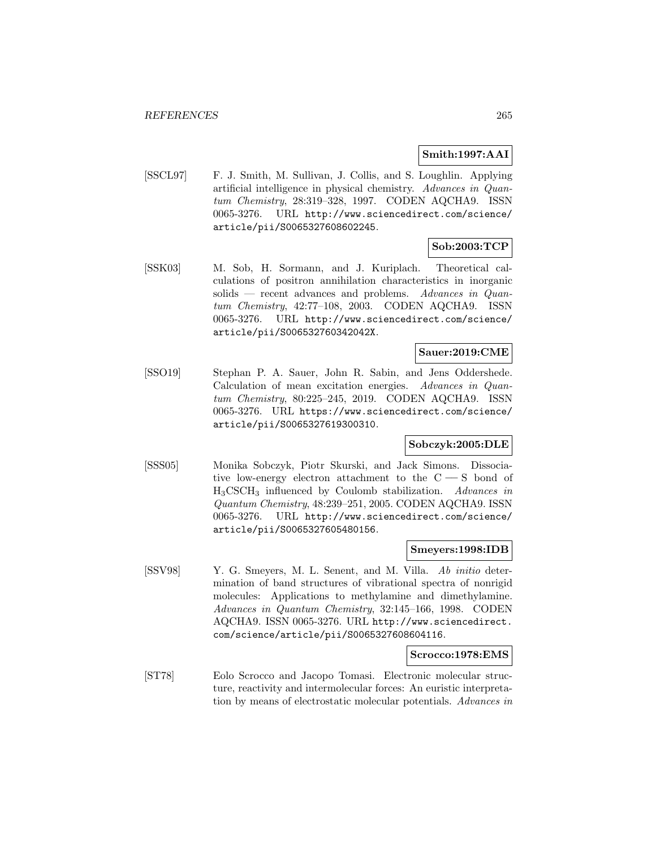## **Smith:1997:AAI**

[SSCL97] F. J. Smith, M. Sullivan, J. Collis, and S. Loughlin. Applying artificial intelligence in physical chemistry. Advances in Quantum Chemistry, 28:319–328, 1997. CODEN AQCHA9. ISSN 0065-3276. URL http://www.sciencedirect.com/science/ article/pii/S0065327608602245.

# **Sob:2003:TCP**

[SSK03] M. Sob, H. Sormann, and J. Kuriplach. Theoretical calculations of positron annihilation characteristics in inorganic solids — recent advances and problems. Advances in Quantum Chemistry, 42:77–108, 2003. CODEN AQCHA9. ISSN 0065-3276. URL http://www.sciencedirect.com/science/ article/pii/S006532760342042X.

## **Sauer:2019:CME**

[SSO19] Stephan P. A. Sauer, John R. Sabin, and Jens Oddershede. Calculation of mean excitation energies. Advances in Quantum Chemistry, 80:225–245, 2019. CODEN AQCHA9. ISSN 0065-3276. URL https://www.sciencedirect.com/science/ article/pii/S0065327619300310.

## **Sobczyk:2005:DLE**

[SSS05] Monika Sobczyk, Piotr Skurski, and Jack Simons. Dissociative low-energy electron attachment to the  $C - S$  bond of  $H_3CSCH_3$  influenced by Coulomb stabilization. Advances in Quantum Chemistry, 48:239–251, 2005. CODEN AQCHA9. ISSN 0065-3276. URL http://www.sciencedirect.com/science/ article/pii/S0065327605480156.

#### **Smeyers:1998:IDB**

[SSV98] Y. G. Smeyers, M. L. Senent, and M. Villa. Ab initio determination of band structures of vibrational spectra of nonrigid molecules: Applications to methylamine and dimethylamine. Advances in Quantum Chemistry, 32:145–166, 1998. CODEN AQCHA9. ISSN 0065-3276. URL http://www.sciencedirect. com/science/article/pii/S0065327608604116.

#### **Scrocco:1978:EMS**

[ST78] Eolo Scrocco and Jacopo Tomasi. Electronic molecular structure, reactivity and intermolecular forces: An euristic interpretation by means of electrostatic molecular potentials. Advances in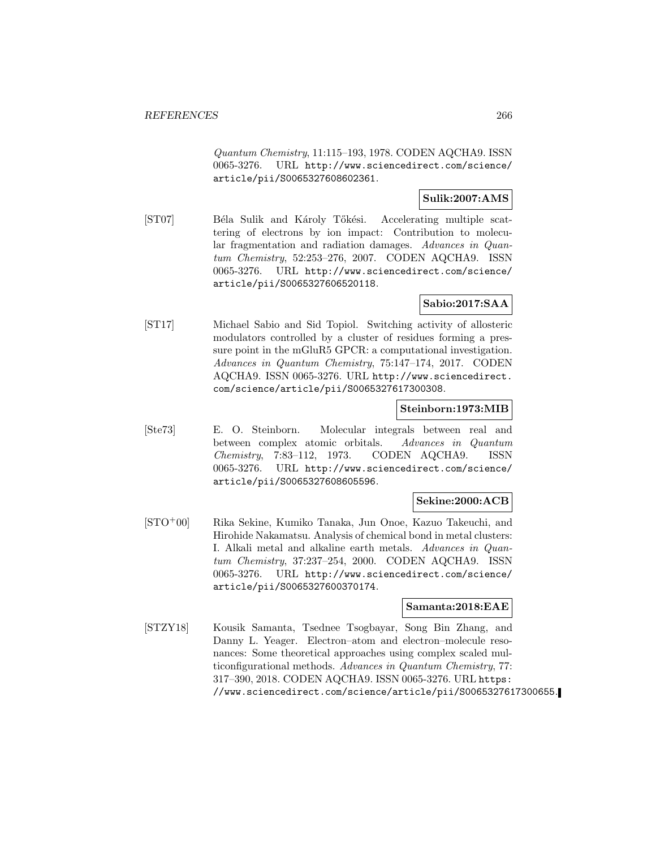Quantum Chemistry, 11:115–193, 1978. CODEN AQCHA9. ISSN 0065-3276. URL http://www.sciencedirect.com/science/ article/pii/S0065327608602361.

## **Sulik:2007:AMS**

[ST07] Béla Sulik and Károly Tőkési. Accelerating multiple scattering of electrons by ion impact: Contribution to molecular fragmentation and radiation damages. Advances in Quantum Chemistry, 52:253–276, 2007. CODEN AQCHA9. ISSN 0065-3276. URL http://www.sciencedirect.com/science/ article/pii/S0065327606520118.

# **Sabio:2017:SAA**

[ST17] Michael Sabio and Sid Topiol. Switching activity of allosteric modulators controlled by a cluster of residues forming a pressure point in the mGluR5 GPCR: a computational investigation. Advances in Quantum Chemistry, 75:147–174, 2017. CODEN AQCHA9. ISSN 0065-3276. URL http://www.sciencedirect. com/science/article/pii/S0065327617300308.

## **Steinborn:1973:MIB**

[Ste73] E. O. Steinborn. Molecular integrals between real and between complex atomic orbitals. Advances in Quantum Chemistry, 7:83–112, 1973. CODEN AQCHA9. ISSN 0065-3276. URL http://www.sciencedirect.com/science/ article/pii/S0065327608605596.

## **Sekine:2000:ACB**

[STO<sup>+</sup>00] Rika Sekine, Kumiko Tanaka, Jun Onoe, Kazuo Takeuchi, and Hirohide Nakamatsu. Analysis of chemical bond in metal clusters: I. Alkali metal and alkaline earth metals. Advances in Quantum Chemistry, 37:237–254, 2000. CODEN AQCHA9. ISSN 0065-3276. URL http://www.sciencedirect.com/science/ article/pii/S0065327600370174.

## **Samanta:2018:EAE**

[STZY18] Kousik Samanta, Tsednee Tsogbayar, Song Bin Zhang, and Danny L. Yeager. Electron–atom and electron–molecule resonances: Some theoretical approaches using complex scaled multiconfigurational methods. Advances in Quantum Chemistry, 77: 317–390, 2018. CODEN AQCHA9. ISSN 0065-3276. URL https: //www.sciencedirect.com/science/article/pii/S0065327617300655.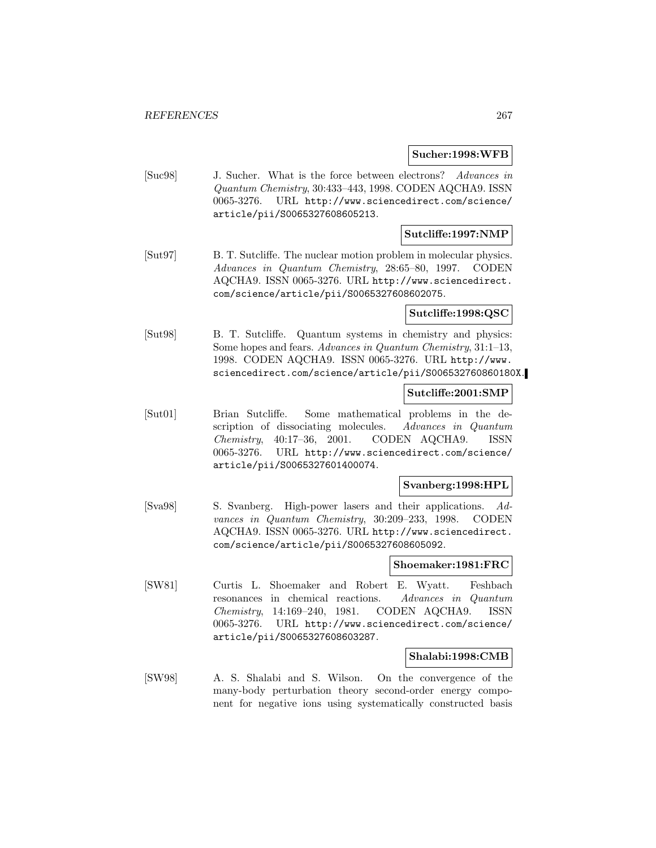#### **Sucher:1998:WFB**

[Suc98] J. Sucher. What is the force between electrons? Advances in Quantum Chemistry, 30:433–443, 1998. CODEN AQCHA9. ISSN 0065-3276. URL http://www.sciencedirect.com/science/ article/pii/S0065327608605213.

## **Sutcliffe:1997:NMP**

[Sut97] B. T. Sutcliffe. The nuclear motion problem in molecular physics. Advances in Quantum Chemistry, 28:65–80, 1997. CODEN AQCHA9. ISSN 0065-3276. URL http://www.sciencedirect. com/science/article/pii/S0065327608602075.

#### **Sutcliffe:1998:QSC**

[Sut98] B. T. Sutcliffe. Quantum systems in chemistry and physics: Some hopes and fears. Advances in Quantum Chemistry, 31:1–13, 1998. CODEN AQCHA9. ISSN 0065-3276. URL http://www. sciencedirect.com/science/article/pii/S006532760860180X.

#### **Sutcliffe:2001:SMP**

[Sut01] Brian Sutcliffe. Some mathematical problems in the description of dissociating molecules. Advances in Quantum Chemistry, 40:17–36, 2001. CODEN AQCHA9. ISSN 0065-3276. URL http://www.sciencedirect.com/science/ article/pii/S0065327601400074.

## **Svanberg:1998:HPL**

[Sva98] S. Svanberg. High-power lasers and their applications. Advances in Quantum Chemistry, 30:209–233, 1998. CODEN AQCHA9. ISSN 0065-3276. URL http://www.sciencedirect. com/science/article/pii/S0065327608605092.

### **Shoemaker:1981:FRC**

[SW81] Curtis L. Shoemaker and Robert E. Wyatt. Feshbach resonances in chemical reactions. Advances in Quantum Chemistry, 14:169–240, 1981. CODEN AQCHA9. ISSN 0065-3276. URL http://www.sciencedirect.com/science/ article/pii/S0065327608603287.

## **Shalabi:1998:CMB**

[SW98] A. S. Shalabi and S. Wilson. On the convergence of the many-body perturbation theory second-order energy component for negative ions using systematically constructed basis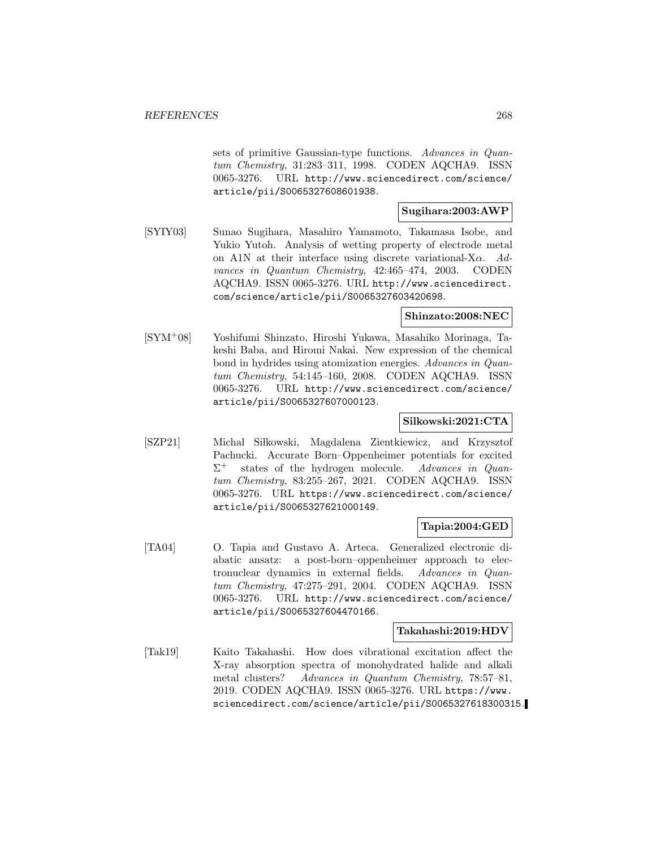sets of primitive Gaussian-type functions. Advances in Quantum Chemistry, 31:283–311, 1998. CODEN AQCHA9. ISSN 0065-3276. URL http://www.sciencedirect.com/science/ article/pii/S0065327608601938.

## **Sugihara:2003:AWP**

[SYIY03] Sunao Sugihara, Masahiro Yamamoto, Takamasa Isobe, and Yukio Yutoh. Analysis of wetting property of electrode metal on A1N at their interface using discrete variational-X $\alpha$ . Advances in Quantum Chemistry, 42:465–474, 2003. CODEN AQCHA9. ISSN 0065-3276. URL http://www.sciencedirect. com/science/article/pii/S0065327603420698.

# **Shinzato:2008:NEC**

[SYM<sup>+</sup>08] Yoshifumi Shinzato, Hiroshi Yukawa, Masahiko Morinaga, Takeshi Baba, and Hiromi Nakai. New expression of the chemical bond in hydrides using atomization energies. Advances in Quantum Chemistry, 54:145–160, 2008. CODEN AQCHA9. ISSN 0065-3276. URL http://www.sciencedirect.com/science/ article/pii/S0065327607000123.

## **Silkowski:2021:CTA**

[SZP21] Michał Siłkowski, Magdalena Zientkiewicz, and Krzysztof Pachucki. Accurate Born–Oppenheimer potentials for excited  $\Sigma^+$  states of the hydrogen molecule. Advances in Quantum Chemistry, 83:255–267, 2021. CODEN AQCHA9. ISSN 0065-3276. URL https://www.sciencedirect.com/science/ article/pii/S0065327621000149.

## **Tapia:2004:GED**

[TA04] O. Tapia and Gustavo A. Arteca. Generalized electronic diabatic ansatz: a post-born–oppenheimer approach to electronuclear dynamics in external fields. Advances in Quantum Chemistry, 47:275–291, 2004. CODEN AQCHA9. ISSN 0065-3276. URL http://www.sciencedirect.com/science/ article/pii/S0065327604470166.

## **Takahashi:2019:HDV**

[Tak19] Kaito Takahashi. How does vibrational excitation affect the X-ray absorption spectra of monohydrated halide and alkali metal clusters? Advances in Quantum Chemistry, 78:57–81, 2019. CODEN AQCHA9. ISSN 0065-3276. URL https://www. sciencedirect.com/science/article/pii/S0065327618300315.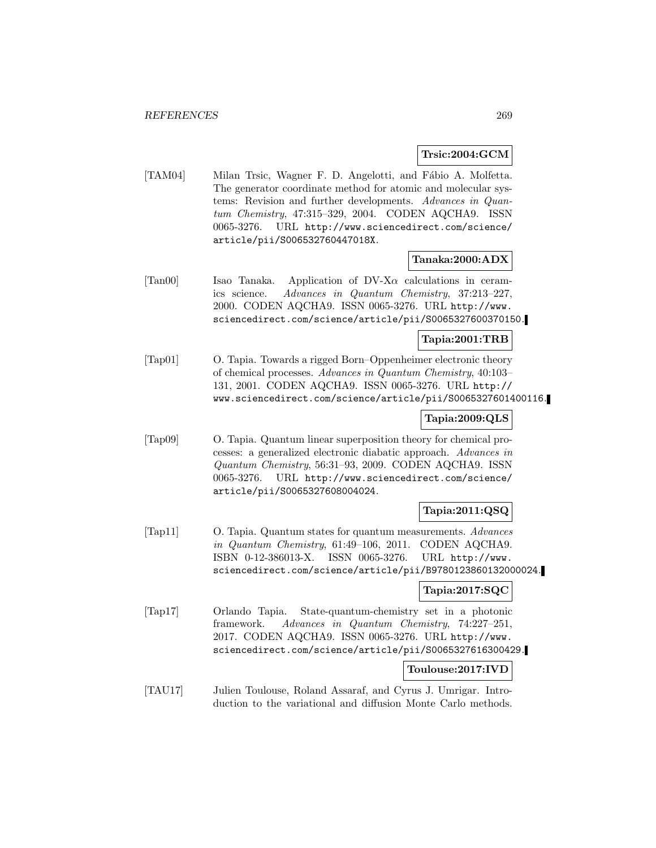## **Trsic:2004:GCM**

[TAM04] Milan Trsic, Wagner F. D. Angelotti, and Fábio A. Molfetta. The generator coordinate method for atomic and molecular systems: Revision and further developments. Advances in Quantum Chemistry, 47:315–329, 2004. CODEN AQCHA9. ISSN 0065-3276. URL http://www.sciencedirect.com/science/ article/pii/S006532760447018X.

#### **Tanaka:2000:ADX**

[Tan00] Isao Tanaka. Application of  $DV-X\alpha$  calculations in ceramics science. Advances in Quantum Chemistry, 37:213–227, 2000. CODEN AQCHA9. ISSN 0065-3276. URL http://www. sciencedirect.com/science/article/pii/S0065327600370150.

## **Tapia:2001:TRB**

[Tap01] O. Tapia. Towards a rigged Born–Oppenheimer electronic theory of chemical processes. Advances in Quantum Chemistry, 40:103– 131, 2001. CODEN AQCHA9. ISSN 0065-3276. URL http:// www.sciencedirect.com/science/article/pii/S0065327601400116.

## **Tapia:2009:QLS**

[Tap09] O. Tapia. Quantum linear superposition theory for chemical processes: a generalized electronic diabatic approach. Advances in Quantum Chemistry, 56:31–93, 2009. CODEN AQCHA9. ISSN 0065-3276. URL http://www.sciencedirect.com/science/ article/pii/S0065327608004024.

# **Tapia:2011:QSQ**

[Tap11] O. Tapia. Quantum states for quantum measurements. Advances in Quantum Chemistry, 61:49–106, 2011. CODEN AQCHA9. ISBN 0-12-386013-X. ISSN 0065-3276. URL http://www. sciencedirect.com/science/article/pii/B9780123860132000024.

## **Tapia:2017:SQC**

[Tap17] Orlando Tapia. State-quantum-chemistry set in a photonic framework. Advances in Quantum Chemistry, 74:227–251, 2017. CODEN AQCHA9. ISSN 0065-3276. URL http://www. sciencedirect.com/science/article/pii/S0065327616300429.

## **Toulouse:2017:IVD**

[TAU17] Julien Toulouse, Roland Assaraf, and Cyrus J. Umrigar. Introduction to the variational and diffusion Monte Carlo methods.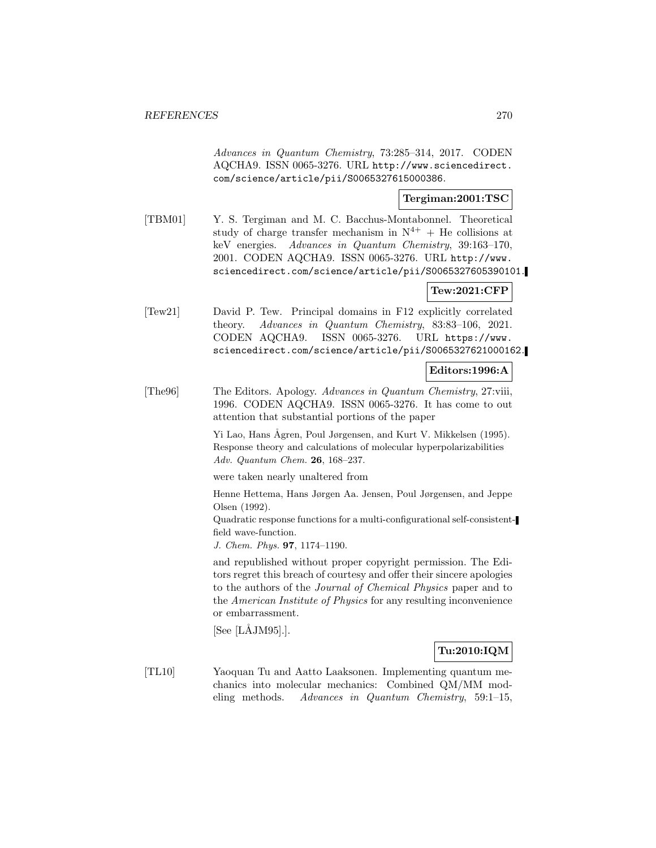Advances in Quantum Chemistry, 73:285–314, 2017. CODEN AQCHA9. ISSN 0065-3276. URL http://www.sciencedirect. com/science/article/pii/S0065327615000386.

## **Tergiman:2001:TSC**

[TBM01] Y. S. Tergiman and M. C. Bacchus-Montabonnel. Theoretical study of charge transfer mechanism in  $N^{4+}$  + He collisions at keV energies. Advances in Quantum Chemistry, 39:163–170, 2001. CODEN AQCHA9. ISSN 0065-3276. URL http://www. sciencedirect.com/science/article/pii/S0065327605390101.

## **Tew:2021:CFP**

[Tew21] David P. Tew. Principal domains in F12 explicitly correlated theory. Advances in Quantum Chemistry, 83:83–106, 2021. CODEN AQCHA9. ISSN 0065-3276. URL https://www. sciencedirect.com/science/article/pii/S0065327621000162.

## **Editors:1996:A**

[The96] The Editors. Apology. Advances in Quantum Chemistry, 27:viii, 1996. CODEN AQCHA9. ISSN 0065-3276. It has come to out attention that substantial portions of the paper

> Yi Lao, Hans Ågren, Poul Jørgensen, and Kurt V. Mikkelsen (1995). Response theory and calculations of molecular hyperpolarizabilities Adv. Quantum Chem. **26**, 168–237.

were taken nearly unaltered from

Henne Hettema, Hans Jørgen Aa. Jensen, Poul Jørgensen, and Jeppe Olsen (1992).

Quadratic response functions for a multi-configurational self-consistentfield wave-function.

J. Chem. Phys. **97**, 1174–1190.

and republished without proper copyright permission. The Editors regret this breach of courtesy and offer their sincere apologies to the authors of the Journal of Chemical Physics paper and to the American Institute of Physics for any resulting inconvenience or embarrassment.

 $[See [L\AA JM95]$ .

# **Tu:2010:IQM**

[TL10] Yaoquan Tu and Aatto Laaksonen. Implementing quantum mechanics into molecular mechanics: Combined QM/MM modeling methods. Advances in Quantum Chemistry, 59:1–15,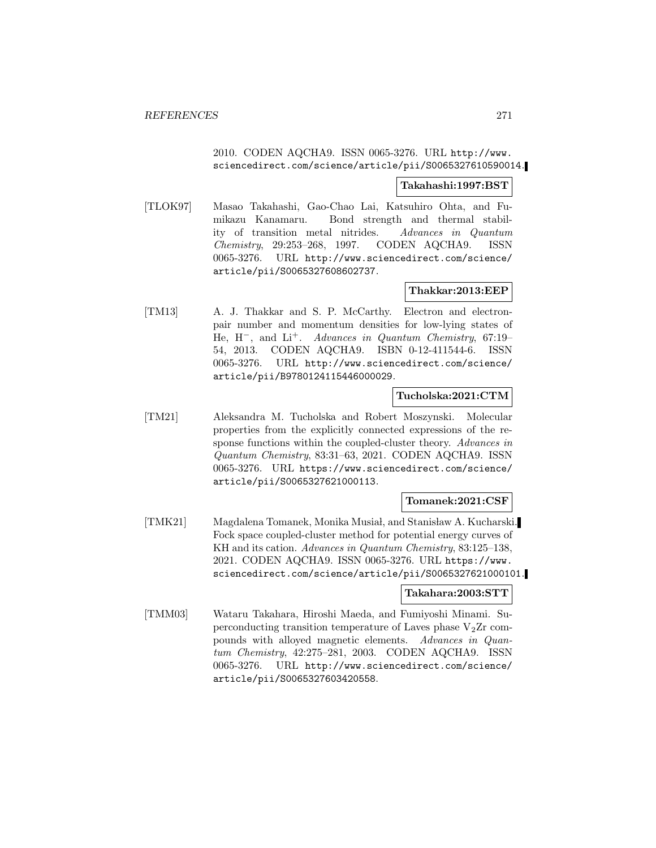## 2010. CODEN AQCHA9. ISSN 0065-3276. URL http://www. sciencedirect.com/science/article/pii/S0065327610590014.

#### **Takahashi:1997:BST**

[TLOK97] Masao Takahashi, Gao-Chao Lai, Katsuhiro Ohta, and Fumikazu Kanamaru. Bond strength and thermal stability of transition metal nitrides. Advances in Quantum Chemistry, 29:253–268, 1997. CODEN AQCHA9. ISSN 0065-3276. URL http://www.sciencedirect.com/science/ article/pii/S0065327608602737.

## **Thakkar:2013:EEP**

[TM13] A. J. Thakkar and S. P. McCarthy. Electron and electronpair number and momentum densities for low-lying states of He, H−, and Li<sup>+</sup>. Advances in Quantum Chemistry, 67:19– 54, 2013. CODEN AQCHA9. ISBN 0-12-411544-6. ISSN 0065-3276. URL http://www.sciencedirect.com/science/ article/pii/B9780124115446000029.

## **Tucholska:2021:CTM**

[TM21] Aleksandra M. Tucholska and Robert Moszynski. Molecular properties from the explicitly connected expressions of the response functions within the coupled-cluster theory. Advances in Quantum Chemistry, 83:31–63, 2021. CODEN AQCHA9. ISSN 0065-3276. URL https://www.sciencedirect.com/science/ article/pii/S0065327621000113.

## **Tomanek:2021:CSF**

[TMK21] Magdalena Tomanek, Monika Musiał, and Stanisław A. Kucharski. Fock space coupled-cluster method for potential energy curves of KH and its cation. Advances in Quantum Chemistry, 83:125–138, 2021. CODEN AQCHA9. ISSN 0065-3276. URL https://www. sciencedirect.com/science/article/pii/S0065327621000101.

## **Takahara:2003:STT**

[TMM03] Wataru Takahara, Hiroshi Maeda, and Fumiyoshi Minami. Superconducting transition temperature of Laves phase  $V_2Zr$  compounds with alloyed magnetic elements. Advances in Quantum Chemistry, 42:275–281, 2003. CODEN AQCHA9. ISSN 0065-3276. URL http://www.sciencedirect.com/science/ article/pii/S0065327603420558.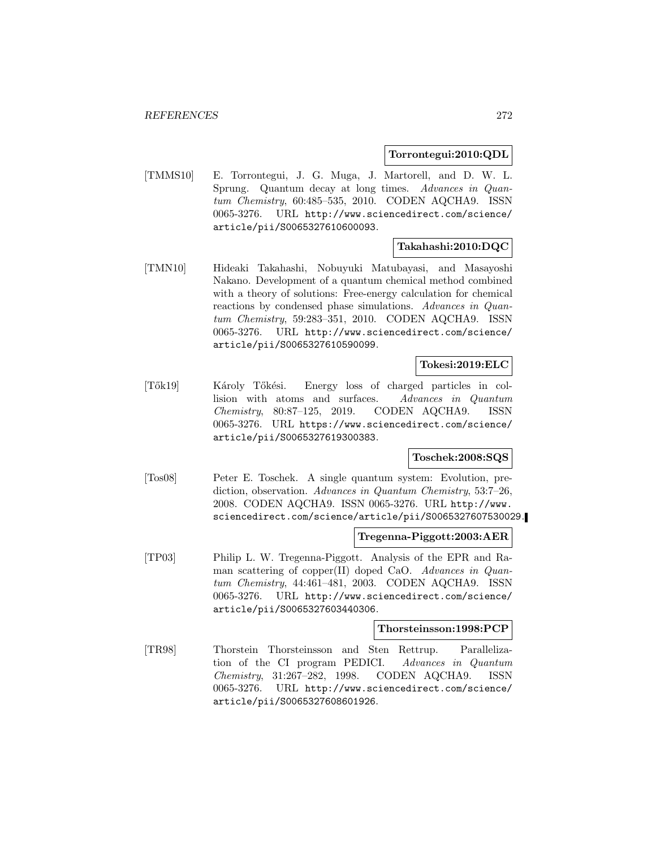## **Torrontegui:2010:QDL**

[TMMS10] E. Torrontegui, J. G. Muga, J. Martorell, and D. W. L. Sprung. Quantum decay at long times. Advances in Quantum Chemistry, 60:485–535, 2010. CODEN AQCHA9. ISSN 0065-3276. URL http://www.sciencedirect.com/science/ article/pii/S0065327610600093.

## **Takahashi:2010:DQC**

[TMN10] Hideaki Takahashi, Nobuyuki Matubayasi, and Masayoshi Nakano. Development of a quantum chemical method combined with a theory of solutions: Free-energy calculation for chemical reactions by condensed phase simulations. Advances in Quantum Chemistry, 59:283–351, 2010. CODEN AQCHA9. ISSN 0065-3276. URL http://www.sciencedirect.com/science/ article/pii/S0065327610590099.

## **Tokesi:2019:ELC**

[Tők19] Károly Tőkési. Energy loss of charged particles in collision with atoms and surfaces. Advances in Quantum Chemistry, 80:87–125, 2019. CODEN AQCHA9. ISSN 0065-3276. URL https://www.sciencedirect.com/science/ article/pii/S0065327619300383.

## **Toschek:2008:SQS**

[Tos08] Peter E. Toschek. A single quantum system: Evolution, prediction, observation. Advances in Quantum Chemistry, 53:7–26, 2008. CODEN AQCHA9. ISSN 0065-3276. URL http://www. sciencedirect.com/science/article/pii/S0065327607530029.

#### **Tregenna-Piggott:2003:AER**

[TP03] Philip L. W. Tregenna-Piggott. Analysis of the EPR and Raman scattering of copper(II) doped CaO. Advances in Quantum Chemistry, 44:461–481, 2003. CODEN AQCHA9. ISSN 0065-3276. URL http://www.sciencedirect.com/science/ article/pii/S0065327603440306.

#### **Thorsteinsson:1998:PCP**

[TR98] Thorstein Thorsteinsson and Sten Rettrup. Parallelization of the CI program PEDICI. Advances in Quantum Chemistry, 31:267–282, 1998. CODEN AQCHA9. ISSN 0065-3276. URL http://www.sciencedirect.com/science/ article/pii/S0065327608601926.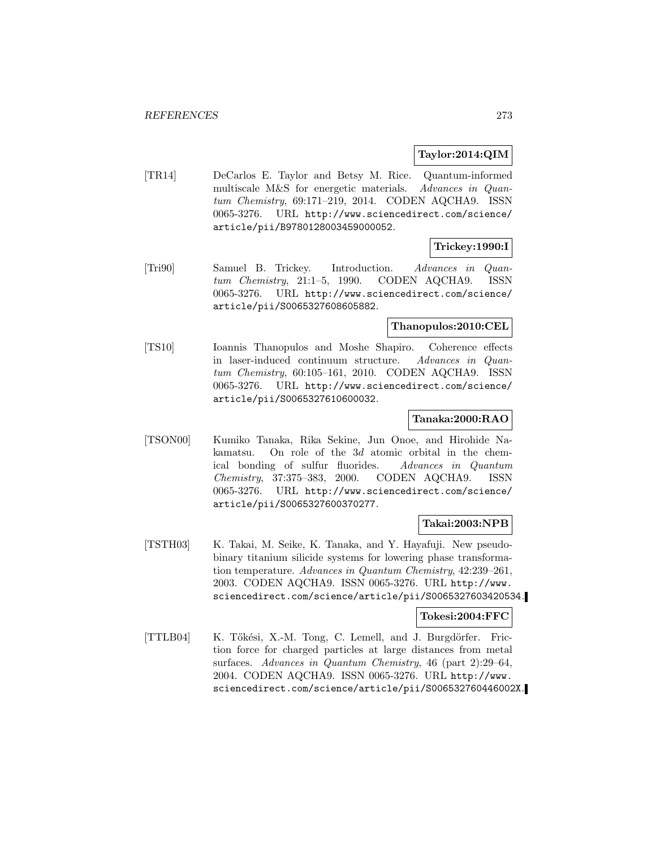## **Taylor:2014:QIM**

[TR14] DeCarlos E. Taylor and Betsy M. Rice. Quantum-informed multiscale M&S for energetic materials. Advances in Quantum Chemistry, 69:171–219, 2014. CODEN AQCHA9. ISSN 0065-3276. URL http://www.sciencedirect.com/science/ article/pii/B9780128003459000052.

# **Trickey:1990:I**

[Tri90] Samuel B. Trickey. Introduction. Advances in Quantum Chemistry, 21:1–5, 1990. CODEN AQCHA9. ISSN 0065-3276. URL http://www.sciencedirect.com/science/ article/pii/S0065327608605882.

#### **Thanopulos:2010:CEL**

[TS10] Ioannis Thanopulos and Moshe Shapiro. Coherence effects in laser-induced continuum structure. Advances in Quantum Chemistry, 60:105–161, 2010. CODEN AQCHA9. ISSN 0065-3276. URL http://www.sciencedirect.com/science/ article/pii/S0065327610600032.

## **Tanaka:2000:RAO**

[TSON00] Kumiko Tanaka, Rika Sekine, Jun Onoe, and Hirohide Nakamatsu. On role of the 3d atomic orbital in the chemical bonding of sulfur fluorides. Advances in Quantum Chemistry, 37:375–383, 2000. CODEN AQCHA9. ISSN 0065-3276. URL http://www.sciencedirect.com/science/ article/pii/S0065327600370277.

#### **Takai:2003:NPB**

[TSTH03] K. Takai, M. Seike, K. Tanaka, and Y. Hayafuji. New pseudobinary titanium silicide systems for lowering phase transformation temperature. Advances in Quantum Chemistry, 42:239–261, 2003. CODEN AQCHA9. ISSN 0065-3276. URL http://www. sciencedirect.com/science/article/pii/S0065327603420534.

## **Tokesi:2004:FFC**

[TTLB04] K. Tőkési, X.-M. Tong, C. Lemell, and J. Burgdörfer. Friction force for charged particles at large distances from metal surfaces. Advances in Quantum Chemistry, 46 (part 2):29–64, 2004. CODEN AQCHA9. ISSN 0065-3276. URL http://www. sciencedirect.com/science/article/pii/S006532760446002X.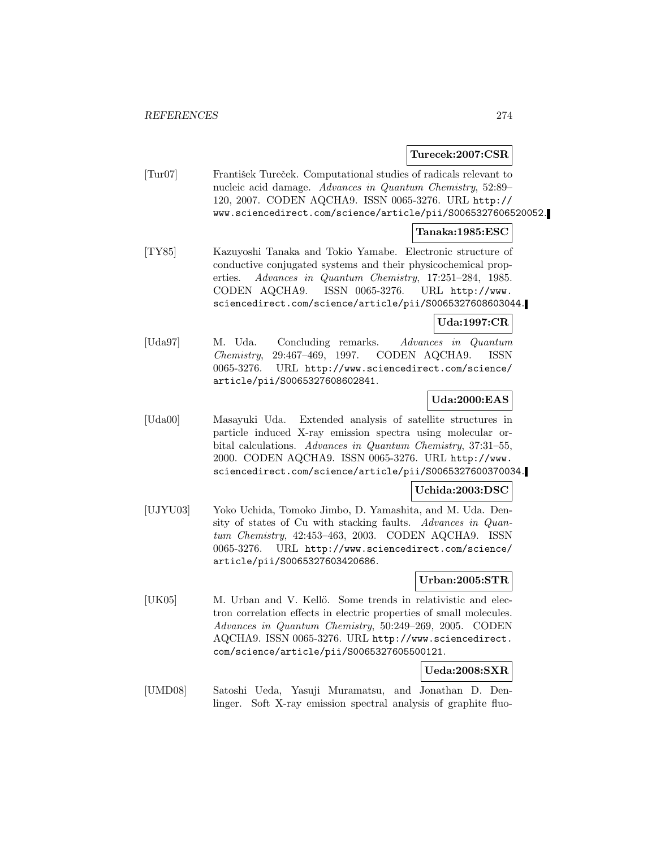### **Turecek:2007:CSR**

[Tur07] František Tureček. Computational studies of radicals relevant to nucleic acid damage. Advances in Quantum Chemistry, 52:89– 120, 2007. CODEN AQCHA9. ISSN 0065-3276. URL http:// www.sciencedirect.com/science/article/pii/S0065327606520052.

#### **Tanaka:1985:ESC**

[TY85] Kazuyoshi Tanaka and Tokio Yamabe. Electronic structure of conductive conjugated systems and their physicochemical properties. Advances in Quantum Chemistry, 17:251–284, 1985. CODEN AQCHA9. ISSN 0065-3276. URL http://www. sciencedirect.com/science/article/pii/S0065327608603044.

### **Uda:1997:CR**

[Uda97] M. Uda. Concluding remarks. Advances in Quantum Chemistry, 29:467–469, 1997. CODEN AQCHA9. ISSN 0065-3276. URL http://www.sciencedirect.com/science/ article/pii/S0065327608602841.

## **Uda:2000:EAS**

[Uda00] Masayuki Uda. Extended analysis of satellite structures in particle induced X-ray emission spectra using molecular orbital calculations. Advances in Quantum Chemistry, 37:31–55, 2000. CODEN AQCHA9. ISSN 0065-3276. URL http://www. sciencedirect.com/science/article/pii/S0065327600370034.

## **Uchida:2003:DSC**

[UJYU03] Yoko Uchida, Tomoko Jimbo, D. Yamashita, and M. Uda. Density of states of Cu with stacking faults. Advances in Quantum Chemistry, 42:453–463, 2003. CODEN AQCHA9. ISSN 0065-3276. URL http://www.sciencedirect.com/science/ article/pii/S0065327603420686.

### **Urban:2005:STR**

[UK05] M. Urban and V. Kellö. Some trends in relativistic and electron correlation effects in electric properties of small molecules. Advances in Quantum Chemistry, 50:249–269, 2005. CODEN AQCHA9. ISSN 0065-3276. URL http://www.sciencedirect. com/science/article/pii/S0065327605500121.

# **Ueda:2008:SXR**

[UMD08] Satoshi Ueda, Yasuji Muramatsu, and Jonathan D. Denlinger. Soft X-ray emission spectral analysis of graphite fluo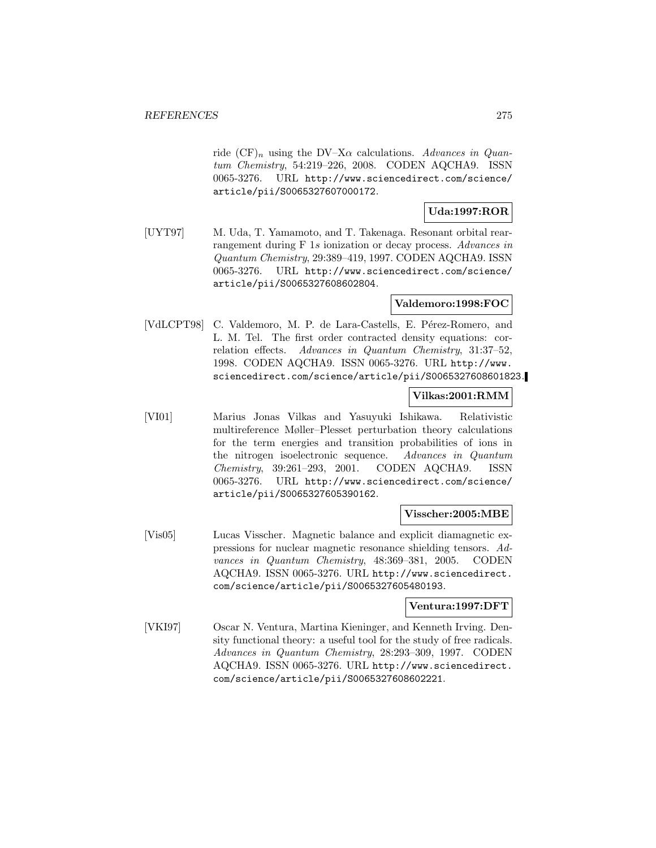ride  $(CF)_n$  using the DV–X $\alpha$  calculations. Advances in Quantum Chemistry, 54:219–226, 2008. CODEN AQCHA9. ISSN 0065-3276. URL http://www.sciencedirect.com/science/ article/pii/S0065327607000172.

# **Uda:1997:ROR**

[UYT97] M. Uda, T. Yamamoto, and T. Takenaga. Resonant orbital rearrangement during F 1s ionization or decay process. Advances in Quantum Chemistry, 29:389–419, 1997. CODEN AQCHA9. ISSN 0065-3276. URL http://www.sciencedirect.com/science/ article/pii/S0065327608602804.

## **Valdemoro:1998:FOC**

[VdLCPT98] C. Valdemoro, M. P. de Lara-Castells, E. Pérez-Romero, and L. M. Tel. The first order contracted density equations: correlation effects. Advances in Quantum Chemistry, 31:37–52, 1998. CODEN AQCHA9. ISSN 0065-3276. URL http://www. sciencedirect.com/science/article/pii/S0065327608601823.

## **Vilkas:2001:RMM**

[VI01] Marius Jonas Vilkas and Yasuyuki Ishikawa. Relativistic multireference Møller–Plesset perturbation theory calculations for the term energies and transition probabilities of ions in the nitrogen isoelectronic sequence. Advances in Quantum Chemistry, 39:261–293, 2001. CODEN AQCHA9. ISSN 0065-3276. URL http://www.sciencedirect.com/science/ article/pii/S0065327605390162.

## **Visscher:2005:MBE**

[Vis05] Lucas Visscher. Magnetic balance and explicit diamagnetic expressions for nuclear magnetic resonance shielding tensors. Advances in Quantum Chemistry, 48:369–381, 2005. CODEN AQCHA9. ISSN 0065-3276. URL http://www.sciencedirect. com/science/article/pii/S0065327605480193.

## **Ventura:1997:DFT**

[VKI97] Oscar N. Ventura, Martina Kieninger, and Kenneth Irving. Density functional theory: a useful tool for the study of free radicals. Advances in Quantum Chemistry, 28:293–309, 1997. CODEN AQCHA9. ISSN 0065-3276. URL http://www.sciencedirect. com/science/article/pii/S0065327608602221.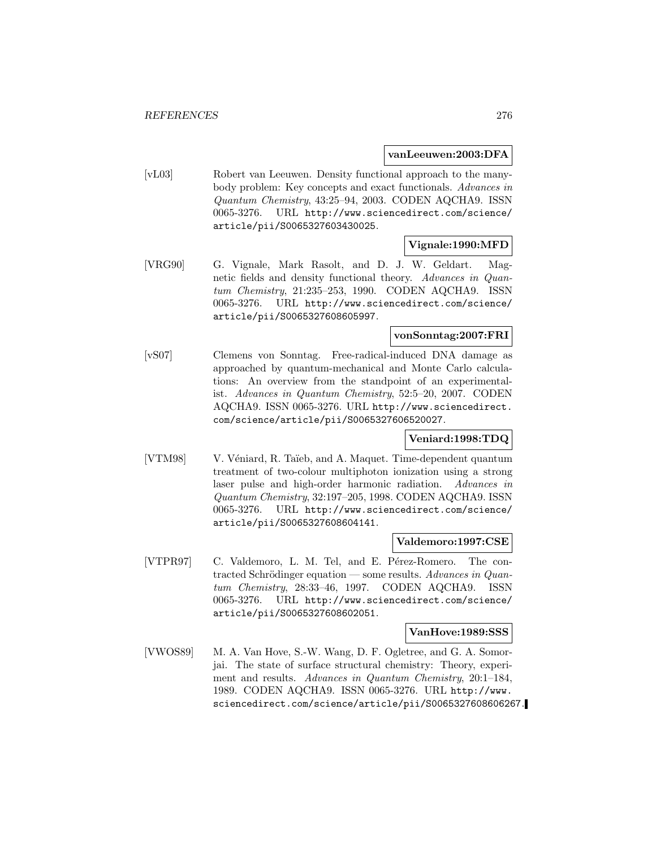#### **vanLeeuwen:2003:DFA**

[vL03] Robert van Leeuwen. Density functional approach to the manybody problem: Key concepts and exact functionals. Advances in Quantum Chemistry, 43:25–94, 2003. CODEN AQCHA9. ISSN 0065-3276. URL http://www.sciencedirect.com/science/ article/pii/S0065327603430025.

## **Vignale:1990:MFD**

[VRG90] G. Vignale, Mark Rasolt, and D. J. W. Geldart. Magnetic fields and density functional theory. Advances in Quantum Chemistry, 21:235–253, 1990. CODEN AQCHA9. ISSN 0065-3276. URL http://www.sciencedirect.com/science/ article/pii/S0065327608605997.

## **vonSonntag:2007:FRI**

[vS07] Clemens von Sonntag. Free-radical-induced DNA damage as approached by quantum-mechanical and Monte Carlo calculations: An overview from the standpoint of an experimentalist. Advances in Quantum Chemistry, 52:5–20, 2007. CODEN AQCHA9. ISSN 0065-3276. URL http://www.sciencedirect. com/science/article/pii/S0065327606520027.

# **Veniard:1998:TDQ**

[VTM98] V. Véniard, R. Taïeb, and A. Maquet. Time-dependent quantum treatment of two-colour multiphoton ionization using a strong laser pulse and high-order harmonic radiation. Advances in Quantum Chemistry, 32:197–205, 1998. CODEN AQCHA9. ISSN 0065-3276. URL http://www.sciencedirect.com/science/ article/pii/S0065327608604141.

#### **Valdemoro:1997:CSE**

[VTPR97] C. Valdemoro, L. M. Tel, and E. Pérez-Romero. The contracted Schrödinger equation — some results. Advances in Quantum Chemistry, 28:33–46, 1997. CODEN AQCHA9. ISSN 0065-3276. URL http://www.sciencedirect.com/science/ article/pii/S0065327608602051.

#### **VanHove:1989:SSS**

[VWOS89] M. A. Van Hove, S.-W. Wang, D. F. Ogletree, and G. A. Somorjai. The state of surface structural chemistry: Theory, experiment and results. Advances in Quantum Chemistry, 20:1–184, 1989. CODEN AQCHA9. ISSN 0065-3276. URL http://www. sciencedirect.com/science/article/pii/S0065327608606267.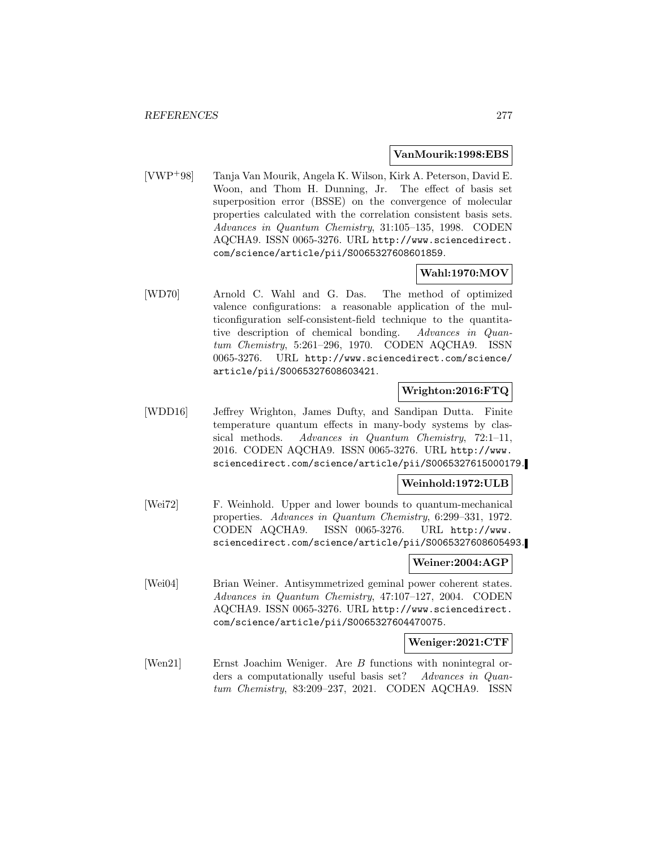#### **VanMourik:1998:EBS**

[VWP<sup>+</sup>98] Tanja Van Mourik, Angela K. Wilson, Kirk A. Peterson, David E. Woon, and Thom H. Dunning, Jr. The effect of basis set superposition error (BSSE) on the convergence of molecular properties calculated with the correlation consistent basis sets. Advances in Quantum Chemistry, 31:105–135, 1998. CODEN AQCHA9. ISSN 0065-3276. URL http://www.sciencedirect. com/science/article/pii/S0065327608601859.

# **Wahl:1970:MOV**

[WD70] Arnold C. Wahl and G. Das. The method of optimized valence configurations: a reasonable application of the multiconfiguration self-consistent-field technique to the quantitative description of chemical bonding. Advances in Quantum Chemistry, 5:261–296, 1970. CODEN AQCHA9. ISSN 0065-3276. URL http://www.sciencedirect.com/science/ article/pii/S0065327608603421.

# **Wrighton:2016:FTQ**

[WDD16] Jeffrey Wrighton, James Dufty, and Sandipan Dutta. Finite temperature quantum effects in many-body systems by classical methods. Advances in Quantum Chemistry, 72:1–11, 2016. CODEN AQCHA9. ISSN 0065-3276. URL http://www. sciencedirect.com/science/article/pii/S0065327615000179.

## **Weinhold:1972:ULB**

[Wei72] F. Weinhold. Upper and lower bounds to quantum-mechanical properties. Advances in Quantum Chemistry, 6:299–331, 1972. CODEN AQCHA9. ISSN 0065-3276. URL http://www. sciencedirect.com/science/article/pii/S0065327608605493.

## **Weiner:2004:AGP**

[Wei04] Brian Weiner. Antisymmetrized geminal power coherent states. Advances in Quantum Chemistry, 47:107–127, 2004. CODEN AQCHA9. ISSN 0065-3276. URL http://www.sciencedirect. com/science/article/pii/S0065327604470075.

## **Weniger:2021:CTF**

[Wen21] Ernst Joachim Weniger. Are B functions with nonintegral orders a computationally useful basis set? Advances in Quantum Chemistry, 83:209–237, 2021. CODEN AQCHA9. ISSN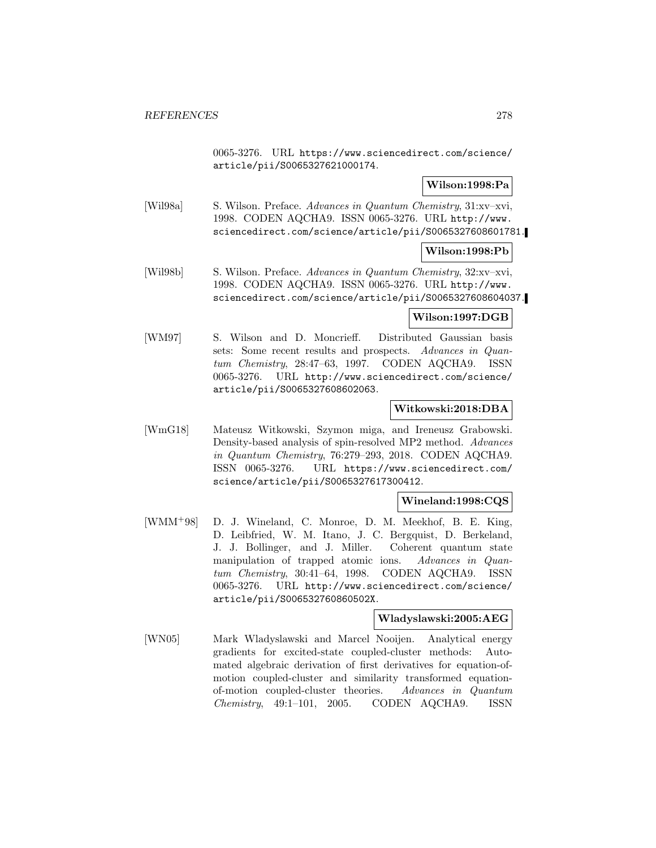0065-3276. URL https://www.sciencedirect.com/science/ article/pii/S0065327621000174.

## **Wilson:1998:Pa**

[Wil98a] S. Wilson. Preface. Advances in Quantum Chemistry, 31:xv–xvi, 1998. CODEN AQCHA9. ISSN 0065-3276. URL http://www. sciencedirect.com/science/article/pii/S0065327608601781.

#### **Wilson:1998:Pb**

[Wil98b] S. Wilson. Preface. Advances in Quantum Chemistry, 32:xv–xvi, 1998. CODEN AQCHA9. ISSN 0065-3276. URL http://www. sciencedirect.com/science/article/pii/S0065327608604037.

### **Wilson:1997:DGB**

[WM97] S. Wilson and D. Moncrieff. Distributed Gaussian basis sets: Some recent results and prospects. Advances in Quantum Chemistry, 28:47–63, 1997. CODEN AQCHA9. ISSN 0065-3276. URL http://www.sciencedirect.com/science/ article/pii/S0065327608602063.

## **Witkowski:2018:DBA**

[WmG18] Mateusz Witkowski, Szymon miga, and Ireneusz Grabowski. Density-based analysis of spin-resolved MP2 method. Advances in Quantum Chemistry, 76:279–293, 2018. CODEN AQCHA9. ISSN 0065-3276. URL https://www.sciencedirect.com/ science/article/pii/S0065327617300412.

## **Wineland:1998:CQS**

[WMM<sup>+</sup>98] D. J. Wineland, C. Monroe, D. M. Meekhof, B. E. King, D. Leibfried, W. M. Itano, J. C. Bergquist, D. Berkeland, J. J. Bollinger, and J. Miller. Coherent quantum state manipulation of trapped atomic ions. Advances in Quantum Chemistry, 30:41–64, 1998. CODEN AQCHA9. ISSN 0065-3276. URL http://www.sciencedirect.com/science/ article/pii/S006532760860502X.

## **Wladyslawski:2005:AEG**

[WN05] Mark Wladyslawski and Marcel Nooijen. Analytical energy gradients for excited-state coupled-cluster methods: Automated algebraic derivation of first derivatives for equation-ofmotion coupled-cluster and similarity transformed equationof-motion coupled-cluster theories. Advances in Quantum Chemistry, 49:1–101, 2005. CODEN AQCHA9. ISSN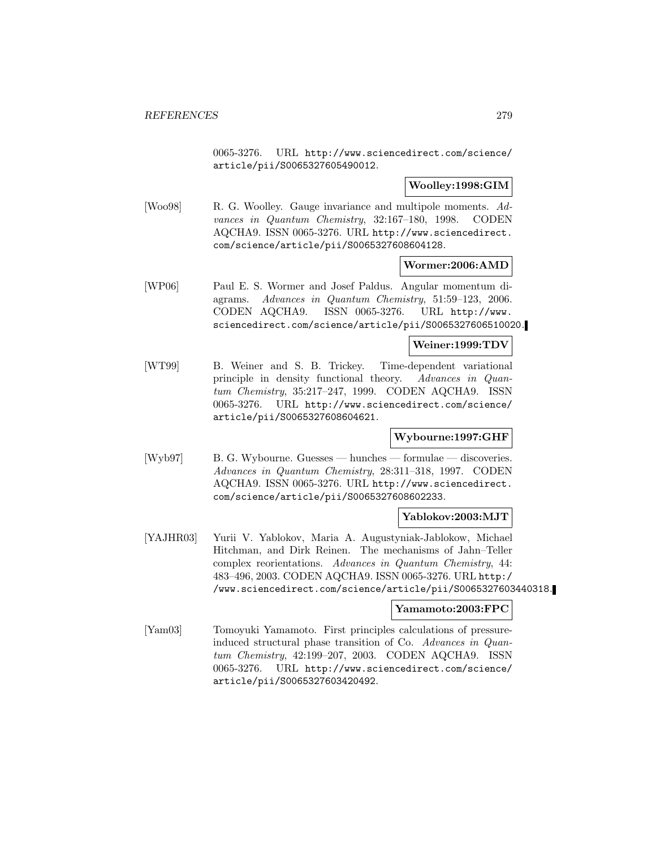0065-3276. URL http://www.sciencedirect.com/science/ article/pii/S0065327605490012.

## **Woolley:1998:GIM**

[Woo98] R. G. Woolley. Gauge invariance and multipole moments. Advances in Quantum Chemistry, 32:167–180, 1998. CODEN AQCHA9. ISSN 0065-3276. URL http://www.sciencedirect. com/science/article/pii/S0065327608604128.

### **Wormer:2006:AMD**

[WP06] Paul E. S. Wormer and Josef Paldus. Angular momentum diagrams. Advances in Quantum Chemistry, 51:59–123, 2006. CODEN AQCHA9. ISSN 0065-3276. URL http://www. sciencedirect.com/science/article/pii/S0065327606510020.

## **Weiner:1999:TDV**

[WT99] B. Weiner and S. B. Trickey. Time-dependent variational principle in density functional theory. Advances in Quantum Chemistry, 35:217–247, 1999. CODEN AQCHA9. ISSN 0065-3276. URL http://www.sciencedirect.com/science/ article/pii/S0065327608604621.

## **Wybourne:1997:GHF**

[Wyb97] B. G. Wybourne. Guesses — hunches — formulae — discoveries. Advances in Quantum Chemistry, 28:311–318, 1997. CODEN AQCHA9. ISSN 0065-3276. URL http://www.sciencedirect. com/science/article/pii/S0065327608602233.

## **Yablokov:2003:MJT**

[YAJHR03] Yurii V. Yablokov, Maria A. Augustyniak-Jablokow, Michael Hitchman, and Dirk Reinen. The mechanisms of Jahn–Teller complex reorientations. Advances in Quantum Chemistry, 44: 483–496, 2003. CODEN AQCHA9. ISSN 0065-3276. URL http:/ /www.sciencedirect.com/science/article/pii/S0065327603440318.

## **Yamamoto:2003:FPC**

[Yam03] Tomoyuki Yamamoto. First principles calculations of pressureinduced structural phase transition of Co. Advances in Quantum Chemistry, 42:199–207, 2003. CODEN AQCHA9. ISSN 0065-3276. URL http://www.sciencedirect.com/science/ article/pii/S0065327603420492.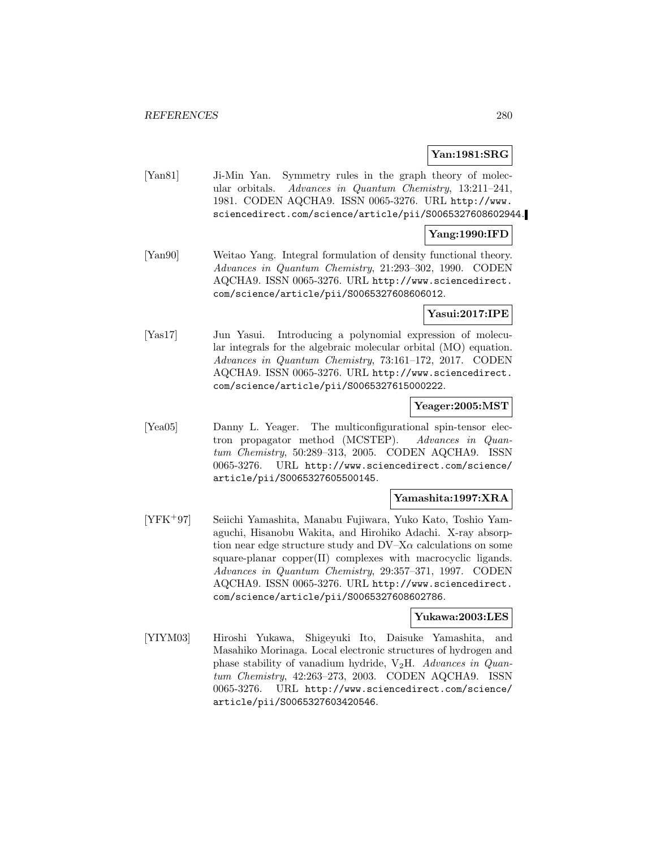## **Yan:1981:SRG**

[Yan81] Ji-Min Yan. Symmetry rules in the graph theory of molecular orbitals. Advances in Quantum Chemistry, 13:211–241, 1981. CODEN AQCHA9. ISSN 0065-3276. URL http://www. sciencedirect.com/science/article/pii/S0065327608602944.

## **Yang:1990:IFD**

[Yan90] Weitao Yang. Integral formulation of density functional theory. Advances in Quantum Chemistry, 21:293–302, 1990. CODEN AQCHA9. ISSN 0065-3276. URL http://www.sciencedirect. com/science/article/pii/S0065327608606012.

## **Yasui:2017:IPE**

[Yas17] Jun Yasui. Introducing a polynomial expression of molecular integrals for the algebraic molecular orbital (MO) equation. Advances in Quantum Chemistry, 73:161–172, 2017. CODEN AQCHA9. ISSN 0065-3276. URL http://www.sciencedirect. com/science/article/pii/S0065327615000222.

#### **Yeager:2005:MST**

[Yea05] Danny L. Yeager. The multiconfigurational spin-tensor electron propagator method (MCSTEP). Advances in Quantum Chemistry, 50:289–313, 2005. CODEN AQCHA9. ISSN 0065-3276. URL http://www.sciencedirect.com/science/ article/pii/S0065327605500145.

## **Yamashita:1997:XRA**

[YFK<sup>+</sup>97] Seiichi Yamashita, Manabu Fujiwara, Yuko Kato, Toshio Yamaguchi, Hisanobu Wakita, and Hirohiko Adachi. X-ray absorption near edge structure study and  $DV-X\alpha$  calculations on some square-planar copper(II) complexes with macrocyclic ligands. Advances in Quantum Chemistry, 29:357–371, 1997. CODEN AQCHA9. ISSN 0065-3276. URL http://www.sciencedirect. com/science/article/pii/S0065327608602786.

#### **Yukawa:2003:LES**

[YIYM03] Hiroshi Yukawa, Shigeyuki Ito, Daisuke Yamashita, and Masahiko Morinaga. Local electronic structures of hydrogen and phase stability of vanadium hydride,  $V_2H$ . Advances in Quantum Chemistry, 42:263–273, 2003. CODEN AQCHA9. ISSN 0065-3276. URL http://www.sciencedirect.com/science/ article/pii/S0065327603420546.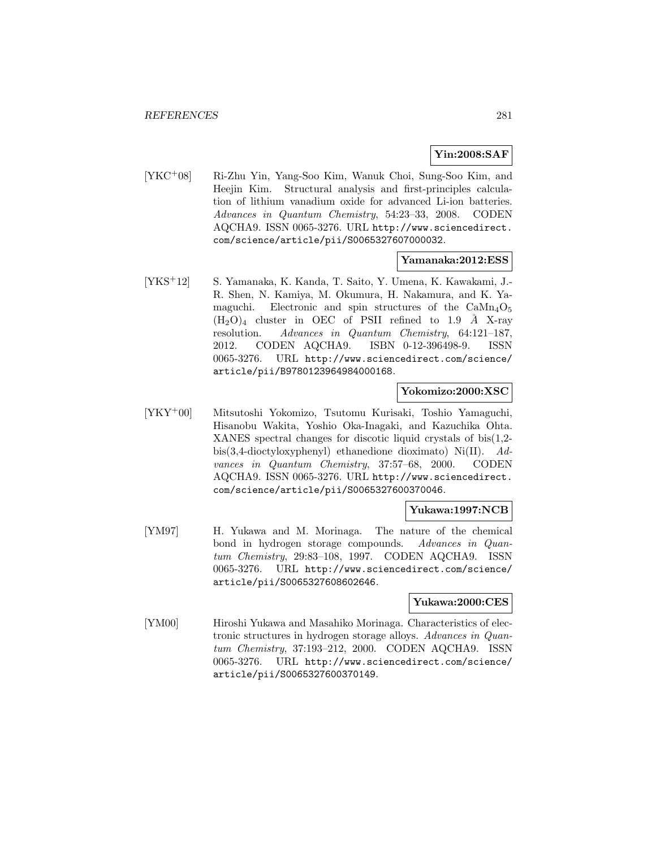# **Yin:2008:SAF**

[YKC<sup>+</sup>08] Ri-Zhu Yin, Yang-Soo Kim, Wanuk Choi, Sung-Soo Kim, and Heejin Kim. Structural analysis and first-principles calculation of lithium vanadium oxide for advanced Li-ion batteries. Advances in Quantum Chemistry, 54:23–33, 2008. CODEN AQCHA9. ISSN 0065-3276. URL http://www.sciencedirect. com/science/article/pii/S0065327607000032.

## **Yamanaka:2012:ESS**

[YKS<sup>+</sup>12] S. Yamanaka, K. Kanda, T. Saito, Y. Umena, K. Kawakami, J.- R. Shen, N. Kamiya, M. Okumura, H. Nakamura, and K. Yamaguchi. Electronic and spin structures of the  $\text{CaMn}_4\text{O}_5$  $(H<sub>2</sub>O)<sub>4</sub>$  cluster in OEC of PSII refined to 1.9 Å X-ray resolution. Advances in Quantum Chemistry, 64:121–187, 2012. CODEN AQCHA9. ISBN 0-12-396498-9. ISSN 0065-3276. URL http://www.sciencedirect.com/science/ article/pii/B9780123964984000168.

## **Yokomizo:2000:XSC**

[YKY<sup>+</sup>00] Mitsutoshi Yokomizo, Tsutomu Kurisaki, Toshio Yamaguchi, Hisanobu Wakita, Yoshio Oka-Inagaki, and Kazuchika Ohta. XANES spectral changes for discotic liquid crystals of bis(1,2 bis(3,4-dioctyloxyphenyl) ethanedione dioximato) Ni(II). Advances in Quantum Chemistry, 37:57–68, 2000. CODEN AQCHA9. ISSN 0065-3276. URL http://www.sciencedirect. com/science/article/pii/S0065327600370046.

## **Yukawa:1997:NCB**

[YM97] H. Yukawa and M. Morinaga. The nature of the chemical bond in hydrogen storage compounds. Advances in Quantum Chemistry, 29:83–108, 1997. CODEN AQCHA9. ISSN 0065-3276. URL http://www.sciencedirect.com/science/ article/pii/S0065327608602646.

## **Yukawa:2000:CES**

[YM00] Hiroshi Yukawa and Masahiko Morinaga. Characteristics of electronic structures in hydrogen storage alloys. Advances in Quantum Chemistry, 37:193–212, 2000. CODEN AQCHA9. ISSN 0065-3276. URL http://www.sciencedirect.com/science/ article/pii/S0065327600370149.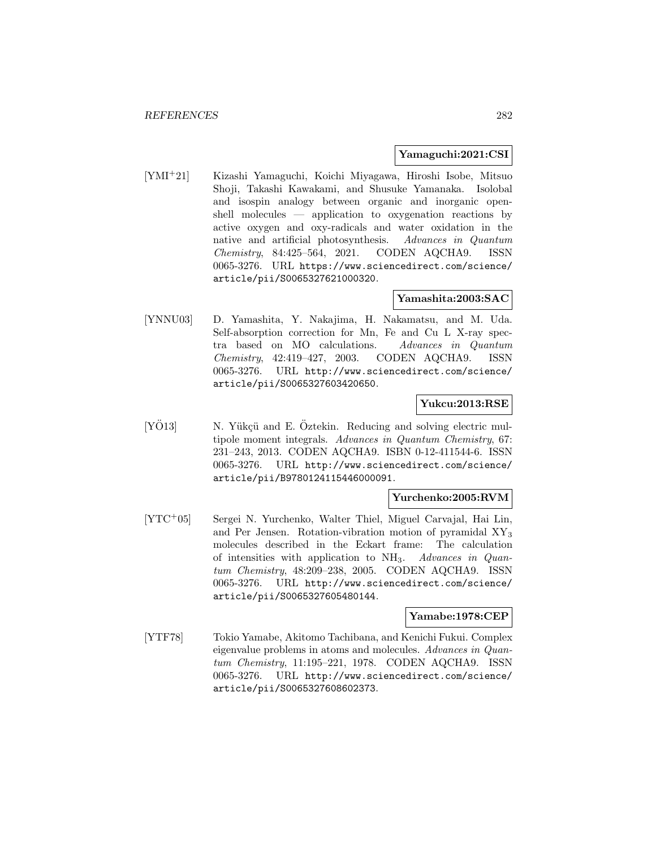## **Yamaguchi:2021:CSI**

[YMI<sup>+</sup>21] Kizashi Yamaguchi, Koichi Miyagawa, Hiroshi Isobe, Mitsuo Shoji, Takashi Kawakami, and Shusuke Yamanaka. Isolobal and isospin analogy between organic and inorganic openshell molecules — application to oxygenation reactions by active oxygen and oxy-radicals and water oxidation in the native and artificial photosynthesis. Advances in Quantum Chemistry, 84:425–564, 2021. CODEN AQCHA9. ISSN 0065-3276. URL https://www.sciencedirect.com/science/ article/pii/S0065327621000320.

## **Yamashita:2003:SAC**

[YNNU03] D. Yamashita, Y. Nakajima, H. Nakamatsu, and M. Uda. Self-absorption correction for Mn, Fe and Cu L X-ray spectra based on MO calculations. Advances in Quantum Chemistry, 42:419–427, 2003. CODEN AQCHA9. ISSN 0065-3276. URL http://www.sciencedirect.com/science/ article/pii/S0065327603420650.

## **Yukcu:2013:RSE**

 $[Y\ddot{O}13]$  N. Yükçü and E.  $\ddot{O}$ ztekin. Reducing and solving electric multipole moment integrals. Advances in Quantum Chemistry, 67: 231–243, 2013. CODEN AQCHA9. ISBN 0-12-411544-6. ISSN 0065-3276. URL http://www.sciencedirect.com/science/ article/pii/B9780124115446000091.

## **Yurchenko:2005:RVM**

[YTC<sup>+</sup>05] Sergei N. Yurchenko, Walter Thiel, Miguel Carvajal, Hai Lin, and Per Jensen. Rotation-vibration motion of pyramidal XY<sup>3</sup> molecules described in the Eckart frame: The calculation of intensities with application to  $NH<sub>3</sub>$ . Advances in Quantum Chemistry, 48:209–238, 2005. CODEN AQCHA9. ISSN 0065-3276. URL http://www.sciencedirect.com/science/ article/pii/S0065327605480144.

## **Yamabe:1978:CEP**

[YTF78] Tokio Yamabe, Akitomo Tachibana, and Kenichi Fukui. Complex eigenvalue problems in atoms and molecules. Advances in Quantum Chemistry, 11:195–221, 1978. CODEN AQCHA9. ISSN 0065-3276. URL http://www.sciencedirect.com/science/ article/pii/S0065327608602373.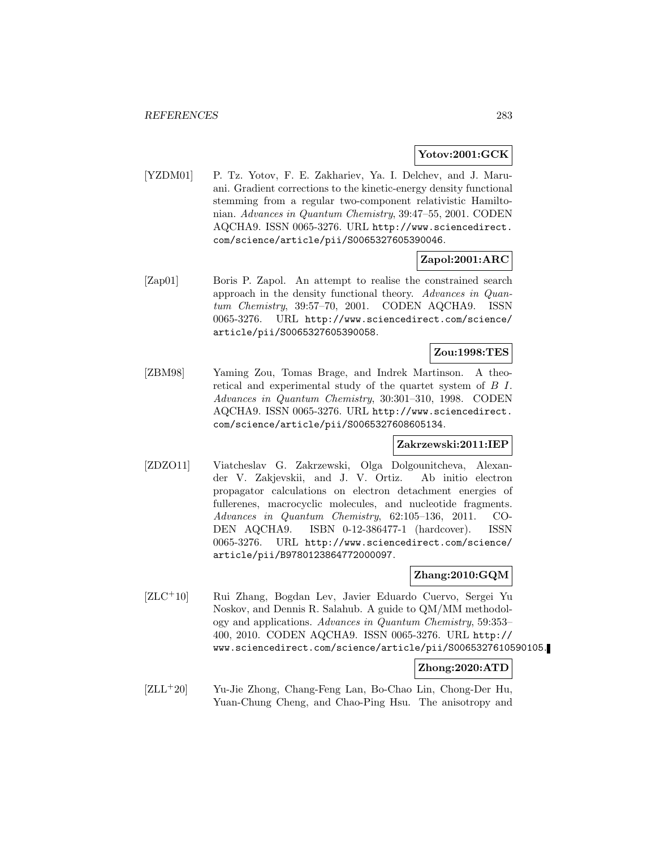## **Yotov:2001:GCK**

[YZDM01] P. Tz. Yotov, F. E. Zakhariev, Ya. I. Delchev, and J. Maruani. Gradient corrections to the kinetic-energy density functional stemming from a regular two-component relativistic Hamiltonian. Advances in Quantum Chemistry, 39:47–55, 2001. CODEN AQCHA9. ISSN 0065-3276. URL http://www.sciencedirect. com/science/article/pii/S0065327605390046.

## **Zapol:2001:ARC**

[Zap01] Boris P. Zapol. An attempt to realise the constrained search approach in the density functional theory. Advances in Quantum Chemistry, 39:57–70, 2001. CODEN AQCHA9. ISSN 0065-3276. URL http://www.sciencedirect.com/science/ article/pii/S0065327605390058.

# **Zou:1998:TES**

[ZBM98] Yaming Zou, Tomas Brage, and Indrek Martinson. A theoretical and experimental study of the quartet system of B I. Advances in Quantum Chemistry, 30:301–310, 1998. CODEN AQCHA9. ISSN 0065-3276. URL http://www.sciencedirect. com/science/article/pii/S0065327608605134.

## **Zakrzewski:2011:IEP**

[ZDZO11] Viatcheslav G. Zakrzewski, Olga Dolgounitcheva, Alexander V. Zakjevskii, and J. V. Ortiz. Ab initio electron propagator calculations on electron detachment energies of fullerenes, macrocyclic molecules, and nucleotide fragments. Advances in Quantum Chemistry, 62:105–136, 2011. CO-DEN AQCHA9. ISBN 0-12-386477-1 (hardcover). ISSN 0065-3276. URL http://www.sciencedirect.com/science/ article/pii/B9780123864772000097.

## **Zhang:2010:GQM**

[ZLC<sup>+</sup>10] Rui Zhang, Bogdan Lev, Javier Eduardo Cuervo, Sergei Yu Noskov, and Dennis R. Salahub. A guide to QM/MM methodology and applications. Advances in Quantum Chemistry, 59:353– 400, 2010. CODEN AQCHA9. ISSN 0065-3276. URL http:// www.sciencedirect.com/science/article/pii/S0065327610590105.

#### **Zhong:2020:ATD**

[ZLL<sup>+</sup>20] Yu-Jie Zhong, Chang-Feng Lan, Bo-Chao Lin, Chong-Der Hu, Yuan-Chung Cheng, and Chao-Ping Hsu. The anisotropy and